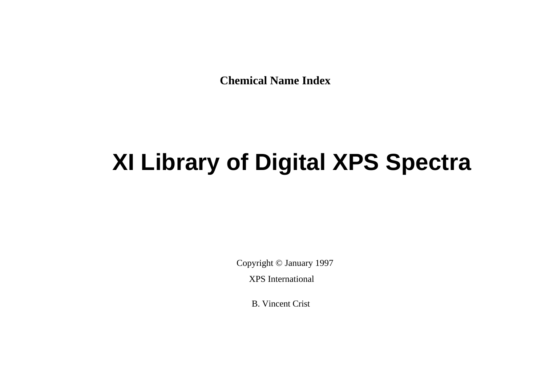**Chemical Name Index**

## **XI Library of Digital XPS Spectra**

Copyright © January 1997

XPS International

B. Vincent Crist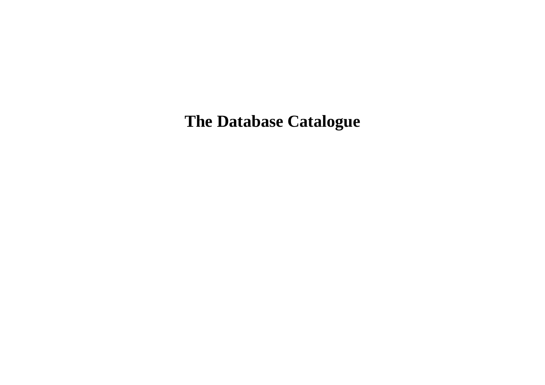**The Database Catalogue**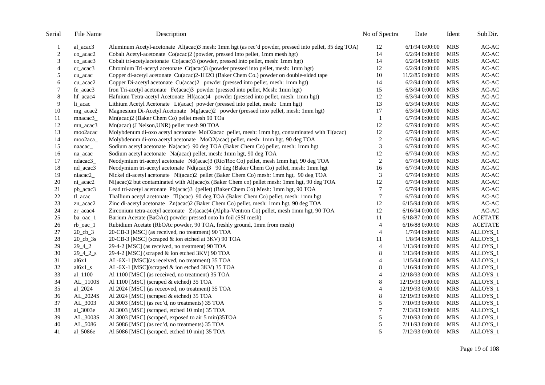| Serial         | File Name            | Description                                                                                          | No of Spectra  | Date             | Ident      | Sub Dir.             |
|----------------|----------------------|------------------------------------------------------------------------------------------------------|----------------|------------------|------------|----------------------|
| $\mathbf{1}$   | al_acac3             | Aluminum Acetyl-acetonate Al(acac)3 mesh: 1mm hgt (as rec'd powder, pressed into pellet, 35 deg TOA) | 12             | $6/1/94$ 0:00:00 | <b>MRS</b> | $AC-AC$              |
| $\overline{c}$ | co_acac2             | Cobalt Acetyl-acetonate Co(acac)2 (powder, pressed into pellet, 1mm mesh hgt)                        | 14             | $6/2/94$ 0:00:00 | <b>MRS</b> | $AC-AC$              |
| 3              | co_acac3             | Cobalt tri-acetylacetonate Co(acac)3 (powder, pressed into pellet, mesh: 1mm hgt)                    | 14             | 6/2/94 0:00:00   | <b>MRS</b> | $\mbox{{\sc AC-AC}}$ |
| $\overline{4}$ | cr_acac3             | Chromium Tri-acetyl acetonate Cr(acac)3 (powder pressed into pellet, mesh: 1mm hgt)                  | 12             | 6/2/94 0:00:00   | <b>MRS</b> | AC-AC                |
| $\mathfrak s$  | cu_acac              | Copper di-acetyl acetonate Cu(acac)2-1H2O (Baker Chem Co.) powder on double-sided tape               | $10\,$         | 11/2/85 0:00:00  | <b>MRS</b> | $AC-AC$              |
| 6              | cu_acac2             | Copper Di-acetyl acetonate Cu(acac)2 powder (pressed into pellet, mesh: 1mm hgt)                     | 14             | 6/2/94 0:00:00   | <b>MRS</b> | $AC-AC$              |
| $\tau$         | fe_acac3             | Iron Tri-acetyl acetonate Fe(acac)3 powder (pressed into pellet, Mesh: 1mm hgt)                      | 15             | 6/3/94 0:00:00   | <b>MRS</b> | $AC-AC$              |
| 8              | hf_acac4             | Hafnium Tetra-acetyl Acetonate Hf(acac)4 powder (pressed into pellet, mesh: 1mm hgt)                 | 12             | 6/3/94 0:00:00   | <b>MRS</b> | AC-AC                |
| 9              | li_acac              | Lithium Acetyl Acetonate Li(acac) powder (pressed into pellet, mesh: 1mm hgt)                        | 13             | $6/3/94$ 0:00:00 | <b>MRS</b> | AC-AC                |
| $10\,$         | mg_acac2             | Magnesium Di-Acetyl Acetonate Mg(acac)2 powder (pressed into pellet, mesh: 1mm hgt)                  | 17             | 6/3/94 0:00:00   | <b>MRS</b> | $AC-AC$              |
| 11             | mnacac3_             | Mn(acac)2 (Baker Chem Co) pellet mesh 90 TOa                                                         | $\mathbf{1}$   | 6/7/94 0:00:00   | <b>MRS</b> | AC-AC                |
| 12             | mn_acac3             | Mn(acac) (J Nelson, UNR) pellet mesh 90 TOA                                                          | 12             | 6/7/94 0:00:00   | <b>MRS</b> | AC-AC                |
| 13             | moo2acac             | Molybdenum di-oxo acetyl acetonate MoO2acac pellet, mesh: 1mm hgt, contaminated with Tl(acac)        | $12\,$         | 6/7/94 0:00:00   | <b>MRS</b> | $AC-AC$              |
| 14             | moo2aca_             | Molybdenum di-oxo acetyl acetonate MoO2(acac) pellet, mesh: 1mm hgt, 90 deg TOA                      | $\sqrt{2}$     | 6/7/94 0:00:00   | <b>MRS</b> | $AC-AC$              |
| 15             | naacac_              | Sodium acetyl acetonate Na(acac) 90 deg TOA (Baker Chem Co) pellet, mesh: 1mm hgt                    | $\mathfrak{Z}$ | 6/7/94 0:00:00   | <b>MRS</b> | AC-AC                |
| $16\,$         | na_acac              | Sodium acetyl acetonate Na(acac) pellet, mesh: 1mm hgt, 90 deg TOA                                   | $12\,$         | 6/7/94 0:00:00   | <b>MRS</b> | $AC-AC$              |
| 17             | ndacac3              | Neodymium tri-acetyl acetonate Nd(acac)3 (Ric/Roc Co) pellet, mesh 1mm hgt, 90 deg TOA               | $\sqrt{2}$     | 6/7/94 0:00:00   | <b>MRS</b> | $AC-AC$              |
| 18             | nd_acac3             | Neodymium tri-acetyl acetonate Nd(acac)3 90 deg (Baker Chem Co) pellet, mesh: 1mm hgt                | 16             | 6/7/94 0:00:00   | <b>MRS</b> | $AC-AC$              |
| 19             | niacac2_             | Nickel di-acetyl acetonate Ni(acac)2 pellet (Baker Chem Co) mesh: 1mm hgt, 90 deg TOA                | $\mathfrak{Z}$ | 6/7/94 0:00:00   | <b>MRS</b> | $AC-AC$              |
| $20\,$         | ni_acac2             | Ni(acac)2 but contaminated with Al(acac)x (Baker Chem co) pellet mesh: 1mm hgt, 90 deg TOA           | 12             | 6/7/94 0:00:00   | <b>MRS</b> | $AC-AC$              |
| $21\,$         | pb_acac3             | Lead tri-acetyl acetonate Pb(acac)3 (pellet) (Baker Chem Co) Mesh: 1mm hgt, 90 TOA                   | $\tau$         | 6/7/94 0:00:00   | <b>MRS</b> | $AC-AC$              |
| 22             | tl_acac              | Thallium acetyl acetonate Tl(acac) 90 deg TOA (Baker Chem Co) pellet, mesh: 1mm hgt                  | $\tau$         | 6/7/94 0:00:00   | <b>MRS</b> | $AC-AC$              |
| 23             | zn_acac2             | Zinc di-acetyl acetonate Zn(acac)2 (Baker Chem Co) pellet, mesh: 1mm hgt, 90 deg TOA                 | $12\,$         | 6/15/94 0:00:00  | <b>MRS</b> | AC-AC                |
| $24\,$         | zr_acac4             | Zirconium tetra-acetyl acetonate Zr(acac)4 (Alpha-Ventron Co) pellet, mesh 1mm hgt, 90 TOA           | 12             | 6/16/94 0:00:00  | <b>MRS</b> | AC-AC                |
| 25             | ba_oac_1             | Barium Acetate (BaOAc) powder pressed onto In foil (SSI mesh)                                        | 11             | 6/18/87 0:00:00  | <b>MRS</b> | <b>ACETATE</b>       |
| $26\,$         | rb_oac_1             | Rubidium Acetate (RbOAc powder, 90 TOA, freshly ground, 1mm from mesh)                               | $\overline{4}$ | 6/16/88 0:00:00  | <b>MRS</b> | <b>ACETATE</b>       |
| $27\,$         | $20$ _cb_3           | 20-CB-3 [MSC] (as received, no treatment) 90 TOA                                                     | $\overline{4}$ | 1/7/94 0:00:00   | <b>MRS</b> | ALLOYS_1             |
| 28             | $20$ _ $cb$ _ $3s$   | 20-CB-3 [MSC] (scraped & ion etched at 3KV) 90 TOA                                                   | 11             | 1/8/94 0:00:00   | <b>MRS</b> | ALLOYS_1             |
| 29             | $29 - 4 - 2$         | 29-4-2 [MSC] (as received, no treatment) 90 TOA                                                      | $\overline{4}$ | 1/13/94 0:00:00  | <b>MRS</b> | ALLOYS_1             |
| 30             | $29\_4\_2_s$         | 29-4-2 [MSC] (scraped & ion etched 3KV) 90 TOA                                                       | 8              | 1/13/94 0:00:00  | <b>MRS</b> | ALLOYS_1             |
| 31             | a16x1                | AL-6X-1 [MSC](as received, no treatment) 35 TOA                                                      | $\overline{4}$ | 1/15/94 0:00:00  | <b>MRS</b> | ALLOYS_1             |
| $32\,$         | $a16x1$ <sub>s</sub> | AL-6X-1 [MSC](scraped & ion etched 3KV) 35 TOA                                                       | $\,8\,$        | 1/16/94 0:00:00  | <b>MRS</b> | ALLOYS_1             |
| 33             | al_1100              | Al 1100 [MSC] (as received, no treatment) 35 TOA                                                     | $\overline{4}$ | 12/18/93 0:00:00 | <b>MRS</b> | ALLOYS_1             |
| 34             | AL_1100S             | Al 1100 [MSC] (scraped & etched) 35 TOA                                                              | $\,8$          | 12/19/93 0:00:00 | <b>MRS</b> | ALLOYS_1             |
| 35             | al_2024              | Al 2024 [MSC] (as receoved, no treatment) 35 TOA                                                     | 4              | 12/19/93 0:00:00 | <b>MRS</b> | ALLOYS_1             |
| 36             | AL_2024S             | Al 2024 [MSC] (scraped & etched) 35 TOA                                                              | $\,8\,$        | 12/19/93 0:00:00 | <b>MRS</b> | ALLOYS_1             |
| 37             | AL_3003              | Al 3003 [MSC] (as rec'd, no treatments) 35 TOA                                                       | 5              | 7/10/93 0:00:00  | <b>MRS</b> | ALLOYS_1             |
| 38             | al_3003e             | Al 3003 [MSC] (scraped, etched 10 min) 35 TOA                                                        | 7              | 7/13/93 0:00:00  | <b>MRS</b> | ALLOYS_1             |
| 39             | AL_3003S             | Al 3003 [MSC] (scraped, exposed to air 5 min)35TOA                                                   | 5              | 7/10/93 0:00:00  | <b>MRS</b> | ALLOYS_1             |
| 40             | AL_5086              | Al 5086 [MSC] (as rec'd, no treatments) 35 TOA                                                       | $\sqrt{5}$     | 7/11/93 0:00:00  | <b>MRS</b> | ALLOYS_1             |
| 41             | al_5086e             | Al 5086 [MSC] (scraped, etched 10 min) 35 TOA                                                        | 5              | 7/12/93 0:00:00  | <b>MRS</b> | ALLOYS_1             |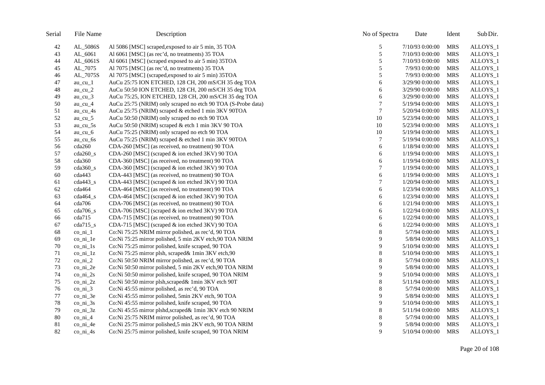| File Name                       | Description                                                  | No of Spectra                                                                                                                                                                                                                                                                                                                                                                                                                                                                                                                                                                                                                    | Date            | Ident      | Sub Dir.                                             |
|---------------------------------|--------------------------------------------------------------|----------------------------------------------------------------------------------------------------------------------------------------------------------------------------------------------------------------------------------------------------------------------------------------------------------------------------------------------------------------------------------------------------------------------------------------------------------------------------------------------------------------------------------------------------------------------------------------------------------------------------------|-----------------|------------|------------------------------------------------------|
| AL_5086S                        | Al 5086 [MSC] scraped, exposed to air 5 min, 35 TOA          | 5                                                                                                                                                                                                                                                                                                                                                                                                                                                                                                                                                                                                                                | 7/10/93 0:00:00 | <b>MRS</b> | ALLOYS_1                                             |
| AL_6061                         | Al 6061 [MSC] (as rec'd, no treatments) 35 TOA               | $\sqrt{5}$                                                                                                                                                                                                                                                                                                                                                                                                                                                                                                                                                                                                                       | 7/10/93 0:00:00 | <b>MRS</b> | ALLOYS_1                                             |
| AL_6061S                        | Al 6061 [MSC] (scraped exposed to air 5 min) 35TOA           | 5                                                                                                                                                                                                                                                                                                                                                                                                                                                                                                                                                                                                                                | 7/10/93 0:00:00 | <b>MRS</b> | ALLOYS_1                                             |
| AL_7075                         | Al 7075 [MSC] (as rec'd, no treatments) 35 TOA               | 5                                                                                                                                                                                                                                                                                                                                                                                                                                                                                                                                                                                                                                | 7/9/93 0:00:00  | <b>MRS</b> | ALLOYS_1                                             |
| AL_7075S                        |                                                              | 5                                                                                                                                                                                                                                                                                                                                                                                                                                                                                                                                                                                                                                | 7/9/93 0:00:00  | <b>MRS</b> | ALLOYS_1                                             |
| $au$ <sub>_cu</sub> $1$         | AuCu 25:75 ION ETCHED, 128 CH, 200 mS/CH 35 deg TOA          | 6                                                                                                                                                                                                                                                                                                                                                                                                                                                                                                                                                                                                                                | 3/29/90 0:00:00 | <b>MRS</b> | ALLOYS_1                                             |
| $au$ <sub>_cu</sub> $_2$        | AuCu 50:50 ION ETCHED, 128 CH, 200 mS/CH 35 deg TOA          | 6                                                                                                                                                                                                                                                                                                                                                                                                                                                                                                                                                                                                                                | 3/29/90 0:00:00 | <b>MRS</b> | ALLOYS_1                                             |
| au_cu_ $3$                      | AuCu 75:25, ION ETCHED, 128 CH, 200 mS/CH 35 deg TOA         | 6                                                                                                                                                                                                                                                                                                                                                                                                                                                                                                                                                                                                                                | 3/29/90 0:00:00 | <b>MRS</b> | ALLOYS_1                                             |
| au_cu_4                         | AuCu 25:75 (NRIM) only scraped no etch 90 TOA (S-Probe data) |                                                                                                                                                                                                                                                                                                                                                                                                                                                                                                                                                                                                                                  | 5/19/94 0:00:00 | <b>MRS</b> | ALLOYS_1                                             |
| $au_{cu_4s}$                    | AuCu 25:75 (NRIM) scraped & etched 1 min 3KV 90TOA           | $\tau$                                                                                                                                                                                                                                                                                                                                                                                                                                                                                                                                                                                                                           | 5/20/94 0:00:00 | <b>MRS</b> | ALLOYS_1                                             |
| au_cu_5                         | AuCu 50:50 (NRIM) only scraped no etch 90 TOA                | 10                                                                                                                                                                                                                                                                                                                                                                                                                                                                                                                                                                                                                               | 5/23/94 0:00:00 | <b>MRS</b> | ALLOYS_1                                             |
| $au_{cu}$ 5s                    | AuCu 50:50 (NRIM) scraped & etch 1 min 3KV 90 TOA            | 10                                                                                                                                                                                                                                                                                                                                                                                                                                                                                                                                                                                                                               | 5/23/94 0:00:00 | <b>MRS</b> | ALLOYS_1                                             |
| $au$ _cu_6                      | AuCu 75:25 (NRIM) only scraped no etch 90 TOA                | 10                                                                                                                                                                                                                                                                                                                                                                                                                                                                                                                                                                                                                               | 5/19/94 0:00:00 | <b>MRS</b> | ALLOYS_1                                             |
| au cu $6s$                      | AuCu 75:25 (NRIM) scraped & etched 1 min 3KV 90TOA           | $\tau$                                                                                                                                                                                                                                                                                                                                                                                                                                                                                                                                                                                                                           | 5/19/94 0:00:00 | <b>MRS</b> | ALLOYS_1                                             |
| cda260                          | CDA-260 [MSC] (as received, no treatment) 90 TOA             | 6                                                                                                                                                                                                                                                                                                                                                                                                                                                                                                                                                                                                                                | 1/18/94 0:00:00 | <b>MRS</b> | ALLOYS_1                                             |
| $cda260$ <sub>s</sub>           | CDA-260 [MSC] (scraped & ion etched 3KV) 90 TOA              | 6                                                                                                                                                                                                                                                                                                                                                                                                                                                                                                                                                                                                                                | 1/19/94 0:00:00 | <b>MRS</b> | ALLOYS_1                                             |
| cda360                          | CDA-360 [MSC] (as received, no treatment) 90 TOA             | 6                                                                                                                                                                                                                                                                                                                                                                                                                                                                                                                                                                                                                                | 1/19/94 0:00:00 | <b>MRS</b> | ALLOYS_1                                             |
| $cda360$ <sub>s</sub>           | CDA-360 [MSC] (scraped & ion etched 3KV) 90 TOA              | 7                                                                                                                                                                                                                                                                                                                                                                                                                                                                                                                                                                                                                                | 1/19/94 0:00:00 | <b>MRS</b> | ALLOYS_1                                             |
| cda443                          | CDA-443 [MSC] (as received, no treatment) 90 TOA             | 6                                                                                                                                                                                                                                                                                                                                                                                                                                                                                                                                                                                                                                | 1/19/94 0:00:00 | <b>MRS</b> | ALLOYS_1                                             |
| $cda443$ <sub>s</sub>           | CDA-443 [MSC] (scraped & ion etched 3KV) 90 TOA              | 7                                                                                                                                                                                                                                                                                                                                                                                                                                                                                                                                                                                                                                | 1/20/94 0:00:00 | <b>MRS</b> | ALLOYS_1                                             |
| cda464                          | CDA-464 [MSC] (as received, no treatment) 90 TOA             | 6                                                                                                                                                                                                                                                                                                                                                                                                                                                                                                                                                                                                                                | 1/23/94 0:00:00 | <b>MRS</b> | ALLOYS_1                                             |
| $cda464_s$                      | CDA-464 [MSC] (scraped & ion etched 3KV) 90 TOA              | 6                                                                                                                                                                                                                                                                                                                                                                                                                                                                                                                                                                                                                                | 1/23/94 0:00:00 | <b>MRS</b> | ALLOYS_1                                             |
| cda706                          | CDA-706 [MSC] (as received, no treatment) 90 TOA             | 6                                                                                                                                                                                                                                                                                                                                                                                                                                                                                                                                                                                                                                | 1/21/94 0:00:00 | <b>MRS</b> | ALLOYS_1                                             |
| $cda706$ <sub>s</sub>           | CDA-706 [MSC] (scraped & ion etched 3KV) 90 TOA              | 6                                                                                                                                                                                                                                                                                                                                                                                                                                                                                                                                                                                                                                | 1/22/94 0:00:00 | <b>MRS</b> | ALLOYS_1                                             |
| cda715                          | CDA-715 [MSC] (as received, no treatment) 90 TOA             | 6                                                                                                                                                                                                                                                                                                                                                                                                                                                                                                                                                                                                                                | 1/22/94 0:00:00 | <b>MRS</b> | ALLOYS_1                                             |
| $cda715$ <sub>s</sub>           | CDA-715 [MSC] (scraped & ion etched 3KV) 90 TOA              | 6                                                                                                                                                                                                                                                                                                                                                                                                                                                                                                                                                                                                                                | 1/22/94 0:00:00 | <b>MRS</b> | ALLOYS_1                                             |
| $\frac{\text{co}}{\text{ni}}$ 1 | Co:Ni 75:25 NRIM mirror polished, as rec'd, 90 TOA           | 8                                                                                                                                                                                                                                                                                                                                                                                                                                                                                                                                                                                                                                | 5/7/94 0:00:00  | <b>MRS</b> | ALLOYS_1                                             |
| co_ni_1e                        | Co:Ni 75:25 mirror polished, 5 min 2KV etch, 90 TOA NRIM     | 9                                                                                                                                                                                                                                                                                                                                                                                                                                                                                                                                                                                                                                | 5/8/94 0:00:00  |            | ALLOYS_1                                             |
|                                 |                                                              | 9                                                                                                                                                                                                                                                                                                                                                                                                                                                                                                                                                                                                                                | 5/10/94 0:00:00 |            | ALLOYS_1                                             |
| $co\_ni\_1z$                    | Co:Ni 75:25 mirror plsh, scraped& 1min 3KV etch,90           | 8                                                                                                                                                                                                                                                                                                                                                                                                                                                                                                                                                                                                                                | 5/10/94 0:00:00 | <b>MRS</b> | ALLOYS_1                                             |
| $co\_ni_2$                      |                                                              | 8                                                                                                                                                                                                                                                                                                                                                                                                                                                                                                                                                                                                                                | 5/7/94 0:00:00  | <b>MRS</b> | ALLOYS_1                                             |
| $co\_ni\_2e$                    |                                                              | 9                                                                                                                                                                                                                                                                                                                                                                                                                                                                                                                                                                                                                                | 5/8/94 0:00:00  | <b>MRS</b> | ALLOYS_1                                             |
| $co\_ni\_2s$                    |                                                              |                                                                                                                                                                                                                                                                                                                                                                                                                                                                                                                                                                                                                                  | 5/10/94 0:00:00 | <b>MRS</b> | ALLOYS_1                                             |
| $co\_ni\_2z$                    |                                                              | 8                                                                                                                                                                                                                                                                                                                                                                                                                                                                                                                                                                                                                                | 5/11/94 0:00:00 | <b>MRS</b> | ALLOYS_1                                             |
| $co\_ni\_3$                     |                                                              | 8                                                                                                                                                                                                                                                                                                                                                                                                                                                                                                                                                                                                                                | 5/7/94 0:00:00  | <b>MRS</b> | ALLOYS_1                                             |
| $co\_ni\_3e$                    |                                                              | 9                                                                                                                                                                                                                                                                                                                                                                                                                                                                                                                                                                                                                                | 5/8/94 0:00:00  |            | ALLOYS_1                                             |
| $co\_ni\_3s$                    |                                                              | 9                                                                                                                                                                                                                                                                                                                                                                                                                                                                                                                                                                                                                                | 5/10/94 0:00:00 |            | ALLOYS_1                                             |
| $co_{ni}$ 3z                    |                                                              | 8                                                                                                                                                                                                                                                                                                                                                                                                                                                                                                                                                                                                                                | 5/11/94 0:00:00 | <b>MRS</b> | ALLOYS_1                                             |
| $co\_ni_4$                      | Co:Ni 25:75 NRIM mirror polished, as rec'd, 90 TOA           | 8                                                                                                                                                                                                                                                                                                                                                                                                                                                                                                                                                                                                                                | 5/7/94 0:00:00  | <b>MRS</b> | ALLOYS_1                                             |
| $co_{n1}$ 4e                    |                                                              | 9                                                                                                                                                                                                                                                                                                                                                                                                                                                                                                                                                                                                                                | 5/8/94 0:00:00  | <b>MRS</b> | ALLOYS_1                                             |
| $co\_ni_4s$                     | Co:Ni 25:75 mirror polished, knife scraped, 90 TOA NRIM      | 9                                                                                                                                                                                                                                                                                                                                                                                                                                                                                                                                                                                                                                | 5/10/94 0:00:00 | MRS        | ALLOYS_1                                             |
|                                 | $co_ini_1s$                                                  | Al 7075 [MSC] (scraped, exposed to air 5 min) 35TOA<br>Co:Ni 75:25 mirror polished, knife scraped, 90 TOA<br>Co:Ni 50:50 NRIM mirror polished, as rec'd, 90 TOA<br>Co:Ni 50:50 mirror polished, 5 min 2KV etch, 90 TOA NRIM<br>Co:Ni 50:50 mirror polished, knife scraped, 90 TOA NRIM<br>Co:Ni 50:50 mirror plsh, scraped& 1min 3KV etch 90T<br>Co:Ni 45:55 mirror polished, as rec'd, 90 TOA<br>Co:Ni 45:55 mirror polished, 5min 2KV etch, 90 TOA<br>Co:Ni 45:55 mirror polished, knife scraped, 90 TOA<br>Co:Ni 45:55 mirror plshd,scraped& 1min 3KV etch 90 NRIM<br>Co:Ni 25:75 mirror polished,5 min 2KV etch, 90 TOA NRIM | 9               |            | <b>MRS</b><br><b>MRS</b><br><b>MRS</b><br><b>MRS</b> |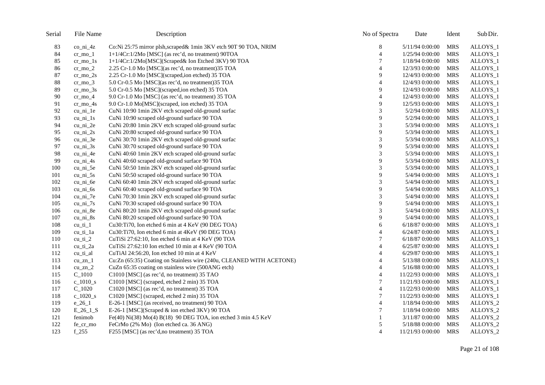| Serial | File Name                                   | Description                                                          | No of Spectra  | Date             | Ident      | Sub Dir. |
|--------|---------------------------------------------|----------------------------------------------------------------------|----------------|------------------|------------|----------|
| 83     | $co\_ni_4z$                                 | Co:Ni 25:75 mirror plsh, scraped& 1min 3KV etch 90T 90 TOA, NRIM     | 8              | 5/11/94 0:00:00  | <b>MRS</b> | ALLOYS_1 |
| 84     | $cr_m$ no $_1$                              | 1+1/4Cr:1/2Mo [MSC] (as rec'd, no treatment) 90TOA                   | $\overline{4}$ | 1/25/94 0:00:00  | <b>MRS</b> | ALLOYS_1 |
| 85     | $cr_mo_1s$                                  | 1+1/4Cr:1/2Mo[MSC](Scraped& Ion Etched 3KV) 90 TOA                   | 7              | 1/18/94 0:00:00  | <b>MRS</b> | ALLOYS_1 |
| 86     | $cr_{\rm m02}$                              | 2.25 Cr-1.0 Mo [MSC](as rec'd, no treatment) 35 TOA                  | 4              | 12/3/93 0:00:00  | <b>MRS</b> | ALLOYS_1 |
| 87     | $cr_{10}$ $2s$                              | 2.25 Cr-1.0 Mo [MSC](scraped,ion etched) 35 TOA                      | 9              | 12/4/93 0:00:00  | <b>MRS</b> | ALLOYS_1 |
| $88\,$ | cr mo $3$                                   | 5.0 Cr-0.5 Mo [MSC](as rec'd, no treatment)35 TOA                    | $\overline{4}$ | 12/4/93 0:00:00  | <b>MRS</b> | ALLOYS_1 |
| 89     | $cr_{1}mo_{3s}$                             | 5.0 Cr-0.5 Mo [MSC](scraped,ion etched) 35 TOA                       | 9              | 12/4/93 0:00:00  | <b>MRS</b> | ALLOYS_1 |
| 90     | $cr$ mo 4                                   | 9.0 Cr-1.0 Mo [MSC] (as rec'd, no treatment) 35 TOA                  | $\overline{4}$ | 12/4/93 0:00:00  | <b>MRS</b> | ALLOYS_1 |
| 91     | $cr_{1}mo_{4s}$                             | 9.0 Cr-1.0 Mo[MSC](scraped, ion etched) 35 TOA                       | 9              | 12/5/93 0:00:00  | <b>MRS</b> | ALLOYS_1 |
| 92     | $cu_{ni}$ le                                | CuNi 10:90 1min 2KV etch scraped old-ground surfac                   | 3              | 5/2/94 0:00:00   | <b>MRS</b> | ALLOYS_1 |
| 93     | $cu$ ni $1s$                                | CuNi 10:90 scraped old-ground surface 90 TOA                         | 9              | 5/2/94 0:00:00   | <b>MRS</b> | ALLOYS_1 |
| 94     | cu_ni_2e                                    | CuNi 20:80 1min 2KV etch scraped old-ground surfac                   | 3              | 5/3/94 0:00:00   | <b>MRS</b> | ALLOYS_1 |
| 95     | $cu_{ni_2s}$                                | CuNi 20:80 scraped old-ground surface 90 TOA                         | 9              | 5/3/94 0:00:00   | <b>MRS</b> | ALLOYS_1 |
| 96     | $cu_{\nightharpoonup}a_{\nightharpoonup}3e$ | CuNi 30:70 1min 2KV etch scraped old-ground surfac                   | $\mathfrak{Z}$ | 5/3/94 0:00:00   | <b>MRS</b> | ALLOYS_1 |
| 97     | $cu_{ni}$ 3s                                | CuNi 30:70 scraped old-ground surface 90 TOA                         | 9              | 5/3/94 0:00:00   | <b>MRS</b> | ALLOYS_1 |
| 98     | $cu_{ni_4e}$                                | CuNi 40:60 1min 2KV etch scraped old-ground surfac                   | 3              | 5/3/94 0:00:00   | <b>MRS</b> | ALLOYS_1 |
| 99     | $cu_{ni}$ 4s                                | CuNi 40:60 scraped old-ground surface 90 TOA                         | 9              | 5/3/94 0:00:00   | <b>MRS</b> | ALLOYS_1 |
| 100    | $cu_{ni}$ 5e                                | CuNi 50:50 1min 2KV etch scraped old-ground surfac                   | 3              | 5/3/94 0:00:00   | <b>MRS</b> | ALLOYS_1 |
| 101    | $cu_{ni}$ 5s                                | CuNi 50:50 scraped old-ground surface 90 TOA                         | 9              | 5/4/94 0:00:00   | <b>MRS</b> | ALLOYS_1 |
| 102    | cu_ni_6e                                    | CuNi 60:40 1min 2KV etch scraped old-ground surfac                   | 3              | 5/4/94 0:00:00   | <b>MRS</b> | ALLOYS_1 |
| 103    | $cu_{ni}$ 6s                                | CuNi 60:40 scraped old-ground surface 90 TOA                         | 9              | 5/4/94 0:00:00   | <b>MRS</b> | ALLOYS_1 |
| 104    | $cu_{ni}$ $7e$                              | CuNi 70:30 1min 2KV etch scraped old-ground surfac                   | 3              | 5/4/94 0:00:00   | <b>MRS</b> | ALLOYS_1 |
| 105    | cu ni $7s$                                  | CuNi 70:30 scraped old-ground surface 90 TOA                         | 9              | 5/4/94 0:00:00   | <b>MRS</b> | ALLOYS_1 |
| 106    | $cu_{ni}$ 8e                                | CuNi 80:20 1min 2KV etch scraped old-ground surfac                   | 3              | 5/4/94 0:00:00   | <b>MRS</b> | ALLOYS_1 |
| 107    | $cu_{ni_8s}$                                | CuNi 80:20 scraped old-ground surface 90 TOA                         | 9              | 5/4/94 0:00:00   | <b>MRS</b> | ALLOYS_1 |
| 108    | $cu\_ti\_1$                                 | Cu30:Ti70, Ion etched 6 min at 4 KeV (90 DEG TOA)                    | 6              | 6/18/87 0:00:00  | <b>MRS</b> | ALLOYS_1 |
| 109    | $cu$ _ti_1a                                 | Cu30:Ti70, Ion etched 6 min at 4KeV (90 DEG TOA)                     | $\overline{4}$ | 6/24/87 0:00:00  | <b>MRS</b> | ALLOYS_1 |
| 110    | $cu_t i_2$                                  | CuTiSi 27:62:10, Ion etched 6 min at 4 KeV (90 TOA                   | 7              | 6/18/87 0:00:00  | <b>MRS</b> | ALLOYS_1 |
| 111    | cu_ti_2a                                    | CuTiSi 27:62:10 Ion etched 10 min at 4 KeV (90 TOA                   | $\overline{4}$ | 6/25/87 0:00:00  | <b>MRS</b> | ALLOYS_1 |
| 112    | cu_ti_al                                    | CuTiAl 24:56:20, Ion etched 10 min at 4 KeV                          | $\overline{4}$ | 6/29/87 0:00:00  | <b>MRS</b> | ALLOYS_1 |
| 113    | $cu_zn_1$                                   | Cu:Zn (65:35) Coating on Stainless wire (240u, CLEANED WITH ACETONE) | 4              | 5/13/88 0:00:00  | <b>MRS</b> | ALLOYS_1 |
| 114    | cu zn $2$                                   | CuZn 65:35 coating on stainless wire (500ANG etch)                   | $\overline{4}$ | 5/16/88 0:00:00  | <b>MRS</b> | ALLOYS_1 |
| 115    | $C_1010$                                    | C1010 [MSC] (as rec'd, no treatment) 35 TAO                          | 4              | 11/22/93 0:00:00 | <b>MRS</b> | ALLOYS_1 |
| 116    | c_1010_s                                    | C1010 [MSC] (scraped, etched 2 min) 35 TOA                           | 7              | 11/21/93 0:00:00 | <b>MRS</b> | ALLOYS_1 |
| 117    | $C_1020$                                    | C1020 [MSC] (as rec'd, no treatment) 35 TOA                          | 4              | 11/22/93 0:00:00 | <b>MRS</b> | ALLOYS_1 |
| 118    | $c_{1020_s}$                                | C1020 [MSC] (scraped, etched 2 min) 35 TOA                           | 7              | 11/22/93 0:00:00 | <b>MRS</b> | ALLOYS_1 |
| 119    | $e_{26_1}$                                  | E-26-1 [MSC] (as received, no treatment) 90 TOA                      | 4              | 1/18/94 0:00:00  | <b>MRS</b> | ALLOYS_2 |
| 120    | $E_26_1_S$                                  | E-26-1 [MSC](Scraped & ion etched 3KV) 90 TOA                        | 7              | 1/18/94 0:00:00  | <b>MRS</b> | ALLOYS_2 |
| 121    | fenimob                                     | Fe(40) Ni(38) Mo(4) B(18) 90 DEG TOA, ion etched 3 min 4.5 KeV       |                | 3/11/87 0:00:00  | <b>MRS</b> | ALLOYS_2 |
| 122    | fe_cr_mo                                    | FeCrMo (2% Mo) (Ion etched ca. 36 ANG)                               | 5              | 5/18/88 0:00:00  | <b>MRS</b> | ALLOYS_2 |
| 123    | $f_{255}$                                   | F255 [MSC] (as rec'd, no treatment) 35 TOA                           | $\overline{4}$ | 11/21/93 0:00:00 | <b>MRS</b> | ALLOYS_2 |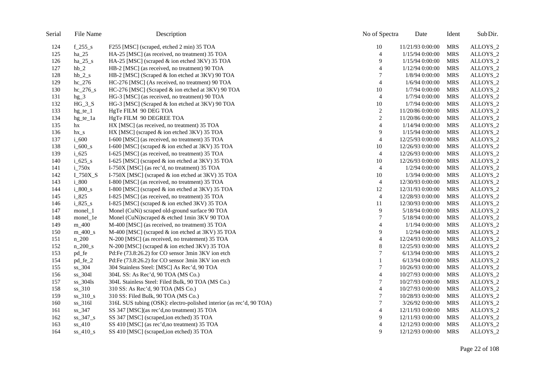| Serial | File Name              | Description                                                         | No of Spectra    | Date             | Ident      | Sub Dir. |
|--------|------------------------|---------------------------------------------------------------------|------------------|------------------|------------|----------|
| 124    | $f_255_s$              | F255 [MSC] (scraped, etched 2 min) 35 TOA                           | 10               | 11/21/93 0:00:00 | <b>MRS</b> | ALLOYS_2 |
| 125    | $ha_25$                | HA-25 [MSC] (as received, no treatment) 35 TOA                      | $\overline{4}$   | 1/15/94 0:00:00  | <b>MRS</b> | ALLOYS_2 |
| 126    | $ha_25_s$              | HA-25 [MSC] (scraped & ion etched 3KV) 35 TOA                       | 9                | 1/15/94 0:00:00  | <b>MRS</b> | ALLOYS_2 |
| 127    | $hb_2$                 | HB-2 [MSC] (as received, no treatment) 90 TOA                       | $\overline{4}$   | 1/12/94 0:00:00  | <b>MRS</b> | ALLOYS_2 |
| 128    | $hb_2_s$               | HB-2 [MSC] (Scraped & Ion etched at 3KV) 90 TOA                     |                  | 1/8/94 0:00:00   | <b>MRS</b> | ALLOYS_2 |
| 129    | $hc_276$               | HC-276 [MSC] (As received, no treatment) 90 TOA                     | $\overline{4}$   | $1/6/94$ 0:00:00 | <b>MRS</b> | ALLOYS_2 |
| 130    | $hc_276_s$             | HC-276 [MSC] (Scraped & ion etched at 3KV) 90 TOA                   | 10               | 1/7/94 0:00:00   | <b>MRS</b> | ALLOYS_2 |
| 131    | $hg_3$                 | HG-3 [MSC] (as received, no treatment) 90 TOA                       | 4                | 1/7/94 0:00:00   | <b>MRS</b> | ALLOYS_2 |
| 132    | $HG_3_S$               | HG-3 [MSC] (Scraped & Ion etched at 3KV) 90 TOA                     | $10\,$           | 1/7/94 0:00:00   | <b>MRS</b> | ALLOYS_2 |
| 133    | $hg_te_1$              | HgTe FILM 90 DEG TOA                                                | $\boldsymbol{2}$ | 11/20/86 0:00:00 | <b>MRS</b> | ALLOYS_2 |
| 134    | $hg$ te $1a$           | HgTe FILM 90 DEGREE TOA                                             | $\sqrt{2}$       | 11/20/86 0:00:00 | <b>MRS</b> | ALLOYS_2 |
| 135    | hx                     | HX [MSC] (as received, no treatment) 35 TOA                         | 4                | 1/14/94 0:00:00  | <b>MRS</b> | ALLOYS_2 |
| 136    | $hx_s$                 | HX [MSC] (scraped & ion etched 3KV) 35 TOA                          | 9                | 1/15/94 0:00:00  | <b>MRS</b> | ALLOYS_2 |
| 137    | $i_{.600}$             | I-600 [MSC] (as received, no treatment) 35 TOA                      | 4                | 12/25/93 0:00:00 | <b>MRS</b> | ALLOYS_2 |
| 138    | $i$ 600 s              | I-600 [MSC] (scraped & ion etched at 3KV) 35 TOA                    | 10               | 12/26/93 0:00:00 | <b>MRS</b> | ALLOYS_2 |
| 139    | $i_{625}$              | I-625 [MSC] (as received, no treatment) 35 TOA                      | 4                | 12/26/93 0:00:00 | <b>MRS</b> | ALLOYS_2 |
| 140    | $i$ 625 s              | I-625 [MSC] (scraped & ion etched at 3KV) 35 TOA                    | 10               | 12/26/93 0:00:00 | <b>MRS</b> | ALLOYS_2 |
| 141    | $i_{750x}$             | I-750X [MSC] (as rec'd, no treatment) 35 TOA                        | 4                | 1/2/94 0:00:00   | <b>MRS</b> | ALLOYS_2 |
| 142    | $I_750X_S$             | I-750X [MSC] (scraped & ion etched at 3KV) 35 TOA                   | 10               | 1/3/94 0:00:00   | <b>MRS</b> | ALLOYS_2 |
| 143    | i_800                  | I-800 [MSC] (as received, no treatment) 35 TOA                      | 4                | 12/30/93 0:00:00 | <b>MRS</b> | ALLOYS_2 |
| 144    | $i_{800_s}$            | I-800 [MSC] (scraped & ion etched at 3KV) 35 TOA                    | 12               | 12/31/93 0:00:00 | <b>MRS</b> | ALLOYS_2 |
| 145    | i_825                  | I-825 [MSC] (as received, no treatment) 35 TOA                      | 4                | 12/28/93 0:00:00 | <b>MRS</b> | ALLOYS_2 |
| 146    | $i_{825_s}$            | I-825 [MSC] (scraped & ion etched 3KV) 35 TOA                       | 11               | 12/30/93 0:00:00 | <b>MRS</b> | ALLOYS_2 |
| 147    | monel_1                | Monel (CuNi) scraped old-ground surface 90 TOA                      | 9                | 5/18/94 0:00:00  | <b>MRS</b> | ALLOYS_2 |
| 148    | monel_1e               | Monel (CuNi)scraped & etched 1min 3KV 90 TOA                        | 7                | 5/18/94 0:00:00  | <b>MRS</b> | ALLOYS_2 |
| 149    | m_400                  | M-400 [MSC] (as received, no treatment) 35 TOA                      | $\overline{4}$   | 1/1/94 0:00:00   | <b>MRS</b> | ALLOYS_2 |
| 150    | $m_400$ <sub>s</sub>   | M-400 [MSC] (scraped & ion etched at 3KV) 35 TOA                    | 9                | 1/2/94 0:00:00   | <b>MRS</b> | ALLOYS_2 |
| 151    | $n_2$ 200              | N-200 [MSC] (as received, no treatement) 35 TOA                     | 4                | 12/24/93 0:00:00 | <b>MRS</b> | ALLOYS_2 |
| 152    | $n_200$ <sub>s</sub>   | N-200 [MSC] (scraped & ion etched 3KV) 35 TOA                       | $\,8\,$          | 12/25/93 0:00:00 | <b>MRS</b> | ALLOYS_2 |
| 153    | pd_fe                  | Pd:Fe (73.8:26.2) for CO sensor 3min 3KV ion etch                   | 7                | 6/13/94 0:00:00  | <b>MRS</b> | ALLOYS_2 |
| 154    | pd_fe_2                | Pd:Fe (73.8:26.2) for CO sensor 3min 3KV ion etch                   |                  | 6/13/94 0:00:00  | <b>MRS</b> | ALLOYS_2 |
| 155    | ss_304                 | 304 Stainless Steel: [MSC] As Rec'd, 90 TOA                         | 7                | 10/26/93 0:00:00 | <b>MRS</b> | ALLOYS_2 |
| 156    | ss_3041                | 304L SS: As Rec'd, 90 TOA (MS Co.)                                  | $\overline{4}$   | 10/27/93 0:00:00 | <b>MRS</b> | ALLOYS_2 |
| 157    | $ss_304ls$             | 304L Stainless Steel: Filed Bulk, 90 TOA (MS Co.)                   | 7                | 10/27/93 0:00:00 | <b>MRS</b> | ALLOYS_2 |
| 158    | $ss_310$               | 310 SS: As Rec'd, 90 TOA (MS Co.)                                   | $\overline{4}$   | 10/27/93 0:00:00 | <b>MRS</b> | ALLOYS_2 |
| 159    | $ss_310_s$             | 310 SS: Filed Bulk, 90 TOA (MS Co.)                                 | 7                | 10/28/93 0:00:00 | <b>MRS</b> | ALLOYS_2 |
| 160    | $ss_3161$              | 316L SUS tubing (OSK): electro-polished interior (as rec'd, 90 TOA) | $\tau$           | 3/26/92 0:00:00  | <b>MRS</b> | ALLOYS_2 |
| 161    | $ss_347$               | SS 347 [MSC](as rec'd,no treatment) 35 TOA                          | $\overline{4}$   | 12/11/93 0:00:00 | <b>MRS</b> | ALLOYS_2 |
| 162    | $ss\_347$ <sub>S</sub> | SS 347 [MSC] (scraped,ion etched) 35 TOA                            | 9                | 12/11/93 0:00:00 | <b>MRS</b> | ALLOYS_2 |
| 163    | $ss_410$               | SS 410 [MSC] (as rec'd, no treatment) 35 TOA                        | $\overline{4}$   | 12/12/93 0:00:00 | <b>MRS</b> | ALLOYS_2 |
| 164    | $ss_410_s$             | SS 410 [MSC] (scraped,ion etched) 35 TOA                            | 9                | 12/12/93 0:00:00 | <b>MRS</b> | ALLOYS_2 |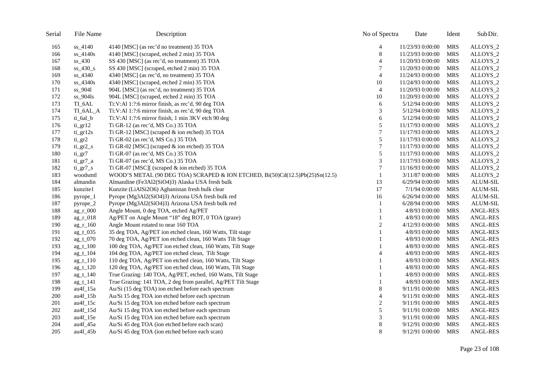| Serial | File Name              | Description                                                                  | No of Spectra               | Date              | Ident      | Sub Dir.        |
|--------|------------------------|------------------------------------------------------------------------------|-----------------------------|-------------------|------------|-----------------|
| 165    | ss_4140                | 4140 [MSC] (as rec'd no treatment) 35 TOA                                    | 4                           | 11/23/93 0:00:00  | <b>MRS</b> | ALLOYS_2        |
| 166    | ss_4140s               | 4140 [MSC] (scraped, etched 2 min) 35 TOA                                    | $\,8\,$                     | 11/23/93 0:00:00  | <b>MRS</b> | ALLOYS_2        |
| 167    | $ss_430$               | SS 430 [MSC] (as rec'd, no treatment) 35 TOA                                 | $\overline{4}$              | 11/20/93 0:00:00  | <b>MRS</b> | ALLOYS_2        |
| 168    | $ss\_430$ <sub>s</sub> | SS 430 [MSC] (scraped, etched 2 min) 35 TOA                                  | 7                           | 11/20/93 0:00:00  | <b>MRS</b> | ALLOYS_2        |
| 169    | ss_4340                | 4340 [MSC] (as rec'd, no treatment) 35 TOA                                   | $\overline{4}$              | 11/24/93 0:00:00  | <b>MRS</b> | ALLOYS_2        |
| 170    | ss_4340s               | 4340 [MSC] (scraped, etched 2 min) 35 TOA                                    | 10                          | 11/24/93 0:00:00  | <b>MRS</b> | ALLOYS_2        |
| 171    | ss_9041                | 904L [MSC] (as rec'd, no treatment) 35 TOA                                   | $\overline{4}$              | 11/20/93 0:00:00  | <b>MRS</b> | ALLOYS_2        |
| 172    | ss_904ls               | 904L [MSC] (scraped, etched 2 min) 35 TOA                                    | 10                          | 11/20/93 0:00:00  | <b>MRS</b> | ALLOYS_2        |
| 173    | TI_6AL                 | Ti:V:Al 1:?:6 mirror finish, as rec'd, 90 deg TOA                            | 6                           | 5/12/94 0:00:00   | <b>MRS</b> | ALLOYS_2        |
| 174    | TI_6AL_A               | Ti:V:Al 1:?:6 mirror finish, as rec'd, 90 deg TOA                            | 3                           | 5/12/94 0:00:00   | <b>MRS</b> | ALLOYS_2        |
| 175    | ti_6al_b               | Ti:V:Al 1:?:6 mirror finish, 1 min 3KV etch 90 deg                           | 6                           | 5/12/94 0:00:00   | <b>MRS</b> | ALLOYS_2        |
| 176    | ti_gr12                | Ti GR-12 (as rec'd, MS Co.) 35 TOA                                           | 5                           | 11/17/93 0:00:00  | <b>MRS</b> | ALLOYS_2        |
| 177    | $ti$ gr $12s$          | Ti GR-12 [MSC] (scraped & ion etched) 35 TOA                                 | $\tau$                      | 11/17/93 0:00:00  | <b>MRS</b> | ALLOYS_2        |
| 178    | $ti\_gr2$              | Ti GR-02 (as rec'd, MS Co.) 35 TOA                                           | 5                           | 11/17/93 0:00:00  | <b>MRS</b> | ALLOYS_2        |
| 179    | $ti$ gr2 $s$           | Ti GR-02 [MSC] (scraped & ion etched) 35 TOA                                 | $\boldsymbol{7}$            | 11/17/93 0:00:00  | <b>MRS</b> | ALLOYS_2        |
| 180    | $ti\_gr7$              | Ti GR-07 (as rec'd, MS Co.) 35 TOA                                           | 5                           | 11/17/93 0:00:00  | <b>MRS</b> | ALLOYS_2        |
| 181    | $ti\_gr7_a$            | Ti GR-07 (as rec'd, MS Co.) 35 TOA                                           | $\ensuremath{\mathfrak{Z}}$ | 11/17/93 0:00:00  | <b>MRS</b> | ALLOYS_2        |
| 182    | $ti\_gr7_s$            | Ti GR-07 [MSC][ (scraped & ion etched) 35 TOA                                | $\tau$                      | 11/16/93 0:00:00  | <b>MRS</b> | ALLOYS_2        |
| 183    | woodsmtl               | WOOD'S METAL (90 DEG TOA) SCRAPED & ION ETCHED, Bi(50)Cd(12.5)Pb(25)Sn(12.5) | 1                           | 3/11/87 0:00:00   | <b>MRS</b> | ALLOYS_2        |
| 184    | almandin               | Almandine (Fe3Al2(SiO4)3) Alaska USA fresh bulk                              | 13                          | 6/29/94 0:00:00   | <b>MRS</b> | ALUM-SIL        |
| 185    | kunzite1               | Kunzite (LiAlSi2O6) Aghanistan fresh bulk clear                              | 17                          | 7/1/94 0:00:00    | <b>MRS</b> | ALUM-SIL        |
| 186    | pyrope_1               | Pyrope (Mg3Al2(SiO4)3) Arizona USA fresh bulk red                            | 16                          | $6/26/94$ 0:00:00 | <b>MRS</b> | ALUM-SIL        |
| 187    | $pyrope_2$             | Pyrope (Mg3Al2(SiO4)3) Arizona USA fresh bulk red                            | 1                           | 6/28/94 0:00:00   | <b>MRS</b> | <b>ALUM-SIL</b> |
| 188    | $ag_r_000$             | Angle Mount, 0 deg TOA, etched Ag/PET                                        | 1                           | 4/8/93 0:00:00    | <b>MRS</b> | ANGL-RES        |
| 189    | $ag_r_018$             | Ag/PET on Angle Mount "18" deg ROT, 0 TOA (graze)                            | 1                           | 4/8/93 0:00:00    | <b>MRS</b> | <b>ANGL-RES</b> |
| 190    | $ag_r_1$ 160           | Angle Mount rotated to near 160 TOA                                          | $\overline{c}$              | 4/12/93 0:00:00   | <b>MRS</b> | <b>ANGL-RES</b> |
| 191    | $ag_t_035$             | 35 deg TOA, Ag/PET ion etched clean, 160 Watts, Tilt stage                   | 1                           | 4/8/93 0:00:00    | <b>MRS</b> | <b>ANGL-RES</b> |
| 192    | ag_t_070               | 70 deg TOA, Ag/PET ion etched clean, 160 Watts Tilt Stage                    | 1                           | 4/8/93 0:00:00    | <b>MRS</b> | <b>ANGL-RES</b> |
| 193    | $ag_t_100$             | 100 deg TOA, Ag/PET ion etched clean, 160 Watts, Tilt Stage                  |                             | 4/8/93 0:00:00    | <b>MRS</b> | <b>ANGL-RES</b> |
| 194    | $ag_t_104$             | 104 deg TOA, Ag/PET ion etched clean, Tilt Stage                             | $\overline{4}$              | 4/8/93 0:00:00    | <b>MRS</b> | ANGL-RES        |
| 195    | $ag_t_110$             | 110 deg TOA, Ag/PET ion etched clean, 160 Watts, Tilt Stage                  | 1                           | 4/8/93 0:00:00    | <b>MRS</b> | <b>ANGL-RES</b> |
| 196    | $ag_t_120$             | 120 deg TOA, Ag/PET ion etched clean, 160 Watts, Tilt Stage                  |                             | 4/8/93 0:00:00    | <b>MRS</b> | <b>ANGL-RES</b> |
| 197    | ag_t_140               | True Grazing: 140 TOA, Ag/PET, etched, 160 Watts, Tilt Stage                 |                             | 4/8/93 0:00:00    | <b>MRS</b> | <b>ANGL-RES</b> |
| 198    | $ag_t_141$             | True Grazing: 141 TOA, 2 deg from parallel, Ag/PET Tilt Stage                |                             | 4/8/93 0:00:00    | <b>MRS</b> | <b>ANGL-RES</b> |
| 199    | $au4f_15a$             | Au/Si (15 deg TOA) ion etched before each spectrum                           | 8                           | 9/11/91 0:00:00   | <b>MRS</b> | <b>ANGL-RES</b> |
| 200    | $au4f_15b$             | Au/Si 15 deg TOA ion etched before each spectrum                             | $\overline{4}$              | 9/11/91 0:00:00   | <b>MRS</b> | <b>ANGL-RES</b> |
| 201    | $au4f_15c$             | Au/Si 15 deg TOA ion etched before each spectrum                             | $\overline{c}$              | 9/11/91 0:00:00   | <b>MRS</b> | ANGL-RES        |
| 202    | $au4f_15d$             | Au/Si 15 deg TOA ion etched before each spectrum                             | 5                           | 9/11/91 0:00:00   | <b>MRS</b> | <b>ANGL-RES</b> |
| 203    | $au4f_15e$             | Au/Si 15 deg TOA ion etched before each spectrum                             | 3                           | 9/11/91 0:00:00   | <b>MRS</b> | ANGL-RES        |
| 204    | au4f_45a               | Au/Si 45 deg TOA (ion etched before each scan)                               | 8                           | 9/12/91 0:00:00   | <b>MRS</b> | <b>ANGL-RES</b> |
| 205    | $au4f_45b$             | Au/Si 45 deg TOA (ion etched before each scan)                               | 8                           | 9/12/91 0:00:00   | <b>MRS</b> | <b>ANGL-RES</b> |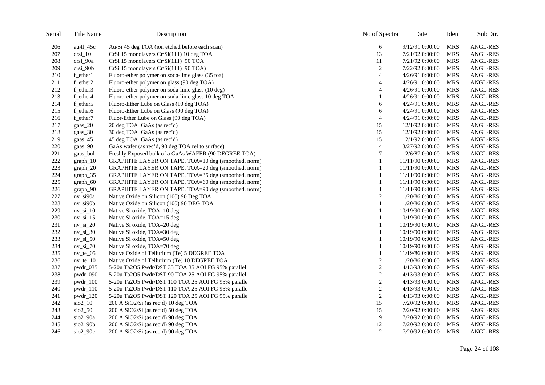| Serial | File Name                  | Description                                          | No of Spectra  | Date             | Ident      | Sub Dir.        |
|--------|----------------------------|------------------------------------------------------|----------------|------------------|------------|-----------------|
| 206    | $au4f_45c$                 | Au/Si 45 deg TOA (ion etched before each scan)       | 6              | 9/12/91 0:00:00  | <b>MRS</b> | <b>ANGL-RES</b> |
| 207    | $crsi_1$ 0                 | CrSi 15 monolayers Cr/Si(111) 10 deg TOA             | 13             | 7/21/92 0:00:00  | <b>MRS</b> | <b>ANGL-RES</b> |
| 208    | crsi_90a                   | CrSi 15 monolayers Cr/Si(111) 90 TOA                 | 11             | 7/21/92 0:00:00  | <b>MRS</b> | <b>ANGL-RES</b> |
| 209    | $crsi_90b$                 | CrSi 15 monolayers Cr/Si(111) 90 TOA)                | $\overline{c}$ | 7/22/92 0:00:00  | <b>MRS</b> | ANGL-RES        |
| 210    | f_ether1                   | Fluoro-ether polymer on soda-lime glass (35 toa)     | $\overline{4}$ | 4/26/91 0:00:00  | <b>MRS</b> | <b>ANGL-RES</b> |
| 211    | f_ether2                   | Fluoro-ether polymer on glass (90 deg TOA)           | $\overline{4}$ | 4/26/91 0:00:00  | <b>MRS</b> | <b>ANGL-RES</b> |
| 212    | f_ether3                   | Fluoro-ether polymer on soda-lime glass (10 deg)     | 4              | 4/26/91 0:00:00  | <b>MRS</b> | <b>ANGL-RES</b> |
| 213    | f_ether4                   | Fluoro-ether polymer on soda-lime glass 10 deg TOA   |                | 4/26/91 0:00:00  | <b>MRS</b> | <b>ANGL-RES</b> |
| 214    | f_ether5                   | Fluoro-Ether Lube on Glass (10 deg TOA)              | 6              | 4/24/91 0:00:00  | <b>MRS</b> | <b>ANGL-RES</b> |
| 215    | f_ether6                   | Fluoro-Ether Lube on Glass (90 deg TOA)              | 6              | 4/24/91 0:00:00  | <b>MRS</b> | ANGL-RES        |
| 216    | f_ether7                   | Fluor-Ether Lube on Glass (90 deg TOA)               | $\overline{4}$ | 4/24/91 0:00:00  | <b>MRS</b> | <b>ANGL-RES</b> |
| 217    | $\text{gaas}\_20$          | 20 deg TOA GaAs (as rec'd)                           | 15             | 12/1/92 0:00:00  | <b>MRS</b> | <b>ANGL-RES</b> |
| 218    | gaas_30                    | 30 deg TOA GaAs (as rec'd)                           | 15             | 12/1/92 0:00:00  | <b>MRS</b> | ANGL-RES        |
| 219    | gaas_45                    | 45 deg TOA GaAs (as rec'd)                           | 15             | 12/1/92 0:00:00  | <b>MRS</b> | ANGL-RES        |
| 220    | gaas 90                    | GaAs wafer (as rec'd, 90 deg TOA rel to surface)     | $\overline{4}$ | 3/27/92 0:00:00  | <b>MRS</b> | <b>ANGL-RES</b> |
| 221    | gaas_bul                   | Freshly Exposed bulk of a GaAs WAFER (90 DEGREE TOA) | $\tau$         | 2/6/87 0:00:00   | <b>MRS</b> | <b>ANGL-RES</b> |
| 222    | $graph_10$                 | GRAPHITE LAYER ON TAPE, TOA=10 deg (smoothed, norm)  |                | 11/11/90 0:00:00 | <b>MRS</b> | <b>ANGL-RES</b> |
| 223    | $graph_20$                 | GRAPHITE LAYER ON TAPE, TOA=20 deg (smoothed, norm)  | $\mathbf{1}$   | 11/11/90 0:00:00 | <b>MRS</b> | <b>ANGL-RES</b> |
| 224    | $graph_35$                 | GRAPHITE LAYER ON TAPE, TOA=35 deg (smoothed, norm)  | 1              | 11/11/90 0:00:00 | <b>MRS</b> | ANGL-RES        |
| 225    | $graph_60$                 | GRAPHITE LAYER ON TAPE, TOA=60 deg (smoothed, norm)  | 1              | 11/11/90 0:00:00 | <b>MRS</b> | <b>ANGL-RES</b> |
| 226    | $graph_90$                 | GRAPHITE LAYER ON TAPE, TOA=90 deg (smoothed, norm)  | 1              | 11/11/90 0:00:00 | <b>MRS</b> | ANGL-RES        |
| 227    | nv_si90a                   | Native Oxide on Silicon (100) 90 Deg TOA             | 2              | 11/20/86 0:00:00 | <b>MRS</b> | <b>ANGL-RES</b> |
| 228    | $nv$ _si $90b$             | Native Oxide on Silicon (100) 90 DEG TOA             | 1              | 11/20/86 0:00:00 | <b>MRS</b> | ANGL-RES        |
| 229    | $nv$ _si_ $10$             | Native Si oxide, TOA=10 deg                          | 1              | 10/19/90 0:00:00 | <b>MRS</b> | ANGL-RES        |
| 230    | $nv$ _si_15                | Native Si oxide, TOA=15 deg                          |                | 10/19/90 0:00:00 | <b>MRS</b> | <b>ANGL-RES</b> |
| 231    | $nv$ _si_20                | Native Si oxide, TOA=20 deg                          | 1              | 10/19/90 0:00:00 | <b>MRS</b> | <b>ANGL-RES</b> |
| 232    | $nv$ _si_30                | Native Si oxide, TOA=30 deg                          |                | 10/19/90 0:00:00 | <b>MRS</b> | <b>ANGL-RES</b> |
| 233    | $nv$ _si_50                | Native Si oxide, TOA=50 deg                          |                | 10/19/90 0:00:00 | <b>MRS</b> | ANGL-RES        |
| 234    | $nv$ _si_70                | Native Si oxide, TOA=70 deg                          | 1              | 10/19/90 0:00:00 | <b>MRS</b> | <b>ANGL-RES</b> |
| 235    | $nv_{t}e_{05}$             | Native Oxide of Tellurium (Te) 5 DEGREE TOA          | 1              | 11/19/86 0:00:00 | <b>MRS</b> | ANGL-RES        |
| 236    | $nv_{t}e_{10}$             | Native Oxide of Tellurium (Te) 10 DEGREE TOA         | $\sqrt{2}$     | 11/20/86 0:00:00 | <b>MRS</b> | <b>ANGL-RES</b> |
| 237    | $pwdr_035$                 | 5-20u Ta2O5 Pwdr/DST 35 TOA 35 AOI FG 95% parallel   | $\sqrt{2}$     | 4/13/93 0:00:00  | <b>MRS</b> | <b>ANGL-RES</b> |
| 238    | pwdr_090                   | 5-20u Ta2O5 Pwdr/DST 90 TOA 25 AOI FG 95% parallel   | $\sqrt{2}$     | 4/13/93 0:00:00  | <b>MRS</b> | <b>ANGL-RES</b> |
| 239    | $pwdr_100$                 | 5-20u Ta2O5 Pwdr/DST 100 TOA 25 AOI FG 95% paralle   | $\overline{c}$ | 4/13/93 0:00:00  | <b>MRS</b> | <b>ANGL-RES</b> |
| 240    | $pwdr_110$                 | 5-20u Ta2O5 Pwdr/DST 110 TOA 25 AOI FG 95% paralle   | $\sqrt{2}$     | 4/13/93 0:00:00  | <b>MRS</b> | <b>ANGL-RES</b> |
| 241    | $pwdr_120$                 | 5-20u Ta2O5 Pwdr/DST 120 TOA 25 AOI FG 95% paralle   | $\sqrt{2}$     | 4/13/93 0:00:00  | <b>MRS</b> | ANGL-RES        |
| 242    | $\frac{\text{SiO2}}{10}$   | 200 A SiO2/Si (as rec'd) 10 deg TOA                  | 15             | 7/20/92 0:00:00  | <b>MRS</b> | <b>ANGL-RES</b> |
| 243    | $\frac{\text{SiO2}}{2}$ 50 | 200 A SiO2/Si (as rec'd) 50 deg TOA                  | 15             | 7/20/92 0:00:00  | <b>MRS</b> | ANGL-RES        |
| 244    | $\rm{Si}o2\_90a$           | 200 A SiO2/Si (as rec'd) 90 deg TOA                  | 9              | 7/20/92 0:00:00  | <b>MRS</b> | ANGL-RES        |
| 245    | $\frac{\text{SiO2}}{200}$  | 200 A SiO2/Si (as rec'd) 90 deg TOA                  | 12             | 7/20/92 0:00:00  | <b>MRS</b> | <b>ANGL-RES</b> |
| 246    | $\frac{\text{SiO2}}{20}$   | 200 A SiO2/Si (as rec'd) 90 deg TOA                  | 2              | 7/20/92 0:00:00  | <b>MRS</b> | <b>ANGL-RES</b> |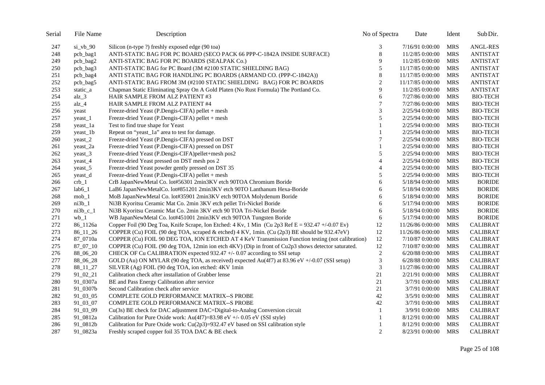| Serial | File Name         | Description                                                                                                    | No of Spectra  | Date              | Ident      | Sub Dir.        |
|--------|-------------------|----------------------------------------------------------------------------------------------------------------|----------------|-------------------|------------|-----------------|
| 247    | $si_vbb_90$       | Silicon (n-type ?) freshly exposed edge (90 toa)                                                               | 3              | 7/16/91 0:00:00   | MRS        | <b>ANGL-RES</b> |
| 248    | pcb_bag1          | ANTI-STATIC BAG FOR PC BOARD (SECO PACK 66 PPP-C-1842A INSIDE SURFACE)                                         | $\,8\,$        | 11/2/85 0:00:00   | <b>MRS</b> | <b>ANTISTAT</b> |
| 249    | pcb_bag2          | ANTI-STATIC BAG FOR PC BOARDS (SEALPAK Co.)                                                                    | 9              | 11/2/85 0:00:00   | <b>MRS</b> | <b>ANTISTAT</b> |
| 250    | pcb_bag3          | ANTI-STATIC BAG for PC Board (3M #2100 STATIC SHIELDING BAG)                                                   | 5              | 11/17/85 0:00:00  | <b>MRS</b> | <b>ANTISTAT</b> |
| 251    | pcb_bag4          | ANTI STATIC BAG FOR HANDLING PC BOARDS (ARMAND CO. (PPP-C-1842A))                                              | $\,8\,$        | 11/17/85 0:00:00  | <b>MRS</b> | <b>ANTISTAT</b> |
| 252    | pcb_bag5          | ANTI-STATIC BAG FROM 3M (#2100 STATIC SHIELDING BAG) FOR PC BOARDS                                             | $\overline{c}$ | 11/17/85 0:00:00  | <b>MRS</b> | <b>ANTISTAT</b> |
| 253    | static_a          | Chapman Static Eliminating Spray On A Gold Platen (No Rust Formula) The Portland Co.                           | 9              | 11/2/85 0:00:00   | <b>MRS</b> | <b>ANTISTAT</b> |
| 254    | $alz_3$           | HAIR SAMPLE FROM ALZ PATIENT #3                                                                                | 6              | 7/27/86 0:00:00   | <b>MRS</b> | <b>BIO-TECH</b> |
| 255    | $alz_4$           | HAIR SAMPLE FROM ALZ PATIENT #4                                                                                | 7              | 7/27/86 0:00:00   | <b>MRS</b> | <b>BIO-TECH</b> |
| 256    | yeast             | Freeze-dried Yeast (P.Dengis-CIFA) pellet + mesh                                                               | 3              | 2/25/94 0:00:00   | <b>MRS</b> | <b>BIO-TECH</b> |
| 257    | yeast_1           | Freeze-dried Yeast (P.Dengis-CIFA) pellet + mesh                                                               | 5              | 2/25/94 0:00:00   | <b>MRS</b> | <b>BIO-TECH</b> |
| 258    | yeast_1a          | Test to find true shape for Yeast                                                                              | 1              | 2/25/94 0:00:00   | <b>MRS</b> | <b>BIO-TECH</b> |
| 259    | yeast_1b          | Repeat on "yeast_1a" area to test for damage.                                                                  |                | 2/25/94 0:00:00   | <b>MRS</b> | <b>BIO-TECH</b> |
| 260    | $\text{yeast}\_2$ | Freeze-dried Yeast (P.Dengis-CIFA) pressed on DST                                                              | 7              | 2/25/94 0:00:00   | <b>MRS</b> | <b>BIO-TECH</b> |
| 261    | yeast_2a          | Freeze-dried Yeast (P.Dengis-CIFA) pressed on DST                                                              |                | 2/25/94 0:00:00   | <b>MRS</b> | <b>BIO-TECH</b> |
| 262    | yeast_3           | Freeze-dried Yeast (P.Dengis-CIFA)pellet+mesh pos2                                                             | 5              | 2/25/94 0:00:00   | <b>MRS</b> | <b>BIO-TECH</b> |
| 263    | yeast_4           | Freeze-dried Yeast pressed on DST mesh pos 2                                                                   | $\overline{4}$ | 2/25/94 0:00:00   | <b>MRS</b> | <b>BIO-TECH</b> |
| 264    | yeast 5           | Freeze-dried Yeast powder gently pressed on DST 35                                                             | $\overline{4}$ | 2/25/94 0:00:00   | <b>MRS</b> | <b>BIO-TECH</b> |
| 265    | yeast_d           | Freeze-dried Yeast (P.Dengis-CIFA) pellet + mesh                                                               | 5              | 2/25/94 0:00:00   | <b>MRS</b> | <b>BIO-TECH</b> |
| 266    | $crb_1$           | CrB JapanNewMetal Co. lot#56301 2min3KV etch 90TOA Chromium Boride                                             | 6              | 5/18/94 0:00:00   | <b>MRS</b> | <b>BORIDE</b>   |
| 267    | $lab6_1$          | LaB6 JapanNewMetalCo. lot#851201 2min3KV etch 90TO Lanthanum Hexa-Boride                                       | 6              | 5/18/94 0:00:00   | <b>MRS</b> | <b>BORIDE</b>   |
| 268    | $mob_1$           | MoB JapanNewMetal Co. lot#35901 2min3KV etch 90TOA Molydenum Boride                                            | 6              | 5/18/94 0:00:00   | <b>MRS</b> | <b>BORIDE</b>   |
| 269    | $ni3b_1$          | Ni3B Kyoritsu Ceramic Mat Co. 2min 3KV etch pellet Tri-Nickel Boride                                           | 6              | 5/17/94 0:00:00   | <b>MRS</b> | <b>BORIDE</b>   |
| 270    | $ni3b$ c 1        | Ni3B Kyoritsu Ceramic Mat Co. 2min 3KV etch 90 TOA Tri-Nickel Boride                                           | 6              | 5/18/94 0:00:00   | <b>MRS</b> | <b>BORIDE</b>   |
| 271    | $wb_1$            | WB JapanNewMetal Co. lot#451001 2min3KV etch 90TOA Tungsten Boride                                             | 6              | 5/17/94 0:00:00   | <b>MRS</b> | <b>BORIDE</b>   |
| 272    | 86_1126a          | Copper Foil (90 Deg Toa, Knife Scrape, Ion Etched: 4 Kv, 1 Min (Cu 2p3 Ref $E = 932.47 + (-0.07 \text{ Ev})$ ) | 12             | 11/26/86 0:00:00  | <b>MRS</b> | <b>CALIBRAT</b> |
| 273    | $86\_11\_26$      | COPPER (Cu) FOIL (90 deg TOA, scraped & etched) 4 KV, 1min. (Cu (2p3) BE should be 932.47eV)                   | 12             | 11/26/86 0:00:00  | <b>MRS</b> | <b>CALIBRAT</b> |
| 274    | 87_0710a          | COPPER (Cu) FOIL 90 DEG TOA, ION ETCHED AT 4 KeV Transmission Function testing (not calibration)               | 12             | 7/10/87 0:00:00   | <b>MRS</b> | <b>CALIBRAT</b> |
| 275    | 87_07_10          | COPPER (Cu) FOIL (90 deg TOA, 12min ion etch 4KV) (Dip in front of Cu2p3 shows detector saturated.             | $12\,$         | 7/10/87 0:00:00   | <b>MRS</b> | <b>CALIBRAT</b> |
| 276    | 88_06_20          | CHECK OF Cu CALIBRATION expected 932.47 +/- 0.07 according to SSI setup                                        | $\mathbf{2}$   | $6/20/88$ 0:00:00 | <b>MRS</b> | <b>CALIBRAT</b> |
| 277    | 88_06_28          | GOLD (Au) ON MYLAR (90 deg TOA, as received) expected Au(4f7) at 83.96 eV +/-0.07 (SSI setup)                  | 3              | 6/28/88 0:00:00   | <b>MRS</b> | <b>CALIBRAT</b> |
| 278    | 88_11_27          | SILVER (Ag) FOIL (90 deg TOA, ion etched: 4KV 1min                                                             | 3              | 11/27/86 0:00:00  | <b>MRS</b> | <b>CALIBRAT</b> |
| 279    | 91_02_21          | Calibration check after installation of Grabber lense                                                          | 21             | 2/21/91 0:00:00   | MRS        | <b>CALIBRAT</b> |
| 280    | 91_0307a          | BE and Pass Energy Calibration after service                                                                   | 21             | 3/7/91 0:00:00    | <b>MRS</b> | <b>CALIBRAT</b> |
| 281    | 91_0307b          | Second Calibration check after service                                                                         | 21             | 3/7/91 0:00:00    | <b>MRS</b> | <b>CALIBRAT</b> |
| 282    | 91_03_05          | <b>COMPLETE GOLD PERFORMANCE MATRIX--S PROBE</b>                                                               | 42             | 3/5/91 0:00:00    | <b>MRS</b> | <b>CALIBRAT</b> |
| 283    | 91_03_07          | COMPLETE GOLD PERFORMANCE MATRIX--S PROBE                                                                      | 42             | 3/7/91 0:00:00    | <b>MRS</b> | <b>CALIBRAT</b> |
| 284    | 91_03_09          | Cu(3s) BE check for DAC adjustment DAC=Digital-to-Analog Conversion circuit                                    | 1              | 3/9/91 0:00:00    | <b>MRS</b> | <b>CALIBRAT</b> |
| 285    | 91_0812a          | Calibration for Pure Oxide work: Au(4f7)=83.98 eV +/- 0.05 eV (SSI style)                                      | 1              | 8/12/91 0:00:00   | <b>MRS</b> | <b>CALIBRAT</b> |
| 286    | 91_0812b          | Calibration for Pure Oxide work: $Cu(2p3)=932.47$ eV based on SSI calibration style                            |                | 8/12/91 0:00:00   | <b>MRS</b> | <b>CALIBRAT</b> |
| 287    | 91_0823a          | Freshly scraped copper foil 35 TOA DAC & BE check                                                              | 2              | 8/23/91 0:00:00   | MRS        | <b>CALIBRAT</b> |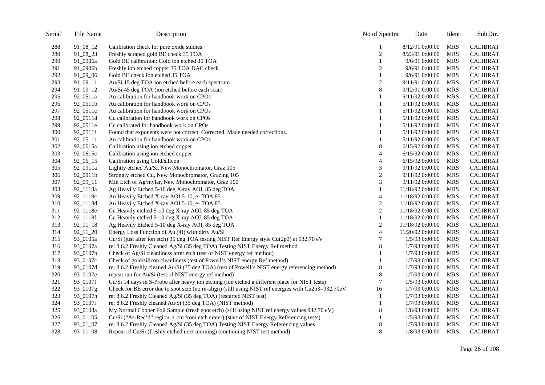| Serial | File Name     | Description                                                                                            | No of Spectra    | Date             | Ident      | Sub Dir.        |
|--------|---------------|--------------------------------------------------------------------------------------------------------|------------------|------------------|------------|-----------------|
| 288    | 91_08_12      | Calibration check for pure oxide studies                                                               |                  | 8/12/91 0:00:00  | <b>MRS</b> | <b>CALIBRAT</b> |
| 289    | 91_08_23      | Freshly scraped gold BE check 35 TOA                                                                   | $\overline{c}$   | 8/23/91 0:00:00  | <b>MRS</b> | <b>CALIBRAT</b> |
| 290    | 91_0906a      | Gold BE calibration: Gold ion etched 35 TOA                                                            | 1                | 9/6/91 0:00:00   | <b>MRS</b> | <b>CALIBRAT</b> |
| 291    | 91_0906b      | Freshly ion etched copper 35 TOA DAC check                                                             | 2                | 9/6/91 0:00:00   | MRS        | <b>CALIBRAT</b> |
| 292    | 91_09_06      | Gold BE check ion etched 35 TOA                                                                        | $\mathbf{1}$     | 9/6/91 0:00:00   | <b>MRS</b> | <b>CALIBRAT</b> |
| 293    | 91_09_11      | Au/Si 15 deg TOA ion etched before each spectrum                                                       | $\boldsymbol{2}$ | 9/11/91 0:00:00  | MRS        | <b>CALIBRAT</b> |
| 294    | 91_09_12      | Au/Si 45 deg TOA (ion etched before each scan)                                                         | $\,8\,$          | 9/12/91 0:00:00  | <b>MRS</b> | <b>CALIBRAT</b> |
| 295    | 92_0511a      | Au calibration for handbook work on CPOs                                                               |                  | 5/11/92 0:00:00  | <b>MRS</b> | <b>CALIBRAT</b> |
| 296    | 92_0511b      | Au calibration for handbook work on CPOs                                                               |                  | 5/11/92 0:00:00  | <b>MRS</b> | <b>CALIBRAT</b> |
| 297    | 92_0511c      | Au calibration for handbook work on CPOs                                                               |                  | 5/11/92 0:00:00  | <b>MRS</b> | <b>CALIBRAT</b> |
| 298    | 92_0511d      | Cu calibration for handbook work on CPOs                                                               |                  | 5/11/92 0:00:00  | <b>MRS</b> | <b>CALIBRAT</b> |
| 299    | 92_0511e      | Cu calibrated for handbook work on CPOs                                                                |                  | 5/11/92 0:00:00  | <b>MRS</b> | <b>CALIBRAT</b> |
| 300    | 92_0511f      | Found that exponents were not correct. Corrected. Made needed corrections.                             |                  | 5/11/92 0:00:00  | <b>MRS</b> | <b>CALIBRAT</b> |
| 301    | $92\_05\_11$  | Au calibration for handbook work on CPOs                                                               |                  | 5/11/92 0:00:00  | <b>MRS</b> | <b>CALIBRAT</b> |
| 302    | 92_0615a      | Calibration using ion etched copper                                                                    | $\,8$            | 6/15/92 0:00:00  | <b>MRS</b> | <b>CALIBRAT</b> |
| 303    | 92_0615c      | Calibration using ion etched copper                                                                    | $\overline{4}$   | 6/15/92 0:00:00  | MRS        | <b>CALIBRAT</b> |
| 304    | 92_06_15      | Calibration using Gold/silicon                                                                         | $\overline{4}$   | 6/15/92 0:00:00  | <b>MRS</b> | <b>CALIBRAT</b> |
| 305    | 92_0911a      | Lightly etched Au/Si, New Monochromator, Graz 105                                                      | 3                | 9/11/92 0:00:00  | MRS        | <b>CALIBRAT</b> |
| 306    | 92_0911b      | Strongly etched Cu, New Monochromator, Grazing 105                                                     | $\overline{c}$   | 9/11/92 0:00:00  | <b>MRS</b> | <b>CALIBRAT</b> |
| 307    | 92_09_11      | Min Etch of Ag/mylar, New Monochromator, Graz 100                                                      | 3                | 9/11/92 0:00:00  | <b>MRS</b> | <b>CALIBRAT</b> |
| 308    | 92_1118a      | Ag Heavily Etched 5-10 deg X-ray AOI, 85 deg TOA                                                       | 1                | 11/18/92 0:00:00 | <b>MRS</b> | <b>CALIBRAT</b> |
| 309    | 92_1118c      | Au Heavily Etched X-ray AOI 5-10, e- TOA 85                                                            | $\overline{4}$   | 11/18/92 0:00:00 | <b>MRS</b> | <b>CALIBRAT</b> |
| 310    | 92_1118d      | Au Heavily Etched X-ray AOI 5-10, e- TOA 85                                                            | $\boldsymbol{2}$ | 11/18/92 0:00:00 | <b>MRS</b> | <b>CALIBRAT</b> |
| 311    | 92_1118e      | Cu Heavily etched 5-10 deg X-ray AOI, 85 deg TOA                                                       | $\boldsymbol{2}$ | 11/18/92 0:00:00 | <b>MRS</b> | <b>CALIBRAT</b> |
| 312    | 92_1118f      | Cu Heavily etched 5-10 deg X-ray AOI, 85 deg TOA                                                       | 1                | 11/18/92 0:00:00 | <b>MRS</b> | <b>CALIBRAT</b> |
| 313    | $92\_11\_18$  | Ag Heavily Etched 5-10 deg X-ray AOI, 85 deg TOA                                                       | $\sqrt{2}$       | 11/18/92 0:00:00 | <b>MRS</b> | <b>CALIBRAT</b> |
| 314    | $92\_11\_20$  | Energy Loss Function of Au (4f) with dirty Au/Si                                                       | $\overline{4}$   | 11/20/92 0:00:00 | <b>MRS</b> | <b>CALIBRAT</b> |
| 315    | 93_0105a      | Cu/Si (just after ion etch) 35 deg TOA testing NIST Ref Energy style Cu(2p3) at 932.70 eV              | 7                | 1/5/93 0:00:00   | <b>MRS</b> | <b>CALIBRAT</b> |
| 316    | 93_0107a      | re: 8.6.2 Freshly Cleaned Ag/Si (35 deg TOA) Testing NIST Energy Ref method                            | $\,8\,$          | 1/7/93 0:00:00   | <b>MRS</b> | <b>CALIBRAT</b> |
| 317    | 93_0107b      | Check of Ag/Si cleanliness after etch (test of NIST energy ref method)                                 | 1                | 1/7/93 0:00:00   | MRS        | <b>CALIBRAT</b> |
| 318    | 93_0107c      | Check of gold/silicon cleanliness (test of Powell's NIST energy Ref method)                            | $\mathbf{1}$     | 1/7/93 0:00:00   | <b>MRS</b> | <b>CALIBRAT</b> |
| 319    | 93_0107d      | re: 8.6.2 Freshly cleaned Au/Si (35 deg TOA) (test of Powell's NIST energy referencing method)         | $\,8\,$          | 1/7/93 0:00:00   | <b>MRS</b> | <b>CALIBRAT</b> |
| 320    | 93_0107e      | repeat run for Au/Si (test of NIST energy ref method)                                                  | $\,8\,$          | 1/7/93 0:00:00   | <b>MRS</b> | <b>CALIBRAT</b> |
| 321    | 93_0107f      | Cu/Si 14 days in S-Probe after heavy ion etching (ion etched a different place for NIST tests)         | $\tau$           | 1/5/93 0:00:00   | <b>MRS</b> | <b>CALIBRAT</b> |
| 322    | $93\_{0107g}$ | Check for BE error due to spot size (no re-align) (still using NIST ref energies with $Cu2p3=932.70eV$ | 16               | 1/7/93 0:00:00   | MRS        | <b>CALIBRAT</b> |
| 323    | 93_0107h      | re: 8.6.2 Freshly Cleaned Ag/Si (35 deg TOA) (restarted NIST test)                                     | 1                | 1/7/93 0:00:00   | MRS        | <b>CALIBRAT</b> |
| 324    | 93_0107i      | re: 8.6.2 Freshly cleaned Au/Si (35 deg TOA) (NIST method)                                             | 1                | 1/7/93 0:00:00   | MRS        | <b>CALIBRAT</b> |
| 325    | 93_0108a      | My Normal Copper Foil Sample (fresh spot etch) (still using NIST ref energy values 932.70 eV)          | 8                | 1/8/93 0:00:00   | MRS        | <b>CALIBRAT</b> |
| 326    | 93_01_05      | Cu/Si ("As-Rec'd" region, 1 cm from etch crater) (start of NIST Energy Referencing tests)              |                  | 1/5/93 0:00:00   | MRS        | <b>CALIBRAT</b> |
| 327    | 93 01 07      | re: 8.6.2 Freshly Cleaned Ag/Si (35 deg TOA) Testing NIST Energy Referencing values                    | 8                | 1/7/93 0:00:00   | <b>MRS</b> | <b>CALIBRAT</b> |
| 328    | 93 01 08      | Repeat of Cu/Si (freshly etched next morning) (continuing NIST test method)                            | 8                | 1/8/93 0:00:00   | <b>MRS</b> | <b>CALIBRAT</b> |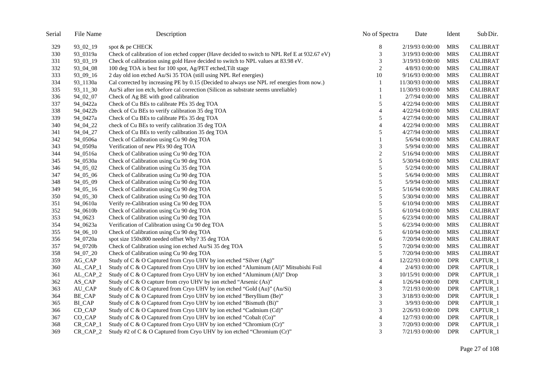| Serial | File Name     | Description                                                                                  | No of Spectra    | Date              | Ident      | Sub Dir.        |
|--------|---------------|----------------------------------------------------------------------------------------------|------------------|-------------------|------------|-----------------|
| 329    | 93_02_19      | spot & pe CHECK                                                                              | 8                | 2/19/93 0:00:00   | MRS        | <b>CALIBRAT</b> |
| 330    | 93_0319a      | Check of calibration of ion etched copper (Have decided to switch to NPL Ref E at 932.67 eV) | 3                | 3/19/93 0:00:00   | <b>MRS</b> | <b>CALIBRAT</b> |
| 331    | 93_03_19      | Check of calibration using gold Have decided to switch to NPL values at 83.98 eV.            | 3                | 3/19/93 0:00:00   | <b>MRS</b> | <b>CALIBRAT</b> |
| 332    | 93_04_08      | 100 deg TOA is best for 100 spot, Ag/PET etched, Tilt stage                                  | $\overline{c}$   | 4/8/93 0:00:00    | MRS        | <b>CALIBRAT</b> |
| 333    | 93_09_16      | 2 day old ion etched Au/Si 35 TOA (still using NPL Ref energies)                             | 10               | 9/16/93 0:00:00   | <b>MRS</b> | <b>CALIBRAT</b> |
| 334    | 93_1130a      | Cal corrected by increasing PE by 0.15 (Decided to always use NPL ref energies from now.)    | 1                | 11/30/93 0:00:00  | <b>MRS</b> | <b>CALIBRAT</b> |
| 335    | 93_11_30      | Au/Si after ion etch, before cal correction (Silicon as substrate seems unreliable)          | 1                | 11/30/93 0:00:00  | <b>MRS</b> | <b>CALIBRAT</b> |
| 336    | 94_02_07      | Check of Ag BE with good calibration                                                         | 1                | 2/7/94 0:00:00    | <b>MRS</b> | <b>CALIBRAT</b> |
| 337    | 94_0422a      | Check of Cu BEs to calibrate PEs 35 deg TOA                                                  | 5                | 4/22/94 0:00:00   | <b>MRS</b> | <b>CALIBRAT</b> |
| 338    | 94_0422b      | check of Cu BEs to verify calibration 35 deg TOA                                             | 4                | 4/22/94 0:00:00   | <b>MRS</b> | <b>CALIBRAT</b> |
| 339    | 94_0427a      | Check of Cu BEs to calibrate PEs 35 deg TOA                                                  | 5                | 4/27/94 0:00:00   | <b>MRS</b> | <b>CALIBRAT</b> |
| 340    | 94_04_22      | check of Cu BEs to verify calibration 35 deg TOA                                             | 4                | 4/22/94 0:00:00   | <b>MRS</b> | <b>CALIBRAT</b> |
| 341    | 94_04_27      | Check of Cu BEs to verify calibration 35 deg TOA                                             | 5                | 4/27/94 0:00:00   | <b>MRS</b> | <b>CALIBRAT</b> |
| 342    | 94_0506a      | Check of Calibration using Cu 90 deg TOA                                                     | 1                | 5/6/94 0:00:00    | MRS        | <b>CALIBRAT</b> |
| 343    | 94_0509a      | Verification of new PEs 90 deg TOA                                                           | 3                | 5/9/94 0:00:00    | <b>MRS</b> | <b>CALIBRAT</b> |
| 344    | 94_0516a      | Check of Calibration using Cu 90 deg TOA                                                     | $\boldsymbol{2}$ | 5/16/94 0:00:00   | <b>MRS</b> | <b>CALIBRAT</b> |
| 345    | 94_0530a      | Check of Calibration using Cu 90 deg TOA                                                     | 5                | 5/30/94 0:00:00   | <b>MRS</b> | <b>CALIBRAT</b> |
| 346    | 94_05_02      | Check of Calibration using Cu 35 deg TOA                                                     | 5                | 5/2/94 0:00:00    | <b>MRS</b> | <b>CALIBRAT</b> |
| 347    | 94_05_06      | Check of Calibration using Cu 90 deg TOA                                                     | 5                | 5/6/94 0:00:00    | MRS        | <b>CALIBRAT</b> |
| 348    | 94_05_09      | Check of Calibration using Cu 90 deg TOA                                                     | 5                | 5/9/94 0:00:00    | <b>MRS</b> | <b>CALIBRAT</b> |
| 349    | 94_05_16      | Check of Calibration using Cu 90 deg TOA                                                     | 5                | 5/16/94 0:00:00   | <b>MRS</b> | <b>CALIBRAT</b> |
| 350    | 94_05_30      | Check of Calibration using Cu 90 deg TOA                                                     | 5                | 5/30/94 0:00:00   | <b>MRS</b> | <b>CALIBRAT</b> |
| 351    | 94_0610a      | Verify re-Calibration using Cu 90 deg TOA                                                    | 5                | $6/10/94$ 0:00:00 | <b>MRS</b> | <b>CALIBRAT</b> |
| 352    | 94_0610b      | Check of Calibration using Cu 90 deg TOA                                                     | 5                | $6/10/94$ 0:00:00 | <b>MRS</b> | <b>CALIBRAT</b> |
| 353    | 94_0623       | Check of Calibration using Cu 90 deg TOA                                                     | 5                | 6/23/94 0:00:00   | <b>MRS</b> | <b>CALIBRAT</b> |
| 354    | 94_0623a      | Verification of Calibration using Cu 90 deg TOA                                              | 5                | 6/23/94 0:00:00   | <b>MRS</b> | <b>CALIBRAT</b> |
| 355    | 94_06_10      | Check of Calibration using Cu 90 deg TOA                                                     | 5                | $6/10/94$ 0:00:00 | MRS        | <b>CALIBRAT</b> |
| 356    | 94_0720a      | spot size 150x800 needed offset Why? 35 deg TOA                                              | 6                | 7/20/94 0:00:00   | <b>MRS</b> | <b>CALIBRAT</b> |
| 357    | 94_0720b      | Check of Calibration using ion etched Au/Si 35 deg TOA                                       | 5                | 7/20/94 0:00:00   | <b>MRS</b> | <b>CALIBRAT</b> |
| 358    | 94_07_20      | Check of Calibration using Cu 90 deg TOA                                                     | 5                | 7/20/94 0:00:00   | <b>MRS</b> | <b>CALIBRAT</b> |
| 359    | AG_CAP        | Study of C & O Captured from Cryo UHV by ion etched "Silver (Ag)"                            | $\overline{4}$   | 12/22/93 0:00:00  | <b>DPR</b> | CAPTUR_1        |
| 360    | AL_CAP_1      | Study of C & O Captured from Cryo UHV by ion etched "Aluminum (Al)" Mitsubishi Foil          | 4                | 2/4/93 0:00:00    | DPR        | CAPTUR_1        |
| 361    | AL_CAP_2      | Study of C & O Captured from Cryo UHV by ion etched "Aluminum (Al)" Drop                     | 3                | 10/15/91 0:00:00  | <b>DPR</b> | CAPTUR_1        |
| 362    | AS_CAP        | Study of C & O capture from cryo UHV by ion etched "Arsenic (As)"                            | $\overline{4}$   | 1/26/94 0:00:00   | <b>DPR</b> | CAPTUR_1        |
| 363    | AU_CAP        | Study of C & O Captured from Cryo UHV by ion etched "Gold (Au)" (Au/Si)                      | 3                | 7/21/93 0:00:00   | <b>DPR</b> | CAPTUR_1        |
| 364    | BE_CAP        | Study of C & O Captured from Cryo UHV by ion etched "Beryllium (Be)"                         | 3                | 3/18/93 0:00:00   | <b>DPR</b> | CAPTUR_1        |
| 365    | <b>BI_CAP</b> | Study of C & O Captured from Cryo UHV by ion etched "Bismuth (Bi)"                           | 3                | 3/9/93 0:00:00    | <b>DPR</b> | CAPTUR_1        |
| 366    | CD_CAP        | Study of C & O Captured from Cryo UHV by ion etched "Cadmium (Cd)"                           | 3                | 2/26/93 0:00:00   | DPR        | CAPTUR_1        |
| 367    | CO_CAP        | Study of C & O Captured from Cryo UHV by ion etched "Cobalt (Co)"                            | $\overline{4}$   | 12/7/93 0:00:00   | DPR        | CAPTUR_1        |
| 368    | $CR_CAP_1$    | Study of C & O Captured from Cryo UHV by ion etched "Chromium (Cr)"                          | 3                | 7/20/93 0:00:00   | <b>DPR</b> | CAPTUR_1        |
| 369    | $CR_CAP_2$    | Study #2 of C & O Captured from Cryo UHV by ion etched "Chromium (Cr)"                       | 3                | 7/21/93 0:00:00   | <b>DPR</b> | CAPTUR_1        |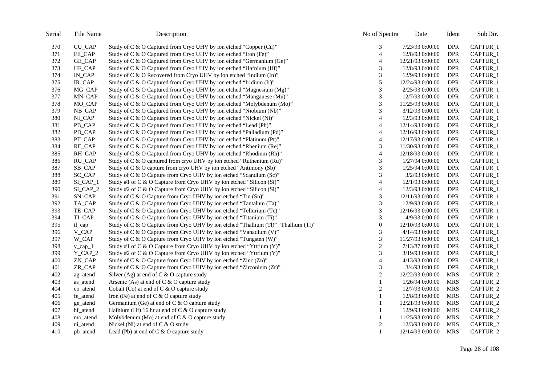| Serial | File Name     | Description                                                                        | No of Spectra    | Date             | Ident      | Sub Dir.            |
|--------|---------------|------------------------------------------------------------------------------------|------------------|------------------|------------|---------------------|
| 370    | <b>CU_CAP</b> | Study of C & O Captured from Cryo UHV by ion etched "Copper (Cu)"                  | 3                | 7/23/93 0:00:00  | <b>DPR</b> | CAPTUR_1            |
| 371    | FE_CAP        | Study of C & O Captured from Cryo UHV by ion etched "Iron (Fe)"                    | $\overline{4}$   | 12/8/93 0:00:00  | <b>DPR</b> | CAPTUR_1            |
| 372    | GE_CAP        | Study of C & O Captured from Cryo UHV by ion etched "Germanium (Ge)"               | $\overline{4}$   | 12/21/93 0:00:00 | <b>DPR</b> | CAPTUR_1            |
| 373    | HF_CAP        | Study of C & O Captured from Cryo UHV by ion etched "Hafnium (Hf)"                 | 3                | 12/8/93 0:00:00  | <b>DPR</b> | CAPTUR_1            |
| 374    | IN_CAP        | Study of C & O Recovered from Cryo UHV by ion etched "Indium (In)"                 | 3                | 12/9/93 0:00:00  | <b>DPR</b> | CAPTUR_1            |
| 375    | IR_CAP        | Study of C & O Captured from Cryo UHV by ion etched "Iridium (Ir)"                 | 5                | 12/24/93 0:00:00 | <b>DPR</b> | CAPTUR_1            |
| 376    | MG_CAP        | Study of C & O Captured from Cryo UHV by ion etched "Magnesium (Mg)"               | 3                | 2/25/93 0:00:00  | <b>DPR</b> | CAPTUR_1            |
| 377    | MN_CAP        | Study of C & O Captured from Cryo UHV by ion etched "Manganese (Mn)"               | 3                | 12/7/93 0:00:00  | <b>DPR</b> | CAPTUR_1            |
| 378    | MO_CAP        | Study of C & O Captured from Cryo UHV by ion etched "Molybdenum (Mo)"              | $\mathfrak{Z}$   | 11/25/93 0:00:00 | <b>DPR</b> | CAPTUR_1            |
| 379    | NB_CAP        | Study of C & O Captured from Cryo UHV by ion etched "Niobium (Nb)"                 | 3                | 3/12/93 0:00:00  | <b>DPR</b> | CAPTUR_1            |
| 380    | NL_CAP        | Study of C & O Captured from Cryo UHV by ion etched "Nickel (Ni)"                  | $\overline{4}$   | 12/3/93 0:00:00  | <b>DPR</b> | CAPTUR <sub>1</sub> |
| 381    | PB_CAP        | Study of C & O Captured from Cryo UHV by ion etched "Lead (Pb)"                    | 4                | 12/14/93 0:00:00 | <b>DPR</b> | CAPTUR_1            |
| 382    | PD_CAP        | Study of C & O Captured from Cryo UHV by ion etched "Palladium (Pd)"               | $\overline{4}$   | 12/16/93 0:00:00 | <b>DPR</b> | CAPTUR_1            |
| 383    | PT_CAP        | Study of C & O Captured from Cryo UHV by ion etched "Platinum (Pt)"                | 4                | 12/17/93 0:00:00 | <b>DPR</b> | CAPTUR_1            |
| 384    | RE_CAP        | Study of C & O Captured from Cryo UHV by ion etched "Rhenium (Re)"                 | 3                | 11/30/93 0:00:00 | <b>DPR</b> | CAPTUR <sub>1</sub> |
| 385    | RH_CAP        | Study of C & O Captured from Cryo UHV by ion etched "Rhodium (Rh)"                 | 4                | 12/18/93 0:00:00 | <b>DPR</b> | CAPTUR_1            |
| 386    | RU_CAP        | Study of C & O captured from cryo UHV by ion etched "Ruthenium (Ru)"               | 3                | 1/27/94 0:00:00  | <b>DPR</b> | CAPTUR_1            |
| 387    | SB_CAP        | Study of C & O capture from cryo UHV by ion etched "Antimony (Sb)"                 | 3                | 1/25/94 0:00:00  | <b>DPR</b> | CAPTUR_1            |
| 388    | SC_CAP        | Study of C & O Capture from Cryo UHV by ion etched "Scandium (Sc)"                 | 3                | 3/2/93 0:00:00   | <b>DPR</b> | CAPTUR_1            |
| 389    | $SI_CAP_1$    | Study #1 of C & O Capture from Cryo UHV by ion etched "Silicon (Si)"               | 4                | 12/1/93 0:00:00  | <b>DPR</b> | CAPTUR_1            |
| 390    | SI_CAP_2      | Study #2 of C & O Capture from Cryo UHV by ion etched "Silicon (Si)"               | $\overline{4}$   | 12/3/93 0:00:00  | <b>DPR</b> | CAPTUR_1            |
| 391    | SN_CAP        | Study of C & O Capture from Cryo UHV by ion etched "Tin (Sn)"                      | 3                | 12/11/93 0:00:00 | <b>DPR</b> | CAPTUR_1            |
| 392    | TA_CAP        | Study of C & O Capture from Cryo UHV by ion etched "Tantalum (Ta)"                 | 3                | 12/9/93 0:00:00  | <b>DPR</b> | CAPTUR_1            |
| 393    | TE_CAP        | Study of C & O Capture from Cryo UHV by ion etched "Tellurium (Te)"                | 3                | 12/16/93 0:00:00 | <b>DPR</b> | CAPTUR_1            |
| 394    | TI_CAP        | Study of C & O Capture from Cryo UHV by ion etched "Titanium (Ti)"                 | 3                | 4/9/93 0:00:00   | <b>DPR</b> | CAPTUR_1            |
| 395    | $tl$ _cap     | Study of C & O Capture from Cryo UHV by ion etched "Thallium (Tl)" "Thallium (Tl)" | $\boldsymbol{0}$ | 12/10/93 0:00:00 | <b>DPR</b> | CAPTUR_1            |
| 396    | V_CAP         | Study of C & O Capture from Cryo UHV by ion etched "Vanadium (V)"                  | 3                | 4/14/93 0:00:00  | <b>DPR</b> | CAPTUR_1            |
| 397    | W_CAP         | Study of C & O Capture from Cryo UHV by ion etched "Tungsten (W)"                  | $\mathfrak{Z}$   | 11/27/93 0:00:00 | <b>DPR</b> | CAPTUR_1            |
| 398    | $y_{cap1}$    | Study #1 of C & O Capture from Cryo UHV by ion etched "Yttrium (Y)"                | $\mathfrak{2}$   | 7/13/87 0:00:00  | <b>DPR</b> | CAPTUR_1            |
| 399    | $Y_CAP_2$     | Study #2 of C & O Capture from Cryo UHV by ion etched "Yttrium (Y)"                | $\mathfrak{Z}$   | 3/19/93 0:00:00  | <b>DPR</b> | CAPTUR_1            |
| 400    | ZN_CAP        | Study of C & O Capture from Cryo UHV by ion etched "Zinc (Zn)"                     | 4                | 4/13/93 0:00:00  | <b>DPR</b> | CAPTUR_1            |
| 401    | ZR_CAP        | Study of C & O Capture from Cryo UHV by ion etched "Zirconium (Zr)"                | 3                | 3/4/93 0:00:00   | <b>DPR</b> | CAPTUR_1            |
| 402    | ag_atend      | Silver (Ag) at end of $C & O$ capture study                                        | $\overline{c}$   | 12/22/93 0:00:00 | <b>MRS</b> | CAPTUR_2            |
| 403    | as atend      | Arsenic (As) at end of $C & O$ capture study                                       | 1                | 1/26/94 0:00:00  | <b>MRS</b> | CAPTUR_2            |
| 404    | co_atend      | Cobalt (Co) at end of $C & O$ capture study                                        | $\boldsymbol{2}$ | 12/7/93 0:00:00  | <b>MRS</b> | CAPTUR_2            |
| 405    | fe_atend      | Iron (Fe) at end of $C & O$ capture study                                          | $\mathbf{1}$     | 12/8/93 0:00:00  | <b>MRS</b> | CAPTUR_2            |
| 406    | ge_atend      | Germanium (Ge) at end of $C & O$ capture study                                     | $\mathbf{1}$     | 12/21/93 0:00:00 | <b>MRS</b> | CAPTUR_2            |
| 407    | hf_atend      | Hafnium (Hf) 16 hr at end of $C & O$ capture study                                 | 1                | 12/9/93 0:00:00  | <b>MRS</b> | CAPTUR_2            |
| 408    | mo_atend      | Molybdenum (Mo) at end of $C & O$ capture study                                    | 1                | 11/25/93 0:00:00 | <b>MRS</b> | CAPTUR_2            |
| 409    | ni_atend      | Nickel (Ni) at end of $C & O$ study                                                | $\overline{c}$   | 12/3/93 0:00:00  | <b>MRS</b> | CAPTUR_2            |
| 410    | pb_atend      | Lead (Pb) at end of C & O capture study                                            | 1                | 12/14/93 0:00:00 | MRS        | CAPTUR_2            |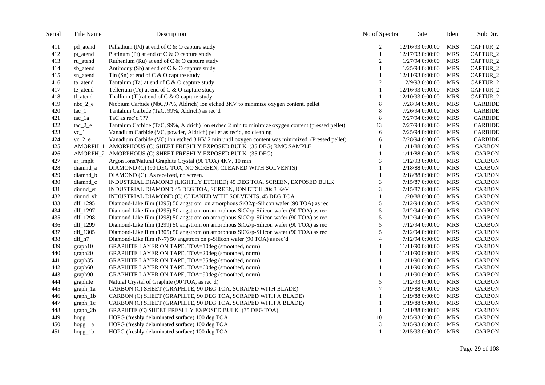| Serial | File Name    | Description                                                                                       | No of Spectra  | Date             | Ident      | Sub Dir.       |
|--------|--------------|---------------------------------------------------------------------------------------------------|----------------|------------------|------------|----------------|
| 411    | pd_atend     | Palladium (Pd) at end of C & O capture study                                                      | 2              | 12/16/93 0:00:00 | <b>MRS</b> | CAPTUR_2       |
| 412    | pt_atend     | Platinum (Pt) at end of $C & O$ capture study                                                     | $\mathbf{1}$   | 12/17/93 0:00:00 | <b>MRS</b> | CAPTUR_2       |
| 413    | ru_atend     | Ruthenium (Ru) at end of $C & O$ capture study                                                    | $\overline{c}$ | 1/27/94 0:00:00  | <b>MRS</b> | CAPTUR_2       |
| 414    | sb_atend     | Antimony (Sb) at end of $C & O$ capture study                                                     | $\mathbf{1}$   | 1/25/94 0:00:00  | <b>MRS</b> | CAPTUR_2       |
| 415    | sn_atend     | Tin $(Sn)$ at end of C & O capture study                                                          | 1              | 12/11/93 0:00:00 | <b>MRS</b> | CAPTUR_2       |
| 416    | ta_atend     | Tantalum (Ta) at end of $C & O$ capture study                                                     | $\overline{2}$ | 12/9/93 0:00:00  | <b>MRS</b> | CAPTUR_2       |
| 417    | te_atend     | Tellerium (Te) at end of $C & O$ capture study                                                    | 1              | 12/16/93 0:00:00 | <b>MRS</b> | CAPTUR_2       |
| 418    | tl_atend     | Thallium (Tl) at end of $C & O$ capture study                                                     | 1              | 12/10/93 0:00:00 | <b>MRS</b> | CAPTUR_2       |
| 419    | $nbc_2$ $e$  | Niobium Carbide (NbC,97%, Aldrich) ion etched 3KV to minimize oxygen content, pellet              | 8              | 7/28/94 0:00:00  | <b>MRS</b> | <b>CARBIDE</b> |
| 420    | $rac_{1}$    | Tantalum Carbide (TaC, 99%, Aldrich) as rec'd                                                     | 8              | 7/26/94 0:00:00  | <b>MRS</b> | <b>CARBIDE</b> |
| 421    | $tac_1a$     | TaC as rec'd ???                                                                                  | 8              | 7/27/94 0:00:00  | <b>MRS</b> | <b>CARBIDE</b> |
| 422    | $rac{2}{e}$  | Tantalum Carbide (TaC, 99%, Aldrich) Ion etched 2 min to minimize oxygen content (pressed pellet) | 13             | 7/27/94 0:00:00  | <b>MRS</b> | <b>CARBIDE</b> |
| 423    | $vc_1$       | Vanadium Carbide (VC, powder, Aldrich) pellet as rec'd, no cleaning                               | 6              | 7/25/94 0:00:00  | <b>MRS</b> | <b>CARBIDE</b> |
| 424    | $vc_2 e$     | Vanadium Carbide (VC) ion etched 3 KV 2 min until oxygen content was minimized. (Pressed pellet)  | 6              | 7/28/94 0:00:00  | <b>MRS</b> | <b>CARBIDE</b> |
| 425    | AMORPH 1     | AMORPHOUS (C) SHEET FRESHLY EXPOSED BULK (35 DEG) RMC SAMPLE                                      |                | 1/11/88 0:00:00  | <b>MRS</b> | <b>CARBON</b>  |
| 426    | AMORPH 2     | AMORPHOUS (C) SHEET FRESHLY EXPOSED BULK (35 DEG)                                                 | 1              | 1/11/88 0:00:00  | <b>MRS</b> | <b>CARBON</b>  |
| 427    | ar_implt     | Argon Ions/Natural Graphite Crystal (90 TOA) 4KV, 10 min                                          | 3              | 1/12/93 0:00:00  | <b>MRS</b> | <b>CARBON</b>  |
| 428    | diamnd_a     | DIAMOND (C) (90 DEG TOA, NO SCREEN, CLEANED WITH SOLVENTS)                                        |                | 2/18/88 0:00:00  | <b>MRS</b> | <b>CARBON</b>  |
| 429    | diamnd_b     | DIAMOND (C) As received, no screen.                                                               | 1              | 2/18/88 0:00:00  | <b>MRS</b> | <b>CARBON</b>  |
| 430    | diamnd_c     | INDUSTRIAL DIAMOND (LIGHTLY ETCHED) 45 DEG TOA, SCREEN, EXPOSED BULK                              | 3              | 7/15/87 0:00:00  | <b>MRS</b> | <b>CARBON</b>  |
| 431    | dimnd_et     | INDUSTRIAL DIAMOND 45 DEG TOA, SCREEN, ION ETCH 20s 3 KeV                                         | 3              | 7/15/87 0:00:00  | <b>MRS</b> | <b>CARBON</b>  |
| 432    | dimnd_vb     | INDUSTRIAL DIAMOND (C) CLEANED WITH SOLVENTS, 45 DEG TOA                                          | 1              | 1/20/88 0:00:00  | <b>MRS</b> | <b>CARBON</b>  |
| 433    | dlf_1295     | Diamond-Like film (1295) 50 angstrom on amorphous SiO2/p-Silicon wafer (90 TOA) as rec            | $\sqrt{5}$     | 7/12/94 0:00:00  | <b>MRS</b> | <b>CARBON</b>  |
| 434    | dlf_1297     | Diamond-Like film (1295) 50 angstrom on amorphous SiO2/p-Silicon wafer (90 TOA) as rec            | $\sqrt{5}$     | 7/12/94 0:00:00  | <b>MRS</b> | <b>CARBON</b>  |
| 435    | dlf_1298     | Diamond-Like film (1298) 50 angstrom on amorphous SiO2/p-Silicon wafer (90 TOA) as rec            | $\sqrt{5}$     | 7/12/94 0:00:00  | <b>MRS</b> | <b>CARBON</b>  |
| 436    | dlf_1299     | Diamond-Like film (1299) 50 angstrom on amorphous SiO2/p-Silicon wafer (90 TOA) as rec            | $\sqrt{5}$     | 7/12/94 0:00:00  | <b>MRS</b> | <b>CARBON</b>  |
| 437    | $df_1305$    | Diamond-Like film (1305) 50 angstrom on amorphous SiO2/p-Silicon wafer (90 TOA) as rec            | 5              | 7/12/94 0:00:00  | <b>MRS</b> | <b>CARBON</b>  |
| 438    | $dlf_n7$     | Diamond-Like film (N-7) 50 angstrom on p-Silicon wafer (90 TOA) as rec'd                          | $\overline{4}$ | 7/12/94 0:00:00  | <b>MRS</b> | <b>CARBON</b>  |
| 439    | graph10      | GRAPHITE LAYER ON TAPE, TOA=10deg (smoothed, norm)                                                | 1              | 11/11/90 0:00:00 | <b>MRS</b> | <b>CARBON</b>  |
| 440    | graph20      | GRAPHITE LAYER ON TAPE, TOA=20deg (smoothed, norm)                                                | 1              | 11/11/90 0:00:00 | <b>MRS</b> | <b>CARBON</b>  |
| 441    | graph35      | GRAPHITE LAYER ON TAPE, TOA=35deg (smoothed, norm)                                                | 1              | 11/11/90 0:00:00 | <b>MRS</b> | <b>CARBON</b>  |
| 442    | graph60      | GRAPHITE LAYER ON TAPE, TOA=60deg (smoothed, norm)                                                | $\mathbf{1}$   | 11/11/90 0:00:00 | <b>MRS</b> | <b>CARBON</b>  |
| 443    | graph90      | GRAPHITE LAYER ON TAPE, TOA=90deg (smoothed, norm)                                                | $\mathbf{1}$   | 11/11/90 0:00:00 | <b>MRS</b> | <b>CARBON</b>  |
| 444    | graphite     | Natural Crystal of Graphite (90 TOA, as rec'd)                                                    | 5              | 1/12/93 0:00:00  | <b>MRS</b> | <b>CARBON</b>  |
| 445    | $graph_1a$   | CARBON (C) SHEET (GRAPHITE, 90 DEG TOA, SCRAPED WITH BLADE)                                       | $\overline{7}$ | 1/19/88 0:00:00  | <b>MRS</b> | <b>CARBON</b>  |
| 446    | $graph_1b$   | CARBON (C) SHEET (GRAPHITE, 90 DEG TOA, SCRAPED WITH A BLADE)                                     | 1              | 1/19/88 0:00:00  | <b>MRS</b> | <b>CARBON</b>  |
| 447    | $graph_1c$   | CARBON (C) SHEET (GRAPHITE, 90 DEG TOA, SCRAPED WITH A BLADE)                                     | 1              | 1/19/88 0:00:00  | <b>MRS</b> | <b>CARBON</b>  |
| 448    | $graph_2b$   | GRAPHITE (C) SHEET FRESHLY EXPOSED BULK (35 DEG TOA)                                              | 1              | 1/11/88 0:00:00  | <b>MRS</b> | <b>CARBON</b>  |
| 449    | $h$ opg_ $1$ | HOPG (freshly delaminated surface) 100 deg TOA                                                    | $10\,$         | 12/15/93 0:00:00 | <b>MRS</b> | <b>CARBON</b>  |
| 450    | hopg_1a      | HOPG (freshly delaminated surface) 100 deg TOA                                                    | 3              | 12/15/93 0:00:00 | <b>MRS</b> | <b>CARBON</b>  |
| 451    | hopg_1b      | HOPG (freshly delaminated surface) 100 deg TOA                                                    | 1              | 12/15/93 0:00:00 | <b>MRS</b> | <b>CARBON</b>  |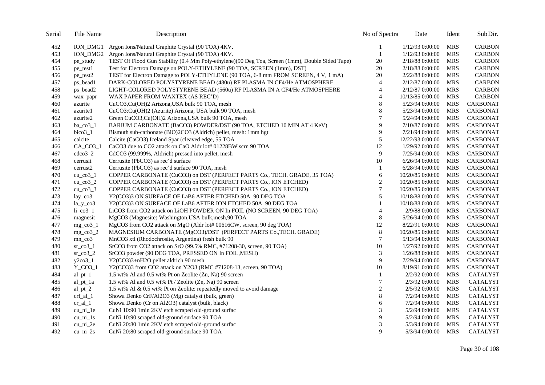| Serial | File Name                                                 | Description                                                                                     | No of Spectra    | Date              | Ident      | Sub Dir.        |
|--------|-----------------------------------------------------------|-------------------------------------------------------------------------------------------------|------------------|-------------------|------------|-----------------|
| 452    |                                                           | ION_DMG1 Argon Ions/Natural Graphite Crystal (90 TOA) 4KV.                                      |                  | $1/12/93$ 0:00:00 | <b>MRS</b> | <b>CARBON</b>   |
| 453    | ION_DMG2                                                  | Argon Ions/Natural Graphite Crystal (90 TOA) 4KV.                                               | $\mathbf{1}$     | 1/12/93 0:00:00   | <b>MRS</b> | <b>CARBON</b>   |
| 454    | pe_study                                                  | TEST Of Flood Gun Stability (0.4 Mm Poly-ethylene)(90 Deg Toa, Screen (1mm), Double Sided Tape) | 20               | 2/18/88 0:00:00   | <b>MRS</b> | <b>CARBON</b>   |
| 455    | pe_test1                                                  | Test for Electron Damage on POLY-ETHYLENE (90 TOA, SCREEN (1mm), DST)                           | 20               | 2/18/88 0:00:00   | MRS        | <b>CARBON</b>   |
| 456    | pe_test2                                                  | TEST for Electron Damage to POLY-ETHYLENE (90 TOA, 6-8 mm FROM SCREEN, 4 V, 1 mA)               | 20               | 2/22/88 0:00:00   | <b>MRS</b> | <b>CARBON</b>   |
| 457    | ps_bead1                                                  | DARK-COLORED POLYSTYRENE BEAD (480u) RF PLASMA IN CF4/He ATMOSPHERE                             | $\overline{4}$   | 2/12/87 0:00:00   | MRS        | <b>CARBON</b>   |
| 458    | ps_bead2                                                  | LIGHT-COLORED POLYSTYRENE BEAD (560u) RF PLASMA IN A CF4/He ATMOSPHERE                          | $\overline{4}$   | 2/12/87 0:00:00   | <b>MRS</b> | <b>CARBON</b>   |
| 459    | wax_papr                                                  | WAX PAPER FROM WAXTEX (AS REC'D)                                                                | $\overline{4}$   | 10/13/85 0:00:00  | <b>MRS</b> | <b>CARBON</b>   |
| 460    | azurite                                                   | CuCO3,Cu(OH)2 Arizona,USA bulk 90 TOA, mesh                                                     | $\,$ 8 $\,$      | 5/23/94 0:00:00   | <b>MRS</b> | <b>CARBONAT</b> |
| 461    | azurite1                                                  | CuCO3:Cu(OH)2 (Azurite) Arizona, USA bulk 90 TOA, mesh                                          | $\,8\,$          | 5/23/94 0:00:00   | <b>MRS</b> | <b>CARBONAT</b> |
| 462    | azurite2                                                  | Green CuCO3, Cu(OH)2 Arizona, USA bulk 90 TOA, mesh                                             | 7                | 5/24/94 0:00:00   | <b>MRS</b> | <b>CARBONAT</b> |
| 463    | ba $\cos 1$                                               | BARIUM CARBONATE (BaCO3) POWDER/DST (90 TOA, ETCHED 10 MIN AT 4 KeV)                            | 9                | 7/10/87 0:00:00   | <b>MRS</b> | <b>CARBONAT</b> |
| 464    | bico3_1                                                   | Bismuth sub-carbonate (BiO)2CO3 (Aldrich) pellet, mesh: 1mm hgt                                 | 9                | 7/21/94 0:00:00   | <b>MRS</b> | <b>CARBONAT</b> |
| 465    | calcite                                                   | Calcite (CaCO3) Iceland Spar (cleaved edge, 55 TOA                                              | 5                | 12/22/93 0:00:00  | <b>MRS</b> | CARBONAT        |
| 466    | $CA$ <sub><math>CO3</math><sup><math>1</math></sup></sub> | CaCO3 due to CO2 attack on CaO Aldr lot# 01228BW scrn 90 TOA                                    | 12               | 1/29/92 0:00:00   | MRS        | <b>CARBONAT</b> |
| 467    | $cdco3_2$                                                 | CdCO3 (99.999%, Aldrich) pressed into pellet, mesh                                              | 9                | 7/25/94 0:00:00   | <b>MRS</b> | <b>CARBONAT</b> |
| 468    | cerrusit                                                  | Cerrusite (PbCO3) as rec'd surface                                                              | 10               | 6/26/94 0:00:00   | <b>MRS</b> | <b>CARBONAT</b> |
| 469    | cerrust <sub>2</sub>                                      | Cerrusite (PbCO3) as rec'd surface 90 TOA, mesh                                                 | 1                | 6/28/94 0:00:00   | <b>MRS</b> | <b>CARBONAT</b> |
| 470    | $cu_{\text{1}}co3_{\text{1}}$                             | COPPER CARBONATE (CuCO3) on DST (PERFECT PARTS Co., TECH. GRADE, 35 TOA)                        | 6                | 10/20/85 0:00:00  | <b>MRS</b> | <b>CARBONAT</b> |
| 471    | cu co $3\text{--}2$                                       | COPPER CARBONATE (CuCO3) on DST (PERFECT PARTS Co., ION ETCHED)                                 | $\overline{c}$   | 10/20/85 0:00:00  | <b>MRS</b> | <b>CARBONAT</b> |
| 472    | $cu_{c0}3_3$                                              | COPPER CARBONATE (CuCO3) on DST (PERFECT PARTS Co., ION ETCHED)                                 | $\boldsymbol{7}$ | 10/20/85 0:00:00  | <b>MRS</b> | <b>CARBONAT</b> |
| 473    | $lay\_co3$                                                | Y2(CO3)3 ON SURFACE OF LaB6 AFTER ETCHED 50A 90 DEG TOA                                         | 5                | 10/18/88 0:00:00  | <b>MRS</b> | <b>CARBONAT</b> |
| 474    | $la_y$ _co3                                               | Y2(CO3)3 ON SURFACE OF LaB6 AFTER ION ETCHED 50A 90 DEG TOA                                     | 1                | 10/18/88 0:00:00  | <b>MRS</b> | <b>CARBONAT</b> |
| 475    | $li$ _ $co3$ _ $l$                                        | LiCO3 from CO2 attack on LiOH POWDER ON In FOIL (NO SCREEN, 90 DEG TOA)                         | $\overline{4}$   | 2/9/88 0:00:00    | <b>MRS</b> | <b>CARBONAT</b> |
| 476    | magnesit                                                  | MgCO3 (Magnesite) Washington, USA bulk, mesh, 90 TOA                                            | $\,8\,$          | 5/26/94 0:00:00   | <b>MRS</b> | CARBONAT        |
| 477    | $mg$ co <sub>3</sub> $1$                                  | MgCO3 from CO2 attack on MgO (Aldr lot# 00616CW, screen, 90 deg TOA)                            | 12               | 8/22/91 0:00:00   | <b>MRS</b> | <b>CARBONAT</b> |
| 478    | $mg_{c}$ co $3_{2}$                                       | MAGNESIUM CARBONATE (MgCO3)/DST (PERFECT PARTS Co., TECH. GRADE)                                | $\,8\,$          | 10/20/85 0:00:00  | <b>MRS</b> | <b>CARBONAT</b> |
| 479    | $mn_{\text{eq}}$                                          | MnCO3 xtl (Rhodochrosite, Argentina) fresh bulk 90                                              | $\tau$           | 5/13/94 0:00:00   | <b>MRS</b> | CARBONAT        |
| 480    | $sr\_co3_1$                                               | SrCO3 from CO2 attack on SrO (99.5% RMC, #71208-30, screen, 90 TOA)                             | 10               | 1/27/92 0:00:00   | <b>MRS</b> | <b>CARBONAT</b> |
| 481    | $sr_{c0}3_2$                                              | SrCO3 powder (90 DEG TOA, PRESSED ON In FOIL, MESH)                                             | $\mathfrak{Z}$   | 1/26/88 0:00:00   | <b>MRS</b> | <b>CARBONAT</b> |
| 482    | $y2co3_1$                                                 | Y2(CO3)3+nH2O pellet aldrich 90 mesh                                                            | 9                | 7/29/94 0:00:00   | MRS        | <b>CARBONAT</b> |
| 483    | $Y_{C03_1}$                                               | Y2(CO3)3 from CO2 attack on Y2O3 (RMC #71208-13, screen, 90 TOA)                                | 10               | 8/19/91 0:00:00   | <b>MRS</b> | <b>CARBONAT</b> |
| 484    | $al\_pt\_1$                                               | 1.5 wt% Al and 0.5 wt% Pt on Zeolite (Zn, Na) 90 screen                                         | 1                | 2/2/92 0:00:00    | <b>MRS</b> | <b>CATALYST</b> |
| 485    | $al_p t_1$                                                | 1.5 wt% Al and 0.5 wt% Pt / Zeolite (Zn, Na) 90 screen                                          | 7                | 2/3/92 0:00:00    | <b>MRS</b> | CATALYST        |
| 486    | $al_p t_2$                                                | 1.5 wt% Al & 0.5 wt% Pt on Zeolite: repeatedly moved to avoid damage                            | $\overline{c}$   | 2/5/92 0:00:00    | <b>MRS</b> | <b>CATALYST</b> |
| 487    | $crf$ <sup>1</sup>                                        | Showa Denko CrF/Al2O3 (Mg) catalyst (bulk, green)                                               | $\,8\,$          | 7/2/94 0:00:00    | <b>MRS</b> | <b>CATALYST</b> |
| 488    | $cr\_al\_l$                                               | Showa Denko (Cr on Al2O3) catalyst (bulk, black)                                                | 6                | 7/2/94 0:00:00    | <b>MRS</b> | CATALYST        |
| 489    | $cu_{ni}$ le                                              | CuNi 10:90 1min 2KV etch scraped old-ground surfac                                              | 3                | 5/2/94 0:00:00    | MRS        | <b>CATALYST</b> |
| 490    | $cu_{ni}$ 1s                                              | CuNi 10:90 scraped old-ground surface 90 TOA                                                    | 9                | 5/2/94 0:00:00    | <b>MRS</b> | CATALYST        |
| 491    | $cu_{ni}$ 2e                                              | CuNi 20:80 1min 2KV etch scraped old-ground surfac                                              | 3                | 5/3/94 0:00:00    | <b>MRS</b> | CATALYST        |
| 492    | $cu_{ni}$ 2s                                              | CuNi 20:80 scraped old-ground surface 90 TOA                                                    | 9                | 5/3/94 0:00:00    | MRS        | <b>CATALYST</b> |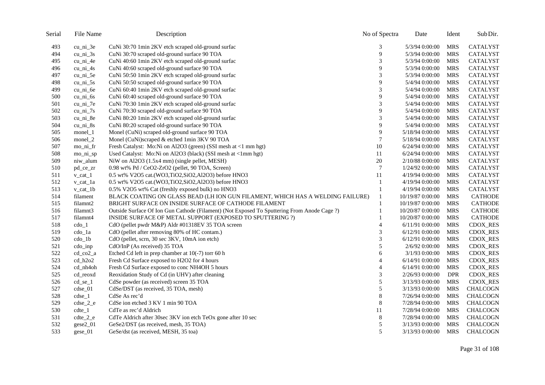| Serial | File Name               | Description                                                                                 | No of Spectra            | Date             | Ident      | Sub Dir.        |
|--------|-------------------------|---------------------------------------------------------------------------------------------|--------------------------|------------------|------------|-----------------|
| 493    | $cu_{ni}$ 3e            | CuNi 30:70 1min 2KV etch scraped old-ground surfac                                          | 3                        | 5/3/94 0:00:00   | MRS        | CATALYST        |
| 494    | $cu_{ni}$ 3s            | CuNi 30:70 scraped old-ground surface 90 TOA                                                | 9                        | 5/3/94 0:00:00   | <b>MRS</b> | CATALYST        |
| 495    | cu_ni_4e                | CuNi 40:60 1min 2KV etch scraped old-ground surfac                                          | 3                        | 5/3/94 0:00:00   | <b>MRS</b> | CATALYST        |
| 496    | $cu_{ni}$ 4s            | CuNi 40:60 scraped old-ground surface 90 TOA                                                | 9                        | 5/3/94 0:00:00   | <b>MRS</b> | CATALYST        |
| 497    | cu ni 5e                | CuNi 50:50 1min 2KV etch scraped old-ground surfac                                          | 3                        | 5/3/94 0:00:00   | <b>MRS</b> | <b>CATALYST</b> |
| 498    | $cu_{ni}$ 5s            | CuNi 50:50 scraped old-ground surface 90 TOA                                                | 9                        | 5/4/94 0:00:00   | <b>MRS</b> | CATALYST        |
| 499    | cu_ni_6e                | CuNi 60:40 1min 2KV etch scraped old-ground surfac                                          | 3                        | 5/4/94 0:00:00   | <b>MRS</b> | <b>CATALYST</b> |
| 500    | $cu_{ni}$ 6s            | CuNi 60:40 scraped old-ground surface 90 TOA                                                | 9                        | 5/4/94 0:00:00   | <b>MRS</b> | CATALYST        |
| 501    | $cu_{ni}$ $7e$          | CuNi 70:30 1min 2KV etch scraped old-ground surfac                                          | 3                        | 5/4/94 0:00:00   | <b>MRS</b> | <b>CATALYST</b> |
| 502    | $cu_{ni}$ 7s            | CuNi 70:30 scraped old-ground surface 90 TOA                                                | 9                        | 5/4/94 0:00:00   | <b>MRS</b> | CATALYST        |
| 503    | $cu_{ni}$ 8e            | CuNi 80:20 1min 2KV etch scraped old-ground surfac                                          | 3                        | 5/4/94 0:00:00   | <b>MRS</b> | CATALYST        |
| 504    | $cu_{ni}$ 8s            | CuNi 80:20 scraped old-ground surface 90 TOA                                                | 9                        | 5/4/94 0:00:00   | MRS        | CATALYST        |
| 505    | monel_1                 | Monel (CuNi) scraped old-ground surface 90 TOA                                              | 9                        | 5/18/94 0:00:00  | <b>MRS</b> | <b>CATALYST</b> |
| 506    | monel_2                 | Monel (CuNi)scraped & etched 1min 3KV 90 TOA                                                | $\boldsymbol{7}$         | 5/18/94 0:00:00  | <b>MRS</b> | CATALYST        |
| 507    | mo_ni_fr                | Fresh Catalyst: Mo:Ni on Al2O3 (green) (SSI mesh at <1 mm hgt)                              | 10                       | 6/24/94 0:00:00  | <b>MRS</b> | <b>CATALYST</b> |
| 508    | mo_ni_sp                | Used Catalyst: Mo:Ni on Al2O3 (black) (SSI mesh at <1mm hgt)                                | 11                       | 6/24/94 0:00:00  | <b>MRS</b> | CATALYST        |
| 509    | niw_alum                | NiW on Al2O3 (1.5x4 mm) (single pellet, MESH)                                               | 20                       | 2/10/88 0:00:00  | <b>MRS</b> | <b>CATALYST</b> |
| 510    | pd_ce_zr                | 0.98 wt% Pd / CeO2-ZrO2 (pellet, 90 TOA, Screen)                                            | $\overline{7}$           | 1/24/92 0:00:00  | <b>MRS</b> | CATALYST        |
| 511    | $v_{cat\_1}$            | 0.5 wt% V2O5 cat.(WO3,TiO2,SiO2,Al2O3) before HNO3                                          | 11                       | 4/19/94 0:00:00  | <b>MRS</b> | CATALYST        |
| 512    | $v_{cat\_1a}$           | 0.5 wt% V2O5 cat.(WO3,TiO2,SiO2,Al2O3) before HNO3                                          | -1                       | 4/19/94 0:00:00  | <b>MRS</b> | CATALYST        |
| 513    | $v_{cat\_}1b$           | 0.5% V2O5 wt% Cat (freshly exposed bulk) no HNO3                                            |                          | 4/19/94 0:00:00  | <b>MRS</b> | CATALYST        |
| 514    | filament                | BLACK COATING ON GLASS BEAD (LH ION GUN FILAMENT, WHICH HAS A WELDING FAILURE)              | 1                        | 10/19/87 0:00:00 | <b>MRS</b> | <b>CATHODE</b>  |
| 515    | filamnt2                | BRIGHT SURFACE ON INSIDE SURFACE OF CATHODE FILAMENT                                        |                          | 10/19/87 0:00:00 | <b>MRS</b> | <b>CATHODE</b>  |
| 516    | filamnt3                | Outside Surface Of Ion Gun Cathode (Filament) (Not Exposed To Sputtering From Anode Cage ?) |                          | 10/20/87 0:00:00 | <b>MRS</b> | <b>CATHODE</b>  |
| 517    | filamnt4                | INSIDE SURFACE OF METAL SUPPORT (EXPOSED TO SPUTTERING ?)                                   |                          | 10/20/87 0:00:00 | <b>MRS</b> | <b>CATHODE</b>  |
| 518    | $\text{cdo}\_1$         | CdO (pellet pwdr M&P) Aldr #01318EV 35 TOA screen                                           | $\overline{4}$           | 6/11/91 0:00:00  | <b>MRS</b> | <b>CDOX_RES</b> |
| 519    | cdo_1a                  | CdO (pellet after removing 80% of HC contam.)                                               | 3                        | 6/12/91 0:00:00  | <b>MRS</b> | CDOX_RES        |
| 520    | $\text{cdo}\_1\text{b}$ | CdO (pellet, scrn, 30 sec 3KV, 10mA ion etch)                                               | 3                        | 6/12/91 0:00:00  | <b>MRS</b> | <b>CDOX_RES</b> |
| 521    | $\text{cdo}$ _inp       | CdO/InP (As received) 35 TOA                                                                | 5                        | 2/6/92 0:00:00   | <b>MRS</b> | CDOX_RES        |
| 522    | cd_co2_a                | Etched Cd left in prep chamber at $10(-7)$ torr 60 h                                        | 6                        | $3/1/93$ 0:00:00 | <b>MRS</b> | CDOX_RES        |
| 523    | $cd$ h $2o2$            | Fresh Cd Surface exposed to H2O2 for 4 hours                                                | $\overline{\mathcal{A}}$ | 6/14/91 0:00:00  | <b>MRS</b> | CDOX_RES        |
| 524    | cd_nh4oh                | Fresh Cd Surface exposed to conc NH4OH 5 hours                                              | $\overline{4}$           | 6/14/91 0:00:00  | <b>MRS</b> | CDOX_RES        |
| 525    | cd_reoxd                | Reoxidation Study of Cd (in UHV) after cleaning                                             | 3                        | 2/26/93 0:00:00  | <b>DPR</b> | <b>CDOX_RES</b> |
| 526    | $cd$ se $1$             | CdSe powder (as received) screen 35 TOA                                                     | 5                        | 3/13/93 0:00:00  | <b>MRS</b> | <b>CDOX_RES</b> |
| 527    | cdse_01                 | CdSe/DST (as received, 35 TOA, mesh)                                                        | 5                        | 3/13/93 0:00:00  | <b>MRS</b> | <b>CHALCOGN</b> |
| 528    | $cdse_1$                | CdSe As rec'd                                                                               | 8                        | 7/26/94 0:00:00  | <b>MRS</b> | CHALCOGN        |
| 529    | $cdse_2 e$              | CdSe ion etched 3 KV 1 min 90 TOA                                                           | 8                        | 7/28/94 0:00:00  | <b>MRS</b> | <b>CHALCOGN</b> |
| 530    | $cdte_1$                | CdTe as rec'd Aldrich                                                                       | 11                       | 7/28/94 0:00:00  | <b>MRS</b> | <b>CHALCOGN</b> |
| 531    | $cdt e_2_e$             | CdTe Aldrich after 30sec 3KV ion etch TeOx gone after 10 sec                                | 8                        | 7/28/94 0:00:00  | <b>MRS</b> | <b>CHALCOGN</b> |
| 532    | $gese2_01$              | GeSe2/DST (as received, mesh, 35 TOA)                                                       | 5                        | 3/13/93 0:00:00  | <b>MRS</b> | <b>CHALCOGN</b> |
| 533    | gese_01                 | GeSe/dst (as received, MESH, 35 toa)                                                        | 5                        | 3/13/93 0:00:00  | <b>MRS</b> | <b>CHALCOGN</b> |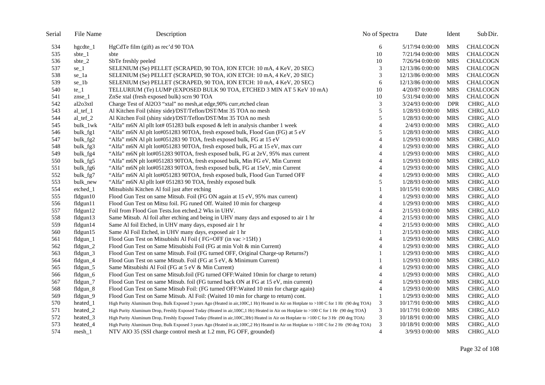| Serial | File Name      | Description                                                                                                                               | No of Spectra  | Date             | Ident      | Sub Dir.        |
|--------|----------------|-------------------------------------------------------------------------------------------------------------------------------------------|----------------|------------------|------------|-----------------|
| 534    | hgcdte_1       | HgCdTe film (gift) as rec'd 90 TOA                                                                                                        | 6              | 5/17/94 0:00:00  | MRS        | <b>CHALCOGN</b> |
| 535    | sbte $_1$      | sbte                                                                                                                                      | 10             | 7/21/94 0:00:00  | <b>MRS</b> | <b>CHALCOGN</b> |
| 536    | sbte $_2$      | SbTe freshly peeled                                                                                                                       | 10             | 7/26/94 0:00:00  | <b>MRS</b> | <b>CHALCOGN</b> |
| 537    | $se_1$         | SELENIUM (Se) PELLET (SCRAPED, 90 TOA, ION ETCH: 10 mA, 4 KeV, 20 SEC)                                                                    | 3              | 12/13/86 0:00:00 | <b>MRS</b> | <b>CHALCOGN</b> |
| 538    | se_1a          | SELENIUM (Se) PELLET (SCRAPED, 90 TOA, iON ETCH: 10 mA, 4 KeV, 20 SEC)                                                                    | 3              | 12/13/86 0:00:00 | <b>MRS</b> | <b>CHALCOGN</b> |
| 539    | $se_1b$        | SELENIUM (Se) PELLET (SCRAPED, 90 TOA, ION ETCH: 10 mA, 4 KeV, 20 SEC)                                                                    | 6              | 12/13/86 0:00:00 | <b>MRS</b> | <b>CHALCOGN</b> |
| 540    | $te_1$         | TELLURIUM (Te) LUMP (EXPOSED BULK 90 TOA, ETCHED 3 MIN AT 5 KeV 10 mA)                                                                    | 10             | 4/20/87 0:00:00  | <b>MRS</b> | <b>CHALCOGN</b> |
| 541    | $z$ nse $_1$   | ZnSe xtal (fresh exposed bulk) scrn 90 TOA                                                                                                | 10             | 5/31/94 0:00:00  | <b>MRS</b> | <b>CHALCOGN</b> |
| 542    | al2o3xtl       | Charge Test of Al2O3 "xtal" no mesh, at edge, 90% curr, etched clean                                                                      | 3              | 3/24/93 0:00:00  | <b>DPR</b> | CHRG_ALO        |
| 543    | $al_tef_1$     | Al Kitchen Foil (shiny side)/DST/Teflon/DST/Mnt 35 TOA no mesh                                                                            | 5              | 1/28/93 0:00:00  | <b>MRS</b> | CHRG_ALO        |
| 544    | al_tef_2       | Al Kitchen Foil (shiny side)/DST/Teflon/DST/Mnt 35 TOA no mesh                                                                            | 5              | 1/28/93 0:00:00  | <b>MRS</b> | CHRG_ALO        |
| 545    | bulk_1wk       | "Alfa" m6N Al pllt lot# 051283 bulk exposed & left in analysis chamber 1 week                                                             | $\overline{4}$ | 2/4/93 0:00:00   | <b>MRS</b> | CHRG_ALO        |
| 546    | bulk_fg1       | "Alfa" m6N Al plt lot#051283 90TOA, fresh exposed bulk, Flood Gun (FG) at 5 eV                                                            | 5              | 1/28/93 0:00:00  | <b>MRS</b> | CHRG_ALO        |
| 547    | bulk_fg2       | "Alfa" m6N Al plt lot#051283 90 TOA, fresh exposed bulk, FG at 15 eV                                                                      | $\overline{4}$ | 1/29/93 0:00:00  | <b>MRS</b> | CHRG_ALO        |
| 548    | bulk_fg3       | "Alfa" m6N Al plt lot#051283 90TOA, fresh exposed bulk, FG at 15 eV, max curr                                                             | $\overline{4}$ | 1/29/93 0:00:00  | <b>MRS</b> | CHRG_ALO        |
| 549    | bulk_fg4       | "Alfa" m6N plt lot#051283 90TOA, fresh exposed bulk, FG at 2eV, 95% max current                                                           | 4              | 1/29/93 0:00:00  | <b>MRS</b> | CHRG_ALO        |
| 550    | bulk_fg5       | "Alfa" m6N plt lot#051283 90TOA, fresh exposed bulk, Min FG eV, Min Current                                                               | $\overline{4}$ | 1/29/93 0:00:00  | <b>MRS</b> | CHRG_ALO        |
| 551    | bulk_fg6       | "Alfa" m6N plt lot#051283 90TOA, fresh exposed bulk, FG at 15eV, min Current                                                              | $\overline{4}$ | 1/29/93 0:00:00  | <b>MRS</b> | CHRG_ALO        |
| 552    | bulk_fg7       | "Alfa" m6N Al plt lot#051283 90TOA, fresh exposed bulk, Flood Gun Turned OFF                                                              | $\overline{4}$ | 1/29/93 0:00:00  | <b>MRS</b> | CHRG_ALO        |
| 553    | bulk_new       | "Alfa" m6N Al pllt lot# 051283 90 TOA, freshly exposed bulk                                                                               | 5              | 1/28/93 0:00:00  | <b>MRS</b> | CHRG_ALO        |
| 554    | etched_1       | Mitsubishi Kitchen Al foil just after etching                                                                                             |                | 10/15/91 0:00:00 | <b>MRS</b> | CHRG_ALO        |
| 555    | fldgun10       | Flood Gun Test on same Mitsub. Foil (FG ON again at 15 eV, 95% max current)                                                               | $\overline{4}$ | 1/29/93 0:00:00  | <b>MRS</b> | CHRG_ALO        |
| 556    | $f1$ dgun $11$ | Flood Gun Test on Mitsu foil. FG runed Off. Waited 10 min for chargeup                                                                    | $\overline{4}$ | 1/29/93 0:00:00  | <b>MRS</b> | CHRG_ALO        |
| 557    | fldgun12       | Foil from Flood Gun Tests. Ion etched. 2 Wks in UHV.                                                                                      | 4              | 2/15/93 0:00:00  | <b>MRS</b> | CHRG_ALO        |
| 558    | fldgun13       | Same Mitsub. Al foil after etching and being in UHV many days and exposed to air 1 hr                                                     | 4              | 2/15/93 0:00:00  | <b>MRS</b> | <b>CHRG_ALO</b> |
| 559    | fldgun14       | Same Al foil Etched, in UHV many days, exposed air 1 hr                                                                                   | 4              | 2/15/93 0:00:00  | <b>MRS</b> | CHRG_ALO        |
| 560    | fldgun15       | Same Al Foil Etched, in UHV many days, exposed air 1 hr                                                                                   |                | 2/15/93 0:00:00  | <b>MRS</b> | CHRG_ALO        |
| 561    | fldgun_1       | Flood Gun Test on Mitsubishi Al Foil (FG=OFF (in vac >15H))                                                                               | $\overline{4}$ | 1/29/93 0:00:00  | <b>MRS</b> | CHRG_ALO        |
| 562    | $flagun_2$     | Flood Gun Test on Same Mitsubishi Foil (FG at min Volt & min Current)                                                                     | 4              | 1/29/93 0:00:00  | <b>MRS</b> | CHRG_ALO        |
| 563    | fldgun_3       | Flood Gun Test on same Mitsub. Foil (FG turned OFF, Original Charge-up Returns?)                                                          | 1              | 1/29/93 0:00:00  | <b>MRS</b> | CHRG_ALO        |
| 564    | fldgun_4       | Flood Gun Test on same Mitsub. Foil (FG at 5 eV, & Minimum Current)                                                                       |                | 1/29/93 0:00:00  | <b>MRS</b> | CHRG_ALO        |
| 565    | fldgun_5       | Same Mitsubishi Al Foil (FG at 5 eV & Min Current)                                                                                        | 4              | 1/29/93 0:00:00  | <b>MRS</b> | CHRG_ALO        |
| 566    | fldgun_6       | Flood Gun Test on same Mitsub.foil (FG turned OFF: Waited 10min for charge to return)                                                     | 4              | 1/29/93 0:00:00  | <b>MRS</b> | CHRG_ALO        |
| 567    | fldgun_7       | Flood Gun Test on same Mitsub. foil (FG turned back ON at FG at 15 eV, min current)                                                       | $\overline{4}$ | 1/29/93 0:00:00  | <b>MRS</b> | CHRG_ALO        |
| 568    | fldgun 8       | Flood Gun Test on Same Mitsub Foil: (FG turned OFF: Waited 10 min for charge again)                                                       | 4              | 1/29/93 0:00:00  | <b>MRS</b> | <b>CHRG_ALO</b> |
| 569    | fldgun_9       | Flood Gun Test on Same Mitsub. Al Foil: (Waited 10 min for charge to return) cont.                                                        | $\mathbf{1}$   | 1/29/93 0:00:00  | <b>MRS</b> | CHRG_ALO        |
| 570    | heated_1       | High Purity Aluminum Drop, Bulk Exposed 3 years Ago (Heated in air, 100C, 1 Hr) Heated in Air on Hotplate to >100 C for 1 Hr (90 deg TOA) | 3              | 10/17/91 0:00:00 | <b>MRS</b> | CHRG_ALO        |
| 571    | heated 2       | High Purity Aluminum Drop, Freshly Exposed Today (Heated in air, 100C, 1 Hr) Heated in Air on Hotplate to >100 C for 1 Hr (90 deg TOA)    | 3              | 10/17/91 0:00:00 | <b>MRS</b> | CHRG_ALO        |
| 572    | heated 3       | High Purity Aluminum Drop, Freshly Exposed Today (Heated in air, 100C, 3Hr) Heated in Air on Hotplate to >100 C for 3 Hr (90 deg TOA)     | 3              | 10/18/91 0:00:00 | <b>MRS</b> | CHRG_ALO        |
| 573    | heated 4       | High Purity Aluminum Drop, Bulk Exposed 3 years Ago (Heated in air, 100C, 2 Hr) Heated in Air on Hotplate to >100 C for 2 Hr (90 deg TOA) | 3              | 10/18/91 0:00:00 | <b>MRS</b> | CHRG_ALO        |
| 574    | mesh 1         | NTV AlO 35 (SSI charge control mesh at 1.2 mm, FG OFF, grounded)                                                                          | $\overline{4}$ | 3/9/93 0:00:00   | <b>MRS</b> | CHRG_ALO        |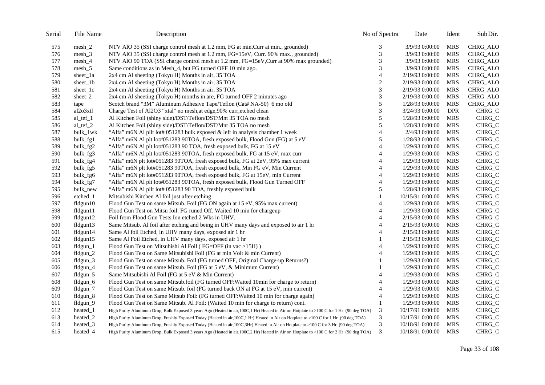| Serial | File Name      | Description                                                                                                                               | No of Spectra            | Date             | Ident      | Sub Dir. |
|--------|----------------|-------------------------------------------------------------------------------------------------------------------------------------------|--------------------------|------------------|------------|----------|
| 575    | $mesh_2$       | NTV AlO 35 (SSI charge control mesh at 1.2 mm, FG at min, Curr at min., grounded)                                                         | 3                        | 3/9/93 0:00:00   | <b>MRS</b> | CHRG_ALO |
| 576    | $mesh_3$       | NTV AlO 35 (SSI charge control mesh at 1.2 mm, FG=15eV, Curr. 90% max., grounded)                                                         | 3                        | 3/9/93 0:00:00   | <b>MRS</b> | CHRG_ALO |
| 577    | mesh_4         | NTV AlO 90 TOA (SSI charge control mesh at 1.2 mm, FG=15eV, Curr at 90% max grounded)                                                     | 3                        | 3/9/93 0:00:00   | <b>MRS</b> | CHRG_ALO |
| 578    | $mesh_5$       | Same conditions as in Mesh_4, but FG turned OFF 10 min ago.                                                                               | 3                        | 3/9/93 0:00:00   | <b>MRS</b> | CHRG_ALO |
| 579    | sheet_1a       | 2x4 cm Al sheeting (Tokyu H) Months in air, 35 TOA                                                                                        | $\overline{\mathcal{L}}$ | 2/19/93 0:00:00  | <b>MRS</b> | CHRG_ALO |
| 580    | sheet_1b       | 2x4 cm Al sheeting (Tokyu H) Months in air, 35 TOA                                                                                        | $\overline{c}$           | 2/19/93 0:00:00  | <b>MRS</b> | CHRG_ALO |
| 581    | sheet_1c       | 2x4 cm Al sheeting (Tokyu H) Months in air, 35 TOA                                                                                        | 3                        | 2/19/93 0:00:00  | <b>MRS</b> | CHRG_ALO |
| 582    | sheet_ $2$     | 2x4 cm Al sheeting (Tokyu H) months in are, FG turned OFF 2 minutes ago                                                                   | 3                        | 2/19/93 0:00:00  | <b>MRS</b> | CHRG_ALO |
| 583    | tape           | Scotch brand "3M" Aluminum Adhesive Tape/Teflon (Cat# NA-50) 6 mo old                                                                     | $\sqrt{5}$               | 1/28/93 0:00:00  | <b>MRS</b> | CHRG_ALO |
| 584    | al2o3xtl       | Charge Test of Al2O3 "xtal" no mesh, at edge, 90% curr, etched clean                                                                      | 3                        | 3/24/93 0:00:00  | DPR        | CHRG_C   |
| 585    | al tef $1$     | Al Kitchen Foil (shiny side)/DST/Teflon/DST/Mnt 35 TOA no mesh                                                                            | 5                        | 1/28/93 0:00:00  | <b>MRS</b> | CHRG_C   |
| 586    | al_tef_2       | Al Kitchen Foil (shiny side)/DST/Teflon/DST/Mnt 35 TOA no mesh                                                                            | 5                        | 1/28/93 0:00:00  | <b>MRS</b> | CHRG_C   |
| 587    | bulk_1wk       | "Alfa" m6N Al pllt lot# 051283 bulk exposed & left in analysis chamber 1 week                                                             | 4                        | 2/4/93 0:00:00   | <b>MRS</b> | CHRG_C   |
| 588    | bulk_fg1       | "Alfa" m6N Al plt lot#051283 90TOA, fresh exposed bulk, Flood Gun (FG) at 5 eV                                                            | 5                        | 1/28/93 0:00:00  | <b>MRS</b> | CHRG_C   |
| 589    | bulk_fg2       | "Alfa" m6N Al plt lot#051283 90 TOA, fresh exposed bulk, FG at 15 eV                                                                      | $\overline{4}$           | 1/29/93 0:00:00  | <b>MRS</b> | CHRG_C   |
| 590    | bulk_fg3       | "Alfa" m6N Al plt lot#051283 90TOA, fresh exposed bulk, FG at 15 eV, max curr                                                             | 4                        | 1/29/93 0:00:00  | <b>MRS</b> | CHRG_C   |
| 591    | bulk fg4       | "Alfa" m6N plt lot#051283 90TOA, fresh exposed bulk, FG at 2eV, 95% max current                                                           | 4                        | 1/29/93 0:00:00  | <b>MRS</b> | CHRG_C   |
| 592    | bulk_fg5       | "Alfa" m6N plt lot#051283 90TOA, fresh exposed bulk, Min FG eV, Min Current                                                               | $\overline{4}$           | 1/29/93 0:00:00  | <b>MRS</b> | CHRG_C   |
| 593    | bulk_fg6       | "Alfa" m6N plt lot#051283 90TOA, fresh exposed bulk, FG at 15eV, min Current                                                              | 4                        | 1/29/93 0:00:00  | <b>MRS</b> | CHRG_C   |
| 594    | bulk_fg7       | "Alfa" m6N Al plt lot#051283 90TOA, fresh exposed bulk, Flood Gun Turned OFF                                                              | 4                        | 1/29/93 0:00:00  | <b>MRS</b> | CHRG_C   |
| 595    | bulk_new       | "Alfa" m6N Al pllt lot# 051283 90 TOA, freshly exposed bulk                                                                               | 5                        | 1/28/93 0:00:00  | <b>MRS</b> | CHRG_C   |
| 596    | etched_1       | Mitsubishi Kitchen Al foil just after etching                                                                                             | 1                        | 10/15/91 0:00:00 | <b>MRS</b> | CHRG_C   |
| 597    | $f$ ldgun $10$ | Flood Gun Test on same Mitsub. Foil (FG ON again at 15 eV, 95% max current)                                                               | 4                        | 1/29/93 0:00:00  | <b>MRS</b> | CHRG_C   |
| 598    | fldgun11       | Flood Gun Test on Mitsu foil. FG runed Off. Waited 10 min for chargeup                                                                    | 4                        | 1/29/93 0:00:00  | <b>MRS</b> | CHRG_C   |
| 599    | fldgun12       | Foil from Flood Gun Tests. Ion etched. 2 Wks in UHV.                                                                                      | $\overline{4}$           | 2/15/93 0:00:00  | <b>MRS</b> | CHRG_C   |
| 600    | $f1$ dgun $13$ | Same Mitsub. Al foil after etching and being in UHV many days and exposed to air 1 hr                                                     | 4                        | 2/15/93 0:00:00  | <b>MRS</b> | CHRG_C   |
| 601    | fldgun14       | Same Al foil Etched, in UHV many days, exposed air 1 hr                                                                                   | 4                        | 2/15/93 0:00:00  | <b>MRS</b> | CHRG_C   |
| 602    | $f$ ldgun $15$ | Same Al Foil Etched, in UHV many days, exposed air 1 hr                                                                                   |                          | 2/15/93 0:00:00  | <b>MRS</b> | CHRG_C   |
| 603    | $fldgun_1$     | Flood Gun Test on Mitsubishi Al Foil (FG=OFF (in vac >15H))                                                                               | 4                        | 1/29/93 0:00:00  | <b>MRS</b> | CHRG_C   |
| 604    | $fldgun_2$     | Flood Gun Test on Same Mitsubishi Foil (FG at min Volt & min Current)                                                                     | 4                        | 1/29/93 0:00:00  | <b>MRS</b> | CHRG_C   |
| 605    | $fldgun_3$     | Flood Gun Test on same Mitsub. Foil (FG turned OFF, Original Charge-up Returns?)                                                          |                          | 1/29/93 0:00:00  | <b>MRS</b> | CHRG_C   |
| 606    | fldgun_4       | Flood Gun Test on same Mitsub. Foil (FG at 5 eV, & Minimum Current)                                                                       |                          | 1/29/93 0:00:00  | <b>MRS</b> | CHRG_C   |
| 607    | fldgun_5       | Same Mitsubishi Al Foil (FG at 5 eV & Min Current)                                                                                        | 4                        | 1/29/93 0:00:00  | <b>MRS</b> | CHRG_C   |
| 608    | fldgun_6       | Flood Gun Test on same Mitsub.foil (FG turned OFF: Waited 10min for charge to return)                                                     | 4                        | 1/29/93 0:00:00  | <b>MRS</b> | CHRG_C   |
| 609    | fldgun_7       | Flood Gun Test on same Mitsub. foil (FG turned back ON at FG at 15 eV, min current)                                                       | 4                        | 1/29/93 0:00:00  | <b>MRS</b> | CHRG_C   |
| 610    | fldgun_8       | Flood Gun Test on Same Mitsub Foil: (FG turned OFF: Waited 10 min for charge again)                                                       | 4                        | 1/29/93 0:00:00  | <b>MRS</b> | CHRG_C   |
| 611    | fldgun_9       | Flood Gun Test on Same Mitsub. Al Foil: (Waited 10 min for charge to return) cont.                                                        | $\mathbf{1}$             | 1/29/93 0:00:00  | <b>MRS</b> | CHRG_C   |
| 612    | heated_1       | High Purity Aluminum Drop, Bulk Exposed 3 years Ago (Heated in air, 100C, 1 Hr) Heated in Air on Hotplate to >100 C for 1 Hr (90 deg TOA) | 3                        | 10/17/91 0:00:00 | <b>MRS</b> | CHRG_C   |
| 613    | heated 2       | High Purity Aluminum Drop, Freshly Exposed Today (Heated in air, 100C, 1 Hr) Heated in Air on Hotplate to >100 C for 1 Hr (90 deg TOA)    | 3                        | 10/17/91 0:00:00 | <b>MRS</b> | CHRG_C   |
| 614    | heated_3       | High Purity Aluminum Drop, Freshly Exposed Today (Heated in air, 100C, 3Hr) Heated in Air on Hotplate to >100 C for 3 Hr (90 deg TOA)     | 3                        | 10/18/91 0:00:00 | <b>MRS</b> | CHRG_C   |
| 615    | heated 4       | High Purity Aluminum Drop, Bulk Exposed 3 years Ago (Heated in air, 100C, 2 Hr) Heated in Air on Hotplate to >100 C for 2 Hr (90 deg TOA) | 3                        | 10/18/91 0:00:00 | <b>MRS</b> | CHRG_C   |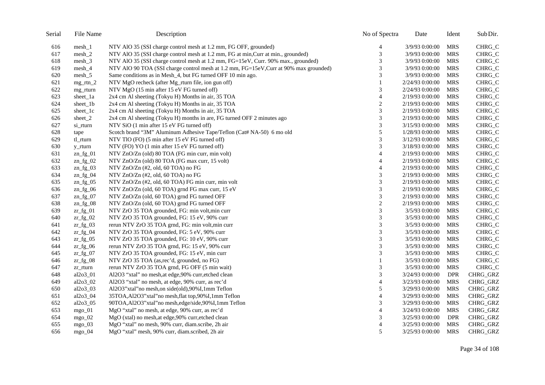| Serial | File Name   | Description                                                                           | No of Spectra               | Date            | Ident      | Sub Dir. |
|--------|-------------|---------------------------------------------------------------------------------------|-----------------------------|-----------------|------------|----------|
| 616    | $mesh_1$    | NTV AIO 35 (SSI charge control mesh at 1.2 mm, FG OFF, grounded)                      | 4                           | 3/9/93 0:00:00  | MRS        | CHRG_C   |
| 617    | $mesh_2$    | NTV AlO 35 (SSI charge control mesh at 1.2 mm, FG at min, Curr at min., grounded)     | 3                           | 3/9/93 0:00:00  | <b>MRS</b> | CHRG_C   |
| 618    | $mesh_3$    | NTV AIO 35 (SSI charge control mesh at 1.2 mm, FG=15eV, Curr. 90% max., grounded)     | 3                           | 3/9/93 0:00:00  | <b>MRS</b> | CHRG_C   |
| 619    | $mesh_4$    | NTV AlO 90 TOA (SSI charge control mesh at 1.2 mm, FG=15eV, Curr at 90% max grounded) | 3                           | 3/9/93 0:00:00  | <b>MRS</b> | CHRG_C   |
| 620    | $mesh_5$    | Same conditions as in Mesh_4, but FG turned OFF 10 min ago.                           | 3                           | 3/9/93 0:00:00  | <b>MRS</b> | CHRG_C   |
| 621    | $mg_rtn_2$  | NTV MgO recheck (after Mg_rturn file, ion gun off)                                    | 1                           | 2/24/93 0:00:00 | <b>MRS</b> | CHRG_C   |
| 622    | mg_rturn    | NTV MgO (15 min after 15 eV FG turned off)                                            | 3                           | 2/24/93 0:00:00 | MRS        | CHRG_C   |
| 623    | sheet_1a    | 2x4 cm Al sheeting (Tokyu H) Months in air, 35 TOA                                    | $\overline{4}$              | 2/19/93 0:00:00 | <b>MRS</b> | CHRG_C   |
| 624    | sheet_1b    | 2x4 cm Al sheeting (Tokyu H) Months in air, 35 TOA                                    | $\overline{c}$              | 2/19/93 0:00:00 | <b>MRS</b> | CHRG_C   |
| 625    | sheet_1c    | 2x4 cm Al sheeting (Tokyu H) Months in air, 35 TOA                                    | 3                           | 2/19/93 0:00:00 | <b>MRS</b> | CHRG_C   |
| 626    | sheet $2$   | 2x4 cm Al sheeting (Tokyu H) months in are, FG turned OFF 2 minutes ago               | 3                           | 2/19/93 0:00:00 | MRS        | CHRG_C   |
| 627    | si_rturn    | NTV SiO (1 min after 15 eV FG turned off)                                             | 3                           | 3/15/93 0:00:00 | <b>MRS</b> | CHRG_C   |
| 628    | tape        | Scotch brand "3M" Aluminum Adhesive Tape/Teflon (Cat# NA-50) 6 mo old                 | $\sqrt{5}$                  | 1/28/93 0:00:00 | <b>MRS</b> | CHRG_C   |
| 629    | tl_rturn    | NTV TlO (FO) (5 min after 15 eV FG turned off)                                        | 3                           | 3/12/93 0:00:00 | <b>MRS</b> | CHRG_C   |
| 630    | y_rturn     | NTV (FO) YO (1 min after 15 eV FG turned off)                                         | 3                           | 3/18/93 0:00:00 | <b>MRS</b> | CHRG_C   |
| 631    | $zn_fg_01$  | NTV ZnO/Zn (old) 80 TOA (FG min curr, min volt)                                       | $\overline{4}$              | 2/19/93 0:00:00 | <b>MRS</b> | CHRG_C   |
| 632    | $zn_fg_02$  | NTV ZnO/Zn (old) 80 TOA (FG max curr, 15 volt)                                        | $\overline{4}$              | 2/19/93 0:00:00 | <b>MRS</b> | CHRG_C   |
| 633    | $zn_fg_03$  | NTV ZnO/Zn (#2, old, 60 TOA) no FG                                                    | $\overline{4}$              | 2/19/93 0:00:00 | <b>MRS</b> | CHRG_C   |
| 634    | $zn_fg_04$  | NTV ZnO/Zn (#2, old, 60 TOA) no FG                                                    | 3                           | 2/19/93 0:00:00 | <b>MRS</b> | CHRG_C   |
| 635    | $zn_fg_05$  | NTV ZnO/Zn (#2, old, 60 TOA) FG min curr, min volt                                    | 3                           | 2/19/93 0:00:00 | <b>MRS</b> | CHRG_C   |
| 636    | $zn_fg_06$  | NTV ZnO/Zn (old, 60 TOA) grnd FG max curr, 15 eV                                      | 3                           | 2/19/93 0:00:00 | <b>MRS</b> | CHRG_C   |
| 637    | $zn_fg_07$  | NTV ZnO/Zn (old, 60 TOA) grnd FG turned OFF                                           | 3                           | 2/19/93 0:00:00 | <b>MRS</b> | CHRG_C   |
| 638    | $zn_fg_08$  | NTV ZnO/Zn (old, 60 TOA) grnd FG turned OFF                                           | $\overline{c}$              | 2/19/93 0:00:00 | <b>MRS</b> | CHRG_C   |
| 639    | $z$ r_fg_01 | NTV ZrO 35 TOA grounded, FG: min volt, min curr                                       | 3                           | 3/5/93 0:00:00  | <b>MRS</b> | CHRG_C   |
| 640    | $z$ r_fg_02 | NTV ZrO 35 TOA grounded, FG: 15 eV, 90% curr                                          | 3                           | 3/5/93 0:00:00  | <b>MRS</b> | CHRG_C   |
| 641    | $zr_{fg_0}$ | rerun NTV ZrO 35 TOA grnd, FG: min volt, min curr                                     | 3                           | 3/5/93 0:00:00  | <b>MRS</b> | CHRG_C   |
| 642    | $z$ r_fg_04 | NTV ZrO 35 TOA grounded, FG: 5 eV, 90% curr                                           | 3                           | 3/5/93 0:00:00  | <b>MRS</b> | CHRG_C   |
| 643    | $zr_{fg_0}$ | NTV ZrO 35 TOA grounded, FG: 10 eV, 90% curr                                          | 3                           | 3/5/93 0:00:00  | <b>MRS</b> | CHRG_C   |
| 644    | $z$ r_fg_06 | rerun NTV ZrO 35 TOA grnd, FG: 15 eV, 90% curr                                        | 3                           | 3/5/93 0:00:00  | <b>MRS</b> | CHRG_C   |
| 645    | $z$ r_fg_07 | NTV ZrO 35 TOA grounded, FG: 15 eV, min curr                                          | 3                           | 3/5/93 0:00:00  | <b>MRS</b> | CHRG_C   |
| 646    | $z$ r_fg_08 | NTV ZrO 35 TOA (as,rec'd, grounded, no FG)                                            | $\mathbf{1}$                | 3/5/93 0:00:00  | <b>MRS</b> | CHRG_C   |
| 647    | zr_rturn    | rerun NTV ZrO 35 TOA grnd, FG OFF (5 min wait)                                        | $\ensuremath{\mathfrak{Z}}$ | 3/5/93 0:00:00  | <b>MRS</b> | CHRG_C   |
| 648    | al2o3_01    | Al2O3 "xtal" no mesh, at edge, 90% curr, etched clean                                 | 3                           | 3/24/93 0:00:00 | DPR        | CHRG_GRZ |
| 649    | al2o3_02    | Al2O3 "xtal" no mesh, at edge, 90% curr, as rec'd                                     | $\overline{4}$              | 3/23/93 0:00:00 | <b>MRS</b> | CHRG_GRZ |
| 650    | $al2o3_03$  | Al2O3"xtal"no mesh,on side(old),90%I,1mm Teflon                                       | 5                           | 3/29/93 0:00:00 | <b>MRS</b> | CHRG_GRZ |
| 651    | al2o3_04    | 35TOA, Al2O3"xtal"no mesh, flat top, 90% I, 1mm Teflon                                | $\overline{4}$              | 3/29/93 0:00:00 | <b>MRS</b> | CHRG_GRZ |
| 652    | al2o3_05    | 90TOA, Al2O3"xtal"no mesh, edge/side, 90% I, 1mm Teflon                               | 3                           | 3/29/93 0:00:00 | <b>MRS</b> | CHRG_GRZ |
| 653    | $mgo_01$    | MgO "xtal" no mesh, at edge, 90% curr, as rec'd                                       | $\overline{4}$              | 3/24/93 0:00:00 | <b>MRS</b> | CHRG_GRZ |
| 654    | $mgo_02$    | MgO (xtal) no mesh, at edge, 90% curr, etched clean                                   | 3                           | 3/25/93 0:00:00 | DPR        | CHRG_GRZ |
| 655    | mgo $03$    | MgO "xtal" no mesh, 90% curr, diam.scribe, 2h air                                     | $\overline{4}$              | 3/25/93 0:00:00 | <b>MRS</b> | CHRG_GRZ |
| 656    | $mgo_04$    | MgO "xtal" mesh, 90% curr, diam.scribed, 2h air                                       | 5                           | 3/25/93 0:00:00 | MRS        | CHRG_GRZ |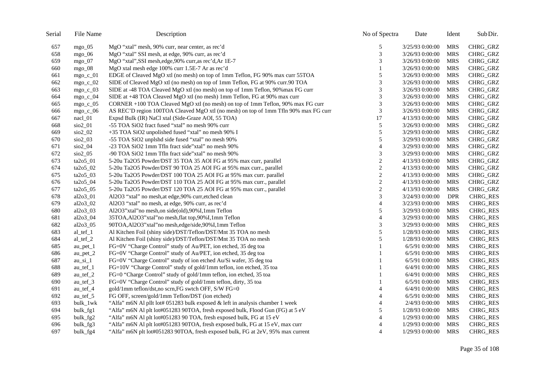| Serial | File Name                      | Description                                                                         | No of Spectra               | Date            | Ident      | Sub Dir.        |
|--------|--------------------------------|-------------------------------------------------------------------------------------|-----------------------------|-----------------|------------|-----------------|
| 657    | mgo $05$                       | MgO "xtal" mesh, 90% curr, near center, as rec'd                                    | 5                           | 3/25/93 0:00:00 | <b>MRS</b> | CHRG_GRZ        |
| 658    | $mgo_0$                        | MgO "xtal" SSI mesh, at edge, 90% curr, as rec'd                                    | 3                           | 3/26/93 0:00:00 | <b>MRS</b> | CHRG_GRZ        |
| 659    | mgo $07$                       | MgO "xtal", SSI mesh, edge, 90% curr, as rec'd, Ar 1E-7                             | 3                           | 3/26/93 0:00:00 | <b>MRS</b> | CHRG_GRZ        |
| 660    | mgo $_0$ 8                     | MgO xtal mesh edge 100% curr 1.5E-7 Ar as rec'd                                     | 1                           | 3/26/93 0:00:00 | MRS        | CHRG_GRZ        |
| 661    | mgo c $01$                     | EDGE of Cleaved MgO xtl (no mesh) on top of 1mm Teflon, FG 90% max curr 55TOA       | 5                           | 3/26/93 0:00:00 | <b>MRS</b> | CHRG_GRZ        |
| 662    | $mgo_c_02$                     | SIDE of Cleaved MgO xtl (no mesh) on top of 1mm Teflon, FG at 90% curr.90 TOA       | 3                           | 3/26/93 0:00:00 | <b>MRS</b> | CHRG_GRZ        |
| 663    | $mgo_c_03$                     | SIDE at -48 TOA Cleaved MgO xtl (no mesh) on top of 1mm Teflon, 90% max FG curr     | 3                           | 3/26/93 0:00:00 | MRS        | CHRG_GRZ        |
| 664    | $mgo_c_04$                     | SIDE at +48 TOA Cleaved MgO xtl (no mesh) 1mm Teflon, FG at 90% max curr            | 3                           | 3/26/93 0:00:00 | <b>MRS</b> | CHRG_GRZ        |
| 665    | $mgo_c_05$                     | CORNER +100 TOA Cleaved MgO xtl (no mesh) on top of 1mm Teflon, 90% max FG curr     | $\ensuremath{\mathfrak{Z}}$ | 3/26/93 0:00:00 | <b>MRS</b> | CHRG_GRZ        |
| 666    | $mgo_c_0$                      | AS REC'D region 100TOA Cleaved MgO xtl (no mesh) on top of 1mm Tfln 90% max FG curr | 3                           | 3/26/93 0:00:00 | <b>MRS</b> | CHRG_GRZ        |
| 667    | $nac1_01$                      | Expsd Bulk (IR) NaCl xtal (Side-Graze AOI, 55 TOA)                                  | 17                          | 4/13/93 0:00:00 | <b>MRS</b> | CHRG_GRZ        |
| 668    | sio2_01                        | -55 TOA SiO2 fract fused "xtal" no mesh 90% curr                                    | 5                           | 3/26/93 0:00:00 | <b>MRS</b> | CHRG_GRZ        |
| 669    | sio2_02                        | +35 TOA SiO2 unpolished fused "xtal" no mesh 90% I                                  | 5                           | 3/29/93 0:00:00 | <b>MRS</b> | CHRG_GRZ        |
| 670    | $\sin 2$ 03                    | -55 TOA SiO2 unplshd side fused "xtal" no mesh 90%                                  | 5                           | 3/29/93 0:00:00 | MRS        | CHRG_GRZ        |
| 671    | $\frac{\text{SiO2}}{04}$       | -23 TOA SiO2 1mm Tfln fract side"xtal" no mesh 90%                                  | $\overline{4}$              | 3/29/93 0:00:00 | <b>MRS</b> | CHRG_GRZ        |
| 672    | $\frac{\text{SiO2}}{0.05}$     | -90 TOA SiO2 1mm Tfln fract side"xtal" no mesh 90%                                  | 3                           | 3/29/93 0:00:00 | MRS        | CHRG_GRZ        |
| 673    | ta2o5_01                       | 5-20u Ta2O5 Powder/DST 35 TOA 35 AOI FG at 95% max curr, parallel                   | $\sqrt{2}$                  | 4/13/93 0:00:00 | <b>MRS</b> | CHRG_GRZ        |
| 674    | ta2o5_02                       | 5-20u Ta2O5 Powder/DST 90 TOA 25 AOI FG at 95% max curr., parallel                  | $\mathbf{2}$                | 4/13/93 0:00:00 | <b>MRS</b> | CHRG_GRZ        |
| 675    | $ta2o5_03$                     | 5-20u Ta2O5 Powder/DST 100 TOA 25 AOI FG at 95% max curr. parallel                  | $\boldsymbol{2}$            | 4/13/93 0:00:00 | MRS        | CHRG_GRZ        |
| 676    | $ta2o5_04$                     | 5-20u Ta2O5 Powder/DST 110 TOA 25 AOI FG at 95% max curr., parallel                 | $\overline{c}$              | 4/13/93 0:00:00 | <b>MRS</b> | CHRG_GRZ        |
| 677    | ta2o5_05                       | 5-20u Ta2O5 Powder/DST 120 TOA 25 AOI FG at 95% max curr., parallel                 | $\overline{c}$              | 4/13/93 0:00:00 | MRS        | CHRG_GRZ        |
| 678    | al2o3_01                       | Al2O3 "xtal" no mesh, at edge, 90% curr, etched clean                               | 3                           | 3/24/93 0:00:00 | <b>DPR</b> | <b>CHRG_RES</b> |
| 679    | $al2o3_02$                     | Al2O3 "xtal" no mesh, at edge, 90% curr, as rec'd                                   | $\overline{4}$              | 3/23/93 0:00:00 | MRS        | CHRG_RES        |
| 680    | al2o3_03                       | Al2O3"xtal" no mesh, on side (old), 90% I, 1mm Teflon                               | 5                           | 3/29/93 0:00:00 | <b>MRS</b> | <b>CHRG_RES</b> |
| 681    | al2o3_04                       | 35TOA, Al2O3"xtal"no mesh, flat top, 90% I, 1mm Teflon                              | $\overline{4}$              | 3/29/93 0:00:00 | <b>MRS</b> | <b>CHRG_RES</b> |
| 682    | $al2o3_05$                     | 90TOA, Al2O3" xtal" no mesh, edge/side, 90% I, 1mm Teflon                           | 3                           | 3/29/93 0:00:00 | <b>MRS</b> | CHRG_RES        |
| 683    | al tef 1                       | Al Kitchen Foil (shiny side)/DST/Teflon/DST/Mnt 35 TOA no mesh                      | 5                           | 1/28/93 0:00:00 | <b>MRS</b> | CHRG_RES        |
| 684    | al_tef_2                       | Al Kitchen Foil (shiny side)/DST/Teflon/DST/Mnt 35 TOA no mesh                      | 5                           | 1/28/93 0:00:00 | <b>MRS</b> | <b>CHRG_RES</b> |
| 685    | $au_{pet\_1}$                  | FG=0V "Charge Control" study of Au/PET, ion etched, 35 deg toa                      | 1                           | 6/5/91 0:00:00  | <b>MRS</b> | <b>CHRG_RES</b> |
| 686    | $au_{pet_2}$                   | FG=0V "Charge Control" study of Au/PET, ion etched, 35 deg toa                      | 1                           | 6/5/91 0:00:00  | <b>MRS</b> | <b>CHRG_RES</b> |
| 687    | $au$ <sub>si</sub> $1$         | FG=0V "Charge Control" study of ion etched Au/Si wafer, 35 deg toa                  | 1                           | 6/5/91 0:00:00  | <b>MRS</b> | CHRG_RES        |
| 688    | au tef 1                       | FG=10V "Charge Control" study of gold/1mm teflon, ion etched, 35 toa                |                             | 6/4/91 0:00:00  | <b>MRS</b> | <b>CHRG_RES</b> |
| 689    | $au_{\text{ref}}$ <sub>2</sub> | FG=0 "Charge Control" study of gold/1mm teflon, ion etched, 35 toa                  | 1                           | 6/4/91 0:00:00  | <b>MRS</b> | <b>CHRG_RES</b> |
| 690    | au tef 3                       | FG=0V "Charge Control" study of gold/1mm teflon, dirty, 35 toa                      |                             | 6/5/91 0:00:00  | <b>MRS</b> | <b>CHRG_RES</b> |
| 691    | $au_{\text{ref}}$ 4            | gold/1mm teflon/dst,no scrn,FG swtch OFF, S/W FG=0                                  | $\overline{4}$              | 6/4/91 0:00:00  | MRS        | <b>CHRG_RES</b> |
| 692    | $au_{\text{ref}}$ 5            | FG OFF, screen/gold/1mm Teflon/DST (ion etched)                                     | $\overline{4}$              | 6/5/91 0:00:00  | <b>MRS</b> | CHRG_RES        |
| 693    | bulk_1wk                       | "Alfa" m6N Al pllt lot# 051283 bulk exposed & left in analysis chamber 1 week       | $\overline{4}$              | 2/4/93 0:00:00  | <b>MRS</b> | <b>CHRG_RES</b> |
| 694    | bulk_fg1                       | "Alfa" m6N Al plt lot#051283 90TOA, fresh exposed bulk, Flood Gun (FG) at 5 eV      | 5                           | 1/28/93 0:00:00 | <b>MRS</b> | CHRG_RES        |
| 695    | bulk_fg2                       | "Alfa" m6N Al plt lot#051283 90 TOA, fresh exposed bulk, FG at 15 eV                | $\overline{4}$              | 1/29/93 0:00:00 | <b>MRS</b> | CHRG_RES        |
| 696    | bulk_fg3                       | "Alfa" m6N Al plt lot#051283 90TOA, fresh exposed bulk, FG at 15 eV, max curr       | 4                           | 1/29/93 0:00:00 | <b>MRS</b> | CHRG_RES        |
| 697    | bulk_fg4                       | "Alfa" m6N plt lot#051283 90TOA, fresh exposed bulk, FG at 2eV, 95% max current     | $\overline{4}$              | 1/29/93 0:00:00 | <b>MRS</b> | <b>CHRG_RES</b> |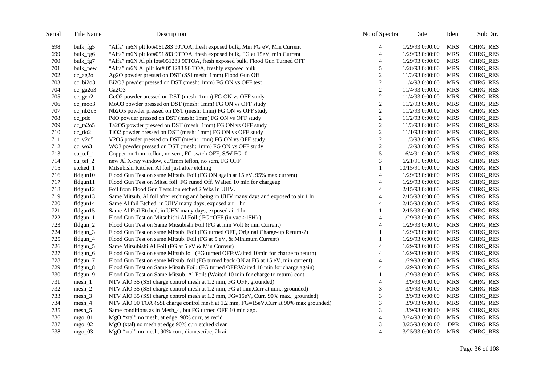| Serial | File Name           | Description                                                                           | No of Spectra               | Date             | Ident      | Sub Dir.        |
|--------|---------------------|---------------------------------------------------------------------------------------|-----------------------------|------------------|------------|-----------------|
| 698    | bulk_fg5            | "Alfa" m6N plt lot#051283 90TOA, fresh exposed bulk, Min FG eV, Min Current           | 4                           | 1/29/93 0:00:00  | <b>MRS</b> | CHRG_RES        |
| 699    | bulk_fg6            | "Alfa" m6N plt lot#051283 90TOA, fresh exposed bulk, FG at 15eV, min Current          | $\overline{4}$              | 1/29/93 0:00:00  | <b>MRS</b> | <b>CHRG_RES</b> |
| 700    | bulk_fg7            | "Alfa" m6N Al plt lot#051283 90TOA, fresh exposed bulk, Flood Gun Turned OFF          | $\overline{4}$              | 1/29/93 0:00:00  | <b>MRS</b> | CHRG_RES        |
| 701    | bulk_new            | "Alfa" m6N Al pllt lot# 051283 90 TOA, freshly exposed bulk                           | 5                           | 1/28/93 0:00:00  | <b>MRS</b> | <b>CHRG_RES</b> |
| 702    | cc_ag2o             | Ag2O powder pressed on DST (SSI mesh: 1mm) Flood Gun Off                              | $\sqrt{2}$                  | 11/3/93 0:00:00  | <b>MRS</b> | CHRG_RES        |
| 703    | cc_bi2o3            | Bi2O3 powder pressed on DST (mesh: 1mm) FG ON vs OFF test                             | $\mathbf{2}$                | 11/4/93 0:00:00  | <b>MRS</b> | <b>CHRG_RES</b> |
| 704    | cc_ga2o3            | Ga2O3                                                                                 | $\sqrt{2}$                  | 11/4/93 0:00:00  | <b>MRS</b> | <b>CHRG_RES</b> |
| 705    | cc_geo2             | GeO2 powder pressed on DST (mesh: 1mm) FG ON vs OFF study                             | $\sqrt{2}$                  | 11/4/93 0:00:00  | <b>MRS</b> | CHRG_RES        |
| 706    | $cc$ moo3           | MoO3 powder pressed on DST (mesh: 1mm) FG ON vs OFF study                             | $\mathbf{2}$                | 11/2/93 0:00:00  | <b>MRS</b> | <b>CHRG_RES</b> |
| 707    | $cc_{nb}2o5$        | Nb2O5 powder pressed on DST (mesh: 1mm) FG ON vs OFF study                            | $\overline{2}$              | 11/2/93 0:00:00  | <b>MRS</b> | CHRG_RES        |
| 708    | $cc_p$ do           | PdO powder pressed on DST (mesh: 1mm) FG ON vs OFF study                              | $\sqrt{2}$                  | 11/2/93 0:00:00  | <b>MRS</b> | <b>CHRG_RES</b> |
| 709    | $cc_$ ta2 $o5$      | Ta2O5 powder pressed on DST (mesh: 1mm) FG ON vs OFF study                            | 2                           | 11/3/93 0:00:00  | <b>MRS</b> | CHRG_RES        |
| 710    | cc_tio2             | TiO2 powder pressed on DST (mesh: 1mm) FG ON vs OFF study                             | $\sqrt{2}$                  | 11/1/93 0:00:00  | <b>MRS</b> | <b>CHRG_RES</b> |
| 711    | $cc_v2o5$           | V2O5 powder pressed on DST (mesh: 1mm) FG ON vs OFF study                             | $\mathbf{2}$                | 11/3/93 0:00:00  | <b>MRS</b> | CHRG_RES        |
| 712    | $cc$ wo $3$         | WO3 powder pressed on DST (mesh: 1mm) FG ON vs OFF study                              | $\sqrt{2}$                  | 11/2/93 0:00:00  | <b>MRS</b> | <b>CHRG_RES</b> |
| 713    | $cu_{\text{ref}}1$  | Copper on 1mm teflon, no scrn, FG swtch OFF, S/W FG=0                                 | $\sqrt{5}$                  | 6/4/91 0:00:00   | <b>MRS</b> | <b>CHRG_RES</b> |
| 714    | $cu_{\text{ref}}$ 2 | new Al X-ray window, cu/1mm teflon, no scrn, FG OFF                                   | 3                           | 6/21/91 0:00:00  | <b>MRS</b> | <b>CHRG_RES</b> |
| 715    | etched_1            | Mitsubishi Kitchen Al foil just after etching                                         |                             | 10/15/91 0:00:00 | <b>MRS</b> | CHRG_RES        |
| 716    | fldgun10            | Flood Gun Test on same Mitsub. Foil (FG ON again at 15 eV, 95% max current)           | $\overline{A}$              | 1/29/93 0:00:00  | <b>MRS</b> | CHRG_RES        |
| 717    | fldgun11            | Flood Gun Test on Mitsu foil. FG runed Off. Waited 10 min for chargeup                | 4                           | 1/29/93 0:00:00  | <b>MRS</b> | CHRG_RES        |
| 718    | fldgun12            | Foil from Flood Gun Tests. Ion etched. 2 Wks in UHV.                                  | $\overline{A}$              | 2/15/93 0:00:00  | <b>MRS</b> | <b>CHRG_RES</b> |
| 719    | fldgun13            | Same Mitsub. Al foil after etching and being in UHV many days and exposed to air 1 hr | 4                           | 2/15/93 0:00:00  | <b>MRS</b> | <b>CHRG_RES</b> |
| 720    | fldgun14            | Same Al foil Etched, in UHV many days, exposed air 1 hr                               | $\boldsymbol{\varDelta}$    | 2/15/93 0:00:00  | <b>MRS</b> | <b>CHRG_RES</b> |
| 721    | fldgun15            | Same Al Foil Etched, in UHV many days, exposed air 1 hr                               |                             | 2/15/93 0:00:00  | <b>MRS</b> | <b>CHRG_RES</b> |
| 722    | fldgun_1            | Flood Gun Test on Mitsubishi Al Foil (FG=OFF (in vac >15H))                           | $\overline{A}$              | 1/29/93 0:00:00  | <b>MRS</b> | <b>CHRG_RES</b> |
| 723    | fldgun_2            | Flood Gun Test on Same Mitsubishi Foil (FG at min Volt & min Current)                 | 4                           | 1/29/93 0:00:00  | <b>MRS</b> | CHRG_RES        |
| 724    | fldgun_3            | Flood Gun Test on same Mitsub. Foil (FG turned OFF, Original Charge-up Returns?)      |                             | 1/29/93 0:00:00  | <b>MRS</b> | CHRG_RES        |
| 725    | fldgun_4            | Flood Gun Test on same Mitsub. Foil (FG at 5 eV, & Minimum Current)                   |                             | 1/29/93 0:00:00  | <b>MRS</b> | <b>CHRG_RES</b> |
| 726    | fldgun_5            | Same Mitsubishi Al Foil (FG at 5 eV & Min Current)                                    | $\overline{4}$              | 1/29/93 0:00:00  | <b>MRS</b> | CHRG_RES        |
| 727    | fldgun_6            | Flood Gun Test on same Mitsub.foil (FG turned OFF: Waited 10min for charge to return) | 4                           | 1/29/93 0:00:00  | <b>MRS</b> | CHRG_RES        |
| 728    | fldgun_7            | Flood Gun Test on same Mitsub. foil (FG turned back ON at FG at 15 eV, min current)   | $\overline{4}$              | 1/29/93 0:00:00  | <b>MRS</b> | <b>CHRG_RES</b> |
| 729    | $fldgun_8$          | Flood Gun Test on Same Mitsub Foil: (FG turned OFF: Waited 10 min for charge again)   | $\overline{4}$              | 1/29/93 0:00:00  | <b>MRS</b> | <b>CHRG_RES</b> |
| 730    | fldgun_9            | Flood Gun Test on Same Mitsub. Al Foil: (Waited 10 min for charge to return) cont.    | 1                           | 1/29/93 0:00:00  | <b>MRS</b> | <b>CHRG_RES</b> |
| 731    | $mesh_1$            | NTV AlO 35 (SSI charge control mesh at 1.2 mm, FG OFF, grounded)                      | $\overline{4}$              | 3/9/93 0:00:00   | <b>MRS</b> | CHRG_RES        |
| 732    | $mesh_2$            | NTV AlO 35 (SSI charge control mesh at 1.2 mm, FG at min, Curr at min., grounded)     | 3                           | 3/9/93 0:00:00   | <b>MRS</b> | CHRG_RES        |
| 733    | $mesh_3$            | NTV AlO 35 (SSI charge control mesh at 1.2 mm, FG=15eV, Curr. 90% max., grounded)     | $\ensuremath{\mathfrak{Z}}$ | 3/9/93 0:00:00   | <b>MRS</b> | <b>CHRG_RES</b> |
| 734    | $mesh_4$            | NTV AlO 90 TOA (SSI charge control mesh at 1.2 mm, FG=15eV, Curr at 90% max grounded) | 3                           | 3/9/93 0:00:00   | <b>MRS</b> | <b>CHRG_RES</b> |
| 735    | $mesh_5$            | Same conditions as in Mesh_4, but FG turned OFF 10 min ago.                           | $\mathfrak{Z}$              | 3/9/93 0:00:00   | <b>MRS</b> | <b>CHRG_RES</b> |
| 736    | $mgo_01$            | MgO "xtal" no mesh, at edge, 90% curr, as rec'd                                       | $\overline{4}$              | 3/24/93 0:00:00  | <b>MRS</b> | CHRG_RES        |
| 737    | $mgo$ 02            | MgO (xtal) no mesh, at edge, 90% curr, etched clean                                   | 3                           | 3/25/93 0:00:00  | <b>DPR</b> | <b>CHRG RES</b> |
| 738    | $mgo_03$            | MgO "xtal" no mesh, 90% curr, diam.scribe, 2h air                                     | $\overline{4}$              | 3/25/93 0:00:00  | <b>MRS</b> | <b>CHRG_RES</b> |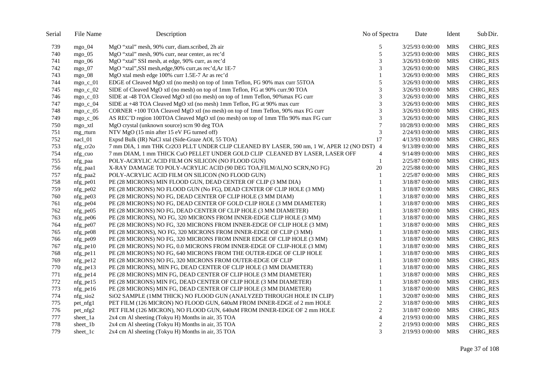| Serial | File Name         | Description                                                                                | No of Spectra               | Date             | Ident      | Sub Dir.        |
|--------|-------------------|--------------------------------------------------------------------------------------------|-----------------------------|------------------|------------|-----------------|
| 739    | $mgo$ 04          | MgO "xtal" mesh, 90% curr, diam.scribed, 2h air                                            | 5                           | 3/25/93 0:00:00  | <b>MRS</b> | <b>CHRG_RES</b> |
| 740    | $mgo_05$          | MgO "xtal" mesh, 90% curr, near center, as rec'd                                           | 5                           | 3/25/93 0:00:00  | <b>MRS</b> | <b>CHRG_RES</b> |
| 741    | mgo $06$          | MgO "xtal" SSI mesh, at edge, 90% curr, as rec'd                                           | 3                           | 3/26/93 0:00:00  | <b>MRS</b> | <b>CHRG_RES</b> |
| 742    | mgo $_0$ 7        | MgO "xtal", SSI mesh, edge, 90% curr, as rec'd, Ar 1E-7                                    | 3                           | 3/26/93 0:00:00  | MRS        | <b>CHRG_RES</b> |
| 743    | mgo $08$          | MgO xtal mesh edge 100% curr 1.5E-7 Ar as rec'd                                            |                             | 3/26/93 0:00:00  | <b>MRS</b> | <b>CHRG_RES</b> |
| 744    | mgo c $01$        | EDGE of Cleaved MgO xtl (no mesh) on top of 1mm Teflon, FG 90% max curr 55TOA              | 5                           | 3/26/93 0:00:00  | <b>MRS</b> | <b>CHRG_RES</b> |
| 745    | $mgo_c_02$        | SIDE of Cleaved MgO xtl (no mesh) on top of 1mm Teflon, FG at 90% curr.90 TOA              | 3                           | 3/26/93 0:00:00  | MRS        | <b>CHRG_RES</b> |
| 746    | $mgo_c_03$        | SIDE at -48 TOA Cleaved MgO xtl (no mesh) on top of 1mm Teflon, 90% max FG curr            | 3                           | 3/26/93 0:00:00  | <b>MRS</b> | <b>CHRG_RES</b> |
| 747    | $mgo_c_04$        | SIDE at +48 TOA Cleaved MgO xtl (no mesh) 1mm Teflon, FG at 90% max curr                   | $\ensuremath{\mathfrak{Z}}$ | 3/26/93 0:00:00  | <b>MRS</b> | <b>CHRG_RES</b> |
| 748    | $mgo_c_05$        | CORNER +100 TOA Cleaved MgO xtl (no mesh) on top of 1mm Teflon, 90% max FG curr            | 3                           | 3/26/93 0:00:00  | <b>MRS</b> | <b>CHRG_RES</b> |
| 749    | mgo_c_06          | AS REC'D region 100TOA Cleaved MgO xtl (no mesh) on top of 1mm Tfln 90% max FG curr        | 3                           | 3/26/93 0:00:00  | <b>MRS</b> | <b>CHRG RES</b> |
| 750    | mgo_xtl           | MgO crystal (unknown source) scrn 90 deg TOA                                               | $\overline{7}$              | 10/28/93 0:00:00 | <b>MRS</b> | <b>CHRG_RES</b> |
| 751    | mg rturn          | NTV MgO (15 min after 15 eV FG turned off)                                                 | 3                           | 2/24/93 0:00:00  | <b>MRS</b> | <b>CHRG_RES</b> |
| 752    | nacl_01           | Expsd Bulk (IR) NaCl xtal (Side-Graze AOI, 55 TOA)                                         | 17                          | 4/13/93 0:00:00  | <b>MRS</b> | <b>CHRG_RES</b> |
| 753    | $nfg$ cr2o        | 7 mm DIA, 1 mm THK Cr2O3 PLLT UNDER CLIP CLEANED BY LASER, 590 nm, 1 W, APER 12 (NO DST) 4 |                             | 9/13/89 0:00:00  | <b>MRS</b> | <b>CHRG_RES</b> |
| 754    | $nfg_cuo$         | 7 mm DIAM, 1 mm THICK CuO PELLET UNDER GOLD CLIP CLEANED BY LASER, LASER OFF               | 4                           | 9/14/89 0:00:00  | <b>MRS</b> | <b>CHRG_RES</b> |
| 755    | nfg paa           | POLY-ACRYLIC ACID FILM ON SILICON (NO FLOOD GUN)                                           | $\mathbf{1}$                | 2/25/87 0:00:00  | <b>MRS</b> | <b>CHRG_RES</b> |
| 756    | nfg_paa1          | X-RAY DAMAGE TO POLY-ACRYLIC ACID (90 DEG TOA, FILM/AI, NO SCRN, NO FG)                    | 20                          | 2/25/88 0:00:00  | <b>MRS</b> | <b>CHRG_RES</b> |
| 757    | nfg_paa2          | POLY-ACRYLIC ACID FILM ON SILICON (NO FLOOD GUN)                                           |                             | 2/25/87 0:00:00  | <b>MRS</b> | CHRG_RES        |
| 758    | $nfg$ pe $01$     | PE (28 MICRONS) MIN FLOOD GUN, DEAD CENTER OF CLIP (3 MM DIA)                              |                             | 3/18/87 0:00:00  | <b>MRS</b> | <b>CHRG_RES</b> |
| 759    | $nfg_{pe}02$      | PE (28 MICRONS) NO FLOOD GUN (No FG), DEAD CENTER OF CLIP HOLE (3 MM)                      |                             | 3/18/87 0:00:00  | <b>MRS</b> | CHRG_RES        |
| 760    | $nfg_pe03$        | PE (28 MICRONS) NO FG, DEAD CENTER OF CLIP HOLE (3 MM DIAM)                                |                             | 3/18/87 0:00:00  | <b>MRS</b> | <b>CHRG_RES</b> |
| 761    | $nfg_pe04$        | PE (28 MICRONS) NO FG, DEAD CENTER OF GOLD CLIP HOLE (3 MM DIAMETER)                       |                             | 3/18/87 0:00:00  | MRS        | CHRG_RES        |
| 762    | $nfg_{pe05}$      | PE (28 MICRONS) NO FG, DEAD CENTER OF CLIP HOLE (3 MM DIAMETER)                            | $\mathbf{1}$                | 3/18/87 0:00:00  | <b>MRS</b> | CHRG_RES        |
| 763    | $nfg_pe06$        | PE (28 MICRONS), NO FG, 320 MICRONS FROM INNER-EDGE CLIP HOLE (3 MM)                       | 1                           | 3/18/87 0:00:00  | <b>MRS</b> | <b>CHRG RES</b> |
| 764    | $nfg_pe07$        | PE (28 MICRONS) NO FG, 320 MICRONS FROM INNER-EDGE OF CLIP HOLE (3 MM)                     | $\mathbf{1}$                | 3/18/87 0:00:00  | <b>MRS</b> | <b>CHRG_RES</b> |
| 765    | nfg_pe08          | PE (28 MICRONS), NO FG, 320 MICRONS FROM INNER-EDGE OF CLIP (3 MM)                         |                             | 3/18/87 0:00:00  | <b>MRS</b> | <b>CHRG_RES</b> |
| 766    | $nfg_{pe09}$      | PE (28 MICRONS) NO FG, 320 MICRONS FROM INNER EDGE OF CLIP HOLE (3 MM)                     | 1                           | 3/18/87 0:00:00  | <b>MRS</b> | <b>CHRG_RES</b> |
| 767    | $nfg_{pl}$ e $10$ | PE (28 MICRONS) NO FG, 0.0 MICRONS FROM INNER-EDGE OF CLIP-HOLE (3 MM)                     | $\mathbf{1}$                | 3/18/87 0:00:00  | <b>MRS</b> | <b>CHRG_RES</b> |
| 768    | $nfg$ pell        | PE (28 MICRONS) NO FG, 640 MICRONS FROM THE OUTER-EDGE OF CLIP HOLE                        | 1                           | 3/18/87 0:00:00  | <b>MRS</b> | <b>CHRG_RES</b> |
| 769    | $nfg$ _pe12       | PE (28 MICRONS) NO FG, 320 MICRONS FROM OUTER-EDGE OF CLIP                                 | $\mathbf{1}$                | 3/18/87 0:00:00  | <b>MRS</b> | <b>CHRG_RES</b> |
| 770    | $nfg_pe13$        | PE (28 MICRONS), MIN FG, DEAD CENTER OF CLIP HOLE (3 MM DIAMETER)                          | 1                           | 3/18/87 0:00:00  | <b>MRS</b> | <b>CHRG_RES</b> |
| 771    | $nfg$ pe14        | PE (28 MICRONS) MIN FG, DEAD CENTER OF CLIP HOLE (3 MM DIAMETER)                           | $\mathbf{1}$                | 3/18/87 0:00:00  | <b>MRS</b> | CHRG_RES        |
| 772    | $nfg$ pe $15$     | PE (28 MICRONS) MIN FG, DEAD CENTER OF CLIP HOLE (3 MM DIAMETER)                           | $\mathbf{1}$                | 3/18/87 0:00:00  | <b>MRS</b> | CHRG_RES        |
| 773    | nfg_pe16          | PE (28 MICRONS) MIN FG, DEAD CENTER OF CLIP HOLE (3 MM DIAMETER)                           | $\mathbf{1}$                | 3/18/87 0:00:00  | <b>MRS</b> | CHRG_RES        |
| 774    | $nfg\_sio2$       | SiO2 SAMPLE (1MM THICK) NO FLOOD GUN (ANALYZED THROUGH HOLE IN CLIP)                       | $\mathbf{1}$                | 3/20/87 0:00:00  | <b>MRS</b> | CHRG_RES        |
| 775    | pet_nfg1          | PET FILM (126 MICRON) NO FLOOD GUN, 640uM FROM INNER-EDGE of 2 mm HOLE                     | $\sqrt{2}$                  | 3/18/87 0:00:00  | <b>MRS</b> | <b>CHRG_RES</b> |
| 776    | pet_nfg2          | PET FILM (126 MICRON), NO FLOOD GUN, 640uM FROM INNER-EDGE OF 2 mm HOLE                    | $\sqrt{2}$                  | 3/18/87 0:00:00  | <b>MRS</b> | CHRG_RES        |
| 777    | sheet_1a          | 2x4 cm Al sheeting (Tokyu H) Months in air, 35 TOA                                         | $\overline{4}$              | 2/19/93 0:00:00  | <b>MRS</b> | <b>CHRG_RES</b> |
| 778    | sheet_1b          | 2x4 cm Al sheeting (Tokyu H) Months in air, 35 TOA                                         | 2                           | 2/19/93 0:00:00  | <b>MRS</b> | CHRG_RES        |
| 779    | sheet_1c          | 2x4 cm Al sheeting (Tokyu H) Months in air, 35 TOA                                         | 3                           | 2/19/93 0:00:00  | MRS        | <b>CHRG_RES</b> |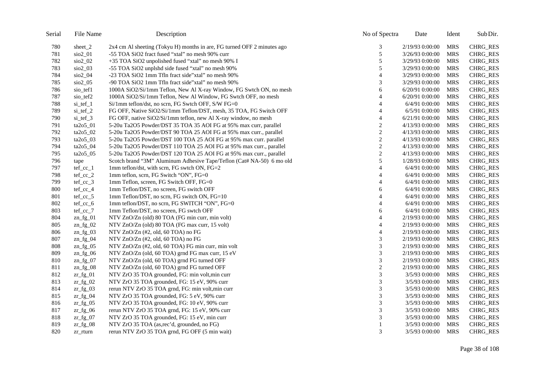| Serial | File Name                  | Description                                                             | No of Spectra            | Date            | Ident      | Sub Dir.        |
|--------|----------------------------|-------------------------------------------------------------------------|--------------------------|-----------------|------------|-----------------|
| 780    | sheet 2                    | 2x4 cm Al sheeting (Tokyu H) months in are, FG turned OFF 2 minutes ago | 3                        | 2/19/93 0:00:00 | <b>MRS</b> | <b>CHRG_RES</b> |
| 781    | sio2_01                    | -55 TOA SiO2 fract fused "xtal" no mesh 90% curr                        | 5                        | 3/26/93 0:00:00 | <b>MRS</b> | <b>CHRG_RES</b> |
| 782    | sio2_02                    | +35 TOA SiO2 unpolished fused "xtal" no mesh 90% I                      | 5                        | 3/29/93 0:00:00 | <b>MRS</b> | CHRG_RES        |
| 783    | $\frac{\text{SiO2}}{0}$    | -55 TOA SiO2 unplshd side fused "xtal" no mesh 90%                      | 5                        | 3/29/93 0:00:00 | <b>MRS</b> | CHRG_RES        |
| 784    | sio2_04                    | -23 TOA SiO2 1mm Tfln fract side"xtal" no mesh 90%                      | $\overline{A}$           | 3/29/93 0:00:00 | <b>MRS</b> | <b>CHRG_RES</b> |
| 785    | $\frac{\text{SiO2}}{0.05}$ | -90 TOA SiO2 1mm Tfln fract side"xtal" no mesh 90%                      | 3                        | 3/29/93 0:00:00 | <b>MRS</b> | CHRG_RES        |
| 786    | sio_tef1                   | 1000A SiO2/Si/1mm Teflon, New Al X-ray Window, FG Swtch ON, no mesh     | 6                        | 6/20/91 0:00:00 | <b>MRS</b> | <b>CHRG_RES</b> |
| 787    | sio_tef2                   | 1000A SiO2/Si/1mm Teflon, New Al Window, FG Swtch OFF, no mesh          | 4                        | 6/20/91 0:00:00 | <b>MRS</b> | CHRG_RES        |
| 788    | si_tef_1                   | Si/1mm teflon/dst, no scrn, FG Swtch OFF, S/W FG=0                      | $\overline{4}$           | 6/4/91 0:00:00  | <b>MRS</b> | <b>CHRG_RES</b> |
| 789    | $si_t$ tef $_2$            | FG OFF, Native SiO2/Si/1mm Teflon/DST, mesh, 35 TOA, FG Switch OFF      | $\overline{4}$           | 6/5/91 0:00:00  | <b>MRS</b> | <b>CHRG_RES</b> |
| 790    | $si_t = f_3$               | FG OFF, native SiO2/Si/1mm teflon, new Al X-ray window, no mesh         | $\overline{4}$           | 6/21/91 0:00:00 | <b>MRS</b> | <b>CHRG_RES</b> |
| 791    | ta2o5_01                   | 5-20u Ta2O5 Powder/DST 35 TOA 35 AOI FG at 95% max curr, parallel       | $\overline{c}$           | 4/13/93 0:00:00 | <b>MRS</b> | <b>CHRG_RES</b> |
| 792    | ta2o5_02                   | 5-20u Ta2O5 Powder/DST 90 TOA 25 AOI FG at 95% max curr., parallel      | $\sqrt{2}$               | 4/13/93 0:00:00 | <b>MRS</b> | <b>CHRG_RES</b> |
| 793    | $ta2o5_03$                 | 5-20u Ta2O5 Powder/DST 100 TOA 25 AOI FG at 95% max curr. parallel      | $\sqrt{2}$               | 4/13/93 0:00:00 | <b>MRS</b> | <b>CHRG_RES</b> |
| 794    | $ta2o5_04$                 | 5-20u Ta2O5 Powder/DST 110 TOA 25 AOI FG at 95% max curr., parallel     | $\sqrt{2}$               | 4/13/93 0:00:00 | <b>MRS</b> | <b>CHRG_RES</b> |
| 795    | $ta2o5_05$                 | 5-20u Ta2O5 Powder/DST 120 TOA 25 AOI FG at 95% max curr., parallel     | $\boldsymbol{2}$         | 4/13/93 0:00:00 | <b>MRS</b> | <b>CHRG_RES</b> |
| 796    | tape                       | Scotch brand "3M" Aluminum Adhesive Tape/Teflon (Cat# NA-50) 6 mo old   | 5                        | 1/28/93 0:00:00 | <b>MRS</b> | <b>CHRG_RES</b> |
| 797    | $tef_ccc_1$                | 1mm teflon/dst, with scrn, FG swtch ON, FG=2                            | $\overline{4}$           | 6/4/91 0:00:00  | <b>MRS</b> | CHRG_RES        |
| 798    | $tef_ccc_2$                | 1mm teflon, scrn, FG Switch "ON", FG=0                                  | $\overline{4}$           | 6/4/91 0:00:00  | <b>MRS</b> | CHRG_RES        |
| 799    | $tef_cc_3$                 | 1mm Teflon, screen, FG Switch OFF, FG=0                                 | $\overline{4}$           | 6/4/91 0:00:00  | <b>MRS</b> | <b>CHRG_RES</b> |
| 800    | $tef_ccc_4$                | 1mm Teflon/DST, no screen, FG switch OFF                                | 6                        | 6/4/91 0:00:00  | <b>MRS</b> | <b>CHRG_RES</b> |
| 801    | $tef_ccc_5$                | 1mm Teflon/DST, no scrn, FG switch ON, FG=10                            | $\overline{4}$           | 6/4/91 0:00:00  | <b>MRS</b> | <b>CHRG_RES</b> |
| 802    | tef_cc_6                   | 1mm teflon/DST, no scrn, FG SWITCH "ON", FG=0                           | $\overline{4}$           | 6/4/91 0:00:00  | <b>MRS</b> | CHRG_RES        |
| 803    | $tef_ccc_7$                | 1mm Teflon/DST, no screen, FG swtch OFF                                 | 6                        | 6/4/91 0:00:00  | <b>MRS</b> | <b>CHRG_RES</b> |
| 804    | $zn_fg_01$                 | NTV ZnO/Zn (old) 80 TOA (FG min curr, min volt)                         | $\overline{4}$           | 2/19/93 0:00:00 | <b>MRS</b> | <b>CHRG_RES</b> |
| 805    | $zn_fg_02$                 | NTV ZnO/Zn (old) 80 TOA (FG max curr, 15 volt)                          | $\overline{\mathcal{A}}$ | 2/19/93 0:00:00 | <b>MRS</b> | CHRG_RES        |
| 806    | $zn_fg_03$                 | NTV ZnO/Zn (#2, old, 60 TOA) no FG                                      | $\overline{4}$           | 2/19/93 0:00:00 | <b>MRS</b> | CHRG_RES        |
| 807    | $zn_fg_04$                 | NTV ZnO/Zn (#2, old, 60 TOA) no FG                                      | 3                        | 2/19/93 0:00:00 | <b>MRS</b> | <b>CHRG_RES</b> |
| 808    | $zn_fg_05$                 | NTV ZnO/Zn (#2, old, 60 TOA) FG min curr, min volt                      | 3                        | 2/19/93 0:00:00 | <b>MRS</b> | <b>CHRG_RES</b> |
| 809    | $zn_fg_06$                 | NTV ZnO/Zn (old, 60 TOA) grnd FG max curr, 15 eV                        | 3                        | 2/19/93 0:00:00 | <b>MRS</b> | CHRG_RES        |
| 810    | $zn_fg_07$                 | NTV ZnO/Zn (old, 60 TOA) grnd FG turned OFF                             | 3                        | 2/19/93 0:00:00 | <b>MRS</b> | <b>CHRG_RES</b> |
| 811    | $zn_fg_08$                 | NTV ZnO/Zn (old, 60 TOA) grnd FG turned OFF                             | $\sqrt{2}$               | 2/19/93 0:00:00 | <b>MRS</b> | <b>CHRG_RES</b> |
| 812    | $z$ r_fg_01                | NTV ZrO 35 TOA grounded, FG: min volt, min curr                         | 3                        | 3/5/93 0:00:00  | <b>MRS</b> | CHRG_RES        |
| 813    | $z$ r_fg_02                | NTV ZrO 35 TOA grounded, FG: 15 eV, 90% curr                            | 3                        | 3/5/93 0:00:00  | <b>MRS</b> | CHRG_RES        |
| 814    | $z$ r_fg_03                | rerun NTV ZrO 35 TOA grnd, FG: min volt, min curr                       | 3                        | 3/5/93 0:00:00  | <b>MRS</b> | <b>CHRG_RES</b> |
| 815    | $z \sim r_f g_0$           | NTV ZrO 35 TOA grounded, FG: 5 eV, 90% curr                             | 3                        | 3/5/93 0:00:00  | <b>MRS</b> | <b>CHRG_RES</b> |
| 816    | $z$ r_fg_05                | NTV ZrO 35 TOA grounded, FG: 10 eV, 90% curr                            | 3                        | 3/5/93 0:00:00  | <b>MRS</b> | <b>CHRG_RES</b> |
| 817    | $z$ r_fg_06                | rerun NTV ZrO 35 TOA grnd, FG: 15 eV, 90% curr                          | 3                        | 3/5/93 0:00:00  | <b>MRS</b> | <b>CHRG_RES</b> |
| 818    | $z$ r_fg_07                | NTV ZrO 35 TOA grounded, FG: 15 eV, min curr                            | 3                        | 3/5/93 0:00:00  | <b>MRS</b> | <b>CHRG_RES</b> |
| 819    | $z$ r_fg_08                | NTV ZrO 35 TOA (as,rec'd, grounded, no FG)                              |                          | 3/5/93 0:00:00  | <b>MRS</b> | <b>CHRG_RES</b> |
| 820    | zr_rturn                   | rerun NTV ZrO 35 TOA grnd, FG OFF (5 min wait)                          | 3                        | 3/5/93 0:00:00  | MRS        | <b>CHRG_RES</b> |
|        |                            |                                                                         |                          |                 |            |                 |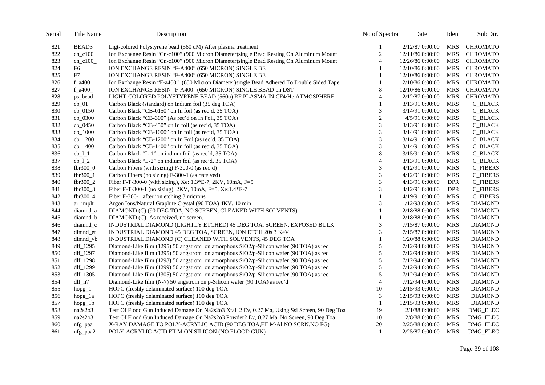| Serial | File Name    | Description                                                                                  | No of Spectra               | Date             | Ident      | Sub Dir.        |
|--------|--------------|----------------------------------------------------------------------------------------------|-----------------------------|------------------|------------|-----------------|
| 821    | BEAD3        | Ligt-colored Polystyrene bead (560 uM) After plasma treatment                                | 1                           | 2/12/87 0:00:00  | <b>MRS</b> | <b>CHROMATO</b> |
| 822    | $cn_c100$    | Ion Exchange Resin "Cn-c100" (900 Micron Diameter)single Bead Resting On Aluminum Mount      | $\sqrt{2}$                  | 12/11/86 0:00:00 | <b>MRS</b> | <b>CHROMATO</b> |
| 823    | $cn_c100$    | Ion Exchange Resin "Cn-c100" (900 Micron Diameter)single Bead Resting On Aluminum Mount      | $\overline{4}$              | 12/26/86 0:00:00 | <b>MRS</b> | <b>CHROMATO</b> |
| 824    | F6           | ION EXCHANGE RESIN "F-A400" (650 MICRON) SINGLE BE                                           | 1                           | 12/10/86 0:00:00 | <b>MRS</b> | <b>CHROMATO</b> |
| 825    | F7           | ION EXCHANGE RESIN "F-A400" (650 MICRON) SINGLE BE                                           |                             | 12/10/86 0:00:00 | <b>MRS</b> | <b>CHROMATO</b> |
| 826    | $f_a400$     | Ion Exchange Resin "F-a400" (650 Micron Diameter)single Bead Adhered To Double Sided Tape    | 1                           | 12/10/86 0:00:00 | <b>MRS</b> | <b>CHROMATO</b> |
| 827    | f $a400$     | ION EXCHANGE RESIN "F-A400" (650 MICRON) SINGLE BEAD on DST                                  | $\,8\,$                     | 12/10/86 0:00:00 | <b>MRS</b> | <b>CHROMATO</b> |
| 828    | ps_bead      | LIGHT-COLORED POLYSTYRENE BEAD (560u) RF PLASMA IN CF4/He ATMOSPHERE                         | 4                           | 2/12/87 0:00:00  | <b>MRS</b> | <b>CHROMATO</b> |
| 829    | $cb_01$      | Carbon Black (standard) on Indium foil (35 deg TOA)                                          | 1                           | 3/13/91 0:00:00  | <b>MRS</b> | <b>C_BLACK</b>  |
| 830    | $cb_0150$    | Carbon Black "CB-0150" on In foil (as rec'd, 35 TOA)                                         | 3                           | 3/14/91 0:00:00  | <b>MRS</b> | <b>C_BLACK</b>  |
| 831    | $cb_0300$    | Carbon Black "CB-300" (As rec'd on In Foil, 35 TOA)                                          | $\sqrt{2}$                  | 4/5/91 0:00:00   | <b>MRS</b> | <b>C_BLACK</b>  |
| 832    | $cb_0450$    | Carbon Black "CB-450" on In foil (as rec'd, 35 TOA)                                          | 3                           | 3/13/91 0:00:00  | <b>MRS</b> | <b>C_BLACK</b>  |
| 833    | $cb_1000$    | Carbon Black "CB-1000" on In foil (as rec'd, 35 TOA)                                         | $\ensuremath{\mathfrak{Z}}$ | 3/14/91 0:00:00  | <b>MRS</b> | C_BLACK         |
| 834    | $cb_1200$    | Carbon Black "CB-1200" on In Foil (as rec'd, 35 TOA)                                         | 3                           | 3/14/91 0:00:00  | <b>MRS</b> | <b>C_BLACK</b>  |
| 835    | $cb_1400$    | Carbon Black "CB-1400" on In foil (as rec'd, 35 TOA)                                         | 3                           | 3/14/91 0:00:00  | <b>MRS</b> | <b>C_BLACK</b>  |
| 836    | $cb_l_1$     | Carbon Black "L-1" on indium foil (as rec'd, 35 TOA)                                         | $\,8\,$                     | 3/15/91 0:00:00  | <b>MRS</b> | <b>C_BLACK</b>  |
| 837    | $cb_l_2$     | Carbon Black "L-2" on indium foil (as rec'd, 35 TOA)                                         | 4                           | 3/13/91 0:00:00  | <b>MRS</b> | C_BLACK         |
| 838    | fbr300_0     | Carbon Fibers (with sizing) F-300-0 (as rec'd)                                               | 3                           | 4/12/91 0:00:00  | <b>MRS</b> | <b>C_FIBERS</b> |
| 839    | fbr300_1     | Carbon Fibers (no sizing) F-300-1 (as received)                                              | 3                           | 4/12/91 0:00:00  | <b>MRS</b> | <b>C_FIBERS</b> |
| 840    | $fbr300_2$   | Fiber F-T-300-0 (with sizing), Xe: 1.3*E-7, 2KV, 10mA, F=5                                   | 3                           | 4/13/91 0:00:00  | <b>DPR</b> | <b>C_FIBERS</b> |
| 841    | fbr300_3     | Fiber F-T-300-1 (no sizing), 2KV, 10mA, F=5, Xe:1.4*E-7                                      | 3                           | 4/12/91 0:00:00  | <b>DPR</b> | <b>C_FIBERS</b> |
| 842    | fbr300_4     | Fiber F-300-1 after ion etching 3 microns                                                    | 1                           | 4/19/91 0:00:00  | <b>MRS</b> | <b>C_FIBERS</b> |
| 843    | ar_implt     | Argon Ions/Natural Graphite Crystal (90 TOA) 4KV, 10 min                                     | 3                           | 1/12/93 0:00:00  | <b>MRS</b> | <b>DIAMOND</b>  |
| 844    | diamnd_a     | DIAMOND (C) (90 DEG TOA, NO SCREEN, CLEANED WITH SOLVENTS)                                   | 1                           | 2/18/88 0:00:00  | <b>MRS</b> | <b>DIAMOND</b>  |
| 845    | diamnd_b     | DIAMOND (C) As received, no screen.                                                          |                             | 2/18/88 0:00:00  | <b>MRS</b> | <b>DIAMOND</b>  |
| 846    | diamnd c     | INDUSTRIAL DIAMOND (LIGHTLY ETCHED) 45 DEG TOA, SCREEN, EXPOSED BULK                         | 3                           | 7/15/87 0:00:00  | <b>MRS</b> | <b>DIAMOND</b>  |
| 847    | dimnd_et     | INDUSTRIAL DIAMOND 45 DEG TOA, SCREEN, ION ETCH 20s 3 KeV                                    | 3                           | 7/15/87 0:00:00  | <b>MRS</b> | <b>DIAMOND</b>  |
| 848    | dimnd_vb     | INDUSTRIAL DIAMOND (C) CLEANED WITH SOLVENTS, 45 DEG TOA                                     | 1                           | 1/20/88 0:00:00  | <b>MRS</b> | <b>DIAMOND</b>  |
| 849    | dlf_1295     | Diamond-Like film (1295) 50 angstrom on amorphous SiO2/p-Silicon wafer (90 TOA) as rec       | 5                           | 7/12/94 0:00:00  | <b>MRS</b> | <b>DIAMOND</b>  |
| 850    | dlf_1297     | Diamond-Like film (1295) 50 angstrom on amorphous SiO2/p-Silicon wafer (90 TOA) as rec       | 5                           | 7/12/94 0:00:00  | <b>MRS</b> | <b>DIAMOND</b>  |
| 851    | dlf_1298     | Diamond-Like film (1298) 50 angstrom on amorphous SiO2/p-Silicon wafer (90 TOA) as rec       | 5                           | 7/12/94 0:00:00  | <b>MRS</b> | <b>DIAMOND</b>  |
| 852    | dlf_1299     | Diamond-Like film (1299) 50 angstrom on amorphous SiO2/p-Silicon wafer (90 TOA) as rec       | 5                           | 7/12/94 0:00:00  | <b>MRS</b> | <b>DIAMOND</b>  |
| 853    | $df_1305$    | Diamond-Like film (1305) 50 angstrom on amorphous SiO2/p-Silicon wafer (90 TOA) as rec       | 5                           | 7/12/94 0:00:00  | <b>MRS</b> | <b>DIAMOND</b>  |
| 854    | $dlf_n7$     | Diamond-Like film (N-7) 50 angstrom on p-Silicon wafer (90 TOA) as rec'd                     | $\overline{4}$              | 7/12/94 0:00:00  | <b>MRS</b> | <b>DIAMOND</b>  |
| 855    | $h$ opg_ $1$ | HOPG (freshly delaminated surface) 100 deg TOA                                               | 10                          | 12/15/93 0:00:00 | <b>MRS</b> | <b>DIAMOND</b>  |
| 856    | hopg_1a      | HOPG (freshly delaminated surface) 100 deg TOA                                               | 3                           | 12/15/93 0:00:00 | <b>MRS</b> | <b>DIAMOND</b>  |
| 857    | $h$ opg_1b   | HOPG (freshly delaminated surface) 100 deg TOA                                               | $\mathbf{1}$                | 12/15/93 0:00:00 | <b>MRS</b> | <b>DIAMOND</b>  |
| 858    | na2s2o3      | Test Of Flood Gun Induced Damage On Na2s2o3 Xtal 2 Ev, 0.27 Ma, Using Ssi Screen, 90 Deg Toa | 19                          | 2/1/88 0:00:00   | <b>MRS</b> | DMG_ELEC        |
| 859    | na2s2o3      | Test Of Flood Gun Induced Damage On Na2s2o3 Powder2 Ev, 0.27 Ma, No Screen, 90 Deg Toa       | 10                          | 2/8/88 0:00:00   | <b>MRS</b> | DMG_ELEC        |
| 860    | nfg_paa1     | X-RAY DAMAGE TO POLY-ACRYLIC ACID (90 DEG TOA, FILM/Al, NO SCRN, NO FG)                      | 20                          | 2/25/88 0:00:00  | <b>MRS</b> | DMG_ELEC        |
| 861    | nfg_paa2     | POLY-ACRYLIC ACID FILM ON SILICON (NO FLOOD GUN)                                             | -1                          | 2/25/87 0:00:00  | <b>MRS</b> | DMG_ELEC        |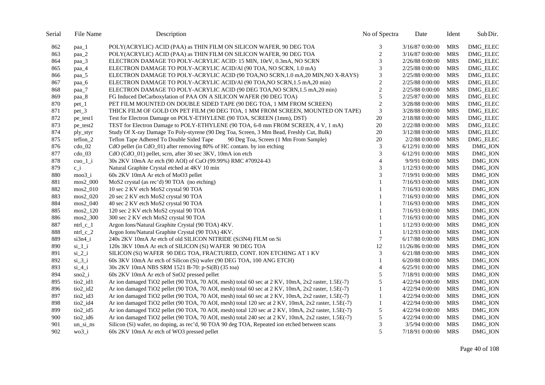| Serial | File Name                         | Description                                                                                         | No of Spectra  | Date              | Ident      | Sub Dir.        |
|--------|-----------------------------------|-----------------------------------------------------------------------------------------------------|----------------|-------------------|------------|-----------------|
| 862    | paa_1                             | POLY(ACRYLIC) ACID (PAA) as THIN FILM ON SILICON WAFER, 90 DEG TOA                                  | 3              | 3/16/87 0:00:00   | <b>MRS</b> | DMG_ELEC        |
| 863    | paa_2                             | POLY(ACRYLIC) ACID (PAA) as THIN FILM ON SILICON WAFER, 90 DEG TOA                                  | $\overline{2}$ | 3/16/87 0:00:00   | <b>MRS</b> | <b>DMG ELEC</b> |
| 864    | paa_3                             | ELECTRON DAMAGE TO POLY-ACRYLIC ACID: 15 MIN, 10eV, 0.3mA, NO SCRN                                  | 3              | 2/26/88 0:00:00   | <b>MRS</b> | DMG_ELEC        |
| 865    | paa_4                             | ELECTRON DAMAGE TO POLY-ACRYLIC ACID/AI (90 TOA, NO SCRN, 1.0 mA)                                   | 3              | 2/25/88 0:00:00   | <b>MRS</b> | DMG_ELEC        |
| 866    | paa_5                             | ELECTRON DAMAGE TO POLY-ACRYLIC ACID (90 TOA, NO SCRN, 1.0 mA, 20 MIN, NO X-RAYS)                   | $\mathfrak{Z}$ | 2/25/88 0:00:00   | <b>MRS</b> | <b>DMG ELEC</b> |
| 867    | paa_6                             | ELECTRON DAMAGE TO POLY-ACRYLIC ACID/Al (90 TOA, NO SCRN, 1.5 mA, 20 min)                           | $\sqrt{2}$     | 2/25/88 0:00:00   | <b>MRS</b> | DMG_ELEC        |
| 868    | paa_7                             | ELECTRON DAMAGE TO POLY-ACRYLIC ACID (90 DEG TOA, NO SCRN, 1.5 mA, 20 min)                          | $\sqrt{2}$     | 2/25/88 0:00:00   | <b>MRS</b> | DMG_ELEC        |
| 869    | paa_8                             | FG Induced DeCarboxylation of PAA ON A SILICON WAFER (90 DEG TOA)                                   | 5              | 2/25/87 0:00:00   | <b>MRS</b> | DMG_ELEC        |
| 870    | $pet_1$                           | PET FILM MOUNTED ON DOUBLE SIDED TAPE (90 DEG TOA, 1 MM FROM SCREEN)                                | $\sqrt{2}$     | 3/28/88 0:00:00   | <b>MRS</b> | DMG_ELEC        |
| 871    | pet_3                             | THICK FILM OF GOLD ON PET FILM (90 DEG TOA, 1 MM FROM SCREEN, MOUNTED ON TAPE)                      | $\mathfrak{Z}$ | 3/28/88 0:00:00   | <b>MRS</b> | DMG_ELEC        |
| 872    | pe_test1                          | Test for Electron Damage on POLY-ETHYLENE (90 TOA, SCREEN (1mm), DST)                               | 20             | 2/18/88 0:00:00   | MRS        | DMG_ELEC        |
| 873    | pe_test2                          | TEST for Electron Damage to POLY-ETHYLENE (90 TOA, 6-8 mm FROM SCREEN, 4 V, 1 mA)                   | 20             | 2/22/88 0:00:00   | <b>MRS</b> | DMG_ELEC        |
| 874    | ply_styr                          | Study Of X-ray Damage To Poly-styrene (90 Deg Toa, Screen, 3 Mm Bead, Freshly Cut, Bulk)            | $20\,$         | 3/12/88 0:00:00   | <b>MRS</b> | DMG_ELEC        |
| 875    | teflon $2$                        | Teflon Tape Adhered To Double Sided Tape<br>90 Deg Toa, Screen (1 Mm From Sample)                   | 20             | 2/2/88 0:00:00    | <b>MRS</b> | DMG_ELEC        |
| 876    | $\text{cdo}_02$                   | CdO pellet (in CdO_01) after removing 80% of HC contam. by ion etching                              | 3              | 6/12/91 0:00:00   | <b>MRS</b> | DMG_ION         |
| 877    | $\text{cdo}_0$ 03                 | CdO (CdO_01) pellet, scrn, after 30 sec 3KV, 10mA ion etch                                          | 3              | 6/12/91 0:00:00   | <b>MRS</b> | DMG_ION         |
| 878    | $cuo_1$ <sub>i</sub>              | 30s 2KV 10mA Ar etch (90 AOI) of CuO (99.99%) RMC #70924-43                                         | $\overline{4}$ | 9/9/91 0:00:00    | <b>MRS</b> | DMG_ION         |
| 879    | $c_i$                             | Natural Graphite Crystal etched at 4KV 10 min                                                       | 3              | 1/12/93 0:00:00   | <b>MRS</b> | DMG_ION         |
| 880    | $moo3_i$                          | 60s 2KV 10mA Ar etch of MoO3 pellet                                                                 | 3              | 7/19/91 0:00:00   | <b>MRS</b> | DMG_ION         |
| 881    | $~\rm{mos2\_000}$                 | MoS2 crystal (as rec'd) 90 TOA (no etching)                                                         | 1              | 7/16/93 0:00:00   | <b>MRS</b> | DMG_ION         |
| 882    | mos2_010                          | 10 sec 2 KV etch MoS2 crystal 90 TOA                                                                |                | 7/16/93 0:00:00   | <b>MRS</b> | DMG_ION         |
| 883    | $~\rm{m}\rm{os}2\_020$            | 20 sec 2 KV etch MoS2 crystal 90 TOA                                                                | 1              | 7/16/93 0:00:00   | <b>MRS</b> | DMG_ION         |
| 884    | mos2_040                          | 40 sec 2 KV etch MoS2 crystal 90 TOA                                                                |                | 7/16/93 0:00:00   | <b>MRS</b> | DMG_ION         |
| 885    | $~\text{mos2\_120}$               | 120 sec 2 KV etch MoS2 crystal 90 TOA                                                               |                | 7/16/93 0:00:00   | <b>MRS</b> | DMG_ION         |
| 886    | $~\rm{mos2\_300}$                 | 300 sec 2 KV etch MoS2 crystal 90 TOA                                                               | 1              | 7/16/93 0:00:00   | <b>MRS</b> | DMG_ION         |
| 887    | $ntrl_c_1$                        | Argon Ions/Natural Graphite Crystal (90 TOA) 4KV.                                                   | 1              | 1/12/93 0:00:00   | <b>MRS</b> | DMG_ION         |
| 888    | ntrl $c2$                         | Argon Ions/Natural Graphite Crystal (90 TOA) 4KV.                                                   | $\mathbf{1}$   | 1/12/93 0:00:00   | <b>MRS</b> | DMG_ION         |
| 889    | $si3n4$ i                         | 240s 2KV 10mA Ar etch of old SILICON NITRIDE (Si3N4) FILM on Si                                     | $\tau$         | $6/17/88$ 0:00:00 | <b>MRS</b> | DMG_ION         |
| 890    | $si_1$ $i$                        | 120s 3KV 10mA Ar etch of SILICON (Si) WAFER 90 DEG TOA                                              | 12             | 11/26/86 0:00:00  | <b>MRS</b> | DMG_ION         |
| 891    | $si_2$ i                          | SILICON (Si) WAFER 90 DEG TOA, FRACTURED, CONT. ION ETCHING AT 1 KV                                 | 3              | 6/21/88 0:00:00   | <b>MRS</b> | DMG_ION         |
| 892    | $si_3$ $j_1$                      | 60s 3KV 10mA Ar etch of Silicon (Si) wafer (90 DEG TOA, 100 ANG ETCH)                               |                | 6/20/88 0:00:00   | <b>MRS</b> | DMG_ION         |
| 893    | $si_4_i$                          | 30s 2KV 10mA NBS SRM 1521 B-70: p-Si(B) (35 toa)                                                    | $\overline{4}$ | 6/25/91 0:00:00   | <b>MRS</b> | DMG_ION         |
| 894    | $sno2_i$                          | 60s 2KV 10mA Ar etch of SnO2 pressed pellet                                                         | 5              | 7/18/91 0:00:00   | <b>MRS</b> | DMG_ION         |
| 895    | tio2_id1                          | Ar ion damaged TiO2 pellet (90 TOA, 70 AOI, mesh) total 60 sec at 2 KV, 10mA, 2x2 raster, 1.5E(-7)  | 5              | 4/22/94 0:00:00   | <b>MRS</b> | DMG_ION         |
| 896    | tio2_id2                          | Ar ion damaged TiO2 pellet (90 TOA, 70 AOI, mesh) total 60 sec at 2 KV, 10mA, 2x2 raster, 1.5E(-7)  | $\mathbf{1}$   | 4/22/94 0:00:00   | <b>MRS</b> | DMG_ION         |
| 897    | $\frac{\text{ti02}}{\text{di3}}$  | Ar ion damaged TiO2 pellet (90 TOA, 70 AOI, mesh) total 60 sec at 2 KV, 10mA, 2x2 raster, 1.5E(-7)  | 1              | 4/22/94 0:00:00   | <b>MRS</b> | DMG_ION         |
| 898    | tio2_id4                          | Ar ion damaged TiO2 pellet (90 TOA, 70 AOI, mesh) total 120 sec at 2 KV, 10mA, 2x2 raster, 1.5E(-7) | $\mathbf{1}$   | 4/22/94 0:00:00   | <b>MRS</b> | DMG_ION         |
| 899    | $\frac{\text{ti02}}{\text{di05}}$ | Ar ion damaged TiO2 pellet (90 TOA, 70 AOI, mesh) total 120 sec at 2 KV, 10mA, 2x2 raster, 1.5E(-7) | $\sqrt{5}$     | 4/22/94 0:00:00   | <b>MRS</b> | DMG_ION         |
| 900    | tio2_id6                          | Ar ion damaged TiO2 pellet (90 TOA, 70 AOI, mesh) total 240 sec at 2 KV, 10mA, 2x2 raster, 1.5E(-7) | 5              | 4/22/94 0:00:00   | <b>MRS</b> | DMG_ION         |
| 901    | un si ns                          | Silicon (Si) wafer, no doping, as rec'd, 90 TOA 90 deg TOA, Repeated ion etched between scans       | $\mathfrak{Z}$ | 3/5/94 0:00:00    | <b>MRS</b> | DMG_ION         |
| 902    | $wo3_i$                           | 60s 2KV 10mA Ar etch of WO3 pressed pellet                                                          | 5              | 7/18/91 0:00:00   | <b>MRS</b> | DMG_ION         |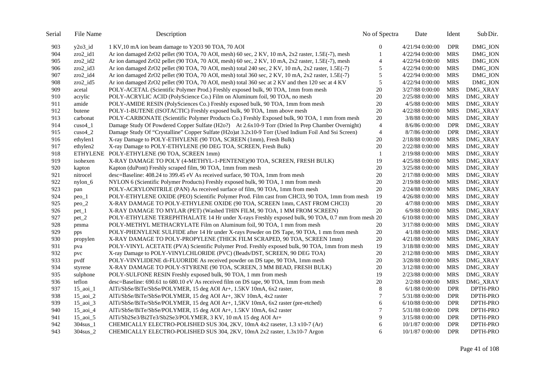| Serial | File Name               | Description                                                                                          | No of Spectra  | Date            | Ident      | Sub Dir.        |
|--------|-------------------------|------------------------------------------------------------------------------------------------------|----------------|-----------------|------------|-----------------|
| 903    | $y2o3_id$               | 1 KV,10 mA ion beam damage to Y2O3 90 TOA, 70 AOI                                                    | 0              | 4/21/94 0:00:00 | <b>DPR</b> | DMG_ION         |
| 904    | $zro2$ id1              | Ar ion damaged ZrO2 pellet (90 TOA, 70 AOI, mesh) 60 sec, 2 KV, 10 mA, 2x2 raster, 1.5E(-7), mesh    |                | 4/22/94 0:00:00 | <b>MRS</b> | DMG_ION         |
| 905    | $zro2_id2$              | Ar ion damaged ZrO2 pellet (90 TOA, 70 AOI, mesh) 60 sec, 2 KV, 10 mA, 2x2 raster, 1.5E(-7), mesh    | 4              | 4/22/94 0:00:00 | <b>MRS</b> | DMG_ION         |
| 906    | $zro2_id3$              | Ar ion damaged ZrO2 pellet (90 TOA, 70 AOI, mesh) total 240 sec, 2 KV, 10 mA, 2x2 raster, 1.5E(-7)   | $\sqrt{5}$     | 4/22/94 0:00:00 | <b>MRS</b> | DMG_ION         |
| 907    | $zro2_id4$              | Ar ion damaged ZrO2 pellet (90 TOA, 70 AOI, mesh) total 360 sec, 2 KV, 10 mA, 2x2 raster, 1.5E(-7)   | $\sqrt{5}$     | 4/22/94 0:00:00 | <b>MRS</b> | DMG_ION         |
| 908    | $zro2_id5$              | Ar ion damaged ZrO2 pellet (90 TOA, 70 AOI, mesh) total 360 sec at 2 KV and then 120 sec at 4 KV     | $\sqrt{5}$     | 4/22/94 0:00:00 | <b>MRS</b> | DMG_ION         |
| 909    | acetal                  | POLY-ACETAL (Scientific Polymer Prod.) Freshly exposed bulk, 90 TOA, 1mm from mesh                   | $20\,$         | 3/27/88 0:00:00 | <b>MRS</b> | DMG_XRAY        |
| 910    | acrylic                 | POLY-ACRYLIC ACID (PolyScience Co.) Film on Aluminum foil, 90 TOA, no mesh                           | 20             | 2/25/88 0:00:00 | <b>MRS</b> | <b>DMG_XRAY</b> |
| 911    | amide                   | POLY-AMIDE RESIN (PolySciences Co.) Freshly exposed bulk, 90 TOA, 1mm from mesh                      | 20             | 4/5/88 0:00:00  | <b>MRS</b> | <b>DMG_XRAY</b> |
| 912    | butene                  | POLY-1-BUTENE (ISOTACTIC) Freshly exposed bulk, 90 TOA, 1mm above mesh                               | 20             | 4/22/88 0:00:00 | <b>MRS</b> | <b>DMG_XRAY</b> |
| 913    | carbonat                | POLY-CARBONATE (Scientific Polymer Products Co.) Freshly Exposed bulk, 90 TOA, 1 mm from mesh        | 20             | 3/8/88 0:00:00  | <b>MRS</b> | <b>DMG_XRAY</b> |
| 914    | $\cos 4_1$              | Damage Study Of Powdered Copper Sulfate (H2o?) At 2.6x10-9 Torr (Dried In Prep Chamber Overnight)    | $\overline{4}$ | 8/6/86 0:00:00  | <b>DPR</b> | <b>DMG_XRAY</b> |
| 915    | $cuso4_2$               | Damage Study Of "Crystalline" Copper Sulfate (H2o)at 3.2x10-9 Torr (Used Indium Foil And Ssi Screen) | $\overline{4}$ | 8/7/86 0:00:00  | <b>DPR</b> | DMG_XRAY        |
| 916    | ethylen1                | X-ray Damage to POLY-ETHYLENE (90 TOA, SCREEN (1mm), Fresh Bulk)                                     | 20             | 2/18/88 0:00:00 | <b>MRS</b> | <b>DMG_XRAY</b> |
| 917    | ethylen2                | X-ray Damage to POLY-ETHYLENE (90 DEG TOA, SCREEN, Fresh Bulk)                                       | 20             | 2/22/88 0:00:00 | <b>MRS</b> | <b>DMG_XRAY</b> |
| 918    | ETHYLENE                | POLY-ETHYLENE (90 TOA, SCREEN 1mm)                                                                   | -1             | 2/19/88 0:00:00 | <b>MRS</b> | <b>DMG_XRAY</b> |
| 919    | isohexen                | X-RAY DAMAGE TO POLY (4-METHYL-1-PENTENE)(90 TOA, SCREEN, FRESH BULK)                                | 19             | 4/25/88 0:00:00 | <b>MRS</b> | <b>DMG_XRAY</b> |
| 920    | kapton                  | Kapton (duPont) Freshly scraped film, 90 TOA, 1mm from mesh                                          | 20             | 3/25/88 0:00:00 | <b>MRS</b> | <b>DMG_XRAY</b> |
| 921    | nitrocel                | desc=Baseline: 408.24 to 399.45 eV As received surface, 90 TOA, 1mm from mesh                        | 20             | 2/17/88 0:00:00 | <b>MRS</b> | <b>DMG XRAY</b> |
| 922    | $nylon_6$               | NYLON 6 (Scientific Polymer Products) Freshly exposed bulk, 90 TOA, 1 mm from mesh                   | 20             | 2/19/88 0:00:00 | <b>MRS</b> | <b>DMG_XRAY</b> |
| 923    | pan                     | POLY-ACRYLONITRILE (PAN) As received surface of film, 90 TOA, 1mm from mesh                          | 20             | 2/24/88 0:00:00 | <b>MRS</b> | <b>DMG_XRAY</b> |
| 924    | $peo_1$                 | POLY-ETHYLENE OXIDE (PEO) Scientific Polymer Prod. Film cast from CHCl3, 90 TOA, 1mm from mesh       | 19             | 4/26/88 0:00:00 | <b>MRS</b> | <b>DMG_XRAY</b> |
| 925    | $peo_2$                 | X-RAY DAMAGE TO POLY-ETHYLENE OXIDE (90 TOA, SCREEN 1mm, CAST FROM CHCl3)                            | 20             | 4/7/88 0:00:00  | <b>MRS</b> | <b>DMG_XRAY</b> |
| 926    | $pet_1$                 | X-RAY DAMAGE TO MYLAR (PET) (Washed THIN FILM, 90 TOA, 1 MM FROM SCREEN)                             | $20\,$         | 6/9/88 0:00:00  | <b>MRS</b> | <b>DMG_XRAY</b> |
| 927    | $pet_2$                 | POLY-ETHYLENE TEREPHTHALATE 14 Hr under X-rays Freshly exposed bulk, 90 TOA, 0.7 mm from mesh 20     |                | 6/10/88 0:00:00 | <b>MRS</b> | <b>DMG_XRAY</b> |
| 928    | pmma                    | POLY-METHYL METHACRYLATE Film on Aluminum foil, 90 TOA, 1 mm from mesh                               | 20             | 3/17/88 0:00:00 | <b>MRS</b> | DMG_XRAY        |
| 929    | pps                     | POLY-PHENYLENE SULFIDE after 14 Hr under X-rays Powder on DS Tape, 90 TOA, 1 mm from mesh            | $20\,$         | 4/1/88 0:00:00  | <b>MRS</b> | DMG_XRAY        |
| 930    | propylen                | X-RAY DAMAGE TO POLY-PROPYLENE (THICK FILM SCRAPED, 90 TOA, SCREEN 1mm)                              | 20             | 4/21/88 0:00:00 | <b>MRS</b> | <b>DMG_XRAY</b> |
| 931    | pva                     | POLY-VINYL ACETATE (PVA) Scientific Polymer Prod. Freshly exposed bulk, 90 TOA, 1mm from mesh        | 19             | 3/18/88 0:00:00 | <b>MRS</b> | DMG_XRAY        |
| 932    | pvc                     | X-ray Damage to POLY-VINYLCHLORIDE (PVC) (Beads/DST, SCREEN, 90 DEG TOA)                             | $20\,$         | 2/12/88 0:00:00 | <b>MRS</b> | DMG_XRAY        |
| 933    | pydf                    | POLY-VINYLIDENE di-FLUORIDE As received powder on DS tape, 90 TOA, 1mm mesh                          | 20             | 3/28/88 0:00:00 | <b>MRS</b> | <b>DMG_XRAY</b> |
| 934    | styrene                 | X-RAY DAMAGE TO POLY-STYRENE (90 TOA, SCREEN, 3 MM BEAD, FRESH BULK)                                 | 20             | 3/12/88 0:00:00 | <b>MRS</b> | DMG_XRAY        |
| 935    | sulphone                | POLY-SULFONE RESIN Freshly exposed bulk, 90 TOA, 1 mm from mesh                                      | 19             | 2/23/88 0:00:00 | <b>MRS</b> | <b>DMG_XRAY</b> |
| 936    | teflon                  | desc=Baseline: 690.61 to 680.10 eV As received film on DS tape, 90 TOA, 1mm from mesh                | 20             | 2/2/88 0:00:00  | <b>MRS</b> | <b>DMG_XRAY</b> |
| 937    | $15$ _aoi_1             | AlTi/SbSe/BiTe/SbSe/POLYMER, 15 deg AOI Ar+, 1.5KV 10mA, 6x2 raster,                                 | 8              | 6/1/88 0:00:00  | <b>DPR</b> | DPTH-PRO        |
| 938    | $15$ _aoi_2             | AlTi/SbSe/BiTe/SbSe/POLYMER, 15 deg AOI Ar+, 3KV 10mA, 4x2 raster                                    | 7              | 5/31/88 0:00:00 | <b>DPR</b> | DPTH-PRO        |
| 939    | $15$ _aoi_3             | AlTi/SbSe/BiTe/SbSe/POLYMER, 15 deg AOI Ar+, 1,5KV 10mA, 6x2 raster (pre-etched)                     | 6              | 6/10/88 0:00:00 | <b>DPR</b> | DPTH-PRO        |
| 940    | $15$ _aoi_4             | AlTi/SbSe/BiTe/SbSe/POLYMER, 15 deg AOI Ar+, 1.5KV 10mA, 6x2 raster                                  | 7              | 5/31/88 0:00:00 | <b>DPR</b> | DPTH-PRO        |
| 941    | $15$ <sub>-aoi</sub> _5 | AlTi/Sb2Se3/Bi2Te3/Sb2Se3/POLYMER, 3 KV, 10 mA 15 deg AOI Ar+                                        | 9              | 3/15/88 0:00:00 | <b>DPR</b> | DPTH-PRO        |
| 942    | $304sus_1$              | CHEMICALLY ELECTRO-POLISHED SUS 304, 2KV, 10mA 4x2 raseter, 1.3 x10-7 (Ar)                           | 6              | 10/1/87 0:00:00 | <b>DPR</b> | DPTH-PRO        |
| 943    | 304sus_2                | CHEMICALLY ELECTRO-POLISHED SUS 304, 2KV, 10mA 2x2 raster, 1.3x10-7 Argon                            | 6              | 10/1/87 0:00:00 | <b>DPR</b> | DPTH-PRO        |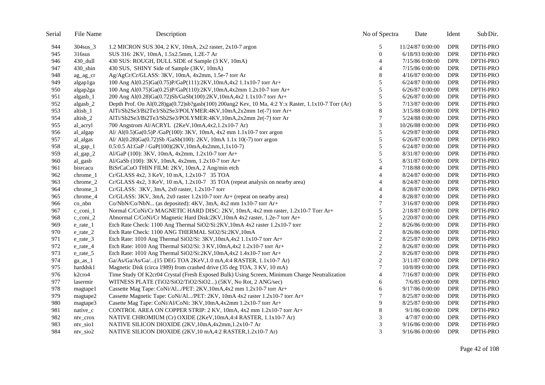| Serial | File Name                        | Description                                                                                        | No of Spectra            | Date             | Ident      | Sub Dir. |
|--------|----------------------------------|----------------------------------------------------------------------------------------------------|--------------------------|------------------|------------|----------|
| 944    | 304sus 3                         | 1.2 MICRON SUS 304, 2 KV, 10mA, 2x2 raster, 2x10-7 argon                                           | 5                        | 11/24/87 0:00:00 | <b>DPR</b> | DPTH-PRO |
| 945    | $316$ sus                        | SUS 316: 2KV, 10mA, 1.5x2.5mm, 1.2E-7 Ar                                                           | $\boldsymbol{0}$         | 6/18/93 0:00:00  | <b>DPR</b> | DPTH-PRO |
| 946    | 430 dull                         | 430 SUS: ROUGH, DULL SIDE of Sample (3 KV, 10mA)                                                   | $\overline{4}$           | 7/15/86 0:00:00  | <b>DPR</b> | DPTH-PRO |
| 947    | $430$ _shin                      | 430 SUS, SHINY Side of Sample (3KV, 10mA)                                                          | 4                        | 7/15/86 0:00:00  | <b>DPR</b> | DPTH-PRO |
| 948    | ag_ag_cr                         | Ag/AgCr/Cr/GLASS: 3KV, 10mA, 4x2mm, 1.5e-7 torr Ar                                                 | $\,8\,$                  | 4/16/87 0:00:00  | <b>DPR</b> | DPTH-PRO |
| 949    | algap1ga                         | 100 Ang Al(0.25)Ga(0.75)P/GaP(111):2KV,10mA,4x2 1.1x10-7 torr Ar+                                  | 5                        | 6/24/87 0:00:00  | <b>DPR</b> | DPTH-PRO |
| 950    | algap2ga                         | 100 Ang Al(0.75)Ga(0.25)P/GaP(110):2KV,10mA,4x2mm 1.2x10-7 torr Ar+                                | 5                        | 6/26/87 0:00:00  | <b>DPR</b> | DPTH-PRO |
| 951    | algasb_1                         | 200 Ang Al(0.28)Ga(0.72)Sb/GaSb(100):2KV,10mA,4x2 1.1x10-7 torr Ar+                                | 5                        | 6/26/87 0:00:00  | <b>DPR</b> | DPTH-PRO |
| 952    | $algash_2$                       | Depth Prof. On Al(0.28)ga(0.72)sb?gasb(100) 200ang2 Kev, 10 Ma, 4:2 Y:x Raster, 1.1x10-7 Torr (Ar) | $\sqrt{5}$               | 7/13/87 0:00:00  | <b>DPR</b> | DPTH-PRO |
| 953    | altisb <sub>1</sub>              | AlTi/Sb2Se3/Bi2Te3/Sb2Se3/POLYMER:4KV,10mA,2x2mm 1e(-7) torr Ar+                                   | 8                        | 3/15/88 0:00:00  | <b>DPR</b> | DPTH-PRO |
| 954    | altisb $\overline{\phantom{a}2}$ | AlTi/Sb2Se3/Bi2Te3/Sb2Se3/POLYMER:4KV,10mA,2x2mm 2e(-7) torr Ar                                    | $\overline{7}$           | 5/24/88 0:00:00  | <b>DPR</b> | DPTH-PRO |
| 955    | al acryl                         | 700 Angstrom Al/ACRYL (2KeV, 10mA, 4x2, 1.2x10-7 Ar)                                               | 3                        | 10/26/88 0:00:00 | <b>DPR</b> | DPTH-PRO |
| 956    | al_algap                         | Al/ Al(0.5)Ga(0.5)P /GaP(100): 3KV, 10mA, 4x2 mm 1.1x10-7 torr argon                               | $\sqrt{5}$               | 6/29/87 0:00:00  | <b>DPR</b> | DPTH-PRO |
| 957    | al_algas                         | Al/ Al(0.28)Ga(0.72)Sb/GaSb(100): 2KV, 10mA 1.1x 10(-7) torr argon                                 | 5                        | 6/26/87 0:00:00  | <b>DPR</b> | DPTH-PRO |
| 958    | $al\_gap_1$                      | 0.5:0.5 Al:GaP / GaP(100)(2KV,10mA,4x2mm,1,1x10-7)                                                 | 5                        | 6/24/87 0:00:00  | <b>DPR</b> | DPTH-PRO |
| 959    | al_gap_2                         | Al/GaP (100): 3KV, 10mA, 4x2mm, 1.2x10-7 torr Ar+                                                  | 5                        | 8/31/87 0:00:00  | <b>DPR</b> | DPTH-PRO |
| 960    | al_gasb                          | Al/GaSb (100): 3KV, 10mA, 4x2mm, 1.2x10-7 torr Ar+                                                 | 5                        | 8/31/87 0:00:00  | <b>DPR</b> | DPTH-PRO |
| 961    | bisrcacu                         | BiSrCaCuO THIN FILM: 2KV, 10mA, 2 Ang/min etch                                                     | $\overline{4}$           | 7/18/88 0:00:00  | <b>DPR</b> | DPTH-PRO |
| 962    | chrome_1                         | Cr/GLASS 4x2, 3 KeV, 10 mA, 1.2x10-7 35 TOA                                                        | $\overline{4}$           | 8/24/87 0:00:00  | <b>DPR</b> | DPTH-PRO |
| 963    | chrome_2                         | Cr/GLASS 4x2, 3 KeV, 10 mA, 1.2x10-7 35 TOA (repeat analysis on nearby area)                       | $\overline{4}$           | 8/24/87 0:00:00  | <b>DPR</b> | DPTH-PRO |
| 964    | chrome_3                         | Cr/GLASS: 3KV, 3mA, 2x0 raster, 1.2x10-7 torr                                                      | $\overline{\mathcal{A}}$ | 8/28/87 0:00:00  | <b>DPR</b> | DPTH-PRO |
| 965    | chrome_4                         | Cr/GLASS: 3KV, 3mA, 2x0 raster 1.2x10-7 torr Ar+ (repeat on nearby area)                           | $\overline{4}$           | 8/28/87 0:00:00  | <b>DPR</b> | DPTH-PRO |
| 966    | $\rm{co}$ nbn                    | Co/NbN/Co/NbN (as deposited): 4KV, 3mA, 4x2 mm 1x10-7 torr Ar+                                     | 7                        | 3/16/87 0:00:00  | <b>DPR</b> | DPTH-PRO |
| 967    | c_coni_1                         | Normal C/CoNi/Cr MAGNETIC HARD DISC: 2KV, 10mA, 4x2 mm raster, 1.2x10-7 Torr Ar+                   | 5                        | 2/18/87 0:00:00  | <b>DPR</b> | DPTH-PRO |
| 968    | $c_{\rm coni}$ 2                 | Abnormal C/CoNi/Cr Magnetic Hard Disk:2KV,10mA 4x2 raster, 1.2e-7 torr Ar+                         | 5                        | 2/20/87 0:00:00  | <b>DPR</b> | DPTH-PRO |
| 969    | e_rate_1                         | Etch Rate Check: 1100 Ang Thermal SiO2/Si:2KV,10mA 4x2 raster 1.2x10-7 torr                        | $\overline{c}$           | 8/26/86 0:00:00  | <b>DPR</b> | DPTH-PRO |
| 970    | $e$ _rate_2                      | Etch Rate Check: 1100 ANG THERMAL SiO2/Si:2KV,10mA                                                 | $\sqrt{2}$               | 8/26/86 0:00:00  | <b>DPR</b> | DPTH-PRO |
| 971    | e_rate_3                         | Etch Rate: 1010 Ang Thermal SiO2/Si: 3KV,10mA,4x2 1.1x10-7 torr Ar+                                | $\overline{2}$           | 8/25/87 0:00:00  | <b>DPR</b> | DPTH-PRO |
| 972    | e_rate_4                         | Etch Rate: 1010 Ang Thermal SiO2/Si: 3 KV, 10mA, 4x2 1.2x10-7 torr Ar+                             | $\sqrt{2}$               | 8/26/87 0:00:00  | DPR        | DPTH-PRO |
| 973    | $e$ _rate_5                      | Etch Rate: 1010 Ang Thermal SiO2/Si:2KV,10mA,4x2 1.4x10-7 torr Ar+                                 | $\mathbf{2}$             | 8/26/87 0:00:00  | <b>DPR</b> | DPTH-PRO |
| 974    | $ga$ <sub>_as</sub> _1           | Ga/As/Ga/As/Ga/(15 DEG TOA 2KeV,1.0 mA,4:4 RASTER, 1.1x10-7 Ar)                                    | $\sqrt{2}$               | 3/11/87 0:00:00  | DPR        | DPTH-PRO |
| 975    | harddsk1                         | Magnetic Disk (circa 1989) from crashed drive (35 deg TOA, 3 KV, 10 mA)                            | $\tau$                   | 10/8/89 0:00:00  | <b>DPR</b> | DPTH-PRO |
| 976    | k2cro4                           | Time Study Of K2cr04 Crystal (Fresh Exposed Bulk) Using Screen, Minimum Charge Neutralization      | $\overline{4}$           | 7/16/87 0:00:00  | <b>DPR</b> | DPTH-PRO |
| 977    | lasermir                         | WITNESS PLATE (TiO2/SiO2/TiO2/SiO2) (5KV, No Rot, 2 ANG/sec)                                       | 6                        | 7/6/85 0:00:00   | <b>DPR</b> | DPTH-PRO |
| 978    | magtape1                         | Cassette Mag Tape: CoNi/Al/PET: 2KV,10mA,4x2 mm 1.2x10-7 torr Ar+                                  | 6                        | 9/17/86 0:00:00  | <b>DPR</b> | DPTH-PRO |
| 979    | magtape2                         | Cassette Magnetic Tape: CoNi/Al/PET: 2KV, 10mA 4x2 raster 1.2x10-7 torr Ar+                        | 7                        | 8/25/87 0:00:00  | DPR        | DPTH-PRO |
| 980    | magtape3                         | Casette Mag Tape: CoNi/Al/CoNi: 3KV,10mA,4x2mm 1.2x10-7 torr Ar+                                   | 9                        | 8/25/87 0:00:00  | <b>DPR</b> | DPTH-PRO |
| 981    | native_c                         | CONTROL AREA ON COPPER STRIP: 2 KV, 10mA, 4x2 mm 1.2x10-7 torr Ar+                                 | 8                        | $9/1/86$ 0:00:00 | DPR        | DPTH-PRO |
| 982    | ntv_crox                         | NATIVE CHROMIUM (Cr) OXIDE (2KeV, 10mA, 4:4 RASTER, 1.1x10-7 Ar)                                   | 3                        | 4/7/87 0:00:00   | <b>DPR</b> | DPTH-PRO |
| 983    | $ntv$ <sub>sio</sub> $1$         | NATIVE SILICON DIOXIDE (2KV,10mA,4x2mm,1.2x10-7 Ar                                                 | 3                        | 9/16/86 0:00:00  | DPR        | DPTH-PRO |
| 984    | $ntv$ _sio2                      | NATIVE SILICON DIOXIDE (2KV,10 mA,4:2 RASTER,1.2x10-7 Ar)                                          | 3                        | 9/16/86 0:00:00  | <b>DPR</b> | DPTH-PRO |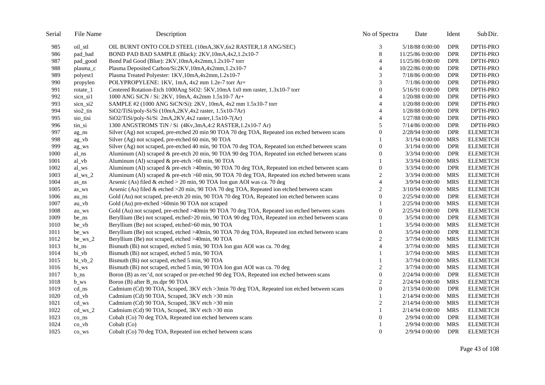| Serial | File Name            | Description                                                                                      | No of Spectra    | Date             | Ident      | Sub Dir.        |
|--------|----------------------|--------------------------------------------------------------------------------------------------|------------------|------------------|------------|-----------------|
| 985    | oil_stl              | OIL BURNT ONTO COLD STEEL (10mA,3KV,6x2 RASTER,1.8 ANG/SEC)                                      | 3                | 5/18/88 0:00:00  | <b>DPR</b> | DPTH-PRO        |
| 986    | pad_bad              | BOND PAD BAD SAMPLE (Black): 2KV, 10mA, 4x2, 1.2x10-7                                            | $\,8\,$          | 11/25/86 0:00:00 | <b>DPR</b> | DPTH-PRO        |
| 987    | pad_good             | Bond Pad Good (Blue): 2KV, 10mA, 4x2mm, 1.2x10-7 torr                                            | $\overline{4}$   | 11/25/86 0:00:00 | <b>DPR</b> | DPTH-PRO        |
| 988    | plasma_c             | Plasma Deposited Carbon/Si:2KV,10mA,4x2mm,1.2x10-7                                               | 4                | 10/22/86 0:00:00 | <b>DPR</b> | DPTH-PRO        |
| 989    | polyest1             | Plasma Treated Polyester: 1KV, 10mA, 4x2mm, 1.2x10-7                                             | 3                | 7/18/86 0:00:00  | <b>DPR</b> | DPTH-PRO        |
| 990    | propylen             | POLYPROPYLENE: 1KV, 1mA, 4x2 mm 1.2e-7 torr Ar+                                                  | 3                | 7/1/86 0:00:00   | <b>DPR</b> | DPTH-PRO        |
| 991    | rotate_1             | Centered Rotation-Etch 1000Ang SiO2: 5KV, 10mA 1x0 mm raster, 1.3x10-7 torr                      | $\boldsymbol{0}$ | 5/16/91 0:00:00  | <b>DPR</b> | DPTH-PRO        |
| 992    | sicn sil             | 1000 ANG SiCN / Si: 2KV, 10mA, 4x2mm 1.5x10-7 Ar+                                                | $\overline{4}$   | 1/20/88 0:00:00  | <b>DPR</b> | DPTH-PRO        |
| 993    | sicn_si2             | SAMPLE #2 (1000 ANG SiCN/Si): 2KV, 10mA, 4x2 mm 1.5x10-7 torr                                    | $\overline{4}$   | 1/20/88 0:00:00  | <b>DPR</b> | DPTH-PRO        |
| 994    | sio <sub>2_tis</sub> | SiO2/TiSi/poly-Si/Si (10mA,2KV,4x2 raster, 1.5x10-7Ar)                                           | $\overline{4}$   | 1/28/88 0:00:00  | <b>DPR</b> | DPTH-PRO        |
| 995    | sio_tisi             | SiO2/TiSi/poly-Si/Si 2mA,2KV,4x2 raster,1.5x10-7(Ar)                                             | 4                | 1/27/88 0:00:00  | <b>DPR</b> | DPTH-PRO        |
| 996    | tin_si               | 1300 ANGSTROMS TiN / Si (4Kv,3mA,4:2 RASTER,1.2x10-7 Ar)                                         | 5                | 7/14/86 0:00:00  | <b>DPR</b> | DPTH-PRO        |
| 997    | ag_ns                | Silver (Ag) not scraped, pre-etched 20 min 90 TOA 70 deg TOA, Repeated ion etched between scans  | 0                | 2/28/94 0:00:00  | DPR        | <b>ELEMETCH</b> |
| 998    | ag_vb                | Silver (Ag) not scraped, pre-etched 60 min, 90 TOA                                               |                  | 3/1/94 0:00:00   | <b>MRS</b> | <b>ELEMETCH</b> |
| 999    | ag_ws                | Silver (Ag) not scraped, pre-etched 40 min, 90 TOA 70 deg TOA, Repeated ion etched between scans | $\overline{0}$   | 3/1/94 0:00:00   | <b>DPR</b> | <b>ELEMETCH</b> |
| 1000   | al_ns                | Aluminum (Al) scraped & pre-etch 20 min, 90 TOA 90 deg TOA, Repeated ion etched between scans    | $\boldsymbol{0}$ | 3/3/94 0:00:00   | DPR        | <b>ELEMETCH</b> |
| 1001   | al_vb                | Aluminum (Al) scraped & pre-etch >60 min, 90 TOA                                                 | 1                | 3/3/94 0:00:00   | <b>MRS</b> | <b>ELEMETCH</b> |
| 1002   | al_ws                | Aluminum (Al) scraped & pre-etch >40min, 90 TOA 70 deg TOA, Repeated ion etched between scans    | $\boldsymbol{0}$ | 3/3/94 0:00:00   | <b>DPR</b> | <b>ELEMETCH</b> |
| 1003   | $al_ws_2$            | Aluminum (Al) scraped & pre-etch >60 min, 90 TOA 70 deg TOA, Repeated ion etched between scans   | $\boldsymbol{2}$ | 3/3/94 0:00:00   | <b>MRS</b> | <b>ELEMETCH</b> |
| 1004   | as_ns                | Arsenic (As) filed & etched > 20 min, 90 TOA Ion gun AOI was ca. 70 deg                          | $\overline{4}$   | 3/9/94 0:00:00   | <b>MRS</b> | <b>ELEMETCH</b> |
| 1005   | as_ws                | Arsenic (As) filed & etched $>20$ min, 90 TOA 70 deg TOA, Repeated ion etched between scans      | $\overline{c}$   | 3/10/94 0:00:00  | <b>MRS</b> | <b>ELEMETCH</b> |
| 1006   | au_ns                | Gold (Au) not scraped, pre-etch 20 min, 90 TOA 70 deg TOA, Repeated ion etched between scans     | $\boldsymbol{0}$ | 2/25/94 0:00:00  | DPR        | <b>ELEMETCH</b> |
| 1007   | au_vb                | Gold (Au) pre-etched >60min 90 TOA not scraped                                                   | 1                | 2/25/94 0:00:00  | <b>MRS</b> | <b>ELEMETCH</b> |
| 1008   | au_ws                | Gold (Au) not scraped, pre-etched >40min 90 TOA 70 deg TOA, Repeated ion etched between scans    | $\boldsymbol{0}$ | 2/25/94 0:00:00  | <b>DPR</b> | <b>ELEMETCH</b> |
| 1009   | be_ns                | Beryllium (Be) not scraped, etched>20 min, 90 TOA 90 deg TOA, Repeated ion etched between scans  | $\boldsymbol{0}$ | 3/5/94 0:00:00   | <b>DPR</b> | <b>ELEMETCH</b> |
| 1010   | be_vb                | Beryllium (Be) not scraped, etched>60 min, 90 TOA                                                | 1                | 3/5/94 0:00:00   | <b>MRS</b> | <b>ELEMETCH</b> |
| 1011   | be_ws                | Beryllium (Be) not scraped, etched >40min, 90 TOA 70 deg TOA, Repeated ion etched between scans  | $\boldsymbol{0}$ | 3/5/94 0:00:00   | <b>DPR</b> | <b>ELEMETCH</b> |
| 1012   | $be_{ws_2}$          | Beryllium (Be) not scraped, etched >40min, 90 TOA                                                | $\overline{c}$   | 3/7/94 0:00:00   | <b>MRS</b> | <b>ELEMETCH</b> |
| 1013   | $bi_ns$              | Bismuth (Bi) not scraped, etched 5 min, 90 TOA Ion gun AOI was ca. 70 deg                        | $\overline{4}$   | 3/7/94 0:00:00   | <b>MRS</b> | <b>ELEMETCH</b> |
| 1014   | bi_vb                | Bismuth (Bi) not scraped, etched 5 min, 90 TOA                                                   | 1                | 3/7/94 0:00:00   | <b>MRS</b> | <b>ELEMETCH</b> |
| 1015   | $bi_vb_2$            | Bismuth (Bi) not scraped, etched 5 min, 90 TOA                                                   | $\mathbf{1}$     | 3/7/94 0:00:00   | <b>MRS</b> | <b>ELEMETCH</b> |
| 1016   | bi_ws                | Bismuth (Bi) not scraped, etched 5 min, 90 TOA Ion gun AOI was ca. 70 deg                        | $\boldsymbol{2}$ | 3/7/94 0:00:00   | <b>MRS</b> | <b>ELEMETCH</b> |
| 1017   | $b$ <sub>ns</sub>    | Boron (B) as rec'd, not scraped or pre-etched 90 deg TOA, Repeated ion etched between scans      | $\boldsymbol{0}$ | 2/24/94 0:00:00  | <b>DPR</b> | <b>ELEMETCH</b> |
| 1018   | $b$ <sub>Ws</sub>    | Boron (B) after B_ns.dpr 90 TOA                                                                  | $\overline{c}$   | 2/24/94 0:00:00  | <b>MRS</b> | <b>ELEMETCH</b> |
| 1019   | cd_ns                | Cadmium (Cd) 90 TOA, Scraped, 3KV etch >3min 70 deg TOA, Repeated ion etched between scans       | $\overline{0}$   | 2/13/94 0:00:00  | <b>DPR</b> | <b>ELEMETCH</b> |
| 1020   | $cd_v$               | Cadmium (Cd) 90 TOA, Scraped, 3KV etch >30 min                                                   | 1                | 2/14/94 0:00:00  | <b>MRS</b> | <b>ELEMETCH</b> |
| 1021   | cd_ws                | Cadmium (Cd) 90 TOA, Scraped, 3KV etch >30 min                                                   | $\overline{2}$   | 2/14/94 0:00:00  | <b>MRS</b> | <b>ELEMETCH</b> |
| 1022   | $cd_{ws_2}$          | Cadmium (Cd) 90 TOA, Scraped, 3KV etch >30 min                                                   |                  | 2/14/94 0:00:00  | <b>MRS</b> | <b>ELEMETCH</b> |
| 1023   | $co_ns$              | Cobalt (Co) 70 deg TOA, Repeated ion etched between scans                                        | 0                | 2/9/94 0:00:00   | <b>DPR</b> | <b>ELEMETCH</b> |
| 1024   | $\cos y$             | Cobalt (Co)                                                                                      |                  | 2/9/94 0:00:00   | <b>MRS</b> | <b>ELEMETCH</b> |
| 1025   | co_ws                | Cobalt (Co) 70 deg TOA, Repeated ion etched between scans                                        | $\overline{0}$   | 2/9/94 0:00:00   | <b>DPR</b> | <b>ELEMETCH</b> |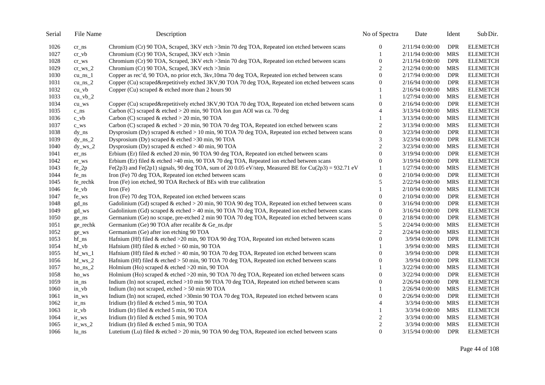| Serial | File Name                       | Description                                                                                          | No of Spectra    | Date            | Ident      | Sub Dir.        |
|--------|---------------------------------|------------------------------------------------------------------------------------------------------|------------------|-----------------|------------|-----------------|
| 1026   | $cr$ $ns$                       | Chromium (Cr) 90 TOA, Scraped, 3KV etch >3min 70 deg TOA, Repeated ion etched between scans          | 0                | 2/11/94 0:00:00 | <b>DPR</b> | <b>ELEMETCH</b> |
| 1027   | $cr_v$                          | Chromium (Cr) 90 TOA, Scraped, 3KV etch >3min                                                        | 1                | 2/11/94 0:00:00 | <b>MRS</b> | <b>ELEMETCH</b> |
| 1028   | $cr$ WS                         | Chromium (Cr) 90 TOA, Scraped, 3KV etch >3min 70 deg TOA, Repeated ion etched between scans          | $\overline{0}$   | 2/11/94 0:00:00 | <b>DPR</b> | <b>ELEMETCH</b> |
| 1029   | $cr_{WS_2}$                     | Chromium (Cr) 90 TOA, Scraped, 3KV etch >3min                                                        | $\overline{c}$   | 2/12/94 0:00:00 | <b>MRS</b> | <b>ELEMETCH</b> |
| 1030   | $cu_ns_1$                       | Copper as rec'd, 90 TOA, no prior etch, 3kv, 10ma 70 deg TOA, Repeated ion etched between scans      | $\overline{0}$   | 2/17/94 0:00:00 | <b>DPR</b> | <b>ELEMETCH</b> |
| 1031   | cu_ns $2$                       | Copper (Cu) scraped&repetitively etched 3KV,90 TOA 70 deg TOA, Repeated ion etched between scans     | $\overline{0}$   | 2/16/94 0:00:00 | <b>DPR</b> | <b>ELEMETCH</b> |
| 1032   | $cu_v$                          | Copper (Cu) scraped & etched more than 2 hours 90                                                    |                  | 2/16/94 0:00:00 | <b>MRS</b> | <b>ELEMETCH</b> |
| 1033   | $cu$ vb $2$                     |                                                                                                      | 1                | 1/27/94 0:00:00 | <b>MRS</b> | <b>ELEMETCH</b> |
| 1034   | $cu$ <sub><math>Ws</math></sub> | Copper (Cu) scraped&repetitively etched 3KV,90 TOA 70 deg TOA, Repeated ion etched between scans     | $\boldsymbol{0}$ | 2/16/94 0:00:00 | <b>DPR</b> | <b>ELEMETCH</b> |
| 1035   | $c$ <sub>ns</sub>               | Carbon (C) scraped & etched > 20 min, 90 TOA Ion gun AOI was ca. 70 deg                              | $\overline{4}$   | 3/13/94 0:00:00 | <b>MRS</b> | <b>ELEMETCH</b> |
| 1036   | $c_v$                           | Carbon (C) scraped $&$ etched $>$ 20 min, 90 TOA                                                     | 1                | 3/13/94 0:00:00 | <b>MRS</b> | <b>ELEMETCH</b> |
| 1037   | $c$ WS                          | Carbon (C) scraped & etched $>$ 20 min, 90 TOA 70 deg TOA, Repeated ion etched between scans         | 2                | 3/13/94 0:00:00 | <b>MRS</b> | <b>ELEMETCH</b> |
| 1038   | $dy_ns$                         | Dysprosium (Dy) scraped & etched > 10 min, 90 TOA 70 deg TOA, Repeated ion etched between scans      | $\overline{0}$   | 3/23/94 0:00:00 | <b>DPR</b> | <b>ELEMETCH</b> |
| 1039   | $dy_ns_2$                       | Dysprosium (Dy) scraped & etched >30 min, 90 TOA                                                     | 3                | 3/23/94 0:00:00 | <b>DPR</b> | <b>ELEMETCH</b> |
| 1040   | $dy_{ws_2}$                     | Dysprosium (Dy) scraped & etched $> 40$ min, 90 TOA                                                  | $\overline{c}$   | 3/23/94 0:00:00 | <b>MRS</b> | <b>ELEMETCH</b> |
| 1041   | $er_ns$                         | Erbium (Er) filed & etched 20 min, 90 TOA 90 deg TOA, Repeated ion etched between scans              | $\overline{0}$   | 3/19/94 0:00:00 | DPR        | <b>ELEMETCH</b> |
| 1042   | er_ws                           | Erbium (Er) filed & etched >40 min, 90 TOA 70 deg TOA, Repeated ion etched between scans             | $\overline{0}$   | 3/19/94 0:00:00 | <b>DPR</b> | <b>ELEMETCH</b> |
| 1043   | $fe_2p$                         | Fe(2p3) and Fe(2p1) signals, 90 deg TOA, sum of 20 0.05 eV/step, Measured BE for Cu(2p3) = 932.71 eV | 1                | 1/27/94 0:00:00 | <b>MRS</b> | <b>ELEMETCH</b> |
| 1044   | fe_ns                           | Iron (Fe) 70 deg TOA, Repeated ion etched between scans                                              | $\overline{0}$   | 2/10/94 0:00:00 | <b>DPR</b> | <b>ELEMETCH</b> |
| 1045   | fe_rechk                        | Iron (Fe) ion etched, 90 TOA Recheck of BEs with true calibration                                    | 5                | 2/22/94 0:00:00 | <b>MRS</b> | <b>ELEMETCH</b> |
| 1046   | fe_vb                           | Iron $(Fe)$                                                                                          | 1                | 2/10/94 0:00:00 | <b>MRS</b> | <b>ELEMETCH</b> |
| 1047   | fe_ws                           | Iron (Fe) 70 deg TOA, Repeated ion etched between scans                                              | $\overline{0}$   | 2/10/94 0:00:00 | <b>DPR</b> | <b>ELEMETCH</b> |
| 1048   | $gd_ns$                         | Gadolinium (Gd) scraped & etched > 20 min, 90 TOA 90 deg TOA, Repeated ion etched between scans      | $\boldsymbol{0}$ | 3/16/94 0:00:00 | <b>DPR</b> | <b>ELEMETCH</b> |
| 1049   | gd_ws                           | Gadolinium (Gd) scraped & etched > 40 min, 90 TOA 70 deg TOA, Repeated ion etched between scans      | $\boldsymbol{0}$ | 3/16/94 0:00:00 | <b>DPR</b> | <b>ELEMETCH</b> |
| 1050   | ge_ns                           | Germanium (Ge) no scrape, pre-etched 2 min 90 TOA 70 deg TOA, Repeated ion etched between scans      | $\overline{0}$   | 2/18/94 0:00:00 | <b>DPR</b> | <b>ELEMETCH</b> |
| 1051   | ge_rechk                        | Germanium (Ge) 90 TOA after recalibr & Ge_ns.dpr                                                     | 5                | 2/24/94 0:00:00 | <b>MRS</b> | <b>ELEMETCH</b> |
| 1052   | ge_ws                           | Germanium (Ge) after ion etching 90 TOA                                                              | $\overline{c}$   | 2/24/94 0:00:00 | <b>MRS</b> | <b>ELEMETCH</b> |
| 1053   | hf_ns                           | Hafnium (Hf) filed $&$ etched $>20$ min, 90 TOA 90 deg TOA, Repeated ion etched between scans        | 0                | 3/9/94 0:00:00  | DPR        | <b>ELEMETCH</b> |
| 1054   | $hf_v$                          | Hafnium (Hf) filed $&$ etched $> 60$ min, 90 TOA                                                     | 1                | 3/9/94 0:00:00  | <b>MRS</b> | <b>ELEMETCH</b> |
| 1055   | $hf_{ws_1}$                     | Hafnium (Hf) filed & etched $>$ 40 min, 90 TOA 70 deg TOA, Repeated ion etched between scans         | $\overline{0}$   | 3/9/94 0:00:00  | <b>DPR</b> | <b>ELEMETCH</b> |
| 1056   | $hf_{ws_2}$                     | Hafnium (Hf) filed & etched > 50 min, 90 TOA 70 deg TOA, Repeated ion etched between scans           | $\overline{0}$   | 3/9/94 0:00:00  | <b>DPR</b> | <b>ELEMETCH</b> |
| 1057   | $ho_ns_2$                       | Holmium (Ho) scraped $&$ etched >20 min, 90 TOA                                                      |                  | 3/22/94 0:00:00 | <b>MRS</b> | <b>ELEMETCH</b> |
| 1058   | ho_ws                           | Holmium (Ho) scraped & etched >20 min, 90 TOA 70 deg TOA, Repeated ion etched between scans          | $\boldsymbol{0}$ | 3/22/94 0:00:00 | <b>DPR</b> | <b>ELEMETCH</b> |
| 1059   | in ns                           | Indium (In) not scraped, etched >10 min 90 TOA 70 deg TOA, Repeated ion etched between scans         | $\overline{0}$   | 2/26/94 0:00:00 | <b>DPR</b> | <b>ELEMETCH</b> |
| 1060   | $in_v$                          | Indium (In) not scraped, etched $> 50$ min 90 TOA                                                    |                  | 2/26/94 0:00:00 | <b>MRS</b> | <b>ELEMETCH</b> |
| 1061   | in_ws                           | Indium (In) not scraped, etched >30min 90 TOA 70 deg TOA, Repeated ion etched between scans          | $\overline{0}$   | 2/26/94 0:00:00 | <b>DPR</b> | <b>ELEMETCH</b> |
| 1062   | ir_ns                           | Iridium (Ir) filed & etched 5 min, 90 TOA                                                            | $\overline{4}$   | 3/3/94 0:00:00  | <b>MRS</b> | <b>ELEMETCH</b> |
| 1063   | $ir_v$                          | Iridium (Ir) filed & etched 5 min, 90 TOA                                                            |                  | 3/3/94 0:00:00  | <b>MRS</b> | <b>ELEMETCH</b> |
| 1064   | ir_ws                           | Iridium (Ir) filed & etched 5 min, 90 TOA                                                            | $\overline{c}$   | 3/3/94 0:00:00  | <b>MRS</b> | <b>ELEMETCH</b> |
| 1065   | $ir_{ws_2}$                     | Iridium (Ir) filed & etched 5 min, 90 TOA                                                            | $\overline{c}$   | 3/3/94 0:00:00  | <b>MRS</b> | <b>ELEMETCH</b> |
| 1066   | lu_ns                           | Lutetium (Lu) filed & etched $>$ 20 min, 90 TOA 90 deg TOA, Repeated ion etched between scans        | $\overline{0}$   | 3/15/94 0:00:00 | <b>DPR</b> | <b>ELEMETCH</b> |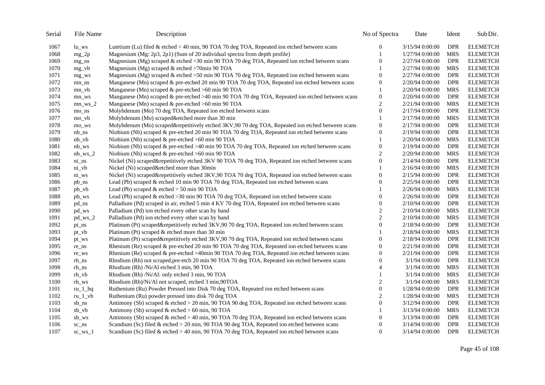| Serial | File Name              | Description                                                                                      | No of Spectra    | Date            | Ident      | Sub Dir.        |
|--------|------------------------|--------------------------------------------------------------------------------------------------|------------------|-----------------|------------|-----------------|
| 1067   | $lu$ ws                | Lutetium (Lu) filed & etched $>$ 40 min, 90 TOA 70 deg TOA, Repeated ion etched between scans    | $\boldsymbol{0}$ | 3/15/94 0:00:00 | <b>DPR</b> | <b>ELEMETCH</b> |
| 1068   | $mg_2p$                | Magnesium (Mg: 2p3, 2p1) (Sum of 20 individual spectra from depth profile)                       | 1                | 1/27/94 0:00:00 | <b>MRS</b> | <b>ELEMETCH</b> |
| 1069   | $mg$ _ns               | Magnesium (Mg) scraped & etched >30 min 90 TOA 70 deg TOA, Repeated ion etched between scans     | $\theta$         | 2/27/94 0:00:00 | <b>DPR</b> | <b>ELEMETCH</b> |
| 1070   | $mg_v$                 | Magnesium (Mg) scraped $&$ etched >70min 90 TOA                                                  |                  | 2/27/94 0:00:00 | <b>MRS</b> | <b>ELEMETCH</b> |
| 1071   | mg_ws                  | Magnesium (Mg) scraped & etched >50 min 90 TOA 70 deg TOA, Repeated ion etched between scans     | $\overline{0}$   | 2/27/94 0:00:00 | <b>DPR</b> | <b>ELEMETCH</b> |
| 1072   | $mn$ _ns               | Manganese (Mn) scraped & pre-etched 20 min 90 TOA 70 deg TOA, Repeated ion etched between scans  | $\theta$         | 2/20/94 0:00:00 | <b>DPR</b> | <b>ELEMETCH</b> |
| 1073   | $mn_v$                 | Manganese (Mn) scraped & pre-etched >60 min 90 TOA                                               |                  | 2/20/94 0:00:00 | <b>MRS</b> | <b>ELEMETCH</b> |
| 1074   | mn_ws                  | Manganese (Mn) scraped & pre-etched >40 min 90 TOA 70 deg TOA, Repeated ion etched between scans | $\boldsymbol{0}$ | 2/20/94 0:00:00 | <b>DPR</b> | <b>ELEMETCH</b> |
| 1075   | $mn$ ws $2$            | Manganese (Mn) scraped $&$ pre-etched >60 min 90 TOA                                             | $\mathfrak{2}$   | 2/21/94 0:00:00 | <b>MRS</b> | <b>ELEMETCH</b> |
| 1076   | mo_ns                  | Molybdenum (Mo) 70 deg TOA, Repeated ion etched between scans                                    | $\theta$         | 2/17/94 0:00:00 | <b>DPR</b> | <b>ELEMETCH</b> |
| 1077   | $mo_v$                 | Molybdenum (Mo) scraped&etched more than 30 min                                                  |                  | 2/17/94 0:00:00 | <b>MRS</b> | <b>ELEMETCH</b> |
| 1078   | mo_ws                  | Molybdenum (Mo) scraped&repetitively etched 3KV,90 70 deg TOA, Repeated ion etched between scans | $\boldsymbol{0}$ | 2/17/94 0:00:00 | <b>DPR</b> | <b>ELEMETCH</b> |
| 1079   | $nb$ <sub>ns</sub>     | Niobium (Nb) scraped & pre-etched 20 min 90 TOA 70 deg TOA, Repeated ion etched between scans    | $\theta$         | 2/19/94 0:00:00 | <b>DPR</b> | <b>ELEMETCH</b> |
| 1080   | $nb_v$                 | Niobium (Nb) scraped $\&$ pre-etched >60 min 90 TOA                                              |                  | 2/20/94 0:00:00 | <b>MRS</b> | <b>ELEMETCH</b> |
| 1081   | $nb_{ws}$              | Niobium (Nb) scraped & pre-etched >40 min 90 TOA 70 deg TOA, Repeated ion etched between scans   | $\theta$         | 2/19/94 0:00:00 | <b>DPR</b> | <b>ELEMETCH</b> |
| 1082   | $nb_{ws_2}$            | Niobium (Nb) scraped & pre-etched >60 min 90 TOA                                                 | $\overline{c}$   | 2/20/94 0:00:00 | <b>MRS</b> | <b>ELEMETCH</b> |
| 1083   | $ni$ <sub>ns</sub>     | Nickel (Ni) scraped&repetitively etched 3KV 90 TOA 70 deg TOA, Repeated ion etched between scans | $\Omega$         | 2/14/94 0:00:00 | <b>DPR</b> | <b>ELEMETCH</b> |
| 1084   | $ni_v$                 | Nickel (Ni) scraped&etched more than 30min                                                       |                  | 2/16/94 0:00:00 | <b>MRS</b> | <b>ELEMETCH</b> |
| 1085   | $ni_{ws}$              | Nickel (Ni) scraped&repetitively etched 3KV,90 TOA 70 deg TOA, Repeated ion etched between scans | $\Omega$         | 2/15/94 0:00:00 | <b>DPR</b> | <b>ELEMETCH</b> |
| 1086   | pb_ns                  | Lead (Pb) scraped & etched 10 min 90 TOA 70 deg TOA, Repeated ion etched between scans           | $\Omega$         | 2/25/94 0:00:00 | <b>DPR</b> | <b>ELEMETCH</b> |
| 1087   | pb_vb                  | Lead (Pb) scraped $&$ etched $>$ 50 min 90 TOA                                                   |                  | 2/26/94 0:00:00 | <b>MRS</b> | <b>ELEMETCH</b> |
| 1088   | pb_ws                  | Lead (Pb) scraped & etched >30 min 90 TOA 70 deg TOA, Repeated ion etched between scans          | $\Omega$         | 2/26/94 0:00:00 | <b>DPR</b> | <b>ELEMETCH</b> |
| 1089   | pd_ns                  | Palladium (Pd) scraped in air, etched 5 min 4 KV 70 deg TOA, Repeated ion etched between scans   | $\Omega$         | 2/10/94 0:00:00 | <b>DPR</b> | <b>ELEMETCH</b> |
| 1090   | pd_ws                  | Palladium (Pd) ion etched every other scan by hand                                               | 2                | 2/10/94 0:00:00 | <b>MRS</b> | <b>ELEMETCH</b> |
| 1091   | $pd_{\rm W}s_{\rm L}2$ | Palladium (Pd) ion etched every other scan by hand                                               | $\mathfrak{2}$   | 2/10/94 0:00:00 | <b>MRS</b> | <b>ELEMETCH</b> |
| 1092   | pt_ns                  | Platinum (Pt) scraped&repetitively etched 3KV,90 70 deg TOA, Repeated ion etched between scans   | $\Omega$         | 2/18/94 0:00:00 | <b>DPR</b> | <b>ELEMETCH</b> |
| 1093   | $pt_v$                 | Platinum (Pt) scraped & etched more than 30 min                                                  |                  | 2/18/94 0:00:00 | <b>MRS</b> | <b>ELEMETCH</b> |
| 1094   | pt_ws                  | Platinum (Pt) scraped&repetitively etched 3KV,90 70 deg TOA, Repeated ion etched between scans   | $\Omega$         | 2/18/94 0:00:00 | <b>DPR</b> | <b>ELEMETCH</b> |
| 1095   | re_ns                  | Rhenium (Re) scraped & pre-etched 20 min 90 TOA 70 deg TOA, Repeated ion etched between scans    | $\Omega$         | 2/21/94 0:00:00 | <b>DPR</b> | <b>ELEMETCH</b> |
| 1096   | re_ws                  | Rhenium (Re) scraped & pre-etched >40min 90 TOA 70 deg TOA, Repeated ion etched between scans    | $\overline{0}$   | 2/21/94 0:00:00 | <b>DPR</b> | <b>ELEMETCH</b> |
| 1097   | rh ns                  | Rhodium (Rh) not scraped, pre-etch 20 min 90 TOA 70 deg TOA, Repeated ion etched between scans   | $\theta$         | 3/1/94 0:00:00  | <b>DPR</b> | <b>ELEMETCH</b> |
| 1098   | rh_ns                  | Rhodium (Rh) /Ni/Al etched 3 min, 90 TOA                                                         | $\overline{4}$   | 3/1/94 0:00:00  | <b>MRS</b> | <b>ELEMETCH</b> |
| 1099   | rh_vb                  | Rhodium (Rh) /Ni/Al: only etched 3 min, 90 TOA                                                   |                  | 3/1/94 0:00:00  | <b>MRS</b> | <b>ELEMETCH</b> |
| 1100   | rh_ws                  | Rhodium (Rh)/Ni/Al not scraped, etched 3 min, 90TOA                                              | $\overline{2}$   | 3/1/94 0:00:00  | <b>MRS</b> | <b>ELEMETCH</b> |
| 1101   | $ru_1_hq$              | Ruthenium (Ru) Powder Pressed into Disk 70 deg TOA, Repeated ion etched between scans            | $\theta$         | 1/28/94 0:00:00 | <b>DPR</b> | <b>ELEMETCH</b> |
| 1102   | $ru_l_v$               | Ruthenium (Ru) powder pressed into disk 70 deg TOA                                               | 2                | 1/28/94 0:00:00 | <b>MRS</b> | <b>ELEMETCH</b> |
| 1103   | sb_ns                  | Antimony (Sb) scraped & etched > 20 min, 90 TOA 90 deg TOA, Repeated ion etched between scans    | $\Omega$         | 3/12/94 0:00:00 | <b>DPR</b> | <b>ELEMETCH</b> |
| 1104   | $sb_v$                 | Antimony (Sb) scraped & etched $> 60$ min, 90 TOA                                                |                  | 3/13/94 0:00:00 | <b>MRS</b> | <b>ELEMETCH</b> |
| 1105   | sb_ws                  | Antimony (Sb) scraped & etched > 40 min, 90 TOA 70 deg TOA, Repeated ion etched between scans    | $\overline{0}$   | 3/13/94 0:00:00 | <b>DPR</b> | <b>ELEMETCH</b> |
| 1106   | $sc$ $ns$              | Scandium (Sc) filed & etched > 20 min, 90 TOA 90 deg TOA, Repeated ion etched between scans      | $\boldsymbol{0}$ | 3/14/94 0:00:00 | <b>DPR</b> | <b>ELEMETCH</b> |
| 1107   | $sc_{ws_1}$            | Scandium (Sc) filed & etched > 40 min, 90 TOA 70 deg TOA, Repeated ion etched between scans      | $\Omega$         | 3/14/94 0:00:00 | <b>DPR</b> | <b>ELEMETCH</b> |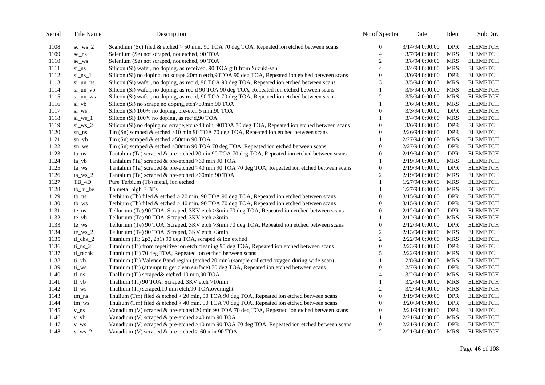| Serial | File Name          | Description                                                                                        | No of Spectra    | Date            | Ident      | Sub Dir.        |
|--------|--------------------|----------------------------------------------------------------------------------------------------|------------------|-----------------|------------|-----------------|
| 1108   | $sc_{ws_2}$        | Scandium (Sc) filed & etched > 50 min, 90 TOA 70 deg TOA, Repeated ion etched between scans        | 0                | 3/14/94 0:00:00 | <b>DPR</b> | <b>ELEMETCH</b> |
| 1109   | se_ns              | Selenium (Se) not scraped, not etched, 90 TOA                                                      | $\overline{4}$   | 3/7/94 0:00:00  | <b>MRS</b> | <b>ELEMETCH</b> |
| 1110   | se_ws              | Selenium (Se) not scraped, not etched, 90 TOA                                                      | $\overline{c}$   | 3/8/94 0:00:00  | <b>MRS</b> | <b>ELEMETCH</b> |
| 1111   | si ns              | Silicon (Si) wafer, no doping, as received, 90 TOA gift from Suzuki-san                            | $\overline{4}$   | 3/4/94 0:00:00  | <b>MRS</b> | <b>ELEMETCH</b> |
| 1112   | $si_ns_1$          | Silicon (Si) no doping, no scrape, 20min etch, 90TOA 90 deg TOA, Repeated ion etched between scans | $\mathbf{0}$     | 3/6/94 0:00:00  | <b>DPR</b> | <b>ELEMETCH</b> |
| 1113   | si_un_ns           | Silicon (Si) wafer, no doping, as rec'd, 90 TOA 90 deg TOA, Repeated ion etched between scans      | 3                | 3/5/94 0:00:00  | <b>MRS</b> | <b>ELEMETCH</b> |
| 1114   | si_un_vb           | Silicon (Si) wafer, no doping, as rec'd 90 TOA 90 deg TOA, Repeated ion etched between scans       |                  | 3/5/94 0:00:00  | <b>MRS</b> | <b>ELEMETCH</b> |
| 1115   | si_un_ws           | Silicon (Si) wafer, no doping, as rec'd, 90 TOA 70 deg TOA, Repeated ion etched between scans      | $\overline{c}$   | 3/5/94 0:00:00  | <b>MRS</b> | <b>ELEMETCH</b> |
| 1116   | $si_v$             | Silicon (Si) no scrape, no doping, etch>60min, 90 TOA                                              |                  | 3/6/94 0:00:00  | <b>MRS</b> | <b>ELEMETCH</b> |
| 1117   | si_ws              | Silicon (Si) 100% no doping, pre-etch 5 min, 90 TOA                                                | $\boldsymbol{0}$ | 3/3/94 0:00:00  | <b>DPR</b> | <b>ELEMETCH</b> |
| 1118   | $\sin$ ws 1        | Silicon (Si) 100% no doping, as rec'd, 90 TOA                                                      |                  | 3/4/94 0:00:00  | <b>MRS</b> | <b>ELEMETCH</b> |
| 1119   | $si_{ws_2}$        | Silicon (Si) no doping, no scrape, etch>40min, 90TOA 70 deg TOA, Repeated ion etched between scans | $\boldsymbol{0}$ | 3/6/94 0:00:00  | <b>DPR</b> | <b>ELEMETCH</b> |
| 1120   | sn_ns              | Tin (Sn) scraped & etched $>10$ min 90 TOA 70 deg TOA, Repeated ion etched between scans           | $\mathbf{0}$     | 2/26/94 0:00:00 | <b>DPR</b> | <b>ELEMETCH</b> |
| 1121   | sn_vb              | Tin (Sn) scraped $&$ etched >50min 90 TOA                                                          |                  | 2/27/94 0:00:00 | <b>MRS</b> | <b>ELEMETCH</b> |
| 1122   | sn_ws              | Tin (Sn) scraped & etched >30min 90 TOA 70 deg TOA, Repeated ion etched between scans              | $\Omega$         | 2/27/94 0:00:00 | <b>DPR</b> | <b>ELEMETCH</b> |
| 1123   | ta_ns              | Tantalum (Ta) scraped & pre-etched 20min 90 TOA 70 deg TOA, Repeated ion etched between scans      | $\boldsymbol{0}$ | 2/19/94 0:00:00 | <b>DPR</b> | <b>ELEMETCH</b> |
| 1124   | ta_vb              | Tantalum (Ta) scraped & pre-etched >60 min 90 TOA                                                  |                  | 2/19/94 0:00:00 | <b>MRS</b> | <b>ELEMETCH</b> |
| 1125   | ta_ws              | Tantalum (Ta) scraped & pre-etched >40 min 90 TOA 70 deg TOA, Repeated ion etched between scans    | $\boldsymbol{0}$ | 2/19/94 0:00:00 | <b>DPR</b> | <b>ELEMETCH</b> |
| 1126   | $ta_{ws_2}$        | Tantalum (Ta) scraped & pre-etched >60min 90 TOA                                                   | $\overline{c}$   | 2/19/94 0:00:00 | <b>MRS</b> | <b>ELEMETCH</b> |
| 1127   | $TB_4D$            | Pure Terbium (Tb) metal, ion etched                                                                |                  | 1/27/94 0:00:00 | <b>MRS</b> | <b>ELEMETCH</b> |
| 1128   | tb_hi_be           | Tb metal high E BEs                                                                                |                  | 1/27/94 0:00:00 | <b>MRS</b> | <b>ELEMETCH</b> |
| 1129   | $tb$ <sub>ns</sub> | Terbium (Tb) filed $\&$ etched $>$ 20 min, 90 TOA 90 deg TOA, Repeated ion etched between scans    | $\theta$         | 3/15/94 0:00:00 | <b>DPR</b> | <b>ELEMETCH</b> |
| 1130   | $tb_{\text{W}}$    | Terbium (Tb) filed & etched > 40 min, 90 TOA 70 deg TOA, Repeated ion etched between scans         | 0                | 3/15/94 0:00:00 | <b>DPR</b> | <b>ELEMETCH</b> |
| 1131   | te_ns              | Tellurium (Te) 90 TOA, Scraped, 3KV etch >3min 70 deg TOA, Repeated ion etched between scans       | $\boldsymbol{0}$ | 2/12/94 0:00:00 | <b>DPR</b> | <b>ELEMETCH</b> |
| 1132   | $te_v$             | Tellurium (Te) 90 TOA, Scraped, 3KV etch >3min                                                     |                  | 2/12/94 0:00:00 | <b>MRS</b> | <b>ELEMETCH</b> |
| 1133   | te_ws              | Tellurium (Te) 90 TOA, Scraped, 3KV etch >3min 70 deg TOA, Repeated ion etched between scans       | $\boldsymbol{0}$ | 2/12/94 0:00:00 | <b>DPR</b> | <b>ELEMETCH</b> |
| 1134   | $te_{ws_2}$        | Tellurium (Te) 90 TOA, Scraped, 3KV etch >3min                                                     | $\overline{c}$   | 2/13/94 0:00:00 | <b>MRS</b> | <b>ELEMETCH</b> |
| 1135   | $ti$ _chk_2        | Titanium (Ti: 2p3, 2p1) 90 deg TOA, scraped & ion etched                                           | $\overline{c}$   | 2/22/94 0:00:00 | <b>MRS</b> | <b>ELEMETCH</b> |
| 1136   | $ti_ns_2$          | Titanium (Ti) from repetitive ion etch cleaning 90 deg TOA, Repeated ion etched between scans      | $\mathbf{0}$     | 2/23/94 0:00:00 | <b>DPR</b> | <b>ELEMETCH</b> |
| 1137   | ti_rechk           | Titanium (Ti) 70 deg TOA, Repeated ion etched between scans                                        | 5                | 2/22/94 0:00:00 | <b>MRS</b> | <b>ELEMETCH</b> |
| 1138   | $ti_v$             | Titanium (Ti) Valence Band region (etched 20 min) (sample collected oxygen during wide scan)       |                  | 2/8/94 0:00:00  | <b>MRS</b> | <b>ELEMETCH</b> |
| 1139   | ti_ws              | Titanium (Ti) (attempt to get clean surface) 70 deg TOA, Repeated ion etched between scans         | $\boldsymbol{0}$ | 2/7/94 0:00:00  | <b>DPR</b> | <b>ELEMETCH</b> |
| 1140   | $tl$ <sub>ns</sub> | Thallium (Tl) scraped& etched 10 min,90 TOA                                                        | $\overline{4}$   | 3/2/94 0:00:00  | <b>MRS</b> | <b>ELEMETCH</b> |
| 1141   | $tl_v$             | Thallium (Tl) 90 TOA, Scraped, 3KV etch >10min                                                     |                  | 3/2/94 0:00:00  | <b>MRS</b> | <b>ELEMETCH</b> |
| 1142   | tl_ws              | Thallium (Tl) scraped, 10 min etch, 90 TOA, overnight                                              | $\overline{c}$   | 3/2/94 0:00:00  | <b>MRS</b> | <b>ELEMETCH</b> |
| 1143   | tm_ns              | Thulium (Tm) filed & etched $>$ 20 min, 90 TOA 90 deg TOA, Repeated ion etched between scans       | $\boldsymbol{0}$ | 3/19/94 0:00:00 | <b>DPR</b> | <b>ELEMETCH</b> |
| 1144   | tm_ws              | Thulium (Tm) filed & etched $>$ 40 min, 90 TOA 70 deg TOA, Repeated ion etched between scans       | $\mathbf{0}$     | 3/20/94 0:00:00 | <b>DPR</b> | <b>ELEMETCH</b> |
| 1145   | $v_ns$             | Vanadium (V) scraped & pre-etched 20 min 90 TOA 70 deg TOA, Repeated ion etched between scans      | $\mathbf{0}$     | 2/21/94 0:00:00 | <b>DPR</b> | <b>ELEMETCH</b> |
| 1146   | $v_v$              | Vanadium (V) scraped & pre-etched >40 min 90 TOA                                                   |                  | 2/21/94 0:00:00 | <b>MRS</b> | <b>ELEMETCH</b> |
| 1147   | v_ws               | Vanadium (V) scraped & pre-etched >40 min 90 TOA 70 deg TOA, Repeated ion etched between scans     | $\boldsymbol{0}$ | 2/21/94 0:00:00 | <b>DPR</b> | <b>ELEMETCH</b> |
| 1148   | $v$ ws 2           | Vanadium (V) scraped & pre-etched > 60 min 90 TOA                                                  | $\overline{c}$   | 2/21/94 0:00:00 | <b>MRS</b> | <b>ELEMETCH</b> |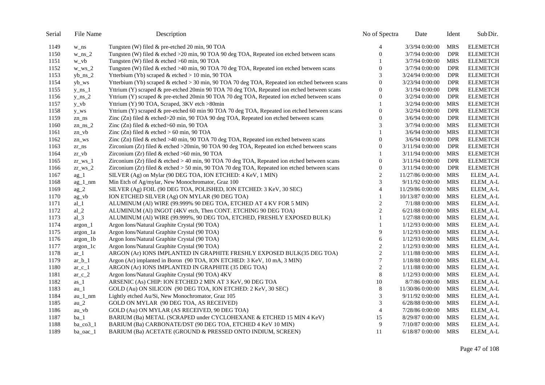| Serial | File Name    | Description                                                                                      | No of Spectra    | Date             | Ident      | Sub Dir.        |
|--------|--------------|--------------------------------------------------------------------------------------------------|------------------|------------------|------------|-----------------|
| 1149   | w_ns         | Tungsten (W) filed & pre-etched 20 min, 90 TOA                                                   | 4                | 3/3/94 0:00:00   | <b>MRS</b> | <b>ELEMETCH</b> |
| 1150   | $w_ns_2$     | Tungsten (W) filed & etched >20 min, 90 TOA 90 deg TOA, Repeated ion etched between scans        | $\boldsymbol{0}$ | 3/7/94 0:00:00   | <b>DPR</b> | <b>ELEMETCH</b> |
| 1151   | $w_v$        | Tungsten (W) filed & etched >60 min, 90 TOA                                                      |                  | 3/7/94 0:00:00   | <b>MRS</b> | <b>ELEMETCH</b> |
| 1152   | $w_{ws_2}$   | Tungsten (W) filed & etched >40 min, 90 TOA 70 deg TOA, Repeated ion etched between scans        | $\overline{0}$   | 3/7/94 0:00:00   | <b>DPR</b> | <b>ELEMETCH</b> |
| 1153   | $yb_ns_2$    | Ytterbium (Yb) scraped & etched > 10 min, 90 TOA                                                 | 3                | 3/24/94 0:00:00  | <b>DPR</b> | <b>ELEMETCH</b> |
| 1154   | yb_ws        | Ytterbium (Yb) scraped & etched $>$ 30 min, 90 TOA 70 deg TOA, Repeated ion etched between scans | $\theta$         | 3/23/94 0:00:00  | <b>DPR</b> | <b>ELEMETCH</b> |
| 1155   | $y_ns_1$     | Yttrium (Y) scraped & pre-etched 20min 90 TOA 70 deg TOA, Repeated ion etched between scans      | $\Omega$         | 3/1/94 0:00:00   | <b>DPR</b> | <b>ELEMETCH</b> |
| 1156   | $y_ns_2$     | Yttrium (Y) scraped & pre-etched 20min 90 TOA 70 deg TOA, Repeated ion etched between scans      | $\boldsymbol{0}$ | 3/2/94 0:00:00   | <b>DPR</b> | <b>ELEMETCH</b> |
| 1157   | $y_v$        | Yttrium (Y) 90 TOA, Scraped, 3KV etch >80min                                                     |                  | 3/2/94 0:00:00   | <b>MRS</b> | <b>ELEMETCH</b> |
| 1158   | y_ws         | Yttrium (Y) scraped & pre-etched 60 min 90 TOA 70 deg TOA, Repeated ion etched between scans     | $\overline{0}$   | 3/2/94 0:00:00   | <b>DPR</b> | <b>ELEMETCH</b> |
| 1159   | zn ns        | Zinc (Zn) filed & etched>20 min, 90 TOA 90 deg TOA, Repeated ion etched between scans            | $\theta$         | $3/6/94$ 0:00:00 | <b>DPR</b> | <b>ELEMETCH</b> |
| 1160   | $zn_ns_2$    | Zinc $(Zn)$ filed & etched $>60$ min, 90 TOA                                                     | 3                | 3/7/94 0:00:00   | <b>MRS</b> | <b>ELEMETCH</b> |
| 1161   | $zn_v$       | Zinc (Zn) filed $&$ etched $> 60$ min, 90 TOA                                                    |                  | 3/6/94 0:00:00   | <b>MRS</b> | <b>ELEMETCH</b> |
| 1162   | zn_ws        | Zinc (Zn) filed & etched >40 min, 90 TOA 70 deg TOA, Repeated ion etched between scans           | $\overline{0}$   | 3/6/94 0:00:00   | <b>DPR</b> | <b>ELEMETCH</b> |
| 1163   | zr_ns        | Zirconium (Zr) filed & etched >20min, 90 TOA 90 deg TOA, Repeated ion etched between scans       | $\theta$         | 3/11/94 0:00:00  | <b>DPR</b> | <b>ELEMETCH</b> |
| 1164   | $Zr_v$ vb    | Zirconium (Zr) filed & etched >60 min, 90 TOA                                                    |                  | 3/11/94 0:00:00  | <b>MRS</b> | <b>ELEMETCH</b> |
| 1165   | $z$ r ws $1$ | Zirconium (Zr) filed & etched > 40 min, 90 TOA 70 deg TOA, Repeated ion etched between scans     | $\overline{0}$   | 3/11/94 0:00:00  | <b>DPR</b> | <b>ELEMETCH</b> |
| 1166   | $Zr$ ws $2$  | Zirconium (Zr) filed & etched > 50 min, 90 TOA 70 deg TOA, Repeated ion etched between scans     | $\boldsymbol{0}$ | 3/11/94 0:00:00  | <b>DPR</b> | <b>ELEMETCH</b> |
| 1167   | $ag_1$       | SILVER (Ag) on Mylar (90 DEG TOA, ION ETCHED: 4 KeV, 1 MIN)                                      | $\overline{c}$   | 11/27/86 0:00:00 | <b>MRS</b> | ELEM_A-L        |
| 1168   | $ag_1$ _nm   | Min Etch of Ag/mylar, New Monochromator, Graz 100                                                | 3                | 9/11/92 0:00:00  | <b>MRS</b> | ELEM_A-L        |
| 1169   | $ag_2$       | SILVER (Ag) FOIL (90 DEG TOA, POLISHED, ION ETCHED: 3 KeV, 30 SEC)                               | 4                | 11/29/86 0:00:00 | <b>MRS</b> | ELEM_A-L        |
| 1170   | $ag_vb$      | ION ETCHED SILVER (Ag) ON MYLAR (90 DEG TOA)                                                     |                  | 10/13/87 0:00:00 | <b>MRS</b> | ELEM_A-L        |
| 1171   | $al_1$       | ALUMINUM (Al) WIRE (99.999% 90 DEG TOA, ETCHED AT 4 KV FOR 5 MIN)                                | 2                | 7/1/88 0:00:00   | <b>MRS</b> | ELEM A-L        |
| 1172   | $al_2$       | ALUMINUM (Al) INGOT (4KV etch, Then CONT. ETCHING 90 DEG TOA)                                    | $\overline{c}$   | 6/21/88 0:00:00  | <b>MRS</b> | ELEM_A-L        |
| 1173   | $al_3$       | ALUMINUM (Al) WIRE (99.999%, 90 DEG TOA, ETCHED, FRESHLY EXPOSED BULK)                           |                  | 1/27/88 0:00:00  | <b>MRS</b> | ELEM_A-L        |
| 1174   | argon_1      | Argon Ions/Natural Graphite Crystal (90 TOA)                                                     |                  | 1/12/93 0:00:00  | <b>MRS</b> | ELEM_A-L        |
| 1175   | argon_1a     | Argon Ions/Natural Graphite Crystal (90 TOA)                                                     | 9                | 1/12/93 0:00:00  | <b>MRS</b> | ELEM_A-L        |
| 1176   | argon_1b     | Argon Ions/Natural Graphite Crystal (90 TOA)                                                     | 6                | 1/12/93 0:00:00  | <b>MRS</b> | ELEM_A-L        |
| 1177   | argon_1c     | Argon Ions/Natural Graphite Crystal (90 TOA)                                                     | $\overline{c}$   | 1/12/93 0:00:00  | <b>MRS</b> | ELEM_A-L        |
| 1178   | $ar_1$       | ARGON (Ar) IONS IMPLANTED IN GRAPHITE FRESHLY EXPOSED BULK(35 DEG TOA)                           | $\boldsymbol{2}$ | 1/11/88 0:00:00  | <b>MRS</b> | ELEM A-L        |
| 1179   | $ar_b_1$     | Argon (Ar) implanted in Boron (90 TOA, ION ETCHED: 3 KeV, 10 mA, 3 MIN)                          | $\overline{7}$   | 1/18/88 0:00:00  | <b>MRS</b> | ELEM_A-L        |
| 1180   | $ar_c_1$     | ARGON (Ar) IONS IMPLANTED IN GRAPHITE (35 DEG TOA)                                               | $\overline{c}$   | 1/11/88 0:00:00  | <b>MRS</b> | ELEM_A-L        |
| 1181   | $ar_c_2$     | Argon Ions/Natural Graphite Crystal (90 TOA) 4KV                                                 | $\,8\,$          | 1/12/93 0:00:00  | <b>MRS</b> | ELEM_A-L        |
| 1182   | $as_1$       | ARSENIC (As) CHIP: ION ETCHED 2 MIN AT 3 KeV, 90 DEG TOA                                         | 10               | 8/7/86 0:00:00   | <b>MRS</b> | ELEM_A-L        |
| 1183   | $au_1$       | GOLD (Au) ON SILICON (90 DEG TOA, ION ETCHED: 2 KeV, 30 SEC)                                     | 8                | 11/30/86 0:00:00 | <b>MRS</b> | ELEM_A-L        |
| 1184   | $au_1$ nm    | Lightly etched Au/Si, New Monochromator, Graz 105                                                | 3                | 9/11/92 0:00:00  | <b>MRS</b> | ELEM_A-L        |
| 1185   | $au_2$       | GOLD ON MYLAR (90 DEG TOA, AS RECEIVED)                                                          | 3                | 6/28/88 0:00:00  | <b>MRS</b> | ELEM_A-L        |
| 1186   | $au$ vb      | GOLD (Au) ON MYLAR (AS RECEIVED, 90 DEG TOA)                                                     | $\overline{4}$   | 7/28/86 0:00:00  | <b>MRS</b> | ELEM_A-L        |
| 1187   | $ba_1$       | BARIUM (Ba) METAL (SCRAPED under CYCLOHEXANE & ETCHED 15 MIN 4 KeV)                              | 15               | 8/29/87 0:00:00  | <b>MRS</b> | ELEM_A-L        |
| 1188   | ba $\cos 1$  | BARIUM (Ba) CARBONATE/DST (90 DEG TOA, ETCHED 4 KeV 10 MIN)                                      | 9                | 7/10/87 0:00:00  | <b>MRS</b> | ELEM_A-L        |
| 1189   | ba $oac_1$   | BARIUM (Ba) ACETATE (GROUND & PRESSED ONTO INDIUM, SCREEN)                                       | 11               | 6/18/87 0:00:00  | <b>MRS</b> | ELEM_A-L        |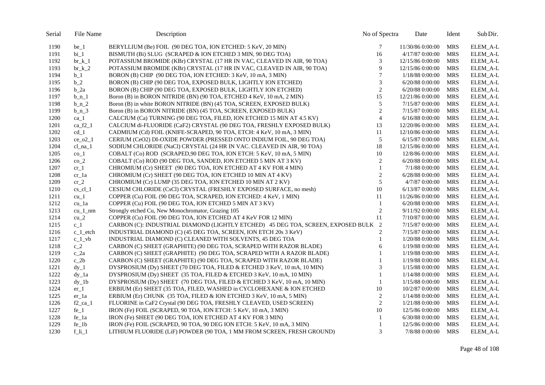| Serial | File Name      | Description                                                                        | No of Spectra    | Date              | Ident      | Sub Dir. |
|--------|----------------|------------------------------------------------------------------------------------|------------------|-------------------|------------|----------|
| 1190   | be 1           | BERYLLIUM (Be) FOIL (90 DEG TOA, ION ETCHED: 5 KeV, 20 MIN)                        | 7                | 11/30/86 0:00:00  | <b>MRS</b> | ELEM A-L |
| 1191   | $bi_1$         | BISMUTH (Bi) SLUG (SCRAPED & ION ETCHED 3 MIN, 90 DEG TOA)                         | 16               | 4/17/87 0:00:00   | <b>MRS</b> | ELEM_A-L |
| 1192   | $\rm br\,k\,1$ | POTASSIUM BROMIDE (KBr) CRYSTAL (17 HR IN VAC, CLEAVED IN AIR, 90 TOA)             | 3                | 12/15/86 0:00:00  | <b>MRS</b> | ELEM A-L |
| 1193   | $\rm br\,$ k 2 | POTASSIUM BROMIDE (KBr) CRYSTAL (17 HR IN VAC, CLEAVED IN AIR, 90 TOA)             | 9                | 12/15/86 0:00:00  | <b>MRS</b> | ELEM_A-L |
| 1194   | $b_1$          | BORON (B) CHIP (90 DEG TOA, ION ETCHED: 3 KeV, 10 mA, 3 MIN)                       | $\boldsymbol{7}$ | 1/18/88 0:00:00   | <b>MRS</b> | ELEM A-L |
| 1195   | $b_2$          | BORON (B) CHIP (90 DEG TOA, EXPOSED BULK, LIGHTLY ION ETCHED)                      | 3                | 6/20/88 0:00:00   | <b>MRS</b> | ELEM_A-L |
| 1196   | $b_2a$         | BORON (B) CHIP (90 DEG TOA, EXPOSED BULK, LIGHTLY ION ETCHED)                      | $\sqrt{2}$       | 6/20/88 0:00:00   | <b>MRS</b> | ELEM_A-L |
| 1197   | $b_n$ 1        | Boron (B) in BORON NITRIDE (BN) (90 TOA, ETCHED 4 KeV, 10 mA, 2 MIN)               | 15               | 12/21/86 0:00:00  | <b>MRS</b> | ELEM_A-L |
| 1198   | $b_n$ 2        | Boron (B) in white BORON NITRIDE (BN) (45 TOA, SCREEN, EXPOSED BULK)               | $\sqrt{5}$       | 7/15/87 0:00:00   | <b>MRS</b> | ELEM_A-L |
| 1199   | $b_n$ 3        | Boron (B) in BORON NITRIDE (BN) (45 TOA, SCREEN, EXPOSED BULK)                     | $\sqrt{2}$       | 7/15/87 0:00:00   | <b>MRS</b> | ELEM_A-L |
| 1200   | $ca_1$         | CALCIUM (Ca) TURNING (90 DEG TOA, FILED, ION ETCHED 15 MIN AT 4.5 KV)              | $\overline{4}$   | $6/16/88$ 0:00:00 | <b>MRS</b> | ELEM_A-L |
| 1201   | ca $f2_1$      | CALCIUM di-FLUORIDE (CaF2) CRYSTAL (90 DEG TOA, FRESHLY EXPOSED BULK)              | 13               | 12/20/86 0:00:00  | <b>MRS</b> | ELEM_A-L |
| 1202   | $cd_1$         | CADMIUM (Cd) FOIL (KNIFE-SCRAPED, 90 TOA, ETCH: 4 KeV, 10 mA, 3 MIN)               | 11               | 12/10/86 0:00:00  | <b>MRS</b> | ELEM_A-L |
| 1203   | $ce$ o2 1      | CERIUM (CeO2) DI-OXIDE POWDER (PRESSED ONTO INDIUM FOIL, 90 DEG TOA)               | 5                | 6/15/87 0:00:00   | <b>MRS</b> | ELEM A-L |
| 1204   | $cl$ na $1$    | SODIUM CHLORIDE (NaCl) CRYSTAL (24 HR IN VAC. CLEAVED IN AIR, 90 TOA)              | 18               | 12/15/86 0:00:00  | <b>MRS</b> | ELEM_A-L |
| 1205   | $co_1$         | COBALT (Co) ROD (SCRAPED, 90 DEG TOA, ION ETCH: 5 KeV, 10 mA, 5 MIN)               | 10               | 12/8/86 0:00:00   | <b>MRS</b> | ELEM_A-L |
| 1206   | $co_2$         | COBALT (Co) ROD (90 DEG TOA, SANDED, ION ETCHED 5 MIN AT 3 KV)                     | $\sqrt{2}$       | 6/20/88 0:00:00   | <b>MRS</b> | ELEM_A-L |
| 1207   | $cr_1$         | CHROMIUM (Cr) SHEET (90 DEG TOA, ION ETCHED AT 4 KV FOR 4 MIN)                     | $\mathbf{1}$     | 7/1/88 0:00:00    | <b>MRS</b> | ELEM A-L |
| 1208   | $cr_1a$        | CHROMIUM (Cr) SHEET (90 DEG TOA, ION ETCHED 10 MIN AT 4 KV)                        | $\sqrt{2}$       | 6/28/88 0:00:00   | <b>MRS</b> | ELEM_A-L |
| 1209   | $cr_2$         | CHROMIUM (Cr) LUMP (35 DEG TOA, ION ETCHED 10 MIN AT 2 KV)                         | 5                | 4/7/87 0:00:00    | <b>MRS</b> | ELEM_A-L |
| 1210   | $cs_cl_1$      | CESIUM CHLORIDE (CsCl) CRYSTAL (FRESHLY EXPOSED SURFACE, no mesh)                  | 10               | 6/13/87 0:00:00   | <b>MRS</b> | ELEM_A-L |
| 1211   | $cu_1$         | COPPER (Cu) FOIL (90 DEG TOA, SCRAPED, ION ETCHED: 4 KeV, 1 MIN)                   | 11               | 11/26/86 0:00:00  | <b>MRS</b> | ELEM A-L |
| 1212   | $cu_1a$        | COPPER (Cu) FOIL (90 DEG TOA, ION ETCHED 5 MIN AT 3 KV)                            | $\mathbf{1}$     | 6/20/88 0:00:00   | <b>MRS</b> | ELEM_A-L |
| 1213   | $cu_1$ nm      | Strongly etched Cu, New Monochromator, Grazing 105                                 | $\overline{2}$   | 9/11/92 0:00:00   | <b>MRS</b> | ELEM_A-L |
| 1214   | $cu_2$         | COPPER (Cu) FOIL (90 DEG TOA, ION ETCHED AT 4 KeV FOR 12 MIN)                      | 11               | 7/10/87 0:00:00   | <b>MRS</b> | ELEM_A-L |
| 1215   | $c_1$          | CARBON (C): INDUSTRIAL DIAMOND (LIGHTLY ETCHED) 45 DEG TOA, SCREEN, EXPOSED BULK 2 |                  | 7/15/87 0:00:00   | <b>MRS</b> | ELEM_A-L |
| 1216   | $c_1$ etch     | INDUSTRIAL DIAMOND (C) (45 DEG TOA, SCREEN, ION ETCH 20s 3 KeV)                    | 2                | 7/15/87 0:00:00   | <b>MRS</b> | ELEM A-L |
| 1217   | $c_1$ vb       | INDUSTRIAL DIAMOND (C) CLEANED WITH SOLVENTS, 45 DEG TOA                           | $\mathbf{1}$     | 1/20/88 0:00:00   | <b>MRS</b> | ELEM_A-L |
| 1218   | $c_2$          | CARBON (C) SHEET (GRAPHITE) (90 DEG TOA, SCRAPED WITH RAZOR BLADE)                 | 6                | 1/19/88 0:00:00   | <b>MRS</b> | ELEM_A-L |
| 1219   | $c_2a$         | CARBON (C) SHEET (GRAPHITE) (90 DEG TOA, SCRAPED WITH A RAZOR BLADE)               | $\mathbf{1}$     | 1/19/88 0:00:00   | <b>MRS</b> | ELEM_A-L |
| 1220   | $c_2$          | CARBON (C) SHEET (GRAPHITE) (90 DEG TOA, SCRAPED WITH RAZOR BLADE)                 | $\mathbf{1}$     | 1/19/88 0:00:00   | <b>MRS</b> | ELEM_A-L |
| 1221   | $dy_1$         | DYSPROSIUM (Dy) SHEET (70 DEG TOA, FILED & ETCHED 3 KeV, 10 mA, 10 MIN)            | 3                | 1/15/88 0:00:00   | <b>MRS</b> | ELEM_A-L |
| 1222   | $dy_1$         | DYSPROSIUM (Dy) SHEET (35 TOA, FILED & ETCHED 3 KeV, 10 mA, 10 MIN)                | $\mathbf{1}$     | 1/14/88 0:00:00   | <b>MRS</b> | ELEM_A-L |
| 1223   | $dy_1$         | DYSPROSIUM (Dy) SHEET (70 DEG TOA, FILED & ETCHED 3 KeV, 10 mA, 10 MIN)            | $\mathbf{1}$     | 1/15/88 0:00:00   | <b>MRS</b> | ELEM_A-L |
| 1224   | $er_1$         | ERBIUM (Er) SHEET (35 TOA, FILED, WASHED in CYCLOHEXANE & ION ETCHED               | 10               | 10/2/87 0:00:00   | <b>MRS</b> | ELEM_A-L |
| 1225   | $er_1a$        | ERBIUM (Er) CHUNK (35 TOA, FILED & ION ETCHED 3 KeV, 10 mA, 5 MIN)                 | $\sqrt{2}$       | 1/14/88 0:00:00   | <b>MRS</b> | ELEM_A-L |
| 1226   | $f2$ _ca_1     | FLUORINE in CaF2 Crystal (90 DEG TOA, FRESHLY CLEAVED, USED SCREEN)                | $\overline{2}$   | 1/21/88 0:00:00   | <b>MRS</b> | ELEM_A-L |
| 1227   | $fe_1$         | IRON (Fe) FOIL (SCRAPED, 90 TOA, ION ETCH: 5 KeV, 10 mA, 3 MIN)                    | 10               | 12/5/86 0:00:00   | <b>MRS</b> | ELEM_A-L |
| 1228   | fe_1a          | IRON (Fe) SHEET (90 DEG TOA, ION ETCHED AT 4 KV FOR 3 MIN)                         | 1                | 6/30/88 0:00:00   | <b>MRS</b> | ELEM_A-L |
| 1229   | $fe_1b$        | IRON (Fe) FOIL (SCRAPED, 90 TOA, 90 DEG ION ETCH: 5 KeV, 10 mA, 3 MIN)             | 1                | 12/5/86 0:00:00   | <b>MRS</b> | ELEM_A-L |
| 1230   | $f$ _li_1      | LITHIUM FLUORIDE (LiF) POWDER (90 TOA, 1 MM FROM SCREEN, FRESH GROUND)             | 3                | 7/8/88 0:00:00    | <b>MRS</b> | ELEM_A-L |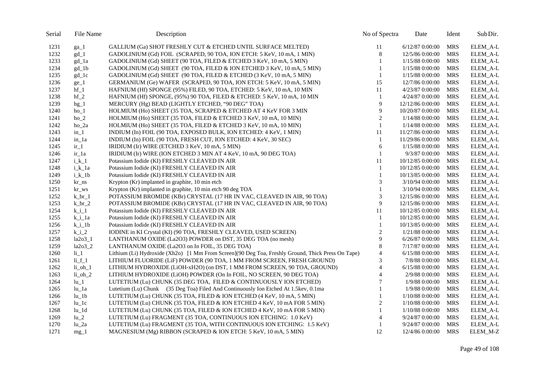| Serial | File Name          | Description                                                                                       | No of Spectra    | Date             | Ident      | Sub Dir.        |
|--------|--------------------|---------------------------------------------------------------------------------------------------|------------------|------------------|------------|-----------------|
| 1231   | $ga_1$             | GALLIUM (Ga) SHOT FRESHLY CUT & ETCHED UNTIL SURFACE MELTED)                                      | 11               | 6/12/87 0:00:00  | <b>MRS</b> | ELEM_A-L        |
| 1232   | $gd_1$             | GADOLINIUM (Gd) FOIL (SCRAPED, 90 TOA, ION ETCH: 5 KeV, 10 mA, 1 MIN)                             | $\,8\,$          | 12/5/86 0:00:00  | <b>MRS</b> | ELEM_A-L        |
| 1233   | gd_1a              | GADOLINIUM (Gd) SHEET (90 TOA, FILED & ETCHED 3 KeV, 10 mA, 5 MIN)                                | $\mathbf{1}$     | 1/15/88 0:00:00  | <b>MRS</b> | ELEM A-L        |
| 1234   | gd_1b              | GADOLINIUM (Gd) SHEET (90 TOA, FILED & ION ETCHED 3 KeV, 10 mA, 5 MIN)                            | $\mathbf{1}$     | 1/15/88 0:00:00  | <b>MRS</b> | ELEM_A-L        |
| 1235   | $gd$ <sup>1c</sup> | GADOLINIUM (Gd) SHEET (90 TOA, FILED & ETCHED (3 KeV, 10 mA, 5 MIN)                               | 1                | 1/15/88 0:00:00  | <b>MRS</b> | ELEM_A-L        |
| 1236   | $ge_1$             | GERMANIUM (Ge) WAFER (SCRAPED, 90 TOA, ION ETCH: 5 KeV, 10 mA, 5 MIN)                             | 15               | 12/7/86 0:00:00  | <b>MRS</b> | ELEM_A-L        |
| 1237   | $hf_1$             | HAFNIUM (Hf) SPONGE (95%) FILED, 90 TOA, ETCHED: 5 KeV, 10 mA, 10 MIN                             | 11               | 4/23/87 0:00:00  | <b>MRS</b> | ELEM_A-L        |
| 1238   | $hf_2$             | HAFNIUM (Hf) SPONGE, $(95%)$ 90 TOA, FILED & ETCHED: 5 KeV, 10 mA, 10 MIN                         | 1                | 4/24/87 0:00:00  | <b>MRS</b> | ELEM_A-L        |
| 1239   | $hg_1$             | MERCURY (Hg) BEAD (LIGHTLY ETCHED, "90 DEG" TOA)                                                  | 9                | 12/12/86 0:00:00 | <b>MRS</b> | ELEM_A-L        |
| 1240   | $ho_1$             | HOLMIUM (Ho) SHEET (35 TOA, SCRAPED & ETCHED AT 4 KeV FOR 3 MIN                                   | 9                | 10/20/87 0:00:00 | <b>MRS</b> | ELEM_A-L        |
| 1241   | $ho_2$             | HOLMIUM (Ho) SHEET (35 TOA, FILED & ETCHED 3 KeV, 10 mA, 10 MIN)                                  | $\overline{c}$   | 1/14/88 0:00:00  | <b>MRS</b> | <b>ELEM A-L</b> |
| 1242   | $ho_2a$            | HOLMIUM (Ho) SHEET (35 TOA, FILED & ETCHED 3 KeV, 10 mA, 10 MIN)                                  | $\mathbf{1}$     | 1/14/88 0:00:00  | <b>MRS</b> | ELEM_A-L        |
| 1243   | $in_1$             | INDIUM (In) FOIL (90 TOA, EXPOSED BULK, ION ETCHED: 4 KeV, 1 MIN)                                 | 11               | 11/27/86 0:00:00 | <b>MRS</b> | ELEM_A-L        |
| 1244   | in 1a              | INDIUM (In) FOIL (90 TOA, FRESH CUT, ION ETCHED: 4 KeV, 30 SEC)                                   | $\mathbf{1}$     | 11/29/86 0:00:00 | <b>MRS</b> | ELEM_A-L        |
| 1245   | $ir_1$             | IRIDIUM (Ir) WIRE (ETCHED 3 KeV, 10 mA, 5 MIN)                                                    | 6                | 1/15/88 0:00:00  | <b>MRS</b> | ELEM_A-L        |
| 1246   | ir_1a              | IRIDIUM (Ir) WIRE (ION ETCHED 3 MIN AT 4 KeV, 10 mA, 90 DEG TOA)                                  | $\mathbf{1}$     | 9/3/87 0:00:00   | <b>MRS</b> | ELEM_A-L        |
| 1247   | $i \; k \; 1$      | Potassium Iodide (KI) FRESHLY CLEAVED IN AIR                                                      | 11               | 10/12/85 0:00:00 | <b>MRS</b> | ELEM A-L        |
| 1248   | i_k_1a             | Potassium Iodide (KI) FRESHLY CLEAVED IN AIR                                                      | 1                | 10/12/85 0:00:00 | <b>MRS</b> | ELEM_A-L        |
| 1249   | $i_k_1b$           | Potassium Iodide (KI) FRESHLY CLEAVED IN AIR                                                      | $\mathbf{1}$     | 10/13/85 0:00:00 | <b>MRS</b> | ELEM_A-L        |
| 1250   | kr_ns              | Krypton (Kr) implanted in graphite, 10 min etch                                                   | 3                | 3/10/94 0:00:00  | <b>MRS</b> | ELEM_A-L        |
| 1251   | kr_ws              | Krypton (Kr) implanted in graphite, 10 min etch 90 deg TOA                                        | $\mathbf{1}$     | 3/10/94 0:00:00  | <b>MRS</b> | ELEM_A-L        |
| 1252   | $k$ br $1$         | POTASSIUM BROMIDE (KBr) CRYSTAL (17 HR IN VAC, CLEAVED IN AIR, 90 TOA)                            | 3                | 12/15/86 0:00:00 | <b>MRS</b> | ELEM_A-L        |
| 1253   | $kbr_2$            | POTASSIUM BROMIDE (KBr) CRYSTAL (17 HR IN VAC, CLEAVED IN AIR, 90 TOA)                            | 9                | 12/15/86 0:00:00 | <b>MRS</b> | ELEM A-L        |
| 1254   | $k_i$ <sup>1</sup> | Potassium Iodide (KI) FRESHLY CLEAVED IN AIR                                                      | 11               | 10/12/85 0:00:00 | <b>MRS</b> | ELEM_A-L        |
| 1255   | k_i_1a             | Potassium Iodide (KI) FRESHLY CLEAVED IN AIR                                                      | $\mathbf{1}$     | 10/12/85 0:00:00 | <b>MRS</b> | ELEM_A-L        |
| 1256   | $k_i_l$            | Potassium Iodide (KI) FRESHLY CLEAVED IN AIR                                                      | $\mathbf{1}$     | 10/13/85 0:00:00 | <b>MRS</b> | ELEM A-L        |
| 1257   | $k_i$ 2            | IODINE in KI Crystal (KI) (90 TOA, FRESHLY CLEAVED, USED SCREEN)                                  | $\boldsymbol{2}$ | 1/21/88 0:00:00  | <b>MRS</b> | ELEM_A-L        |
| 1258   | $la2o3_1$          | LANTHANUM OXIDE (La2O3) POWDER on DST, 35 DEG TOA (no mesh)                                       | 9                | 6/26/87 0:00:00  | <b>MRS</b> | ELEM_A-L        |
| 1259   | $la2o3_2$          | LANTHANUM OXIDE (La2O3 on In FOIL, 35 DEG TOA)                                                    | 8                | 7/17/87 0:00:00  | <b>MRS</b> | ELEM_A-L        |
| 1260   | $li_1$             | Lithium (Li) Hydroxide (Xh2o) [1 Mm From Screen](90 Deg Toa, Freshly Ground, Thick Press On Tape) | $\overline{4}$   | 6/15/88 0:00:00  | <b>MRS</b> | ELEM_A-L        |
| 1261   | $li_f_1$           | LITHIUM FLUORIDE (LiF) POWDER (90 TOA, 1 MM FROM SCREEN, FRESH GROUND)                            | 3                | 7/8/88 0:00:00   | <b>MRS</b> | ELEM_A-L        |
| 1262   | $li_oh_1$          | LITHIUM HYDROXIDE (LiOH-xH2O) (on DST, 1 MM FROM SCREEN, 90 TOA, GROUND)                          | $\overline{4}$   | 6/15/88 0:00:00  | <b>MRS</b> | ELEM_A-L        |
| 1263   | $li_oh_2$          | LITHIUM HYDROXIDE (LiOH) POWDER (On In FOIL, NO SCREEN, 90 DEG TOA)                               | $\overline{4}$   | 2/9/88 0:00:00   | <b>MRS</b> | ELEM_A-L        |
| 1264   | $lu_1$             | LUTETIUM (Lu) CHUNK (35 DEG TOA, FILED & CONTINUOUSLY ION ETCHED)                                 | $\tau$           | 1/9/88 0:00:00   | <b>MRS</b> | ELEM_A-L        |
| 1265   | $lu_1a$            | Lutetium (Lu) Chunk (35 Deg Toa) Filed And Continuously Ion Etched At 1.5kev, 0.1ma               | $\mathbf{1}$     | 1/9/88 0:00:00   | <b>MRS</b> | ELEM A-L        |
| 1266   | $lu_1b$            | LUTETIUM (Lu) CHUNK (35 TOA, FILED & ION ETCHED (4 KeV, 10 mA, 5 MIN)                             | $\mathbf{1}$     | 1/10/88 0:00:00  | <b>MRS</b> | ELEM_A-L        |
| 1267   | $lu$ <sup>1c</sup> | LUTETIUM (Lu) CHUNK (35 TOA, FILED & ION ETCHED 4 KeV, 10 mA FOR 5 MIN)                           | $\sqrt{2}$       | 1/10/88 0:00:00  | <b>MRS</b> | ELEM_A-L        |
| 1268   | $lu_1d$            | LUTETIUM (Lu) CHUNK (35 TOA, FILED & ION ETCHED 4 KeV, 10 mA FOR 5 MIN)                           | $\mathbf{1}$     | 1/10/88 0:00:00  | <b>MRS</b> | ELEM_A-L        |
| 1269   | $lu_2$             | LUTETIUM (Lu) FRAGMENT (35 TOA, CONTINUOUS ION ETCHING: 1.0 KeV)                                  | $\overline{4}$   | 9/24/87 0:00:00  | <b>MRS</b> | ELEM_A-L        |
| 1270   | $lu_2a$            | LUTETIUM (Lu) FRAGMENT (35 TOA, WITH CONTINUOUS ION ETCHING: 1.5 KeV)                             | -1               | 9/24/87 0:00:00  | <b>MRS</b> | ELEM_A-L        |
| 1271   | $mg_1$             | MAGNESIUM (Mg) RIBBON (SCRAPED & ION ETCH: 5 KeV, 10 mA, 5 MIN)                                   | 12               | 12/4/86 0:00:00  | <b>MRS</b> | ELEM_M-Z        |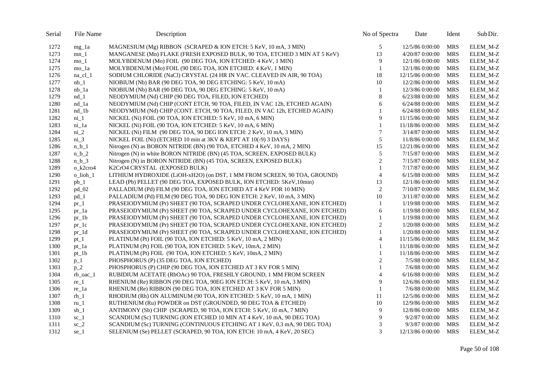| Serial | File Name           | Description                                                               | No of Spectra    | Date              | Ident      | Sub Dir. |
|--------|---------------------|---------------------------------------------------------------------------|------------------|-------------------|------------|----------|
| 1272   | $mg_1a$             | MAGNESIUM (Mg) RIBBON (SCRAPED & ION ETCH: 5 KeV, 10 mA, 3 MIN)           | 5                | 12/5/86 0:00:00   | <b>MRS</b> | ELEM M-Z |
| 1273   | $mn_1$              | MANGANESE (Mn) FLAKE (FRESH EXPOSED BULK, 90 TOA, ETCHED 3 MIN AT 5 KeV)  | 13               | 4/20/87 0:00:00   | <b>MRS</b> | ELEM_M-Z |
| 1274   | mo 1                | MOLYBDENUM (Mo) FOIL (90 DEG TOA, ION ETCHED: 4 KeV, 1 MIN)               | 9                | 12/1/86 0:00:00   | <b>MRS</b> | ELEM M-Z |
| 1275   | mo_1a               | MOLYBDENUM (Mo) FOIL (90 DEG TOA, ION ETCHED: 4 KeV, 1 MIN)               | $\mathbf{1}$     | 12/1/86 0:00:00   | <b>MRS</b> | ELEM_M-Z |
| 1276   | na_cl_1             | SODIUM CHLORIDE (NaCl) CRYSTAL (24 HR IN VAC. CLEAVED IN AIR, 90 TOA)     | 18               | 12/15/86 0:00:00  | <b>MRS</b> | ELEM M-Z |
| 1277   | $nb_1$              | NIOBIUM (Nb) BAR (90 DEG TOA, 90 DEG ETCHING: 5 KeV, 10 mA)               | 10               | 12/2/86 0:00:00   | <b>MRS</b> | ELEM_M-Z |
| 1278   | $nb_1a$             | NIOBIUM (Nb) BAR (90 DEG TOA, 90 DEG ETCHING: 5 KeV, 10 mA)               | $\mathbf{1}$     | 12/3/86 0:00:00   | <b>MRS</b> | ELEM_M-Z |
| 1279   | $nd_1$              | NEODYMIUM (Nd) CHIP (90 DEG TOA, FILED, ION ETCHED)                       | $\,8\,$          | 6/23/88 0:00:00   | <b>MRS</b> | ELEM_M-Z |
| 1280   | nd_1a               | NEODYMIUM (Nd) CHIP (CONT ETCH, 90 TOA, FILED, IN VAC 12h, ETCHED AGAIN)  | 6                | $6/24/88$ 0:00:00 | <b>MRS</b> | ELEM_M-Z |
| 1281   | $nd_1b$             | NEODYMIUM (Nd) CHIP (CONT. ETCH, 90 TOA, FILED, IN VAC 12h, ETCHED AGAIN) | 1                | 6/24/88 0:00:00   | <b>MRS</b> | ELEM_M-Z |
| 1282   | $ni_1$              | NICKEL (Ni) FOIL (90 TOA, ION ETCHED: 5 KeV, 10 mA, 6 MIN)                | 9                | 11/15/86 0:00:00  | <b>MRS</b> | ELEM_M-Z |
| 1283   | ni_1a               | NICKEL (Ni) FOIL (90 TOA, ION ETCHED: 5 KeV, 10 mA, 6 MIN)                | $\mathbf{1}$     | 11/18/86 0:00:00  | <b>MRS</b> | ELEM_M-Z |
| 1284   | $ni_2$              | NICKEL (Ni) FILM (90 DEG TOA, 90 DEG ION ETCH: 2 KeV, 10 mA, 3 MIN)       | $\tau$           | 3/14/87 0:00:00   | <b>MRS</b> | ELEM_M-Z |
| 1285   | $ni$ $3$            | NICKEL FOIL (Ni) (ETCHED 10 min at 3KV & KEPT AT 10(-9) 3 DAYS)           | 5                | 11/8/86 0:00:00   | <b>MRS</b> | ELEM_M-Z |
| 1286   | $n_b_1$             | Nitrogen (N) as BORON NITRIDE (BN) (90 TOA, ETCHED 4 KeV, 10 mA, 2 MIN)   | 15               | 12/21/86 0:00:00  | <b>MRS</b> | ELEM_M-Z |
| 1287   | $n_b_2$             | Nitrogen (N) in white BORON NITRIDE (BN) (45 TOA, SCREEN, EXPOSED BULK)   | 5                | 7/15/87 0:00:00   | <b>MRS</b> | ELEM_M-Z |
| 1288   | $n_b_3$             | Nitrogen (N) in BORON NITRIDE (BN) (45 TOA, SCREEN, EXPOSED BULK)         | $\overline{2}$   | 7/15/87 0:00:00   | <b>MRS</b> | ELEM_M-Z |
| 1289   | o k2cro4            | K2CrO4 CRYSTAL (EXPOSED BULK)                                             | $\mathbf{1}$     | 7/17/87 0:00:00   | <b>MRS</b> | ELEM_M-Z |
| 1290   | $o$ lioh $1$        | LITHIUM HYDROXIDE (LiOH-xH2O) (on DST, 1 MM FROM SCREEN, 90 TOA, GROUND)  | $\overline{4}$   | $6/15/88$ 0:00:00 | <b>MRS</b> | ELEM M-Z |
| 1291   | $pb_1$              | LEAD (Pb) PELLET (90 DEG TOA, EXPOSED BULK, ION ETCHED: 5KeV, 10min)      | 13               | 12/1/86 0:00:00   | <b>MRS</b> | ELEM_M-Z |
| 1292   | $pd_02$             | PALLADIUM (Pd) FILM (90 DEG TOA, ION ETCHED AT 4 KeV FOR 10 MIN)          | $\sqrt{2}$       | 7/10/87 0:00:00   | <b>MRS</b> | ELEM_M-Z |
| 1293   | $pd_1$              | PALLADIUM (Pd) FILM (90 DEG TOA, 90 DEG ION ETCH: 2 KeV, 10 mA, 3 MIN)    | 10               | 3/11/87 0:00:00   | <b>MRS</b> | ELEM_M-Z |
| 1294   | $pr_1$              | PRASEIODYMIUM (Pr) SHEET (90 TOA, SCRAPED UNDER CYCLOHEXANE, ION ETCHED)  | 1                | 1/19/88 0:00:00   | <b>MRS</b> | ELEM_M-Z |
| 1295   | $pr_1a$             | PRASEIODYMIUM (Pr) SHEET (90 TOA, SCRAPED UNDER CYCLOHEXANE, ION ETCHED)  | $\sqrt{6}$       | 1/19/88 0:00:00   | <b>MRS</b> | ELEM_M-Z |
| 1296   | $pr_1b$             | PRASEIODYMIUM (Pr) SHEET (90 TOA, SCRAPED UNDER CYCLOHEXANE, ION ETCHED)  | $\mathbf{1}$     | 1/19/88 0:00:00   | <b>MRS</b> | ELEM_M-Z |
| 1297   | $pr\_lc$            | PRASEIODYMIUM (Pr) SHEET (90 TOA, SCRAPED UNDER CYCLOHEXANE, ION ETCHED)  | $\boldsymbol{2}$ | 1/20/88 0:00:00   | <b>MRS</b> | ELEM_M-Z |
| 1298   | $pr_1d$             | PRASEIODYMIUM (Pr) SHEET (90 TOA, SCRAPED UNDER CYCLOHEXANE, ION ETCHED)  | $\mathbf{1}$     | 1/20/88 0:00:00   | <b>MRS</b> | ELEM_M-Z |
| 1299   | $pt_1$              | PLATINUM (Pt) FOIL (90 TOA, ION ETCHED: 5 KeV, 10 mA, 2 MIN)              | $\overline{4}$   | 11/15/86 0:00:00  | <b>MRS</b> | ELEM_M-Z |
| 1300   | $pt_1a$             | PLATINUM (Pt) FOIL (90 TOA, ION ETCHED: 5 KeV, 10mA, 2 MIN)               | $\mathbf{1}$     | 11/18/86 0:00:00  | <b>MRS</b> | ELEM M-Z |
| 1301   | $pt_1b$             | PLATINUM (Pt) FOIL (90 TOA, ION ETCHED: 5 KeV, 10mA, 2 MIN)               | $\mathbf{1}$     | 11/18/86 0:00:00  | <b>MRS</b> | ELEM_M-Z |
| 1302   | $p_1$               | PHOSPHORUS (P) (35 DEG TOA, ION ETCHED)                                   | $\overline{c}$   | 7/5/88 0:00:00    | <b>MRS</b> | ELEM M-Z |
| 1303   | $p_2$               | PHOSPHORUS (P) CHIP (90 DEG TOA, ION ETCHED AT 3 KV FOR 5 MIN)            | $\mathbf{1}$     | 7/6/88 0:00:00    | <b>MRS</b> | ELEM_M-Z |
| 1304   | $rb\_\text{oac}\_1$ | RUBIDIUM ACETATE (RbOAc) 90 TOA, FRESHLY GROUND, 1 MM FROM SCREEN         | $\overline{4}$   | 6/16/88 0:00:00   | <b>MRS</b> | ELEM_M-Z |
| 1305   | $re_1$              | RHENIUM (Re) RIBBON (90 DEG TOA, 90EG ION ETCH: 5 KeV, 10 mA, 3 MIN)      | 9                | 12/6/86 0:00:00   | <b>MRS</b> | ELEM_M-Z |
| 1306   | re_1a               | RHENIUM (Re) RIBBON (90 DEG TOA, ION ETCHED AT 3 KV FOR 5 MIN)            | $\mathbf{1}$     | 7/6/88 0:00:00    | <b>MRS</b> | ELEM_M-Z |
| 1307   | $rh_1$              | RHODIUM (Rh) ON ALUMINUM (90 TOA, ION ETCHED: 5 KeV, 10 mA, 1 MIN)        | 11               | 12/5/86 0:00:00   | <b>MRS</b> | ELEM_M-Z |
| 1308   | $ru_1$              | RUTHENIUM (Ru) POWDER on DST (GROUNDED, 90 DEG TOA & ETCHED)              | $10\,$           | 12/9/86 0:00:00   | <b>MRS</b> | ELEM_M-Z |
| 1309   | $sb_1$              | ANTIMONY (Sb) CHIP (SCRAPED, 90 TOA, ION ETCH: 5 KeV, 10 mA, 7 MIN)       | 9                | 12/8/86 0:00:00   | <b>MRS</b> | ELEM_M-Z |
| 1310   | $sc_1$              | SCANDIUM (Sc) TURNING (ION ETCHED 10 MIN AT 4 KeV, 10 mA, 90 DEG TOA)     | 9                | 9/2/87 0:00:00    | <b>MRS</b> | ELEM_M-Z |
| 1311   | $sc_2$              | SCANDIUM (Sc) TURNING (CONTINUOUS ETCHING AT 1 KeV, 0.3 mA, 90 DEG TOA)   | 3                | 9/3/87 0:00:00    | <b>MRS</b> | ELEM M-Z |
| 1312   | $se_1$              | SELENIUM (Se) PELLET (SCRAPED, 90 TOA, ION ETCH: 10 mA, 4 KeV, 20 SEC)    | 3                | 12/13/86 0:00:00  | <b>MRS</b> | ELEM_M-Z |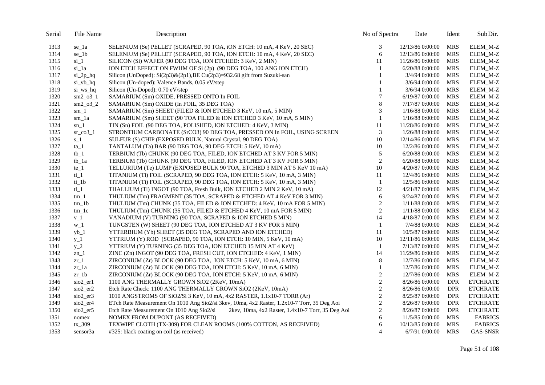| Serial | File Name                        | Description                                                                                    | No of Spectra  | Date             | Ident      | Sub Dir.        |
|--------|----------------------------------|------------------------------------------------------------------------------------------------|----------------|------------------|------------|-----------------|
| 1313   | se_1a                            | SELENIUM (Se) PELLET (SCRAPED, 90 TOA, iON ETCH: 10 mA, 4 KeV, 20 SEC)                         | 3              | 12/13/86 0:00:00 | MRS        | ELEM_M-Z        |
| 1314   | $se_1b$                          | SELENIUM (Se) PELLET (SCRAPED, 90 TOA, ION ETCH: 10 mA, 4 KeV, 20 SEC)                         | 6              | 12/13/86 0:00:00 | <b>MRS</b> | ELEM_M-Z        |
| 1315   | $si_1$                           | SILICON (Si) WAFER (90 DEG TOA, ION ETCHED: 3 KeV, 2 MIN)                                      | 11             | 11/26/86 0:00:00 | <b>MRS</b> | ELEM_M-Z        |
| 1316   | si_1a                            | ION ETCH EFFECT ON FWHM OF Si (2p) (90 DEG TOA, 100 ANG ION ETCH)                              | 1              | 6/20/88 0:00:00  | <b>MRS</b> | ELEM_M-Z        |
| 1317   | $si_2p_hq$                       | Silicon (UnDoped): $Si(2p3) \& (2p1)$ , BE Cu(2p3)=932.68 gift from Suzuki-san                 | 1              | 3/4/94 0:00:00   | <b>MRS</b> | ELEM_M-Z        |
| 1318   | si_vb_hq                         | Silicon (Un-doped): Valence Bands, 0.05 eV/step                                                | 1              | 3/6/94 0:00:00   | <b>MRS</b> | ELEM_M-Z        |
| 1319   | si_ws_hq                         | Silicon (Un-Doped): 0.70 eV/step                                                               | 1              | $3/6/94$ 0:00:00 | <b>MRS</b> | ELEM_M-Z        |
| 1320   | $sm2_03_1$                       | SAMARIUM (Sm) OXIDE, PRESSED ONTO In FOIL                                                      | $\tau$         | 6/19/87 0:00:00  | <b>MRS</b> | ELEM_M-Z        |
| 1321   | $sm2_03_2$                       | SAMARIUM (Sm) OXIDE (In FOIL, 35 DEG TOA)                                                      | $8\,$          | 7/17/87 0:00:00  | <b>MRS</b> | ELEM_M-Z        |
| 1322   | $sm_1$                           | SAMARIUM (Sm) SHEET (FILED & ION ETCHED 3 KeV, 10 mA, 5 MIN)                                   | 3              | 1/16/88 0:00:00  | <b>MRS</b> | ELEM_M-Z        |
| 1323   | sm_1a                            | SAMARIUM (Sm) SHEET (90 TOA FILED & ION ETCHED 3 KeV, 10 mA, 5 MIN)                            | $\mathbf{1}$   | 1/16/88 0:00:00  | <b>MRS</b> | ELEM_M-Z        |
| 1324   | $sn_1$                           | TIN (Sn) FOIL (90 DEG TOA, POLISHED, ION ETCHED: 4 KeV, 3 MIN)                                 | 11             | 11/28/86 0:00:00 | <b>MRS</b> | ELEM_M-Z        |
| 1325   | $sr\_co3_1$                      | STRONTIUM CARBONATE (SrCO3) 90 DEG TOA, PRESSED ON In FOIL, USING SCREEN                       | 3              | 1/26/88 0:00:00  | <b>MRS</b> | ELEM_M-Z        |
| 1326   | $s_1$                            | SULFUR (S) CHIP (EXPOSED BULK, Natural Crystal, 90 DEG TOA)                                    | 10             | 12/14/86 0:00:00 | <b>MRS</b> | ELEM_M-Z        |
| 1327   | $ta_1$                           | TANTALUM (Ta) BAR (90 DEG TOA, 90 DEG ETCH: 5 KeV, 10 mA)                                      | 10             | 12/2/86 0:00:00  | <b>MRS</b> | ELEM_M-Z        |
| 1328   | $tb_1$                           | TERBIUM (Tb) CHUNK (90 DEG TOA, FILED, ION ETCHED AT 3 KV FOR 5 MIN)                           | 5              | 6/20/88 0:00:00  | <b>MRS</b> | ELEM_M-Z        |
| 1329   | $tb_1a$                          | TERBIUM (Tb) CHUNK (90 DEG TOA, FILED, ION ETCHED AT 3 KV FOR 5 MIN)                           | $\sqrt{2}$     | 6/20/88 0:00:00  | <b>MRS</b> | ELEM_M-Z        |
| 1330   | $te_1$                           | TELLURIUM (Te) LUMP (EXPOSED BULK 90 TOA, ETCHED 3 MIN AT 5 KeV 10 mA)                         | 10             | 4/20/87 0:00:00  | <b>MRS</b> | ELEM_M-Z        |
| 1331   | $ti_1$                           | TITANIUM (Ti) FOIL (SCRAPED, 90 DEG TOA, ION ETCH: 5 KeV, 10 mA, 3 MIN)                        | 11             | 12/4/86 0:00:00  | <b>MRS</b> | ELEM_M-Z        |
| 1332   | $ti_1$                           | TITANIUM (Ti) FOIL (SCRAPED, 90 DEG TOA, ION ETCH: 5 KeV, 10 mA, 3 MIN)                        | $\mathbf{1}$   | 12/5/86 0:00:00  | <b>MRS</b> | ELEM_M-Z        |
| 1333   | $tl_1$                           | THALLIUM (Tl) INGOT (90 TOA, Fresh Bulk, ION ETCHED 2 MIN 2 KeV, 10 mA)                        | 12             | 4/21/87 0:00:00  | <b>MRS</b> | ELEM_M-Z        |
| 1334   | $tm_1$                           | THULIUM (Tm) FRAGMENT (35 TOA, SCRAPED & ETCHED AT 4 KeV FOR 3 MIN)                            | 6              | 9/24/87 0:00:00  | <b>MRS</b> | ELEM_M-Z        |
| 1335   | $tm_1b$                          | THULIUM (Tm) CHUNK (35 TOA, FILED & ION ETCHED: 4 KeV, 10 mA FOR 5 MIN)                        | $\overline{c}$ | 1/11/88 0:00:00  | <b>MRS</b> | ELEM_M-Z        |
| 1336   | $tm_1c$                          | THULIUM (Tm) CHUNK (35 TOA, FILED & ETCHED 4 KeV, 10 mA FOR 5 MIN)                             | $\overline{2}$ | 1/11/88 0:00:00  | <b>MRS</b> | ELEM_M-Z        |
| 1337   | $v_1$                            | VANADIUM (V) TURNING (90 TOA, SCRAPED & ION ETCHED 5 MIN)                                      | 14             | 4/18/87 0:00:00  | <b>MRS</b> | ELEM_M-Z        |
| 1338   | $W_1$                            | TUNGSTEN (W) SHEET (90 DEG TOA, ION ETCHED AT 3 KV FOR 5 MIN)                                  | $\mathbf{1}$   | 7/4/88 0:00:00   | <b>MRS</b> | ELEM_M-Z        |
| 1339   | $yb_1$                           | YTTERBIUM (Yb) SHEET (35 DEG TOA, SCRAPED AND ION ETCHED)                                      | 11             | 10/5/87 0:00:00  | <b>MRS</b> | ELEM_M-Z        |
| 1340   | $y_1$                            | YTTRIUM (Y) ROD (SCRAPED, 90 TOA, ION ETCH: 10 MIN, 5 KeV, 10 mA)                              | 10             | 12/11/86 0:00:00 | <b>MRS</b> | ELEM_M-Z        |
| 1341   | $y_2$                            | YTTRIUM (Y) TURNING (35 DEG TOA, ION ETCHED 15 MIN AT 4 KeV)                                   | $\mathbf{1}$   | 7/13/87 0:00:00  | <b>MRS</b> | ELEM_M-Z        |
| 1342   | $zn_1$                           | ZINC (Zn) INGOT (90 DEG TOA, FRESH CUT, ION ETCHED: 4 KeV, 1 MIN)                              | 14             | 11/29/86 0:00:00 | <b>MRS</b> | ELEM_M-Z        |
| 1343   | $z_{r_1}$                        | ZIRCONIUM (Zr) BLOCK (90 DEG TOA, ION ETCH: 5 KeV, 10 mA, 6 MIN)                               | $\,8\,$        | 12/7/86 0:00:00  | <b>MRS</b> | ELEM_M-Z        |
| 1344   | $zr_1a$                          | ZIRCONIUM (Zr) BLOCK (90 DEG TOA, ION ETCH: 5 KeV, 10 mA, 6 MIN)                               | 1              | 12/7/86 0:00:00  | <b>MRS</b> | ELEM_M-Z        |
| 1345   | $zr_1b$                          | ZIRCONIUM (Zr) BLOCK (90 DEG TOA, ION ETCH: 5 KeV, 10 mA, 6 MIN)                               | $\sqrt{2}$     | 12/7/86 0:00:00  | <b>MRS</b> | ELEM_M-Z        |
| 1346   | sio2 er1                         | 1100 ANG THERMALLY GROWN SiO2 (2KeV, 10mA)                                                     | $\sqrt{2}$     | 8/26/86 0:00:00  | <b>DPR</b> | <b>ETCHRATE</b> |
| 1347   | $\frac{\text{SiO2}}{\text{er2}}$ | Etch Rate Check: 1100 ANG THERMALLY GROWN SiO2 (2KeV, 10mA)                                    | $\overline{c}$ | 8/26/86 0:00:00  | <b>DPR</b> | <b>ETCHRATE</b> |
| 1348   | sio2_er3                         | 1010 ANGSTROMS OF SiO2/Si 3 KeV, 10 mA, 4x2 RASTER, 1.1x10-7 TORR (Ar)                         | $\sqrt{2}$     | 8/25/87 0:00:00  | <b>DPR</b> | <b>ETCHRATE</b> |
| 1349   | sio <sub>2_er4</sub>             | ETch Rate Measurement On 1010 Ang Sio2/si 3kev, 10ma, 4x2 Raster, 1.2x10-7 Torr, 35 Deg Aoi    | $\sqrt{2}$     | 8/26/87 0:00:00  | <b>DPR</b> | <b>ETCHRATE</b> |
| 1350   | $sio2$ <sub>_er5</sub>           | Etch Rate Measurement On 1010 Ang Sio2/si<br>2kev, 10ma, 4x2 Raster, 1.4x10-7 Torr, 35 Deg Aoi | $\sqrt{2}$     | 8/26/87 0:00:00  | <b>DPR</b> | <b>ETCHRATE</b> |
| 1351   | nomex                            | NOMEX FROM DUPONT (AS RECEIVED)                                                                | 6              | 11/5/85 0:00:00  | <b>MRS</b> | <b>FABRICS</b>  |
| 1352   | $tx_309$                         | TEXWIPE CLOTH (TX-309) FOR CLEAN ROOMS (100% COTTON, AS RECEIVED)                              | 6              | 10/13/85 0:00:00 | <b>MRS</b> | <b>FABRICS</b>  |
| 1353   | sensor3a                         | #325: black coating on coil (as received)                                                      | $\overline{4}$ | 6/7/91 0:00:00   | MRS        | GAS-SNSR        |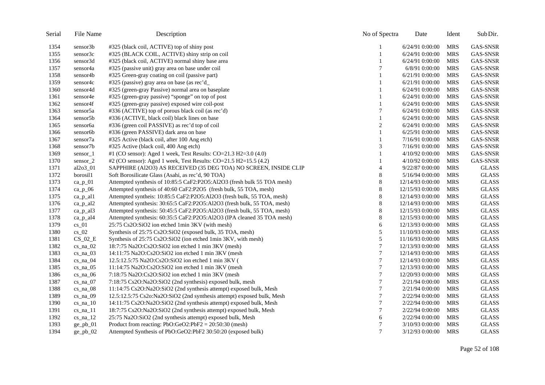| Serial | File Name    | Description                                                             | No of Spectra  | Date             | Ident      | Sub Dir.        |
|--------|--------------|-------------------------------------------------------------------------|----------------|------------------|------------|-----------------|
| 1354   | sensor3b     | #325 (black coil, ACTIVE) top of shiny post                             |                | 6/24/91 0:00:00  | <b>MRS</b> | GAS-SNSR        |
| 1355   | sensor3c     | #325 (BLACK COIL, ACTIVE) shiny strip on coil                           | $\mathbf{1}$   | 6/24/91 0:00:00  | <b>MRS</b> | <b>GAS-SNSR</b> |
| 1356   | sensor3d     | #325 (black coil, ACTIVE) normal shiny base area                        |                | 6/24/91 0:00:00  | <b>MRS</b> | GAS-SNSR        |
| 1357   | sensor4a     | #325 (passive unit) gray area on base under coil                        | 7              | 6/8/91 0:00:00   | <b>MRS</b> | GAS-SNSR        |
| 1358   | sensor4b     | #325 Green-gray coating on coil (passive part)                          | 1              | 6/21/91 0:00:00  | <b>MRS</b> | <b>GAS-SNSR</b> |
| 1359   | sensor4c     | #325 (passive) gray area on base (as rec'd_                             | 1              | 6/21/91 0:00:00  | <b>MRS</b> | <b>GAS-SNSR</b> |
| 1360   | sensor4d     | #325 (green-gray Passive) normal area on baseplate                      |                | 6/24/91 0:00:00  | <b>MRS</b> | <b>GAS-SNSR</b> |
| 1361   | sensor4e     | #325 (green-gray passive) "sponge" on top of post                       | 1              | 6/24/91 0:00:00  | <b>MRS</b> | <b>GAS-SNSR</b> |
| 1362   | sensor4f     | #325 (green-gray passive) exposed wire coil-post                        |                | 6/24/91 0:00:00  | <b>MRS</b> | <b>GAS-SNSR</b> |
| 1363   | sensor5a     | #336 (ACTIVE) top of porous black coil (as rec'd)                       | 7              | 6/24/91 0:00:00  | <b>MRS</b> | <b>GAS-SNSR</b> |
| 1364   | sensor5b     | #336 (ACTIVE, black coil) black lines on base                           | 1              | 6/24/91 0:00:00  | <b>MRS</b> | <b>GAS-SNSR</b> |
| 1365   | sensor6a     | #336 (green coil PASSIVE) as rec'd top of coil                          | $\overline{c}$ | 6/24/91 0:00:00  | <b>MRS</b> | GAS-SNSR        |
| 1366   | sensor6b     | #336 (green PASSIVE) dark area on base                                  | 1              | 6/25/91 0:00:00  | <b>MRS</b> | <b>GAS-SNSR</b> |
| 1367   | sensor7a     | #325 Active (black coil, after 100 Ang etch)                            |                | 7/16/91 0:00:00  | <b>MRS</b> | <b>GAS-SNSR</b> |
| 1368   | sensor7b     | #325 Active (black coil, 400 Ang etch)                                  | 3              | 7/16/91 0:00:00  | <b>MRS</b> | <b>GAS-SNSR</b> |
| 1369   | sensor_1     | #1 (CO sensor): Aged 1 week, Test Results: CO=21.3 H2=3.0 (4.0)         | 1              | 4/10/92 0:00:00  | <b>MRS</b> | <b>GAS-SNSR</b> |
| 1370   | sensor_2     | #2 (CO sensor): Aged 1 week, Test Results: CO=21.5 H2=15.5 (4.2)        |                | 4/10/92 0:00:00  | <b>MRS</b> | GAS-SNSR        |
| 1371   | al2o3_01     | SAPPHIRE (Al2O3) AS RECEIVED (35 DEG TOA) NO SCREEN, INSIDE CLIP        | $\overline{4}$ | 9/22/87 0:00:00  | <b>MRS</b> | <b>GLASS</b>    |
| 1372   | borosil1     | Soft Borosilicate Glass (Asahi, as rec'd, 90 TOA)                       | 8              | 5/16/94 0:00:00  | <b>MRS</b> | <b>GLASS</b>    |
| 1373   | $ca_p_01$    | Attempted synthesis of 10:85:5 CaF2:P2O5:Al2O3 (fresh bulk 55 TOA mesh) | 8              | 12/14/93 0:00:00 | <b>MRS</b> | <b>GLASS</b>    |
| 1374   | $ca_p_0$     | Attempted synthesis of 40:60 CaF2:P2O5 (fresh bulk, 55 TOA, mesh)       | 8              | 12/15/93 0:00:00 | <b>MRS</b> | <b>GLASS</b>    |
| 1375   | ca_p_al1     | Attempted syntheis: 10:85:5 CaF2:P2O5:Al2O3 (fresh bulk, 55 TOA, mesh)  | 8              | 12/14/93 0:00:00 | <b>MRS</b> | <b>GLASS</b>    |
| 1376   | $ca_p$ _al2  | Attempted synthesis: 30:65:5 CaF2:P2O5:Al2O3 (fresh bulk, 55 TOA, mesh) | 8              | 12/14/93 0:00:00 | <b>MRS</b> | <b>GLASS</b>    |
| 1377   | $ca_p_$ al3  | Attempted synthesis: 50:45:5 CaF2:P2O5:Al2O3 (fresh bulk, 55 TOA, mesh) | 8              | 12/15/93 0:00:00 | <b>MRS</b> | <b>GLASS</b>    |
| 1378   | $ca\_p\_al4$ | Attempted synthesis: 60:35:5 CaF2:P2O5:Al2O3 (IPA cleaned 35 TOA mesh)  | 8              | 12/15/93 0:00:00 | <b>MRS</b> | <b>GLASS</b>    |
| 1379   | $cs_01$      | 25:75 Cs2O:SiO2 ion etched 1min 3KV (with mesh)                         | 6              | 12/13/93 0:00:00 | <b>MRS</b> | <b>GLASS</b>    |
| 1380   | $cs_02$      | Synthesis of 25:75 Cs2O:SiO2 (exposed bulk, 35 TOA, mesh)               | 5              | 11/10/93 0:00:00 | <b>MRS</b> | <b>GLASS</b>    |
| 1381   | $CS_02_E$    | Synthesis of 25:75 Cs2O:SiO2 (ion etched 1min 3KV, with mesh)           | $\sqrt{5}$     | 11/16/93 0:00:00 | <b>MRS</b> | <b>GLASS</b>    |
| 1382   | $cs$ _na_02  | 18:7:75 Na2O:Cs2O:SiO2 ion etched 1 min 3KV (mesh)                      | $\overline{7}$ | 12/13/93 0:00:00 | <b>MRS</b> | <b>GLASS</b>    |
| 1383   | $cs$ _na_03  | $14:11:75$ Na2O:Cs2O:SiO2 ion etched 1 min 3KV (mesh)                   | 7              | 12/14/93 0:00:00 | <b>MRS</b> | <b>GLASS</b>    |
| 1384   | $cs$ _na_04  | 12.5:12.5:75 Na2O:Cs2O:SiO2 ion etched 1 min 3KV (                      | $\tau$         | 12/14/93 0:00:00 | <b>MRS</b> | <b>GLASS</b>    |
| 1385   | $cs$ _na_05  | $11:14:75$ Na2O:Cs2O:SiO2 ion etched 1 min 3KV (mesh)                   | 7              | 12/13/93 0:00:00 | <b>MRS</b> | <b>GLASS</b>    |
| 1386   | $cs_na_06$   | 7:18:75 Na2O:Cs2O:SiO2 ion etched 1 min 3KV (mesh)                      | 7              | 12/20/93 0:00:00 | <b>MRS</b> | <b>GLASS</b>    |
| 1387   | $cs$ na $07$ | 7:18:75 Cs2O:Na2O:SiO2 (2nd synthesis) exposed bulk, mesh               | 7              | 2/21/94 0:00:00  | <b>MRS</b> | <b>GLASS</b>    |
| 1388   | $cs$ _na_08  | 11:14:75 Cs2O:Na2O:SiO2 (2nd synthesis attempt) exposed bulk, Mesh      | 7              | 2/21/94 0:00:00  | <b>MRS</b> | <b>GLASS</b>    |
| 1389   | $cs_na_09$   | 12.5:12.5:75 Cs2o:Na2O:SiO2 (2nd synthesis attempt) exposed bulk, Mesh  | 7              | 2/22/94 0:00:00  | <b>MRS</b> | <b>GLASS</b>    |
| 1390   | $cs_na_10$   | 14:11:75 Cs2O:Na2O:SiO2 (2nd synthesis attempt) exposed bulk, Mesh      | 7              | 2/22/94 0:00:00  | <b>MRS</b> | <b>GLASS</b>    |
| 1391   | $cs_na_11$   | 18:7:75 Cs2O:Na2O:SiO2 (2nd synthesis attempt) exposed bulk, Mesh       | $\overline{7}$ | 2/22/94 0:00:00  | <b>MRS</b> | <b>GLASS</b>    |
| 1392   | $cs_na_12$   | 25:75 Na2O:SiO2 (2nd synthesis attempt) exposed bulk, Mesh              | 6              | 2/22/94 0:00:00  | <b>MRS</b> | <b>GLASS</b>    |
| 1393   | $ge\_pb_01$  | Product from reacting: $PbO:GeO2:PbF2 = 20:50:30$ (mesh)                | 7              | 3/10/93 0:00:00  | <b>MRS</b> | <b>GLASS</b>    |
| 1394   | $ge\_pb_02$  | Attempted Synthesis of PbO:GeO2:PbF2 30:50:20 (exposed bulk)            | 7              | 3/12/93 0:00:00  | <b>MRS</b> | <b>GLASS</b>    |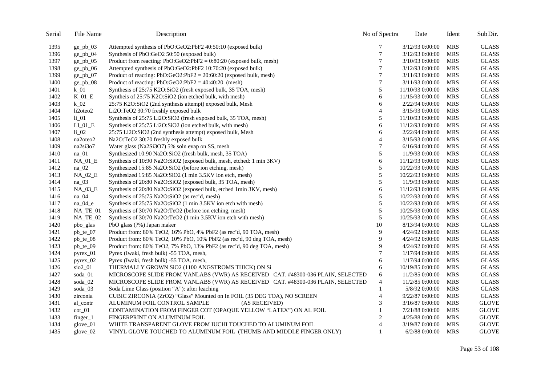| Serial | File Name   | Description                                                                     | No of Spectra   | Date              | Ident      | Sub Dir.     |
|--------|-------------|---------------------------------------------------------------------------------|-----------------|-------------------|------------|--------------|
| 1395   | $ge\_pb_03$ | Attempted synthesis of PbO:GeO2:PbF2 40:50:10 (exposed bulk)                    | 7               | 3/12/93 0:00:00   | <b>MRS</b> | <b>GLASS</b> |
| 1396   | $ge\_pb_04$ | Synthesis of PbO:GeO2 50:50 (exposed bulk)                                      | $7\phantom{.0}$ | 3/12/93 0:00:00   | <b>MRS</b> | <b>GLASS</b> |
| 1397   | $ge\_pb_05$ | Product from reacting: $PbO:GeO2:PbF2 = 0:80:20$ (exposed bulk, mesh)           | $\overline{7}$  | 3/10/93 0:00:00   | <b>MRS</b> | <b>GLASS</b> |
| 1398   | $ge\_pb_06$ | Attempted synthesis of PbO:GeO2:PbF2 10:70:20 (exposed bulk)                    | 7               | 3/12/93 0:00:00   | <b>MRS</b> | <b>GLASS</b> |
| 1399   | $ge\_pb_07$ | Product of reacting: $PbO:GeO2:PbF2 = 20:60:20$ (exposed bulk, mesh)            | $\overline{7}$  | 3/11/93 0:00:00   | <b>MRS</b> | <b>GLASS</b> |
| 1400   | $ge\_pb_08$ | Product of reacting: $PbO:GeO2:PbF2 = 40:40:20$ (mesh)                          | $\tau$          | 3/11/93 0:00:00   | <b>MRS</b> | <b>GLASS</b> |
| 1401   | $k_0$       | Synthesis of 25:75 K2O:SiO2 (fresh exposed bulk, 35 TOA, mesh)                  | 5               | 11/10/93 0:00:00  | <b>MRS</b> | <b>GLASS</b> |
| 1402   | $K_01_E$    | Syntheis of 25:75 K2O:SiO2 (ion etched bulk, with mesh)                         | 6               | 11/15/93 0:00:00  | <b>MRS</b> | <b>GLASS</b> |
| 1403   | $k_0$ 02    | 25:75 K2O:SiO2 (2nd synthesis attempt) exposed bulk, Mesh                       | 6               | 2/22/94 0:00:00   | <b>MRS</b> | <b>GLASS</b> |
| 1404   | li2oteo2    | Li2O:TeO2 30:70 freshly exposed bulk                                            | $\overline{4}$  | 3/15/93 0:00:00   | <b>MRS</b> | <b>GLASS</b> |
| 1405   | $li_01$     | Synthesis of 25:75 Li2O:SiO2 (fresh exposed bulk, 35 TOA, mesh)                 | 5               | 11/10/93 0:00:00  | <b>MRS</b> | <b>GLASS</b> |
| 1406   | $LI_01_E$   | Synthesis of 25:75 Li2O:SiO2 (ion etched bulk, with mesh)                       | 6               | 11/12/93 0:00:00  | <b>MRS</b> | <b>GLASS</b> |
| 1407   | $li_02$     | 25:75 Li2O:SiO2 (2nd synthesis attempt) exposed bulk, Mesh                      | 6               | 2/22/94 0:00:00   | <b>MRS</b> | <b>GLASS</b> |
| 1408   | na2oteo2    | Na2O:TeO2 30:70 freshly exposed bulk                                            | 4               | 3/15/93 0:00:00   | <b>MRS</b> | <b>GLASS</b> |
| 1409   | na2si3o7    | Water glass (Na2Si3O7) 5% soln evap on SS, mesh                                 | 7               | $6/16/94$ 0:00:00 | <b>MRS</b> | <b>GLASS</b> |
| 1410   | $na$ 01     | Synthesized 10:90 Na2O:SiO2 (fresh bulk, mesh, 35 TOA)                          | 5               | 11/9/93 0:00:00   | <b>MRS</b> | <b>GLASS</b> |
| 1411   | NA 01 E     | Synthesis of 10:90 Na2O:SiO2 (exposed bulk, mesh, etched: 1 min 3KV)            | 6               | 11/12/93 0:00:00  | <b>MRS</b> | <b>GLASS</b> |
| 1412   | na_02       | Synthesized 15:85 Na2O:SiO2 (before ion etching, mesh)                          | 5               | 10/22/93 0:00:00  | <b>MRS</b> | <b>GLASS</b> |
| 1413   | $NA_02_E$   | Synthesized 15:85 Na2O:SiO2 (1 min 3.5KV ion etch, mesh)                        | 5               | 10/22/93 0:00:00  | <b>MRS</b> | <b>GLASS</b> |
| 1414   | na_03       | Synthesis of 20:80 Na2O:SiO2 (exposed bulk, 35 TOA, mesh)                       | 5               | 11/9/93 0:00:00   | <b>MRS</b> | <b>GLASS</b> |
| 1415   | $NA_03_E$   | Synthesis of 20:80 Na2O:SiO2 (exposed bulk, etched 1min 3KV, mesh)              | 6               | 11/12/93 0:00:00  | <b>MRS</b> | <b>GLASS</b> |
| 1416   | na_04       | Synthesis of 25:75 Na2O:SiO2 (as rec'd, mesh)                                   | 5               | 10/22/93 0:00:00  | <b>MRS</b> | <b>GLASS</b> |
| 1417   | $na_04_e$   | Synthesis of 25:75 Na2O:SiO2 (1 min 3.5KV ion etch with mesh)                   | 5               | 10/22/93 0:00:00  | <b>MRS</b> | <b>GLASS</b> |
| 1418   | NA_TE_01    | Synthesis of 30:70 Na2O:TeO2 (before ion etching, mesh)                         | $\sqrt{5}$      | 10/25/93 0:00:00  | <b>MRS</b> | <b>GLASS</b> |
| 1419   | NA_TE_02    | Synthesis of 30:70 Na2O:TeO2 (1 min 3.5KV ion etch with mesh)                   | 5               | 10/25/93 0:00:00  | <b>MRS</b> | <b>GLASS</b> |
| 1420   | pbo_glas    | PbO glass (?%) Japan maker                                                      | 10              | 8/13/94 0:00:00   | <b>MRS</b> | <b>GLASS</b> |
| 1421   | $pb_{te_0}$ | Product from: 80% TeO2, 16% PbO, 4% PbF2 (as rec'd, 90 TOA, mesh)               | 9               | 4/24/92 0:00:00   | <b>MRS</b> | <b>GLASS</b> |
| 1422   | $pb$ _te_08 | Product from: 80% TeO2, 10% PbO, 10% PbF2 (as rec'd, 90 deg TOA, mesh)          | 9               | 4/24/92 0:00:00   | <b>MRS</b> | <b>GLASS</b> |
| 1423   | pb_te_09    | Product from: 80% TeO2, 7% PbO, 13% PbF2 (as rec'd, 90 deg TOA, mesh)           | 9               | 4/24/92 0:00:00   | <b>MRS</b> | <b>GLASS</b> |
| 1424   | pyrex_01    | Pyrex (Iwaki, fresh bulk) -55 TOA, mesh,                                        | 7               | 1/17/94 0:00:00   | <b>MRS</b> | <b>GLASS</b> |
| 1425   | pyrex_02    | Pyrex (Iwaki, fresh bulk) -55 TOA, mesh,                                        | 6               | 1/17/94 0:00:00   | <b>MRS</b> | <b>GLASS</b> |
| 1426   | $sio2_01$   | THERMALLY GROWN SiO2 (1100 ANGSTROMS THICK) ON Si                               | 6               | 10/19/85 0:00:00  | <b>MRS</b> | <b>GLASS</b> |
| 1427   | soda_01     | MICROSCOPE SLIDE FROM VANLABS (VWR) AS RECEIVED CAT. #48300-036 PLAIN, SELECTED | 6               | 11/2/85 0:00:00   | <b>MRS</b> | <b>GLASS</b> |
| 1428   | soda 02     | MICROSCOPE SLIDE FROM VANLABS (VWR) AS RECEIVED CAT. #48300-036 PLAIN, SELECTED | $\overline{4}$  | 11/2/85 0:00:00   | <b>MRS</b> | <b>GLASS</b> |
| 1429   | soda_03     | Soda Lime Glass (position "A"): after leaching                                  | 1               | 5/8/92 0:00:00    | <b>MRS</b> | <b>GLASS</b> |
| 1430   | zirconia    | CUBIC ZIRCONIA (ZrO2) "Glass" Mounted on In FOIL (35 DEG TOA), NO SCREEN        | $\overline{4}$  | 9/22/87 0:00:00   | <b>MRS</b> | <b>GLASS</b> |
| 1431   | al_contr    | ALUMINUM FOIL CONTROL SAMPLE<br>(AS RECEIVED)                                   | 3               | 3/16/87 0:00:00   | <b>MRS</b> | <b>GLOVE</b> |
| 1432   | $cot_0 1$   | CONTAMINATION FROM FINGER COT (OPAQUE YELLOW "LATEX") ON AL FOIL                |                 | 7/21/88 0:00:00   | <b>MRS</b> | <b>GLOVE</b> |
| 1433   | $finger_1$  | FINGERPRINT ON ALUMINUM FOIL                                                    | $\overline{c}$  | 4/25/88 0:00:00   | <b>MRS</b> | <b>GLOVE</b> |
| 1434   | glove_01    | WHITE TRANSPARENT GLOVE FROM IUCHI TOUCHED TO ALUMINUM FOIL                     | $\overline{4}$  | 3/19/87 0:00:00   | <b>MRS</b> | <b>GLOVE</b> |
| 1435   | glove_02    | VINYL GLOVE TOUCHED TO ALUMINUM FOIL (THUMB AND MIDDLE FINGER ONLY)             | $\mathbf{1}$    | 6/2/88 0:00:00    | MRS        | <b>GLOVE</b> |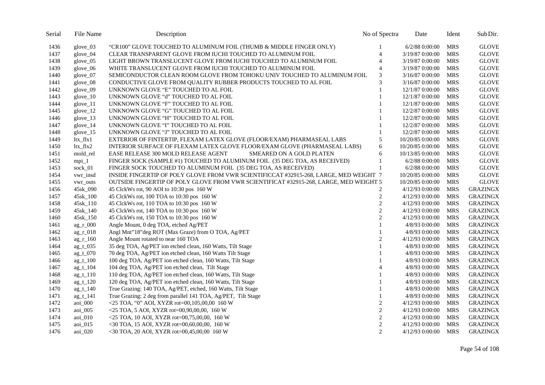| Serial | File Name    | Description                                                                                       | No of Spectra  | Date             | Ident      | Sub Dir.        |
|--------|--------------|---------------------------------------------------------------------------------------------------|----------------|------------------|------------|-----------------|
| 1436   | glove $03$   | "CR100" GLOVE TOUCHED TO ALUMINUM FOIL (THUMB & MIDDLE FINGER ONLY)                               |                | $6/2/88$ 0:00:00 | <b>MRS</b> | <b>GLOVE</b>    |
| 1437   | glove_04     | CLEAR TRANSPARENT GLOVE FROM IUCHI TOUCHED TO ALUMINUM FOIL                                       | $\overline{4}$ | 3/19/87 0:00:00  | <b>MRS</b> | <b>GLOVE</b>    |
| 1438   | glove_05     | LIGHT BROWN TRANSLUCENT GLOVE FROM IUCHI TOUCHED TO ALUMINUM FOIL                                 | $\overline{4}$ | 3/19/87 0:00:00  | <b>MRS</b> | <b>GLOVE</b>    |
| 1439   | glove_06     | WHITE TRANSLUCENT GLOVE FROM IUCHI TOUCHED TO ALUMINUM FOIL                                       | $\overline{4}$ | 3/19/87 0:00:00  | <b>MRS</b> | <b>GLOVE</b>    |
| 1440   | glove_07     | SEMICONDUCTOR CLEAN ROOM GLOVE FROM TOHOKU UNIV TOUCHED TO ALUMINUM FOIL                          | 3              | 3/16/87 0:00:00  | <b>MRS</b> | <b>GLOVE</b>    |
| 1441   | glove_08     | CONDUCTIVE GLOVE FROM QUALITY RUBBER PRODUCTS TOUCHED TO AL FOIL                                  | 3              | 3/16/87 0:00:00  | <b>MRS</b> | <b>GLOVE</b>    |
| 1442   | glove_09     | UNKNOWN GLOVE "E" TOUCHED TO AL FOIL                                                              |                | 12/1/87 0:00:00  | <b>MRS</b> | <b>GLOVE</b>    |
| 1443   | $glove_10$   | UNKNOWN GLOVE "d" TOUCHED TO AL FOIL                                                              |                | 12/1/87 0:00:00  | <b>MRS</b> | <b>GLOVE</b>    |
| 1444   | $glove_11$   | UNKNOWN GLOVE "F" TOUCHED TO AL FOIL                                                              |                | 12/1/87 0:00:00  | <b>MRS</b> | <b>GLOVE</b>    |
| 1445   | glove_12     | UNKNOWN GLOVE "G" TOUCHED TO AL FOIL                                                              |                | 12/2/87 0:00:00  | <b>MRS</b> | <b>GLOVE</b>    |
| 1446   | glove_13     | UNKNOWN GLOVE "H" TOUCHED TO AL FOIL                                                              |                | 12/2/87 0:00:00  | <b>MRS</b> | <b>GLOVE</b>    |
| 1447   | $glove_14$   | UNKNOWN GLOVE "I" TOUCHED TO AL FOIL                                                              |                | 12/2/87 0:00:00  | <b>MRS</b> | <b>GLOVE</b>    |
| 1448   | $glove_15$   | UNKNOWN GLOVE "J" TOUCHED TO AL FOIL                                                              |                | 12/2/87 0:00:00  | <b>MRS</b> | <b>GLOVE</b>    |
| 1449   | $ltx_fltx1$  | EXTERIOR OF FINTERTIP, FLEXAM LATEX GLOVE (FLOOR/EXAM) PHARMASEAL LABS                            | 5              | 10/20/85 0:00:00 | <b>MRS</b> | <b>GLOVE</b>    |
| 1450   | $ltx_flx2$   | INTERIOR SURFACE OF FLEXAM LATEX GLOVE FLOOR/EXAM GLOVE (PHARMASEAL LABS)                         | 6              | 10/20/85 0:00:00 | <b>MRS</b> | <b>GLOVE</b>    |
| 1451   | mold_rel     | EASE RELEASE 300 MOLD RELEASE AGENT<br>SMEARED ON A GOLD PLATEN                                   | 6              | 10/13/85 0:00:00 | <b>MRS</b> | <b>GLOVE</b>    |
| 1452   | $mpi_1$      | FINGER SOCK (SAMPLE #1) TOUCHED TO ALUMINUM FOIL (35 DEG TOA, AS RECEIVED)                        | $\mathbf{1}$   | 6/2/88 0:00:00   | <b>MRS</b> | <b>GLOVE</b>    |
| 1453   | sock_01      | FINGER SOCK TOUCHED TO ALUMINUM FOIL (35 DEG TOA, AS RECEIVED)                                    | 1              | 6/2/88 0:00:00   | <b>MRS</b> | <b>GLOVE</b>    |
| 1454   | vwr_insd     | INSIDE FINGERTIP OF POLY GLOVE FROM VWR SCIENTIFICCAT #32915-268, LARGE, MED WEIGHT 7             |                | 10/20/85 0:00:00 | <b>MRS</b> | <b>GLOVE</b>    |
| 1455   | vwr_outs     | OUTSIDE FINGERTIP OF POLY GLOVE FROM VWR SCIENTIFICAT #32915-268, LARGE, MED WEIGHT 5             |                | 10/20/85 0:00:00 | <b>MRS</b> | <b>GLOVE</b>    |
| 1456   | 45sk_090     | 45 ClckWs rot, 90 AOI to 10:30 pos 160 W                                                          | 2              | 4/12/93 0:00:00  | <b>MRS</b> | <b>GRAZINGX</b> |
| 1457   | 45sk_100     | 45 ClckWs rot, 100 TOA to 10:30 pos 160 W                                                         | $\overline{c}$ | 4/12/93 0:00:00  | <b>MRS</b> | <b>GRAZINGX</b> |
| 1458   | 45sk_110     | 45 ClckWs rot, 110 TOA to 10:30 pos 160 W                                                         | $\mathfrak{2}$ | 4/12/93 0:00:00  | <b>MRS</b> | <b>GRAZINGX</b> |
| 1459   | 45sk_140     | 45 ClckWs rot, 140 TOA to 10:30 pos 160 W                                                         | $\overline{c}$ | 4/12/93 0:00:00  | <b>MRS</b> | <b>GRAZINGX</b> |
| 1460   | 45sk_150     | 45 ClckWs rot, 150 TOA to 10:30 pos 160 W                                                         | $\mathbf{2}$   | 4/12/93 0:00:00  | <b>MRS</b> | <b>GRAZINGX</b> |
| 1461   | $ag_r_000$   | Angle Mount, 0 deg TOA, etched Ag/PET                                                             | 1              | 4/8/93 0:00:00   | <b>MRS</b> | <b>GRAZINGX</b> |
| 1462   | $ag_r_018$   | Angl Mnt"18"deg ROT (Max Graze) from O TOA, Ag/PET                                                | 1              | 4/8/93 0:00:00   | <b>MRS</b> | <b>GRAZINGX</b> |
| 1463   | $ag_r_1$ 160 | Angle Mount rotated to near 160 TOA                                                               | $\mathfrak{2}$ | 4/12/93 0:00:00  | <b>MRS</b> | <b>GRAZINGX</b> |
| 1464   | $ag_t_035$   | 35 deg TOA, Ag/PET ion etched clean, 160 Watts, Tilt Stage                                        | $\mathbf{1}$   | 4/8/93 0:00:00   | <b>MRS</b> | <b>GRAZINGX</b> |
| 1465   | $ag_t_070$   | 70 deg TOA, Ag/PET ion etched clean, 160 Watts Tilt Stage                                         |                | 4/8/93 0:00:00   | <b>MRS</b> | <b>GRAZINGX</b> |
| 1466   | $ag_t_100$   | 100 deg TOA, Ag/PET ion etched clean, 160 Watts, Tilt Stage                                       | 1              | 4/8/93 0:00:00   | <b>MRS</b> | <b>GRAZINGX</b> |
| 1467   | $ag_t_104$   | 104 deg TOA, Ag/PET ion etched clean, Tilt Stage                                                  | $\overline{4}$ | 4/8/93 0:00:00   | <b>MRS</b> | <b>GRAZINGX</b> |
| 1468   | $ag_t_110$   | 110 deg TOA, Ag/PET ion etched clean, 160 Watts, Tilt Stage                                       | 1              | 4/8/93 0:00:00   | <b>MRS</b> | <b>GRAZINGX</b> |
| 1469   | $ag_t_120$   | 120 deg TOA, Ag/PET ion etched clean, 160 Watts, Tilt Stage                                       |                | 4/8/93 0:00:00   | <b>MRS</b> | <b>GRAZINGX</b> |
| 1470   | $ag_t_140$   | True Grazing: 140 TOA, Ag/PET, etched, 160 Watts, Tilt Stage                                      | 1              | 4/8/93 0:00:00   | <b>MRS</b> | <b>GRAZINGX</b> |
| 1471   | $ag_t_1$ 141 | True Grazing: 2 deg from parallel 141 TOA, Ag/PET, Tilt Stage                                     | 1              | 4/8/93 0:00:00   | <b>MRS</b> | <b>GRAZINGX</b> |
| 1472   | aoi_000      | <25 TOA, "0" AOI, XYZR rot=00,105,00,00 160 W                                                     | $\mathbf{2}$   | 4/12/93 0:00:00  | <b>MRS</b> | <b>GRAZINGX</b> |
| 1473   | $aoi$ 005    | $\langle 25 \text{ TOA}, 5 \text{ AOI}, XYZR \text{ rot} = 00, 90, 00, 00, 160 \text{ W} \rangle$ | $\overline{2}$ | 4/12/93 0:00:00  | <b>MRS</b> | <b>GRAZINGX</b> |
| 1474   | aoi_010      | $\langle 25 \text{ TOA}, 10 \text{ AOL}, XYZR \text{ rot} = 00,75,00,00, 160 \text{ W} \rangle$   | $\mathfrak{2}$ | 4/12/93 0:00:00  | <b>MRS</b> | <b>GRAZINGX</b> |
| 1475   | aoi_015      | $<$ 30 TOA, 15 AOI, XYZR rot=00,60,00,00, 160 W                                                   | $\overline{2}$ | 4/12/93 0:00:00  | <b>MRS</b> | <b>GRAZINGX</b> |
| 1476   | aoi 020      | <30 TOA, 20 AOI, XYZR rot=00,45,00,00 160 W                                                       | $\overline{2}$ | 4/12/93 0:00:00  | <b>MRS</b> | <b>GRAZINGX</b> |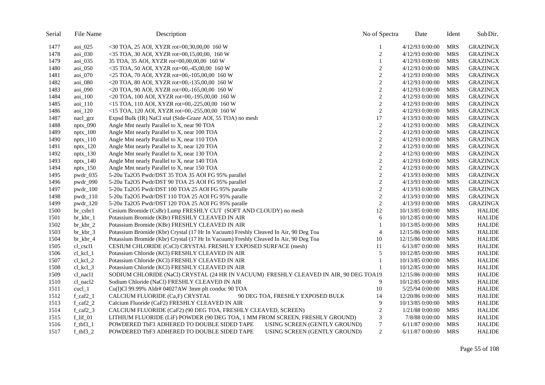| Serial | File Name                              | Description                                                                                                  | No of Spectra  | Date             | Ident      | Sub Dir.        |
|--------|----------------------------------------|--------------------------------------------------------------------------------------------------------------|----------------|------------------|------------|-----------------|
| 1477   | aoi_025                                | <30 TOA, 25 AOI, XYZR rot=00,30,00,00 160 W                                                                  |                | 4/12/93 0:00:00  | <b>MRS</b> | <b>GRAZINGX</b> |
| 1478   | aoi_030                                | $<$ 35 TOA, 30 AOI, XYZR rot=00,15,00,00, 160 W                                                              | $\overline{c}$ | 4/12/93 0:00:00  | <b>MRS</b> | <b>GRAZINGX</b> |
| 1479   | aoi_035                                | 35 TOA, 35 AOI, XYZR rot=00,00,00,00 160 W                                                                   | 1              | 4/12/93 0:00:00  | <b>MRS</b> | <b>GRAZINGX</b> |
| 1480   | aoi_050                                | $<$ 35 TOA, 50 AOI, XYZR rot=00,-45,00,00 160 W                                                              | 2              | 4/12/93 0:00:00  | MRS        | <b>GRAZINGX</b> |
| 1481   | aoi_070                                | <25 TOA, 70 AOI, XYZR rot=00,-105,00,00 160 W                                                                | $\overline{c}$ | 4/12/93 0:00:00  | <b>MRS</b> | <b>GRAZINGX</b> |
| 1482   | aoi_080                                | $\langle 20 \text{ TOA}, 80 \text{ AOI}, XYZR \text{ rot} = 00, -135, 00, 00 \text{ } 160 \text{ W} \rangle$ | $\overline{c}$ | 4/12/93 0:00:00  | <b>MRS</b> | <b>GRAZINGX</b> |
| 1483   | aoi_090                                | <20 TOA, 90 AOI, XYZR rot=00,-165,00,00 160 W                                                                | $\overline{c}$ | 4/12/93 0:00:00  | <b>MRS</b> | <b>GRAZINGX</b> |
| 1484   | aoi_100                                | $<$ 20 TOA, 100 AOI, XYZR rot=00,-195,00,00 160 W                                                            | $\overline{c}$ | 4/12/93 0:00:00  | <b>MRS</b> | <b>GRAZINGX</b> |
| 1485   | aoi_110                                | $\le$ 15 TOA, 110 AOI, XYZR rot=00,-225,00,00 160 W                                                          | $\overline{c}$ | 4/12/93 0:00:00  | <b>MRS</b> | <b>GRAZINGX</b> |
| 1486   | aoi_120                                | <15 TOA, 120 AOI, XYZR rot=00,-255,00,00 160 W                                                               | $\overline{c}$ | 4/12/93 0:00:00  | <b>MRS</b> | <b>GRAZINGX</b> |
| 1487   | nacl_grz                               | Expsd Bulk (IR) NaCl xtal (Side-Graze AOI, 55 TOA) no mesh                                                   | 17             | 4/13/93 0:00:00  | <b>MRS</b> | <b>GRAZINGX</b> |
| 1488   | $nptx_090$                             | Angle Mnt nearly Parallel to X, near 90 TOA                                                                  | $\overline{c}$ | 4/12/93 0:00:00  | <b>MRS</b> | <b>GRAZINGX</b> |
| 1489   | $nptx_100$                             | Angle Mnt nearly Parallel to X, near 100 TOA                                                                 | $\overline{c}$ | 4/12/93 0:00:00  | <b>MRS</b> | <b>GRAZINGX</b> |
| 1490   | $nptx_110$                             | Angle Mnt nearly Parallel to X, near 110 TOA                                                                 | $\mathbf{2}$   | 4/12/93 0:00:00  | <b>MRS</b> | <b>GRAZINGX</b> |
| 1491   | $nptx_120$                             | Angle Mnt nearly Parallel to X, near 120 TOA                                                                 | $\overline{c}$ | 4/12/93 0:00:00  | <b>MRS</b> | <b>GRAZINGX</b> |
| 1492   | $nptx_130$                             | Angle Mnt nearly Parallel to X, near 130 TOA                                                                 | $\overline{c}$ | 4/12/93 0:00:00  | MRS        | <b>GRAZINGX</b> |
| 1493   | $nptx_140$                             | Angle Mnt nearly Parallel to X, near 140 TOA                                                                 | $\overline{c}$ | 4/12/93 0:00:00  | <b>MRS</b> | <b>GRAZINGX</b> |
| 1494   | $nptx_150$                             | Angle Mnt nearly Parallel to X, near 150 TOA                                                                 | $\overline{c}$ | 4/12/93 0:00:00  | <b>MRS</b> | <b>GRAZINGX</b> |
| 1495   | $pwdr_035$                             | 5-20u Ta2O5 Pwdr/DST 35 TOA 35 AOI FG 95% parallel                                                           | $\overline{c}$ | 4/13/93 0:00:00  | <b>MRS</b> | <b>GRAZINGX</b> |
| 1496   | pwdr_090                               | 5-20u Ta2O5 Pwdr/DST 90 TOA 25 AOI FG 95% parallel                                                           | $\overline{c}$ | 4/13/93 0:00:00  | <b>MRS</b> | <b>GRAZINGX</b> |
| 1497   | $pwdr_100$                             | 5-20u Ta2O5 Pwdr/DST 100 TOA 25 AOI FG 95% paralle                                                           | $\overline{c}$ | 4/13/93 0:00:00  | <b>MRS</b> | <b>GRAZINGX</b> |
| 1498   | $pwdr_110$                             | 5-20u Ta2O5 Pwdr/DST 110 TOA 25 AOI FG 95% paralle                                                           | $\sqrt{2}$     | 4/13/93 0:00:00  | <b>MRS</b> | <b>GRAZINGX</b> |
| 1499   | $pwdr_120$                             | 5-20u Ta2O5 Pwdr/DST 120 TOA 25 AOI FG 95% paralle                                                           | $\overline{c}$ | 4/13/93 0:00:00  | <b>MRS</b> | <b>GRAZINGX</b> |
| 1500   | $br\_cstr1$                            | Cesium Bromide (CsBr) Lump FRESHLY CUT (SOFT AND CLOUDY) no mesh                                             | 12             | 10/13/85 0:00:00 | <b>MRS</b> | <b>HALIDE</b>   |
| 1501   | $br_kbr_1$                             | Potassium Bromide (KBr) FRESHLY CLEAVED IN AIR                                                               | 6              | 10/12/85 0:00:00 | <b>MRS</b> | <b>HALIDE</b>   |
| 1502   | $\rm br \, kbr \, 2$                   | Potassium Bromide (KBr) FRESHLY CLEAVED IN AIR                                                               | $\mathbf{1}$   | 10/13/85 0:00:00 | <b>MRS</b> | <b>HALIDE</b>   |
| 1503   | $br_kbr_3$                             | Potassium Bromide (Kbr) Crystal (17 Hr In Vacuum) Freshly Cleaved In Air, 90 Deg Toa                         | $\overline{4}$ | 12/15/86 0:00:00 | <b>MRS</b> | <b>HALIDE</b>   |
| 1504   | $br_kbr_4$                             | Potassium Bromide (Kbr) Crystal (17 Hr In Vacuum) Freshly Cleaved In Air, 90 Deg Toa                         | 10             | 12/15/86 0:00:00 | <b>MRS</b> | <b>HALIDE</b>   |
| 1505   | cl_cscl1                               | CESIUM CHLORIDE (CsCl) CRYSTAL FRESHLY EXPOSED SURFACE (mesh)                                                | 11             | 6/13/870:00:00   | <b>MRS</b> | <b>HALIDE</b>   |
| 1506   | $cl\_kcl\_1$                           | Potassium Chloride (KCl) FRESHLY CLEAVED IN AIR                                                              | 5              | 10/12/85 0:00:00 | <b>MRS</b> | <b>HALIDE</b>   |
| 1507   | $cl\_kcl_2$                            | Potassium Chloride (KCl) FRESHLY CLEAVED IN AIR                                                              | 1              | 10/13/85 0:00:00 | <b>MRS</b> | <b>HALIDE</b>   |
| 1508   | $cl_{kl_3}$                            | Potassium Chloride (KCl) FRESHLY CLEAVED IN AIR                                                              | $\mathbf{1}$   | 10/12/85 0:00:00 | <b>MRS</b> | <b>HALIDE</b>   |
| 1509   | cl_nacl1                               | SODIUM CHLORIDE (NaCl) CRYSTAL (24 HR IN VACUUM) FRESHLY CLEAVED IN AIR, 90 DEG TOA19                        |                | 12/15/86 0:00:00 | <b>MRS</b> | <b>HALIDE</b>   |
| 1510   | cl nacl2                               | Sodium Chloride (NaCl) FRESHLY CLEAVED IN AIR                                                                | 9              | 10/12/85 0:00:00 | <b>MRS</b> | <b>HALIDE</b>   |
| 1511   | $\text{c}\text{u}\text{c}$ $\lfloor 1$ | Cu(I)Cl 99.99% Aldr# 04027AW 3mm plt conduc 90 TOA                                                           | 10             | 5/25/94 0:00:00  | <b>MRS</b> | <b>HALIDE</b>   |
| 1512   | $f_{cat2\_1}$                          | 90 DEG TOA, FRESHLY EXPOSED BULK<br>CALCIUM FLUORIDE (Ca,F) CRYSTAL                                          | 14             | 12/20/86 0:00:00 | <b>MRS</b> | <b>HALIDE</b>   |
| 1513   | $f_{ca}f2_2$                           | Calcium Fluoride (CaF2) FRESHLY CLEAVED IN AIR                                                               | 9              | 10/13/85 0:00:00 | <b>MRS</b> | <b>HALIDE</b>   |
| 1514   | f caf $23$                             | CALCIUM FLUORIDE (CaF2) (90 DEG TOA, FRESHLY CLEAVED, SCREEN)                                                | 2              | 1/21/88 0:00:00  | <b>MRS</b> | <b>HALIDE</b>   |
| 1515   | $f$ _lif_01                            | LITHIUM FLUORIDE (LiF) POWDER (90 DEG TOA, 1 MM FROM SCREEN, FRESHLY GROUND)                                 | 3              | 7/8/88 0:00:00   | <b>MRS</b> | <b>HALIDE</b>   |
| 1516   | $f_{tbf3_1}$                           | POWDERED TbF3 ADHERED TO DOUBLE SIDED TAPE<br>USING SCREEN (GENTLY GROUND)                                   | $\tau$         | 6/11/87 0:00:00  | <b>MRS</b> | <b>HALIDE</b>   |
| 1517   | $f_{\text{-}}tbf3_{\text{-}}2$         | POWDERED TOF3 ADHERED TO DOUBLE SIDED TAPE<br>USING SCREEN (GENTLY GROUND)                                   | 2              | 6/11/87 0:00:00  | <b>MRS</b> | <b>HALIDE</b>   |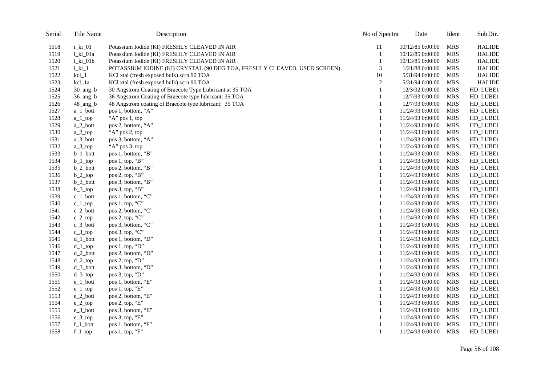| Serial | File Name   | Description                                                              | No of Spectra               | Date             | Ident      | Sub Dir.      |
|--------|-------------|--------------------------------------------------------------------------|-----------------------------|------------------|------------|---------------|
| 1518   | $i_k$ $01$  | Potassium Iodide (KI) FRESHLY CLEAVED IN AIR                             | 11                          | 10/12/85 0:00:00 | <b>MRS</b> | <b>HALIDE</b> |
| 1519   | i_ki_01a    | Potassium Iodide (KI) FRESHLY CLEAVED IN AIR                             | 1                           | 10/12/85 0:00:00 | <b>MRS</b> | <b>HALIDE</b> |
| 1520   | i_ki_01b    | Potassium Iodide (KI) FRESHLY CLEAVED IN AIR                             | 1                           | 10/13/85 0:00:00 | <b>MRS</b> | <b>HALIDE</b> |
| 1521   | i_ki_1      | POTASSIUM IODINE (KI) CRYSTAL (90 DEG TOA, FRESHLY CLEAVED, USED SCREEN) | $\ensuremath{\mathfrak{Z}}$ | 1/21/88 0:00:00  | <b>MRS</b> | <b>HALIDE</b> |
| 1522   | $kcl_1$     | KCl xtal (fresh exposed bulk) scrn 90 TOA                                | 10                          | 5/31/94 0:00:00  | <b>MRS</b> | <b>HALIDE</b> |
| 1523   | kcl_1a      | KCl xtal (fresh exposed bulk) scrn 90 TOA                                | $\overline{c}$              | 5/31/94 0:00:00  | <b>MRS</b> | <b>HALIDE</b> |
| 1524   | 30_ang_b    | 30 Angstrom Coating of Braecote Type Lubricant at 35 TOA                 | 1                           | 12/3/92 0:00:00  | <b>MRS</b> | HD_LUBE1      |
| 1525   | $36$ _ang_b | 36 Angstrom Coating of Braecote type lubricant: 35 TOA                   | 1                           | 12/7/93 0:00:00  | <b>MRS</b> | HD_LUBE1      |
| 1526   | 48_ang_b    | 48 Angstrom coating of Braecote type lubricant: 35 TOA                   | 1                           | 12/7/93 0:00:00  | <b>MRS</b> | HD_LUBE1      |
| 1527   | $a_1$ _bott | pos 1, bottom, "A"                                                       | 1                           | 11/24/93 0:00:00 | <b>MRS</b> | HD_LUBE1      |
| 1528   | $a_1$ _top  | "A" pos 1, top                                                           | 1                           | 11/24/93 0:00:00 | <b>MRS</b> | HD_LUBE1      |
| 1529   | a_2_bott    | pos 2, bottom, "A"                                                       | 1                           | 11/24/93 0:00:00 | <b>MRS</b> | HD_LUBE1      |
| 1530   | $a_2$ _top  | "A" pos 2, top                                                           | 1                           | 11/24/93 0:00:00 | <b>MRS</b> | HD_LUBE1      |
| 1531   | a_3_bott    | pos 3, bottom, "A"                                                       | 1                           | 11/24/93 0:00:00 | <b>MRS</b> | HD_LUBE1      |
| 1532   | $a_3$ _top  | "A" pos 3, top                                                           | 1                           | 11/24/93 0:00:00 | <b>MRS</b> | HD_LUBE1      |
| 1533   | $b_1$ _bott | pos 1, bottom, "B"                                                       | 1                           | 11/24/93 0:00:00 | <b>MRS</b> | HD_LUBE1      |
| 1534   | $b_1$ _top  | pos 1, top, "B"                                                          | $\mathbf{1}$                | 11/24/93 0:00:00 | <b>MRS</b> | HD_LUBE1      |
| 1535   | $b_2$ _bott | pos 2, bottom, "B"                                                       | 1                           | 11/24/93 0:00:00 | <b>MRS</b> | HD_LUBE1      |
| 1536   | $b_2$ _top  | pos 2, top, "B"                                                          | $\mathbf{1}$                | 11/24/93 0:00:00 | <b>MRS</b> | HD_LUBE1      |
| 1537   | $b_3$ _bott | pos 3, bottom, "B"                                                       | 1                           | 11/24/93 0:00:00 | <b>MRS</b> | HD_LUBE1      |
| 1538   | $b_3$ _top  | pos 3, top, "B"                                                          | 1                           | 11/24/93 0:00:00 | <b>MRS</b> | HD_LUBE1      |
| 1539   | $c_1$ _bott | pos 1, bottom, "C"                                                       | 1                           | 11/24/93 0:00:00 | <b>MRS</b> | HD_LUBE1      |
| 1540   | $c_1$ _top  | pos 1, top, "C"                                                          | $\mathbf{1}$                | 11/24/93 0:00:00 | <b>MRS</b> | HD_LUBE1      |
| 1541   | c_2_bott    | pos 2, bottom, "C"                                                       | 1                           | 11/24/93 0:00:00 | <b>MRS</b> | HD_LUBE1      |
| 1542   | $c_2$ _top  | pos 2, top, "C"                                                          | $\mathbf{1}$                | 11/24/93 0:00:00 | <b>MRS</b> | HD_LUBE1      |
| 1543   | $c_3$ _bott | pos 3, bottom, "C"                                                       | 1                           | 11/24/93 0:00:00 | <b>MRS</b> | HD_LUBE1      |
| 1544   | $c_3$ _top  | pos 3, top, "C"                                                          | 1                           | 11/24/93 0:00:00 | <b>MRS</b> | HD_LUBE1      |
| 1545   | $d_1$ _bott | pos 1, bottom, "D"                                                       | 1                           | 11/24/93 0:00:00 | <b>MRS</b> | HD_LUBE1      |
| 1546   | $d_1$ _top  | pos 1, top, "D"                                                          | 1                           | 11/24/93 0:00:00 | <b>MRS</b> | HD_LUBE1      |
| 1547   | $d_2$ _bott | pos 2, bottom, "D"                                                       | 1                           | 11/24/93 0:00:00 | <b>MRS</b> | HD_LUBE1      |
| 1548   | $d_2$ _top  | pos 2, top, "D"                                                          | $\mathbf{1}$                | 11/24/93 0:00:00 | <b>MRS</b> | HD_LUBE1      |
| 1549   | $d_3$ _bott | pos 3, bottom, "D"                                                       | 1                           | 11/24/93 0:00:00 | <b>MRS</b> | HD_LUBE1      |
| 1550   | $d_3top$    | pos 3, top, "D"                                                          | 1                           | 11/24/93 0:00:00 | <b>MRS</b> | HD_LUBE1      |
| 1551   | $e_1$ _bott | pos 1, bottom, "E"                                                       | 1                           | 11/24/93 0:00:00 | <b>MRS</b> | HD_LUBE1      |
| 1552   | $e_{1top}$  | pos 1, top, "E"                                                          | 1                           | 11/24/93 0:00:00 | <b>MRS</b> | HD_LUBE1      |
| 1553   | e_2_bott    | pos 2, bottom, "E"                                                       | 1                           | 11/24/93 0:00:00 | <b>MRS</b> | HD_LUBE1      |
| 1554   | $e_2$ _top  | pos 2, top, "E"                                                          | 1                           | 11/24/93 0:00:00 | <b>MRS</b> | HD_LUBE1      |
| 1555   | e_3_bott    | pos 3, bottom, "E"                                                       | 1                           | 11/24/93 0:00:00 | <b>MRS</b> | HD_LUBE1      |
| 1556   | $e_3$ _top  | pos 3, top, "E"                                                          | 1                           | 11/24/93 0:00:00 | <b>MRS</b> | HD_LUBE1      |
| 1557   | $f_1$ _bott | pos 1, bottom, "F"                                                       | 1                           | 11/24/93 0:00:00 | <b>MRS</b> | HD_LUBE1      |
| 1558   | $f_1$ _top  | pos 1, top, "F"                                                          | $\mathbf{1}$                | 11/24/93 0:00:00 | <b>MRS</b> | HD_LUBE1      |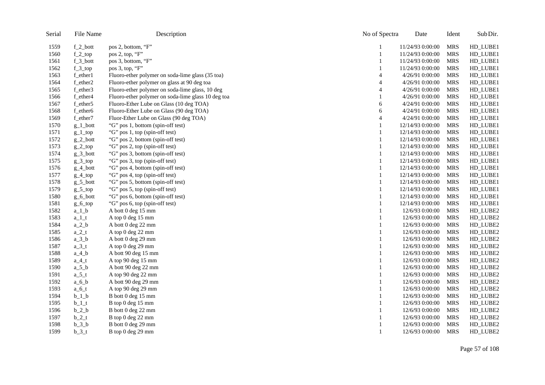| Serial | File Name     | Description                                        | No of Spectra  | Date             | Ident      | Sub Dir. |
|--------|---------------|----------------------------------------------------|----------------|------------------|------------|----------|
| 1559   | $f_2_{bot}$   | pos 2, bottom, "F"                                 | 1              | 11/24/93 0:00:00 | <b>MRS</b> | HD_LUBE1 |
| 1560   | $f_2top$      | pos 2, top, "F"                                    | $\mathbf{1}$   | 11/24/93 0:00:00 | <b>MRS</b> | HD_LUBE1 |
| 1561   | f_3_bott      | pos 3, bottom, "F"                                 | $\mathbf{1}$   | 11/24/93 0:00:00 | <b>MRS</b> | HD_LUBE1 |
| 1562   | $f_3top$      | pos 3, top, "F"                                    | 1              | 11/24/93 0:00:00 | <b>MRS</b> | HD_LUBE1 |
| 1563   | f_ether1      | Fluoro-ether polymer on soda-lime glass (35 toa)   | $\overline{4}$ | 4/26/91 0:00:00  | <b>MRS</b> | HD_LUBE1 |
| 1564   | f_ether2      | Fluoro-ether polymer on glass at 90 deg toa        | $\overline{4}$ | 4/26/91 0:00:00  | <b>MRS</b> | HD_LUBE1 |
| 1565   | f_ether3      | Fluoro-ether polymer on soda-lime glass, 10 deg    | $\overline{4}$ | 4/26/91 0:00:00  | <b>MRS</b> | HD_LUBE1 |
| 1566   | f_ether4      | Fluoro-ether polymer on soda-lime glass 10 deg toa |                | 4/26/91 0:00:00  | <b>MRS</b> | HD_LUBE1 |
| 1567   | f_ether5      | Fluoro-Ether Lube on Glass (10 deg TOA)            | 6              | 4/24/91 0:00:00  | <b>MRS</b> | HD_LUBE1 |
| 1568   | f_ether6      | Fluoro-Ether Lube on Glass (90 deg TOA)            | 6              | 4/24/91 0:00:00  | <b>MRS</b> | HD_LUBE1 |
| 1569   | f_ether7      | Fluor-Ether Lube on Glass (90 deg TOA)             | $\overline{4}$ | 4/24/91 0:00:00  | <b>MRS</b> | HD_LUBE1 |
| 1570   | $g_1$ _bott   | "G" pos 1, bottom (spin-off test)                  | 1              | 12/14/93 0:00:00 | <b>MRS</b> | HD_LUBE1 |
| 1571   | $g_1$ _top    | "G" pos 1, top (spin-off test)                     | 1              | 12/14/93 0:00:00 | <b>MRS</b> | HD_LUBE1 |
| 1572   | $g_2$ -bott   | "G" pos 2, bottom (spin-off test)                  | $\mathbf{1}$   | 12/14/93 0:00:00 | <b>MRS</b> | HD_LUBE1 |
| 1573   | $g_2$ -top    | "G" pos 2, top (spin-off test)                     | 1              | 12/14/93 0:00:00 | <b>MRS</b> | HD_LUBE1 |
| 1574   | $g_3$ _bott   | "G" pos 3, bottom (spin-off test)                  | $\mathbf{1}$   | 12/14/93 0:00:00 | <b>MRS</b> | HD_LUBE1 |
| 1575   | $g_3$ _top    | "G" pos 3, top (spin-off test)                     | 1              | 12/14/93 0:00:00 | <b>MRS</b> | HD_LUBE1 |
| 1576   | $g_4$ _bott   | "G" pos 4, bottom (spin-off test)                  | $\mathbf{1}$   | 12/14/93 0:00:00 | <b>MRS</b> | HD_LUBE1 |
| 1577   | $g_4$ _top    | "G" pos 4, top (spin-off test)                     | 1              | 12/14/93 0:00:00 | <b>MRS</b> | HD_LUBE1 |
| 1578   | $g_{5}$ _bott | "G" pos 5, bottom (spin-off test)                  | 1              | 12/14/93 0:00:00 | <b>MRS</b> | HD_LUBE1 |
| 1579   | $g_5$ _top    | "G" pos 5, top (spin-off test)                     | 1              | 12/14/93 0:00:00 | <b>MRS</b> | HD_LUBE1 |
| 1580   | $g_6$ _bott   | "G" pos 6, bottom (spin-off test)                  | 1              | 12/14/93 0:00:00 | <b>MRS</b> | HD_LUBE1 |
| 1581   | $g_6$ _top    | "G" pos 6, top (spin-off test)                     | 1              | 12/14/93 0:00:00 | <b>MRS</b> | HD_LUBE1 |
| 1582   | $a_1$ _b      | A bott 0 deg 15 mm                                 | 1              | 12/6/93 0:00:00  | <b>MRS</b> | HD_LUBE2 |
| 1583   | $a_1$ _t      | A top 0 deg 15 mm                                  | 1              | 12/6/93 0:00:00  | <b>MRS</b> | HD_LUBE2 |
| 1584   | $a_2$ _b      | A bott 0 deg 22 mm                                 | $\mathbf{1}$   | 12/6/93 0:00:00  | <b>MRS</b> | HD_LUBE2 |
| 1585   | $a_2_t$       | A top 0 deg 22 mm                                  |                | 12/6/93 0:00:00  | <b>MRS</b> | HD_LUBE2 |
| 1586   | $a_3_b$       | A bott 0 deg 29 mm                                 | 1              | 12/6/93 0:00:00  | <b>MRS</b> | HD_LUBE2 |
| 1587   | $a_3_t$       | A top 0 deg 29 mm                                  | 1              | 12/6/93 0:00:00  | <b>MRS</b> | HD_LUBE2 |
| 1588   | $a_4_b$       | A bott 90 deg 15 mm                                | 1              | 12/6/93 0:00:00  | <b>MRS</b> | HD_LUBE2 |
| 1589   | $a_4_t$       | A top 90 deg 15 mm                                 |                | 12/6/93 0:00:00  | <b>MRS</b> | HD_LUBE2 |
| 1590   | $a_5_b$       | A bott 90 deg 22 mm                                | $\mathbf{1}$   | 12/6/93 0:00:00  | <b>MRS</b> | HD_LUBE2 |
| 1591   | $a_5_t$       | A top 90 deg 22 mm                                 | 1              | 12/6/93 0:00:00  | <b>MRS</b> | HD_LUBE2 |
| 1592   | $a_6_b$       | A bott 90 deg 29 mm                                | 1              | 12/6/93 0:00:00  | <b>MRS</b> | HD_LUBE2 |
| 1593   | $a_6_t$       | A top 90 deg 29 mm                                 | 1              | 12/6/93 0:00:00  | <b>MRS</b> | HD_LUBE2 |
| 1594   | $b_1_b$       | B bott 0 deg 15 mm                                 | 1              | 12/6/93 0:00:00  | <b>MRS</b> | HD_LUBE2 |
| 1595   | $b_1$         | B top 0 deg 15 mm                                  |                | 12/6/93 0:00:00  | <b>MRS</b> | HD_LUBE2 |
| 1596   | $b_2$ _b      | B bott 0 deg 22 mm                                 | $\mathbf{1}$   | 12/6/93 0:00:00  | <b>MRS</b> | HD_LUBE2 |
| 1597   | $b_2$ _t      | B top 0 deg 22 mm                                  | 1              | 12/6/93 0:00:00  | <b>MRS</b> | HD_LUBE2 |
| 1598   | $b_3_b$       | B bott 0 deg 29 mm                                 | 1              | 12/6/93 0:00:00  | <b>MRS</b> | HD_LUBE2 |
| 1599   | $b_3_t$       | B top 0 deg 29 mm                                  | $\mathbf{1}$   | 12/6/93 0:00:00  | <b>MRS</b> | HD_LUBE2 |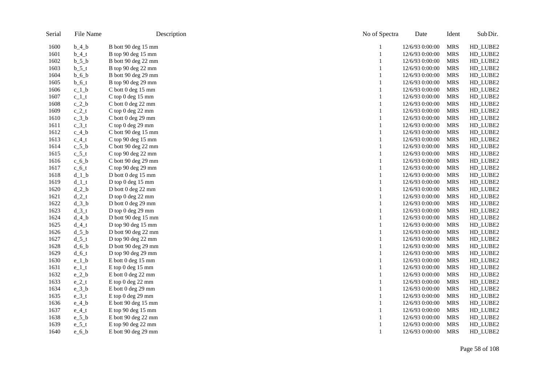| Serial | File Name   | Description                  | No of Spectra | Date            | Ident      | Sub Dir. |
|--------|-------------|------------------------------|---------------|-----------------|------------|----------|
| 1600   | $b_4_b$     | B bott 90 deg 15 mm          |               | 12/6/93 0:00:00 | <b>MRS</b> | HD_LUBE2 |
| 1601   | $b_4_t$     | B top 90 deg 15 mm           |               | 12/6/93 0:00:00 | <b>MRS</b> | HD_LUBE2 |
| 1602   | $b_5_b$     | B bott 90 deg 22 mm          |               | 12/6/93 0:00:00 | <b>MRS</b> | HD_LUBE2 |
| 1603   | $b_5_t$     | B top 90 deg 22 mm           |               | 12/6/93 0:00:00 | <b>MRS</b> | HD_LUBE2 |
| 1604   | $b_6$ $b_7$ | B bott 90 deg 29 mm          |               | 12/6/93 0:00:00 | <b>MRS</b> | HD_LUBE2 |
| 1605   | $b_6t$      | B top 90 deg 29 mm           |               | 12/6/93 0:00:00 | <b>MRS</b> | HD_LUBE2 |
| 1606   | $c_1_b$     | $\mathrm C$ bott 0 deg 15 mm |               | 12/6/93 0:00:00 | <b>MRS</b> | HD_LUBE2 |
| 1607   | $c_1$ _t    | C top 0 deg 15 mm            |               | 12/6/93 0:00:00 | <b>MRS</b> | HD_LUBE2 |
| 1608   | $c_2_b$     | C bott 0 deg 22 mm           |               | 12/6/93 0:00:00 | <b>MRS</b> | HD_LUBE2 |
| 1609   | $c_2_t$     | C top 0 deg 22 mm            |               | 12/6/93 0:00:00 | <b>MRS</b> | HD_LUBE2 |
| 1610   | $c_3_b$     | C bott 0 deg 29 mm           |               | 12/6/93 0:00:00 | <b>MRS</b> | HD_LUBE2 |
| 1611   | $c_3_t$     | C top 0 deg 29 mm            |               | 12/6/93 0:00:00 | <b>MRS</b> | HD_LUBE2 |
| 1612   | $c_4_b$     | C bott 90 deg 15 mm          |               | 12/6/93 0:00:00 | <b>MRS</b> | HD_LUBE2 |
| 1613   | $c_4_t$     | C top 90 deg 15 mm           |               | 12/6/93 0:00:00 | <b>MRS</b> | HD_LUBE2 |
| 1614   | $c_5_b$     | C bott 90 deg 22 mm          |               | 12/6/93 0:00:00 | <b>MRS</b> | HD_LUBE2 |
| 1615   | $c_5_t$     | C top 90 deg 22 mm           |               | 12/6/93 0:00:00 | <b>MRS</b> | HD_LUBE2 |
| 1616   | $c_6_b$     | C bott 90 deg 29 mm          |               | 12/6/93 0:00:00 | <b>MRS</b> | HD_LUBE2 |
| 1617   | $c_6$ t     | C top 90 deg 29 mm           |               | 12/6/93 0:00:00 | <b>MRS</b> | HD_LUBE2 |
| 1618   | $d_1_b$     | D bott 0 deg 15 mm           |               | 12/6/93 0:00:00 | <b>MRS</b> | HD_LUBE2 |
| 1619   | $d_1_t$     | D top 0 deg 15 mm            |               | 12/6/93 0:00:00 | <b>MRS</b> | HD_LUBE2 |
| 1620   | $d_2_b$     | D bott 0 deg 22 mm           |               | 12/6/93 0:00:00 | <b>MRS</b> | HD_LUBE2 |
| 1621   | $d_2_t$     | D top 0 deg 22 mm            |               | 12/6/93 0:00:00 | <b>MRS</b> | HD_LUBE2 |
| 1622   | $d_3_b$     | D bott 0 deg 29 mm           |               | 12/6/93 0:00:00 | <b>MRS</b> | HD_LUBE2 |
| 1623   | $d_3_t$     | D top 0 deg 29 mm            |               | 12/6/93 0:00:00 | <b>MRS</b> | HD_LUBE2 |
| 1624   | $d_4_b$     | D bott 90 deg 15 mm          |               | 12/6/93 0:00:00 | <b>MRS</b> | HD_LUBE2 |
| 1625   | $d_4_t$     | D top 90 deg 15 mm           |               | 12/6/93 0:00:00 | <b>MRS</b> | HD_LUBE2 |
| 1626   | $d_5_b$     | D bott 90 deg 22 mm          |               | 12/6/93 0:00:00 | <b>MRS</b> | HD_LUBE2 |
| 1627   | $d_5_t$     | D top 90 deg 22 mm           |               | 12/6/93 0:00:00 | <b>MRS</b> | HD_LUBE2 |
| 1628   | $d_6_b$     | D bott 90 deg 29 mm          |               | 12/6/93 0:00:00 | <b>MRS</b> | HD_LUBE2 |
| 1629   | $d_6_t$     | D top 90 deg 29 mm           |               | 12/6/93 0:00:00 | <b>MRS</b> | HD_LUBE2 |
| 1630   | $e_1_b$     | E bott 0 deg 15 mm           |               | 12/6/93 0:00:00 | <b>MRS</b> | HD_LUBE2 |
| 1631   | $e_{1}t$    | E top 0 deg 15 mm            |               | 12/6/93 0:00:00 | <b>MRS</b> | HD_LUBE2 |
| 1632   | $e_2$ _b    | E bott 0 deg 22 mm           |               | 12/6/93 0:00:00 | <b>MRS</b> | HD_LUBE2 |
| 1633   | $e_2_t$     | E top 0 deg 22 mm            |               | 12/6/93 0:00:00 | <b>MRS</b> | HD_LUBE2 |
| 1634   | $e_3_b$     | E bott 0 deg 29 mm           |               | 12/6/93 0:00:00 | <b>MRS</b> | HD_LUBE2 |
| 1635   | $e_3_t$     | E top 0 deg 29 mm            |               | 12/6/93 0:00:00 | <b>MRS</b> | HD_LUBE2 |
| 1636   | $e_4_b$     | E bott 90 deg 15 mm          |               | 12/6/93 0:00:00 | <b>MRS</b> | HD_LUBE2 |
| 1637   | $e_4_t$     | E top 90 deg 15 mm           |               | 12/6/93 0:00:00 | <b>MRS</b> | HD_LUBE2 |
| 1638   | $e_5_b$     | E bott 90 deg 22 mm          |               | 12/6/93 0:00:00 | <b>MRS</b> | HD_LUBE2 |
| 1639   | $e_{5t}$    | E top 90 deg 22 mm           |               | 12/6/93 0:00:00 | <b>MRS</b> | HD_LUBE2 |
| 1640   | $e_6_b$     | E bott 90 deg 29 mm          |               | 12/6/93 0:00:00 | <b>MRS</b> | HD_LUBE2 |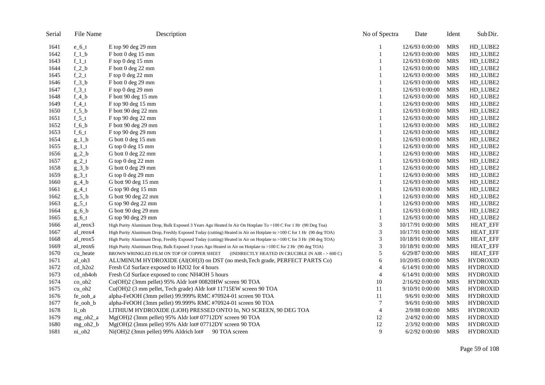| Serial | File Name  | Description                                                                                                          | No of Spectra  | Date             | Ident      | Sub Dir.        |
|--------|------------|----------------------------------------------------------------------------------------------------------------------|----------------|------------------|------------|-----------------|
| 1641   | $e_6_t$    | E top 90 deg 29 mm                                                                                                   |                | 12/6/93 0:00:00  | <b>MRS</b> | HD_LUBE2        |
| 1642   | $f_1_b$    | F bott 0 deg 15 mm                                                                                                   | 1              | 12/6/93 0:00:00  | <b>MRS</b> | HD_LUBE2        |
| 1643   | $f_1_t$    | F top 0 deg 15 mm                                                                                                    |                | 12/6/93 0:00:00  | <b>MRS</b> | HD_LUBE2        |
| 1644   | $f_2_b$    | F bott 0 deg 22 mm                                                                                                   | 1              | 12/6/93 0:00:00  | <b>MRS</b> | HD_LUBE2        |
| 1645   | $f_2_t$    | F top 0 deg 22 mm                                                                                                    | 1              | 12/6/93 0:00:00  | <b>MRS</b> | HD_LUBE2        |
| 1646   | $f_3_b$    | F bott 0 deg 29 mm                                                                                                   | 1              | 12/6/93 0:00:00  | <b>MRS</b> | HD_LUBE2        |
| 1647   | $f_3_t$    | F top 0 deg 29 mm                                                                                                    | 1              | 12/6/93 0:00:00  | <b>MRS</b> | HD_LUBE2        |
| 1648   | $f_4_b$    | F bott 90 deg 15 mm                                                                                                  | 1              | 12/6/93 0:00:00  | <b>MRS</b> | HD_LUBE2        |
| 1649   | $f_4_t$    | F top 90 deg 15 mm                                                                                                   |                | 12/6/93 0:00:00  | <b>MRS</b> | HD_LUBE2        |
| 1650   | $f_5_b$    | F bott 90 deg 22 mm                                                                                                  | $\mathbf{1}$   | 12/6/93 0:00:00  | <b>MRS</b> | HD_LUBE2        |
| 1651   | $f_5_t$    | F top 90 deg 22 mm                                                                                                   | 1              | 12/6/93 0:00:00  | <b>MRS</b> | HD_LUBE2        |
| 1652   | $f_6_b$    | F bott 90 deg 29 mm                                                                                                  | 1              | 12/6/93 0:00:00  | <b>MRS</b> | HD_LUBE2        |
| 1653   | $f_6_t$    | F top 90 deg 29 mm                                                                                                   | 1              | 12/6/93 0:00:00  | <b>MRS</b> | HD_LUBE2        |
| 1654   | $g_1_b$    | G bott 0 deg 15 mm                                                                                                   | $\mathbf{1}$   | 12/6/93 0:00:00  | <b>MRS</b> | HD_LUBE2        |
| 1655   | $g_{-}1_t$ | G top 0 deg 15 mm                                                                                                    |                | 12/6/93 0:00:00  | <b>MRS</b> | HD_LUBE2        |
| 1656   | $g_2$ _b   | G bott 0 deg 22 mm                                                                                                   | 1              | 12/6/93 0:00:00  | <b>MRS</b> | HD_LUBE2        |
| 1657   | $g_2_t$    | G top 0 deg 22 mm                                                                                                    |                | 12/6/93 0:00:00  | <b>MRS</b> | HD_LUBE2        |
| 1658   | $g_3$ _b   | G bott 0 deg 29 mm                                                                                                   | 1              | 12/6/93 0:00:00  | <b>MRS</b> | HD_LUBE2        |
| 1659   | $g_3_t$    | G top 0 deg 29 mm                                                                                                    |                | 12/6/93 0:00:00  | <b>MRS</b> | HD_LUBE2        |
| 1660   | $g_4_b$    | G bott 90 deg 15 mm                                                                                                  |                | 12/6/93 0:00:00  | <b>MRS</b> | HD_LUBE2        |
| 1661   | $g_4_t$    | G top 90 deg 15 mm                                                                                                   |                | 12/6/93 0:00:00  | <b>MRS</b> | HD_LUBE2        |
| 1662   | $g_{-}5_b$ | G bott 90 deg 22 mm                                                                                                  | $\mathbf{1}$   | 12/6/93 0:00:00  | <b>MRS</b> | HD_LUBE2        |
| 1663   | $g_{5t}$   | G top 90 deg 22 mm                                                                                                   |                | 12/6/93 0:00:00  | <b>MRS</b> | HD_LUBE2        |
| 1664   | $g_6_b$    | G bott 90 deg 29 mm                                                                                                  | 1              | 12/6/93 0:00:00  | <b>MRS</b> | HD_LUBE2        |
| 1665   | $g_6_t$    | G top 90 deg 29 mm                                                                                                   | 1              | 12/6/93 0:00:00  | <b>MRS</b> | HD_LUBE2        |
| 1666   | al_reox3   | High Purity Aluminum Drop, Bulk Exposed 3 Years Ago Heated In Air On Hotplate To >100 C For 1 Hr (90 Deg Toa)        | 3              | 10/17/91 0:00:00 | <b>MRS</b> | <b>HEAT_EFF</b> |
| 1667   | al_reox4   | High Purity Aluminum Drop, Freshly Exposed Today (cutting) Heated in Air on Hotplate to >100 C for 1 Hr (90 deg TOA) | 3              | 10/17/91 0:00:00 | <b>MRS</b> | <b>HEAT_EFF</b> |
| 1668   | al_reox5   | High Purity Aluminum Drop, Freshly Exposed Today (cutting) Heated in Air on Hotplate to >100 C for 3 Hr (90 deg TOA) | 3              | 10/18/91 0:00:00 | <b>MRS</b> | <b>HEAT_EFF</b> |
| 1669   | al_reox6   | High Purity Aluminum Drop, Bulk Exposed 3 years Ago Heated in Air on Hotplate to >100 C for 2 Hr (90 deg TOA)        | 3              | 10/18/91 0:00:00 | <b>MRS</b> | <b>HEAT_EFF</b> |
| 1670   | cu_heate   | BROWN WRINKLED FILM ON TOP OF COPPER SHEET<br>(INDIRECTLY HEATED IN CRUCIBLE IN AIR $-$ > 600 C)                     | 5              | 6/29/87 0:00:00  | <b>MRS</b> | <b>HEAT_EFF</b> |
| 1671   | al_oh3     | ALUMINUM HYDROXIDE (Al(OH)3) on DST (no mesh, Tech grade, PERFECT PARTS Co)                                          | 6              | 10/20/85 0:00:00 | <b>MRS</b> | <b>HYDROXID</b> |
| 1672   | $cd_h2o2$  | Fresh Cd Surface exposed to H2O2 for 4 hours                                                                         | $\overline{4}$ | 6/14/91 0:00:00  | <b>MRS</b> | <b>HYDROXID</b> |
| 1673   | cd_nh4oh   | Fresh Cd Surface exposed to conc NH4OH 5 hours                                                                       | 4              | 6/14/91 0:00:00  | <b>MRS</b> | <b>HYDROXID</b> |
| 1674   | $co_oh2$   | Co(OH)2 (3mm pellet) 95% Aldr lot# 00820HW screen 90 TOA                                                             | 10             | 2/16/92 0:00:00  | <b>MRS</b> | <b>HYDROXID</b> |
| 1675   | $cu_oh2$   | Cu(OH)2 (3 mm pellet, Tech grade) Aldr lot# 11715EW screen 90 TOA                                                    | 11             | 9/10/91 0:00:00  | <b>MRS</b> | <b>HYDROXID</b> |
| 1676   | fe_ooh_a   | alpha-FeOOH (3mm pellet) 99.999% RMC #70924-01 screen 90 TOA                                                         | 11             | 9/6/91 0:00:00   | MRS        | <b>HYDROXID</b> |
| 1677   | fe_ooh_b   | alpha-FeOOH (3mm pellet) 99.999% RMC #70924-01 screen 90 TOA                                                         | 7              | 9/6/91 0:00:00   | <b>MRS</b> | <b>HYDROXID</b> |
| 1678   | $li_oh$    | LITHIUM HYDROXIDE (LIOH) PRESSED ONTO In, NO SCREEN, 90 DEG TOA                                                      | $\overline{4}$ | 2/9/88 0:00:00   | <b>MRS</b> | <b>HYDROXID</b> |
| 1679   | $mg_oh2_a$ | Mg(OH)2 (3mm pellet) 95% Aldr lot#07712DY screen 90 TOA                                                              | 12             | 2/4/92 0:00:00   | MRS        | <b>HYDROXID</b> |
| 1680   | $mg_oh2_b$ | Mg(OH)2 (3mm pellet) 95% Aldr lot#07712DY screen 90 TOA                                                              | 12             | 2/3/92 0:00:00   | <b>MRS</b> | <b>HYDROXID</b> |
| 1681   | ni oh2     | Ni(OH)2 (3mm pellet) 99% Aldrich lot#<br>90 TOA screen                                                               | 9              | $6/2/92$ 0:00:00 | <b>MRS</b> | <b>HYDROXID</b> |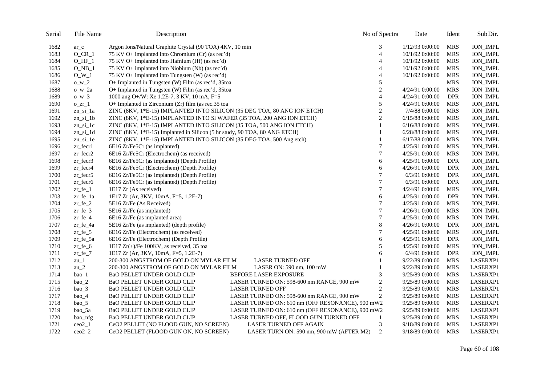| Serial | File Name             | Description                                                                           | No of Spectra  | Date              | Ident      | Sub Dir.        |
|--------|-----------------------|---------------------------------------------------------------------------------------|----------------|-------------------|------------|-----------------|
| 1682   | $ar\_c$               | Argon Ions/Natural Graphite Crystal (90 TOA) 4KV, 10 min                              | 3              | 1/12/93 0:00:00   | <b>MRS</b> | <b>ION_IMPL</b> |
| 1683   | $O_C$ CR_1            | 75 KV O+ implanted into Chromium (Cr) (as rec'd)                                      | $\overline{4}$ | 10/1/92 0:00:00   | <b>MRS</b> | <b>ION_IMPL</b> |
| 1684   | $O_HF_1$              | 75 KV O+ implanted into Hafnium (Hf) (as rec'd)                                       | $\overline{4}$ | 10/1/92 0:00:00   | <b>MRS</b> | <b>ION_IMPL</b> |
| 1685   | $O$ <sub>NB</sub> $1$ | 75 KV O+ implanted into Niobium (Nb) (as rec'd)                                       | $\overline{4}$ | 10/1/92 0:00:00   | <b>MRS</b> | <b>ION_IMPL</b> |
| 1686   | $O_W_1$               | 75 KV O+ implanted into Tungsten (W) (as rec'd)                                       | $\overline{4}$ | 10/1/92 0:00:00   | <b>MRS</b> | <b>ION_IMPL</b> |
| 1687   | $0_w2$                | O+ Implanted in Tungsten (W) Film (as rec'd, 35toa                                    | 5              |                   | <b>MRS</b> | <b>ION_IMPL</b> |
| 1688   | $o_w_2$               | O+ Implanted in Tungsten (W) Film (as rec'd, 35toa                                    | $\overline{2}$ | 4/24/91 0:00:00   | <b>MRS</b> | <b>ION_IMPL</b> |
| 1689   | $0_w3$                | 1000 ang O+/W: Xe 1.2E-7, 3 KV, 10 mA, F=5                                            | $\overline{4}$ | 4/24/91 0:00:00   | <b>DPR</b> | <b>ION_IMPL</b> |
| 1690   | $0 Zr_1$              | O+ Implanted in Zirconium (Zr) film (as rec.35 toa                                    | 5              | 4/24/91 0:00:00   | <b>MRS</b> | <b>ION_IMPL</b> |
| 1691   | $zn_isi_1a$           | ZINC (8KV, 1*E-15) IMPLANTED INTO SILICON (35 DEG TOA, 80 ANG ION ETCH)               | $\sqrt{2}$     | 7/4/88 0:00:00    | <b>MRS</b> | <b>ION_IMPL</b> |
| 1692   | $zn_isi_1b$           | ZINC (8KV, 1*E-15) IMPLANTED INTO Si WAFER (35 TOA, 200 ANG ION ETCH)                 | $\mathbf{2}$   | $6/15/88$ 0:00:00 | <b>MRS</b> | <b>ION_IMPL</b> |
| 1693   | $zn_isi_1c$           | ZINC (8KV, 1*E-15) IMPLANTED INTO SILICON (35 TOA, 500 ANG ION ETCH)                  | 1              | $6/16/88$ 0:00:00 | <b>MRS</b> | <b>ION_IMPL</b> |
| 1694   | zn_si_1d              | ZINC (8KV, 1*E-15) Implanted in Silicon (5 hr study, 90 TOA, 80 ANG ETCH)             | 1              | 6/28/88 0:00:00   | <b>MRS</b> | <b>ION_IMPL</b> |
| 1695   | $zn_isi_1e$           | ZINC (8KV, 1*E-15) IMPLANTED INTO SILICON (35 DEG TOA, 500 Ang etch)                  | 1              | $6/17/88$ 0:00:00 | <b>MRS</b> | <b>ION_IMPL</b> |
| 1696   | $z$ r fecr $1$        | 6E16 Zr/Fe5Cr (as implanted)                                                          | 7              | 4/25/91 0:00:00   | <b>MRS</b> | <b>ION_IMPL</b> |
| 1697   | $zr_fecr2$            | 6E16 Zr/Fe5Cr (Electrochem) (as received)                                             | $\overline{7}$ | 4/25/91 0:00:00   | <b>MRS</b> | <b>ION_IMPL</b> |
| 1698   | $z$ r fecr $3$        | 6E16 Zr/Fe5Cr (as implanted) (Depth Profile)                                          | 6              | 4/25/91 0:00:00   | <b>DPR</b> | <b>ION_IMPL</b> |
| 1699   | zr_fecr4              | 6E16 Zr/Fe5Cr (Electrochem) (Depth Profile)                                           | 6              | 4/26/91 0:00:00   | <b>DPR</b> | <b>ION_IMPL</b> |
| 1700   | $z$ r fecr $5$        | 6E16 Zr/Fe5Cr (as implanted) (Depth Profile)                                          | 7              | 6/3/91 0:00:00    | <b>DPR</b> | <b>ION_IMPL</b> |
| 1701   | $z$ r fecr $6$        | 6E16 Zr/Fe5Cr (as implanted) (Depth Profile)                                          | $\overline{7}$ | 6/3/91 0:00:00    | <b>DPR</b> | <b>ION_IMPL</b> |
| 1702   | $zr_fe_1$             | 1E17 Zr (As received)                                                                 | 7              | 4/24/91 0:00:00   | <b>MRS</b> | <b>ION_IMPL</b> |
| 1703   | zr_fe_1a              | 1E17 Zr (Ar, 3KV, 10mA, F=5, 1.2E-7)                                                  | 6              | 4/25/91 0:00:00   | <b>DPR</b> | <b>ION_IMPL</b> |
| 1704   | $z = fe_2$            | 5E16 Zr/Fe (As Received)                                                              | $\overline{7}$ | 4/25/91 0:00:00   | <b>MRS</b> | <b>ION_IMPL</b> |
| 1705   | $zr_f^e_3$            | 5E16 Zr/Fe (as implanted)                                                             | 7              | 4/26/91 0:00:00   | <b>MRS</b> | <b>ION_IMPL</b> |
| 1706   | $zr_f^e_4$            | 6E16 Zr/Fe (as implanted area)                                                        | $\overline{7}$ | 4/25/91 0:00:00   | <b>MRS</b> | <b>ION_IMPL</b> |
| 1707   | $zr_f^e_4a$           | 5E16 Zr/Fe (as implanted) (depth profile)                                             | 8              | 4/26/91 0:00:00   | <b>DPR</b> | <b>ION_IMPL</b> |
| 1708   | $zr_f^{\text{fe}}$ 5  | 6E16 Zr/Fe (Electrochem) (as received)                                                | 7              | 4/25/91 0:00:00   | <b>MRS</b> | <b>ION_IMPL</b> |
| 1709   | $z$ r fe $5a$         | 6E16 Zr/Fe (Electrochem) (Depth Profile)                                              | 6              | 4/25/91 0:00:00   | <b>DPR</b> | <b>ION_IMPL</b> |
| 1710   | $zr_f^e_6$            | 1E17 $Zr(+)/Fe$ 100KV, as received, 35 toa                                            | 5              | 4/25/91 0:00:00   | <b>MRS</b> | <b>ION_IMPL</b> |
| 1711   | $zr_f^{\text{e}}$     | 1E17 Zr (Ar, 3KV, 10mA, F=5, 1.2E-7)                                                  | 6              | 6/4/91 0:00:00    | <b>DPR</b> | <b>ION_IMPL</b> |
| 1712   | $au_1$                | <b>LASER TURNED OFF</b><br>200-300 ANGSTROM OF GOLD ON MYLAR FILM                     |                | 9/22/89 0:00:00   | <b>MRS</b> | LASERXP1        |
| 1713   | au $\sqrt{2}$         | 200-300 ANGSTROM OF GOLD ON MYLAR FILM<br>LASER ON: $590$ nm, $100$ mW                | 1              | 9/22/89 0:00:00   | <b>MRS</b> | LASERXP1        |
| 1714   | bao_1                 | BaO PELLET UNDER GOLD CLIP<br><b>BEFORE LASER EXPOSURE</b>                            | 3              | 9/25/89 0:00:00   | <b>MRS</b> | LASERXP1        |
| 1715   | $bao_2$               | LASER TURNED ON: 598-600 nm RANGE, 900 mW<br>BaO PELLET UNDER GOLD CLIP               | $\mathbf{2}$   | 9/25/89 0:00:00   | <b>MRS</b> | LASERXP1        |
| 1716   | $bao_3$               | BaO PELLET UNDER GOLD CLIP<br><b>LASER TURNED OFF</b>                                 | $\overline{c}$ | 9/25/89 0:00:00   | <b>MRS</b> | LASERXP1        |
| 1717   | $bao_4$               | LASER TURNED ON: 598-600 nm RANGE, 900 mW<br>BaO PELLET UNDER GOLD CLIP               | 2              | 9/25/89 0:00:00   | <b>MRS</b> | LASERXP1        |
| 1718   | bao_5                 | <b>BaO PELLET UNDER GOLD CLIP</b><br>LASER TURNED ON: 610 nm (OFF RESONANCE), 900 mW2 |                | 9/25/89 0:00:00   | <b>MRS</b> | LASERXP1        |
| 1719   | bao_5a                | BaO PELLET UNDER GOLD CLIP<br>LASER TURNED ON: 610 nm (OFF RESONANCE), 900 mW2        |                | 9/25/89 0:00:00   | <b>MRS</b> | LASERXP1        |
| 1720   | bao_nfg               | BaO PELLET UNDER GOLD CLIP<br>LASER TURNED OFF, FLOOD GUN TURNED OFF                  | 1              | 9/25/89 0:00:00   | <b>MRS</b> | LASERXP1        |
| 1721   | $ceo2_1$              | CeO2 PELLET (NO FLOOD GUN, NO SCREEN)<br>LASER TURNED OFF AGAIN                       | 3              | 9/18/89 0:00:00   | <b>MRS</b> | LASERXP1        |
| 1722   | $ceo2_2$              | CeO2 PELLET (FLOOD GUN ON, NO SCREEN)<br>LASER TURN ON: 590 nm, 900 mW (AFTER M2)     | $\overline{c}$ | 9/18/89 0:00:00   | <b>MRS</b> | LASERXP1        |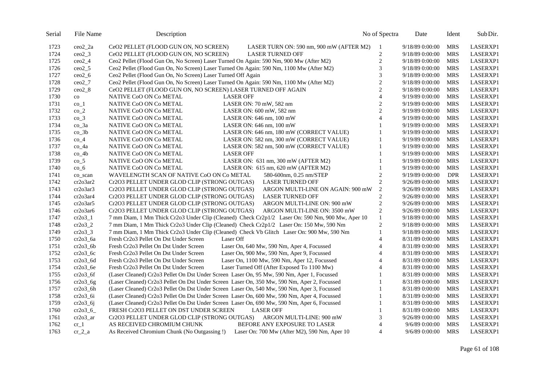| Serial | File Name           | Description                                                                                      | No of Spectra               | Date            | Ident      | Sub Dir.        |
|--------|---------------------|--------------------------------------------------------------------------------------------------|-----------------------------|-----------------|------------|-----------------|
| 1723   | $ceo2_2a$           | CeO2 PELLET (FLOOD GUN ON, NO SCREEN)<br>LASER TURN ON: 590 nm, 900 mW (AFTER M2)                | -1                          | 9/18/89 0:00:00 | <b>MRS</b> | LASERXP1        |
| 1724   | $ceo2_3$            | CeO2 PELLET (FLOOD GUN ON, NO SCREEN)<br><b>LASER TURNED OFF</b>                                 | $\sqrt{2}$                  | 9/18/89 0:00:00 | <b>MRS</b> | <b>LASERXP1</b> |
| 1725   | $ceo2_4$            | Ceo2 Pellet (Flood Gun On, No Screen) Laser Turned On Again: 590 Nm, 900 Mw (After M2)           | $\overline{c}$              | 9/18/89 0:00:00 | <b>MRS</b> | LASERXP1        |
| 1726   | $ceo2_5$            | Ceo2 Pellet (Flood Gun On, No Screen) Laser Turned On Again: 590 Nm, 1100 Mw (After M2)          | 3                           | 9/18/89 0:00:00 | <b>MRS</b> | LASERXP1        |
| 1727   | $ceo2_6$            | Ceo2 Pellet (Flood Gun On, No Screen) Laser Turned Off Again                                     | $\ensuremath{\mathfrak{Z}}$ | 9/18/89 0:00:00 | <b>MRS</b> | LASERXP1        |
| 1728   | $ceo2_7$            | Ceo2 Pellet (Flood Gun On, No Screen) Laser Turned On Again: 590 Nm, 1100 Mw (After M2)          | $\overline{c}$              | 9/18/89 0:00:00 | <b>MRS</b> | LASERXP1        |
| 1729   | ceo28               | CeO2 PELLET (FLOOD GUN ON, NO SCREEN) LASER TURNED OFF AGAIN                                     | $\overline{c}$              | 9/18/89 0:00:00 | <b>MRS</b> | LASERXP1        |
| 1730   | $\rm{co}$           | NATIVE CoO ON Co METAL<br><b>LASER OFF</b>                                                       | $\overline{4}$              | 9/19/89 0:00:00 | <b>MRS</b> | LASERXP1        |
| 1731   | $\mathrm{co}\_{1}$  | NATIVE CoO ON Co METAL<br>LASER ON: 70 mW, 582 nm                                                | $\mathbf{2}$                | 9/19/89 0:00:00 | <b>MRS</b> | LASERXP1        |
| 1732   | $co_2$              | NATIVE CoO ON Co METAL<br>LASER ON: 600 mW, 582 nm                                               | $\overline{c}$              | 9/19/89 0:00:00 | <b>MRS</b> | LASERXP1        |
| 1733   | $co_3$              | NATIVE CoO ON Co METAL<br>LASER ON: 646 nm, 100 mW                                               | $\overline{4}$              | 9/19/89 0:00:00 | <b>MRS</b> | LASERXP1        |
| 1734   | co_3a               | NATIVE CoO ON Co METAL<br>LASER ON: 646 nm, 100 mW                                               | 1                           | 9/19/89 0:00:00 | <b>MRS</b> | LASERXP1        |
| 1735   | $co_3b$             | NATIVE CoO ON Co METAL<br>LASER ON: 646 nm, 180 mW (CORRECT VALUE)                               |                             | 9/19/89 0:00:00 | <b>MRS</b> | LASERXP1        |
| 1736   | $co_4$              | NATIVE CoO ON Co METAL<br>LASER ON: 582 nm, 300 mW (CORRECT VALUE)                               | $\mathbf{1}$                | 9/19/89 0:00:00 | <b>MRS</b> | LASERXP1        |
| 1737   | $co_4a$             | NATIVE CoO ON Co METAL<br>LASER ON: 582 nm, 500 mW (CORRECT VALUE)                               |                             | 9/19/89 0:00:00 | <b>MRS</b> | LASERXP1        |
| 1738   | $co_4b$             | NATIVE CoO ON Co METAL<br><b>LASER OFF</b>                                                       | 1                           | 9/19/89 0:00:00 | <b>MRS</b> | LASERXP1        |
| 1739   | $co_5$              | NATIVE CoO ON Co METAL<br>LASER ON: 631 nm, 300 mW (AFTER M2)                                    | 1                           | 9/19/89 0:00:00 | <b>MRS</b> | LASERXP1        |
| 1740   | $co_6$              | NATIVE CoO ON Co METAL<br>LASER ON: 615 nm, 620 mW (AFTER M2)                                    | $\mathbf{1}$                | 9/19/89 0:00:00 | <b>MRS</b> | LASERXP1        |
| 1741   | co_scan             | WAVELENGTH SCAN OF NATIVE CoO ON Co METAL<br>580-600nm, 0.25 nm/STEP                             | $\mathbf{2}$                | 9/19/89 0:00:00 | <b>DPR</b> | LASERXP1        |
| 1742   | cr2o3ar2            | Cr2O3 PELLET UNDER GLOD CLIP (STRONG OUTGAS)<br><b>LASER TURNED OFF</b>                          | $\overline{2}$              | 9/26/89 0:00:00 | <b>MRS</b> | LASERXP1        |
| 1743   | cr2o3ar3            | Cr2O3 PELLET UNDER GLOD CLIP (STRONG OUTGAS)<br>ARGON MULTI-LINE ON AGAIN: 900 mW                | $\overline{2}$              | 9/26/89 0:00:00 | <b>MRS</b> | LASERXP1        |
| 1744   | cr2o3ar4            | Cr2O3 PELLET UNDER GLOD CLIP (STRONG OUTGAS)<br><b>LASER TURNED OFF</b>                          | $\mathbf{2}$                | 9/26/89 0:00:00 | <b>MRS</b> | LASERXP1        |
| 1745   | cr2o3ar5            | Cr2O3 PELLET UNDER GLOD CLIP (STRONG OUTGAS)<br>ARGON MULTI-LINE ON: 900 mW                      | $\mathbf{2}$                | 9/26/89 0:00:00 | <b>MRS</b> | LASERXP1        |
| 1746   | cr2o3ar6            | Cr2O3 PELLET UNDER GLOD CLIP (STRONG OUTGAS)<br>ARGON MULTI-LINE ON: 3500 mW                     | $\mathbf{2}$                | 9/26/89 0:00:00 | <b>MRS</b> | LASERXP1        |
| 1747   | $cr2o3_1$           | 7 mm Diam, 1 Mm Thick Cr2o3 Under Clip (Cleaned) Check Cr2p1/2 Laser On: 590 Nm, 900 Mw, Aper 10 | $\mathbf{1}$                | 9/18/89 0:00:00 | <b>MRS</b> | LASERXP1        |
| 1748   | $cr2o3_2$           | 7 mm Diam, 1 Mm Thick Cr2o3 Under Clip (Cleaned) Check Cr2p1/2 Laser On: 150 Mw, 590 Nm          | $\overline{2}$              | 9/18/89 0:00:00 | <b>MRS</b> | LASERXP1        |
| 1749   | $cr2o3_3$           | 7 mm Diam, 1 Mm Thick Cr2o3 Under Clip (Cleaned) Check Vb Glitch Laser On: 900 Mw, 590 Nm        | $\mathbf{1}$                | 9/18/89 0:00:00 | <b>MRS</b> | LASERXP1        |
| 1750   | $cr2o3$ _6a         | Fresh Cr2o3 Pellet On Dst Under Screen<br>Laser Off                                              | $\overline{4}$              | 8/31/89 0:00:00 | <b>MRS</b> | LASERXP1        |
| 1751   | $cr2o3_6b$          | Fresh Cr2o3 Pellet On Dst Under Screen<br>Laser On, 640 Mw, 590 Nm, Aper 4, Focussed             | $\overline{4}$              | 8/31/89 0:00:00 | <b>MRS</b> | LASERXP1        |
| 1752   | $cr2o3_6c$          | Laser On, 900 Mw, 590 Nm, Aper 9, Focussed<br>Fresh Cr2o3 Pellet On Dst Under Screen             | 4                           | 8/31/89 0:00:00 | <b>MRS</b> | LASERXP1        |
| 1753   | $cr2o3_fdd$         | Laser On, 1100 Mw, 590 Nm, Aper 12, Focussed<br>Fresh Cr2o3 Pellet On Dst Under Screen           | $\overline{4}$              | 8/31/89 0:00:00 | <b>MRS</b> | LASERXP1        |
| 1754   | $cr2o3_6e$          | Laser Turned Off (After Exposed To 1100 Mw)<br>Fresh Cr2o3 Pellet On Dst Under Screen            | $\overline{4}$              | 8/31/89 0:00:00 | <b>MRS</b> | LASERXP1        |
| 1755   | $cr2o3$ 6f          | (Laser Cleaned) Cr2o3 Pellet On Dst Under Screen Laser On, 95 Mw, 590 Nm, Aper 1, Focussed       | 1                           | 8/31/89 0:00:00 | <b>MRS</b> | LASERXP1        |
| 1756   | $cr2o3_6g$          | (Laser Cleaned) Cr2o3 Pellet On Dst Under Screen Laser On, 350 Mw, 590 Nm, Aper 2, Focussed      | $\mathbf{1}$                | 8/31/89 0:00:00 | <b>MRS</b> | LASERXP1        |
| 1757   | $cr2o3_6h$          | (Laser Cleaned) Cr2o3 Pellet On Dst Under Screen Laser On, 540 Mw, 590 Nm, Aper 3, Focussed      | $\mathbf{1}$                | 8/31/89 0:00:00 | <b>MRS</b> | LASERXP1        |
| 1758   | $cr2o3_6i$          | (Laser Cleaned) Cr2o3 Pellet On Dst Under Screen Laser On, 600 Mw, 590 Nm, Aper 4, Focussed      | $\mathbf{1}$                | 8/31/89 0:00:00 | <b>MRS</b> | LASERXP1        |
| 1759   | $cr2o3_6j$          | (Laser Cleaned) Cr2o3 Pellet On Dst Under Screen Laser On, 690 Mw, 590 Nm, Aper 6, Focussed      | 1                           | 8/31/89 0:00:00 | <b>MRS</b> | LASERXP1        |
| 1760   | $cr2o3_6$           | FRESH Cr2O3 PELLET ON DST UNDER SCREEN<br><b>LASER OFF</b>                                       | $\mathbf{1}$                | 8/31/89 0:00:00 | <b>MRS</b> | LASERXP1        |
| 1761   | cr2o3 <sub>ar</sub> | Cr2O3 PELLET UNDER GLOD CLIP (STRONG OUTGAS) ARGON MULTI-LINE: 900 mW                            | 3                           | 9/26/89 0:00:00 | <b>MRS</b> | LASERXP1        |
| 1762   | $cr_1$              | AS RECEIVED CHROMIUM CHUNK<br>BEFORE ANY EXPOSURE TO LASER                                       | $\overline{4}$              | 9/6/89 0:00:00  | <b>MRS</b> | LASERXP1        |
| 1763   | cr 2 a              | As Received Chromium Chunk (No Outgassing !) Laser On: 700 Mw (After M2), 590 Nm, Aper 10        | $\overline{4}$              | 9/6/89 0:00:00  | <b>MRS</b> | LASERXP1        |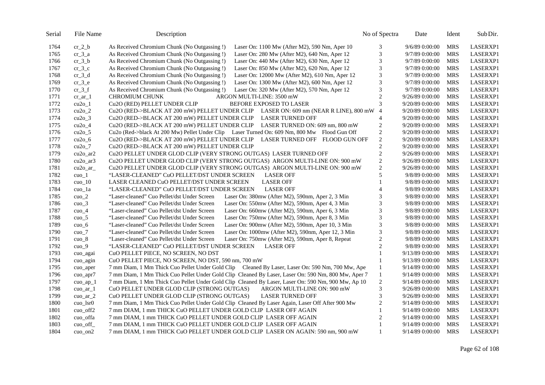| Serial | File Name                          | Description                                                                                         | No of Spectra               | Date            | Ident      | Sub Dir.        |
|--------|------------------------------------|-----------------------------------------------------------------------------------------------------|-----------------------------|-----------------|------------|-----------------|
| 1764   | $cr_2_b$                           | As Received Chromium Chunk (No Outgassing !)<br>Laser On: 1100 Mw (After M2), 590 Nm, Aper 10       | 3                           | 9/6/89 0:00:00  | <b>MRS</b> | LASERXP1        |
| 1765   | $cr_3_a$                           | As Received Chromium Chunk (No Outgassing !)<br>Laser On: 280 Mw (After M2), 640 Nm, Aper 12        | $\ensuremath{\mathfrak{Z}}$ | 9/7/89 0:00:00  | <b>MRS</b> | LASERXP1        |
| 1766   | $cr_3_b$                           | As Received Chromium Chunk (No Outgassing !)<br>Laser On: 440 Mw (After M2), 630 Nm, Aper 12        | 3                           | 9/7/89 0:00:00  | <b>MRS</b> | LASERXP1        |
| 1767   | $cr_3_c$                           | As Received Chromium Chunk (No Outgassing !)<br>Laser On: 850 Mw (After M2), 620 Nm, Aper 12        | 3                           | 9/7/89 0:00:00  | <b>MRS</b> | LASERXP1        |
| 1768   | $cr_3_d$                           | As Received Chromium Chunk (No Outgassing !)<br>Laser On: 12000 Mw (After M2), 610 Nm, Aper 12      | 3                           | 9/7/89 0:00:00  | <b>MRS</b> | LASERXP1        |
| 1769   | $cr_3$ <sup>e</sup>                | As Received Chromium Chunk (No Outgassing !)<br>Laser On: 1300 Mw (After M2), 600 Nm, Aper 12       | 3                           | 9/7/89 0:00:00  | <b>MRS</b> | LASERXP1        |
| 1770   | $cr_3_f$                           | As Received Chromium Chunk (No Outgassing !)<br>Laser On: 320 Mw (After M2), 570 Nm, Aper 12        | $\ensuremath{\mathfrak{Z}}$ | 9/7/89 0:00:00  | <b>MRS</b> | LASERXP1        |
| 1771   | $cr_$ ar 1                         | <b>CHROMIUM CHUNK</b><br>ARGON MULTI-LINE: 3500 mW                                                  | $\overline{c}$              | 9/26/89 0:00:00 | <b>MRS</b> | LASERXP1        |
| 1772   | $cu2o_1$                           | Cu2O (RED) PELLET UNDER CLIP<br>BEFORE EXPOSED TO LASER                                             | 3                           | 9/20/89 0:00:00 | <b>MRS</b> | LASERXP1        |
| 1773   | $cu2o_2$                           | Cu2O (RED->BLACK AT 200 mW) PELLET UNDER CLIP LASER ON: 609 nm (NEAR R LINE), 800 mW 4              |                             | 9/20/89 0:00:00 | <b>MRS</b> | LASERXP1        |
| 1774   | $cu2o_3$                           | Cu2O (RED->BLACK AT 200 mW) PELLET UNDER CLIP LASER TURNED OFF                                      | $\overline{4}$              | 9/20/89 0:00:00 | <b>MRS</b> | LASERXP1        |
| 1775   | $cu2o_4$                           | Cu2O (RED->BLACK AT 200 mW) PELLET UNDER CLIP LASER TURNED ON: 609 nm, 800 mW                       | $\overline{c}$              | 9/20/89 0:00:00 | <b>MRS</b> | LASERXP1        |
| 1776   | $cu2o_5$                           | Cu2o (Red->black At 200 Mw) Pellet Under Clip Laser Turned On: 609 Nm, 800 Mw Flood Gun Off         | $\sqrt{2}$                  | 9/20/89 0:00:00 | <b>MRS</b> | LASERXP1        |
| 1777   | $cu2o_6$                           | Cu2O (RED->BLACK AT 200 mW) PELLET UNDER CLIP LASER TURNED OFF FLOOD GUN OFF                        | $\sqrt{2}$                  | 9/20/89 0:00:00 | <b>MRS</b> | LASERXP1        |
| 1778   | $cu2o_7$                           | Cu2O (RED->BLACK AT 200 mW) PELLET UNDER CLIP                                                       | $\overline{c}$              | 9/20/89 0:00:00 | <b>MRS</b> | LASERXP1        |
| 1779   | $cu2o$ _ar2                        | Cu2O PELLET UNDER GLOD CLIP (VERY STRONG OUTGAS) LASER TURNED OFF                                   | $\overline{c}$              | 9/26/89 0:00:00 | <b>MRS</b> | LASERXP1        |
| 1780   | $cu2o$ _ar3                        | Cu2O PELLET UNDER GLOD CLIP (VERY STRONG OUTGAS) ARGON MULTI-LINE ON: 900 mW                        | $\sqrt{2}$                  | 9/26/89 0:00:00 | <b>MRS</b> | LASERXP1        |
| 1781   | $cu2o_ar_$                         | Cu2O PELLET UNDER GLOD CLIP (VERY STRONG OUTGAS) ARGON MULTI-LINE ON: 900 mW                        | $\overline{c}$              | 9/26/89 0:00:00 | <b>MRS</b> | LASERXP1        |
| 1782   | $cuo_1$                            | "LASER-CLEANED" CuO PELLET/DST UNDER SCREEN<br><b>LASER OFF</b>                                     | 5                           | 9/8/89 0:00:00  | <b>MRS</b> | <b>LASERXP1</b> |
| 1783   | cuo $10$                           | LASER CLEANED CuO PELLET/DST UNDER SCREEN<br><b>LASER OFF</b>                                       | 1                           | 9/8/89 0:00:00  | <b>MRS</b> | LASERXP1        |
| 1784   | cuo_1a                             | "LASER-CLEANED" CuO PELLET/DST UNDER SCREEN<br><b>LASER OFF</b>                                     | $\overline{\mathcal{L}}$    | 9/8/89 0:00:00  | <b>MRS</b> | LASERXP1        |
| 1785   | $cuo_2$                            | Laser On: 380mw (After M2), 590nm, Aper 2, 3 Min<br>"Laser-cleaned" Cuo Pellet/dst Under Screen     | 3                           | 9/8/89 0:00:00  | <b>MRS</b> | LASERXP1        |
| 1786   | $cuo_3$                            | Laser On: 550mw (After M2), 590nm, Aper 4, 3 Min<br>"Laser-cleaned" Cuo Pellet/dst Under Screen     | 3                           | 9/8/89 0:00:00  | <b>MRS</b> | LASERXP1        |
| 1787   | $cuo_4$                            | "Laser-cleaned" Cuo Pellet/dst Under Screen<br>Laser On: 660mw (After M2), 590nm, Aper 6, 3 Min     | 3                           | 9/8/89 0:00:00  | <b>MRS</b> | LASERXP1        |
| 1788   | cuo $5$                            | Laser On: 750mw (After M2), 590nm, Aper 8, 3 Min<br>"Laser-cleaned" Cuo Pellet/dst Under Screen     | $\mathfrak{Z}$              | 9/8/89 0:00:00  | <b>MRS</b> | LASERXP1        |
| 1789   | cuo 6                              | "Laser-cleaned" Cuo Pellet/dst Under Screen<br>Laser On: 900mw (After M2), 590nm, Aper 10, 3 Min    | 3                           | 9/8/89 0:00:00  | <b>MRS</b> | LASERXP1        |
| 1790   | $cuo_7$                            | "Laser-cleaned" Cuo Pellet/dst Under Screen<br>Laser On: 1000mw (After M2), 590nm, Aper 12, 3 Min   | 3                           | 9/8/89 0:00:00  | <b>MRS</b> | LASERXP1        |
| 1791   | $cuo_8$                            | "Laser-cleaned" Cuo Pellet/dst Under Screen<br>Laser On: 750mw (After M2), 590nm, Aper 8, Repeat    | $\overline{c}$              | 9/8/89 0:00:00  | <b>MRS</b> | LASERXP1        |
| 1792   | $cuo_9$                            | "LASER-CLEANED" CuO PELLET/DST UNDER SCREEN<br><b>LASER OFF</b>                                     | $\overline{2}$              | 9/8/89 0:00:00  | <b>MRS</b> | LASERXP1        |
| 1793   | cuo_agai                           | CuO PELLET PIECE, NO SCREEN, NO DST                                                                 | $\mathbf{1}$                | 9/13/89 0:00:00 | <b>MRS</b> | LASERXP1        |
| 1794   | cuo agin                           | CuO PELLET PIECE, NO SCREEN, NO DST, 590 nm, 700 mW                                                 | 1                           | 9/13/89 0:00:00 | <b>MRS</b> | LASERXP1        |
| 1795   | cuo_aper                           | 7 mm Diam, 1 Mm Thick Cuo Pellet Under Gold Clip Cleaned By Laser, Laser On: 590 Nm, 700 Mw, Ape    | $\mathbf{1}$                | 9/14/89 0:00:00 | <b>MRS</b> | LASERXP1        |
| 1796   | cuo_apr7                           | 7 mm Diam, 1 Mm Thick Cuo Pellet Under Gold Clip Cleaned By Laser, Laser On: 590 Nm, 800 Mw, Aper 7 | $\mathbf{1}$                | 9/14/89 0:00:00 | <b>MRS</b> | LASERXP1        |
| 1797   | $cuo$ <sub><math>ap_1</math></sub> | 7 mm Diam, 1 Mm Thick Cuo Pellet Under Gold Clip Cleaned By Laser, Laser On: 590 Nm, 900 Mw, Ap 10  | $\overline{2}$              | 9/14/89 0:00:00 | <b>MRS</b> | <b>LASERXP1</b> |
| 1798   | $cuo_ar_1$                         | CuO PELLET UNDER GLOD CLIP (STRONG OUTGAS)<br>ARGON MULTI-LINE ON: 900 mW                           | 3                           | 9/26/89 0:00:00 | <b>MRS</b> | LASERXP1        |
| 1799   | cuo ar $2$                         | CuO PELLET UNDER GLOD CLIP (STRONG OUTGAS)<br><b>LASER TURNED OFF</b>                               | 3                           | 9/26/89 0:00:00 | <b>MRS</b> | LASERXP1        |
| 1800   | $cuo_lsr0$                         | 7 mm Diam, 1 Mm Thick Cuo Pellet Under Gold Clip Cleaned By Laser Again, Laser Off After 900 Mw     | $\mathfrak{2}$              | 9/14/89 0:00:00 | <b>MRS</b> | LASERXP1        |
| 1801   | cuo_off2                           | 7 mm DIAM, 1 mm THICK CuO PELLET UNDER GOLD CLIP LASER OFF AGAIN                                    | $\mathbf{1}$                | 9/14/89 0:00:00 | <b>MRS</b> | LASERXP1        |
| 1802   | cuo_offa                           | 7 mm DIAM, 1 mm THICK CuO PELLET UNDER GOLD CLIP LASER OFF AGAIN                                    | $\overline{2}$              | 9/14/89 0:00:00 | <b>MRS</b> | LASERXP1        |
| 1803   | cuo_off_                           | 7 mm DIAM, 1 mm THICK CuO PELLET UNDER GOLD CLIP LASER OFF AGAIN                                    | 1                           | 9/14/89 0:00:00 | <b>MRS</b> | LASERXP1        |
| 1804   | cuo $\text{on}2$                   | 7 mm DIAM, 1 mm THICK CuO PELLET UNDER GOLD CLIP LASER ON AGAIN: 590 nm, 900 mW                     | $\mathbf{1}$                | 9/14/89 0:00:00 | <b>MRS</b> | LASERXP1        |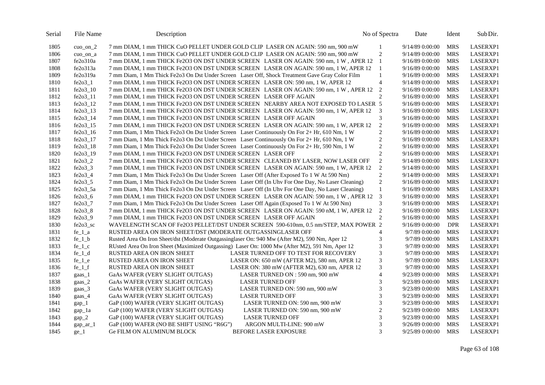| Serial | File Name       | Description                                                                                       | No of Spectra            | Date            | Ident      | Sub Dir.        |
|--------|-----------------|---------------------------------------------------------------------------------------------------|--------------------------|-----------------|------------|-----------------|
| 1805   | $cuo_$ n $_2$   | 7 mm DIAM, 1 mm THICK CuO PELLET UNDER GOLD CLIP LASER ON AGAIN: 590 nm, 900 mW                   | 1                        | 9/14/89 0:00:00 | <b>MRS</b> | LASERXP1        |
| 1806   | cuo_on_a        | 7 mm DIAM, 1 mm THICK CuO PELLET UNDER GOLD CLIP LASER ON AGAIN: 590 nm, 900 mW                   | $\overline{2}$           | 9/14/89 0:00:00 | <b>MRS</b> | LASERXP1        |
| 1807   | fe2o310a        | 7 mm DIAM, 1 mm THICK Fe2O3 ON DST UNDER SCREEN LASER ON AGAIN: 590 nm, 1 W, APER 12              | 1                        | 9/16/89 0:00:00 | <b>MRS</b> | LASERXP1        |
| 1808   | fe2o313a        | 7 mm DIAM, 1 mm THICK Fe2O3 ON DST UNDER SCREEN LASER ON AGAIN: 590 nm, 1 W, APER 12              | -1                       | 9/16/89 0:00:00 | <b>MRS</b> | LASERXP1        |
| 1809   | fe2o319a        | 7 mm Diam, 1 Mm Thick Fe2o3 On Dst Under Screen Laser Off, Shock Treatment Gave Gray Color Film   | 1                        | 9/16/89 0:00:00 | <b>MRS</b> | LASERXP1        |
| 1810   | $fe2o3_1$       | 7 mm DIAM, 1 mm THICK Fe2O3 ON DST UNDER SCREEN LASER ON: 590 nm, 1 W, APER 12                    | $\overline{4}$           | 9/14/89 0:00:00 | <b>MRS</b> | LASERXP1        |
| 1811   | fe2o3_10        | 7 mm DIAM, 1 mm THICK Fe2O3 ON DST UNDER SCREEN LASER ON AGAIN: 590 nm, 1 W, APER 12              | $\overline{c}$           | 9/16/89 0:00:00 | <b>MRS</b> | LASERXP1        |
| 1812   | fe2o3 11        | 7 mm DIAM, 1 mm THICK Fe2O3 ON DST UNDER SCREEN LASER OFF AGAIN                                   | 2                        | 9/16/89 0:00:00 | <b>MRS</b> | LASERXP1        |
| 1813   | fe2o3 12        | 7 mm DIAM, 1 mm THICK Fe2O3 ON DST UNDER SCREEN NEARBY AREA NOT EXPOSED TO LASER 5                |                          | 9/16/89 0:00:00 | <b>MRS</b> | LASERXP1        |
| 1814   | fe2o3_13        | 7 mm DIAM, 1 mm THICK Fe2O3 ON DST UNDER SCREEN LASER ON AGAIN: 590 nm, 1 W, APER 12              | 3                        | 9/16/89 0:00:00 | <b>MRS</b> | LASERXP1        |
| 1815   | fe2o3_14        | 7 mm DIAM, 1 mm THICK Fe2O3 ON DST UNDER SCREEN LASER OFF AGAIN                                   | 3                        | 9/16/89 0:00:00 | <b>MRS</b> | LASERXP1        |
| 1816   | fe2o3_15        | 7 mm DIAM, 1 mm THICK Fe2O3 ON DST UNDER SCREEN LASER ON AGAIN: 590 nm, 1 W, APER 12              | $\overline{2}$           | 9/16/89 0:00:00 | <b>MRS</b> | LASERXP1        |
| 1817   | fe2o3_16        | 7 mm Diam, 1 Mm Thick Fe2o3 On Dst Under Screen Laser Continuously On For 2+ Hr, 610 Nm, 1 W      | $\overline{c}$           | 9/16/89 0:00:00 | <b>MRS</b> | LASERXP1        |
| 1818   | fe2o3_17        | 7 mm Diam, 1 Mm Thick Fe2o3 On Dst Under Screen Laser Continuously On For 2+ Hr, 610 Nm, 1 W      | $\overline{2}$           | 9/16/89 0:00:00 | <b>MRS</b> | <b>LASERXP1</b> |
| 1819   | fe2o3_18        | 7 mm Diam, 1 Mm Thick Fe2o3 On Dst Under Screen Laser Continuously On For 2+ Hr, 590 Nm, 1 W      | $\overline{c}$           | 9/16/89 0:00:00 | <b>MRS</b> | LASERXP1        |
| 1820   | fe2o3 19        | 7 mm DIAM, 1 mm THICK Fe2O3 ON DST UNDER SCREEN LASER OFF                                         | $\overline{c}$           | 9/16/89 0:00:00 | <b>MRS</b> | LASERXP1        |
| 1821   | $fe2o3$ 2       | 7 mm DIAM, 1 mm THICK Fe2O3 ON DST UNDER SCREEN CLEANED BY LASER, NOW LASER OFF                   | $\sqrt{2}$               | 9/14/89 0:00:00 | <b>MRS</b> | LASERXP1        |
| 1822   | $fe2o3$ 3       | 7 mm DIAM, 1 mm THICK Fe2O3 ON DST UNDER SCREEN LASER ON AGAIN: 590 nm, 1 W, APER 12              | $\overline{c}$           | 9/14/89 0:00:00 | <b>MRS</b> | LASERXP1        |
| 1823   | fe2o3_4         | 7 mm Diam, 1 Mm Thick Fe2o3 On Dst Under Screen Laser Off (After Exposed To 1 W At 590 Nm)        | $\overline{c}$           | 9/14/89 0:00:00 | <b>MRS</b> | LASERXP1        |
| 1824   | $fe2o3_5$       | 7 mm Diam, 1 Mm Thick Fe2o3 On Dst Under Screen Laser Off (In Uhv For One Day, No Laser Cleaning) | $\mathbf{2}$             | 9/16/89 0:00:00 | <b>MRS</b> | LASERXP1        |
| 1825   | fe2o3_5a        | 7 mm Diam, 1 Mm Thick Fe2o3 On Dst Under Screen Laser Off (In Uhv For One Day, No Laser Cleaning) | $\mathbf{1}$             | 9/16/89 0:00:00 | <b>MRS</b> | LASERXP1        |
| 1826   | $fe2o3_6$       | 7 mm DIAM, 1 mm THICK Fe2O3 ON DST UNDER SCREEN LASER ON AGAIN: 590 nm, 1 W, APER 12              | 3                        | 9/16/89 0:00:00 | <b>MRS</b> | LASERXP1        |
| 1827   | fe2o3_7         | 7 mm Diam, 1 Mm Thick Fe2o3 On Dst Under Screen Laser Off Again (Exposed To 1 W At 590 Nm)        | 3                        | 9/16/89 0:00:00 | <b>MRS</b> | LASERXP1        |
| 1828   | fe2o3_8         | 7 mm DIAM, 1 mm THICK Fe2O3 ON DST UNDER SCREEN LASER ON AGAIN: 590 nM, 1 W, APER 12              | $\overline{2}$           | 9/16/89 0:00:00 | <b>MRS</b> | LASERXP1        |
| 1829   | fe2o3_9         | 7 mm DIAM, 1 mm THICK Fe2O3 ON DST UNDER SCREEN LASER OFF AGAIN                                   | $\mathfrak{2}$           | 9/16/89 0:00:00 | <b>MRS</b> | LASERXP1        |
| 1830   | fe2o3_sc        | WAVELENGTH SCAN OF Fe2O3 PELLET/DST UNDER SCREEN 590-610nm, 0.5 nm/STEP, MAX POWER 2              |                          | 9/16/89 0:00:00 | <b>DPR</b> | LASERXP1        |
| 1831   | $fe_1_a$        | RUSTED AREA ON IRON SHEET/DST (MODERATE OUTGASSINGLASER OFF                                       | $\overline{4}$           | 9/7/89 0:00:00  | <b>MRS</b> | LASERXP1        |
| 1832   | $fe_1_b$        | Rusted Area On Iron Sheet/dst (Moderate Outgassinglaser On: 940 Mw (After M2), 590 Nm, Aper 12    | 3                        | 9/7/89 0:00:00  | <b>MRS</b> | LASERXP1        |
| 1833   | $fe_1_c$        | RUsted Area On Iron Sheet (Maximized Outgassing) Laser On: 1000 Mw (After M2), 591 Nm, Aper 12    | 3                        | 9/7/89 0:00:00  | <b>MRS</b> | LASERXP1        |
| 1834   | $fe_1_d$        | <b>RUSTED AREA ON IRON SHEET</b><br>LASER TURNED OFF TO TEST FOR RECOVERY                         | 3                        | 9/7/89 0:00:00  | <b>MRS</b> | LASERXP1        |
| 1835   | $fe_1_e$        | <b>RUSTED AREA ON IRON SHEET</b><br>LASER ON: 650 mW (AFTER M2), 580 nm, APER 12                  | 3                        | 9/7/89 0:00:00  | <b>MRS</b> | LASERXP1        |
| 1836   | $fe_1$          | <b>RUSTED AREA ON IRON SHEET</b><br>LASER ON: 380 mW (AFTER M2), 630 nm, APER 12                  | 3                        | 9/7/89 0:00:00  | <b>MRS</b> | LASERXP1        |
| 1837   | gaas_1          | GaAs WAFER (VERY SLIGHT OUTGAS)<br>LASER TURNED ON : 590 nm, 900 mW                               | $\overline{\mathcal{L}}$ | 9/23/89 0:00:00 | <b>MRS</b> | LASERXP1        |
| 1838   | gaas $2$        | GaAs WAFER (VERY SLIGHT OUTGAS)<br><b>LASER TURNED OFF</b>                                        | 3                        | 9/23/89 0:00:00 | <b>MRS</b> | LASERXP1        |
| 1839   | $\text{gaas}_3$ | GaAs WAFER (VERY SLIGHT OUTGAS)<br>LASER TURNED ON: 590 nm, 900 mW                                | 3                        | 9/23/89 0:00:00 | <b>MRS</b> | LASERXP1        |
| 1840   | gaas_4          | GaAs WAFER (VERY SLIGHT OUTGAS)<br><b>LASER TURNED OFF</b>                                        | 3                        | 9/23/89 0:00:00 | <b>MRS</b> | LASERXP1        |
| 1841   | $gap_1$         | GaP (100) WAFER (VERY SLIGHT OUTGAS)<br>LASER TURNED ON: 590 nm, 900 mW                           | 3                        | 9/23/89 0:00:00 | <b>MRS</b> | LASERXP1        |
| 1842   | gap_1a          | GaP (100) WAFER (VERY SLIGHT OUTGAS)<br>LASER TURNED ON: 590 nm, 900 mW                           | $\mathbf{2}$             | 9/23/89 0:00:00 | <b>MRS</b> | LASERXP1        |
| 1843   | $gap_2$         | GaP (100) WAFER (VERY SLIGHT OUTGAS)<br><b>LASER TURNED OFF</b>                                   | 3                        | 9/23/89 0:00:00 | <b>MRS</b> | LASERXP1        |
| 1844   | $gap_a r_1$     | GaP (100) WAFER (NO BE SHIFT USING "R6G")<br>ARGON MULTI-LINE: 900 mW                             | $\mathfrak{Z}$           | 9/26/89 0:00:00 | <b>MRS</b> | LASERXP1        |
| 1845   | $ge_1$          | <b>Ge FILM ON ALUMINUM BLOCK</b><br><b>BEFORE LASER EXPOSURE</b>                                  | 3                        | 9/25/89 0:00:00 | <b>MRS</b> | LASERXP1        |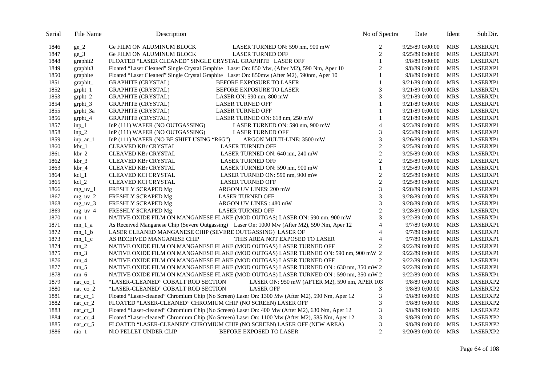| Serial | File Name          | Description                                                                                     | No of Spectra  | Date            | Ident      | Sub Dir. |
|--------|--------------------|-------------------------------------------------------------------------------------------------|----------------|-----------------|------------|----------|
| 1846   | $ge_2$             | Ge FILM ON ALUMINUM BLOCK<br>LASER TURNED ON: 590 nm, 900 mW                                    | 2              | 9/25/89 0:00:00 | <b>MRS</b> | LASERXP1 |
| 1847   | $ge_3$             | <b>Ge FILM ON ALUMINUM BLOCK</b><br><b>LASER TURNED OFF</b>                                     | $\overline{c}$ | 9/25/89 0:00:00 | <b>MRS</b> | LASERXP1 |
| 1848   | graphit2           | FLOATED "LASER CLEANED" SINGLE CRYSTAL GRAPHITE LASER OFF                                       | $\mathbf{1}$   | 9/8/89 0:00:00  | <b>MRS</b> | LASERXP1 |
| 1849   | graphit3           | Floated "Laser Cleaned" Single Crystal Graphite Laser On: 850 Mw, (After M2), 590 Nm, Aper 10   | $\overline{c}$ | 9/8/89 0:00:00  | <b>MRS</b> | LASERXP1 |
| 1850   | graphite           | Floated "Laser Cleaned" Single Crystal Graphite Laser On: 850mw (After M2), 590mm, Aper 10      | $\mathbf{1}$   | 9/8/89 0:00:00  | <b>MRS</b> | LASERXP1 |
| 1851   | graphit            | <b>GRAPHITE (CRYSTAL)</b><br>BEFORE EXPOSURE TO LASER                                           | $\mathbf{1}$   | 9/21/89 0:00:00 | <b>MRS</b> | LASERXP1 |
| 1852   | $grpht_1$          | <b>GRAPHITE (CRYSTAL)</b><br>BEFORE EXPOSURE TO LASER                                           | 3              | 9/21/89 0:00:00 | <b>MRS</b> | LASERXP1 |
| 1853   | $grpht_2$          | <b>GRAPHITE (CRYSTAL)</b><br>LASER ON: 590 nm, 800 mW                                           | 3              | 9/21/89 0:00:00 | <b>MRS</b> | LASERXP1 |
| 1854   | $grpht_3$          | <b>GRAPHITE (CRYSTAL)</b><br><b>LASER TURNED OFF</b>                                            | $\mathbf{1}$   | 9/21/89 0:00:00 | <b>MRS</b> | LASERXP1 |
| 1855   | $grpht_3a$         | <b>LASER TURNED OFF</b><br><b>GRAPHITE (CRYSTAL)</b>                                            |                | 9/21/89 0:00:00 | <b>MRS</b> | LASERXP1 |
| 1856   | $grpht_4$          | <b>GRAPHITE (CRYSTAL)</b><br>LASER TURNED ON: 618 nm, 250 mW                                    |                | 9/21/89 0:00:00 | <b>MRS</b> | LASERXP1 |
| 1857   | $inp_1$            | InP (111) WAFER (NO OUTGASSING)<br>LASER TURNED ON: 590 nm, 900 mW                              | $\overline{4}$ | 9/23/89 0:00:00 | <b>MRS</b> | LASERXP1 |
| 1858   | $inp_2$            | InP (111) WAFER (NO OUTGASSING)<br><b>LASER TURNED OFF</b>                                      | 3              | 9/23/89 0:00:00 | <b>MRS</b> | LASERXP1 |
| 1859   | inp $ar_1$         | InP (111) WAFER (NO BE SHIFT USING "R6G")<br>ARGON MULTI-LINE: 3500 mW                          | 3              | 9/26/89 0:00:00 | <b>MRS</b> | LASERXP1 |
| 1860   | $kbr_1$            | CLEAVED KBr CRYSTAL<br><b>LASER TURNED OFF</b>                                                  | $\sqrt{2}$     | 9/25/89 0:00:00 | <b>MRS</b> | LASERXP1 |
| 1861   | $kbr_2$            | CLEAVED KBr CRYSTAL<br>LASER TURNED ON: 640 nm, 240 mW                                          | $\overline{c}$ | 9/25/89 0:00:00 | <b>MRS</b> | LASERXP1 |
| 1862   | $kbr_3$            | <b>LASER TURNED OFF</b><br><b>CLEAVED KBr CRYSTAL</b>                                           | $\overline{c}$ | 9/25/89 0:00:00 | <b>MRS</b> | LASERXP1 |
| 1863   | $kbr_4$            | LASER TURNED ON: 590 nm, 900 mW<br><b>CLEAVED KBr CRYSTAL</b>                                   | $\mathbf{1}$   | 9/25/89 0:00:00 | <b>MRS</b> | LASERXP1 |
| 1864   | $kcl_1$            | CLEAVED KCI CRYSTAL<br>LASER TURNED ON: 590 nm, 900 mW                                          | $\overline{2}$ | 9/25/89 0:00:00 | <b>MRS</b> | LASERXP1 |
| 1865   | $kcl_2$            | CLEAVED KCI CRYSTAL<br><b>LASER TURNED OFF</b>                                                  | $\sqrt{2}$     | 9/25/89 0:00:00 | <b>MRS</b> | LASERXP1 |
| 1866   | $mg_{uv_1}$        | FRESHLY SCRAPED Mg<br>ARGON UV LINES: 200 mW                                                    | 3              | 9/28/89 0:00:00 | <b>MRS</b> | LASERXP1 |
| 1867   | $mg_{\text{uv}_2}$ | FRESHLY SCRAPED Mg<br><b>LASER TURNED OFF</b>                                                   | 3              | 9/28/89 0:00:00 | <b>MRS</b> | LASERXP1 |
| 1868   | $mg_{\text{uv}}_3$ | FRESHLY SCRAPED Mg<br>ARGON UV LINES: 480 mW                                                    | 3              | 9/28/89 0:00:00 | <b>MRS</b> | LASERXP1 |
| 1869   | $mg$ _uv_4         | FRESHLY SCRAPED Mg<br><b>LASER TURNED OFF</b>                                                   | $\overline{c}$ | 9/28/89 0:00:00 | <b>MRS</b> | LASERXP1 |
| 1870   | $mn_1$             | NATIVE OXIDE FILM ON MANGANESE FLAKE (MOD OUTGAS) LASER ON: 590 nm, 900 mW                      | 3              | 9/22/89 0:00:00 | <b>MRS</b> | LASERXP1 |
| 1871   | $mn_1$ a           | As Received Manganese Chip (Severe Outgassing) Laser On: 1000 Mw (After M2), 590 Nm, Aper 12    | $\overline{4}$ | 9/7/89 0:00:00  | <b>MRS</b> | LASERXP1 |
| 1872   | $mn_1_b$           | LASER CLEANED MANGANESE CHIP (SEVERE OUTGASSING) LASER OF                                       | $\overline{4}$ | 9/7/89 0:00:00  | <b>MRS</b> | LASERXP1 |
| 1873   | $mn_1_c$           | AS RECEIVED MANGANESE CHIP<br>THIS AREA NOT EXPOSED TO LASER                                    | $\overline{4}$ | 9/7/89 0:00:00  | <b>MRS</b> | LASERXP1 |
| 1874   | $mn_2$             | NATIVE OXIDE FILM ON MANGANESE FLAKE (MOD OUTGAS) LASER TURNED OFF                              | $\overline{c}$ | 9/22/89 0:00:00 | <b>MRS</b> | LASERXP1 |
| 1875   | $mn_3$             | NATIVE OXIDE FILM ON MANGANESE FLAKE (MOD OUTGAS) LASER TURNED ON: 590 nm, 900 mW 2             |                | 9/22/89 0:00:00 | <b>MRS</b> | LASERXP1 |
| 1876   | $mn_4$             | NATIVE OXIDE FILM ON MANGANESE FLAKE (MOD OUTGAS) LASER TURNED OFF                              | $\overline{c}$ | 9/22/89 0:00:00 | <b>MRS</b> | LASERXP1 |
| 1877   | $mn_5$             | NATIVE OXIDE FILM ON MANGANESE FLAKE (MOD OUTGAS) LASER TURNED ON : 630 nm, 350 mW 2            |                | 9/22/89 0:00:00 | <b>MRS</b> | LASERXP1 |
| 1878   | $mn_6$             | NATIVE OXIDE FILM ON MANGANESE FLAKE (MOD OUTGAS) LASER TURNED ON : 590 nm, 350 mW 2            |                | 9/22/89 0:00:00 | <b>MRS</b> | LASERXP1 |
| 1879   | $nat\_co_1$        | "LASER-CLEANED" COBALT ROD SECTION<br>LASER ON: 950 mW (AFTER M2), 590 nm, APER 103             |                | 9/8/89 0:00:00  | <b>MRS</b> | LASERXP2 |
| 1880   | $nat\_co_2$        | "LASER-CLEANED" COBALT ROD SECTION<br><b>LASER OFF</b>                                          | 3              | 9/8/89 0:00:00  | <b>MRS</b> | LASERXP2 |
| 1881   | $nat_c$ $cr_1$     | Floated "Laser-cleaned" Chromium Chip (No Screen) Laser On: 1300 Mw (After M2), 590 Nm, Aper 12 | $\mathfrak{Z}$ | 9/8/89 0:00:00  | <b>MRS</b> | LASERXP2 |
| 1882   | $nat_c$ $cr_2$     | FLOATED "LASER-CLEANED" CHROMIUM CHIP (NO SCREEN) LASER OFF                                     | 3              | 9/8/89 0:00:00  | <b>MRS</b> | LASERXP2 |
| 1883   | $nat_c$ $cr_3$     | Floated "Laser-cleaned" Chromium Chip (No Screen) Laser On: 400 Mw (After M2), 630 Nm, Aper 12  | 3              | 9/8/89 0:00:00  | <b>MRS</b> | LASERXP2 |
| 1884   | nat $cr_4$         | Floated "Laser-cleaned" Chromium Chip (No Screen) Laser On: 1100 Mw (After M2), 585 Nm, Aper 12 | 3              | 9/8/89 0:00:00  | <b>MRS</b> | LASERXP2 |
| 1885   | $nat_c$ $cr_5$     | FLOATED "LASER-CLEANED" CHROMIUM CHIP (NO SCREEN) LASER OFF (NEW AREA)                          | $\mathfrak{Z}$ | 9/8/89 0:00:00  | <b>MRS</b> | LASERXP2 |
| 1886   | $nio_1$            | NiO PELLET UNDER CLIP<br><b>BEFORE EXPOSED TO LASER</b>                                         | $\overline{2}$ | 9/20/89 0:00:00 | <b>MRS</b> | LASERXP2 |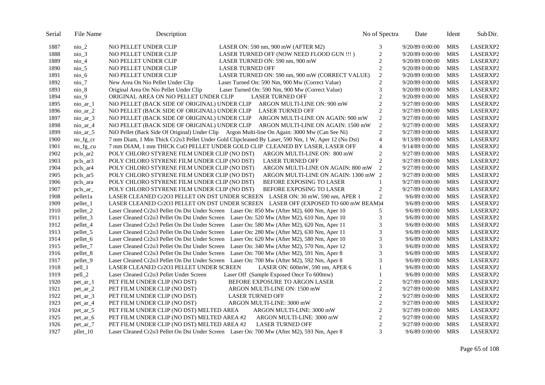| Serial | File Name                  | Description                                                                                       |                                                 | No of Spectra  | Date            | Ident      | Sub Dir.        |
|--------|----------------------------|---------------------------------------------------------------------------------------------------|-------------------------------------------------|----------------|-----------------|------------|-----------------|
| 1887   | nio 2                      | NiO PELLET UNDER CLIP                                                                             | LASER ON: 590 nm, 900 mW (AFTER $M2$ )          | 3              | 9/20/89 0:00:00 | <b>MRS</b> | LASERXP2        |
| 1888   | $nio_3$                    | NiO PELLET UNDER CLIP                                                                             | LASER TURNED OFF (NOW NEED FLOOD GUN !!!)       | $\overline{c}$ | 9/20/89 0:00:00 | <b>MRS</b> | LASERXP2        |
| 1889   | nio_4                      | NiO PELLET UNDER CLIP                                                                             | LASER TURNED ON: 590 nm, 900 mW                 | $\overline{c}$ | 9/20/89 0:00:00 | <b>MRS</b> | LASERXP2        |
| 1890   | $nio_5$                    | NIO PELLET UNDER CLIP                                                                             | <b>LASER TURNED OFF</b>                         | $\overline{c}$ | 9/20/89 0:00:00 | <b>MRS</b> | LASERXP2        |
| 1891   | nio 6                      | NiO PELLET UNDER CLIP                                                                             | LASER TURNED ON: 590 nm, 900 mW (CORRECT VALUE) | $\sqrt{2}$     | 9/20/89 0:00:00 | <b>MRS</b> | LASERXP2        |
| 1892   | $nio$ _7                   | New Area On Nio Pellet Under Clip                                                                 | Laser Turned On: 590 Nm, 900 Mw (Correct Value) | $\overline{c}$ | 9/20/89 0:00:00 | <b>MRS</b> | LASERXP2        |
| 1893   | nio_8                      | Original Area On Nio Pellet Under Clip                                                            | Laser Turned On: 590 Nm, 900 Mw (Correct Value) | 3              | 9/20/89 0:00:00 | <b>MRS</b> | LASERXP2        |
| 1894   | nio_9                      | ORIGINAL AREA ON NiO PELLET UNDER CLIP                                                            | <b>LASER TURNED OFF</b>                         | $\sqrt{2}$     | 9/20/89 0:00:00 | <b>MRS</b> | LASERXP2        |
| 1895   | nio ar 1                   | NiO PELLET (BACK SIDE OF ORIGINAL) UNDER CLIP                                                     | ARGON MULTI-LINE ON: 900 mW                     | $\overline{c}$ | 9/27/89 0:00:00 | <b>MRS</b> | LASERXP2        |
| 1896   | $\frac{\text{nio\_ar}}{2}$ | NiO PELLET (BACK SIDE OF ORIGINAL) UNDER CLIP                                                     | <b>LASER TURNED OFF</b>                         | $\overline{c}$ | 9/27/89 0:00:00 | <b>MRS</b> | LASERXP2        |
| 1897   | nio_ar_3                   | NiO PELLET (BACK SIDE OF ORIGINAL) UNDER CLIP                                                     | ARGON MULTI-LINE ON AGAIN: 900 mW               | $\overline{c}$ | 9/27/89 0:00:00 | <b>MRS</b> | LASERXP2        |
| 1898   | $nio_a$ r $_4$             | NiO PELLET (BACK SIDE OF ORIGINAL) UNDER CLIP                                                     | ARGON MULTI-LINE ON AGAIN: 1500 mW              | $\mathfrak{2}$ | 9/27/89 0:00:00 | <b>MRS</b> | LASERXP2        |
| 1899   | $nio_a$ $r_5$              | NiO Pellet (Back Side Of Original) Under Clip Argon Multi-line On Again: 3000 Mw (Can See Ni)     |                                                 | $\overline{c}$ | 9/27/89 0:00:00 | <b>MRS</b> | LASERXP2        |
| 1900   | no_fg_cr                   | 7 mm Diam, 1 Mm Thick Cr2o3 Pellet Under Gold Clipcleaned By Laser, 590 Nm, 1 W, Aper 12 (No Dst) |                                                 | $\overline{4}$ | 9/13/89 0:00:00 | <b>MRS</b> | <b>LASERXP2</b> |
| 1901   | no fg cu                   | 7 mm DIAM, 1 mm THICK CuO PELLET UNDER GOLD CLIP CLEANED BY LASER, LASER OFF                      |                                                 | $\overline{4}$ | 9/14/89 0:00:00 | <b>MRS</b> | LASERXP2        |
| 1902   | pcls_ar2                   | POLY CHLORO STYRENE FILM UNDER CLIP (NO DST)                                                      | ARGON MULTI-LINE ON: 800 mW                     | $\overline{c}$ | 9/27/89 0:00:00 | <b>MRS</b> | LASERXP2        |
| 1903   | pcls_ar3                   | POLY CHLORO STYRENE FILM UNDER CLIP (NO DST)                                                      | <b>LASER TURNED OFF</b>                         | $\overline{c}$ | 9/27/89 0:00:00 | <b>MRS</b> | LASERXP2        |
| 1904   | pcls_ar4                   | POLY CHLORO STYRENE FILM UNDER CLIP (NO DST)                                                      | ARGON MULTI-LINE ON AGAIN: 800 mW               | 2              | 9/27/89 0:00:00 | <b>MRS</b> | LASERXP2        |
| 1905   | pcls_ar5                   | POLY CHLORO STYRENE FILM UNDER CLIP (NO DST)                                                      | ARGON MULTI-LINE ON AGAIN: 1300 mW 2            |                | 9/27/89 0:00:00 | <b>MRS</b> | LASERXP2        |
| 1906   | pcls_ara                   | POLY CHLORO STYRENE FILM UNDER CLIP (NO DST)                                                      | BEFORE EXPOSING TO LASER                        | 1              | 9/27/89 0:00:00 | <b>MRS</b> | LASERXP2        |
| 1907   | pcls_ar_                   | POLY CHLORO STYRENE FILM UNDER CLIP (NO DST)                                                      | BEFORE EXPOSING TO LASER                        | $\overline{c}$ | 9/27/89 0:00:00 | <b>MRS</b> | LASERXP2        |
| 1908   | pellet1a                   | LASER CLEANED Cr2O3 PELLET ON DST UNDER SCREEN LASER ON: 30 mW, 590 nm, APER 1                    |                                                 | $\overline{2}$ | 9/6/89 0:00:00  | <b>MRS</b> | LASERXP2        |
| 1909   | pellet_1                   | LASER CLEANED Cr2O3 PELLET ON DST UNDER SCREEN LASER OFF (EXPOSED TO 600 mW BEAM)4                |                                                 |                | 9/6/89 0:00:00  | <b>MRS</b> | LASERXP2        |
| 1910   | pellet_2                   | Laser Cleaned Cr2o3 Pellet On Dst Under Screen Laser On: 850 Mw (After M2), 600 Nm, Aper 10       |                                                 | 5              | 9/6/89 0:00:00  | <b>MRS</b> | LASERXP2        |
| 1911   | pellet_3                   | Laser Cleaned Cr2o3 Pellet On Dst Under Screen Laser On: 520 Mw (After M2), 610 Nm, Aper 10       |                                                 | 3              | 9/6/89 0:00:00  | <b>MRS</b> | LASERXP2        |
| 1912   | pellet_4                   | Laser Cleaned Cr2o3 Pellet On Dst Under Screen Laser On: 580 Mw (After M2), 620 Nm, Aper 11       |                                                 | 3              | 9/6/89 0:00:00  | <b>MRS</b> | LASERXP2        |
| 1913   | pellet_5                   | Laser Cleaned Cr2o3 Pellet On Dst Under Screen Laser On: 280 Mw (After M2), 630 Nm, Aper 11       |                                                 | 3              | 9/6/89 0:00:00  | <b>MRS</b> | LASERXP2        |
| 1914   | pellet_6                   | Laser Cleaned Cr2o3 Pellet On Dst Under Screen Laser On: 620 Mw (After M2), 580 Nm, Aper 10       |                                                 | 3              | 9/6/89 0:00:00  | <b>MRS</b> | LASERXP2        |
| 1915   | pellet_7                   | Laser Cleaned Cr2o3 Pellet On Dst Under Screen Laser On: 340 Mw (After M2), 570 Nm, Aper 12       |                                                 | 3              | 9/6/89 0:00:00  | <b>MRS</b> | LASERXP2        |
| 1916   | pellet <sub>8</sub>        | Laser Cleaned Cr2o3 Pellet On Dst Under Screen                                                    | Laser On: 700 Mw (After M2), 591 Nm, Aper 8     | 3              | 9/6/89 0:00:00  | <b>MRS</b> | LASERXP2        |
| 1917   | pellet_9                   | Laser Cleaned Cr2o3 Pellet On Dst Under Screen                                                    | Laser On: 700 Mw (After M2), 592 Nm, Aper 8     | 3              | 9/6/89 0:00:00  | <b>MRS</b> | LASERXP2        |
| 1918   | $pell_1$                   | LASER CLEANED Cr2O3 PELLET UNDER SCREEN                                                           | LASER ON: 600mW, 590 nm, APER 6                 | 1              | 9/6/89 0:00:00  | <b>MRS</b> | LASERXP2        |
| 1919   | pell_2                     | Laser Cleaned Cr2o3 Pellet Under Screen                                                           | Laser Off (Sample Exposed Once To 600mw)        | $\mathbf{1}$   | 9/6/89 0:00:00  | <b>MRS</b> | LASERXP2        |
| 1920   | pet ar 1                   | PET FILM UNDER CLIP (NO DST)                                                                      | BEFORE EXPOSURE TO ARGON LASER                  | $\overline{c}$ | 9/27/89 0:00:00 | <b>MRS</b> | LASERXP2        |
| 1921   | $pet_a r_2$                | PET FILM UNDER CLIP (NO DST)                                                                      | ARGON MULTI-LINE ON: 1500 mW                    | $\overline{c}$ | 9/27/89 0:00:00 | <b>MRS</b> | LASERXP2        |
| 1922   | $pet_a$ r $_3$             | PET FILM UNDER CLIP (NO DST)                                                                      | <b>LASER TURNED OFF</b>                         | $\overline{c}$ | 9/27/89 0:00:00 | <b>MRS</b> | LASERXP2        |
| 1923   | $pet_a r_4$                | PET FILM UNDER CLIP (NO DST)                                                                      | ARGON MULTI-LINE: 3000 mW                       | $\sqrt{2}$     | 9/27/89 0:00:00 | <b>MRS</b> | LASERXP2        |
| 1924   | $pet_a$ r_5                | PET FILM UNDER CLIP (NO DST) MELTED AREA                                                          | ARGON MULTI-LINE: 3000 mW                       | $\overline{c}$ | 9/27/89 0:00:00 | <b>MRS</b> | LASERXP2        |
| 1925   | pet_ar_6                   | PET FILM UNDER CLIP (NO DST) MELTED AREA #2                                                       | ARGON MULTI-LINE: 3000 mW                       | $\sqrt{2}$     | 9/27/89 0:00:00 | <b>MRS</b> | LASERXP2        |
| 1926   | pet ar 7                   | PET FILM UNDER CLIP (NO DST) MELTED AREA #2                                                       | <b>LASER TURNED OFF</b>                         | $\overline{c}$ | 9/27/89 0:00:00 | <b>MRS</b> | LASERXP2        |
| 1927   | pllet_10                   | Laser Cleaned Cr2o3 Pellet On Dst Under Screen Laser On: 700 Mw (After M2), 593 Nm, Aper 8        |                                                 | 3              | 9/6/89 0:00:00  | <b>MRS</b> | LASERXP2        |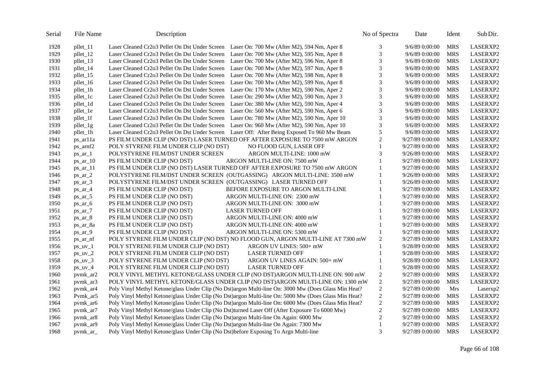| 1928<br>Laser Cleaned Cr2o3 Pellet On Dst Under Screen Laser On: 700 Mw (After M2), 594 Nm, Aper 8<br>3<br>9/6/890:00:00<br>pllet_11<br>3<br>1929<br>Laser Cleaned Cr2o3 Pellet On Dst Under Screen Laser On: 700 Mw (After M2), 595 Nm, Aper 8<br>pllet_12<br>9/6/89 0:00:00<br>3<br>1930<br>pllet_13<br>Laser Cleaned Cr2o3 Pellet On Dst Under Screen<br>Laser On: 700 Mw (After M2), 596 Nm, Aper 8<br>9/6/890:00:00<br>3<br>1931<br>pllet_14<br>Laser Cleaned Cr2o3 Pellet On Dst Under Screen<br>Laser On: 700 Mw (After M2), 597 Nm, Aper 8<br>9/6/89 0:00:00<br>3<br>1932<br>pllet_15<br>Laser Cleaned Cr2o3 Pellet On Dst Under Screen<br>Laser On: 700 Mw (After M2), 598 Nm, Aper 8<br>9/6/89 0:00:00<br>3<br>1933<br>pllet_16<br>Laser Cleaned Cr2o3 Pellet On Dst Under Screen<br>Laser On: 700 Mw (After M2), 599 Nm, Aper 8<br>9/6/89 0:00:00<br>3<br>1934<br>pllet_1b<br>Laser Cleaned Cr2o3 Pellet On Dst Under Screen<br>Laser On: 170 Mw (After M2), 590 Nm, Aper 2<br>9/6/89 0:00:00<br>3<br>Laser On: 290 Mw (After M2), 590 Nm, Aper 3<br>1935<br>pllet_1c<br>Laser Cleaned Cr2o3 Pellet On Dst Under Screen<br>9/6/89 0:00:00<br>3<br>1936<br>pllet_1d<br>Laser Cleaned Cr2o3 Pellet On Dst Under Screen<br>Laser On: 380 Mw (After M2), 590 Nm, Aper 4<br>9/6/89 0:00:00 | LASERXP2<br><b>MRS</b><br><b>MRS</b><br>LASERXP2<br><b>MRS</b><br>LASERXP2<br><b>MRS</b><br>LASERXP2<br><b>MRS</b><br>LASERXP2<br>LASERXP2<br><b>MRS</b><br>LASERXP2<br><b>MRS</b><br><b>MRS</b><br>LASERXP2<br><b>MRS</b><br>LASERXP2<br><b>MRS</b><br>LASERXP2<br><b>MRS</b><br>LASERXP2<br><b>MRS</b><br>LASERXP2<br><b>MRS</b><br>LASERXP2 |
|--------------------------------------------------------------------------------------------------------------------------------------------------------------------------------------------------------------------------------------------------------------------------------------------------------------------------------------------------------------------------------------------------------------------------------------------------------------------------------------------------------------------------------------------------------------------------------------------------------------------------------------------------------------------------------------------------------------------------------------------------------------------------------------------------------------------------------------------------------------------------------------------------------------------------------------------------------------------------------------------------------------------------------------------------------------------------------------------------------------------------------------------------------------------------------------------------------------------------------------------------------------------------------------------------|------------------------------------------------------------------------------------------------------------------------------------------------------------------------------------------------------------------------------------------------------------------------------------------------------------------------------------------------|
|                                                                                                                                                                                                                                                                                                                                                                                                                                                                                                                                                                                                                                                                                                                                                                                                                                                                                                                                                                                                                                                                                                                                                                                                                                                                                                  |                                                                                                                                                                                                                                                                                                                                                |
|                                                                                                                                                                                                                                                                                                                                                                                                                                                                                                                                                                                                                                                                                                                                                                                                                                                                                                                                                                                                                                                                                                                                                                                                                                                                                                  |                                                                                                                                                                                                                                                                                                                                                |
|                                                                                                                                                                                                                                                                                                                                                                                                                                                                                                                                                                                                                                                                                                                                                                                                                                                                                                                                                                                                                                                                                                                                                                                                                                                                                                  |                                                                                                                                                                                                                                                                                                                                                |
|                                                                                                                                                                                                                                                                                                                                                                                                                                                                                                                                                                                                                                                                                                                                                                                                                                                                                                                                                                                                                                                                                                                                                                                                                                                                                                  |                                                                                                                                                                                                                                                                                                                                                |
|                                                                                                                                                                                                                                                                                                                                                                                                                                                                                                                                                                                                                                                                                                                                                                                                                                                                                                                                                                                                                                                                                                                                                                                                                                                                                                  |                                                                                                                                                                                                                                                                                                                                                |
|                                                                                                                                                                                                                                                                                                                                                                                                                                                                                                                                                                                                                                                                                                                                                                                                                                                                                                                                                                                                                                                                                                                                                                                                                                                                                                  |                                                                                                                                                                                                                                                                                                                                                |
|                                                                                                                                                                                                                                                                                                                                                                                                                                                                                                                                                                                                                                                                                                                                                                                                                                                                                                                                                                                                                                                                                                                                                                                                                                                                                                  |                                                                                                                                                                                                                                                                                                                                                |
|                                                                                                                                                                                                                                                                                                                                                                                                                                                                                                                                                                                                                                                                                                                                                                                                                                                                                                                                                                                                                                                                                                                                                                                                                                                                                                  |                                                                                                                                                                                                                                                                                                                                                |
|                                                                                                                                                                                                                                                                                                                                                                                                                                                                                                                                                                                                                                                                                                                                                                                                                                                                                                                                                                                                                                                                                                                                                                                                                                                                                                  |                                                                                                                                                                                                                                                                                                                                                |
| 3<br>1937<br>Laser Cleaned Cr2o3 Pellet On Dst Under Screen<br>Laser On: 560 Mw (After M2), 590 Nm, Aper 6<br>9/6/89 0:00:00<br>pllet_1e                                                                                                                                                                                                                                                                                                                                                                                                                                                                                                                                                                                                                                                                                                                                                                                                                                                                                                                                                                                                                                                                                                                                                         |                                                                                                                                                                                                                                                                                                                                                |
| 3<br>1938<br>pllet_1f<br>Laser Cleaned Cr2o3 Pellet On Dst Under Screen<br>Laser On: 780 Mw (After M2), 590 Nm, Aper 10<br>9/6/89 0:00:00                                                                                                                                                                                                                                                                                                                                                                                                                                                                                                                                                                                                                                                                                                                                                                                                                                                                                                                                                                                                                                                                                                                                                        |                                                                                                                                                                                                                                                                                                                                                |
| 3<br>1939<br>pllet_1g<br>Laser Cleaned Cr2o3 Pellet On Dst Under Screen<br>Laser On: 960 Mw (After M2), 590 Nm, Aper 10<br>9/6/89 0:00:00                                                                                                                                                                                                                                                                                                                                                                                                                                                                                                                                                                                                                                                                                                                                                                                                                                                                                                                                                                                                                                                                                                                                                        |                                                                                                                                                                                                                                                                                                                                                |
| 5<br>1940<br>Laser Cleaned Cr2o3 Pellet On Dst Under Screen Laser Off: After Being Exposed To 960 Mw Beam<br>pllet_1h<br>9/6/89 0:00:00                                                                                                                                                                                                                                                                                                                                                                                                                                                                                                                                                                                                                                                                                                                                                                                                                                                                                                                                                                                                                                                                                                                                                          |                                                                                                                                                                                                                                                                                                                                                |
| 2<br>PS FILM UNDER CLIP (NO DST) LASER TURNED OFF AFTER EXPOSURE TO 7500 mW ARGON<br>1941<br>9/27/89 0:00:00<br>ps_ar11a                                                                                                                                                                                                                                                                                                                                                                                                                                                                                                                                                                                                                                                                                                                                                                                                                                                                                                                                                                                                                                                                                                                                                                         | <b>MRS</b><br>LASERXP2                                                                                                                                                                                                                                                                                                                         |
| 1942<br>POLY STYRENE FILM UNDER CLIP (NO DST)<br>NO FLOOD GUN, LASER OFF<br>$\mathbf{1}$<br>ps_arnf2<br>9/27/89 0:00:00                                                                                                                                                                                                                                                                                                                                                                                                                                                                                                                                                                                                                                                                                                                                                                                                                                                                                                                                                                                                                                                                                                                                                                          | LASERXP2<br><b>MRS</b>                                                                                                                                                                                                                                                                                                                         |
| 3<br>1943<br>POLYSTYRENE FILM/DST UNDER SCREEN<br>$ps\_ar\_l$<br>ARGON MULTI-LINE: 1000 mW<br>9/26/89 0:00:00                                                                                                                                                                                                                                                                                                                                                                                                                                                                                                                                                                                                                                                                                                                                                                                                                                                                                                                                                                                                                                                                                                                                                                                    | <b>MRS</b><br>LASERXP2                                                                                                                                                                                                                                                                                                                         |
| 1944<br>PS FILM UNDER CLIP (NO DST)<br>$\mathbf{1}$<br>ARGON MULTI-LINE ON: 7500 mW<br>9/27/89 0:00:00<br>$ps_{ar}$ 10                                                                                                                                                                                                                                                                                                                                                                                                                                                                                                                                                                                                                                                                                                                                                                                                                                                                                                                                                                                                                                                                                                                                                                           | <b>MRS</b><br>LASERXP2                                                                                                                                                                                                                                                                                                                         |
| 1945<br>PS FILM UNDER CLIP (NO DST) LASER TURNED OFF AFTER EXPOSURE TO 7500 mW ARGON<br>1<br>9/27/89 0:00:00<br>$ps\_ar\_11$                                                                                                                                                                                                                                                                                                                                                                                                                                                                                                                                                                                                                                                                                                                                                                                                                                                                                                                                                                                                                                                                                                                                                                     | LASERXP2<br><b>MRS</b>                                                                                                                                                                                                                                                                                                                         |
| 1946<br>POLYSTYRENE FILM/DST UNDER SCREEN (OUTGASSING) ARGON MULTI-LINE: 3500 mW<br>$\mathbf{1}$<br>9/26/89 0:00:00<br>$ps_1$ ar 2                                                                                                                                                                                                                                                                                                                                                                                                                                                                                                                                                                                                                                                                                                                                                                                                                                                                                                                                                                                                                                                                                                                                                               | <b>MRS</b><br>LASERXP2                                                                                                                                                                                                                                                                                                                         |
| POLYSTYRENE FILM/DST UNDER SCREEN (OUTGASSING) LASER TURNED OFF<br>1947<br>$ps\_ar_3$<br>1<br>9/26/89 0:00:00                                                                                                                                                                                                                                                                                                                                                                                                                                                                                                                                                                                                                                                                                                                                                                                                                                                                                                                                                                                                                                                                                                                                                                                    | <b>MRS</b><br>LASERXP2                                                                                                                                                                                                                                                                                                                         |
| 1948<br>PS FILM UNDER CLIP (NO DST)<br>BEFORE EXPOSURE TO ARGON MULTI-LINE<br>9/27/89 0:00:00<br>$ps\_ar_4$                                                                                                                                                                                                                                                                                                                                                                                                                                                                                                                                                                                                                                                                                                                                                                                                                                                                                                                                                                                                                                                                                                                                                                                      | <b>MRS</b><br>LASERXP2                                                                                                                                                                                                                                                                                                                         |
| 1949<br>PS FILM UNDER CLIP (NO DST)<br>ARGON MULTI-LINE ON: 2300 mW<br>9/27/89 0:00:00<br>$ps\_ar\_5$                                                                                                                                                                                                                                                                                                                                                                                                                                                                                                                                                                                                                                                                                                                                                                                                                                                                                                                                                                                                                                                                                                                                                                                            | LASERXP2<br><b>MRS</b>                                                                                                                                                                                                                                                                                                                         |
| 1950<br>PS FILM UNDER CLIP (NO DST)<br>ARGON MULTI-LINE ON: 3000 mW<br>9/27/89 0:00:00<br>$ps_$ ar 6                                                                                                                                                                                                                                                                                                                                                                                                                                                                                                                                                                                                                                                                                                                                                                                                                                                                                                                                                                                                                                                                                                                                                                                             | <b>MRS</b><br>LASERXP2                                                                                                                                                                                                                                                                                                                         |
| 1951<br>PS FILM UNDER CLIP (NO DST)<br><b>LASER TURNED OFF</b><br>9/27/89 0:00:00<br>$ps_{ar}$ -7                                                                                                                                                                                                                                                                                                                                                                                                                                                                                                                                                                                                                                                                                                                                                                                                                                                                                                                                                                                                                                                                                                                                                                                                | <b>MRS</b><br>LASERXP2                                                                                                                                                                                                                                                                                                                         |
| 1952<br>PS FILM UNDER CLIP (NO DST)<br>9/27/89 0:00:00<br>ARGON MULTI-LINE ON: 4000 mW<br>$ps_1$ ar $8$                                                                                                                                                                                                                                                                                                                                                                                                                                                                                                                                                                                                                                                                                                                                                                                                                                                                                                                                                                                                                                                                                                                                                                                          | <b>MRS</b><br>LASERXP2                                                                                                                                                                                                                                                                                                                         |
| 1953<br>PS FILM UNDER CLIP (NO DST)<br>ARGON MULTI-LINE ON: 4000 mW<br>9/27/89 0:00:00<br>ps_ar_8a                                                                                                                                                                                                                                                                                                                                                                                                                                                                                                                                                                                                                                                                                                                                                                                                                                                                                                                                                                                                                                                                                                                                                                                               | LASERXP2<br><b>MRS</b>                                                                                                                                                                                                                                                                                                                         |
| 1954<br>$ps\_ar_9$<br>PS FILM UNDER CLIP (NO DST)<br>ARGON MULTI-LINE ON: 5300 mW<br>9/27/89 0:00:00                                                                                                                                                                                                                                                                                                                                                                                                                                                                                                                                                                                                                                                                                                                                                                                                                                                                                                                                                                                                                                                                                                                                                                                             | LASERXP2<br><b>MRS</b>                                                                                                                                                                                                                                                                                                                         |
| $\overline{c}$<br>1955<br>POLY STYRENE FILM UNDER CLIP (NO DST) NO FLOOD GUN, ARGON MULTI-LINE AT 7300 mW<br>9/27/89 0:00:00<br>ps_ar_nf                                                                                                                                                                                                                                                                                                                                                                                                                                                                                                                                                                                                                                                                                                                                                                                                                                                                                                                                                                                                                                                                                                                                                         | LASERXP2<br><b>MRS</b>                                                                                                                                                                                                                                                                                                                         |
| 1956<br>$\mathbf{1}$<br>POLY STYRENE FILM UNDER CLIP (NO DST)<br>ARGON UV LINES: 500+ mW<br>9/28/89 0:00:00<br>$ps_{uv_1}$                                                                                                                                                                                                                                                                                                                                                                                                                                                                                                                                                                                                                                                                                                                                                                                                                                                                                                                                                                                                                                                                                                                                                                       | LASERXP2<br><b>MRS</b>                                                                                                                                                                                                                                                                                                                         |
| 1957<br>POLY STYRENE FILM UNDER CLIP (NO DST)<br><b>LASER TURNED OFF</b><br>9/28/89 0:00:00<br>$ps_{uv_2}$                                                                                                                                                                                                                                                                                                                                                                                                                                                                                                                                                                                                                                                                                                                                                                                                                                                                                                                                                                                                                                                                                                                                                                                       | LASERXP2<br><b>MRS</b>                                                                                                                                                                                                                                                                                                                         |
| 1958<br>POLY STYRENE FILM UNDER CLIP (NO DST)<br>ARGON UV LINES AGAIN: 500+ mW<br>$ps_{uv_3}$<br>$\mathbf{1}$<br>9/28/89 0:00:00                                                                                                                                                                                                                                                                                                                                                                                                                                                                                                                                                                                                                                                                                                                                                                                                                                                                                                                                                                                                                                                                                                                                                                 | LASERXP2<br><b>MRS</b>                                                                                                                                                                                                                                                                                                                         |
| 1959<br>POLY STYRENE FILM UNDER CLIP (NO DST)<br><b>LASER TURNED OFF</b><br>$ps_{uv_4}$<br>1<br>9/28/89 0:00:00                                                                                                                                                                                                                                                                                                                                                                                                                                                                                                                                                                                                                                                                                                                                                                                                                                                                                                                                                                                                                                                                                                                                                                                  | <b>MRS</b><br>LASERXP2                                                                                                                                                                                                                                                                                                                         |
| $\overline{2}$<br>1960<br>POLY VINYL METHYL KETONE/GLASS UNDER CLIP (NO DST)ARGON MULTI-LINE ON: 900 mW<br>9/27/89 0:00:00<br>pvmk_ar2                                                                                                                                                                                                                                                                                                                                                                                                                                                                                                                                                                                                                                                                                                                                                                                                                                                                                                                                                                                                                                                                                                                                                           | <b>MRS</b><br>LASERXP2                                                                                                                                                                                                                                                                                                                         |
| $\overline{c}$<br>1961<br>POLY VINYL METHYL KETONE/GLASS UNDER CLIP (NO DST)ARGON MULTI-LINE ON: 1300 mW<br>9/27/89 0:00:00<br>pvmk_ar3                                                                                                                                                                                                                                                                                                                                                                                                                                                                                                                                                                                                                                                                                                                                                                                                                                                                                                                                                                                                                                                                                                                                                          | <b>MRS</b><br>LASERXP2                                                                                                                                                                                                                                                                                                                         |
| $\mathbf{2}$<br>Poly Vinyl Methyl Ketone/glass Under Clip (No Dst)argon Multi-line On: 3000 Mw (Does Glass Min Heat?<br>1962<br>9/27/89 0:00:00<br>pvmk_ar4                                                                                                                                                                                                                                                                                                                                                                                                                                                                                                                                                                                                                                                                                                                                                                                                                                                                                                                                                                                                                                                                                                                                      | Mrs<br>Laserxp2                                                                                                                                                                                                                                                                                                                                |
| $\sqrt{2}$<br>Poly Vinyl Methyl Ketone/glass Under Clip (No Dst)argon Multi-line On: 5000 Mw (Does Glass Min Heat?<br>1963<br>Pvmk_ar5<br>9/27/89 0:00:00                                                                                                                                                                                                                                                                                                                                                                                                                                                                                                                                                                                                                                                                                                                                                                                                                                                                                                                                                                                                                                                                                                                                        | <b>MRS</b><br>LASERXP2                                                                                                                                                                                                                                                                                                                         |
| $\overline{2}$<br>Poly Vinyl Methyl Ketone/glass Under Clip (No Dst)argon Multi-line On: 6000 Mw (Does Glass Min Heat?<br>1964<br>9/27/89 0:00:00<br>pvmk_ar6                                                                                                                                                                                                                                                                                                                                                                                                                                                                                                                                                                                                                                                                                                                                                                                                                                                                                                                                                                                                                                                                                                                                    | LASERXP2<br><b>MRS</b>                                                                                                                                                                                                                                                                                                                         |
| $\overline{c}$<br>Poly Vinyl Methyl Ketone/glass Under Clip (No Dst)turned Laser Off (After Exposure To 6000 Mw)<br>1965<br>pvmk_ar7<br>9/27/89 0:00:00                                                                                                                                                                                                                                                                                                                                                                                                                                                                                                                                                                                                                                                                                                                                                                                                                                                                                                                                                                                                                                                                                                                                          | LASERXP2<br><b>MRS</b>                                                                                                                                                                                                                                                                                                                         |
| $\overline{c}$<br>Poly Vinyl Methyl Ketone/glass Under Clip (No Dst)argon Multi-line On Again: 6000 Mw<br>1966<br>9/27/89 0:00:00<br>pymk ar <sub>8</sub>                                                                                                                                                                                                                                                                                                                                                                                                                                                                                                                                                                                                                                                                                                                                                                                                                                                                                                                                                                                                                                                                                                                                        | <b>MRS</b><br>LASERXP2                                                                                                                                                                                                                                                                                                                         |
| Poly Vinyl Methyl Ketone/glass Under Clip (No Dst)argon Multi-line On Again: 7300 Mw<br>1967<br>1<br>9/27/89 0:00:00<br>pymk ar9                                                                                                                                                                                                                                                                                                                                                                                                                                                                                                                                                                                                                                                                                                                                                                                                                                                                                                                                                                                                                                                                                                                                                                 | <b>MRS</b><br>LASERXP2                                                                                                                                                                                                                                                                                                                         |
| 3<br>Poly Vinyl Methyl Ketone/glass Under Clip (No Dst)before Exposing To Argn Multi-line<br>1968<br>9/27/89 0:00:00<br>$pvmk_a$                                                                                                                                                                                                                                                                                                                                                                                                                                                                                                                                                                                                                                                                                                                                                                                                                                                                                                                                                                                                                                                                                                                                                                 | <b>MRS</b><br>LASERXP2                                                                                                                                                                                                                                                                                                                         |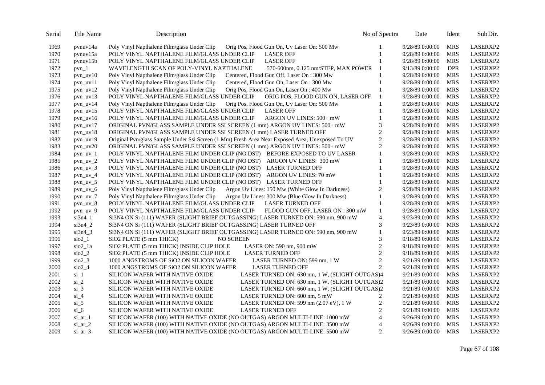| Serial | File Name               | Description                                                                                     | No of Spectra  | Date            | Ident      | Sub Dir. |
|--------|-------------------------|-------------------------------------------------------------------------------------------------|----------------|-----------------|------------|----------|
| 1969   | pynuv14a                | Poly Vinyl Napthalene Film/glass Under Clip<br>Orig Pos, Flood Gun On, Uv Laser On: 500 Mw      |                | 9/28/89 0:00:00 | <b>MRS</b> | LASERXP2 |
| 1970   | pynuv15a                | POLY VINYL NAPTHALENE FILM/GLASS UNDER CLIP<br><b>LASER OFF</b>                                 | 1              | 9/28/89 0:00:00 | <b>MRS</b> | LASERXP2 |
| 1971   | $p$ vnuv $15b$          | <b>LASER OFF</b><br>POLY VINYL NAPTHALENE FILM/GLASS UNDER CLIP                                 |                | 9/28/89 0:00:00 | <b>MRS</b> | LASERXP2 |
| 1972   | $pvn_1$                 | WAVELENGTH SCAN OF POLY-VINYL NAPTHALENE<br>570-600nm, 0.125 nm/STEP, MAX POWER                 | -1             | 9/13/89 0:00:00 | <b>DPR</b> | LASERXP2 |
| 1973   | $pvn$ uv $10$           | Poly Vinyl Napthalene Film/glass Under Clip<br>Centered, Flood Gun Off, Laser On: 300 Mw        |                | 9/28/89 0:00:00 | <b>MRS</b> | LASERXP2 |
| 1974   | pvn_uv11                | Poly Vinyl Napthalene Film/glass Under Clip<br>Centered, Flood Gun On, Laser On: 300 Mw         | 1              | 9/28/89 0:00:00 | <b>MRS</b> | LASERXP2 |
| 1975   | $pvn_uv12$              | Poly Vinyl Napthalene Film/glass Under Clip<br>Orig Pos, Flood Gun On, Laser On: 400 Mw         | 1              | 9/28/89 0:00:00 | <b>MRS</b> | LASERXP2 |
| 1976   | $pvn$ _uv13             | POLY VINYL NAPTHALENE FILM/GLASS UNDER CLIP<br>ORIG POS, FLOOD GUN ON, LASER OFF                | 1              | 9/28/89 0:00:00 | <b>MRS</b> | LASERXP2 |
| 1977   | $pvn_uv14$              | Poly Vinyl Napthalene Film/glass Under Clip<br>Orig Pos, Flood Gun On, Uv Laser On: 500 Mw      |                | 9/28/89 0:00:00 | <b>MRS</b> | LASERXP2 |
| 1978   | $pvn_uv15$              | POLY VINYL NAPTHALENE FILM/GLASS UNDER CLIP<br><b>LASER OFF</b>                                 |                | 9/28/89 0:00:00 | <b>MRS</b> | LASERXP2 |
| 1979   | pvn_uv16                | ARGON UV LINES: 500+ mW<br>POLY VINYL NAPTHALENE FILM/GLASS UNDER CLIP                          |                | 9/28/89 0:00:00 | <b>MRS</b> | LASERXP2 |
| 1980   | $pvn_uv17$              | ORIGINAL PVN/GLASS SAMPLE UNDER SSI SCREEN (1 mm) ARGON UV LINES: 500+ mW                       | 3              | 9/28/89 0:00:00 | <b>MRS</b> | LASERXP2 |
| 1981   | $pvn_uv18$              | ORIGINAL PVN/GLASS SAMPLE UNDER SSI SCREEN (1 mm) LASER TURNED OFF                              | $\sqrt{2}$     | 9/28/89 0:00:00 | <b>MRS</b> | LASERXP2 |
| 1982   | $pvn_uv19$              | Original Pvn/glass Sample Under Ssi Screen (1 Mm) Fresh Area Near Exposed Area, Unexposed To UV | $\overline{2}$ | 9/28/89 0:00:00 | <b>MRS</b> | LASERXP2 |
| 1983   | $pvn_uv20$              | ORIGINAL PVN/GLASS SAMPLE UNDER SSI SCREEN (1 mm) ARGON UV LINES: 500+ mW                       | $\overline{2}$ | 9/28/89 0:00:00 | <b>MRS</b> | LASERXP2 |
| 1984   | $pvn$ uv $1$            | POLY VINYL NAPTHALENE FILM UNDER CLIP (NO DST) BEFORE EXPOSED TO UV LASER                       | $\mathbf{1}$   | 9/28/89 0:00:00 | <b>MRS</b> | LASERXP2 |
| 1985   | $pvn_uv_2$              | POLY VINYL NAPTHALENE FILM UNDER CLIP (NO DST) ARGON UV LINES: 300 mW                           | 1              | 9/28/89 0:00:00 | <b>MRS</b> | LASERXP2 |
| 1986   | $pvn_uv_3$              | POLY VINYL NAPTHALENE FILM UNDER CLIP (NO DST) LASER TURNED OFF                                 | 1              | 9/28/89 0:00:00 | <b>MRS</b> | LASERXP2 |
| 1987   | $pvn_uv_4$              | POLY VINYL NAPTHALENE FILM UNDER CLIP (NO DST) ARGON UV LINES: 70 mW                            | 1              | 9/28/89 0:00:00 | <b>MRS</b> | LASERXP2 |
| 1988   | $pvn$ _uv_5             | POLY VINYL NAPTHALENE FILM UNDER CLIP (NO DST) LASER TURNED OFF                                 | $\mathbf{1}$   | 9/28/89 0:00:00 | <b>MRS</b> | LASERXP2 |
| 1989   | $pvn_uv_6$              | Poly Vinyl Napthalene Film/glass Under Clip<br>Argon Uv Lines: 150 Mw (White Glow In Darkness)  | $\mathbf{2}$   | 9/28/89 0:00:00 | <b>MRS</b> | LASERXP2 |
| 1990   | $pvn_uv_7$              | Argon Uv Lines: 300 Mw (Blue Glow In Darkness)<br>Poly Vinyl Napthalene Film/glass Under Clip   | $\mathbf{1}$   | 9/28/89 0:00:00 | <b>MRS</b> | LASERXP2 |
| 1991   | $pvn_uv_8$              | POLY VINYL NAPTHALENE FILM/GLASS UNDER CLIP<br><b>LASER TURNED OFF</b>                          | 1              | 9/28/89 0:00:00 | <b>MRS</b> | LASERXP2 |
| 1992   | $pvn_uv_9$              | POLY VINYL NAPTHALENE FILM/GLASS UNDER CLIP<br>FLOOD GUN OFF, LASER ON : 300 mW                 | $\mathbf{1}$   | 9/28/89 0:00:00 | <b>MRS</b> | LASERXP2 |
| 1993   | $si3n4_1$               | Si3N4 ON Si (111) WAFER (SLIGHT BRIEF OUTGASSING) LASER TURNED ON: 590 nm, 900 mW               | $\overline{4}$ | 9/23/89 0:00:00 | <b>MRS</b> | LASERXP2 |
| 1994   | $si3n4_2$               | Si3N4 ON Si (111) WAFER (SLIGHT BRIEF OUTGASSING) LASER TURNED OFF                              | 3              | 9/23/89 0:00:00 | <b>MRS</b> | LASERXP2 |
| 1995   | $si3n4_3$               | Si3N4 ON Si (111) WAFER (SLIGHT BRIEF OUTGASSING) LASER TURNED ON: 590 nm, 900 mW               | $\mathbf{1}$   | 9/23/89 0:00:00 | <b>MRS</b> | LASERXP2 |
| 1996   | $\sin 21$               | SiO2 PLATE (5 mm THICK)<br><b>NO SCREEN</b>                                                     | 3              | 9/18/89 0:00:00 | <b>MRS</b> | LASERXP2 |
| 1997   | sio2_1a                 | SiO2 PLATE (5 mm THICK) INSIDE CLIP HOLE<br>LASER ON: $590$ nm, $900$ mW                        | $\overline{2}$ | 9/18/89 0:00:00 | <b>MRS</b> | LASERXP2 |
| 1998   | $\frac{\text{SiO2}}{2}$ | SiO2 PLATE (5 mm THICK) INSIDE CLIP HOLE<br><b>LASER TURNED OFF</b>                             | $\overline{2}$ | 9/18/89 0:00:00 | <b>MRS</b> | LASERXP2 |
| 1999   | $sio2_3$                | 1000 ANGSTROMS OF SiO2 ON SILICON WAFER<br>LASER TURNED ON: 599 nm, 1 W                         | $\overline{2}$ | 9/21/89 0:00:00 | <b>MRS</b> | LASERXP2 |
| 2000   | sio24                   | 1000 ANGSTROMS OF SiO2 ON SILICON WAFER<br><b>LASER TURNED OFF</b>                              | $\overline{2}$ | 9/21/89 0:00:00 | <b>MRS</b> | LASERXP2 |
| 2001   | $si_1$                  | SILICON WAFER WITH NATIVE OXIDE<br>LASER TURNED ON: 630 nm, 1 W, (SLIGHT OUTGAS)4               |                | 9/21/89 0:00:00 | <b>MRS</b> | LASERXP2 |
| 2002   | $si_2$                  | SILICON WAFER WITH NATIVE OXIDE<br>LASER TURNED ON: 630 nm, 1 W, (SLIGHT OUTGAS)2               |                | 9/21/89 0:00:00 | <b>MRS</b> | LASERXP2 |
| 2003   | $si_3$                  | SILICON WAFER WITH NATIVE OXIDE<br>LASER TURNED ON: 660 nm, 1 W, (SLIGHT OUTGAS)2               |                | 9/21/89 0:00:00 | <b>MRS</b> | LASERXP2 |
| 2004   | $si_4$                  | SILICON WAFER WITH NATIVE OXIDE<br>LASER TURNED ON: 600 nm, 5 mW                                | 2              | 9/21/89 0:00:00 | <b>MRS</b> | LASERXP2 |
| 2005   | $si_5$                  | SILICON WAFER WITH NATIVE OXIDE<br>LASER TURNED ON: 599 nm (2.07 eV), 1 W                       | $\mathbf{2}$   | 9/21/89 0:00:00 | <b>MRS</b> | LASERXP2 |
| 2006   | $\sin 6$                | SILICON WAFER WITH NATIVE OXIDE<br><b>LASER TURNED OFF</b>                                      | $\overline{2}$ | 9/21/89 0:00:00 | <b>MRS</b> | LASERXP2 |
| 2007   | si_ar_1                 | SILICON WAFER (100) WITH NATIVE OXIDE (NO OUTGAS) ARGON MULTI-LINE: 1000 mW                     | $\overline{4}$ | 9/26/89 0:00:00 | <b>MRS</b> | LASERXP2 |
| 2008   | $\sin ar 2$             | SILICON WAFER (100) WITH NATIVE OXIDE (NO OUTGAS) ARGON MULTI-LINE: 3500 mW                     | $\overline{4}$ | 9/26/89 0:00:00 | <b>MRS</b> | LASERXP2 |
| 2009   | $\sin ar 3$             | SILICON WAFER (100) WITH NATIVE OXIDE (NO OUTGAS) ARGON MULTI-LINE: 5500 mW                     | $\overline{2}$ | 9/26/89 0:00:00 | <b>MRS</b> | LASERXP2 |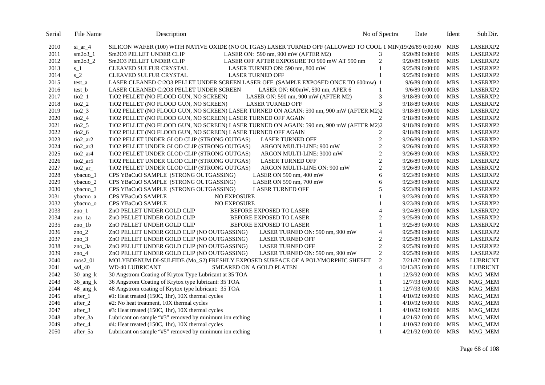| SILICON WAFER (100) WITH NATIVE OXIDE (NO OUTGAS) LASER TURNED OFF (ALLOWED TO COOL 1 MIN)19/26/89 0:00:00<br>LASERXP2<br>2010<br>$si_a$ ar $4$<br><b>MRS</b><br>3<br>$sm2o3_1$<br>2011<br>Sm2O3 PELLET UNDER CLIP<br>LASER ON: 590 nm, 900 mW (AFTER M2)<br>9/20/89 0:00:00<br><b>MRS</b><br>LASERXP2<br>$\overline{c}$<br>2012<br>$sm2o3_2$<br>LASER OFF AFTER EXPOSURE TO 900 mW AT 590 nm<br>9/20/89 0:00:00<br><b>MRS</b><br>Sm2O3 PELLET UNDER CLIP<br>LASERXP2<br>2013<br>$\mathbf{1}$<br>9/25/89 0:00:00<br><b>MRS</b><br>LASERXP2<br>$s_1$<br><b>CLEAVED SULFUR CRYSTAL</b><br>LASER TURNED ON: 590 nm, 800 mW<br>$s_2$<br>$\mathbf{1}$<br>2014<br>CLEAVED SULFUR CRYSTAL<br><b>LASER TURNED OFF</b><br><b>MRS</b><br>LASERXP2<br>9/25/89 0:00:00<br>2015<br>LASER CLEANED Cr2O3 PELLET UNDER SCREEN LASER OFF (SAMPLE EXPOSED ONCE TO 600mw) 1<br>9/6/89 0:00:00<br><b>MRS</b><br>LASERXP2<br>test_a<br><b>MRS</b><br>2016<br>LASER CLEANED Cr2O3 PELLET UNDER SCREEN<br>LASER ON: 600mW, 590 nm, APER 6<br>1<br>9/6/89 0:00:00<br>LASERXP2<br>test_b<br>$\ensuremath{\mathfrak{Z}}$<br>2017<br>TiO2 PELLET (NO FLOOD GUN, NO SCREEN)<br>LASER ON: 590 nm, 900 mW (AFTER M2)<br>9/18/89 0:00:00<br><b>MRS</b><br>LASERXP2<br>ti <sub>02</sub> 1<br>3<br>2018<br><b>MRS</b><br>$tio2_2$<br>TiO2 PELLET (NO FLOOD GUN, NO SCREEN)<br><b>LASER TURNED OFF</b><br>9/18/89 0:00:00<br>LASERXP2<br>2019<br>$tio2_3$<br>TiO2 PELLET (NO FLOOD GUN, NO SCREEN) LASER TURNED ON AGAIN: 590 nm, 900 mW (AFTER M2)2<br><b>MRS</b><br>LASERXP2<br>9/18/89 0:00:00<br>2<br>2020<br>$tio2_4$<br>TiO2 PELLET (NO FLOOD GUN, NO SCREEN) LASER TURNED OFF AGAIN<br>9/18/89 0:00:00<br><b>MRS</b><br>LASERXP2<br>2021<br>$tio2_5$<br>TiO2 PELLET (NO FLOOD GUN, NO SCREEN) LASER TURNED ON AGAIN: 590 nm, 900 mW (AFTER M2)2<br><b>MRS</b><br>LASERXP2<br>9/18/89 0:00:00<br>2022<br><b>MRS</b><br>$tio2_6$<br>TiO2 PELLET (NO FLOOD GUN, NO SCREEN) LASER TURNED OFF AGAIN<br>2<br>LASERXP2<br>9/18/89 0:00:00<br>2023<br>$\overline{c}$<br>TiO2 PELLET UNDER GLOD CLIP (STRONG OUTGAS)<br><b>MRS</b><br>LASERXP2<br>tio2_ar2<br><b>LASER TURNED OFF</b><br>9/26/89 0:00:00<br>$\sqrt{2}$<br><b>MRS</b><br>2024<br>tio2_ar3<br>TiO2 PELLET UNDER GLOD CLIP (STRONG OUTGAS)<br>ARGON MULTI-LINE: 900 mW<br>9/26/89 0:00:00<br>LASERXP2<br>$\sqrt{2}$<br>2025<br><b>MRS</b><br>LASERXP2<br>tio2_ar4<br>TiO2 PELLET UNDER GLOD CLIP (STRONG OUTGAS)<br>ARGON MULTI-LINE: 3000 mW<br>9/26/89 0:00:00<br>$\mathbf{2}$<br>2026<br><b>MRS</b><br>tio2_ar5<br>TiO2 PELLET UNDER GLOD CLIP (STRONG OUTGAS)<br><b>LASER TURNED OFF</b><br>LASERXP2<br>9/26/89 0:00:00<br>$\sqrt{2}$<br>2027<br>TiO2 PELLET UNDER GLOD CLIP (STRONG OUTGAS)<br><b>MRS</b><br>LASERXP2<br>tio2_ar_<br>ARGON MULTI-LINE ON: 900 mW<br>9/26/89 0:00:00<br>6<br>2028<br>ybacuo_1<br>CPS YBaCuO SAMPLE (STRONG OUTGASSING)<br><b>MRS</b><br>LASER ON 590 nm, $400 \text{ mW}$<br>9/23/89 0:00:00<br>LASERXP2<br>2029<br>CPS YBaCuO SAMPLE (STRONG OUTGASSING)<br>6<br><b>MRS</b><br>LASERXP2<br>ybacuo_2<br>LASER ON 590 nm, 700 mW<br>9/23/89 0:00:00<br>5<br>2030<br>CPS YBaCuO SAMPLE (STRONG OUTGASSING)<br><b>LASER TURNED OFF</b><br><b>MRS</b><br>LASERXP2<br>ybacuo_3<br>9/23/89 0:00:00<br>2031<br><b>MRS</b><br>ybacuo_a<br>CPS YBaCuO SAMPLE<br><b>NO EXPOSURE</b><br>9/23/89 0:00:00<br>LASERXP2<br>2032<br><b>NO EXPOSURE</b><br><b>MRS</b><br>ybacuo_o<br><b>CPS YBaCuO SAMPLE</b><br>9/23/89 0:00:00<br>LASERXP2<br>2033<br>$\overline{4}$<br>$zno_1$<br>ZnO PELLET UNDER GOLD CLIP<br>BEFORE EXPOSED TO LASER<br>9/24/89 0:00:00<br><b>MRS</b><br>LASERXP2<br>2034<br>$\overline{2}$<br>BEFORE EXPOSED TO LASER<br><b>MRS</b><br>LASERXP2<br>ZnO PELLET UNDER GOLD CLIP<br>9/25/89 0:00:00<br>zno_1a<br>2035<br>BEFORE EXPOSED TO LASER<br><b>MRS</b><br>$zno_1b$<br>ZnO PELLET UNDER GOLD CLIP<br>9/25/89 0:00:00<br>LASERXP2<br>2036<br>ZnO PELLET UNDER GOLD CLIP (NO OUTGASSING)<br>$\overline{4}$<br><b>MRS</b><br>$zno_2$<br>LASER TURNED ON: 590 nm, 900 mW<br>9/25/89 0:00:00<br>LASERXP2<br>2037<br>$\boldsymbol{2}$<br>$zno_3$<br>ZnO PELLET UNDER GOLD CLIP (NO OUTGASSING)<br><b>LASER TURNED OFF</b><br>9/25/89 0:00:00<br><b>MRS</b><br>LASERXP2<br>$\overline{2}$<br>2038<br>ZnO PELLET UNDER GOLD CLIP (NO OUTGASSING)<br><b>MRS</b><br>LASERXP2<br>zno_3a<br><b>LASER TURNED OFF</b><br>9/25/89 0:00:00<br>$\overline{c}$<br>2039<br>ZnO PELLET UNDER GOLD CLIP (NO OUTGASSING)<br>LASER TURNED ON: 590 nm, 900 mW<br>9/25/89 0:00:00<br><b>MRS</b><br>LASERXP2<br>zno $_4$<br>$\overline{2}$<br>2040<br>MOLYBDENUM DI-SULFIDE (Mo_S2) FRESHLY EXPOSED SURFACE OF A POLYMORPHIC SHEEET<br><b>MRS</b><br>mos2 01<br>7/21/87 0:00:00<br><b>LUBRICNT</b><br>$\overline{4}$<br>2041<br>$wd_40$<br><b>WD-40 LUBRICANT</b><br>SMEARED ON A GOLD PLATEN<br>10/13/85 0:00:00<br><b>MRS</b><br><b>LUBRICNT</b><br>2042<br>30 Angstrom Coating of Krytox Type Lubricant at 35 TOA<br><b>MRS</b><br>$30$ _ang_k<br>12/3/92 0:00:00<br><b>MAG_MEM</b><br>36 Angstrom Coating of Krytox type lubricant: 35 TOA<br>2043<br>$36$ _ang_k<br>12/7/93 0:00:00<br><b>MRS</b><br>MAG_MEM<br>2044<br>48 Angstrom coating of Krytox type lubricant: 35 TOA<br><b>MRS</b><br>48_ang_k<br>12/7/93 0:00:00<br>MAG_MEM<br>2045<br>#1: Heat treated (150C, 1hr), 10X thermal cycles<br><b>MRS</b><br>MAG_MEM<br>after_1<br>4/10/92 0:00:00<br>2046<br>#2: No heat treatment, 10X thermal cycles<br><b>MRS</b><br>4/10/92 0:00:00<br><b>MAG_MEM</b><br>after $2$<br>2047<br>#3: Heat treated (150C, 1hr), 10X thermal cycles<br><b>MRS</b><br>MAG_MEM<br>after_3<br>4/10/92 0:00:00<br>2048<br>Lubricant on sample "#3" removed by minimum ion etching<br><b>MRS</b><br>MAG_MEM<br>after_3a<br>4/21/92 0:00:00<br>2049<br>#4: Heat treated (150C, 1hr), 10X thermal cycles<br><b>MRS</b><br>MAG_MEM<br>after_4<br>4/10/92 0:00:00<br>Lubricant on sample "#5" removed by minimum ion etching<br><b>MRS</b><br>2050<br>4/21/92 0:00:00<br><b>MAG_MEM</b><br>after_5a | Serial | File Name | Description | No of Spectra | Date | Ident | Sub Dir. |
|-----------------------------------------------------------------------------------------------------------------------------------------------------------------------------------------------------------------------------------------------------------------------------------------------------------------------------------------------------------------------------------------------------------------------------------------------------------------------------------------------------------------------------------------------------------------------------------------------------------------------------------------------------------------------------------------------------------------------------------------------------------------------------------------------------------------------------------------------------------------------------------------------------------------------------------------------------------------------------------------------------------------------------------------------------------------------------------------------------------------------------------------------------------------------------------------------------------------------------------------------------------------------------------------------------------------------------------------------------------------------------------------------------------------------------------------------------------------------------------------------------------------------------------------------------------------------------------------------------------------------------------------------------------------------------------------------------------------------------------------------------------------------------------------------------------------------------------------------------------------------------------------------------------------------------------------------------------------------------------------------------------------------------------------------------------------------------------------------------------------------------------------------------------------------------------------------------------------------------------------------------------------------------------------------------------------------------------------------------------------------------------------------------------------------------------------------------------------------------------------------------------------------------------------------------------------------------------------------------------------------------------------------------------------------------------------------------------------------------------------------------------------------------------------------------------------------------------------------------------------------------------------------------------------------------------------------------------------------------------------------------------------------------------------------------------------------------------------------------------------------------------------------------------------------------------------------------------------------------------------------------------------------------------------------------------------------------------------------------------------------------------------------------------------------------------------------------------------------------------------------------------------------------------------------------------------------------------------------------------------------------------------------------------------------------------------------------------------------------------------------------------------------------------------------------------------------------------------------------------------------------------------------------------------------------------------------------------------------------------------------------------------------------------------------------------------------------------------------------------------------------------------------------------------------------------------------------------------------------------------------------------------------------------------------------------------------------------------------------------------------------------------------------------------------------------------------------------------------------------------------------------------------------------------------------------------------------------------------------------------------------------------------------------------------------------------------------------------------------------------------------------------------------------------------------------------------------------------------------------------------------------------------------------------------------------------------------------------------------------------------------------------------------------------------------------------------------------------------------------------------------------------------------------------------------------------------------------------------------------------------------------------------------------------------------------------------------------------------------------------------------------------------------------------------------------------------------------------------------------------------------------------------------------------------------------------------------------------------------------------------------------------------------------------------------------------------------------------------------------------------------------------------------------------------------------------------------------------------------------------------------------------------------------------------------------------------------------------------------------------------------------------------------------|--------|-----------|-------------|---------------|------|-------|----------|
|                                                                                                                                                                                                                                                                                                                                                                                                                                                                                                                                                                                                                                                                                                                                                                                                                                                                                                                                                                                                                                                                                                                                                                                                                                                                                                                                                                                                                                                                                                                                                                                                                                                                                                                                                                                                                                                                                                                                                                                                                                                                                                                                                                                                                                                                                                                                                                                                                                                                                                                                                                                                                                                                                                                                                                                                                                                                                                                                                                                                                                                                                                                                                                                                                                                                                                                                                                                                                                                                                                                                                                                                                                                                                                                                                                                                                                                                                                                                                                                                                                                                                                                                                                                                                                                                                                                                                                                                                                                                                                                                                                                                                                                                                                                                                                                                                                                                                                                                                                                                                                                                                                                                                                                                                                                                                                                                                                                                                                                                                                                                                                                                                                                                                                                                                                                                                                                                                                                                                                                                                                   |        |           |             |               |      |       |          |
|                                                                                                                                                                                                                                                                                                                                                                                                                                                                                                                                                                                                                                                                                                                                                                                                                                                                                                                                                                                                                                                                                                                                                                                                                                                                                                                                                                                                                                                                                                                                                                                                                                                                                                                                                                                                                                                                                                                                                                                                                                                                                                                                                                                                                                                                                                                                                                                                                                                                                                                                                                                                                                                                                                                                                                                                                                                                                                                                                                                                                                                                                                                                                                                                                                                                                                                                                                                                                                                                                                                                                                                                                                                                                                                                                                                                                                                                                                                                                                                                                                                                                                                                                                                                                                                                                                                                                                                                                                                                                                                                                                                                                                                                                                                                                                                                                                                                                                                                                                                                                                                                                                                                                                                                                                                                                                                                                                                                                                                                                                                                                                                                                                                                                                                                                                                                                                                                                                                                                                                                                                   |        |           |             |               |      |       |          |
|                                                                                                                                                                                                                                                                                                                                                                                                                                                                                                                                                                                                                                                                                                                                                                                                                                                                                                                                                                                                                                                                                                                                                                                                                                                                                                                                                                                                                                                                                                                                                                                                                                                                                                                                                                                                                                                                                                                                                                                                                                                                                                                                                                                                                                                                                                                                                                                                                                                                                                                                                                                                                                                                                                                                                                                                                                                                                                                                                                                                                                                                                                                                                                                                                                                                                                                                                                                                                                                                                                                                                                                                                                                                                                                                                                                                                                                                                                                                                                                                                                                                                                                                                                                                                                                                                                                                                                                                                                                                                                                                                                                                                                                                                                                                                                                                                                                                                                                                                                                                                                                                                                                                                                                                                                                                                                                                                                                                                                                                                                                                                                                                                                                                                                                                                                                                                                                                                                                                                                                                                                   |        |           |             |               |      |       |          |
|                                                                                                                                                                                                                                                                                                                                                                                                                                                                                                                                                                                                                                                                                                                                                                                                                                                                                                                                                                                                                                                                                                                                                                                                                                                                                                                                                                                                                                                                                                                                                                                                                                                                                                                                                                                                                                                                                                                                                                                                                                                                                                                                                                                                                                                                                                                                                                                                                                                                                                                                                                                                                                                                                                                                                                                                                                                                                                                                                                                                                                                                                                                                                                                                                                                                                                                                                                                                                                                                                                                                                                                                                                                                                                                                                                                                                                                                                                                                                                                                                                                                                                                                                                                                                                                                                                                                                                                                                                                                                                                                                                                                                                                                                                                                                                                                                                                                                                                                                                                                                                                                                                                                                                                                                                                                                                                                                                                                                                                                                                                                                                                                                                                                                                                                                                                                                                                                                                                                                                                                                                   |        |           |             |               |      |       |          |
|                                                                                                                                                                                                                                                                                                                                                                                                                                                                                                                                                                                                                                                                                                                                                                                                                                                                                                                                                                                                                                                                                                                                                                                                                                                                                                                                                                                                                                                                                                                                                                                                                                                                                                                                                                                                                                                                                                                                                                                                                                                                                                                                                                                                                                                                                                                                                                                                                                                                                                                                                                                                                                                                                                                                                                                                                                                                                                                                                                                                                                                                                                                                                                                                                                                                                                                                                                                                                                                                                                                                                                                                                                                                                                                                                                                                                                                                                                                                                                                                                                                                                                                                                                                                                                                                                                                                                                                                                                                                                                                                                                                                                                                                                                                                                                                                                                                                                                                                                                                                                                                                                                                                                                                                                                                                                                                                                                                                                                                                                                                                                                                                                                                                                                                                                                                                                                                                                                                                                                                                                                   |        |           |             |               |      |       |          |
|                                                                                                                                                                                                                                                                                                                                                                                                                                                                                                                                                                                                                                                                                                                                                                                                                                                                                                                                                                                                                                                                                                                                                                                                                                                                                                                                                                                                                                                                                                                                                                                                                                                                                                                                                                                                                                                                                                                                                                                                                                                                                                                                                                                                                                                                                                                                                                                                                                                                                                                                                                                                                                                                                                                                                                                                                                                                                                                                                                                                                                                                                                                                                                                                                                                                                                                                                                                                                                                                                                                                                                                                                                                                                                                                                                                                                                                                                                                                                                                                                                                                                                                                                                                                                                                                                                                                                                                                                                                                                                                                                                                                                                                                                                                                                                                                                                                                                                                                                                                                                                                                                                                                                                                                                                                                                                                                                                                                                                                                                                                                                                                                                                                                                                                                                                                                                                                                                                                                                                                                                                   |        |           |             |               |      |       |          |
|                                                                                                                                                                                                                                                                                                                                                                                                                                                                                                                                                                                                                                                                                                                                                                                                                                                                                                                                                                                                                                                                                                                                                                                                                                                                                                                                                                                                                                                                                                                                                                                                                                                                                                                                                                                                                                                                                                                                                                                                                                                                                                                                                                                                                                                                                                                                                                                                                                                                                                                                                                                                                                                                                                                                                                                                                                                                                                                                                                                                                                                                                                                                                                                                                                                                                                                                                                                                                                                                                                                                                                                                                                                                                                                                                                                                                                                                                                                                                                                                                                                                                                                                                                                                                                                                                                                                                                                                                                                                                                                                                                                                                                                                                                                                                                                                                                                                                                                                                                                                                                                                                                                                                                                                                                                                                                                                                                                                                                                                                                                                                                                                                                                                                                                                                                                                                                                                                                                                                                                                                                   |        |           |             |               |      |       |          |
|                                                                                                                                                                                                                                                                                                                                                                                                                                                                                                                                                                                                                                                                                                                                                                                                                                                                                                                                                                                                                                                                                                                                                                                                                                                                                                                                                                                                                                                                                                                                                                                                                                                                                                                                                                                                                                                                                                                                                                                                                                                                                                                                                                                                                                                                                                                                                                                                                                                                                                                                                                                                                                                                                                                                                                                                                                                                                                                                                                                                                                                                                                                                                                                                                                                                                                                                                                                                                                                                                                                                                                                                                                                                                                                                                                                                                                                                                                                                                                                                                                                                                                                                                                                                                                                                                                                                                                                                                                                                                                                                                                                                                                                                                                                                                                                                                                                                                                                                                                                                                                                                                                                                                                                                                                                                                                                                                                                                                                                                                                                                                                                                                                                                                                                                                                                                                                                                                                                                                                                                                                   |        |           |             |               |      |       |          |
|                                                                                                                                                                                                                                                                                                                                                                                                                                                                                                                                                                                                                                                                                                                                                                                                                                                                                                                                                                                                                                                                                                                                                                                                                                                                                                                                                                                                                                                                                                                                                                                                                                                                                                                                                                                                                                                                                                                                                                                                                                                                                                                                                                                                                                                                                                                                                                                                                                                                                                                                                                                                                                                                                                                                                                                                                                                                                                                                                                                                                                                                                                                                                                                                                                                                                                                                                                                                                                                                                                                                                                                                                                                                                                                                                                                                                                                                                                                                                                                                                                                                                                                                                                                                                                                                                                                                                                                                                                                                                                                                                                                                                                                                                                                                                                                                                                                                                                                                                                                                                                                                                                                                                                                                                                                                                                                                                                                                                                                                                                                                                                                                                                                                                                                                                                                                                                                                                                                                                                                                                                   |        |           |             |               |      |       |          |
|                                                                                                                                                                                                                                                                                                                                                                                                                                                                                                                                                                                                                                                                                                                                                                                                                                                                                                                                                                                                                                                                                                                                                                                                                                                                                                                                                                                                                                                                                                                                                                                                                                                                                                                                                                                                                                                                                                                                                                                                                                                                                                                                                                                                                                                                                                                                                                                                                                                                                                                                                                                                                                                                                                                                                                                                                                                                                                                                                                                                                                                                                                                                                                                                                                                                                                                                                                                                                                                                                                                                                                                                                                                                                                                                                                                                                                                                                                                                                                                                                                                                                                                                                                                                                                                                                                                                                                                                                                                                                                                                                                                                                                                                                                                                                                                                                                                                                                                                                                                                                                                                                                                                                                                                                                                                                                                                                                                                                                                                                                                                                                                                                                                                                                                                                                                                                                                                                                                                                                                                                                   |        |           |             |               |      |       |          |
|                                                                                                                                                                                                                                                                                                                                                                                                                                                                                                                                                                                                                                                                                                                                                                                                                                                                                                                                                                                                                                                                                                                                                                                                                                                                                                                                                                                                                                                                                                                                                                                                                                                                                                                                                                                                                                                                                                                                                                                                                                                                                                                                                                                                                                                                                                                                                                                                                                                                                                                                                                                                                                                                                                                                                                                                                                                                                                                                                                                                                                                                                                                                                                                                                                                                                                                                                                                                                                                                                                                                                                                                                                                                                                                                                                                                                                                                                                                                                                                                                                                                                                                                                                                                                                                                                                                                                                                                                                                                                                                                                                                                                                                                                                                                                                                                                                                                                                                                                                                                                                                                                                                                                                                                                                                                                                                                                                                                                                                                                                                                                                                                                                                                                                                                                                                                                                                                                                                                                                                                                                   |        |           |             |               |      |       |          |
|                                                                                                                                                                                                                                                                                                                                                                                                                                                                                                                                                                                                                                                                                                                                                                                                                                                                                                                                                                                                                                                                                                                                                                                                                                                                                                                                                                                                                                                                                                                                                                                                                                                                                                                                                                                                                                                                                                                                                                                                                                                                                                                                                                                                                                                                                                                                                                                                                                                                                                                                                                                                                                                                                                                                                                                                                                                                                                                                                                                                                                                                                                                                                                                                                                                                                                                                                                                                                                                                                                                                                                                                                                                                                                                                                                                                                                                                                                                                                                                                                                                                                                                                                                                                                                                                                                                                                                                                                                                                                                                                                                                                                                                                                                                                                                                                                                                                                                                                                                                                                                                                                                                                                                                                                                                                                                                                                                                                                                                                                                                                                                                                                                                                                                                                                                                                                                                                                                                                                                                                                                   |        |           |             |               |      |       |          |
|                                                                                                                                                                                                                                                                                                                                                                                                                                                                                                                                                                                                                                                                                                                                                                                                                                                                                                                                                                                                                                                                                                                                                                                                                                                                                                                                                                                                                                                                                                                                                                                                                                                                                                                                                                                                                                                                                                                                                                                                                                                                                                                                                                                                                                                                                                                                                                                                                                                                                                                                                                                                                                                                                                                                                                                                                                                                                                                                                                                                                                                                                                                                                                                                                                                                                                                                                                                                                                                                                                                                                                                                                                                                                                                                                                                                                                                                                                                                                                                                                                                                                                                                                                                                                                                                                                                                                                                                                                                                                                                                                                                                                                                                                                                                                                                                                                                                                                                                                                                                                                                                                                                                                                                                                                                                                                                                                                                                                                                                                                                                                                                                                                                                                                                                                                                                                                                                                                                                                                                                                                   |        |           |             |               |      |       |          |
|                                                                                                                                                                                                                                                                                                                                                                                                                                                                                                                                                                                                                                                                                                                                                                                                                                                                                                                                                                                                                                                                                                                                                                                                                                                                                                                                                                                                                                                                                                                                                                                                                                                                                                                                                                                                                                                                                                                                                                                                                                                                                                                                                                                                                                                                                                                                                                                                                                                                                                                                                                                                                                                                                                                                                                                                                                                                                                                                                                                                                                                                                                                                                                                                                                                                                                                                                                                                                                                                                                                                                                                                                                                                                                                                                                                                                                                                                                                                                                                                                                                                                                                                                                                                                                                                                                                                                                                                                                                                                                                                                                                                                                                                                                                                                                                                                                                                                                                                                                                                                                                                                                                                                                                                                                                                                                                                                                                                                                                                                                                                                                                                                                                                                                                                                                                                                                                                                                                                                                                                                                   |        |           |             |               |      |       |          |
|                                                                                                                                                                                                                                                                                                                                                                                                                                                                                                                                                                                                                                                                                                                                                                                                                                                                                                                                                                                                                                                                                                                                                                                                                                                                                                                                                                                                                                                                                                                                                                                                                                                                                                                                                                                                                                                                                                                                                                                                                                                                                                                                                                                                                                                                                                                                                                                                                                                                                                                                                                                                                                                                                                                                                                                                                                                                                                                                                                                                                                                                                                                                                                                                                                                                                                                                                                                                                                                                                                                                                                                                                                                                                                                                                                                                                                                                                                                                                                                                                                                                                                                                                                                                                                                                                                                                                                                                                                                                                                                                                                                                                                                                                                                                                                                                                                                                                                                                                                                                                                                                                                                                                                                                                                                                                                                                                                                                                                                                                                                                                                                                                                                                                                                                                                                                                                                                                                                                                                                                                                   |        |           |             |               |      |       |          |
|                                                                                                                                                                                                                                                                                                                                                                                                                                                                                                                                                                                                                                                                                                                                                                                                                                                                                                                                                                                                                                                                                                                                                                                                                                                                                                                                                                                                                                                                                                                                                                                                                                                                                                                                                                                                                                                                                                                                                                                                                                                                                                                                                                                                                                                                                                                                                                                                                                                                                                                                                                                                                                                                                                                                                                                                                                                                                                                                                                                                                                                                                                                                                                                                                                                                                                                                                                                                                                                                                                                                                                                                                                                                                                                                                                                                                                                                                                                                                                                                                                                                                                                                                                                                                                                                                                                                                                                                                                                                                                                                                                                                                                                                                                                                                                                                                                                                                                                                                                                                                                                                                                                                                                                                                                                                                                                                                                                                                                                                                                                                                                                                                                                                                                                                                                                                                                                                                                                                                                                                                                   |        |           |             |               |      |       |          |
|                                                                                                                                                                                                                                                                                                                                                                                                                                                                                                                                                                                                                                                                                                                                                                                                                                                                                                                                                                                                                                                                                                                                                                                                                                                                                                                                                                                                                                                                                                                                                                                                                                                                                                                                                                                                                                                                                                                                                                                                                                                                                                                                                                                                                                                                                                                                                                                                                                                                                                                                                                                                                                                                                                                                                                                                                                                                                                                                                                                                                                                                                                                                                                                                                                                                                                                                                                                                                                                                                                                                                                                                                                                                                                                                                                                                                                                                                                                                                                                                                                                                                                                                                                                                                                                                                                                                                                                                                                                                                                                                                                                                                                                                                                                                                                                                                                                                                                                                                                                                                                                                                                                                                                                                                                                                                                                                                                                                                                                                                                                                                                                                                                                                                                                                                                                                                                                                                                                                                                                                                                   |        |           |             |               |      |       |          |
|                                                                                                                                                                                                                                                                                                                                                                                                                                                                                                                                                                                                                                                                                                                                                                                                                                                                                                                                                                                                                                                                                                                                                                                                                                                                                                                                                                                                                                                                                                                                                                                                                                                                                                                                                                                                                                                                                                                                                                                                                                                                                                                                                                                                                                                                                                                                                                                                                                                                                                                                                                                                                                                                                                                                                                                                                                                                                                                                                                                                                                                                                                                                                                                                                                                                                                                                                                                                                                                                                                                                                                                                                                                                                                                                                                                                                                                                                                                                                                                                                                                                                                                                                                                                                                                                                                                                                                                                                                                                                                                                                                                                                                                                                                                                                                                                                                                                                                                                                                                                                                                                                                                                                                                                                                                                                                                                                                                                                                                                                                                                                                                                                                                                                                                                                                                                                                                                                                                                                                                                                                   |        |           |             |               |      |       |          |
|                                                                                                                                                                                                                                                                                                                                                                                                                                                                                                                                                                                                                                                                                                                                                                                                                                                                                                                                                                                                                                                                                                                                                                                                                                                                                                                                                                                                                                                                                                                                                                                                                                                                                                                                                                                                                                                                                                                                                                                                                                                                                                                                                                                                                                                                                                                                                                                                                                                                                                                                                                                                                                                                                                                                                                                                                                                                                                                                                                                                                                                                                                                                                                                                                                                                                                                                                                                                                                                                                                                                                                                                                                                                                                                                                                                                                                                                                                                                                                                                                                                                                                                                                                                                                                                                                                                                                                                                                                                                                                                                                                                                                                                                                                                                                                                                                                                                                                                                                                                                                                                                                                                                                                                                                                                                                                                                                                                                                                                                                                                                                                                                                                                                                                                                                                                                                                                                                                                                                                                                                                   |        |           |             |               |      |       |          |
|                                                                                                                                                                                                                                                                                                                                                                                                                                                                                                                                                                                                                                                                                                                                                                                                                                                                                                                                                                                                                                                                                                                                                                                                                                                                                                                                                                                                                                                                                                                                                                                                                                                                                                                                                                                                                                                                                                                                                                                                                                                                                                                                                                                                                                                                                                                                                                                                                                                                                                                                                                                                                                                                                                                                                                                                                                                                                                                                                                                                                                                                                                                                                                                                                                                                                                                                                                                                                                                                                                                                                                                                                                                                                                                                                                                                                                                                                                                                                                                                                                                                                                                                                                                                                                                                                                                                                                                                                                                                                                                                                                                                                                                                                                                                                                                                                                                                                                                                                                                                                                                                                                                                                                                                                                                                                                                                                                                                                                                                                                                                                                                                                                                                                                                                                                                                                                                                                                                                                                                                                                   |        |           |             |               |      |       |          |
|                                                                                                                                                                                                                                                                                                                                                                                                                                                                                                                                                                                                                                                                                                                                                                                                                                                                                                                                                                                                                                                                                                                                                                                                                                                                                                                                                                                                                                                                                                                                                                                                                                                                                                                                                                                                                                                                                                                                                                                                                                                                                                                                                                                                                                                                                                                                                                                                                                                                                                                                                                                                                                                                                                                                                                                                                                                                                                                                                                                                                                                                                                                                                                                                                                                                                                                                                                                                                                                                                                                                                                                                                                                                                                                                                                                                                                                                                                                                                                                                                                                                                                                                                                                                                                                                                                                                                                                                                                                                                                                                                                                                                                                                                                                                                                                                                                                                                                                                                                                                                                                                                                                                                                                                                                                                                                                                                                                                                                                                                                                                                                                                                                                                                                                                                                                                                                                                                                                                                                                                                                   |        |           |             |               |      |       |          |
|                                                                                                                                                                                                                                                                                                                                                                                                                                                                                                                                                                                                                                                                                                                                                                                                                                                                                                                                                                                                                                                                                                                                                                                                                                                                                                                                                                                                                                                                                                                                                                                                                                                                                                                                                                                                                                                                                                                                                                                                                                                                                                                                                                                                                                                                                                                                                                                                                                                                                                                                                                                                                                                                                                                                                                                                                                                                                                                                                                                                                                                                                                                                                                                                                                                                                                                                                                                                                                                                                                                                                                                                                                                                                                                                                                                                                                                                                                                                                                                                                                                                                                                                                                                                                                                                                                                                                                                                                                                                                                                                                                                                                                                                                                                                                                                                                                                                                                                                                                                                                                                                                                                                                                                                                                                                                                                                                                                                                                                                                                                                                                                                                                                                                                                                                                                                                                                                                                                                                                                                                                   |        |           |             |               |      |       |          |
|                                                                                                                                                                                                                                                                                                                                                                                                                                                                                                                                                                                                                                                                                                                                                                                                                                                                                                                                                                                                                                                                                                                                                                                                                                                                                                                                                                                                                                                                                                                                                                                                                                                                                                                                                                                                                                                                                                                                                                                                                                                                                                                                                                                                                                                                                                                                                                                                                                                                                                                                                                                                                                                                                                                                                                                                                                                                                                                                                                                                                                                                                                                                                                                                                                                                                                                                                                                                                                                                                                                                                                                                                                                                                                                                                                                                                                                                                                                                                                                                                                                                                                                                                                                                                                                                                                                                                                                                                                                                                                                                                                                                                                                                                                                                                                                                                                                                                                                                                                                                                                                                                                                                                                                                                                                                                                                                                                                                                                                                                                                                                                                                                                                                                                                                                                                                                                                                                                                                                                                                                                   |        |           |             |               |      |       |          |
|                                                                                                                                                                                                                                                                                                                                                                                                                                                                                                                                                                                                                                                                                                                                                                                                                                                                                                                                                                                                                                                                                                                                                                                                                                                                                                                                                                                                                                                                                                                                                                                                                                                                                                                                                                                                                                                                                                                                                                                                                                                                                                                                                                                                                                                                                                                                                                                                                                                                                                                                                                                                                                                                                                                                                                                                                                                                                                                                                                                                                                                                                                                                                                                                                                                                                                                                                                                                                                                                                                                                                                                                                                                                                                                                                                                                                                                                                                                                                                                                                                                                                                                                                                                                                                                                                                                                                                                                                                                                                                                                                                                                                                                                                                                                                                                                                                                                                                                                                                                                                                                                                                                                                                                                                                                                                                                                                                                                                                                                                                                                                                                                                                                                                                                                                                                                                                                                                                                                                                                                                                   |        |           |             |               |      |       |          |
|                                                                                                                                                                                                                                                                                                                                                                                                                                                                                                                                                                                                                                                                                                                                                                                                                                                                                                                                                                                                                                                                                                                                                                                                                                                                                                                                                                                                                                                                                                                                                                                                                                                                                                                                                                                                                                                                                                                                                                                                                                                                                                                                                                                                                                                                                                                                                                                                                                                                                                                                                                                                                                                                                                                                                                                                                                                                                                                                                                                                                                                                                                                                                                                                                                                                                                                                                                                                                                                                                                                                                                                                                                                                                                                                                                                                                                                                                                                                                                                                                                                                                                                                                                                                                                                                                                                                                                                                                                                                                                                                                                                                                                                                                                                                                                                                                                                                                                                                                                                                                                                                                                                                                                                                                                                                                                                                                                                                                                                                                                                                                                                                                                                                                                                                                                                                                                                                                                                                                                                                                                   |        |           |             |               |      |       |          |
|                                                                                                                                                                                                                                                                                                                                                                                                                                                                                                                                                                                                                                                                                                                                                                                                                                                                                                                                                                                                                                                                                                                                                                                                                                                                                                                                                                                                                                                                                                                                                                                                                                                                                                                                                                                                                                                                                                                                                                                                                                                                                                                                                                                                                                                                                                                                                                                                                                                                                                                                                                                                                                                                                                                                                                                                                                                                                                                                                                                                                                                                                                                                                                                                                                                                                                                                                                                                                                                                                                                                                                                                                                                                                                                                                                                                                                                                                                                                                                                                                                                                                                                                                                                                                                                                                                                                                                                                                                                                                                                                                                                                                                                                                                                                                                                                                                                                                                                                                                                                                                                                                                                                                                                                                                                                                                                                                                                                                                                                                                                                                                                                                                                                                                                                                                                                                                                                                                                                                                                                                                   |        |           |             |               |      |       |          |
|                                                                                                                                                                                                                                                                                                                                                                                                                                                                                                                                                                                                                                                                                                                                                                                                                                                                                                                                                                                                                                                                                                                                                                                                                                                                                                                                                                                                                                                                                                                                                                                                                                                                                                                                                                                                                                                                                                                                                                                                                                                                                                                                                                                                                                                                                                                                                                                                                                                                                                                                                                                                                                                                                                                                                                                                                                                                                                                                                                                                                                                                                                                                                                                                                                                                                                                                                                                                                                                                                                                                                                                                                                                                                                                                                                                                                                                                                                                                                                                                                                                                                                                                                                                                                                                                                                                                                                                                                                                                                                                                                                                                                                                                                                                                                                                                                                                                                                                                                                                                                                                                                                                                                                                                                                                                                                                                                                                                                                                                                                                                                                                                                                                                                                                                                                                                                                                                                                                                                                                                                                   |        |           |             |               |      |       |          |
|                                                                                                                                                                                                                                                                                                                                                                                                                                                                                                                                                                                                                                                                                                                                                                                                                                                                                                                                                                                                                                                                                                                                                                                                                                                                                                                                                                                                                                                                                                                                                                                                                                                                                                                                                                                                                                                                                                                                                                                                                                                                                                                                                                                                                                                                                                                                                                                                                                                                                                                                                                                                                                                                                                                                                                                                                                                                                                                                                                                                                                                                                                                                                                                                                                                                                                                                                                                                                                                                                                                                                                                                                                                                                                                                                                                                                                                                                                                                                                                                                                                                                                                                                                                                                                                                                                                                                                                                                                                                                                                                                                                                                                                                                                                                                                                                                                                                                                                                                                                                                                                                                                                                                                                                                                                                                                                                                                                                                                                                                                                                                                                                                                                                                                                                                                                                                                                                                                                                                                                                                                   |        |           |             |               |      |       |          |
|                                                                                                                                                                                                                                                                                                                                                                                                                                                                                                                                                                                                                                                                                                                                                                                                                                                                                                                                                                                                                                                                                                                                                                                                                                                                                                                                                                                                                                                                                                                                                                                                                                                                                                                                                                                                                                                                                                                                                                                                                                                                                                                                                                                                                                                                                                                                                                                                                                                                                                                                                                                                                                                                                                                                                                                                                                                                                                                                                                                                                                                                                                                                                                                                                                                                                                                                                                                                                                                                                                                                                                                                                                                                                                                                                                                                                                                                                                                                                                                                                                                                                                                                                                                                                                                                                                                                                                                                                                                                                                                                                                                                                                                                                                                                                                                                                                                                                                                                                                                                                                                                                                                                                                                                                                                                                                                                                                                                                                                                                                                                                                                                                                                                                                                                                                                                                                                                                                                                                                                                                                   |        |           |             |               |      |       |          |
|                                                                                                                                                                                                                                                                                                                                                                                                                                                                                                                                                                                                                                                                                                                                                                                                                                                                                                                                                                                                                                                                                                                                                                                                                                                                                                                                                                                                                                                                                                                                                                                                                                                                                                                                                                                                                                                                                                                                                                                                                                                                                                                                                                                                                                                                                                                                                                                                                                                                                                                                                                                                                                                                                                                                                                                                                                                                                                                                                                                                                                                                                                                                                                                                                                                                                                                                                                                                                                                                                                                                                                                                                                                                                                                                                                                                                                                                                                                                                                                                                                                                                                                                                                                                                                                                                                                                                                                                                                                                                                                                                                                                                                                                                                                                                                                                                                                                                                                                                                                                                                                                                                                                                                                                                                                                                                                                                                                                                                                                                                                                                                                                                                                                                                                                                                                                                                                                                                                                                                                                                                   |        |           |             |               |      |       |          |
|                                                                                                                                                                                                                                                                                                                                                                                                                                                                                                                                                                                                                                                                                                                                                                                                                                                                                                                                                                                                                                                                                                                                                                                                                                                                                                                                                                                                                                                                                                                                                                                                                                                                                                                                                                                                                                                                                                                                                                                                                                                                                                                                                                                                                                                                                                                                                                                                                                                                                                                                                                                                                                                                                                                                                                                                                                                                                                                                                                                                                                                                                                                                                                                                                                                                                                                                                                                                                                                                                                                                                                                                                                                                                                                                                                                                                                                                                                                                                                                                                                                                                                                                                                                                                                                                                                                                                                                                                                                                                                                                                                                                                                                                                                                                                                                                                                                                                                                                                                                                                                                                                                                                                                                                                                                                                                                                                                                                                                                                                                                                                                                                                                                                                                                                                                                                                                                                                                                                                                                                                                   |        |           |             |               |      |       |          |
|                                                                                                                                                                                                                                                                                                                                                                                                                                                                                                                                                                                                                                                                                                                                                                                                                                                                                                                                                                                                                                                                                                                                                                                                                                                                                                                                                                                                                                                                                                                                                                                                                                                                                                                                                                                                                                                                                                                                                                                                                                                                                                                                                                                                                                                                                                                                                                                                                                                                                                                                                                                                                                                                                                                                                                                                                                                                                                                                                                                                                                                                                                                                                                                                                                                                                                                                                                                                                                                                                                                                                                                                                                                                                                                                                                                                                                                                                                                                                                                                                                                                                                                                                                                                                                                                                                                                                                                                                                                                                                                                                                                                                                                                                                                                                                                                                                                                                                                                                                                                                                                                                                                                                                                                                                                                                                                                                                                                                                                                                                                                                                                                                                                                                                                                                                                                                                                                                                                                                                                                                                   |        |           |             |               |      |       |          |
|                                                                                                                                                                                                                                                                                                                                                                                                                                                                                                                                                                                                                                                                                                                                                                                                                                                                                                                                                                                                                                                                                                                                                                                                                                                                                                                                                                                                                                                                                                                                                                                                                                                                                                                                                                                                                                                                                                                                                                                                                                                                                                                                                                                                                                                                                                                                                                                                                                                                                                                                                                                                                                                                                                                                                                                                                                                                                                                                                                                                                                                                                                                                                                                                                                                                                                                                                                                                                                                                                                                                                                                                                                                                                                                                                                                                                                                                                                                                                                                                                                                                                                                                                                                                                                                                                                                                                                                                                                                                                                                                                                                                                                                                                                                                                                                                                                                                                                                                                                                                                                                                                                                                                                                                                                                                                                                                                                                                                                                                                                                                                                                                                                                                                                                                                                                                                                                                                                                                                                                                                                   |        |           |             |               |      |       |          |
|                                                                                                                                                                                                                                                                                                                                                                                                                                                                                                                                                                                                                                                                                                                                                                                                                                                                                                                                                                                                                                                                                                                                                                                                                                                                                                                                                                                                                                                                                                                                                                                                                                                                                                                                                                                                                                                                                                                                                                                                                                                                                                                                                                                                                                                                                                                                                                                                                                                                                                                                                                                                                                                                                                                                                                                                                                                                                                                                                                                                                                                                                                                                                                                                                                                                                                                                                                                                                                                                                                                                                                                                                                                                                                                                                                                                                                                                                                                                                                                                                                                                                                                                                                                                                                                                                                                                                                                                                                                                                                                                                                                                                                                                                                                                                                                                                                                                                                                                                                                                                                                                                                                                                                                                                                                                                                                                                                                                                                                                                                                                                                                                                                                                                                                                                                                                                                                                                                                                                                                                                                   |        |           |             |               |      |       |          |
|                                                                                                                                                                                                                                                                                                                                                                                                                                                                                                                                                                                                                                                                                                                                                                                                                                                                                                                                                                                                                                                                                                                                                                                                                                                                                                                                                                                                                                                                                                                                                                                                                                                                                                                                                                                                                                                                                                                                                                                                                                                                                                                                                                                                                                                                                                                                                                                                                                                                                                                                                                                                                                                                                                                                                                                                                                                                                                                                                                                                                                                                                                                                                                                                                                                                                                                                                                                                                                                                                                                                                                                                                                                                                                                                                                                                                                                                                                                                                                                                                                                                                                                                                                                                                                                                                                                                                                                                                                                                                                                                                                                                                                                                                                                                                                                                                                                                                                                                                                                                                                                                                                                                                                                                                                                                                                                                                                                                                                                                                                                                                                                                                                                                                                                                                                                                                                                                                                                                                                                                                                   |        |           |             |               |      |       |          |
|                                                                                                                                                                                                                                                                                                                                                                                                                                                                                                                                                                                                                                                                                                                                                                                                                                                                                                                                                                                                                                                                                                                                                                                                                                                                                                                                                                                                                                                                                                                                                                                                                                                                                                                                                                                                                                                                                                                                                                                                                                                                                                                                                                                                                                                                                                                                                                                                                                                                                                                                                                                                                                                                                                                                                                                                                                                                                                                                                                                                                                                                                                                                                                                                                                                                                                                                                                                                                                                                                                                                                                                                                                                                                                                                                                                                                                                                                                                                                                                                                                                                                                                                                                                                                                                                                                                                                                                                                                                                                                                                                                                                                                                                                                                                                                                                                                                                                                                                                                                                                                                                                                                                                                                                                                                                                                                                                                                                                                                                                                                                                                                                                                                                                                                                                                                                                                                                                                                                                                                                                                   |        |           |             |               |      |       |          |
|                                                                                                                                                                                                                                                                                                                                                                                                                                                                                                                                                                                                                                                                                                                                                                                                                                                                                                                                                                                                                                                                                                                                                                                                                                                                                                                                                                                                                                                                                                                                                                                                                                                                                                                                                                                                                                                                                                                                                                                                                                                                                                                                                                                                                                                                                                                                                                                                                                                                                                                                                                                                                                                                                                                                                                                                                                                                                                                                                                                                                                                                                                                                                                                                                                                                                                                                                                                                                                                                                                                                                                                                                                                                                                                                                                                                                                                                                                                                                                                                                                                                                                                                                                                                                                                                                                                                                                                                                                                                                                                                                                                                                                                                                                                                                                                                                                                                                                                                                                                                                                                                                                                                                                                                                                                                                                                                                                                                                                                                                                                                                                                                                                                                                                                                                                                                                                                                                                                                                                                                                                   |        |           |             |               |      |       |          |
|                                                                                                                                                                                                                                                                                                                                                                                                                                                                                                                                                                                                                                                                                                                                                                                                                                                                                                                                                                                                                                                                                                                                                                                                                                                                                                                                                                                                                                                                                                                                                                                                                                                                                                                                                                                                                                                                                                                                                                                                                                                                                                                                                                                                                                                                                                                                                                                                                                                                                                                                                                                                                                                                                                                                                                                                                                                                                                                                                                                                                                                                                                                                                                                                                                                                                                                                                                                                                                                                                                                                                                                                                                                                                                                                                                                                                                                                                                                                                                                                                                                                                                                                                                                                                                                                                                                                                                                                                                                                                                                                                                                                                                                                                                                                                                                                                                                                                                                                                                                                                                                                                                                                                                                                                                                                                                                                                                                                                                                                                                                                                                                                                                                                                                                                                                                                                                                                                                                                                                                                                                   |        |           |             |               |      |       |          |
|                                                                                                                                                                                                                                                                                                                                                                                                                                                                                                                                                                                                                                                                                                                                                                                                                                                                                                                                                                                                                                                                                                                                                                                                                                                                                                                                                                                                                                                                                                                                                                                                                                                                                                                                                                                                                                                                                                                                                                                                                                                                                                                                                                                                                                                                                                                                                                                                                                                                                                                                                                                                                                                                                                                                                                                                                                                                                                                                                                                                                                                                                                                                                                                                                                                                                                                                                                                                                                                                                                                                                                                                                                                                                                                                                                                                                                                                                                                                                                                                                                                                                                                                                                                                                                                                                                                                                                                                                                                                                                                                                                                                                                                                                                                                                                                                                                                                                                                                                                                                                                                                                                                                                                                                                                                                                                                                                                                                                                                                                                                                                                                                                                                                                                                                                                                                                                                                                                                                                                                                                                   |        |           |             |               |      |       |          |
|                                                                                                                                                                                                                                                                                                                                                                                                                                                                                                                                                                                                                                                                                                                                                                                                                                                                                                                                                                                                                                                                                                                                                                                                                                                                                                                                                                                                                                                                                                                                                                                                                                                                                                                                                                                                                                                                                                                                                                                                                                                                                                                                                                                                                                                                                                                                                                                                                                                                                                                                                                                                                                                                                                                                                                                                                                                                                                                                                                                                                                                                                                                                                                                                                                                                                                                                                                                                                                                                                                                                                                                                                                                                                                                                                                                                                                                                                                                                                                                                                                                                                                                                                                                                                                                                                                                                                                                                                                                                                                                                                                                                                                                                                                                                                                                                                                                                                                                                                                                                                                                                                                                                                                                                                                                                                                                                                                                                                                                                                                                                                                                                                                                                                                                                                                                                                                                                                                                                                                                                                                   |        |           |             |               |      |       |          |
|                                                                                                                                                                                                                                                                                                                                                                                                                                                                                                                                                                                                                                                                                                                                                                                                                                                                                                                                                                                                                                                                                                                                                                                                                                                                                                                                                                                                                                                                                                                                                                                                                                                                                                                                                                                                                                                                                                                                                                                                                                                                                                                                                                                                                                                                                                                                                                                                                                                                                                                                                                                                                                                                                                                                                                                                                                                                                                                                                                                                                                                                                                                                                                                                                                                                                                                                                                                                                                                                                                                                                                                                                                                                                                                                                                                                                                                                                                                                                                                                                                                                                                                                                                                                                                                                                                                                                                                                                                                                                                                                                                                                                                                                                                                                                                                                                                                                                                                                                                                                                                                                                                                                                                                                                                                                                                                                                                                                                                                                                                                                                                                                                                                                                                                                                                                                                                                                                                                                                                                                                                   |        |           |             |               |      |       |          |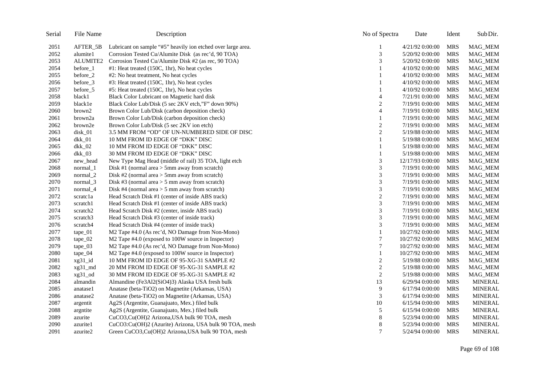| Serial | File Name           | Description                                                  | No of Spectra    | Date              | Ident      | Sub Dir.       |
|--------|---------------------|--------------------------------------------------------------|------------------|-------------------|------------|----------------|
| 2051   | AFTER_5B            | Lubricant on sample "#5" heavily ion etched over large area. |                  | 4/21/92 0:00:00   | <b>MRS</b> | MAG_MEM        |
| 2052   | alumite1            | Corrosion Tested Cu/Alumite Disk (as rec'd, 90 TOA)          | 3                | 5/20/92 0:00:00   | <b>MRS</b> | MAG_MEM        |
| 2053   | ALUMITE2            | Corrosion Tested Cu/Alumite Disk #2 (as rec, 90 TOA)         | 3                | 5/20/92 0:00:00   | <b>MRS</b> | MAG_MEM        |
| 2054   | before_1            | #1: Heat treated (150C, 1hr), No heat cycles                 |                  | 4/10/92 0:00:00   | <b>MRS</b> | MAG_MEM        |
| 2055   | before_2            | #2: No heat treatment, No heat cycles                        |                  | 4/10/92 0:00:00   | <b>MRS</b> | MAG_MEM        |
| 2056   | before_3            | #3: Heat treated (150C, 1hr), No heat cycles                 |                  | 4/10/92 0:00:00   | <b>MRS</b> | MAG_MEM        |
| 2057   | before_5            | #5: Heat treated (150C, 1hr), No heat cycles                 |                  | 4/10/92 0:00:00   | <b>MRS</b> | MAG_MEM        |
| 2058   | black1              | Black Color Lubricant on Magnetic hard disk                  | $\overline{4}$   | 7/21/91 0:00:00   | <b>MRS</b> | MAG_MEM        |
| 2059   | black1e             | Black Color Lub/Disk (5 sec 2KV etch,"F" down 90%)           | $\overline{2}$   | 7/19/91 0:00:00   | <b>MRS</b> | MAG_MEM        |
| 2060   | brown2              | Brown Color Lub/Disk (carbon deposition check)               | $\overline{4}$   | 7/19/91 0:00:00   | <b>MRS</b> | MAG_MEM        |
| 2061   | brown2a             | Brown Color Lub/Disk (carbon deposition check)               |                  | 7/19/91 0:00:00   | <b>MRS</b> | MAG_MEM        |
| 2062   | brown2e             | Brown Color Lub/Disk (5 sec 2KV ion etch)                    | $\overline{c}$   | 7/19/91 0:00:00   | <b>MRS</b> | MAG_MEM        |
| 2063   | disk_01             | 3.5 MM FROM "OD" OF UN-NUMBERED SIDE OF DISC                 | $\mathbf{2}$     | 5/19/88 0:00:00   | <b>MRS</b> | MAG_MEM        |
| 2064   | dkk_01              | 10 MM FROM ID EDGE OF "DKK" DISC                             |                  | 5/19/88 0:00:00   | <b>MRS</b> | MAG_MEM        |
| 2065   | $dkk_02$            | 10 MM FROM ID EDGE OF "DKK" DISC                             |                  | 5/19/88 0:00:00   | <b>MRS</b> | MAG_MEM        |
| 2066   | dkk_03              | 30 MM FROM ID EDGE OF "DKK" DISC                             |                  | 5/19/88 0:00:00   | <b>MRS</b> | MAG_MEM        |
| 2067   | new_head            | New Type Mag Head (middle of rail) 35 TOA, light etch        | 3                | 12/17/93 0:00:00  | <b>MRS</b> | MAG_MEM        |
| 2068   | normal_1            | Disk #1 (normal area $>$ 5mm away from scratch)              | 3                | 7/19/91 0:00:00   | <b>MRS</b> | MAG_MEM        |
| 2069   | normal <sub>2</sub> | Disk #2 (normal area $>$ 5mm away from scratch)              | 3                | 7/19/91 0:00:00   | <b>MRS</b> | MAG_MEM        |
| 2070   | normal_3            | Disk #3 (normal area $>$ 5 mm away from scratch)             | 3                | 7/19/91 0:00:00   | <b>MRS</b> | MAG_MEM        |
| 2071   | normal_4            | Disk #4 (normal area $>$ 5 mm away from scratch)             | 3                | 7/19/91 0:00:00   | <b>MRS</b> | MAG_MEM        |
| 2072   | scratcla            | Head Scratch Disk #1 (center of inside ABS track)            | $\overline{2}$   | 7/19/91 0:00:00   | <b>MRS</b> | MAG_MEM        |
| 2073   | scratch1            | Head Scratch Disk #1 (center of inside ABS track)            | 3                | 7/19/91 0:00:00   | <b>MRS</b> | MAG_MEM        |
| 2074   | scratch2            | Head Scratch Disk #2 (center, inside ABS track)              | 3                | 7/19/91 0:00:00   | <b>MRS</b> | MAG_MEM        |
| 2075   | scratch3            | Head Scratch Disk #3 (center of inside track)                | 3                | 7/19/91 0:00:00   | <b>MRS</b> | MAG_MEM        |
| 2076   | scratch4            | Head Scratch Disk #4 (center of inside track)                | 3                | 7/19/91 0:00:00   | <b>MRS</b> | MAG_MEM        |
| 2077   | $\text{tape\_01}$   | M2 Tape #4.0 (As rec'd, NO Damage from Non-Mono)             | 1                | 10/27/92 0:00:00  | <b>MRS</b> | MAG_MEM        |
| 2078   | $\text{tape}\_02$   | M2 Tape #4.0 (exposed to 100W source in Inspector)           | 7                | 10/27/92 0:00:00  | <b>MRS</b> | MAG_MEM        |
| 2079   | $\text{tape}\_03$   | M2 Tape #4.0 (As rec'd, NO Damage from Non-Mono)             | $\tau$           | 10/27/92 0:00:00  | <b>MRS</b> | MAG_MEM        |
| 2080   | $\text{tape}\_04$   | M2 Tape #4.0 (exposed to 100W source in Inspector)           | 1                | 10/27/92 0:00:00  | <b>MRS</b> | <b>MAG_MEM</b> |
| 2081   | xg31_id             | 10 MM FROM ID EDGE OF 95-XG-31 SAMPLE #2                     | $\boldsymbol{2}$ | 5/19/88 0:00:00   | <b>MRS</b> | MAG_MEM        |
| 2082   | xg31_md             | 20 MM FROM ID EDGE OF 95-XG-31 SAMPLE #2                     | $\mathfrak{2}$   | 5/19/88 0:00:00   | <b>MRS</b> | MAG_MEM        |
| 2083   | xg31_od             | 30 MM FROM ID EDGE OF 95-XG-31 SAMPLE #2                     | $\overline{2}$   | 5/19/88 0:00:00   | <b>MRS</b> | MAG_MEM        |
| 2084   | almandin            | Almandine (Fe3Al2(SiO4)3) Alaska USA fresh bulk              | 13               | 6/29/94 0:00:00   | <b>MRS</b> | <b>MINERAL</b> |
| 2085   | anatase1            | Anatase (beta-TiO2) on Magnetite (Arkansas, USA)             | 9                | 6/17/94 0:00:00   | <b>MRS</b> | <b>MINERAL</b> |
| 2086   | anatase2            | Anatase (beta-TiO2) on Magnetite (Arkansas, USA)             | 3                | $6/17/94$ 0:00:00 | <b>MRS</b> | <b>MINERAL</b> |
| 2087   | argentit            | Ag2S (Argentite, Guanajuato, Mex.) filed bulk                | 10               | 6/15/94 0:00:00   | <b>MRS</b> | <b>MINERAL</b> |
| 2088   | argntite            | Ag2S (Argentite, Guanajuato, Mex.) filed bulk                | 5                | $6/15/94$ 0:00:00 | <b>MRS</b> | <b>MINERAL</b> |
| 2089   | azurite             | CuCO3,Cu(OH)2 Arizona,USA bulk 90 TOA, mesh                  | 8                | 5/23/94 0:00:00   | <b>MRS</b> | <b>MINERAL</b> |
| 2090   | azurite1            | CuCO3:Cu(OH)2 (Azurite) Arizona, USA bulk 90 TOA, mesh       | 8                | 5/23/94 0:00:00   | <b>MRS</b> | <b>MINERAL</b> |
| 2091   | azurite2            | Green CuCO3, Cu(OH)2 Arizona, USA bulk 90 TOA, mesh          | $\tau$           | 5/24/94 0:00:00   | <b>MRS</b> | <b>MINERAL</b> |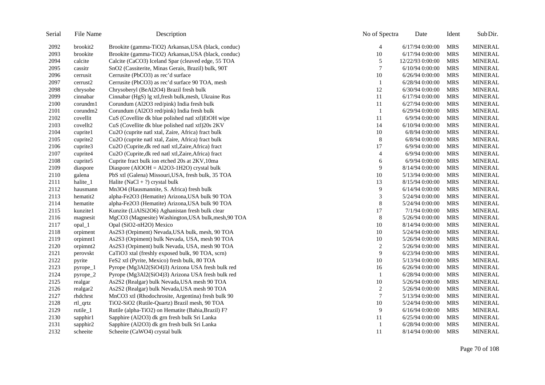| Serial | File Name            | Description                                          | No of Spectra  | Date              | Ident      | Sub Dir.       |
|--------|----------------------|------------------------------------------------------|----------------|-------------------|------------|----------------|
| 2092   | brookit2             | Brookite (gamma-TiO2) Arkansas, USA (black, conduc)  | 4              | $6/17/94$ 0:00:00 | <b>MRS</b> | <b>MINERAL</b> |
| 2093   | brookite             | Brookite (gamma-TiO2) Arkansas, USA (black, conduc)  | 10             | $6/17/94$ 0:00:00 | <b>MRS</b> | <b>MINERAL</b> |
| 2094   | calcite              | Calcite (CaCO3) Iceland Spar (cleaved edge, 55 TOA   | 5              | 12/22/93 0:00:00  | <b>MRS</b> | <b>MINERAL</b> |
| 2095   | cassitr              | SnO2 (Cassiterite, Minas Gerais, Brazil) bulk, 90T   | $\tau$         | $6/10/94$ 0:00:00 | <b>MRS</b> | <b>MINERAL</b> |
| 2096   | cerrusit             | Cerrusite (PbCO3) as rec'd surface                   | 10             | $6/26/94$ 0:00:00 | <b>MRS</b> | <b>MINERAL</b> |
| 2097   | cerrust <sub>2</sub> | Cerrusite (PbCO3) as rec'd surface 90 TOA, mesh      | 1              | 6/28/94 0:00:00   | <b>MRS</b> | <b>MINERAL</b> |
| 2098   | chrysobe             | Chrysoberyl (BeAl2O4) Brazil fresh bulk              | 12             | 6/30/94 0:00:00   | <b>MRS</b> | <b>MINERAL</b> |
| 2099   | cinnabar             | Cinnabar (HgS) lg xtl, fresh bulk, mesh, Ukraine Rus | 11             | 6/17/94 0:00:00   | <b>MRS</b> | <b>MINERAL</b> |
| 2100   | corundm1             | Corundum (Al2O3 red/pink) India fresh bulk           | 11             | 6/27/94 0:00:00   | <b>MRS</b> | <b>MINERAL</b> |
| 2101   | corundm2             | Corundum (Al2O3 red/pink) India fresh bulk           | $\mathbf{1}$   | 6/29/94 0:00:00   | <b>MRS</b> | <b>MINERAL</b> |
| 2102   | covellit             | CuS (Covellite dk blue polished natl xtl)EtOH wipe   | 11             | 6/9/94 0:00:00    | <b>MRS</b> | <b>MINERAL</b> |
| 2103   | covellt2             | CuS (Covellite dk blue polished natl xtl)20s 2KV     | 14             | 6/10/94 0:00:00   | <b>MRS</b> | <b>MINERAL</b> |
| 2104   | cuprite1             | Cu2O (cuprite natl xtal, Zaire, Africa) fract bulk   | 10             | 6/8/94 0:00:00    | <b>MRS</b> | <b>MINERAL</b> |
| 2105   | cuprite2             | Cu2O (cuprite natl xtal, Zaire, Africa) fract bulk   | $\,8\,$        | 6/8/94 0:00:00    | <b>MRS</b> | <b>MINERAL</b> |
| 2106   | cuprite3             | Cu2O (Cuprite, dk red natl xtl, Zaire, Africa) fract | 17             | 6/9/94 0:00:00    | <b>MRS</b> | <b>MINERAL</b> |
| 2107   | cuprite4             | Cu2O (Cuprite, dk red natl xtl, Zaire, Africa) fract | $\overline{4}$ | 6/9/94 0:00:00    | <b>MRS</b> | <b>MINERAL</b> |
| 2108   | cuprite5             | Cuprite fract bulk ion etched 20s at 2KV, 10ma       | 6              | 6/9/94 0:00:00    | <b>MRS</b> | <b>MINERAL</b> |
| 2109   | diaspore             | Diaspore (AlOOH = Al2O3-1H2O) crystal bulk           | 9              | 8/14/94 0:00:00   | <b>MRS</b> | <b>MINERAL</b> |
| 2110   | galena               | PbS xtl (Galena) Missouri, USA, fresh bulk, 35 TOA   | 10             | 5/13/94 0:00:00   | <b>MRS</b> | <b>MINERAL</b> |
| 2111   | halite_1             | Halite (NaCl + ?) crystal bulk                       | 13             | 8/15/94 0:00:00   | <b>MRS</b> | <b>MINERAL</b> |
| 2112   | hausmann             | Mn3O4 (Hausmannite, S. Africa) fresh bulk            | 9              | 6/14/94 0:00:00   | <b>MRS</b> | <b>MINERAL</b> |
| 2113   | hematit2             | alpha-Fe2O3 (Hematite) Arizona, USA bulk 90 TOA      | 3              | 5/24/94 0:00:00   | <b>MRS</b> | <b>MINERAL</b> |
| 2114   | hematite             | alpha-Fe2O3 (Hematite) Arizona, USA bulk 90 TOA      | 8              | 5/24/94 0:00:00   | <b>MRS</b> | <b>MINERAL</b> |
| 2115   | kunzite1             | Kunzite (LiAlSi2O6) Aghanistan fresh bulk clear      | 17             | 7/1/94 0:00:00    | <b>MRS</b> | <b>MINERAL</b> |
| 2116   | magnesit             | MgCO3 (Magnesite) Washington, USA bulk, mesh, 90 TOA | $8\phantom{1}$ | 5/26/94 0:00:00   | <b>MRS</b> | <b>MINERAL</b> |
| 2117   | opal_1               | Opal (SiO2-nH2O) Mexico                              | 10             | 8/14/94 0:00:00   | <b>MRS</b> | <b>MINERAL</b> |
| 2118   | orpiment             | As2S3 (Orpiment) Nevada, USA bulk, mesh, 90 TOA      | 10             | 5/24/94 0:00:00   | <b>MRS</b> | <b>MINERAL</b> |
| 2119   | orpimnt1             | As2S3 (Orpiment) bulk Nevada, USA, mesh 90 TOA       | 10             | 5/26/94 0:00:00   | <b>MRS</b> | <b>MINERAL</b> |
| 2120   | orpimnt2             | As2S3 (Orpiment) bulk Nevada, USA, mesh 90 TOA       | $\sqrt{2}$     | 5/26/94 0:00:00   | <b>MRS</b> | <b>MINERAL</b> |
| 2121   | perovskt             | CaTiO3 xtal (freshly exposed bulk, 90 TOA, scrn)     | 9              | 6/23/94 0:00:00   | <b>MRS</b> | <b>MINERAL</b> |
| 2122   | pyrite               | FeS2 xtl (Pyrite, Mexico) fresh bulk, 80 TOA         | 10             | 5/13/94 0:00:00   | <b>MRS</b> | <b>MINERAL</b> |
| 2123   | pyrope_1             | Pyrope (Mg3Al2(SiO4)3) Arizona USA fresh bulk red    | 16             | 6/26/94 0:00:00   | <b>MRS</b> | <b>MINERAL</b> |
| 2124   | pyrope_2             | Pyrope (Mg3Al2(SiO4)3) Arizona USA fresh bulk red    | $\mathbf{1}$   | 6/28/94 0:00:00   | <b>MRS</b> | <b>MINERAL</b> |
| 2125   | realgar              | As2S2 (Realgar) bulk Nevada, USA mesh 90 TOA         | 10             | 5/26/94 0:00:00   | <b>MRS</b> | <b>MINERAL</b> |
| 2126   | realgar2             | As2S2 (Realgar) bulk Nevada, USA mesh 90 TOA         | $\sqrt{2}$     | 5/26/94 0:00:00   | <b>MRS</b> | <b>MINERAL</b> |
| 2127   | rhdchrst             | MnCO3 xtl (Rhodochrosite, Argentina) fresh bulk 90   | $\overline{7}$ | 5/13/94 0:00:00   | <b>MRS</b> | <b>MINERAL</b> |
| 2128   | rtl_qrtz             | TiO2-SiO2 (Rutile-Quartz) Brazil mesh, 90 TOA        | 10             | 5/24/94 0:00:00   | <b>MRS</b> | <b>MINERAL</b> |
| 2129   | rutile_1             | Rutile (alpha-TiO2) on Hematite (Bahia, Brazil) F?   | 9              | $6/16/94$ 0:00:00 | <b>MRS</b> | <b>MINERAL</b> |
| 2130   | sapphir1             | Sapphire (Al2O3) dk grn fresh bulk Sri Lanka         | 11             | 6/25/94 0:00:00   | <b>MRS</b> | <b>MINERAL</b> |
| 2131   | sapphir2             | Sapphire (Al2O3) dk grn fresh bulk Sri Lanka         | 1              | 6/28/94 0:00:00   | <b>MRS</b> | <b>MINERAL</b> |
| 2132   | scheeite             | Scheeite (CaWO4) crystal bulk                        | 11             | 8/14/94 0:00:00   | <b>MRS</b> | <b>MINERAL</b> |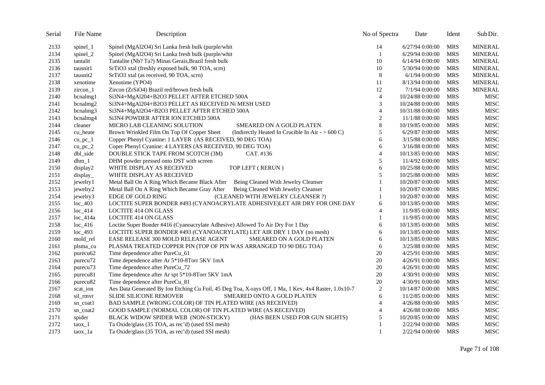| Serial | File Name              | Description                                                                                          | No of Spectra  | Date              | Ident      | Sub Dir.       |
|--------|------------------------|------------------------------------------------------------------------------------------------------|----------------|-------------------|------------|----------------|
| 2133   | spinel_1               | Spinel (MgAl2O4) Sri Lanka fresh bulk (purple/whit                                                   | 14             | 6/27/94 0:00:00   | <b>MRS</b> | <b>MINERAL</b> |
| 2134   | spinel_2               | Spinel (MgAl2O4) Sri Lanka fresh bulk (purple/whit                                                   | 1              | 6/29/94 0:00:00   | <b>MRS</b> | <b>MINERAL</b> |
| 2135   | tantalit               | Tantalite (Nb? Ta?) Minas Gerais, Brazil fresh bulk                                                  | 10             | $6/14/94$ 0:00:00 | <b>MRS</b> | <b>MINERAL</b> |
| 2136   | tausnit1               | SrTiO3 xtal (freshly exposed bulk, 90 TOA, scrn)                                                     | 10             | 5/30/94 0:00:00   | <b>MRS</b> | <b>MINERAL</b> |
| 2137   | tausnit2               | SrTiO3 xtal (as received, 90 TOA, scrn)                                                              | 8              | $6/1/94$ 0:00:00  | <b>MRS</b> | <b>MINERAL</b> |
| 2138   | xenotime               | Xenotime (YPO4)                                                                                      | 11             | 8/13/94 0:00:00   | <b>MRS</b> | <b>MINERAL</b> |
| 2139   | zircon_1               | Zircon (ZrSiO4) Brazil red/brown fresh bulk                                                          | 12             | 7/1/94 0:00:00    | <b>MRS</b> | <b>MINERAL</b> |
| 2140   | bcnalmg1               | Si3N4+MgAl204+B2O3 PELLET AFTER ETCHED 500A                                                          | $\overline{4}$ | 10/24/88 0:00:00  | <b>MRS</b> | <b>MISC</b>    |
| 2141   | bcnalmg2               | Si3N4+MgAl204+B2O3 PELLET AS RECEIVED Ni MESH USED                                                   | 3              | 10/24/88 0:00:00  | <b>MRS</b> | MISC           |
| 2142   | bcnalmg3               | Si3N4+MgAl2O4+B2O3 PELLET AFTER ETCHED 500A                                                          | $\overline{4}$ | 10/31/88 0:00:00  | <b>MRS</b> | <b>MISC</b>    |
| 2143   | bcnalmg4               | SI3N4 POWDER AFTER ION ETCHED 500A                                                                   | $\overline{c}$ | 11/1/88 0:00:00   | <b>MRS</b> | <b>MISC</b>    |
| 2144   | cleaner                | MICRO LAB CLEANING SOLUTION<br>SMEARED ON A GOLD PLATEN                                              | 8              | 10/19/85 0:00:00  | <b>MRS</b> | MISC           |
| 2145   | cu heate               | Brown Wrinkled Film On Top Of Copper Sheet<br>(Indirectly Heated In Crucible In Air - $> 600$ C)     | 5              | 6/29/87 0:00:00   | <b>MRS</b> | MISC           |
| 2146   | $cu$ <sub>pc</sub> $1$ | Copper Phenyl Cyanine: 1 LAYER (AS RECEIVED, 90 DEG TOA)                                             | 6              | 3/15/88 0:00:00   | <b>MRS</b> | <b>MISC</b>    |
| 2147   | $cu_pc_2$              | Coper Phenyl Cyanine: 4 LAYERS (AS RECEIVED, 90 DEG TOA)                                             | 6              | 3/16/88 0:00:00   | <b>MRS</b> | MISC           |
| 2148   | dbl_side               | DOUBLE STICK TAPE FROM SCOTCH (3M)<br>CAT. #136                                                      | 4              | 10/13/85 0:00:00  | <b>MRS</b> | MISC           |
| 2149   | $dhm_1$                | DHM powder pressed onto DST with screen                                                              | 5              | 11/4/92 0:00:00   | <b>MRS</b> | <b>MISC</b>    |
| 2150   | display2               | TOP LEFT (RERUN)<br>WHITE DISPLAY AS RECEIVED                                                        | 6              | 10/25/88 0:00:00  | <b>MRS</b> | MISC           |
| 2151   | display                | WHITE DISPLAY AS RECEIVED                                                                            | 5              | 10/25/88 0:00:00  | <b>MRS</b> | MISC           |
| 2152   | jewelry1               | Metal Ball On A Ring Which Became Black After Being Cleaned With Jewelry Cleanser                    | 1              | 10/20/87 0:00:00  | <b>MRS</b> | MISC           |
| 2153   | jewelry2               | Metal Ball On A Ring Which Became Gray After Being Cleaned With Jewelry Cleanser                     | $\mathbf{1}$   | 10/20/87 0:00:00  | <b>MRS</b> | MISC           |
| 2154   | jewelry3               | EDGE OF GOLD RING<br>(CLEANED WITH JEWELRY CLEANSER ?)                                               | 1              | 10/20/87 0:00:00  | <b>MRS</b> | MISC           |
| 2155   | $loc_403$              | LOCTITE SUPER BONDER #493 (CYANOACRYLATE ADHESIVE)LET AIR DRY FOR ONE DAY                            | 6              | 10/13/85 0:00:00  | <b>MRS</b> | MISC           |
| 2156   | $loc_414$              | <b>LOCTITE 414 ON GLASS</b>                                                                          | 4              | 11/9/85 0:00:00   | <b>MRS</b> | MISC           |
| 2157   | $loc_414a$             | <b>LOCTITE 414 ON GLASS</b>                                                                          | 1              | 11/9/85 0:00:00   | <b>MRS</b> | MISC           |
| 2158   | $loc_416$              | Loctite Super Bonder #416 (Cyanoacrylate Adhesive) Allowed To Air Dry For 1 Day                      | 6              | 10/13/85 0:00:00  | <b>MRS</b> | <b>MISC</b>    |
| 2159   | $loc_493$              | LOCTITE SUPER BONDER #493 (CYANOACRYLATE) LET AIR DRY 1 DAY (no mesh)                                | 6              | 10/13/85 0:00:00  | <b>MRS</b> | MISC           |
| 2160   | mold_rel               | EASE RELEASE 300 MOLD RELEASE AGENT<br>SMEARED ON A GOLD PLATEN                                      | 6              | 10/13/85 0:00:00  | <b>MRS</b> | <b>MISC</b>    |
| 2161   | plsma_cu               | PLASMA TREATED COPPER PIN (TOP OF PIN WAS ARRANGED TO 90 DEG TOA)                                    | 6              | 3/25/88 0:00:00   | <b>MRS</b> | MISC           |
| 2162   | purecu <sub>62</sub>   | Time dependence after PureCu_61                                                                      | 20             | 4/25/91 0:00:00   | <b>MRS</b> | <b>MISC</b>    |
| 2163   | purecu72               | Time dependence after Ar 5*10-8Torr 5KV 1mA                                                          | 20             | 4/26/91 0:00:00   | <b>MRS</b> | MISC           |
| 2164   | purecu73               | Time dependence after PureCu_72                                                                      | 20             | 4/26/91 0:00:00   | <b>MRS</b> | MISC           |
| 2165   | purecu81               | Time dependence after Ar spt 5*10-8Torr 5KV 1mA                                                      | 20             | 4/30/91 0:00:00   | <b>MRS</b> | <b>MISC</b>    |
| 2166   | purecu <sub>82</sub>   | Time dependence after PureCu_81                                                                      | 20             | 4/30/91 0:00:00   | <b>MRS</b> | MISC           |
| 2167   | scat_ion               | Aes Data Generated By Ion Etching Cu Foil, 45 Deg Toa, X-rays Off, 1 Ma, 1 Kev, 4x4 Raster, 1.0x10-7 | 2              | 10/14/87 0:00:00  | <b>MRS</b> | MISC           |
| 2168   | sil_rmvr               | SLIDE SILICONE REMOVER<br>SMEARED ONTO A GOLD PLATEN                                                 | 6              | 11/2/85 0:00:00   | <b>MRS</b> | MISC           |
| 2169   | sn_coat1               | BAD SAMPLE (WRONG COLOR) OF TIN PLATED WIRE (AS RECEIVED)                                            | $\overline{4}$ | 4/26/88 0:00:00   | <b>MRS</b> | <b>MISC</b>    |
| 2170   | sn_coat2               | GOOD SAMPLE (NORMAL COLOR) OF TIN PLATED WIRE (AS RECEIVED)                                          | $\overline{4}$ | 4/26/88 0:00:00   | <b>MRS</b> | MISC           |
| 2171   | spider                 | BLACK WIDOW SPIDER WEB (NON-STICKY)<br>(HAS BEEN USED FOR GUN SIGHTS)                                | 5              | 10/20/85 0:00:00  | <b>MRS</b> | MISC           |
| 2172   | $\text{taox}\_1$       | Ta Oxide/glass (35 TOA, as rec'd) (used SSI mesh)                                                    | 1              | 2/22/94 0:00:00   | <b>MRS</b> | MISC           |
| 2173   | taox_1a                | Ta Oxide/glass (35 TOA, as rec'd) (used SSI mesh)                                                    | $\mathbf{1}$   | 2/22/94 0:00:00   | <b>MRS</b> | <b>MISC</b>    |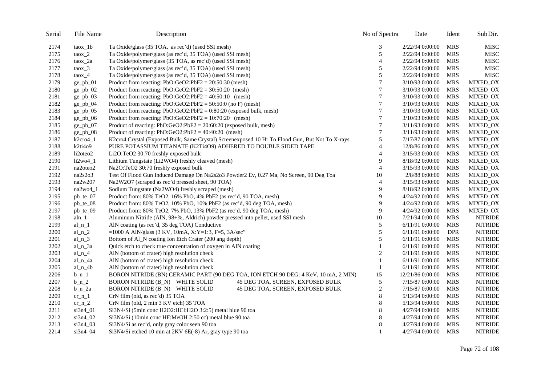| Serial | File Name          | Description                                                                                     | No of Spectra  | Date             | Ident      | Sub Dir.       |
|--------|--------------------|-------------------------------------------------------------------------------------------------|----------------|------------------|------------|----------------|
| 2174   | taox_1b            | Ta Oxide/glass (35 TOA, as rec'd) (used SSI mesh)                                               | 3              | 2/22/94 0:00:00  | <b>MRS</b> | <b>MISC</b>    |
| 2175   | $taox_2$           | Ta Oxide/polymer/glass (as rec'd, 35 TOA) (used SSI mesh)                                       | 5              | 2/22/94 0:00:00  | <b>MRS</b> | <b>MISC</b>    |
| 2176   | $\frac{1}{2}$      | Ta Oxide/polymer/glass (35 TOA, as rec'd) (used SSI mesh)                                       | $\overline{4}$ | 2/22/94 0:00:00  | <b>MRS</b> | <b>MISC</b>    |
| 2177   | $taox_3$           | Ta Oxide/polymer/glass (as rec'd, 35 TOA) (used SSI mesh)                                       | 5              | 2/22/94 0:00:00  | <b>MRS</b> | <b>MISC</b>    |
| 2178   | $taox_4$           | Ta Oxide/polymer/glass (as rec'd, 35 TOA) (used SSI mesh)                                       | 5              | 2/22/94 0:00:00  | <b>MRS</b> | <b>MISC</b>    |
| 2179   | $ge\_pb_01$        | Product from reacting: $PbO:GeO2:PbF2 = 20:50:30$ (mesh)                                        | 7              | 3/10/93 0:00:00  | <b>MRS</b> | MIXED_OX       |
| 2180   | $ge\_pb_02$        | Product from reacting: $PbO:GeO2:PbF2 = 30:50:20$ (mesh)                                        | 7              | 3/10/93 0:00:00  | <b>MRS</b> | MIXED_OX       |
| 2181   | $ge\_pb_03$        | Product from reacting: $PbO:GeO2:PbF2 = 40:50:10$ (mesh)                                        | 7              | 3/10/93 0:00:00  | <b>MRS</b> | MIXED_OX       |
| 2182   | $ge\_pb_04$        | Product from reacting: $PbO:GeO2:PbF2 = 50:50:0$ (no F) (mesh)                                  | $\overline{7}$ | 3/10/93 0:00:00  | <b>MRS</b> | MIXED_OX       |
| 2183   | ge_pb_05           | Product from reacting: $PbO:GeO2:PbF2 = 0:80:20$ (exposed bulk, mesh)                           | $\overline{7}$ | 3/10/93 0:00:00  | <b>MRS</b> | MIXED_OX       |
| 2184   | $ge\_pb_06$        | Product from reacting: $PbO:GeO2:PbF2 = 10:70:20$ (mesh)                                        | $\overline{7}$ | 3/10/93 0:00:00  | <b>MRS</b> | MIXED_OX       |
| 2185   | ge_pb_07           | Product of reacting: $PbO:GeO2:PbF2 = 20:60:20$ (exposed bulk, mesh)                            | $\overline{7}$ | 3/11/93 0:00:00  | <b>MRS</b> | MIXED_OX       |
| 2186   | $ge\_pb_08$        | Product of reacting: $PbO:GeO2:PbF2 = 40:40:20$ (mesh)                                          | $\tau$         | 3/11/93 0:00:00  | <b>MRS</b> | MIXED_OX       |
| 2187   | $k2cro4_1$         | K2cro4 Crystal (Exposed Bulk, Same Crystal) Screenexposed 10 Hr To Flood Gun, But Not To X-rays | 5              | 7/17/87 0:00:00  | <b>MRS</b> | MIXED_OX       |
| 2188   | k2ti4o9            | PURE POTASSIUM TITANATE (K2Ti4O9) ADHERED TO DOUBLE SIDED TAPE                                  | $\overline{4}$ | 12/8/86 0:00:00  | <b>MRS</b> | MIXED_OX       |
| 2189   | li2oteo2           | Li2O:TeO2 30:70 freshly exposed bulk                                                            | 4              | 3/15/93 0:00:00  | <b>MRS</b> | MIXED_OX       |
| 2190   | $li2wo4$ 1         | Lithium Tungstate (Li2WO4) freshly cleaved (mesh)                                               | 9              | 8/18/92 0:00:00  | <b>MRS</b> | MIXED_OX       |
| 2191   | na2oteo2           | Na2O:TeO2 30:70 freshly exposed bulk                                                            | $\overline{4}$ | 3/15/93 0:00:00  | <b>MRS</b> | MIXED_OX       |
| 2192   | na2s2o3            | Test Of Flood Gun Induced Damage On Na2s2o3 Powder2 Ev, 0.27 Ma, No Screen, 90 Deg Toa          | 10             | 2/8/88 0:00:00   | <b>MRS</b> | MIXED_OX       |
| 2193   | na2w207            | Na2W2O7 (scraped as rec'd pressed sheet, 90 TOA)                                                | 4              | 3/15/93 0:00:00  | <b>MRS</b> | MIXED_OX       |
| 2194   | na2wo4_1           | Sodium Tungstate (Na2WO4) freshly scraped (mesh)                                                | 9              | 8/18/92 0:00:00  | <b>MRS</b> | MIXED_OX       |
| 2195   | $pb_{te_0}$        | Product from: 80% TeO2, 16% PbO, 4% PbF2 (as rec'd, 90 TOA, mesh)                               | 9              | 4/24/92 0:00:00  | <b>MRS</b> | MIXED_OX       |
| 2196   | pb_te_08           | Product from: 80% TeO2, 10% PbO, 10% PbF2 (as rec'd, 90 deg TOA, mesh)                          | 9              | 4/24/92 0:00:00  | <b>MRS</b> | MIXED_OX       |
| 2197   | pb_te_09           | Product from: 80% TeO2, 7% PbO, 13% PbF2 (as rec'd, 90 deg TOA, mesh)                           | 9              | 4/24/92 0:00:00  | <b>MRS</b> | MIXED_OX       |
| 2198   | $aln_1$            | Aluminum Nitride (AlN, 98+%, Aldrich) powder pressed into pellet, used SSI mesh                 | 10             | 7/21/94 0:00:00  | <b>MRS</b> | <b>NITRIDE</b> |
| 2199   | al $n_1$           | AlN coating (as rec'd, 35 deg TOA) Conductive                                                   | 5              | 6/11/91 0:00:00  | <b>MRS</b> | <b>NITRIDE</b> |
| 2200   | al_n_2             | =1000 A AlN/glass (3 KV, 10mA, X:Y=1:3, F=5, 3A/sec"                                            | 5              | 6/11/91 0:00:00  | <b>DPR</b> | <b>NITRIDE</b> |
| 2201   | al $n3$            | Bottom of Al_N coating Ion Etch Crater (200 ang depth)                                          | 5              | 6/11/91 0:00:00  | <b>MRS</b> | <b>NITRIDE</b> |
| 2202   | $al_n_3a$          | Quick etch to check true concentration of oxygen in AlN coating                                 | $\mathbf{1}$   | 6/11/91 0:00:00  | <b>MRS</b> | <b>NITRIDE</b> |
| 2203   | al_n_4             | AlN (bottom of crater) high resolution check                                                    | $\overline{c}$ | 6/11/91 0:00:00  | <b>MRS</b> | <b>NITRIDE</b> |
| 2204   | $al_n_4a$          | AlN (bottom of crater) high resolution check                                                    | $\mathbf{1}$   | 6/11/91 0:00:00  | <b>MRS</b> | <b>NITRIDE</b> |
| 2205   | $al_n_4b$          | AlN (bottom of crater) high resolution check                                                    | 1              | 6/11/91 0:00:00  | <b>MRS</b> | <b>NITRIDE</b> |
| 2206   | $b_n$ <sup>1</sup> | BORON NITRIDE (BN) CERAMIC PART (90 DEG TOA, ION ETCH 90 DEG: 4 KeV, 10 mA, 2 MIN)              | 15             | 12/21/86 0:00:00 | <b>MRS</b> | <b>NITRIDE</b> |
| 2207   | $b_n$ 2            | BORON NITRIDE (B_N) WHITE SOLID<br>45 DEG TOA, SCREEN, EXPOSED BULK                             | $\sqrt{5}$     | 7/15/87 0:00:00  | <b>MRS</b> | <b>NITRIDE</b> |
| 2208   | $b_n_2$            | BORON NITRIDE (B_N) WHITE SOLID<br>45 DEG TOA, SCREEN, EXPOSED BULK                             | $\sqrt{2}$     | 7/15/87 0:00:00  | <b>MRS</b> | <b>NITRIDE</b> |
| 2209   | $cr_n_1$           | CrN film (old, as rec'd) 35 TOA                                                                 | $\,8\,$        | 5/13/94 0:00:00  | <b>MRS</b> | <b>NITRIDE</b> |
| 2210   | $cr_n_2$           | CrN film (old, 2 min 3 KV etch) 35 TOA                                                          | $\,8\,$        | 5/13/94 0:00:00  | <b>MRS</b> | <b>NITRIDE</b> |
| 2211   | $si3n4_01$         | Si3N4/Si (5min conc H2O2:HCl:H2O 3:2:5) metal blue 90 toa                                       | 8              | 4/27/94 0:00:00  | <b>MRS</b> | <b>NITRIDE</b> |
| 2212   | $si3n4_02$         | Si3N4/Si (10min conc HF:MeOH 2:50 cc) metal blue 90 toa                                         | 8              | 4/27/94 0:00:00  | <b>MRS</b> | <b>NITRIDE</b> |
| 2213   | $si3n4_03$         | Si3N4/Si as rec'd, only gray color seen 90 toa                                                  | 8              | 4/27/94 0:00:00  | <b>MRS</b> | <b>NITRIDE</b> |
| 2214   | $si3n4_04$         | Si3N4/Si etched 10 min at 2KV 6E(-8) Ar, gray type 90 toa                                       | $\mathbf{1}$   | 4/27/94 0:00:00  | <b>MRS</b> | <b>NITRIDE</b> |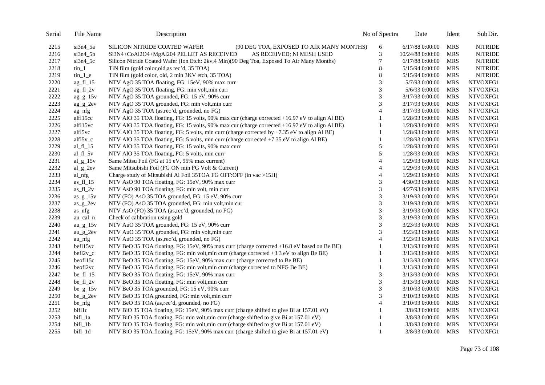| Serial | File Name                          | Description                                                                                    | No of Spectra  | Date              | Ident      | Sub Dir.       |
|--------|------------------------------------|------------------------------------------------------------------------------------------------|----------------|-------------------|------------|----------------|
| 2215   | $si3n4_5a$                         | SILICON NITRIDE COATED WAFER<br>(90 DEG TOA, EXPOSED TO AIR MANY MONTHS)                       | 6              | $6/17/88$ 0:00:00 | <b>MRS</b> | <b>NITRIDE</b> |
| 2216   | $si3n4_5b$                         | Si3N4+CoAl2O4+MgAl204 PELLET AS RECEIVED<br>AS RECEIVED; Ni MESH USED                          | 3              | 10/24/88 0:00:00  | <b>MRS</b> | <b>NITRIDE</b> |
| 2217   | $si3n4_5c$                         | Silicon Nitride Coated Wafer (Ion Etch: 2kv, 4 Min)(90 Deg Toa, Exposed To Air Many Months)    | 7              | $6/17/88$ 0:00:00 | <b>MRS</b> | <b>NITRIDE</b> |
| 2218   | $\tan 1$                           | TiN film (gold color, old, as rec'd, 35 TOA)                                                   | 8              | 5/15/94 0:00:00   | <b>MRS</b> | <b>NITRIDE</b> |
| 2219   | $\text{tin}\_1$ <sup>e</sup>       | TiN film (gold color, old, 2 min 3KV etch, 35 TOA)                                             | 8              | 5/15/94 0:00:00   | <b>MRS</b> | <b>NITRIDE</b> |
| 2220   | $ag_f1_15$                         | NTV AgO 35 TOA floating, FG: 15eV, 90% max curr                                                | 3              | 5/7/93 0:00:00    | <b>MRS</b> | NTVOXFG1       |
| 2221   | $ag_f1_2v$                         | NTV AgO 35 TOA floating, FG: min volt, min curr                                                | 3              | 5/6/93 0:00:00    | <b>MRS</b> | NTVOXFG1       |
| 2222   | $\text{ag}\_ \text{g}\_1\text{5v}$ | NTV AgO 35 TOA grounded, FG: 15 eV, 90% curr                                                   | 3              | 3/17/93 0:00:00   | <b>MRS</b> | NTVOXFG1       |
| 2223   | $ag_g_2$ 2ev                       | NTV AgO 35 TOA grounded, FG: min volt, min curr                                                | 3              | 3/17/93 0:00:00   | <b>MRS</b> | NTVOXFG1       |
| 2224   | ag_nfg                             | NTV AgO 35 TOA (as,rec'd, grounded, no FG)                                                     | $\overline{4}$ | 3/17/93 0:00:00   | <b>MRS</b> | NTVOXFG1       |
| 2225   | alf115cc                           | NTV AlO 35 TOA floating, FG: 15 volts, 90% max cur (charge corrected +16.97 eV to align Al BE) |                | 1/28/93 0:00:00   | <b>MRS</b> | NTVOXFG1       |
| 2226   | alf115vc                           | NTV AlO 35 TOA floating, FG: 15 volts, 90% max cur (charge corrected +16.97 eV to align Al BE) | 1              | 1/28/93 0:00:00   | <b>MRS</b> | NTVOXFG1       |
| 2227   | alf15vc                            | NTV AIO 35 TOA floating, FG: 5 volts, min curr (charge corrected by +7.35 eV to align Al BE)   |                | 1/28/93 0:00:00   | <b>MRS</b> | NTVOXFG1       |
| 2228   | $alf15v_c$                         | NTV AlO 35 TOA floating, FG: 5 volts, min curr (charge corrected +7.35 eV to align Al BE)      |                | 1/28/93 0:00:00   | <b>MRS</b> | NTVOXFG1       |
| 2229   | al_fl_ $15$                        | NTV AlO 35 TOA floating, FG: 15 volts, 90% max curr                                            | 5              | 1/28/93 0:00:00   | <b>MRS</b> | NTVOXFG1       |
| 2230   | al_fl_5v                           | NTV AlO 35 TOA floating, FG: 5 volts, min curr                                                 | 5              | 1/28/93 0:00:00   | <b>MRS</b> | NTVOXFG1       |
| 2231   | $al_{g_1}$ 15v                     | Same Mitsu Foil (FG at 15 eV, 95% max current)                                                 | 4              | 1/29/93 0:00:00   | <b>MRS</b> | NTVOXFG1       |
| 2232   | $al_g_2$                           | Same Mitsubishi Foil (FG ON min FG Volt & Current)                                             | $\overline{4}$ | 1/29/93 0:00:00   | <b>MRS</b> | NTVOXFG1       |
| 2233   | al_nfg                             | Charge study of Mitsubishi Al Foil 35TOA FG OFF:OFF (in vac >15H)                              | 4              | 1/29/93 0:00:00   | <b>MRS</b> | NTVOXFG1       |
| 2234   | as $fl$ 15                         | NTV AsO 90 TOA floating, FG: 15eV, 90% max curr                                                | 3              | 4/30/93 0:00:00   | <b>MRS</b> | NTVOXFG1       |
| 2235   | as_ $f1_2v$                        | NTV AsO 90 TOA floating, FG: min volt, min curr                                                | 3              | 4/27/93 0:00:00   | <b>MRS</b> | NTVOXFG1       |
| 2236   | $as_{g_1}15v$                      | NTV (FO) AsO 35 TOA grounded, FG: 15 eV, 90% curr                                              | 3              | 3/19/93 0:00:00   | <b>MRS</b> | NTVOXFG1       |
| 2237   | $as_{g_2}$                         | NTV (FO) AsO 35 TOA grounded, FG: min volt, min cur                                            | 3              | 3/19/93 0:00:00   | <b>MRS</b> | NTVOXFG1       |
| 2238   | as nfg                             | NTV AsO (FO) 35 TOA (as,rec'd, grounded, no FG)                                                | 3              | 3/19/93 0:00:00   | <b>MRS</b> | NTVOXFG1       |
| 2239   | au_cal_n                           | Check of calibration using gold                                                                | 3              | 3/19/93 0:00:00   | <b>MRS</b> | NTVOXFG1       |
| 2240   | $au_{g_1}$ au_g_15 $v$             | NTV AuO 35 TOA grounded, FG: 15 eV, 90% curr                                                   | 3              | 3/23/93 0:00:00   | <b>MRS</b> | NTVOXFG1       |
| 2241   | $au_{g2}$ 2ev                      | NTV AuO 35 TOA grounded, FG: min volt, min curr                                                | 3              | 3/23/93 0:00:00   | <b>MRS</b> | NTVOXFG1       |
| 2242   | au nfg                             | NTV AuO 35 TOA (as,rec'd, grounded, no FG)                                                     | $\overline{4}$ | 3/23/93 0:00:00   | <b>MRS</b> | NTVOXFG1       |
| 2243   | bef115vc                           | NTV BeO 35 TOA floating, FG: 15eV, 90% max curr (charge corrected +16.8 eV based on Be BE)     | 1              | 3/13/93 0:00:00   | <b>MRS</b> | NTVOXFG1       |
| 2244   | $befl2v_c$                         | NTV BeO 35 TOA floating, FG: min volt, min curr (charge corrected +3.3 eV to align Be BE)      |                | 3/13/93 0:00:00   | <b>MRS</b> | NTVOXFG1       |
| 2245   | beof115c                           | NTV BeO 35 TOA floating, FG: 15eV, 90% max curr (charge corrected to Be BE)                    | 1              | 3/13/93 0:00:00   | <b>MRS</b> | NTVOXFG1       |
| 2246   | beof12vc                           | NTV BeO 35 TOA floating, FG: min volt, min curr (charge corrected to NFG Be BE)                | 1              | 3/13/93 0:00:00   | <b>MRS</b> | NTVOXFG1       |
| 2247   | be_fl_ $15$                        | NTV BeO 35 TOA floating, FG: 15eV, 90% max curr                                                | 3              | 3/13/93 0:00:00   | <b>MRS</b> | NTVOXFG1       |
| 2248   | be_fl_ $2v$                        | NTV BeO 35 TOA floating, FG: min volt, min curr                                                | 3              | 3/13/93 0:00:00   | <b>MRS</b> | NTVOXFG1       |
| 2249   | $be_{g_1}15v$                      | NTV BeO 35 TOA grounded, FG: 15 eV, 90% curr                                                   | 3              | 3/10/93 0:00:00   | <b>MRS</b> | NTVOXFG1       |
| 2250   | $be\_g\_2ev$                       | NTV BeO 35 TOA grounded, FG: min volt, min curr                                                | 3              | 3/10/93 0:00:00   | <b>MRS</b> | NTVOXFG1       |
| 2251   | be_nfg                             | NTV BeO 35 TOA (as,rec'd, grounded, no FG)                                                     | 4              | 3/10/93 0:00:00   | <b>MRS</b> | NTVOXFG1       |
| 2252   | bifllc                             | NTV BiO 35 TOA floating, FG: 15eV, 90% max curr (charge shifted to give Bi at 157.01 eV)       |                | 3/8/93 0:00:00    | <b>MRS</b> | NTVOXFG1       |
| 2253   | bifl_1a                            | NTV BiO 35 TOA floating, FG: min volt, min curr (charge shifted to give Bi at 157.01 eV)       |                | 3/8/93 0:00:00    | <b>MRS</b> | NTVOXFG1       |
| 2254   | bifl_1b                            | NTV BiO 35 TOA floating, FG: min volt, min curr (charge shifted to give Bi at 157.01 eV)       |                | 3/8/93 0:00:00    | <b>MRS</b> | NTVOXFG1       |
| 2255   | bifl_1d                            | NTV BiO 35 TOA floating, FG: 15eV, 90% max curr (charge shifted to give Bi at 157.01 eV)       | 1              | 3/8/93 0:00:00    | MRS        | NTVOXFG1       |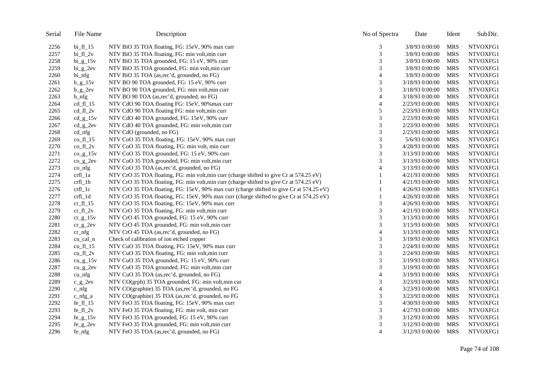| Serial | File Name                        | Description                                                                              | No of Spectra  | Date            | Ident      | Sub Dir. |
|--------|----------------------------------|------------------------------------------------------------------------------------------|----------------|-----------------|------------|----------|
| 2256   | bi_fl_15                         | NTV BiO 35 TOA floating, FG: 15eV, 90% max curr                                          | 3              | 3/8/93 0:00:00  | <b>MRS</b> | NTVOXFG1 |
| 2257   | $bi_f1_2v$                       | NTV BiO 35 TOA floating, FG: min volt, min curr                                          | 3              | 3/8/93 0:00:00  | <b>MRS</b> | NTVOXFG1 |
| 2258   | $bi_{g_15v}$                     | NTV BiO 35 TOA grounded, FG: 15 eV, 90% curr                                             | 3              | 3/8/93 0:00:00  | <b>MRS</b> | NTVOXFG1 |
| 2259   | $bi_g2ev$                        | NTV BiO 35 TOA grounded, FG: min volt, min curr                                          | 3              | 3/8/93 0:00:00  | <b>MRS</b> | NTVOXFG1 |
| 2260   | bi_nfg                           | NTV BiO 35 TOA (as,rec'd, grounded, no FG)                                               | $\overline{4}$ | 3/8/93 0:00:00  | <b>MRS</b> | NTVOXFG1 |
| 2261   | $b_{g_1}15v$                     | NTV BO 90 TOA grounded, FG: 15 eV, 90% curr                                              | 3              | 3/18/93 0:00:00 | <b>MRS</b> | NTVOXFG1 |
| 2262   | $b_{g2}$                         | NTV BO 90 TOA grounded, FG: min volt, min curr                                           | 3              | 3/18/93 0:00:00 | <b>MRS</b> | NTVOXFG1 |
| 2263   | $b_{n}$                          | NTV BO 90 TOA (as,rec'd, grounded, no FG)                                                | 4              | 3/18/93 0:00:00 | <b>MRS</b> | NTVOXFG1 |
| 2264   | $cd_f1_1$                        | NTV CdO 90 TOA floating FG: 15eV, 90% max curr                                           | 4              | 2/23/93 0:00:00 | <b>MRS</b> | NTVOXFG1 |
| 2265   | $cd_f1_2v$                       | NTV CdO 90 TOA floating FG: min volt, min curr                                           | 5              | 2/23/93 0:00:00 | <b>MRS</b> | NTVOXFG1 |
| 2266   | $cd\_g\_15v$                     | NTV CdO 40 TOA grounded, FG: 15eV, 90% curr                                              | 3              | 2/23/93 0:00:00 | <b>MRS</b> | NTVOXFG1 |
| 2267   | $cd\_g\_2ev$                     | NTV CdO 40 TOA grounded, FG: min volt, min curr                                          | 3              | 2/23/93 0:00:00 | <b>MRS</b> | NTVOXFG1 |
| 2268   | cd_nfg                           | NTV CdO (grounded, no FG)                                                                | 3              | 2/23/93 0:00:00 | <b>MRS</b> | NTVOXFG1 |
| 2269   | $co_f1_15$                       | NTV CoO 35 TOA floating, FG: 15eV, 90% max curr                                          | 3              | 5/6/93 0:00:00  | <b>MRS</b> | NTVOXFG1 |
| 2270   | $co_f1_2v$                       | NTV CoO 35 TOA floating, FG: min volt, min curr                                          | 3              | 4/28/93 0:00:00 | <b>MRS</b> | NTVOXFG1 |
| 2271   | $co\_g\_15v$                     | NTV CoO 35 TOA grounded, FG: 15 eV, 90% curr                                             | 3              | 3/13/93 0:00:00 | <b>MRS</b> | NTVOXFG1 |
| 2272   | $\frac{\text{co}}{\text{g}}$ 2ev | NTV CoO 35 TOA grounded, FG: min volt, min curr                                          | 3              | 3/13/93 0:00:00 | <b>MRS</b> | NTVOXFG1 |
| 2273   | $co_n f$                         | NTV CoO 35 TOA (as,rec'd, grounded, no FG)                                               | 4              | 3/13/93 0:00:00 | <b>MRS</b> | NTVOXFG1 |
| 2274   | crfl_1a                          | NTV CrO 35 TOA floating, FG: min volt, min curr (charge shifted to give Cr at 574.25 eV) |                | 4/21/93 0:00:00 | <b>MRS</b> | NTVOXFG1 |
| 2275   | $crfl_1b$                        | NTV CrO 35 TOA floating, FG: min volt, min curr (charge shifted to give Cr at 574.25 eV) | 1              | 4/21/93 0:00:00 | <b>MRS</b> | NTVOXFG1 |
| 2276   | crfl_1c                          | NTV CrO 35 TOA floating, FG: 15eV, 90% max curr (charge shifted to give Cr at 574.25 eV) | 1              | 4/26/93 0:00:00 | <b>MRS</b> | NTVOXFG1 |
| 2277   | crfl_1d                          | NTV CrO 35 TOA floating, FG: 15eV, 90% max curr (charge shifted to give Cr at 574.25 eV) | 1              | 4/26/93 0:00:00 | <b>MRS</b> | NTVOXFG1 |
| 2278   | cr fl $15$                       | NTV CrO 35 TOA floating, FG: 15eV, 90% max curr                                          | 3              | 4/26/93 0:00:00 | <b>MRS</b> | NTVOXFG1 |
| 2279   | $cr_f1_2v$                       | NTV CrO 35 TOA floating, FG: min volt, min curr                                          | 3              | 4/21/93 0:00:00 | <b>MRS</b> | NTVOXFG1 |
| 2280   | $cr\_g\_15v$                     | NTV CrO 45 TOA grounded, FG: 15 eV, 90% curr                                             | 3              | 3/13/93 0:00:00 | <b>MRS</b> | NTVOXFG1 |
| 2281   | $cr\_g\_2ev$                     | NTV CrO 45 TOA grounded, FG: min volt, min curr                                          | 3              | 3/13/93 0:00:00 | MRS        | NTVOXFG1 |
| 2282   | $cr_n\$                          | NTV CrO 45 TOA (as, rec'd, grounded, no FG)                                              | $\overline{4}$ | 3/13/93 0:00:00 | <b>MRS</b> | NTVOXFG1 |
| 2283   | cu_cal_n                         | Check of calibration of ion etched copper                                                | 3              | 3/19/93 0:00:00 | <b>MRS</b> | NTVOXFG1 |
| 2284   | $cu_f1_15$                       | NTV CuO 35 TOA floating, FG: 15eV, 90% max curr                                          | 3              | 2/24/93 0:00:00 | <b>MRS</b> | NTVOXFG1 |
| 2285   | $cu_f1_2v$                       | NTV CuO 35 TOA floating, FG: min volt, min curr                                          | 3              | 2/24/93 0:00:00 | <b>MRS</b> | NTVOXFG1 |
| 2286   | $cu_{g}$ 15 $v$                  | NTV CuO 35 TOA grounded, FG: 15 eV, 90% curr                                             | 3              | 3/19/93 0:00:00 | <b>MRS</b> | NTVOXFG1 |
| 2287   | $cu_{g2}$                        | NTV CuO 35 TOA grounded, FG: min volt, min curr                                          | 3              | 3/19/93 0:00:00 | <b>MRS</b> | NTVOXFG1 |
| 2288   | $cu_{nfg}$                       | NTV CuO 35 TOA (as,rec'd, grounded, no FG)                                               | 4              | 3/19/93 0:00:00 | <b>MRS</b> | NTVOXFG1 |
| 2289   | $c_{g2}$                         | NTV CO(grph) 35 TOA grounded, FG: min volt, min cur                                      | 3              | 3/23/93 0:00:00 | <b>MRS</b> | NTVOXFG1 |
| 2290   | $c_{n}$                          | NTV CO(graphite) 35 TOA (as,rec'd, grounded, no FG                                       | 4              | 3/23/93 0:00:00 | <b>MRS</b> | NTVOXFG1 |
| 2291   | $c_$ nfg $a$                     | NTV CO(graphite) 35 TOA (as,rec'd, grounded, no FG                                       | 3              | 3/23/93 0:00:00 | <b>MRS</b> | NTVOXFG1 |
| 2292   | $fe_f1_15$                       | NTV FeO 35 TOA floating, FG: 15eV, 90% max curr                                          | 3              | 4/30/93 0:00:00 | <b>MRS</b> | NTVOXFG1 |
| 2293   | $fe_f1_2v$                       | NTV FeO 35 TOA floating, FG: min volt, min curr                                          | 3              | 4/27/93 0:00:00 | <b>MRS</b> | NTVOXFG1 |
| 2294   | $fe_{g_1}15v$                    | NTV FeO 35 TOA grounded, FG: 15 eV, 90% curr                                             | 3              | 3/12/93 0:00:00 | <b>MRS</b> | NTVOXFG1 |
| 2295   | $fe_g_2$                         | NTV FeO 35 TOA grounded, FG: min volt, min curr                                          | 3              | 3/12/93 0:00:00 | <b>MRS</b> | NTVOXFG1 |
| 2296   | $fe_{n}$                         | NTV FeO 35 TOA (as,rec'd, grounded, no FG)                                               | $\overline{4}$ | 3/12/93 0:00:00 | <b>MRS</b> | NTVOXFG1 |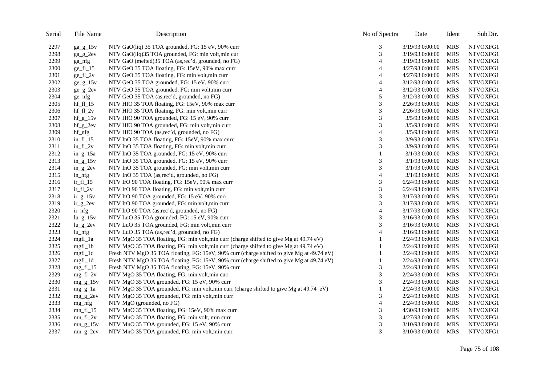| Serial | File Name        | Description                                                                               | No of Spectra               | Date            | Ident      | Sub Dir. |
|--------|------------------|-------------------------------------------------------------------------------------------|-----------------------------|-----------------|------------|----------|
| 2297   | $ga_{g_1}g_215v$ | NTV GaO(liq) 35 TOA grounded, FG: 15 eV, 90% curr                                         | 3                           | 3/19/93 0:00:00 | MRS        | NTVOXFG1 |
| 2298   | $ga_{g2}$        | NTV GaO(liq)35 TOA grounded, FG: min volt, min cur                                        | 3                           | 3/19/93 0:00:00 | <b>MRS</b> | NTVOXFG1 |
| 2299   | ga_nfg           | NTV GaO (melted)35 TOA (as,rec'd, grounded, no FG)                                        | $\overline{4}$              | 3/19/93 0:00:00 | <b>MRS</b> | NTVOXFG1 |
| 2300   | $ge_f1_15$       | NTV GeO 35 TOA floating, FG: 15eV, 90% max curr                                           | 4                           | 4/27/93 0:00:00 | <b>MRS</b> | NTVOXFG1 |
| 2301   | $ge_f1_2v$       | NTV GeO 35 TOA floating, FG: min volt, min curr                                           | 4                           | 4/27/93 0:00:00 | <b>MRS</b> | NTVOXFG1 |
| 2302   | $ge\_g\_15v$     | NTV GeO 35 TOA grounded, FG: 15 eV, 90% curr                                              | $\overline{A}$              | 3/12/93 0:00:00 | <b>MRS</b> | NTVOXFG1 |
| 2303   | $ge\_g_2$        | NTV GeO 35 TOA grounded, FG: min volt, min curr                                           | 4                           | 3/12/93 0:00:00 | <b>MRS</b> | NTVOXFG1 |
| 2304   | ge_nfg           | NTV GeO 35 TOA (as,rec'd, grounded, no FG)                                                | 5                           | 3/12/93 0:00:00 | <b>MRS</b> | NTVOXFG1 |
| 2305   | $hf_f1_13$       | NTV HfO 35 TOA floating, FG: 15eV, 90% max curr                                           | $\mathfrak 3$               | 2/26/93 0:00:00 | <b>MRS</b> | NTVOXFG1 |
| 2306   | $hf_f1_2v$       | NTV HfO 35 TOA floating, FG: min volt, min curr                                           | 3                           | 2/26/93 0:00:00 | <b>MRS</b> | NTVOXFG1 |
| 2307   | $hf_g_15v$       | NTV HfO 90 TOA grounded, FG: 15 eV, 90% curr                                              | 3                           | 3/5/93 0:00:00  | <b>MRS</b> | NTVOXFG1 |
| 2308   | $hf_g_2$         | NTV HfO 90 TOA grounded, FG: min volt, min curr                                           | 3                           | 3/5/93 0:00:00  | <b>MRS</b> | NTVOXFG1 |
| 2309   | $hf_{n}$         | NTV HfO 90 TOA (as,rec'd, grounded, no FG)                                                | $\overline{4}$              | 3/5/93 0:00:00  | <b>MRS</b> | NTVOXFG1 |
| 2310   | $in_f1_15$       | NTV InO 35 TOA floating, FG: 15eV, 90% max curr                                           | 3                           | 3/9/93 0:00:00  | <b>MRS</b> | NTVOXFG1 |
| 2311   | $in_f1_2v$       | NTV InO 35 TOA floating, FG: min volt, min curr                                           | 3                           | 3/9/93 0:00:00  | <b>MRS</b> | NTVOXFG1 |
| 2312   | $in_{g_1}15a$    | NTV InO 35 TOA grounded, FG: 15 eV, 90% curr                                              | 1                           | 3/1/93 0:00:00  | <b>MRS</b> | NTVOXFG1 |
| 2313   | in $g_{15v}$     | NTV InO 35 TOA grounded, FG: 15 eV, 90% curr                                              | $\ensuremath{\mathfrak{Z}}$ | 3/1/93 0:00:00  | <b>MRS</b> | NTVOXFG1 |
| 2314   | $in_{g_2}$ 2ev   | NTV InO 35 TOA grounded, FG: min volt, min curr                                           | 3                           | 3/1/93 0:00:00  | <b>MRS</b> | NTVOXFG1 |
| 2315   | $in\_nfg$        | NTV InO 35 TOA (as,rec'd, grounded, no FG)                                                | $\overline{4}$              | 3/1/93 0:00:00  | <b>MRS</b> | NTVOXFG1 |
| 2316   | $ir_f1_15$       | NTV IrO 90 TOA floating, FG: 15eV, 90% max curr                                           | 3                           | 6/24/93 0:00:00 | <b>MRS</b> | NTVOXFG1 |
| 2317   | $ir_f1_2v$       | NTV IrO 90 TOA floating, FG: min volt, min curr                                           | 3                           | 6/24/93 0:00:00 | <b>MRS</b> | NTVOXFG1 |
| 2318   | $ir_{g_1}15v$    | NTV IrO 90 TOA grounded, FG: 15 eV, 90% curr                                              | 3                           | 3/17/93 0:00:00 | <b>MRS</b> | NTVOXFG1 |
| 2319   | $ir_{g2}$        | NTV IrO 90 TOA grounded, FG: min volt, min curr                                           | 3                           | 3/17/93 0:00:00 | <b>MRS</b> | NTVOXFG1 |
| 2320   | $ir_{n}$         | NTV IrO 90 TOA (as,rec'd, grounded, no FG)                                                | $\overline{4}$              | 3/17/93 0:00:00 | <b>MRS</b> | NTVOXFG1 |
| 2321   | $lu_g_15v$       | NTV LuO 35 TOA grounded, FG: 15 eV, 90% curr                                              | 3                           | 3/16/93 0:00:00 | <b>MRS</b> | NTVOXFG1 |
| 2322   | $lu_g_2$         | NTV LuO 35 TOA grounded, FG: min volt, min curr                                           | 3                           | 3/16/93 0:00:00 | <b>MRS</b> | NTVOXFG1 |
| 2323   | $lu_{nfg}$       | NTV LuO 35 TOA (as,rec'd, grounded, no FG)                                                | $\overline{4}$              | 3/16/93 0:00:00 | <b>MRS</b> | NTVOXFG1 |
| 2324   | mgfl_1a          | NTV MgO 35 TOA floating, FG: min volt, min curr (charge shifted to give Mg at 49.74 eV)   |                             | 2/24/93 0:00:00 | <b>MRS</b> | NTVOXFG1 |
| 2325   | mgfl_1b          | NTV MgO 35 TOA floating, FG: min volt, min curr (charge shifted to give Mg at 49.74 eV)   | 1                           | 2/24/93 0:00:00 | MRS        | NTVOXFG1 |
| 2326   | $mgfl_l$         | Fresh NTV MgO 35 TOA floating, FG: 15eV, 90% curr (charge shifted to give Mg at 49.74 eV) |                             | 2/24/93 0:00:00 | <b>MRS</b> | NTVOXFG1 |
| 2327   | mgfl_1d          | Fresh NTV MgO 35 TOA floating, FG: 15eV, 90% curr (charge shifted to give Mg at 49.74 eV) |                             | 2/24/93 0:00:00 | <b>MRS</b> | NTVOXFG1 |
| 2328   | mg $fl$ 15       | Fresh NTV MgO 35 TOA floating, FG: 15eV, 90% curr                                         | 3                           | 2/24/93 0:00:00 | <b>MRS</b> | NTVOXFG1 |
| 2329   | $mg_f1_2v$       | NTV MgO 35 TOA floating, FG: min volt, min curr                                           | 3                           | 2/24/93 0:00:00 | <b>MRS</b> | NTVOXFG1 |
| 2330   | $mg_g_15v$       | NTV MgO 35 TOA grounded, FG: 15 eV, 90% curr                                              | 3                           | 2/24/93 0:00:00 | <b>MRS</b> | NTVOXFG1 |
| 2331   | $mg_g_l1a$       | NTV MgO 35 TOA grounded, FG: min volt, min curr (charge shifted to give Mg at 49.74 eV)   | 1                           | 2/24/93 0:00:00 | <b>MRS</b> | NTVOXFG1 |
| 2332   | $mg_g_2$         | NTV MgO 35 TOA grounded, FG: min volt, min curr                                           | 3                           | 2/24/93 0:00:00 | <b>MRS</b> | NTVOXFG1 |
| 2333   | mg_nfg           | NTV MgO (grounded, no FG)                                                                 | $\overline{4}$              | 2/24/93 0:00:00 | <b>MRS</b> | NTVOXFG1 |
| 2334   | $mn_f1_15$       | NTV MnO 35 TOA floating, FG: 15eV, 90% max curr                                           | 3                           | 4/30/93 0:00:00 | <b>MRS</b> | NTVOXFG1 |
| 2335   | $mn_fl_2v$       | NTV MnO 35 TOA floating, FG: min volt, min curr                                           | 3                           | 4/27/93 0:00:00 | <b>MRS</b> | NTVOXFG1 |
| 2336   | $mn_{g}$ 15 $v$  | NTV MnO 35 TOA grounded, FG: 15 eV, 90% curr                                              | 3                           | 3/10/93 0:00:00 | <b>MRS</b> | NTVOXFG1 |
| 2337   | $mn_g_2$         | NTV MnO 35 TOA grounded, FG: min volt, min curr                                           | 3                           | 3/10/93 0:00:00 | <b>MRS</b> | NTVOXFG1 |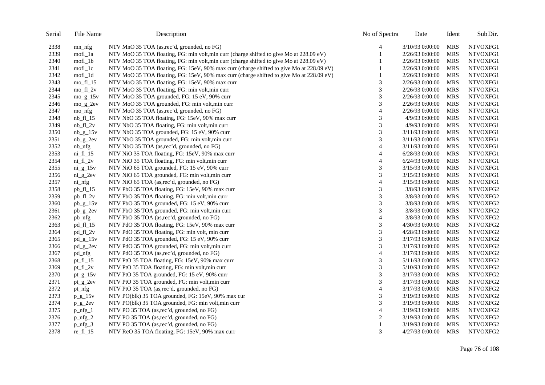| Serial | File Name          | Description                                                                              | No of Spectra  | Date            | Ident      | Sub Dir. |
|--------|--------------------|------------------------------------------------------------------------------------------|----------------|-----------------|------------|----------|
| 2338   | $mn_{n}$           | NTV MnO 35 TOA (as,rec'd, grounded, no FG)                                               | 4              | 3/10/93 0:00:00 | <b>MRS</b> | NTVOXFG1 |
| 2339   | mofl_1a            | NTV MoO 35 TOA floating, FG: min volt, min curr (charge shifted to give Mo at 228.09 eV) |                | 2/26/93 0:00:00 | <b>MRS</b> | NTVOXFG1 |
| 2340   | mofl_1b            | NTV MoO 35 TOA floating, FG: min volt, min curr (charge shifted to give Mo at 228.09 eV) |                | 2/26/93 0:00:00 | <b>MRS</b> | NTVOXFG1 |
| 2341   | mol <sub>1c</sub>  | NTV MoO 35 TOA floating, FG: 15eV, 90% max curr (charge shifted to give Mo at 228.09 eV) |                | 2/26/93 0:00:00 | MRS        | NTVOXFG1 |
| 2342   | mofl_1d            | NTV MoO 35 TOA floating, FG: 15eV, 90% max curr (charge shifted to give Mo at 228.09 eV) |                | 2/26/93 0:00:00 | <b>MRS</b> | NTVOXFG1 |
| 2343   | $mo_f1_15$         | NTV MoO 35 TOA floating, FG: 15eV, 90% max curr                                          | 3              | 2/26/93 0:00:00 | <b>MRS</b> | NTVOXFG1 |
| 2344   | $mo_f1_2v$         | NTV MoO 35 TOA floating, FG: min volt, min curr                                          | 3              | 2/26/93 0:00:00 | <b>MRS</b> | NTVOXFG1 |
| 2345   | $mo_g_15v$         | NTV MoO 35 TOA grounded, FG: 15 eV, 90% curr                                             | 3              | 2/26/93 0:00:00 | <b>MRS</b> | NTVOXFG1 |
| 2346   | $mo_g_2$           | NTV MoO 35 TOA grounded, FG: min volt, min curr                                          | 3              | 2/26/93 0:00:00 | <b>MRS</b> | NTVOXFG1 |
| 2347   | mo_nfg             | NTV MoO 35 TOA (as,rec'd, grounded, no FG)                                               | $\overline{4}$ | 2/26/93 0:00:00 | <b>MRS</b> | NTVOXFG1 |
| 2348   | $nb_f1_15$         | NTV NbO 35 TOA floating, FG: 15eV, 90% max curr                                          | 3              | 4/9/93 0:00:00  | <b>MRS</b> | NTVOXFG1 |
| 2349   | $nb_fl_2v$         | NTV NbO 35 TOA floating, FG: min volt, min curr                                          | 3              | 4/9/93 0:00:00  | <b>MRS</b> | NTVOXFG1 |
| 2350   | $nb_g_15v$         | NTV NbO 35 TOA grounded, FG: 15 eV, 90% curr                                             | 3              | 3/11/93 0:00:00 | <b>MRS</b> | NTVOXFG1 |
| 2351   | $nb_g2ev$          | NTV NbO 35 TOA grounded, FG: min volt, min curr                                          | 3              | 3/11/93 0:00:00 | <b>MRS</b> | NTVOXFG1 |
| 2352   | $nb_{nfg}$         | NTV NbO 35 TOA (as,rec'd, grounded, no FG)                                               | 4              | 3/11/93 0:00:00 | <b>MRS</b> | NTVOXFG1 |
| 2353   | $ni_f1_15$         | NTV NiO 35 TOA floating, FG: 15eV, 90% max curr                                          | 4              | 6/28/93 0:00:00 | <b>MRS</b> | NTVOXFG1 |
| 2354   | $ni_f1_2v$         | NTV NiO 35 TOA floating, FG: min volt, min curr                                          | $\overline{4}$ | 6/24/93 0:00:00 | <b>MRS</b> | NTVOXFG1 |
| 2355   | $ni_{g_1}$ 15 $v$  | NTV NiO 65 TOA grounded, FG: 15 eV, 90% curr                                             | 3              | 3/15/93 0:00:00 | <b>MRS</b> | NTVOXFG1 |
| 2356   | $ni_{g_2}$ 2ev     | NTV NiO 65 TOA grounded, FG: min volt, min curr                                          | 3              | 3/15/93 0:00:00 | <b>MRS</b> | NTVOXFG1 |
| 2357   | $ni_{\text{infg}}$ | NTV NiO 65 TOA (as,rec'd, grounded, no FG)                                               | 4              | 3/15/93 0:00:00 | <b>MRS</b> | NTVOXFG1 |
| 2358   | pb_fl_15           | NTV PbO 35 TOA floating, FG: 15eV, 90% max curr                                          | 3              | 3/8/93 0:00:00  | <b>MRS</b> | NTVOXFG2 |
| 2359   | pb_fl_2v           | NTV PbO 35 TOA floating, FG: min volt, min curr                                          | 3              | 3/8/93 0:00:00  | <b>MRS</b> | NTVOXFG2 |
| 2360   | $pb\_g\_15v$       | NTV PbO 35 TOA grounded, FG: 15 eV, 90% curr                                             | 3              | 3/8/93 0:00:00  | MRS        | NTVOXFG2 |
| 2361   | $pb\_g\_2ev$       | NTV PbO 35 TOA grounded, FG: min volt, min curr                                          | 3              | 3/8/93 0:00:00  | <b>MRS</b> | NTVOXFG2 |
| 2362   | pb_nfg             | NTV PbO 35 TOA (as,rec'd, grounded, no FG)                                               | 4              | 3/8/93 0:00:00  | <b>MRS</b> | NTVOXFG2 |
| 2363   | $pd_f1_15$         | NTV PdO 35 TOA floating, FG: 15eV, 90% max curr                                          | 3              | 4/30/93 0:00:00 | <b>MRS</b> | NTVOXFG2 |
| 2364   | pd_fl_2v           | NTV PdO 35 TOA floating, FG: min volt, min curr                                          | 3              | 4/28/93 0:00:00 | <b>MRS</b> | NTVOXFG2 |
| 2365   | $pd_g$ 15v         | NTV PdO 35 TOA grounded, FG: 15 eV, 90% curr                                             | 3              | 3/17/93 0:00:00 | <b>MRS</b> | NTVOXFG2 |
| 2366   | $pd_g$ 2ev         | NTV PdO 35 TOA grounded, FG: min volt, min curr                                          | 3              | 3/17/93 0:00:00 | <b>MRS</b> | NTVOXFG2 |
| 2367   | pd_nfg             | NTV PdO 35 TOA (as,rec'd, grounded, no FG)                                               | 4              | 3/17/93 0:00:00 | <b>MRS</b> | NTVOXFG2 |
| 2368   | $pt_f1_13$         | NTV PtO 35 TOA floating, FG: 15eV, 90% max curr                                          | 3              | 5/11/93 0:00:00 | <b>MRS</b> | NTVOXFG2 |
| 2369   | $pt_f1_2v$         | NTV PtO 35 TOA floating, FG: min volt, min curr                                          | 3              | 5/10/93 0:00:00 | <b>MRS</b> | NTVOXFG2 |
| 2370   | pt_g_ $15v$        | NTV PtO 35 TOA grounded, FG: 15 eV, 90% curr                                             | 3              | 3/17/93 0:00:00 | <b>MRS</b> | NTVOXFG2 |
| 2371   | $pt\_g\_2ev$       | NTV PtO 35 TOA grounded, FG: min volt, min curr                                          | 3              | 3/17/93 0:00:00 | <b>MRS</b> | NTVOXFG2 |
| 2372   | pt_nfg             | NTV PtO 35 TOA (as,rec'd, grounded, no FG)                                               | 4              | 3/17/93 0:00:00 | <b>MRS</b> | NTVOXFG2 |
| 2373   | $p_{g_1}$ $15v$    | NTV PO(blk) 35 TOA grounded, FG: 15eV, 90% max cur                                       | 3              | 3/19/93 0:00:00 | <b>MRS</b> | NTVOXFG2 |
| 2374   | $p_g$ 2ev          | NTV PO(blk) 35 TOA grounded, FG: min volt, min curr                                      | 3              | 3/19/93 0:00:00 | <b>MRS</b> | NTVOXFG2 |
| 2375   | $p_nfg_1$          | NTV PO 35 TOA (as,rec'd, grounded, no FG)                                                | 4              | 3/19/93 0:00:00 | <b>MRS</b> | NTVOXFG2 |
| 2376   | $p_nfg_2$          | NTV PO 35 TOA (as,rec'd, grounded, no FG)                                                | $\overline{c}$ | 3/19/93 0:00:00 | <b>MRS</b> | NTVOXFG2 |
| 2377   | $p_nfg_3$          | NTV PO 35 TOA (as,rec'd, grounded, no FG)                                                | 1              | 3/19/93 0:00:00 | <b>MRS</b> | NTVOXFG2 |
| 2378   | $re_f1_15$         | NTV ReO 35 TOA floating, FG: 15eV, 90% max curr                                          | 3              | 4/27/93 0:00:00 | <b>MRS</b> | NTVOXFG2 |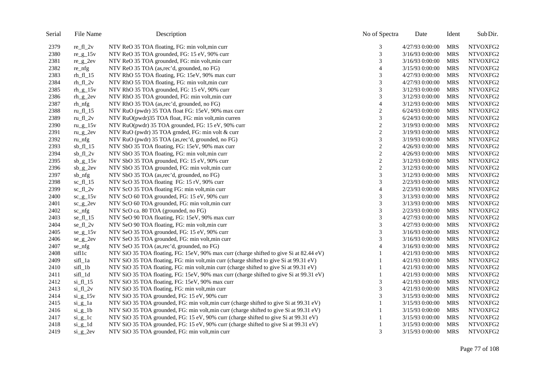| Serial | File Name      | Description                                                                             | No of Spectra  | Date            | Ident      | Sub Dir. |
|--------|----------------|-----------------------------------------------------------------------------------------|----------------|-----------------|------------|----------|
| 2379   | $re_f1_2v$     | NTV ReO 35 TOA floating, FG: min volt, min curr                                         | 3              | 4/27/93 0:00:00 | <b>MRS</b> | NTVOXFG2 |
| 2380   | $re\_g\_15v$   | NTV ReO 35 TOA grounded, FG: 15 eV, 90% curr                                            | 3              | 3/16/93 0:00:00 | <b>MRS</b> | NTVOXFG2 |
| 2381   | $re\_g_2ev$    | NTV ReO 35 TOA grounded, FG: min volt, min curr                                         | 3              | 3/16/93 0:00:00 | <b>MRS</b> | NTVOXFG2 |
| 2382   | re_nfg         | NTV ReO 35 TOA (as,rec'd, grounded, no FG)                                              | $\overline{4}$ | 3/15/93 0:00:00 | <b>MRS</b> | NTVOXFG2 |
| 2383   | $rh_f1_15$     | NTV RhO 55 TOA floating, FG: 15eV, 90% max curr                                         | 3              | 4/27/93 0:00:00 | <b>MRS</b> | NTVOXFG2 |
| 2384   | $rh_f1_2v$     | NTV RhO 55 TOA floating, FG: min volt, min curr                                         | 3              | 4/27/93 0:00:00 | <b>MRS</b> | NTVOXFG2 |
| 2385   | $rh_g_15v$     | NTV RhO 35 TOA grounded, FG: 15 eV, 90% curr                                            | 3              | 3/12/93 0:00:00 | <b>MRS</b> | NTVOXFG2 |
| 2386   | $rh_g_2$       | NTV RhO 35 TOA grounded, FG: min volt, min curr                                         | 3              | 3/12/93 0:00:00 | <b>MRS</b> | NTVOXFG2 |
| 2387   | rh_nfg         | NTV RhO 35 TOA (as,rec'd, grounded, no FG)                                              | $\overline{4}$ | 3/12/93 0:00:00 | <b>MRS</b> | NTVOXFG2 |
| 2388   | $ru_f1_15$     | NTV RuO (pwdr) 35 TOA float FG: 15eV, 90% max curr                                      | $\overline{2}$ | 6/24/93 0:00:00 | <b>MRS</b> | NTVOXFG2 |
| 2389   | ru_fl_ $2v$    | NTV RuO(pwdr)35 TOA float, FG: min volt, min curren                                     | 3              | 6/24/93 0:00:00 | <b>MRS</b> | NTVOXFG2 |
| 2390   | ru_g_ $15v$    | NTV RuO(pwdr) 35 TOA grounded, FG: 15 eV, 90% curr                                      | $\overline{c}$ | 3/19/93 0:00:00 | <b>MRS</b> | NTVOXFG2 |
| 2391   | $ru_g2ev$      | NTV RuO (pwdr) 35 TOA grnded, FG: min volt & curr                                       | $\sqrt{2}$     | 3/19/93 0:00:00 | <b>MRS</b> | NTVOXFG2 |
| 2392   | ru_nfg         | NTV RuO (pwdr) 35 TOA (as,rec'd, grounded, no FG)                                       | 3              | 3/19/93 0:00:00 | <b>MRS</b> | NTVOXFG2 |
| 2393   | $sb_f1_15$     | NTV SbO 35 TOA floating, FG: 15eV, 90% max curr                                         | $\sqrt{2}$     | 4/26/93 0:00:00 | <b>MRS</b> | NTVOXFG2 |
| 2394   | $sb_f1_2v$     | NTV SbO 35 TOA floating, FG: min volt, min curr                                         | $\overline{c}$ | 4/26/93 0:00:00 | <b>MRS</b> | NTVOXFG2 |
| 2395   | $sb_{g_1}15v$  | NTV SbO 35 TOA grounded, FG: 15 eV, 90% curr                                            | $\sqrt{2}$     | 3/12/93 0:00:00 | <b>MRS</b> | NTVOXFG2 |
| 2396   | $sb\_g_2$      | NTV SbO 35 TOA grounded, FG: min volt, min curr                                         | $\mathbf{2}$   | 3/12/93 0:00:00 | <b>MRS</b> | NTVOXFG2 |
| 2397   | sb_nfg         | NTV SbO 35 TOA (as,rec'd, grounded, no FG)                                              | $\mathfrak{Z}$ | 3/12/93 0:00:00 | <b>MRS</b> | NTVOXFG2 |
| 2398   | $sc_f1_15$     | NTV ScO 35 TOA floating FG: 15 rV, 90% curr                                             | 3              | 2/23/93 0:00:00 | <b>MRS</b> | NTVOXFG2 |
| 2399   | $sc_f1_2v$     | NTV ScO 35 TOA floating FG: min volt, min curr                                          | $\overline{4}$ | 2/23/93 0:00:00 | <b>MRS</b> | NTVOXFG2 |
| 2400   | $sc\_g\_15v$   | NTV ScO 60 TOA grounded, FG: 15 eV, 90% curr                                            | 3              | 3/13/93 0:00:00 | <b>MRS</b> | NTVOXFG2 |
| 2401   | $sc_g2ev$      | NTV ScO 60 TOA grounded, FG: min volt, min curr                                         | 3              | 3/13/93 0:00:00 | <b>MRS</b> | NTVOXFG2 |
| 2402   | sc_nfg         | NTV ScO ca. 80 TOA (grounded, no FG)                                                    | 3              | 2/23/93 0:00:00 | <b>MRS</b> | NTVOXFG2 |
| 2403   | $se_f1_15$     | NTV SeO 90 TOA floating, FG: 15eV, 90% max curr                                         | $\mathfrak 3$  | 4/27/93 0:00:00 | <b>MRS</b> | NTVOXFG2 |
| 2404   | $se_f1_2v$     | NTV SeO 90 TOA floating, FG: min volt, min curr                                         | 3              | 4/27/93 0:00:00 | <b>MRS</b> | NTVOXFG2 |
| 2405   | $se\_g\_15v$   | NTV SeO 35 TOA grounded, FG: 15 eV, 90% curr                                            | 3              | 3/16/93 0:00:00 | <b>MRS</b> | NTVOXFG2 |
| 2406   | $se\_g_2$      | NTV SeO 35 TOA grounded, FG: min volt, min curr                                         | 3              | 3/16/93 0:00:00 | <b>MRS</b> | NTVOXFG2 |
| 2407   | se_nfg         | NTV SeO 35 TOA (as,rec'd, grounded, no FG)                                              | $\overline{4}$ | 3/16/93 0:00:00 | <b>MRS</b> | NTVOXFG2 |
| 2408   | sifllc         | NTV SiO 35 TOA floating, FG: 15eV, 90% max curr (charge shifted to give Si at 82.44 eV) |                | 4/21/93 0:00:00 | <b>MRS</b> | NTVOXFG2 |
| 2409   | sifl_1a        | NTV SiO 35 TOA floating, FG: min volt, min curr (charge shifted to give Si at 99.31 eV) |                | 4/21/93 0:00:00 | <b>MRS</b> | NTVOXFG2 |
| 2410   | sifl_1b        | NTV SiO 35 TOA floating, FG: min volt, min curr (charge shifted to give Si at 99.31 eV) |                | 4/21/93 0:00:00 | <b>MRS</b> | NTVOXFG2 |
| 2411   | sifl_1d        | NTV SiO 35 TOA floating, FG: 15eV, 90% max curr (charge shifted to give Si at 99.31 eV) |                | 4/21/93 0:00:00 | <b>MRS</b> | NTVOXFG2 |
| 2412   | $\sin$ fl 15   | NTV SiO 35 TOA floating, FG: 15eV, 90% max curr                                         | 3              | 4/21/93 0:00:00 | <b>MRS</b> | NTVOXFG2 |
| 2413   | $si_f1_2v$     | NTV SiO 35 TOA floating, FG: min volt, min curr                                         | 3              | 4/21/93 0:00:00 | <b>MRS</b> | NTVOXFG2 |
| 2414   | $si_g$ 15 $v$  | NTV SiO 35 TOA grounded, FG: 15 eV, 90% curr                                            | 3              | 3/15/93 0:00:00 | <b>MRS</b> | NTVOXFG2 |
| 2415   | $si_g_1$       | NTV SiO 35 TOA grounded, FG: min volt, min curr (charge shifted to give Si at 99.31 eV) |                | 3/15/93 0:00:00 | <b>MRS</b> | NTVOXFG2 |
| 2416   | $si_g_1$       | NTV SiO 35 TOA grounded, FG: min volt, min curr (charge shifted to give Si at 99.31 eV) |                | 3/15/93 0:00:00 | <b>MRS</b> | NTVOXFG2 |
| 2417   | $si_g$ 1c      | NTV SiO 35 TOA grounded, FG: 15 eV, 90% curr (charge shifted to give Si at 99.31 eV)    |                | 3/15/93 0:00:00 | <b>MRS</b> | NTVOXFG2 |
| 2418   | $si_g$ 1d      | NTV SiO 35 TOA grounded, FG: 15 eV, 90% curr (charge shifted to give Si at 99.31 eV)    |                | 3/15/93 0:00:00 | <b>MRS</b> | NTVOXFG2 |
| 2419   | $si$ $g$ $2ev$ | NTV SiO 35 TOA grounded, FG: min volt, min curr                                         | 3              | 3/15/93 0:00:00 | <b>MRS</b> | NTVOXFG2 |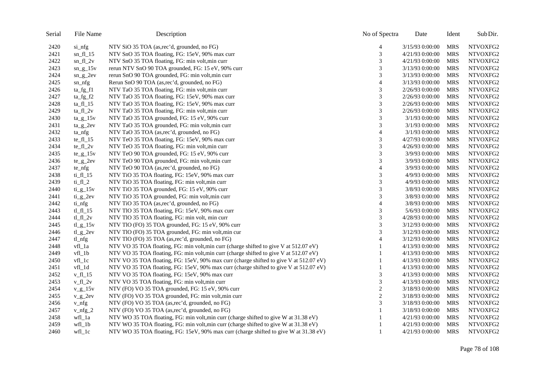| Serial | File Name               | Description                                                                            | No of Spectra    | Date            | Ident      | Sub Dir. |
|--------|-------------------------|----------------------------------------------------------------------------------------|------------------|-----------------|------------|----------|
| 2420   | si_nfg                  | NTV SiO 35 TOA (as,rec'd, grounded, no FG)                                             | 4                | 3/15/93 0:00:00 | MRS        | NTVOXFG2 |
| 2421   | $sn_f1_15$              | NTV SnO 35 TOA floating, FG: 15eV, 90% max curr                                        | 3                | 4/21/93 0:00:00 | <b>MRS</b> | NTVOXFG2 |
| 2422   | $sn_f1_2v$              | NTV SnO 35 TOA floating, FG: min volt, min curr                                        | 3                | 4/21/93 0:00:00 | <b>MRS</b> | NTVOXFG2 |
| 2423   | $sn\_g\_15v$            | rerun NTV SnO 90 TOA grounded, FG: 15 eV, 90% curr                                     | 3                | 3/13/93 0:00:00 | <b>MRS</b> | NTVOXFG2 |
| 2424   | $sn_g2ev$               | rerun SnO 90 TOA grounded, FG: min volt, min curr                                      | 3                | 3/13/93 0:00:00 | <b>MRS</b> | NTVOXFG2 |
| 2425   | sn_nfg                  | Rerun SnO 90 TOA (as,rec'd, grounded, no FG)                                           | $\overline{4}$   | 3/13/93 0:00:00 | <b>MRS</b> | NTVOXFG2 |
| 2426   | $ta_{fg_f1}$            | NTV TaO 35 TOA floating, FG: min volt, min curr                                        | 3                | 2/26/93 0:00:00 | <b>MRS</b> | NTVOXFG2 |
| 2427   | $ta_fg_f2$              | NTV TaO 35 TOA floating, FG: 15eV, 90% max curr                                        | 3                | 2/26/93 0:00:00 | <b>MRS</b> | NTVOXFG2 |
| 2428   | $ta_f1_15$              | NTV TaO 35 TOA floating, FG: 15eV, 90% max curr                                        | 3                | 2/26/93 0:00:00 | <b>MRS</b> | NTVOXFG2 |
| 2429   | $ta_f1_2v$              | NTV TaO 35 TOA floating, FG: min volt, min curr                                        | 3                | 2/26/93 0:00:00 | <b>MRS</b> | NTVOXFG2 |
| 2430   | $ta_{g15v}$             | NTV TaO 35 TOA grounded, FG: 15 eV, 90% curr                                           | 3                | 3/1/93 0:00:00  | <b>MRS</b> | NTVOXFG2 |
| 2431   | $ta_g_2$                | NTV TaO 35 TOA grounded, FG: min volt, min curr                                        | 3                | 3/1/93 0:00:00  | MRS        | NTVOXFG2 |
| 2432   | $ta_n$                  | NTV TaO 35 TOA (as,rec'd, grounded, no FG)                                             | $\overline{4}$   | 3/1/93 0:00:00  | <b>MRS</b> | NTVOXFG2 |
| 2433   | $te_f1_15$              | NTV TeO 35 TOA floating, FG: 15eV, 90% max curr                                        | 3                | 4/27/93 0:00:00 | <b>MRS</b> | NTVOXFG2 |
| 2434   | $te_f1_2v$              | NTV TeO 35 TOA floating, FG: min volt, min curr                                        | 3                | 4/26/93 0:00:00 | <b>MRS</b> | NTVOXFG2 |
| 2435   | $te\_g\_15v$            | NTV TeO 90 TOA grounded, FG: 15 eV, 90% curr                                           | 3                | 3/9/93 0:00:00  | <b>MRS</b> | NTVOXFG2 |
| 2436   | $te_g2ev$               | NTV TeO 90 TOA grounded, FG: min volt, min curr                                        | 3                | 3/9/93 0:00:00  | <b>MRS</b> | NTVOXFG2 |
| 2437   | $te\_nfg$               | NTV TeO 90 TOA (as,rec'd, grounded, no FG)                                             | $\overline{4}$   | 3/9/93 0:00:00  | <b>MRS</b> | NTVOXFG2 |
| 2438   | $ti_f1_15$              | NTV TiO 35 TOA floating, FG: 15eV, 90% max curr                                        | 3                | 4/9/93 0:00:00  | <b>MRS</b> | NTVOXFG2 |
| 2439   | $ti_f1_2$               | NTV TiO 35 TOA floating, FG: min volt, min curr                                        | 3                | 4/9/93 0:00:00  | <b>MRS</b> | NTVOXFG2 |
| 2440   | $ti_{g_1}$ $15v$        | NTV TiO 35 TOA grounded, FG: 15 eV, 90% curr                                           | 3                | 3/8/93 0:00:00  | <b>MRS</b> | NTVOXFG2 |
| 2441   | $ti$ <sub>_g</sub> _2ev | NTV TiO 35 TOA grounded, FG: min volt, min curr                                        | 3                | 3/8/93 0:00:00  | <b>MRS</b> | NTVOXFG2 |
| 2442   | ti_nfg                  | NTV TiO 35 TOA (as, rec'd, grounded, no FG)                                            | 4                | 3/8/93 0:00:00  | <b>MRS</b> | NTVOXFG2 |
| 2443   | tl_fl_15                | NTV TIO 35 TOA floating, FG: 15eV, 90% max curr                                        | 3                | 5/6/93 0:00:00  | <b>MRS</b> | NTVOXFG2 |
| 2444   | $tl_fl_2v$              | NTV TlO 35 TOA floating, FG: min volt, min curr                                        | 3                | 4/28/93 0:00:00 | <b>MRS</b> | NTVOXFG2 |
| 2445   | $t_{\text{Lg}}$ 15v     | NTV TIO (FO) 35 TOA grounded, FG: 15 eV, 90% curr                                      | 3                | 3/12/93 0:00:00 | MRS        | NTVOXFG2 |
| 2446   | $t_{\text{Lg}_2}$ 2ev   | NTV TlO (FO) 35 TOA grounded, FG: min volt, min cur                                    | 3                | 3/12/93 0:00:00 | MRS        | NTVOXFG2 |
| 2447   | tl_nfg                  | NTV TlO (FO) 35 TOA (as,rec'd, grounded, no FG)                                        | $\overline{4}$   | 3/12/93 0:00:00 | <b>MRS</b> | NTVOXFG2 |
| 2448   | vfl_1a                  | NTV VO 35 TOA floating, FG: min volt, min curr (charge shifted to give V at 512.07 eV) | 1                | 4/13/93 0:00:00 | <b>MRS</b> | NTVOXFG2 |
| 2449   | vfl_1b                  | NTV VO 35 TOA floating, FG: min volt, min curr (charge shifted to give V at 512.07 eV) | 1                | 4/13/93 0:00:00 | MRS        | NTVOXFG2 |
| 2450   | $vfl$ $1c$              | NTV VO 35 TOA floating, FG: 15eV, 90% max curr (charge shifted to give V at 512.07 eV) | 1                | 4/13/93 0:00:00 | <b>MRS</b> | NTVOXFG2 |
| 2451   | vfl_1d                  | NTV VO 35 TOA floating, FG: 15eV, 90% max curr (charge shifted to give V at 512.07 eV) |                  | 4/13/93 0:00:00 | <b>MRS</b> | NTVOXFG2 |
| 2452   | v fl $15$               | NTV VO 35 TOA floating, FG: 15eV, 90% max curr                                         | 3                | 4/13/93 0:00:00 | <b>MRS</b> | NTVOXFG2 |
| 2453   | $v$ fl $2v$             | NTV VO 35 TOA floating, FG: min volt, min curr                                         | 3                | 4/13/93 0:00:00 | <b>MRS</b> | NTVOXFG2 |
| 2454   | $v_{g}$ 15 $v$          | NTV (FO) VO 35 TOA grounded, FG: 15 eV, 90% curr                                       | $\overline{c}$   | 3/18/93 0:00:00 | <b>MRS</b> | NTVOXFG2 |
| 2455   | $v_{g2}$                | NTV (FO) VO 35 TOA grounded, FG: min volt, min curr                                    | $\boldsymbol{2}$ | 3/18/93 0:00:00 | <b>MRS</b> | NTVOXFG2 |
| 2456   | $v_n f$                 | NTV (FO) VO 35 TOA (as,rec'd, grounded, no FG)                                         | 3                | 3/18/93 0:00:00 | <b>MRS</b> | NTVOXFG2 |
| 2457   | $v_n$ fg_2              | NTV (FO) VO 35 TOA (as,rec'd, grounded, no FG)                                         |                  | 3/18/93 0:00:00 | <b>MRS</b> | NTVOXFG2 |
| 2458   | wfl_1a                  | NTV WO 35 TOA floating, FG: min volt, min curr (charge shifted to give W at 31.38 eV)  | 1                | 4/21/93 0:00:00 | <b>MRS</b> | NTVOXFG2 |
| 2459   | $wfl_1b$                | NTV WO 35 TOA floating, FG: min volt, min curr (charge shifted to give W at 31.38 eV)  | $\mathbf{1}$     | 4/21/93 0:00:00 | <b>MRS</b> | NTVOXFG2 |
| 2460   | $wfl_l$                 | NTV WO 35 TOA floating, FG: 15eV, 90% max curr (charge shifted to give W at 31.38 eV)  | 1                | 4/21/93 0:00:00 | MRS        | NTVOXFG2 |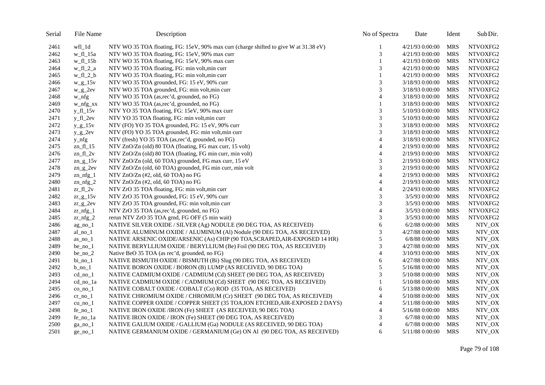| Serial | File Name              | Description                                                                           | No of Spectra  | Date             | Ident      | Sub Dir. |
|--------|------------------------|---------------------------------------------------------------------------------------|----------------|------------------|------------|----------|
| 2461   | wfl_1d                 | NTV WO 35 TOA floating, FG: 15eV, 90% max curr (charge shifted to give W at 31.38 eV) |                | 4/21/93 0:00:00  | <b>MRS</b> | NTVOXFG2 |
| 2462   | w_fl_15a               | NTV WO 35 TOA floating, FG: 15eV, 90% max curr                                        | 3              | 4/21/93 0:00:00  | <b>MRS</b> | NTVOXFG2 |
| 2463   | $w_f1_15b$             | NTV WO 35 TOA floating, FG: 15eV, 90% max curr                                        |                | 4/21/93 0:00:00  | <b>MRS</b> | NTVOXFG2 |
| 2464   | $w_f1_2_a$             | NTV WO 35 TOA floating, FG: min volt, min curr                                        | 3              | 4/21/93 0:00:00  | <b>MRS</b> | NTVOXFG2 |
| 2465   | $w_f1_2_b$             | NTV WO 35 TOA floating, FG: min volt, min curr                                        |                | 4/21/93 0:00:00  | <b>MRS</b> | NTVOXFG2 |
| 2466   | $w_g$ _15 $v$          | NTV WO 35 TOA grounded, FG: 15 eV, 90% curr                                           | 3              | 3/18/93 0:00:00  | <b>MRS</b> | NTVOXFG2 |
| 2467   | $w_g2ev$               | NTV WO 35 TOA grounded, FG: min volt, min curr                                        | 3              | 3/18/93 0:00:00  | <b>MRS</b> | NTVOXFG2 |
| 2468   | w_nfg                  | NTV WO 35 TOA (as,rec'd, grounded, no FG)                                             | $\overline{4}$ | 3/18/93 0:00:00  | <b>MRS</b> | NTVOXFG2 |
| 2469   | $w_n$ nfg $xx$         | NTV WO 35 TOA (as,rec'd, grounded, no FG)                                             | 1              | 3/18/93 0:00:00  | <b>MRS</b> | NTVOXFG2 |
| 2470   | $y_f1_15v$             | NTV YO 35 TOA floating, FG: 15eV, 90% max curr                                        | 3              | 5/10/93 0:00:00  | <b>MRS</b> | NTVOXFG2 |
| 2471   | $y$ fl $2ev$           | NTV YO 35 TOA floating, FG: min volt, min curr                                        | 3              | 5/10/93 0:00:00  | <b>MRS</b> | NTVOXFG2 |
| 2472   | $y_{g}$ -15v           | NTV (FO) YO 35 TOA grounded, FG: 15 eV, 90% curr                                      | 3              | 3/18/93 0:00:00  | <b>MRS</b> | NTVOXFG2 |
| 2473   | $y_g_2$                | NTV (FO) YO 35 TOA grounded, FG: min volt, min curr                                   | 3              | 3/18/93 0:00:00  | <b>MRS</b> | NTVOXFG2 |
| 2474   | $y_nfg$                | NTV (fresh) YO 35 TOA (as,rec'd, grounded, no FG)                                     | $\overline{4}$ | 3/18/93 0:00:00  | <b>MRS</b> | NTVOXFG2 |
| 2475   | zn fl $15$             | NTV ZnO/Zn (old) 80 TOA (floating, FG max curr, 15 volt)                              | $\overline{4}$ | 2/19/93 0:00:00  | <b>MRS</b> | NTVOXFG2 |
| 2476   | $zn_f1_2v$             | NTV ZnO/Zn (old) 80 TOA (floating, FG min curr, min volt)                             | $\overline{4}$ | 2/19/93 0:00:00  | <b>MRS</b> | NTVOXFG2 |
| 2477   | zn $g$ 15 $v$          | NTV ZnO/Zn (old, 60 TOA) grounded, FG max curr, 15 eV                                 | 3              | 2/19/93 0:00:00  | <b>MRS</b> | NTVOXFG2 |
| 2478   | $zn_g2ev$              | NTV ZnO/Zn (old, 60 TOA) grounded, FG min curr, min volt                              | 3              | 2/19/93 0:00:00  | <b>MRS</b> | NTVOXFG2 |
| 2479   | $zn_nfg_1$             | NTV ZnO/Zn (#2, old, 60 TOA) no FG                                                    | 4              | 2/19/93 0:00:00  | <b>MRS</b> | NTVOXFG2 |
| 2480   | zn $\frac{1}{2}$       | NTV ZnO/Zn (#2, old, 60 TOA) no FG                                                    | $\overline{4}$ | 2/19/93 0:00:00  | <b>MRS</b> | NTVOXFG2 |
| 2481   | $z = f1_2$             | NTV ZrO 35 TOA floating, FG: min volt, min curr                                       | $\overline{4}$ | 2/24/93 0:00:00  | <b>MRS</b> | NTVOXFG2 |
| 2482   | $zr_{g1}$ 15v          | NTV ZrO 35 TOA grounded, FG: 15 eV, 90% curr                                          | 3              | 3/5/93 0:00:00   | <b>MRS</b> | NTVOXFG2 |
| 2483   | $zr_{g2}$              | NTV ZrO 35 TOA grounded, FG: min volt, min curr                                       | 3              | 3/5/93 0:00:00   | <b>MRS</b> | NTVOXFG2 |
| 2484   | $z_{r_n}$ nfg_1        | NTV ZrO 35 TOA (as,rec'd, grounded, no FG)                                            | 4              | 3/5/93 0:00:00   | <b>MRS</b> | NTVOXFG2 |
| 2485   | $z$ r_nfg_2            | rerun NTV ZrO 35 TOA grnd, FG OFF (5 min wait)                                        | 3              | 3/5/93 0:00:00   | <b>MRS</b> | NTVOXFG2 |
| 2486   | $ag-no_1$              | NATIVE SILVER OXIDE / SILVER (Ag) NODULE (90 DEG TOA, AS RECEIVED)                    | 6              | 6/2/88 0:00:00   | <b>MRS</b> | NTV_OX   |
| 2487   | $al\_no\_l$            | NATIVE ALUMINUM OXIDE / ALUMINUM (Al) Nodule (90 DEG TOA, AS RECEIVED)                | 3              | 4/27/88 0:00:00  | <b>MRS</b> | NTV_OX   |
| 2488   | $as\_no\_l$            | NATIVE ARSENIC OXIDE/ARSENIC (As) CHIP (90 TOA, SCRAPED, AIR-EXPOSED 14 HR)           | 5              | 6/8/88 0:00:00   | <b>MRS</b> | NTV_OX   |
| 2489   | $be\_no_1$             | NATIVE BERYLLIUM OXIDE / BERYLLIUM (Be) Foil (90 DEG TOA, AS RECEIVED)                | 3              | 4/27/88 0:00:00  | <b>MRS</b> | NTV_OX   |
| 2490   | $be\_no_2$             | Native BeO 35 TOA (as rec'd, grounded, no FG)                                         | $\overline{4}$ | 3/10/93 0:00:00  | <b>MRS</b> | NTV_OX   |
| 2491   | $bi$ no $1$            | NATIVE BISMUTH OXIDE / BISMUTH (Bi) Slug (90 DEG TOA, AS RECEIVED)                    | 6              | 4/27/88 0:00:00  | <b>MRS</b> | NTV_OX   |
| 2492   | $b$ <sub>no</sub> $1$  | NATIVE BORON OXIDE / BORON (B) LUMP (AS RECEIVED, 90 DEG TOA)                         | 5              | 5/16/88 0:00:00  | <b>MRS</b> | NTV_OX   |
| 2493   | $cd$ no $1$            | NATIVE CADMIUM OXIDE / CADMIUM (Cd) SHEET (90 DEG TOA, AS RECEIVED)                   | 3              | 5/10/88 0:00:00  | <b>MRS</b> | NTV_OX   |
| 2494   | cd_no_1a               | NATIVE CADMIUM OXIDE / CADMIUM (Cd) SHEET (90 DEG TOA, AS RECEIVED)                   |                | 5/10/88 0:00:00  | <b>MRS</b> | NTV_OX   |
| 2495   | $co$ <sub>no</sub> $1$ | NATIVE COBALT OXIDE / COBALT (Co) ROD (35 TOA, AS RECEIVED)                           | 6              | 5/13/88 0:00:00  | <b>MRS</b> | NTV_OX   |
| 2496   | $cr\_no\_1$            | NATIVE CHROMIUM OXIDE / CHROMIUM (Cr) SHEET (90 DEG TOA, AS RECEIVED)                 | 4              | 5/10/88 0:00:00  | <b>MRS</b> | NTV_OX   |
| 2497   | $cu$ <sub>no</sub> $1$ | NATIVE COPPER OXIDE / COPPER SHEET (35 TOA, ION ETCHED, AIR-EXPOSED 2 DAYS)           | 4              | 5/11/88 0:00:00  | <b>MRS</b> | NTV_OX   |
| 2498   | $fe\_no\_l$            | NATIVE IRON OXIDE /IRON (Fe) SHEET (AS RECEIVED, 90 DEG TOA)                          | 4              | 5/16/88 0:00:00  | <b>MRS</b> | NTV_OX   |
| 2499   | fe_no_1a               | NATIVE IRON OXIDE / IRON (Fe) SHEET (90 DEG TOA, AS RECEIVED)                         | 3              | $6/7/88$ 0:00:00 | <b>MRS</b> | NTV_OX   |
| 2500   | $ga$ <sub>no</sub> $1$ | NATIVE GALIUM OXIDE / GALLIUM (Ga) NODULE (AS RECEIVED, 90 DEG TOA)                   | $\overline{4}$ | $6/7/88$ 0:00:00 | <b>MRS</b> | NTV_OX   |
| 2501   | $ge\_no\_l$            | NATIVE GERMANIUM OXIDE / GERMANIUM (Ge) ON Al (90 DEG TOA, AS RECEIVED)               | 6              | 5/11/88 0:00:00  | <b>MRS</b> | NTV_OX   |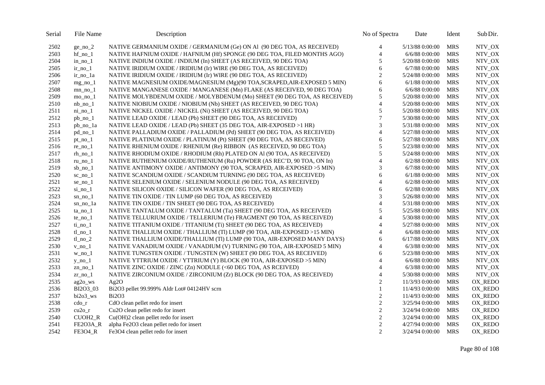| Serial | File Name               | Description                                                               | No of Spectra    | Date             | Ident      | Sub Dir. |
|--------|-------------------------|---------------------------------------------------------------------------|------------------|------------------|------------|----------|
| 2502   | $ge\_no\_2$             | NATIVE GERMANIUM OXIDE / GERMANIUM (Ge) ON Al (90 DEG TOA, AS RECEIVED)   | 4                | 5/13/88 0:00:00  | <b>MRS</b> | NTV_OX   |
| 2503   | $hf$ no $1$             | NATIVE HAFNIUM OXIDE / HAFNIUM (Hf) SPONGE (90 DEG TOA, FILED MONTHS AGO) | $\overline{4}$   | $6/6/88$ 0:00:00 | <b>MRS</b> | NTV_OX   |
| 2504   | in no $1$               | NATIVE INDIUM OXIDE / INDIUM (In) SHEET (AS RECEIVED, 90 DEG TOA)         | 5                | 5/20/88 0:00:00  | <b>MRS</b> | NTV_OX   |
| 2505   | $ir\_no\_l$             | NATIVE IRIDIUM OXIDE / IRIDIUM (Ir) WIRE (90 DEG TOA, AS RECEIVED)        | 6                | $6/7/88$ 0:00:00 | <b>MRS</b> | NTV_OX   |
| 2506   | $ir\_no\_1a$            | NATIVE IRIDIUM OXIDE / IRIDIUM (Ir) WIRE (90 DEG TOA, AS RECEIVED)        | $\overline{c}$   | 5/24/88 0:00:00  | <b>MRS</b> | NTV_OX   |
| 2507   | $mg_{no}$ 1             | NATIVE MAGNESIUM OXIDE/MAGNESIUM (Mg)(90 TOA, SCRAPED, AIR-EXPOSED 5 MIN) | 6                | $6/1/88$ 0:00:00 | <b>MRS</b> | NTV_OX   |
| 2508   | $mn$ no $1$             | NATIVE MANGANESE OXIDE / MANGANESE (Mn) FLAKE (AS RECEIVED, 90 DEG TOA)   | 6                | $6/6/88$ 0:00:00 | <b>MRS</b> | NTV_OX   |
| 2509   | $mo_no_1$               | NATIVE MOLYBDENUM OXIDE / MOLYBDENUM (Mo) SHEET (90 DEG TOA, AS RECEIVED) | 5                | 5/20/88 0:00:00  | <b>MRS</b> | NTV_OX   |
| 2510   | $nb$ no $1$             | NATIVE NIOBIUM OXIDE / NIOBIUM (Nb) SHEET (AS RECEIVED, 90 DEG TOA)       | $\overline{4}$   | 5/20/88 0:00:00  | <b>MRS</b> | NTV_OX   |
| 2511   | $ni\_no\_1$             | NATIVE NICKEL OXIDE / NICKEL (Ni) SHEET (AS RECEIVED, 90 DEG TOA)         | 5                | 5/20/88 0:00:00  | <b>MRS</b> | NTV_OX   |
| 2512   | $pb\_no\_1$             | NATIVE LEAD OXIDE / LEAD (Pb) SHEET (90 DEG TOA, AS RECEIVED)             | $\overline{7}$   | 5/30/88 0:00:00  | <b>MRS</b> | NTV_OX   |
| 2513   | pb_no_1a                | NATIVE LEAD OXIDE / LEAD (Pb) SHEET (35 DEG TOA, AIR-EXPOSED >1 HR)       | 3                | 5/31/88 0:00:00  | <b>MRS</b> | NTV_OX   |
| 2514   | pd_no_1                 | NATIVE PALLADIUM OXIDE / PALLADIUM (Pd) SHEET (90 DEG TOA, AS RECEIVED)   | $\overline{4}$   | 5/27/88 0:00:00  | <b>MRS</b> | NTV_OX   |
| 2515   | $pt\_no\_1$             | NATIVE PLATINUM OXIDE / PLATINUM (Pt) SHEET (90 DEG TOA, AS RECEIVED)     | 6                | 5/27/88 0:00:00  | <b>MRS</b> | NTV_OX   |
| 2516   | $re\_no\_l$             | NATIVE RHENIUM OXIDE / RHENIUM (Re) RIBBON (AS RECEIVED, 90 DEG TOA)      | 5                | 5/23/88 0:00:00  | <b>MRS</b> | NTV_OX   |
| 2517   | $rh\_no\_l$             | NATIVE RHODIUM OXIDE / RHODIUM (Rh) PLATED ON Al (90 TOA, AS RECEIVED)    | 5                | 5/24/88 0:00:00  | <b>MRS</b> | NTV_OX   |
| 2518   | ru no 1                 | NATIVE RUTHENIUM OXIDE/RUTHENIUM (Ru) POWDER (AS REC'D, 90 TOA, ON In)    | $\overline{4}$   | $6/2/88$ 0:00:00 | <b>MRS</b> | NTV_OX   |
| 2519   | $sb$ <sub>no</sub> $1$  | NATIVE ANTIMONY OXIDE / ANTIMONY (90 TOA, SCRAPED, AIR-EXPOSED >5 MIN)    | 3                | $6/7/88$ 0:00:00 | <b>MRS</b> | NTV_OX   |
| 2520   | $sc\_no\_l$             | NATIVE SCANDIUM OXIDE / SCANDIUM TURNING (90 DEG TOA, AS RECEIVED)        | 6                | $6/1/88$ 0:00:00 | <b>MRS</b> | NTV_OX   |
| 2521   | se no $1$               | NATIVE SELENIUM OXIDE / SELENIUM NODULE (90 DEG TOA, AS RECEIVED)         | $\overline{4}$   | 6/2/88 0:00:00   | <b>MRS</b> | NTV_OX   |
| 2522   | $si$ <sub>10</sub> $-1$ | NATIVE SILICON OXIDE / SILICON WAFER (90 DEG TOA, AS RECEIVED)            | 6                | $6/2/88$ 0:00:00 | <b>MRS</b> | NTV_OX   |
| 2523   | $sn$ no $1$             | NATIVE TIN OXIDE / TIN LUMP (60 DEG TOA, AS RECEIVED)                     | 3                | 5/26/88 0:00:00  | <b>MRS</b> | NTV_OX   |
| 2524   | $sn\_no\_1a$            | NATIVE TIN OXIDE / TIN SHEET (90 DEG TOA, AS RECEIVED)                    | $\overline{4}$   | 5/31/88 0:00:00  | <b>MRS</b> | NTV_OX   |
| 2525   | $ta$ <sub>no</sub> $1$  | NATIVE TANTALUM OXIDE / TANTALUM (Ta) SHEET (90 DEG TOA, AS RECEIVED)     | 5                | 5/25/88 0:00:00  | <b>MRS</b> | NTV_OX   |
| 2526   | $te\_no\_1$             | NATIVE TELLURIUM OXIDE / TELLERIUM (Te) FRAGMENT (90 TOA, AS RECEIVED)    | $\overline{4}$   | 5/30/88 0:00:00  | <b>MRS</b> | NTV_OX   |
| 2527   | $ti$ no $1$             | NATIVE TITANIUM OXIDE / TITANIUM (Ti) SHEET (90 DEG TOA, AS RECEIVED)     | $\overline{4}$   | 5/27/88 0:00:00  | <b>MRS</b> | NTV_OX   |
| 2528   | $t1$ no $1$             | NATIVE THALLIUM OXIDE / THALLIUM (Tl) LUMP (90 TOA, AIR-EXPOSED >15 MIN)  | $\overline{4}$   | 6/6/88 0:00:00   | <b>MRS</b> | NTV_OX   |
| 2529   | $t$ l_no_2              | NATIVE THALLIUM OXIDE/THALLIUM (TI) LUMP (90 TOA, AIR-EXPOSED MANY DAYS)  | 6                | 6/17/88 0:00:00  | <b>MRS</b> | NTV_OX   |
| 2530   | $v$ no $1$              | NATIVE VANADIUM OXIDE / VANADIUM (V) TURNING (90 TOA, AIR-EXPOSED 5 MIN)  | $\overline{4}$   | $6/3/88$ 0:00:00 | <b>MRS</b> | NTV_OX   |
| 2531   | $w_{n0}$ <sup>1</sup>   | NATIVE TUNGSTEN OXIDE / TUNGSTEN (W) SHEET (90 DEG TOA, AS RECEIVED)      | 6                | 5/23/88 0:00:00  | <b>MRS</b> | NTV_OX   |
| 2532   | $y_{n0}$ <sup>1</sup>   | NATIVE YTTRIUM OXIDE / YTTRIUM (Y) BLOCK (90 TOA, AIR-EXPOSED >5 MIN)     | $\overline{4}$   | 6/6/88 0:00:00   | <b>MRS</b> | NTV_OX   |
| 2533   | $zn$ no $1$             | NATIVE ZINC OXIDE / ZINC (Zn) NODULE (<60 DEG TOA, AS RCEIVED)            | $\overline{4}$   | $6/3/88$ 0:00:00 | <b>MRS</b> | NTV_OX   |
| 2534   | $z$ r no $1$            | NATIVE ZIRCONIUM OXIDE / ZIRCONIUM (Zr) BLOCK (90 DEG TOA, AS RECEIVED)   | $\overline{4}$   | 5/30/88 0:00:00  | <b>MRS</b> | NTV_OX   |
| 2535   | $ag2o$ _ws              | Ag2O                                                                      | $\sqrt{2}$       | 11/3/93 0:00:00  | <b>MRS</b> | OX_REDO  |
| 2536   | BI2O3_03                | Bi2O3 pellet 99.999% Aldr Lot# 04124HV scrn                               | $\mathbf{1}$     | 11/4/93 0:00:00  | <b>MRS</b> | OX_REDO  |
| 2537   | $bi2o3$ _ws             | <b>Bi2O3</b>                                                              | $\boldsymbol{2}$ | 11/4/93 0:00:00  | <b>MRS</b> | OX_REDO  |
| 2538   | $\text{cdo}_r$          | CdO clean pellet redo for insert                                          | $\overline{c}$   | 3/25/94 0:00:00  | <b>MRS</b> | OX_REDO  |
| 2539   | $cu2o_r$                | Cu2O clean pellet redo for insert                                         | $\sqrt{2}$       | 3/24/94 0:00:00  | <b>MRS</b> | OX_REDO  |
| 2540   | CUOH <sub>2</sub> R     | Cu(OH)2 clean pellet redo for insert                                      | $\mathbf{2}$     | 3/24/94 0:00:00  | <b>MRS</b> | OX_REDO  |
| 2541   | FE2O3A_R                | alpha Fe2O3 clean pellet redo for insert                                  | $\sqrt{2}$       | 4/27/94 0:00:00  | <b>MRS</b> | OX_REDO  |
| 2542   | <b>FE3O4 R</b>          | Fe3O4 clean pellet redo for insert                                        | 2                | 3/24/94 0:00:00  | <b>MRS</b> | OX REDO  |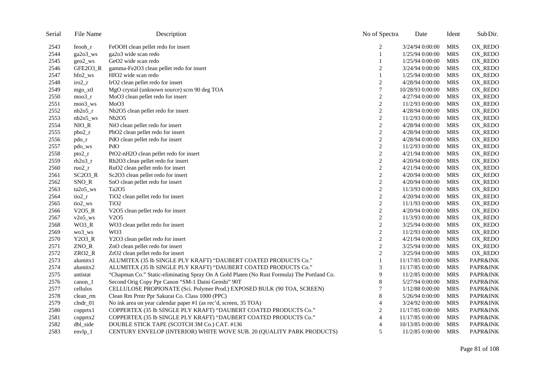| Serial | File Name          | Description                                                                                | No of Spectra    | Date             | Ident      | Sub Dir.            |
|--------|--------------------|--------------------------------------------------------------------------------------------|------------------|------------------|------------|---------------------|
| 2543   | feooh r            | FeOOH clean pellet redo for insert                                                         | $\overline{c}$   | 3/24/94 0:00:00  | <b>MRS</b> | OX_REDO             |
| 2544   | ga2o3_ws           | ga2o3 wide scan redo                                                                       | $\mathbf{1}$     | 1/25/94 0:00:00  | <b>MRS</b> | OX_REDO             |
| 2545   | $geo2$ _ws         | GeO2 wide scan redo                                                                        |                  | 1/25/94 0:00:00  | <b>MRS</b> | OX_REDO             |
| 2546   | GFE2O3_R           | gamma-Fe2O3 clean pellet redo for insert                                                   | $\overline{c}$   | 3/24/94 0:00:00  | <b>MRS</b> | OX_REDO             |
| 2547   | $hfo2$ _ws         | HfO2 wide scan redo                                                                        |                  | 1/25/94 0:00:00  | <b>MRS</b> | OX_REDO             |
| 2548   | $iro2_r$           | IrO2 clean pellet redo for insert                                                          | $\sqrt{2}$       | 4/28/94 0:00:00  | <b>MRS</b> | OX_REDO             |
| 2549   | mgo_xtl            | MgO crystal (unknown source) scrn 90 deg TOA                                               | 7                | 10/28/93 0:00:00 | <b>MRS</b> | OX_REDO             |
| 2550   | moo $3r$           | MoO3 clean pellet redo for insert                                                          | $\overline{2}$   | 4/27/94 0:00:00  | <b>MRS</b> | OX_REDO             |
| 2551   | $moo3$ _ws         | MoO3                                                                                       | $\boldsymbol{2}$ | 11/2/93 0:00:00  | <b>MRS</b> | OX_REDO             |
| 2552   | nb2o5 <sub>r</sub> | Nb2O5 clean pellet redo for insert                                                         | 2                | 4/28/94 0:00:00  | <b>MRS</b> | OX_REDO             |
| 2553   | $nb2o5$ _ws        | Nb2O5                                                                                      | $\boldsymbol{2}$ | 11/2/93 0:00:00  | <b>MRS</b> | OX_REDO             |
| 2554   | $NIO_R$            | NiO clean pellet redo for insert                                                           | $\overline{c}$   | 4/28/94 0:00:00  | <b>MRS</b> | OX_REDO             |
| 2555   | $pbo2_r$           | PbO2 clean pellet redo for insert                                                          | $\boldsymbol{2}$ | 4/28/94 0:00:00  | <b>MRS</b> | OX_REDO             |
| 2556   | pdo <sub>r</sub>   | PdO clean pellet redo for insert                                                           | 2                | 4/28/94 0:00:00  | <b>MRS</b> | OX_REDO             |
| 2557   | pdo_ws             | PdO                                                                                        | $\boldsymbol{2}$ | 11/2/93 0:00:00  | <b>MRS</b> | OX_REDO             |
| 2558   | pto2 <sub>r</sub>  | PtO2-nH2O clean pellet redo for insert                                                     | $\overline{c}$   | 4/21/94 0:00:00  | <b>MRS</b> | OX_REDO             |
| 2559   | rh2o3 <sub>r</sub> | Rh2O3 clean pellet redo for insert                                                         | $\boldsymbol{2}$ | 4/20/94 0:00:00  | <b>MRS</b> | OX_REDO             |
| 2560   | $ruo2_r$           | RuO2 clean pellet redo for insert                                                          | $\overline{c}$   | 4/21/94 0:00:00  | <b>MRS</b> | OX_REDO             |
| 2561   | $SC2O3_R$          | Sc2O3 clean pellet redo for insert                                                         | $\overline{c}$   | 4/20/94 0:00:00  | <b>MRS</b> | OX_REDO             |
| 2562   | $SNO_R$            | SnO clean pellet redo for insert                                                           | $\overline{c}$   | 4/20/94 0:00:00  | <b>MRS</b> | OX_REDO             |
| 2563   | ta2o5_ws           | Ta <sub>2</sub> O <sub>5</sub>                                                             | $\boldsymbol{2}$ | 11/3/93 0:00:00  | <b>MRS</b> | OX_REDO             |
| 2564   | $tio2_r$           | TiO2 clean pellet redo for insert                                                          | $\mathfrak{2}$   | 4/20/94 0:00:00  | <b>MRS</b> | OX_REDO             |
| 2565   | $\text{tio2\_ws}$  | TiO <sub>2</sub>                                                                           | $\boldsymbol{2}$ | 11/1/93 0:00:00  | <b>MRS</b> | OX_REDO             |
| 2566   | $V2O5_R$           | V2O5 clean pellet redo for insert                                                          | $\boldsymbol{2}$ | 4/20/94 0:00:00  | <b>MRS</b> | OX_REDO             |
| 2567   | $v2o5$ _ws         | V <sub>2</sub> O <sub>5</sub>                                                              | $\overline{c}$   | 11/3/93 0:00:00  | <b>MRS</b> | OX_REDO             |
| 2568   | $WO3_R$            | WO3 clean pellet redo for insert                                                           | $\overline{c}$   | 3/25/94 0:00:00  | <b>MRS</b> | OX_REDO             |
| 2569   | wo3_ws             | W <sub>O</sub> 3                                                                           | $\boldsymbol{2}$ | 11/2/93 0:00:00  | <b>MRS</b> | OX_REDO             |
| 2570   | Y2O3_R             | Y2O3 clean pellet redo for insert                                                          | $\boldsymbol{2}$ | 4/21/94 0:00:00  | <b>MRS</b> | OX_REDO             |
| 2571   | ZNO_R              | ZnO clean pellet redo for insert                                                           | $\boldsymbol{2}$ | 3/25/94 0:00:00  | <b>MRS</b> | OX_REDO             |
| 2572   | ZRO2_R             | ZrO2 clean pellet redo for insert                                                          | $\overline{c}$   | 3/25/94 0:00:00  | <b>MRS</b> | OX_REDO             |
| 2573   | alumitx1           | ALUMITEX (35 lb SINGLE PLY KRAFT) "DAUBERT COATED PRODUCTS Co."                            | $\mathbf{1}$     | 11/17/85 0:00:00 | <b>MRS</b> | <b>PAPR&amp;INK</b> |
| 2574   | alumitx2           | ALUMITEX (35 lb SINGLE PLY KRAFT) "DAUBERT COATED PRODUCTS Co."                            | 3                | 11/17/85 0:00:00 | <b>MRS</b> | PAPR&INK            |
| 2575   | antistat           | "Chapman Co." Static-eliminating Spray On A Gold Platen (No Rust Formula) The Portland Co. | 9                | 11/2/85 0:00:00  | <b>MRS</b> | PAPR&INK            |
| 2576   | $canon_1$          | Second Orig Copy Ppr Canon "SM-1 Daini Genshi" 90T                                         | 8                | 5/27/94 0:00:00  | <b>MRS</b> | <b>PAPR&amp;INK</b> |
| 2577   | cellulos           | CELLULOSE PROPIONATE (Sci. Polymer Prod.) EXPOSED BULK (90 TOA, SCREEN)                    | 7                | 1/12/88 0:00:00  | <b>MRS</b> | PAPR&INK            |
| 2578   | clean_rm           | Clean Rm Prntr Ppr Sakurai Co. Class 1000 (PPC)                                            | $\,8\,$          | 5/26/94 0:00:00  | <b>MRS</b> | PAPR&INK            |
| 2579   | clndr_01           | No ink area on year calendar paper #1 (as rec'd, screen, 35 TOA)                           | 4                | 3/24/92 0:00:00  | <b>MRS</b> | PAPR&INK            |
| 2580   | $\text{copptr}x1$  | COPPERTEX (35 lb SINGLE PLY KRAFT) "DAUBERT COATED PRODUCTS Co."                           | $\boldsymbol{2}$ | 11/17/85 0:00:00 | <b>MRS</b> | PAPR&INK            |
| 2581   | copprtx2           | COPPERTEX (35 lb SINGLE PLY KRAFT) "DAUBERT COATED PRODUCTS Co."                           | 4                | 11/17/85 0:00:00 | <b>MRS</b> | PAPR&INK            |
| 2582   | dbl_side           | DOUBLE STICK TAPE (SCOTCH 3M Co.) CAT. #136                                                | 4                | 10/13/85 0:00:00 | <b>MRS</b> | PAPR&INK            |
| 2583   | $envlp_1$          | CENTURY ENVELOP (INTERIOR) WHITE WOVE SUB. 20 (QUALITY PARK PRODUCTS)                      | 5                | 11/2/85 0:00:00  | <b>MRS</b> | PAPR&INK            |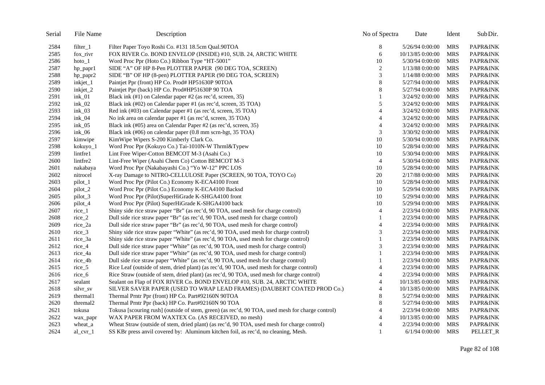| Serial | File Name    | Description                                                                                      | No of Spectra  | Date             | Ident      | Sub Dir.            |
|--------|--------------|--------------------------------------------------------------------------------------------------|----------------|------------------|------------|---------------------|
| 2584   | filter 1     | Filter Paper Toyo Roshi Co. #131 18.5cm Qual.90TOA                                               | 8              | 5/26/94 0:00:00  | <b>MRS</b> | <b>PAPR&amp;INK</b> |
| 2585   | fox rivr     | FOX RIVER Co. BOND ENVELOP (INSIDE) #10, SUB. 24, ARCTIC WHITE                                   | 6              | 10/13/85 0:00:00 | <b>MRS</b> | PAPR&INK            |
| 2586   | $hoto_1$     | Word Proc Ppr (Hoto Co.) Ribbon Type "HT-5001"                                                   | 10             | 5/30/94 0:00:00  | <b>MRS</b> | PAPR&INK            |
| 2587   | hp_papr1     | SIDE "A" OF HP 8-Pen PLOTTER PAPER (90 DEG TOA, SCREEN)                                          | $\overline{2}$ | 1/13/88 0:00:00  | <b>MRS</b> | PAPR&INK            |
| 2588   | hp_papr2     | SIDE "B" OF HP (8-pen) PLOTTER PAPER (90 DEG TOA, SCREEN)                                        | 3              | 1/14/88 0:00:00  | <b>MRS</b> | PAPR&INK            |
| 2589   | inkjet_1     | Paintjet Ppr (front) HP Co. Prod# HP51630P 90TOA                                                 | 8              | 5/27/94 0:00:00  | <b>MRS</b> | PAPR&INK            |
| 2590   | inkjet_2     | Paintjet Ppr (back) HP Co. Prod#HP51630P 90 TOA                                                  | 8              | 5/27/94 0:00:00  | <b>MRS</b> | PAPR&INK            |
| 2591   | $ink_01$     | Black ink (#1) on Calendar paper #2 (as rec'd, screen, 35)                                       | 1              | 3/24/92 0:00:00  | <b>MRS</b> | PAPR&INK            |
| 2592   | $ink_02$     | Black ink (#02) on Calendar paper #1 (as rec'd, screen, 35 TOA)                                  | 5              | 3/24/92 0:00:00  | <b>MRS</b> | PAPR&INK            |
| 2593   | $ink_03$     | Red ink (#03) on Calendar paper #1 (as rec'd, screen, 35 TOA)                                    | $\overline{4}$ | 3/24/92 0:00:00  | <b>MRS</b> | PAPR&INK            |
| 2594   | $ink_04$     | No ink area on calendar paper #1 (as rec'd, screen, 35 TOA)                                      | $\overline{4}$ | 3/24/92 0:00:00  | <b>MRS</b> | PAPR&INK            |
| 2595   | $ink_05$     | Black ink (#05) area on Calendar Paper #2 (as rec'd, screen, 35)                                 | 4              | 3/24/92 0:00:00  | <b>MRS</b> | PAPR&INK            |
| 2596   | $ink_0$ 6    | Black ink (#06) on calendar paper (0.8 mm scrn-hgt, 35 TOA)                                      | 3              | 3/30/92 0:00:00  | <b>MRS</b> | <b>PAPR&amp;INK</b> |
| 2597   | kimwipe      | KimWipe Wipers S-200 Kimberly Clark Co.                                                          | 10             | 5/30/94 0:00:00  | <b>MRS</b> | PAPR&INK            |
| 2598   | kokuyo_1     | Word Proc Ppr (Kokuyo Co.) Tai-1010N-W Thrml&Typew                                               | 10             | 5/28/94 0:00:00  | <b>MRS</b> | <b>PAPR&amp;INK</b> |
| 2599   | lintfre1     | Lint Free Wiper-Cotton BEMCOT M-3 (Asahi Co.)                                                    | 10             | 5/30/94 0:00:00  | <b>MRS</b> | PAPR&INK            |
| 2600   | lintfre2     | Lint-Free Wiper (Asahi Chem Co) Cotton BEMCOT M-3                                                | $\overline{4}$ | 5/30/94 0:00:00  | <b>MRS</b> | PAPR&INK            |
| 2601   | nakabaya     | Word Proc Ppr (Nakabayashi Co.) "Yo W-12" PPC LOS                                                | 10             | 5/28/94 0:00:00  | <b>MRS</b> | PAPR&INK            |
| 2602   | nitrocel     | X-ray Damage to NITRO-CELLULOSE Paper (SCREEN, 90 TOA, TOYO Co)                                  | 20             | 2/17/88 0:00:00  | <b>MRS</b> | PAPR&INK            |
| 2603   | pilot_1      | Word Proc Ppr (Pilot Co.) Economy K-ECA4100 Front                                                | 10             | 5/28/94 0:00:00  | <b>MRS</b> | PAPR&INK            |
| 2604   | pilot_2      | Word Proc Ppr (Pilot Co.) Economy K-ECA4100 Backsd                                               | 10             | 5/29/94 0:00:00  | <b>MRS</b> | <b>PAPR&amp;INK</b> |
| 2605   | pilot_3      | Word Proc Ppr (Pilot)SuperHiGrade K-SHGA4100 front                                               | 10             | 5/29/94 0:00:00  | <b>MRS</b> | PAPR&INK            |
| 2606   | pilot_4      | Word Proc Ppr (Pilot) SuperHiGrade K-SHGA4100 back                                               | 10             | 5/29/94 0:00:00  | <b>MRS</b> | PAPR&INK            |
| 2607   | $rice_1$     | Shiny side rice straw paper "Br" (as rec'd, 90 TOA, used mesh for charge control)                | 4              | 2/23/94 0:00:00  | <b>MRS</b> | PAPR&INK            |
| 2608   | $rice_2$     | Dull side rice straw paper "Br" (as rec'd, 90 TOA, used mesh for charge control)                 | 1              | 2/23/94 0:00:00  | <b>MRS</b> | PAPR&INK            |
| 2609   | rice_2a      | Dull side rice straw paper "Br" (as rec'd, 90 TOA, used mesh for charge control)                 | 4              | 2/23/94 0:00:00  | <b>MRS</b> | PAPR&INK            |
| 2610   | rice_3       | Shiny side rice straw paper "White" (as rec'd, 90 TOA, used mesh for charge control)             | 3              | 2/23/94 0:00:00  | <b>MRS</b> | PAPR&INK            |
| 2611   | rice_3a      | Shiny side rice straw paper "White" (as rec'd, 90 TOA, used mesh for charge control)             | 1              | 2/23/94 0:00:00  | <b>MRS</b> | PAPR&INK            |
| 2612   | $rice_4$     | Dull side rice straw paper "White" (as rec'd, 90 TOA, used mesh for charge control)              | 3              | 2/23/94 0:00:00  | <b>MRS</b> | PAPR&INK            |
| 2613   | rice_4a      | Dull side rice straw paper "White" (as rec'd, 90 TOA, used mesh for charge control)              | 1              | 2/23/94 0:00:00  | <b>MRS</b> | PAPR&INK            |
| 2614   | $rice_4b$    | Dull side rice straw paper "White" (as rec'd, 90 TOA, used mesh for charge control)              | $\mathbf{1}$   | 2/23/94 0:00:00  | <b>MRS</b> | PAPR&INK            |
| 2615   | $rice_5$     | Rice Leaf (outside of stem, dried plant) (as rec'd, 90 TOA, used mesh for charge control)        | 4              | 2/23/94 0:00:00  | <b>MRS</b> | PAPR&INK            |
| 2616   | rice $6$     | Rice Straw (outside of stem, dried plant) (as rec'd, 90 TOA, used mesh for charge control)       | 4              | 2/23/94 0:00:00  | <b>MRS</b> | PAPR&INK            |
| 2617   | sealant      | Sealant on Flap of FOX RIVER Co. BOND ENVELOP #10, SUB. 24, ARCTIC WHITE                         | 4              | 10/13/85 0:00:00 | <b>MRS</b> | PAPR&INK            |
| 2618   | silvr_sv     | SILVER SAVER PAPER (USED TO WRAP LEAD FRAMES) (DAUBERT COATED PROD Co.)                          | 4              | 10/13/85 0:00:00 | <b>MRS</b> | PAPR&INK            |
| 2619   | thermal1     | Thermal Prntr Ppr (front) HP Co. Part#92160N 90TOA                                               | 8              | 5/27/94 0:00:00  | <b>MRS</b> | <b>PAPR&amp;INK</b> |
| 2620   | thremal2     | Thermal Prntr Ppr (back) HP Co. Part#92160N 90 TOA                                               | 8              | 5/27/94 0:00:00  | <b>MRS</b> | PAPR&INK            |
| 2621   | tokusa       | Tokusa [scouring rush] (outside of stem, green) (as rec'd, 90 TOA, used mesh for charge control) | 4              | 2/23/94 0:00:00  | <b>MRS</b> | PAPR&INK            |
| 2622   | wax_papr     | WAX PAPER FROM WAXTEX Co. (AS RECEIVED, no mesh)                                                 | 4              | 10/13/85 0:00:00 | <b>MRS</b> | PAPR&INK            |
| 2623   | wheat a      | Wheat Straw (outside of stem, dried plant) (as rec'd, 90 TOA, used mesh for charge control)      | $\overline{4}$ | 2/23/94 0:00:00  | <b>MRS</b> | PAPR&INK            |
| 2624   | $al_{cvr_1}$ | SS KBr press anvil covered by: Aluminum kitchen foil, as rec'd, no cleaning, Mesh.               | 1              | $6/1/94$ 0:00:00 | MRS        | PELLET_R            |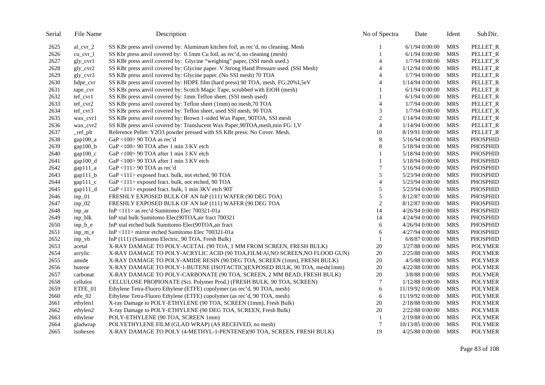| Serial | File Name           | Description                                                                           | No of Spectra            | Date             | Ident      | Sub Dir.        |
|--------|---------------------|---------------------------------------------------------------------------------------|--------------------------|------------------|------------|-----------------|
| 2625   | $al_{cvr_2}$        | SS KBr press anvil covered by: Aluminum kitchen foil, as rec'd, no cleaning. Mesh     |                          | $6/1/94$ 0:00:00 | <b>MRS</b> | PELLET_R        |
| 2626   | $cu_{cr}$           | SS Kbr press anvil covered by: 0.1mm Cu foil, as rec'd, no cleaning (mesh)            | 1                        | $6/1/94$ 0:00:00 | <b>MRS</b> | PELLET_R        |
| 2627   | $gly_cvr1$          | SS KBr press anvil covered by: Glycine "weighing" paper, (SSI mesh used.)             | $\overline{4}$           | 1/7/94 0:00:00   | <b>MRS</b> | PELLET_R        |
| 2628   | $gly_cvr2$          | SS KBr press anvil covered by: Glycine paper. V.Strong Hand Pressure used. (SSI Mesh) | $\overline{4}$           | 1/12/94 0:00:00  | <b>MRS</b> | PELLET_R        |
| 2629   | $gly_cvr3$          | SS KBr press anvil covered by: Glycine paper. (No SSI mesh) 70 TOA                    | $\overline{4}$           | 1/7/94 0:00:00   | <b>MRS</b> | PELLET_R        |
| 2630   | hdpe_cvr            | SS KBr press anvil covered by: HDPE film (hard press) 90 TOA, mesh, FG:20%I,5eV       | $\overline{4}$           | 1/14/94 0:00:00  | <b>MRS</b> | PELLET_R        |
| 2631   | tape_cvr            | SS KBr press anvil covered by: Scotch Magic Tape, scrubbed with EtOH (mesh)           | 1                        | $6/1/94$ 0:00:00 | <b>MRS</b> | PELLET_R        |
| 2632   | tef_cvr1            | SS KBr press anvil covered by: 1mm Teflon sheet. (SSI mesh used)                      | $\mathbf{1}$             | $6/1/94$ 0:00:00 | <b>MRS</b> | PELLET_R        |
| 2633   | tef_cvr2            | SS KBr press anvil covered by: Teflon sheet (1mm) no mesh, 70 TOA                     | $\overline{\mathcal{A}}$ | 1/7/94 0:00:00   | <b>MRS</b> | PELLET_R        |
| 2634   | tef_cvr3            | SS KBr press anvil covered by: Teflon sheet, used SSI mesh, 90 TOA                    | 3                        | 1/7/94 0:00:00   | <b>MRS</b> | PELLET_R        |
| 2635   | wax_cvr1            | SS KBr press anvil covered by: Brown 1-sided Wax Paper, 90TOA, SSI mesh               | $\overline{c}$           | 1/14/94 0:00:00  | <b>MRS</b> | PELLET_R        |
| 2636   | wax_cvr2            | SS KBr press anvil covered by: Translucent Wax Paper, 90TOA, mesh, min FG: I, V       | $\overline{4}$           | 1/14/94 0:00:00  | <b>MRS</b> | PELLET_R        |
| 2637   | _ref_plt            | Reference Pellet: Y2O3 powder pressed with SS KBr press: No Cover. Mesh.              | 10                       | 8/19/91 0:00:00  | <b>MRS</b> | PELLET_R        |
| 2638   | gap100 <sub>a</sub> | GaP <100> 90 TOA as rec'd                                                             | 8                        | 5/16/94 0:00:00  | <b>MRS</b> | <b>PHOSPHID</b> |
| 2639   | $gap100_b$          | GaP <100> 90 TOA after 1 min 3 KV etch                                                | $\,8$                    | 5/18/94 0:00:00  | <b>MRS</b> | <b>PHOSPHID</b> |
| 2640   | $gap100_c$          | GaP <100> 90 TOA after 1 min 3 KV etch                                                |                          | 5/18/94 0:00:00  | <b>MRS</b> | PHOSPHID        |
| 2641   | $\text{gap}100_d$   | GaP <100> 90 TOA after 1 min 3 KV etch                                                |                          | 5/18/94 0:00:00  | <b>MRS</b> | <b>PHOSPHID</b> |
| 2642   | $gap111_a$          | GaP <111> 90 TOA as rec'd                                                             | 7                        | 5/16/94 0:00:00  | <b>MRS</b> | <b>PHOSPHID</b> |
| 2643   | $gap111_b$          | GaP <111> exposed fract. bulk, not etched, 90 TOA                                     | 5                        | 5/23/94 0:00:00  | <b>MRS</b> | <b>PHOSPHID</b> |
| 2644   | $gap111_c$          | GaP <111> exposed fract. bulk, not etched, 90 TOA                                     | 4                        | 5/23/94 0:00:00  | <b>MRS</b> | <b>PHOSPHID</b> |
| 2645   | $gap111_d$          | GaP <111> exposed fract. bulk, 1 min 3KV etch 90T                                     | 5                        | 5/23/94 0:00:00  | <b>MRS</b> | PHOSPHID        |
| 2646   | $inp_01$            | FRESHLY EXPOSED BULK OF AN InP (111) WAFER (90 DEG TOA)                               | 5                        | 8/12/87 0:00:00  | <b>MRS</b> | PHOSPHID        |
| 2647   | $inp_02$            | FRESHLY EXPOSED BULK OF AN InP (111) WAFER (90 DEG TOA                                | $\sqrt{2}$               | 8/12/87 0:00:00  | <b>MRS</b> | <b>PHOSPHID</b> |
| 2648   | inp_ar              | InP <111> as rec'd Sumitomo Elec 700321-01a                                           | 14                       | 4/26/94 0:00:00  | <b>MRS</b> | <b>PHOSPHID</b> |
| 2649   | inp blk             | InP xtal bulk Sumitomo Elec(90TOA, air fract 700321                                   | 14                       | 4/24/94 0:00:00  | <b>MRS</b> | <b>PHOSPHID</b> |
| 2650   | $inp_b_e$           | InP xtal etched bulk Sumitomo Elec(90TOA,air fract                                    | 6                        | 4/26/94 0:00:00  | <b>MRS</b> | PHOSPHID        |
| 2651   | inp_m_e             | InP<111> mirror etched Sumitomo Elec 700321-01a                                       | 6                        | 4/27/94 0:00:00  | <b>MRS</b> | PHOSPHID        |
| 2652   | $inp_vb$            | InP (111) (Sumitomo Electric, 90 TOA, Fresh Bulk)                                     | 1                        | $6/8/87$ 0:00:00 | <b>MRS</b> | <b>PHOSPHID</b> |
| 2653   | acetal              | X-RAY DAMAGE TO POLY-ACETAL (90 TOA, 1 MM FROM SCREEN, FRESH BULK)                    | $20\,$                   | 3/27/88 0:00:00  | <b>MRS</b> | <b>POLYMER</b>  |
| 2654   | acrylic             | X-RAY DAMAGE TO POLY-ACRYLIC ACID (90 TOA,FILM/A1,NO SCREEN,NO FLOOD GUN)             | $20\,$                   | 2/25/88 0:00:00  | <b>MRS</b> | <b>POLYMER</b>  |
| 2655   | amide               | X-RAY DAMAGE TO POLY-AMIDE RESIN (90 DEG TOA, SCREEN (1mm), FRESH BULK)               | 20                       | 4/5/88 0:00:00   | <b>MRS</b> | <b>POLYMER</b>  |
| 2656   | butene              | X-RAY DAMAGE TO POLY-1-BUTENE (ISOTACTIC)(EXPOSED BULK, 90 TOA, mesh(1mm)             | $20\,$                   | 4/22/88 0:00:00  | <b>MRS</b> | <b>POLYMER</b>  |
| 2657   | carbonat            | X-RAY DAMAGE TO POLY-CARBONATE (90 TOA, SCREEN, 2 MM BEAD, FRESH BULK)                | 20                       | 3/8/88 0:00:00   | <b>MRS</b> | <b>POLYMER</b>  |
| 2658   | cellulos            | CELLULOSE PROPIONATE (Sci. Polymer Prod.) (FRESH BULK, 90 TOA, SCREEN)                | 7                        | 1/12/88 0:00:00  | <b>MRS</b> | <b>POLYMER</b>  |
| 2659   | ETFE_01             | Ethylene Tetra-Fluoro Ethylene (ETFE) copolymer (as rec'd, 90 TOA, mesh)              | 6                        | 11/19/92 0:00:00 | <b>MRS</b> | <b>POLYMER</b>  |
| 2660   | etfe_02             | Ethylene Tetra-Fluoro Ethylene (ETFE) copolymer (as rec'd, 90 TOA, mesh)              | 6                        | 11/19/92 0:00:00 | <b>MRS</b> | <b>POLYMER</b>  |
| 2661   | ethylen1            | X-ray Damage to POLY-ETHYLENE (90 TOA, SCREEN (1mm), Fresh Bulk)                      | 20                       | 2/18/88 0:00:00  | <b>MRS</b> | <b>POLYMER</b>  |
| 2662   | ethylen2            | X-ray Damage to POLY-ETHYLENE (90 DEG TOA, SCREEN, Fresh Bulk)                        | 20                       | 2/22/88 0:00:00  | <b>MRS</b> | <b>POLYMER</b>  |
| 2663   | ethylene            | POLY-ETHYLENE (90 TOA, SCREEN 1mm)                                                    | 1                        | 2/19/88 0:00:00  | <b>MRS</b> | <b>POLYMER</b>  |
| 2664   | gladwrap            | POLYETHYLENE FILM (GLAD WRAP) (AS RECEIVED, no mesh)                                  | $\tau$                   | 10/13/85 0:00:00 | <b>MRS</b> | <b>POLYMER</b>  |
| 2665   | isohexen            | X-RAY DAMAGE TO POLY (4-METHYL-1-PENTENE)(90 TOA, SCREEN, FRESH BULK)                 | 19                       | 4/25/88 0:00:00  | <b>MRS</b> | <b>POLYMER</b>  |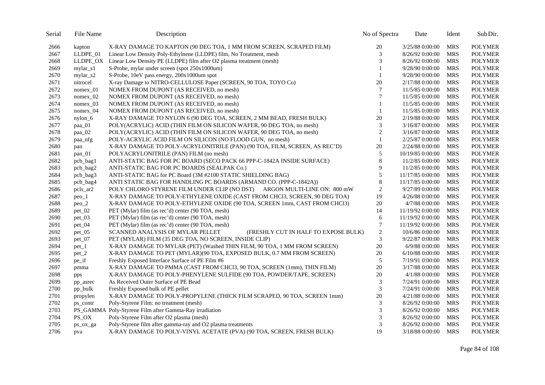| Serial | File Name  | Description                                                                  | No of Spectra  | Date             | Ident      | Sub Dir.       |
|--------|------------|------------------------------------------------------------------------------|----------------|------------------|------------|----------------|
| 2666   | kapton     | X-RAY DAMAGE TO KAPTON (90 DEG TOA, 1 MM FROM SCREEN, SCRAPED FILM)          | $20\,$         | 3/25/88 0:00:00  | <b>MRS</b> | <b>POLYMER</b> |
| 2667   | LLDPE_01   | Linear Low Density Poly-Ethylnene (LLDPE) film, No Treatment, mesh           | 3              | 8/26/92 0:00:00  | <b>MRS</b> | <b>POLYMER</b> |
| 2668   |            | LLDPE_OX Linear Low Density PE (LLDPE) film after O2 plasma treatment (mesh) | 3              | 8/26/92 0:00:00  | <b>MRS</b> | <b>POLYMER</b> |
| 2669   | mylar_s1   | S-Probe, mylar under screen (spot 250x1000um)                                |                | 9/28/90 0:00:00  | <b>MRS</b> | <b>POLYMER</b> |
| 2670   | mylar_s2   | S-Probe, 10eV pass energy, 200x1000um spot                                   |                | 9/28/90 0:00:00  | <b>MRS</b> | <b>POLYMER</b> |
| 2671   | nitrocel   | X-ray Damage to NITRO-CELLULOSE Paper (SCREEN, 90 TOA, TOYO Co)              | 20             | 2/17/88 0:00:00  | <b>MRS</b> | <b>POLYMER</b> |
| 2672   | $nomex_01$ | NOMEX FROM DUPONT (AS RECEIVED, no mesh)                                     | 7              | 11/5/85 0:00:00  | <b>MRS</b> | <b>POLYMER</b> |
| 2673   | nomex_02   | NOMEX FROM DUPONT (AS RECEIVED, no mesh)                                     | 7              | 11/5/85 0:00:00  | <b>MRS</b> | <b>POLYMER</b> |
| 2674   | $nomex_03$ | NOMEX FROM DUPONT (AS RECEIVED, no mesh)                                     | 1              | 11/5/85 0:00:00  | <b>MRS</b> | <b>POLYMER</b> |
| 2675   | nomex_04   | NOMEX FROM DUPONT (AS RECEIVED, no mesh)                                     | 1              | 11/5/85 0:00:00  | <b>MRS</b> | <b>POLYMER</b> |
| 2676   | $nylon_6$  | X-RAY DAMAGE TO NYLON 6 (90 DEG TOA, SCREEN, 2 MM BEAD, FRESH BULK)          | 20             | 2/19/88 0:00:00  | <b>MRS</b> | <b>POLYMER</b> |
| 2677   | paa_01     | POLY(ACRYLIC) ACID (THIN FILM ON SILICON WAFER, 90 DEG TOA, no mesh)         | 3              | 3/16/87 0:00:00  | <b>MRS</b> | <b>POLYMER</b> |
| 2678   | paa_02     | POLY(ACRYLIC) ACID (THIN FILM ON SILICON WAFER, 90 DEG TOA, no mesh)         | $\overline{2}$ | 3/16/87 0:00:00  | <b>MRS</b> | <b>POLYMER</b> |
| 2679   | paa nfg    | POLY-ACRYLIC ACID FILM ON SILICON (NO FLOOD GUN, no mesh)                    | $\mathbf{1}$   | 2/25/87 0:00:00  | <b>MRS</b> | <b>POLYMER</b> |
| 2680   | pan        | X-RAY DAMAGE TO POLY-ACRYLONITRILE (PAN) (90 TOA, FILM, SCREEN, AS REC'D)    | 20             | 2/24/88 0:00:00  | <b>MRS</b> | <b>POLYMER</b> |
| 2681   | $pan_01$   | POLYACRYLONITRILE (PAN) FILM (no mesh)                                       | 5              | 10/19/85 0:00:00 | <b>MRS</b> | <b>POLYMER</b> |
| 2682   | pcb_bag1   | ANTI-STATIC BAG FOR PC BOARD (SECO PACK 66 PPP-C-1842A INSIDE SURFACE)       | $\,8\,$        | 11/2/85 0:00:00  | <b>MRS</b> | <b>POLYMER</b> |
| 2683   | pcb_bag2   | ANTI-STATIC BAG FOR PC BOARDS (SEALPAK Co.)                                  | 9              | 11/2/85 0:00:00  | <b>MRS</b> | <b>POLYMER</b> |
| 2684   | pcb_bag3   | ANTI-STATIC BAG for PC Board (3M #2100 STATIC SHIELDING BAG)                 | 5              | 11/17/85 0:00:00 | <b>MRS</b> | <b>POLYMER</b> |
| 2685   | pcb_bag4   | ANTI STATIC BAG FOR HANDLING PC BOARDS (ARMAND CO. (PPP-C-1842A))            | 8              | 11/17/85 0:00:00 | <b>MRS</b> | <b>POLYMER</b> |
| 2686   | pcls_ar2   | POLY CHLORO STYRENE FILM UNDER CLIP (NO DST) ARGON MULTI-LINE ON: 800 mW     | $\mathfrak{2}$ | 9/27/89 0:00:00  | <b>MRS</b> | <b>POLYMER</b> |
| 2687   | $peo_1$    | X-RAY DAMAGE TO POLY-ETHYLENE OXIDE (CAST FROM CHCl3, SCREEN, 90 DEG TOA)    | 19             | 4/26/88 0:00:00  | <b>MRS</b> | <b>POLYMER</b> |
| 2688   | $peo_2$    | X-RAY DAMAGE TO POLY-ETHYLENE OXIDE (90 TOA, SCREEN 1mm, CAST FROM CHCl3)    | 20             | 4/7/88 0:00:00   | <b>MRS</b> | <b>POLYMER</b> |
| 2689   | pet_02     | PET (Mylar) film (as rec'd) center (90 TOA, mesh)                            | 14             | 11/19/92 0:00:00 | <b>MRS</b> | <b>POLYMER</b> |
| 2690   | $pet_03$   | PET (Mylar) film (as rec'd) center (90 TOA, mesh)                            | 6              | 11/19/92 0:00:00 | <b>MRS</b> | <b>POLYMER</b> |
| 2691   | $pet_04$   | PET (Mylar) film (as rec'd) center (90 TOA, mesh)                            | 7              | 11/19/92 0:00:00 | <b>MRS</b> | <b>POLYMER</b> |
| 2692   | $pet_05$   | (FRESHLY CUT IN HALF TO EXPOSE BULK)<br>SCANNED ANALYSIS OF MYLAR PELLET     | $\overline{2}$ | 10/6/86 0:00:00  | <b>MRS</b> | <b>POLYMER</b> |
| 2693   | pet_07     | PET (MYLAR) FILM (35 DEG TOA, NO SCREEN, INSIDE CLIP)                        | 3              | 9/22/87 0:00:00  | <b>MRS</b> | <b>POLYMER</b> |
| 2694   | $pet_1$    | X-RAY DAMAGE TO MYLAR (PET) (Washed THIN FILM, 90 TOA, 1 MM FROM SCREEN)     | 20             | 6/9/88 0:00:00   | <b>MRS</b> | <b>POLYMER</b> |
| 2695   | pet_2      | X-RAY DAMAGE TO PET (MYLAR)(90 TOA, EXPOSED BULK, 0.7 MM FROM SCREEN)        | $20\,$         | 6/10/88 0:00:00  | <b>MRS</b> | <b>POLYMER</b> |
| 2696   | pe_if      | Freshly Exposed Interface Surface of PE Film #6                              | 5              | 7/19/91 0:00:00  | <b>MRS</b> | <b>POLYMER</b> |
| 2697   | pmma       | X-RAY DAMAGE TO PMMA (CAST FROM CHCl3, 90 TOA, SCREEN (1mm), THIN FILM)      | 20             | 3/17/88 0:00:00  | <b>MRS</b> | <b>POLYMER</b> |
| 2698   | pps        | X-RAY DAMAGE TO POLY-PHENYLENE SULFIDE (90 TOA, POWDER/TAPE, SCREEN)         | 20             | $4/1/88$ 0:00:00 | <b>MRS</b> | <b>POLYMER</b> |
| 2699   | pp_asrec   | As Received Outer Surface of PE Bead                                         | 3              | 7/24/91 0:00:00  | <b>MRS</b> | <b>POLYMER</b> |
| 2700   | pp_bulk    | Freshly Exposed bulk of PE pellet                                            | 3              | 7/24/91 0:00:00  | <b>MRS</b> | <b>POLYMER</b> |
| 2701   | propylen   | X-RAY DAMAGE TO POLY-PROPYLENE (THICK FILM SCRAPED, 90 TOA, SCREEN 1mm)      | 20             | 4/21/88 0:00:00  | <b>MRS</b> | <b>POLYMER</b> |
| 2702   | ps_contr   | Poly-Styrene Film: no treatment (mesh)                                       | 3              | 8/26/92 0:00:00  | <b>MRS</b> | <b>POLYMER</b> |
| 2703   |            | PS_GAMMA Poly-Styrene Film after Gamma-Ray irradiation                       | 3              | 8/26/92 0:00:00  | <b>MRS</b> | <b>POLYMER</b> |
| 2704   | PS_OX      | Poly-Styrene Film after O2 plasma (mesh)                                     | 3              | 8/26/92 0:00:00  | <b>MRS</b> | <b>POLYMER</b> |
| 2705   | ps_ox_ga   | Poly-Styrene film after gamma-ray and O2 plasma treatments                   | 3              | 8/26/92 0:00:00  | <b>MRS</b> | <b>POLYMER</b> |
| 2706   | pva        | X-RAY DAMAGE TO POLY-VINYL ACETATE (PVA) (90 TOA, SCREEN, FRESH BULK)        | 19             | 3/18/88 0:00:00  | MRS        | <b>POLYMER</b> |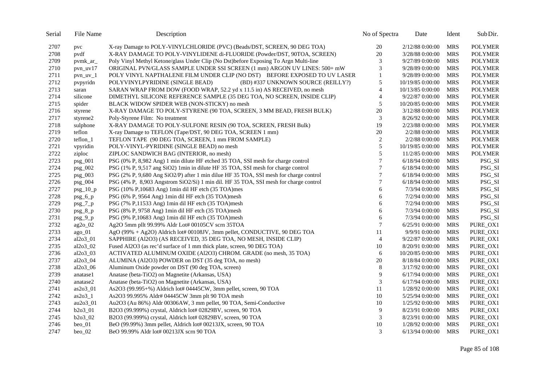| Serial | File Name   | Description                                                                           | No of Spectra   | Date              | Ident      | Sub Dir.       |
|--------|-------------|---------------------------------------------------------------------------------------|-----------------|-------------------|------------|----------------|
| 2707   | pvc         | X-ray Damage to POLY-VINYLCHLORIDE (PVC) (Beads/DST, SCREEN, 90 DEG TOA)              | 20              | 2/12/88 0:00:00   | <b>MRS</b> | <b>POLYMER</b> |
| 2708   | pvdf        | X-RAY DAMAGE TO POLY-VINYLIDENE di-FLUORIDE (Powder/DST, 90TOA, SCREEN)               | 20              | 3/28/88 0:00:00   | <b>MRS</b> | <b>POLYMER</b> |
| 2709   | pvmk_ar_    | Poly Vinyl Methyl Ketone/glass Under Clip (No Dst)before Exposing To Argn Multi-line  | 3               | 9/27/89 0:00:00   | <b>MRS</b> | <b>POLYMER</b> |
| 2710   | $pvn_uv17$  | ORIGINAL PVN/GLASS SAMPLE UNDER SSI SCREEN (1 mm) ARGON UV LINES: 500+ mW             | 3               | 9/28/89 0:00:00   | <b>MRS</b> | <b>POLYMER</b> |
| 2711   | $pvn_uv_1$  | POLY VINYL NAPTHALENE FILM UNDER CLIP (NO DST) BEFORE EXPOSED TO UV LASER             | $\mathbf{1}$    | 9/28/89 0:00:00   | <b>MRS</b> | <b>POLYMER</b> |
| 2712   | pvpyridn    | POLYVINYLPYRIDINE (SINGLE BEAD)<br>(BD) #337 UNKNOWN SOURCE (REILLY?)                 | 5               | 10/19/85 0:00:00  | <b>MRS</b> | <b>POLYMER</b> |
| 2713   | saran       | SARAN WRAP FROM DOW (FOOD WRAP, 52.2 yd x 11.5 in) AS RECEIVED, no mesh               | $\overline{4}$  | 10/13/85 0:00:00  | <b>MRS</b> | <b>POLYMER</b> |
| 2714   | silicone    | DIMETHYL SILICONE REFERENCE SAMPLE (35 DEG TOA, NO SCREEN, INSIDE CLIP)               | 4               | 9/22/87 0:00:00   | <b>MRS</b> | <b>POLYMER</b> |
| 2715   | spider      | BLACK WIDOW SPIDER WEB (NON-STICKY) no mesh                                           | 5               | 10/20/85 0:00:00  | <b>MRS</b> | <b>POLYMER</b> |
| 2716   | styrene     | X-RAY DAMAGE TO POLY-STYRENE (90 TOA, SCREEN, 3 MM BEAD, FRESH BULK)                  | 20              | 3/12/88 0:00:00   | <b>MRS</b> | <b>POLYMER</b> |
| 2717   | styrene2    | Poly-Styrene Film: No treatment                                                       | 3               | 8/26/92 0:00:00   | <b>MRS</b> | <b>POLYMER</b> |
| 2718   | sulphone    | X-RAY DAMAGE TO POLY-SULFONE RESIN (90 TOA, SCREEN, FRESH Bulk)                       | 19              | 2/23/88 0:00:00   | <b>MRS</b> | <b>POLYMER</b> |
| 2719   | teflon      | X-ray Damage to TEFLON (Tape/DST, 90 DEG TOA, SCREEN 1 mm)                            | 20              | 2/2/88 0:00:00    | <b>MRS</b> | <b>POLYMER</b> |
| 2720   | teflon_1    | TEFLON TAPE (90 DEG TOA, SCREEN, 1 mm FROM SAMPLE)                                    | $\sqrt{2}$      | 2/2/88 0:00:00    | <b>MRS</b> | <b>POLYMER</b> |
| 2721   | vpyridin    | POLY-VINYL-PYRIDINE (SINGLE BEAD) no mesh                                             | 5               | 10/19/85 0:00:00  | <b>MRS</b> | <b>POLYMER</b> |
| 2722   | ziploc      | ZIPLOC SANDWICH BAG (INTERIOR, no mesh)                                               | 5               | 11/2/85 0:00:00   | <b>MRS</b> | <b>POLYMER</b> |
| 2723   | $psg_001$   | PSG (0% P, 8,982 Ang) 1 min dilute HF etched 35 TOA, SSI mesh for charge control      | 7               | 6/18/94 0:00:00   | <b>MRS</b> | PSG_SI         |
| 2724   | psg_002     | PSG (1% P, 9,517 ang SiO2) 1min in dilute HF 35 TOA, SSI mesh for charge control      | $7\phantom{.0}$ | 6/18/94 0:00:00   | <b>MRS</b> | PSG_SI         |
| 2725   | psg_003     | PSG (2% P, 9,680 Ang SiO2/P) after 1 min dilue HF 35 TOA, SSI mesh for charge control | $\overline{7}$  | 6/18/94 0:00:00   | <b>MRS</b> | PSG_SI         |
| 2726   | $psg_004$   | PSG (4% P, 8,903 Angstrom SiO2/Si) 1 min dil. HF 35 TOA, SSI mesh for charge control  | 7               | 6/18/94 0:00:00   | <b>MRS</b> | PSG_SI         |
| 2727   | $psg_10_p$  | PSG (10% P,10683 Ang) 1 min dil HF etch (35 TOA) mes                                  | 6               | 7/3/94 0:00:00    | <b>MRS</b> | PSG_SI         |
| 2728   | $psg_6_p$   | PSG (6% P, 9564 Ang) 1min dil HF etch (35 TOA)mesh                                    | 6               | 7/2/94 0:00:00    | <b>MRS</b> | PSG_SI         |
| 2729   | $psg_7_p$   | PSG (7% P,11533 Ang) 1min dil HF etch (35 TOA)mesh                                    | 6               | 7/2/94 0:00:00    | <b>MRS</b> | PSG_SI         |
| 2730   | $psg_8_p$   | PSG (8% P, 9758 Ang) 1min dil HF etch (35 TOA)mesh                                    | 6               | 7/3/94 0:00:00    | <b>MRS</b> | PSG_SI         |
| 2731   | $psg_9_p$   | PSG (9% P,10683 Ang) 1min dil HF etch (35 TOA)mesh                                    | 6               | 7/3/94 0:00:00    | <b>MRS</b> | PSG_SI         |
| 2732   | ag2o_02     | Ag2O 5mm pllt 99.99% Aldr Lot# 00105CV scrn 35TOA                                     | $\overline{7}$  | 6/25/91 0:00:00   | <b>MRS</b> | PURE_OX1       |
| 2733   | $ago_01$    | AgO $(99\% + Ag2O)$ Aldrich lot# 00108JV, 3mm pellet, CONDUCTIVE, 90 DEG TOA          | 11              | 9/9/91 0:00:00    | <b>MRS</b> | PURE_OX1       |
| 2734   | al2o3_01    | SAPPHIRE (Al2O3) (AS RECEIVED, 35 DEG TOA, NO MESH, INSIDE CLIP)                      | $\overline{4}$  | 9/22/87 0:00:00   | <b>MRS</b> | PURE_OX1       |
| 2735   | al $2o3$ 02 | Fused Al2O3 (as rec'd surface of 1 mm thick plate, screen, 90 DEG TOA)                | 10              | 8/20/91 0:00:00   | <b>MRS</b> | PURE_OX1       |
| 2736   | $a12o3_03$  | ACTIVATED ALUMINUM OXIDE (Al2O3) CHROM. GRADE (no mesh, 35 TOA)                       | 6               | 10/20/85 0:00:00  | <b>MRS</b> | PURE_OX1       |
| 2737   | al2o3_04    | ALUMINA (Al2O3) POWDER on DST (35 deg TOA, no mesh)                                   | 20              | 8/18/84 0:00:00   | <b>MRS</b> | PURE OX1       |
| 2738   | $al2o3_06$  | Aluminum Oxide powder on DST (90 deg TOA, screen)                                     | 8               | 3/17/92 0:00:00   | <b>MRS</b> | PURE_OX1       |
| 2739   | anatase1    | Anatase (beta-TiO2) on Magnetite (Arkansas, USA)                                      | 9               | 6/17/94 0:00:00   | <b>MRS</b> | PURE_OX1       |
| 2740   | anatase2    | Anatase (beta-TiO2) on Magnetite (Arkansas, USA)                                      | 3               | $6/17/94$ 0:00:00 | <b>MRS</b> | PURE OX1       |
| 2741   | $as2o3_01$  | As2O3 (99.995+%) Aldrich lot# 04445CW, 3mm pellet, screen, 90 TOA                     | 11              | 1/28/92 0:00:00   | <b>MRS</b> | PURE_OX1       |
| 2742   | $as2o3_1$   | As2O3 99.995% Aldr# 04445CW 3mm plt 90 TOA mesh                                       | 10              | 5/25/94 0:00:00   | <b>MRS</b> | PURE_OX1       |
| 2743   | au2o3_01    | Au2O3 (Au 86%) Aldr 00306AW, 3 mm pellet, 90 TOA, Semi-Conductive                     | 10              | 1/25/92 0:00:00   | <b>MRS</b> | PURE_OX1       |
| 2744   | $b2o3_01$   | B2O3 (99.999%) crystal, Aldrich lot# 02829BV, screen, 90 TOA                          | 9               | 8/23/91 0:00:00   | <b>MRS</b> | PURE_OX1       |
| 2745   | $b2o3_02$   | B2O3 (99.999%) crystal, Aldrich lot# 02829BV, screen, 90 TOA                          | 3               | 8/23/91 0:00:00   | <b>MRS</b> | PURE_OX1       |
| 2746   | $beo_01$    | BeO (99.99%) 3mm pellet, Aldrich lot# 00213JX, screen, 90 TOA                         | 10              | 1/28/92 0:00:00   | <b>MRS</b> | PURE_OX1       |
| 2747   | $beo_02$    | BeO 99.99% Aldr lot# 00213JX scrn 90 TOA                                              | 3               | 6/13/94 0:00:00   | <b>MRS</b> | PURE OX1       |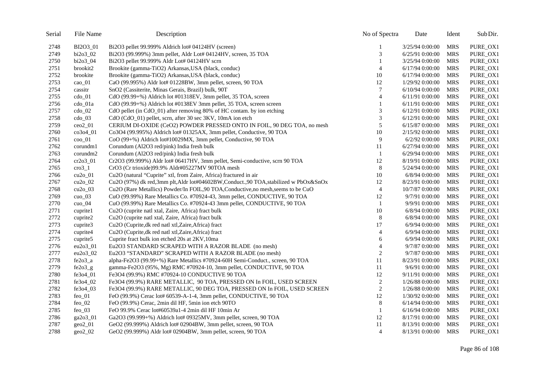| Serial | File Name          | Description                                                                       | No of Spectra  | Date              | Ident      | Sub Dir. |
|--------|--------------------|-----------------------------------------------------------------------------------|----------------|-------------------|------------|----------|
| 2748   | BI2O3 01           | Bi2O3 pellet 99.999% Aldrich lot# 04124HV (screen)                                | 1              | 3/25/94 0:00:00   | <b>MRS</b> | PURE_OX1 |
| 2749   | bi2o3_02           | Bi2O3 (99.999%) 3mm pellet, Aldr Lot# 04124HV, screen, 35 TOA                     | 3              | 6/25/91 0:00:00   | <b>MRS</b> | PURE_OX1 |
| 2750   | bi2o3_04           | Bi2O3 pellet 99.999% Aldr Lot# 04124HV scrn                                       | 1              | 3/25/94 0:00:00   | <b>MRS</b> | PURE OX1 |
| 2751   | brookit2           | Brookite (gamma-TiO2) Arkansas, USA (black, conduc)                               | $\overline{4}$ | 6/17/94 0:00:00   | <b>MRS</b> | PURE_OX1 |
| 2752   | brookite           | Brookite (gamma-TiO2) Arkansas, USA (black, conduc)                               | 10             | $6/17/94$ 0:00:00 | <b>MRS</b> | PURE_OX1 |
| 2753   | cao_01             | CaO (99.995%) Aldr lot# 01228BW, 3mm pellet, screen, 90 TOA                       | 12             | 1/29/92 0:00:00   | <b>MRS</b> | PURE_OX1 |
| 2754   | cassitr            | SnO2 (Cassiterite, Minas Gerais, Brazil) bulk, 90T                                | 7              | $6/10/94$ 0:00:00 | <b>MRS</b> | PURE_OX1 |
| 2755   | $\text{cdo}_01$    | CdO (99.99+%) Aldrich lot #01318EV, 3mm pellet, 35 TOA, screen                    | $\overline{4}$ | 6/11/91 0:00:00   | <b>MRS</b> | PURE_OX1 |
| 2756   | cdo 01a            | CdO (99.99+%) Aldrich lot #0138EV 3mm pellet, 35 TOA, screen screen               | 1              | 6/11/91 0:00:00   | <b>MRS</b> | PURE_OX1 |
| 2757   | $\rm{cdo\_02}$     | CdO pellet (in CdO_01) after removing 80% of HC contam. by ion etching            | 3              | 6/12/91 0:00:00   | <b>MRS</b> | PURE_OX1 |
| 2758   | $\rm{cdo\_03}$     | CdO (CdO_01) pellet, scrn, after 30 sec 3KV, 10mA ion etch                        | 3              | 6/12/91 0:00:00   | <b>MRS</b> | PURE_OX1 |
| 2759   | $ceo2$ 01          | CERIUM DI-OXIDE (CeO2) POWDER PRESSED ONTO IN FOIL, 90 DEG TOA, no mesh           | 5              | 6/15/87 0:00:00   | <b>MRS</b> | PURE_OX1 |
| 2760   | $co3o4_01$         | Co3O4 (99.995%) Aldrich lot# 01325AX, 3mm pellet, Conductive, 90 TOA              | 10             | 2/15/92 0:00:00   | <b>MRS</b> | PURE_OX1 |
| 2761   | $\cos 01$          | CoO (99+%) Aldrich lot#10029MX, 3mm pellet, Conductive, 90 TOA                    | 9              | 6/2/92 0:00:00    | <b>MRS</b> | PURE_OX1 |
| 2762   | corundm1           | Corundum (Al2O3 red/pink) India fresh bulk                                        | 11             | 6/27/94 0:00:00   | <b>MRS</b> | PURE_OX1 |
| 2763   | corundm2           | Corundum (Al2O3 red/pink) India fresh bulk                                        | -1             | 6/29/94 0:00:00   | <b>MRS</b> | PURE_OX1 |
| 2764   | cr2o3_01           | Cr2O3 (99.999%) Aldr lot# 06417HV, 3mm pellet, Semi-conductive, scrn 90 TOA       | 12             | 8/19/91 0:00:00   | <b>MRS</b> | PURE OX1 |
| 2765   | $\mathrm{cro}3\_1$ | CrO3 (Cr trioxide)99.9% Aldr#05227MV 90TOA mesh                                   | 8              | 5/24/94 0:00:00   | <b>MRS</b> | PURE_OX1 |
| 2766   | $cu2o_01$          | Cu <sub>2</sub> O (natural "Cuprite" xtl, from Zaire, Africa) fractured in air    | 10             | 6/8/94 0:00:00    | <b>MRS</b> | PURE_OX1 |
| 2767   | $cu2o_02$          | Cu2O (97%) dk red,3mm plt,Aldr lot#04602BW,Conduct.,90 TOA,stabilized w PbOx&SnOx | 12             | 8/23/91 0:00:00   | <b>MRS</b> | PURE_OX1 |
| 2768   | $cu2o_03$          | Cu2O (Rare Metallics) Powder/In FOIL,90 TOA, Conductive, no mesh, seems to be CuO | $\overline{4}$ | 10/7/87 0:00:00   | <b>MRS</b> | PURE_OX1 |
| 2769   | $cuo_03$           | CuO (99.99%) Rare Metallics Co. #70924-43, 3mm pellet, CONDUCTIVE, 90 TOA         | 12             | 9/7/91 0:00:00    | <b>MRS</b> | PURE_OX1 |
| 2770   | cuo $04$           | CuO (99.99%) Rare Metallics Co. #70924-43 3mm pellet, CONDUCTIVE, 90 TOA          | -1             | 9/9/91 0:00:00    | <b>MRS</b> | PURE_OX1 |
| 2771   | cuprite1           | Cu2O (cuprite natl xtal, Zaire, Africa) fract bulk                                | $10\,$         | 6/8/94 0:00:00    | <b>MRS</b> | PURE_OX1 |
| 2772   | cuprite2           | Cu2O (cuprite natl xtal, Zaire, Africa) fract bulk                                | 8              | 6/8/94 0:00:00    | <b>MRS</b> | PURE_OX1 |
| 2773   | cuprite3           | Cu <sub>2</sub> O (Cuprite, dk red natl xtl, Zaire, Africa) fract                 | 17             | 6/9/94 0:00:00    | <b>MRS</b> | PURE_OX1 |
| 2774   | cuprite4           | Cu2O (Cuprite, dk red natl xtl, Zaire, Africa) fract                              | $\overline{4}$ | 6/9/94 0:00:00    | <b>MRS</b> | PURE_OX1 |
| 2775   | cuprite5           | Cuprite fract bulk ion etched 20s at 2KV,10ma                                     | 6              | 6/9/94 0:00:00    | <b>MRS</b> | PURE_OX1 |
| 2776   | $eu2o3_01$         | Eu2O3 STANDARD SCRAPED WITH A RAZOR BLADE (no mesh)                               | $\overline{4}$ | 9/7/87 0:00:00    | <b>MRS</b> | PURE_OX1 |
| 2777   | eu2o3_02           | Eu2O3 "STANDARD" SCRAPED WITH A RAZOR BLADE (no mesh)                             | 2              | 9/7/87 0:00:00    | <b>MRS</b> | PURE_OX1 |
| 2778   | $fe2o3_a$          | alpha-Fe2O3 (99.99+%) Rare Metallics #70924-60H Semi-Conduct., screen, 90 TOA     | 11             | 8/23/91 0:00:00   | <b>MRS</b> | PURE_OX1 |
| 2779   | $fe2o3_g$          | gamma-Fe2O3 (95%, Mg) RMC #70924-10, 3mm pellet, CONDUCTIVE, 90 TOA               | 11             | 9/6/91 0:00:00    | <b>MRS</b> | PURE_OX1 |
| 2780   | fe3o4_01           | Fe3O4 (99.9%) RMC #70924-10 CONDUCTIVE 90 TOA                                     | 12             | 9/11/91 0:00:00   | <b>MRS</b> | PURE_OX1 |
| 2781   | fe3o4_02           | Fe3O4 (99.9%) RARE METALLIC, 90 TOA, PRESSED ON In FOIL, USED SCREEN              | $\mathfrak{2}$ | 1/26/88 0:00:00   | <b>MRS</b> | PURE_OX1 |
| 2782   | fe3o4_03           | Fe3O4 (99.9%) RARE METALLIC, 90 DEG TOA, PRESSED ON In FOIL, USED SCREEN          | $\sqrt{2}$     | 1/26/88 0:00:00   | <b>MRS</b> | PURE_OX1 |
| 2783   | $feo_01$           | FeO (99.9%) Cerac lot# 60539-A-1-4, 3mm pellet, CONDUCTIVE, 90 TOA                | 12             | 1/30/92 0:00:00   | <b>MRS</b> | PURE_OX1 |
| 2784   | feo_02             | FeO (99.9%) Cerac, 2min dil HF, 5min ion etch 90TO                                | $\,8\,$        | $6/14/94$ 0:00:00 | <b>MRS</b> | PURE_OX1 |
| 2785   | feo $\alpha$       | FeO 99.9% Cerac lot#60539a1-4 2min dil HF 10min Ar                                | 1              | $6/16/94$ 0:00:00 | <b>MRS</b> | PURE_OX1 |
| 2786   | $\text{ga}2o3$ 01  | Ga2O3 (99.999+%) Aldrich lot# 09325MV, 3mm pellet, screen, 90 TOA                 | 12             | 8/17/91 0:00:00   | <b>MRS</b> | PURE_OX1 |
| 2787   | $geo2_01$          | GeO2 (99.999%) Aldrich lot# 02904BW, 3mm pellet, screen, 90 TOA                   | 11             | 8/13/91 0:00:00   | <b>MRS</b> | PURE_OX1 |
| 2788   | $geo2_02$          | GeO2 (99.999%) Aldr lot# 02904BW, 3mm pellet, screen, 90 TOA                      | $\overline{4}$ | 8/13/91 0:00:00   | MRS        | PURE_OX1 |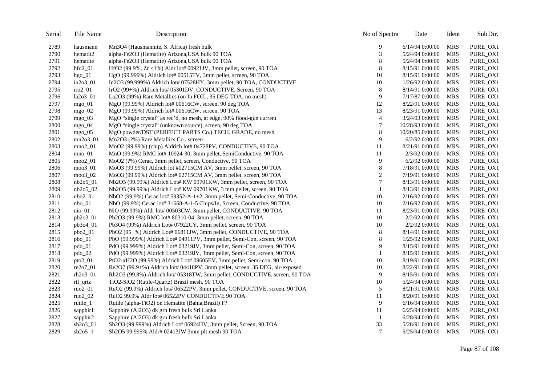| Serial | File Name           | Description                                                                  | No of Spectra    | Date              | Ident      | Sub Dir. |
|--------|---------------------|------------------------------------------------------------------------------|------------------|-------------------|------------|----------|
| 2789   | hausmann            | Mn3O4 (Hausmannite, S. Africa) fresh bulk                                    | 9                | $6/14/94$ 0:00:00 | <b>MRS</b> | PURE_OX1 |
| 2790   | hematit2            | alpha-Fe2O3 (Hematite) Arizona, USA bulk 90 TOA                              | 3                | 5/24/94 0:00:00   | <b>MRS</b> | PURE_OX1 |
| 2791   | hematite            | alpha-Fe2O3 (Hematite) Arizona, USA bulk 90 TOA                              | 8                | 5/24/94 0:00:00   | <b>MRS</b> | PURE OX1 |
| 2792   | $hfo2_01$           | HfO2 (99.9%, $Zr \le 1\%$ ) Aldr lot# 00921JV, 3mm pellet, screen, 90 TOA    | 8                | 8/15/91 0:00:00   | <b>MRS</b> | PURE_OX1 |
| 2793   | $hgo_01$            | HgO (99.999%) Aldrich lot# 00515TV, 3mm pellet, screen, 90 TOA               | 10               | 8/15/91 0:00:00   | <b>MRS</b> | PURE_OX1 |
| 2794   | $in2o3_01$          | In2O3 (99.999%) Aldrich lot# 07528HY, 3mm pellet, 90 TOA, CONDUCTIVE         | 10               | 1/26/92 0:00:00   | <b>MRS</b> | PURE_OX1 |
| 2795   | $i$ ro $2$ _01      | IrO2 (99+%) Aldrich lot# 05301DV, CONDUCTIVE, Screen, 90 TOA                 | 8                | 8/14/91 0:00:00   | <b>MRS</b> | PURE_OX1 |
| 2796   | $la2o3_01$          | La2O3 (99%) Rare Metallics (on In FOIL, 35 DEG TOA, no mesh)                 | 9                | 7/17/87 0:00:00   | <b>MRS</b> | PURE_OX1 |
| 2797   | mgo $01$            | MgO (99.99%) Aldrich lot# 00616CW, screen, 90 deg TOA                        | 12               | 8/22/91 0:00:00   | <b>MRS</b> | PURE_OX1 |
| 2798   | $mgo_02$            | MgO (99.99%) Aldrich lot# 00616CW, screen, 90 TOA                            | 13               | 8/23/91 0:00:00   | <b>MRS</b> | PURE_OX1 |
| 2799   | mgo $03$            | MgO "single crystal" as rec'd, no mesh, at edge, 90% flood-gun current       | $\overline{4}$   | 3/24/93 0:00:00   | <b>MRS</b> | PURE_OX1 |
| 2800   | $mgo_04$            | MgO "single crystal" (unknown source), screen, 90 deg TOA                    | 7                | 10/28/93 0:00:00  | <b>MRS</b> | PURE_OX1 |
| 2801   | mgo $05$            | MgO powder/DST (PERFECT PARTS Co.) TECH. GRADE, no mesh                      | $\,8\,$          | 10/20/85 0:00:00  | <b>MRS</b> | PURE_OX1 |
| 2802   | $mn2o3_01$          | Mn2O3 (?%) Rare Metallics Co., screen                                        | 9                | $6/2/92$ 0:00:00  | <b>MRS</b> | PURE OX1 |
| 2803   | $mno2_01$           | MnO2 (99.99%) (chip) Aldrich lot# 04728PV, CONDUCTIVE, 90 TOA                | 11               | 8/21/91 0:00:00   | <b>MRS</b> | PURE_OX1 |
| 2804   | $mno_01$            | MnO (99.9%) RMC lot# 10924-30, 3mm pellet, SemiConductive, 90 TOA            | $11\,$           | 2/3/92 0:00:00    | <b>MRS</b> | PURE_OX1 |
| 2805   | $moo2_01$           | MoO2 (?%) Cerac, 3mm pellet, screen, Conductive, 90 TOA                      | 9                | $6/2/92$ 0:00:00  | <b>MRS</b> | PURE_OX1 |
| 2806   | moo3_01             | MoO3 (99.99%) Aldrich lot #02715CM AV, 3mm pellet, screen, 90 TOA            | $\,8\,$          | 7/18/91 0:00:00   | <b>MRS</b> | PURE_OX1 |
| 2807   | moo3_02             | MoO3 (99.99%) Aldrich lot# 02715CM AV, 3mm pellet, screen, 90 TOA            | $\boldsymbol{2}$ | 7/19/91 0:00:00   | <b>MRS</b> | PURE_OX1 |
| 2808   | nb2o5_01            | Nb2O5 (99.99%) Aldrich Lot# KW 09701KW, 3mm pellet, screen, 90 TOA           | $\overline{7}$   | 8/13/91 0:00:00   | <b>MRS</b> | PURE_OX1 |
| 2809   | $nb2o5_02$          | Nb2O5 (99.99%) Aldrich Lot# KW 09701KW, 3 mm pellet, screen, 90 TOA          | $\mathbf{1}$     | 8/13/91 0:00:00   | <b>MRS</b> | PURE_OX1 |
| 2810   | $nbo2_01$           | NbO2 (99.9%) Cerac lot# 59352-A-1+2, 3mm pellet, Semi-Conductive, 90 TOA     | 10               | 2/16/92 0:00:00   | <b>MRS</b> | PURE_OX1 |
| 2811   | $nbo_01$            | NbO (99.9%) Cerac lot# 31668-A-1-5 Chips/In, Screen, Conductive, 90 TOA      | 10               | 2/16/92 0:00:00   | <b>MRS</b> | PURE_OX1 |
| 2812   | nio_01              | NiO (99.99%) Aldr lot# 00503CW, 3mm pellet, CONDUCTIVE, 90 TOA               | 11               | 8/23/91 0:00:00   | <b>MRS</b> | PURE_OX1 |
| 2813   | $pb2o3_01$          | Pb2O3 (99.9%) RMC lot# 80310-04, 3mm pellet, screen, 90 TOA                  | 10               | 2/2/92 0:00:00    | <b>MRS</b> | PURE_OX1 |
| 2814   | pb3o4_01            | Pb3O4 (99%) Aldrich Lot# 07922CY, 3mm pellet, screen, 90 TOA                 | 10               | 2/2/92 0:00:00    | <b>MRS</b> | PURE_OX1 |
| 2815   | pbo2_01             | PbO2 (95+%) Aldrich Lot# 06811JW, 3mm pellet, CONDUCTIVE, 90 TOA             | 8                | 8/14/91 0:00:00   | <b>MRS</b> | PURE_OX1 |
| 2816   | $pbo_01$            | PbO (99.999%) Aldrich Lot# 04911PV, 3mm pellet, Semi-Con, screen, 90 TOA     | $\,8\,$          | 1/25/92 0:00:00   | <b>MRS</b> | PURE_OX1 |
| 2817   | pdo_01              | PdO (99.999%) Aldrich Lot# 03219JV, 3mm pellet, Semi-Con, screen, 90 TOA     | 9                | 8/15/91 0:00:00   | <b>MRS</b> | PURE_OX1 |
| 2818   | $pdo_02$            | PdO (99.999%) Aldrich Lot# 03219JV, 3mm pellet, Semi-Con, screen, 90 TOA     | -1               | 8/15/91 0:00:00   | <b>MRS</b> | PURE_OX1 |
| 2819   | $pto2_01$           | PtO2-xH2O (99.99%) Aldrich Lot# 09605EV, 3mm pellet, Semi-con, 90 TOA        | 10               | 8/19/91 0:00:00   | <b>MRS</b> | PURE_OX1 |
| 2820   | $re2o7_01$          | Re2O7 (99.9+%) Aldrich lot# 04418PV, 3mm pellet, screen, 35 DEG, air-exposed | 10               | 8/22/91 0:00:00   | <b>MRS</b> | PURE_OX1 |
| 2821   | rh2o3_01            | Rh2O3 (99.8%) Aldrich lot# 05318TW, 3mm pellet, CONDUCTIVE, screen, 90 TOA   | 9                | 8/15/91 0:00:00   | <b>MRS</b> | PURE_OX1 |
| 2822   | rtl_qrtz            | TiO2-SiO2 (Rutile-Quartz) Brazil mesh, 90 TOA                                | 10               | 5/24/94 0:00:00   | <b>MRS</b> | PURE_OX1 |
| 2823   | $ruo2_01$           | RuO2 (99.9%) Aldrich lot# 06522PV, 3mm pellet, CONDUCTIVE, screen, 90 TOA    | 5                | 8/21/91 0:00:00   | <b>MRS</b> | PURE_OX1 |
| 2824   | ruo <sub>2_02</sub> | RuO2 99.9% Aldr lot# 06522PV CONDUCTIVE 90 TOA                               | 11               | 8/20/91 0:00:00   | <b>MRS</b> | PURE_OX1 |
| 2825   | rutile_1            | Rutile (alpha-TiO2) on Hematite (Bahia, Brazil) F?                           | 9                | $6/16/94$ 0:00:00 | <b>MRS</b> | PURE_OX1 |
| 2826   | sapphir1            | Sapphire (Al2O3) dk grn fresh bulk Sri Lanka                                 | 11               | 6/25/94 0:00:00   | <b>MRS</b> | PURE_OX1 |
| 2827   | sapphir2            | Sapphire (Al2O3) dk grn fresh bulk Sri Lanka                                 | -1               | 6/28/94 0:00:00   | <b>MRS</b> | PURE_OX1 |
| 2828   | $sb2o3_01$          | Sb2O3 (99.999%) Aldrich Lot# 06924HV, 3mm pellet, Screen, 90 TOA             | 33               | 5/28/91 0:00:00   | <b>MRS</b> | PURE_OX1 |
| 2829   | $sb2o5_1$           | Sb2O5 99.995% Aldr# 02413JW 3mm plt mesh 90 TOA                              | $\tau$           | 5/25/94 0:00:00   | MRS        | PURE_OX1 |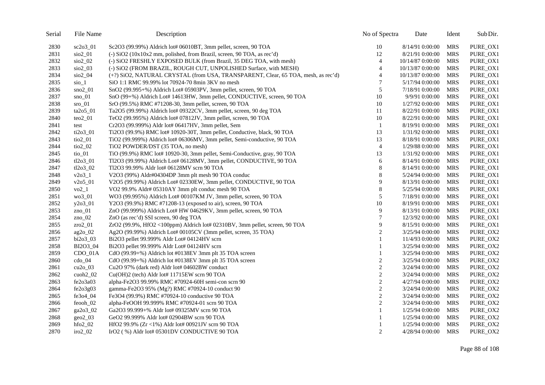| Serial | File Name                | Description                                                                       | No of Spectra    | Date             | Ident      | Sub Dir. |
|--------|--------------------------|-----------------------------------------------------------------------------------|------------------|------------------|------------|----------|
| 2830   | $sc2o3$ 01               | Sc2O3 (99.99%) Aldrich lot# 06010BT, 3mm pellet, screen, 90 TOA                   | 10               | 8/14/91 0:00:00  | MRS        | PURE_OX1 |
| 2831   | sio2_01                  | (-) SiO2 (10x10x2 mm, polished, from Brazil, screen, 90 TOA, as rec'd)            | 12               | 8/21/91 0:00:00  | <b>MRS</b> | PURE_OX1 |
| 2832   | $\frac{\text{SiO2}}{2}$  | (-) SiO2 FRESHLY EXPOSED BULK (from Brazil, 35 DEG TOA, with mesh)                | $\overline{4}$   | 10/14/87 0:00:00 | <b>MRS</b> | PURE_OX1 |
| 2833   | $\frac{\text{SiO2}}{0}$  | (-) SiO2 (FROM BRAZIL, ROUGH CUT, UNPOLISHED Surface, with MESH)                  | 4                | 10/13/87 0:00:00 | <b>MRS</b> | PURE_OX1 |
| 2834   | $\frac{\text{SiO2}}{04}$ | (+?) SiO2, NATURAL CRYSTAL (from USA, TRANSPARENT, Clear, 65 TOA, mesh, as rec'd) | $\overline{4}$   | 10/13/87 0:00:00 | <b>MRS</b> | PURE_OX1 |
| 2835   | $sio_1$                  | SiO 1:1 RMC 99.99% lot 70924-70 8min 3KV no mesh                                  | 7                | 5/17/94 0:00:00  | <b>MRS</b> | PURE_OX1 |
| 2836   | $\text{sno2}$ 01         | SnO2 (99.995+%) Aldrich Lot# 05903PV, 3mm pellet, screen, 90 TOA                  | 5                | 7/18/91 0:00:00  | <b>MRS</b> | PURE_OX1 |
| 2837   | $\text{Sno}\_{01}$       | SnO (99+%) Aldrich Lot# 14613HW, 3mm pellet, CONDUCTIVE, screen, 90 TOA           | 10               | 9/9/91 0:00:00   | <b>MRS</b> | PURE_OX1 |
| 2838   | $sro_01$                 | SrO (99.5%) RMC #71208-30, 3mm pellet, screen, 90 TOA                             | 10               | 1/27/92 0:00:00  | <b>MRS</b> | PURE_OX1 |
| 2839   | $ta2o5$ 01               | Ta2O5 (99.99%) Aldrich lot# 09322CV, 3mm pellet, screen, 90 deg TOA               | 11               | 8/22/91 0:00:00  | <b>MRS</b> | PURE_OX1 |
| 2840   | $teo2_01$                | TeO2 (99.995%) Aldrich lot# 07812JV, 3mm pellet, screen, 90 TOA                   | 10               | 8/22/91 0:00:00  | <b>MRS</b> | PURE_OX1 |
| 2841   | test                     | Cr2O3 (99.999%) Aldr lot# 06417HV, 3mm pellet, Sem                                | $\mathbf{1}$     | 8/19/91 0:00:00  | <b>MRS</b> | PURE_OX1 |
| 2842   | $ti2o3_01$               | Ti2O3 (99.9%) RMC lot# 10920-30T, 3mm pellet, Conductive, black, 90 TOA           | 13               | 1/31/92 0:00:00  | <b>MRS</b> | PURE_OX1 |
| 2843   | $\frac{\text{ti02}}{01}$ | TiO2 (99.999%) Aldrich lot# 06306MV, 3mm pellet, Semi-conductive, 90 TOA          | 13               | 8/18/91 0:00:00  | <b>MRS</b> | PURE_OX1 |
| 2844   | $\frac{\text{ti02}}{2}$  | TiO2 POWDER/DST (35 TOA, no mesh)                                                 | $\overline{4}$   | 1/29/88 0:00:00  | <b>MRS</b> | PURE_OX1 |
| 2845   | $ti$ o $_0$ 1            | TiO (99.9%) RMC lot# 10920-30, 3mm pellet, Semi-Conductive, gray, 90 TOA          | 13               | 1/31/92 0:00:00  | <b>MRS</b> | PURE_OX1 |
| 2846   | $t12o3_01$               | Tl2O3 (99.99%) Aldrich Lot# 06128MV, 3mm pellet, CONDUCTIVE, 90 TOA               | 6                | 8/14/91 0:00:00  | <b>MRS</b> | PURE_OX1 |
| 2847   | $t12o3_02$               | Tl2O3 99.99% Aldr lot# 06128MV scrn 90 TOA                                        | 8                | 8/14/91 0:00:00  | <b>MRS</b> | PURE_OX1 |
| 2848   | $v2o3_1$                 | V2O3 (99%) Aldr#04304DP 3mm plt mesh 90 TOA conduc                                | 8                | 5/24/94 0:00:00  | <b>MRS</b> | PURE_OX1 |
| 2849   | $v2o5_01$                | V2O5 (99.99%) Aldrich Lot# 02330EW, 3mm pellet, CONDUCTIVE, 90 TOA                | 9                | 8/13/91 0:00:00  | <b>MRS</b> | PURE_OX1 |
| 2850   | $vo2_1$                  | VO2 99.9% Aldr# 05310AY 3mm plt conduc mesh 90 TOA                                | 8                | 5/25/94 0:00:00  | <b>MRS</b> | PURE_OX1 |
| 2851   | wo3_01                   | WO3 (99.995%) Aldrich Lot# 00107KM JV, 3mm pellet, screen, 90 TOA                 | 5                | 7/18/91 0:00:00  | <b>MRS</b> | PURE_OX1 |
| 2852   | $y2o3_01$                | Y2O3 (99.9%) RMC #71208-13 (exposed to air), screen, 90 TOA                       | 10               | 8/19/91 0:00:00  | <b>MRS</b> | PURE_OX1 |
| 2853   | $zno_01$                 | ZnO (99.999%) Aldrich Lot# HW 04629KV, 3mm pellet, screen, 90 TOA                 | 9                | 8/13/91 0:00:00  | <b>MRS</b> | PURE_OX1 |
| 2854   | $zno_02$                 | ZnO (as rec'd) SSI screen, 90 deg TOA                                             | $\overline{7}$   | 12/3/92 0:00:00  | <b>MRS</b> | PURE_OX1 |
| 2855   | $zro2_01$                | ZrO2 (99.9%, HfO2 <100ppm) Aldrich lot# 02310BV, 3mm pellet, screen, 90 TOA       | 9                | 8/15/91 0:00:00  | <b>MRS</b> | PURE_OX1 |
| 2856   | $ag2o_02$                | Ag2O (99.99%) Aldrich Lot# 00105CV (3mm pellet, screen, 35 TOA)                   | $\overline{c}$   | 3/25/94 0:00:00  | MRS        | PURE_OX2 |
| 2857   | $bi2o3$ 03               | Bi2O3 pellet 99.999% Aldr Lot# 04124HV scrn                                       |                  | 11/4/93 0:00:00  | <b>MRS</b> | PURE_OX2 |
| 2858   | BI2O3_04                 | Bi2O3 pellet 99.999% Aldr Lot# 04124HV scrn                                       |                  | 3/25/94 0:00:00  | <b>MRS</b> | PURE_OX2 |
| 2859   | $CDO_01A$                | $CdO(99.99+\%)$ Aldrich lot #0138EV 3mm plt 35 TOA screen                         |                  | 3/25/94 0:00:00  | <b>MRS</b> | PURE_OX2 |
| 2860   | $\rm{cdo}$ 04            | CdO (99.99+%) Aldrich lot #0138EV 3mm plt 35 TOA screen                           | $\overline{c}$   | 3/25/94 0:00:00  | <b>MRS</b> | PURE_OX2 |
| 2861   | $cu2o$ 03                | Cu2O 97% (dark red) Aldr lot# 04602BW conduct                                     | $\overline{c}$   | 3/24/94 0:00:00  | <b>MRS</b> | PURE_OX2 |
| 2862   | $cuch2_02$               | Cu(OH)2 (tech) Aldr lot# 11715EW scrn 90 TOA                                      | 2                | 3/24/94 0:00:00  | <b>MRS</b> | PURE_OX2 |
| 2863   | fe2o3a03                 | alpha-Fe2O3 99.99% RMC #70924-60H semi-con scrn 90                                | $\sqrt{2}$       | 4/27/94 0:00:00  | <b>MRS</b> | PURE_OX2 |
| 2864   | fe2o3g03                 | gamma-Fe2O3 95% (Mg?) RMC #70924-10 conduct 90                                    | $\overline{c}$   | 3/24/94 0:00:00  | <b>MRS</b> | PURE_OX2 |
| 2865   | fe3o4_04                 | Fe3O4 (99.9%) RMC #70924-10 conductive 90 TOA                                     | $\boldsymbol{2}$ | 3/24/94 0:00:00  | <b>MRS</b> | PURE_OX2 |
| 2866   | feooh 02                 | alpha-FeOOH 99.999% RMC #70924-01 scrn 90 TOA                                     | $\overline{c}$   | 3/24/94 0:00:00  | <b>MRS</b> | PURE_OX2 |
| 2867   | $\text{ga}2o3$ 02        | Ga2O3 99.999+% Aldr lot# 09325MV scrn 90 TOA                                      |                  | 1/25/94 0:00:00  | <b>MRS</b> | PURE_OX2 |
| 2868   | $geo2_03$                | GeO2 99.999% Aldr lot# 02904BW scrn 90 TOA                                        |                  | 1/25/94 0:00:00  | <b>MRS</b> | PURE_OX2 |
| 2869   | $hfo2$ 02                | HfO2 99.9% ( $Zr < 1\%$ ) Aldr lot# 00921JV scrn 90 TOA                           |                  | 1/25/94 0:00:00  | <b>MRS</b> | PURE_OX2 |
| 2870   | $i$ ro $2$ _02           | IrO2 (%) Aldr lot# 05301DV CONDUCTIVE 90 TOA                                      | 2                | 4/28/94 0:00:00  | <b>MRS</b> | PURE_OX2 |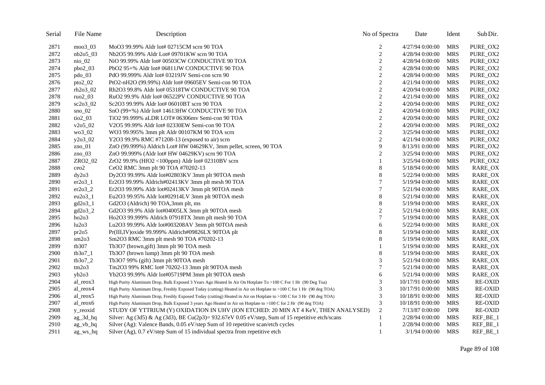| Serial | File Name                    | Description                                                                                                          | No of Spectra    | Date             | Ident      | Sub Dir.       |
|--------|------------------------------|----------------------------------------------------------------------------------------------------------------------|------------------|------------------|------------|----------------|
| 2871   | $moo3_03$                    | MoO3 99.99% Aldr lot# 02715CM scrn 90 TOA                                                                            | 2                | 4/27/94 0:00:00  | <b>MRS</b> | PURE_OX2       |
| 2872   | $nb2o5$ 03                   | Nb2O5 99.99% Aldr Lot# 09701KW scrn 90 TOA                                                                           | $\sqrt{2}$       | 4/28/94 0:00:00  | <b>MRS</b> | PURE_OX2       |
| 2873   | $ni$ <sub>0.02</sub>         | NiO 99.99% Aldr lot# 00503CW CONDUCTIVE 90 TOA                                                                       | $\mathbf{2}$     | 4/28/94 0:00:00  | <b>MRS</b> | PURE_OX2       |
| 2874   | $pbo2_03$                    | PbO2 95+% Aldr lot# 06811JW CONDUCTIVE 90 TOA                                                                        | $\sqrt{2}$       | 4/28/94 0:00:00  | <b>MRS</b> | PURE_OX2       |
| 2875   | $pdo_03$                     | PdO 99.999% Aldr lot# 03219JV Semi-con scrn 90                                                                       | $\overline{c}$   | 4/28/94 0:00:00  | <b>MRS</b> | PURE_OX2       |
| 2876   | $pto2_02$                    | PtO2-nH2O (99.99%) Aldr lot# 09605EV Semi-con 90 TOA                                                                 | $\overline{c}$   | 4/21/94 0:00:00  | <b>MRS</b> | PURE_OX2       |
| 2877   | $rh2o3_02$                   | Rh <sub>2</sub> O <sub>3</sub> 99.8% Aldr lot# 05318TW CONDUCTIVE 90 TOA                                             | $\overline{c}$   | 4/20/94 0:00:00  | <b>MRS</b> | PURE_OX2       |
| 2878   | ruo $2\overline{\smash{0}}3$ | RuO <sub>2</sub> 99.9% Aldr lot# 06522PV CONDUCTIVE 90 TOA                                                           | $\boldsymbol{2}$ | 4/21/94 0:00:00  | <b>MRS</b> | PURE_OX2       |
| 2879   | $sc2o3$ 02                   | Sc2O3 99.99% Aldr lot# 06010BT scrn 90 TOA                                                                           | $\sqrt{2}$       | 4/20/94 0:00:00  | <b>MRS</b> | PURE_OX2       |
| 2880   | $\text{Sno}\_02$             | $SnO(99+%)$ Aldr lot# 14613HW CONDUCTIVE 90 TOA                                                                      | $\overline{2}$   | 4/20/94 0:00:00  | <b>MRS</b> | PURE OX2       |
| 2881   | $\text{tio2}\_03$            | TiO2 99.999% aLDR LOT# 06306mv Semi-con 90 TOA                                                                       | $\mathbf{2}$     | 4/20/94 0:00:00  | <b>MRS</b> | PURE_OX2       |
| 2882   | $v2o5_02$                    | V2O5 99.99% Aldr lot# 02330EW Semi-con 90 TOA                                                                        | $\mathbf{2}$     | 4/20/94 0:00:00  | <b>MRS</b> | PURE_OX2       |
| 2883   | $wo3_02$                     | WO3 99.995% 3mm plt Aldr 00107KM 90 TOA scrn                                                                         | $\boldsymbol{2}$ | 3/25/94 0:00:00  | <b>MRS</b> | PURE_OX2       |
| 2884   | $y2o3_02$                    | Y2O3 99.9% RMC #71208-13 (exposed to air) scrn                                                                       | $\sqrt{2}$       | 4/21/94 0:00:00  | <b>MRS</b> | PURE_OX2       |
| 2885   | $zno_01$                     | ZnO (99.999%) Aldrich Lot# HW 04629KV, 3mm pellet, screen, 90 TOA                                                    | 9                | 8/13/91 0:00:00  | <b>MRS</b> | PURE_OX2       |
| 2886   | zno $03$                     | ZnO 99.999% (Aldr lot# HW 04629KV) scrn 90 TOA                                                                       | $\overline{c}$   | 3/25/94 0:00:00  | <b>MRS</b> | PURE_OX2       |
| 2887   | ZRO2_02                      | $ZrO2$ 99.9% (HfO2 <100ppm) Aldr lot# 02310BV scrn                                                                   | 1                | 3/25/94 0:00:00  | <b>MRS</b> | PURE_OX2       |
| 2888   | ceo2                         | CeO2 RMC 3mm plt 90 TOA #70202-13                                                                                    | $\,$ $\,$        | 5/18/94 0:00:00  | <b>MRS</b> | RARE_OX        |
| 2889   | dy2o3                        | Dy2O3 99.99% Aldr lot#02803KV 3mm plt 90TOA mesh                                                                     | $\,$ 8 $\,$      | 5/22/94 0:00:00  | <b>MRS</b> | RARE_OX        |
| 2890   | $er2o3_1$                    | Er2O3 99.99% Aldrich#02413KV 3mm plt mesh 90 TOA                                                                     | $\boldsymbol{7}$ | 5/19/94 0:00:00  | <b>MRS</b> | RARE_OX        |
| 2891   | $er2o3_2$                    | $Er2O399.99\%$ Aldr lot#02413KV 3mm plt 90TOA mesh                                                                   | 7                | 5/21/94 0:00:00  | <b>MRS</b> | RARE_OX        |
| 2892   | $eu2o3_1$                    | Eu2O3 99.95% Aldr lot#02914LV 3mm plt 90TOA mesh                                                                     | $\,$ $\,$        | 5/21/94 0:00:00  | <b>MRS</b> | RARE_OX        |
| 2893   | gd2o3_1                      | Gd2O3 (Aldrich) 90 TOA,3mm plt, ms                                                                                   | $\,$ $\,$        | 5/19/94 0:00:00  | <b>MRS</b> | RARE_OX        |
| 2894   | $gd2o3_2$                    | Gd2O3 99.9% Aldr lot#04005LX 3mm plt 90TOA mesh                                                                      | $\overline{c}$   | 5/21/94 0:00:00  | <b>MRS</b> | RARE_OX        |
| 2895   | ho2o3                        | Ho2O3 99.999% Aldrich 07918TX 3mm plt mesh 90 TOA                                                                    | 7                | 5/19/94 0:00:00  | <b>MRS</b> | RARE_OX        |
| 2896   | lu2o3                        | Lu2O3 99.99% Aldr lot#003208AV 3mm plt 90TOA mesh                                                                    | 6                | 5/22/94 0:00:00  | <b>MRS</b> | RARE_OX        |
| 2897   | pr2o5                        | Pr(III,IV) oxide 99.999% Aldrich#09826LX 90TOA plt                                                                   | $\,$ 8 $\,$      | 5/19/94 0:00:00  | <b>MRS</b> | RARE_OX        |
| 2898   | sm2o3                        | Sm2O3 RMC 3mm plt mesh 90 TOA #70202-13                                                                              | $\,$ 8 $\,$      | 5/19/94 0:00:00  | <b>MRS</b> | <b>RARE OX</b> |
| 2899   | tb307                        | Tb3O7 (brown,gift) 3mm plt 90 TOA mesh                                                                               |                  | 5/19/94 0:00:00  | <b>MRS</b> | RARE_OX        |
| 2900   | tb3o71                       | Tb3O7 (brown lump) 3mm plt 90 TOA mesh                                                                               | $\,$ 8 $\,$      | 5/19/94 0:00:00  | <b>MRS</b> | RARE_OX        |
| 2901   | tb3o72                       | Tb3O7 99% (gift) 3mm plt 90TOA mesh                                                                                  | 3                | 5/21/94 0:00:00  | <b>MRS</b> | RARE_OX        |
| 2902   | tm2o3                        | Tm2O3 99% RMC lot# 70202-13 3mm plt 90TOA mesh                                                                       | $\overline{7}$   | 5/21/94 0:00:00  | <b>MRS</b> | RARE_OX        |
| 2903   | $v_{b2o3}$                   | Yb2O3 99.99% Aldr lot#05719PM 3mm plt 90TOA mesh                                                                     | 6                | 5/21/94 0:00:00  | <b>MRS</b> | RARE_OX        |
| 2904   | al reox3                     | High Purity Aluminum Drop, Bulk Exposed 3 Years Ago Heated In Air On Hotplate To >100 C For 1 Hr (90 Deg Toa)        | 3                | 10/17/91 0:00:00 | <b>MRS</b> | <b>RE-OXID</b> |
| 2905   | al_reox4                     | High Purity Aluminum Drop, Freshly Exposed Today (cutting) Heated in Air on Hotplate to >100 C for 1 Hr (90 deg TOA) | 3                | 10/17/91 0:00:00 | <b>MRS</b> | <b>RE-OXID</b> |
| 2906   | al_reox5                     | High Purity Aluminum Drop, Freshly Exposed Today (cutting) Heated in Air on Hotplate to >100 C for 3 Hr (90 deg TOA) | 3                | 10/18/91 0:00:00 | <b>MRS</b> | <b>RE-OXID</b> |
| 2907   | al_reox6                     | High Purity Aluminum Drop, Bulk Exposed 3 years Ago Heated in Air on Hotplate to >100 C for 2 Hr (90 deg TOA)        | 3                | 10/18/91 0:00:00 | <b>MRS</b> | <b>RE-OXID</b> |
| 2908   | y_reoxid                     | STUDY OF YTTRIUM (Y) OXIDATION IN UHV (ION ETCHED: 20 MIN AT 4 KeV, THEN ANALYSED)                                   | $\overline{c}$   | 7/13/87 0:00:00  | <b>DPR</b> | <b>RE-OXID</b> |
| 2909   | $ag_3d_hq$                   | Silver: Ag (3d5) & Ag (3d3), BE Cu(2p3)= 932.67eV 0.05 eV/step, Sum of 15 repetitive etch/scans                      | 1                | 2/28/94 0:00:00  | <b>MRS</b> | REF_BE_1       |
| 2910   | ag_vb_hq                     | Silver (Ag): Valence Bands, 0.05 eV/step Sum of 10 repetitive scan/etch cycles                                       |                  | 2/28/94 0:00:00  | <b>MRS</b> | REF_BE_1       |
| 2911   | $ag$ ws $hq$                 | Silver (Ag), 0.7 eV/step Sum of 15 individual spectra from repetitive etch                                           | $\mathbf{1}$     | $3/1/94$ 0:00:00 | <b>MRS</b> | REF_BE_1       |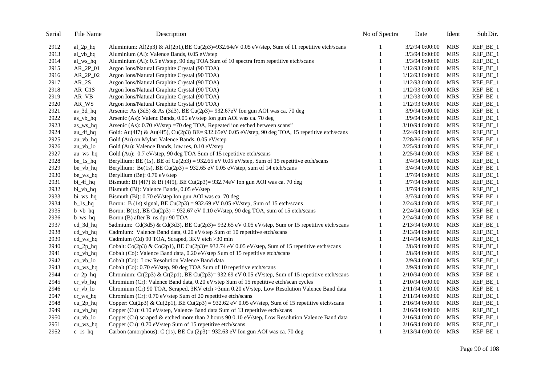| Serial | File Name               | Description                                                                                      | No of Spectra | Date            | Ident      | Sub Dir.   |
|--------|-------------------------|--------------------------------------------------------------------------------------------------|---------------|-----------------|------------|------------|
| 2912   | $al_2p_hq$              | Aluminium: Al(2p3) & Al(2p1), BE Cu(2p3)=932.64eV 0.05 eV/step, Sum of 11 repetitive etch/scans  |               | 3/2/94 0:00:00  | <b>MRS</b> | REF_BE_1   |
| 2913   | al_vb_hq                | Aluminium (Al): Valence Bands, 0.05 eV/step                                                      | 1             | 3/3/94 0:00:00  | <b>MRS</b> | REF_BE_1   |
| 2914   | al_ws_hq                | Aluminium (Al): 0.5 eV/step, 90 deg TOA Sum of 10 spectra from repetitive etch/scans             |               | 3/3/94 0:00:00  | <b>MRS</b> | REF_BE_1   |
| 2915   | $AR_2P_01$              | Argon Ions/Natural Graphite Crystal (90 TOA)                                                     | 1             | 1/12/93 0:00:00 | <b>MRS</b> | REF_BE_1   |
| 2916   | $AR_2P_02$              | Argon Ions/Natural Graphite Crystal (90 TOA)                                                     |               | 1/12/93 0:00:00 | <b>MRS</b> | REF_BE_1   |
| 2917   | $AR_2S$                 | Argon Ions/Natural Graphite Crystal (90 TOA)                                                     | 1             | 1/12/93 0:00:00 | <b>MRS</b> | REF_BE_1   |
| 2918   | $AR_C1S$                | Argon Ions/Natural Graphite Crystal (90 TOA)                                                     | 1             | 1/12/93 0:00:00 | <b>MRS</b> | REF_BE_1   |
| 2919   | AR_VB                   | Argon Ions/Natural Graphite Crystal (90 TOA)                                                     | 1             | 1/12/93 0:00:00 | <b>MRS</b> | REF_BE_1   |
| 2920   | AR_WS                   | Argon Ions/Natural Graphite Crystal (90 TOA)                                                     | 1             | 1/12/93 0:00:00 | <b>MRS</b> | REF_BE_1   |
| 2921   | $as_3d_hq$              | Arsenic: As (3d5) & As (3d3), BE Cu(2p3)= 932.67eV Ion gun AOI was ca. 70 deg                    | $\mathbf{1}$  | 3/9/94 0:00:00  | <b>MRS</b> | REF_BE_1   |
| 2922   | as_vb_hq                | Arsenic (As): Valenc Bands, 0.05 eV/step Ion gun AOI was ca. 70 deg                              |               | 3/9/94 0:00:00  | <b>MRS</b> | REF_BE_1   |
| 2923   | as_ws_hq                | Arsenic (As): 0.70 eV/step =70 deg TOA, Repeated ion etched between scans"                       | 1             | 3/10/94 0:00:00 | <b>MRS</b> | REF_BE_1   |
| 2924   | au_4f_hq                | Gold: Au(4f7) & Au(4f5), Cu(2p3) BE= 932.65eV 0.05 eV/step, 90 deg TOA, 15 repetitive etch/scans |               | 2/24/94 0:00:00 | <b>MRS</b> | REF_BE_1   |
| 2925   | $au_vb_hq$              | Gold (Au) on Mylar: Valence Bands, 0.05 eV/step                                                  |               | 7/28/86 0:00:00 | <b>MRS</b> | REF_BE_1   |
| 2926   | $au_vb_$                | Gold (Au): Valence Bands, low res, 0.10 eV/step                                                  | 1             | 2/25/94 0:00:00 | <b>MRS</b> | REF_BE_1   |
| 2927   | au_ws_hq                | Gold (Au): 0.7 eV/step, 90 deg TOA Sum of 15 repetitive etch/scans                               | 1             | 2/25/94 0:00:00 | <b>MRS</b> | REF_BE_1   |
| 2928   | $be_1s_hq$              | Beryllium: BE (1s), BE of Cu(2p3) = 932.65 eV 0.05 eV/step, Sum of 15 repetitive etch/scans      |               | 3/4/94 0:00:00  | <b>MRS</b> | REF_BE_1   |
| 2929   | be_vb_hq                | Beryllium: Be(1s), BE Cu(2p3) = 932.65 eV 0.05 eV/step, sum of 14 etch/scans                     | $\mathbf{1}$  | 3/4/94 0:00:00  | <b>MRS</b> | REF_BE_1   |
| 2930   | be_ws_hq                | Beryllium (Be): 0.70 eV/step                                                                     | 1             | 3/7/94 0:00:00  | <b>MRS</b> | REF_BE_1   |
| 2931   | $bi_4f_hq$              | Bismuth: Bi (4f7) & Bi (4f5), BE Cu(2p3)= 932.74eV Ion gun AOI was ca. 70 deg                    | 1             | 3/7/94 0:00:00  | <b>MRS</b> | REF_BE_1   |
| 2932   | bi_vb_hq                | Bismuth (Bi): Valence Bands, 0.05 eV/step                                                        | 1             | 3/7/94 0:00:00  | <b>MRS</b> | REF_BE_1   |
| 2933   | bi_ws_hq                | Bismuth (Bi): 0.70 eV/step Ion gun AOI was ca. 70 deg                                            | 1             | 3/7/94 0:00:00  | <b>MRS</b> | REF_BE_1   |
| 2934   | $b_1s_hq$               | Boron: B (1s) signal, BE Cu(2p3) = 932.69 eV 0.05 eV/step, Sum of 15 etch/scans                  | 1             | 2/24/94 0:00:00 | <b>MRS</b> | REF_BE_1   |
| 2935   | $b_v$ <sub>hq</sub>     | Boron: B(1s), BE Cu(2p3) = 932.67 eV 0.10 eV/step, 90 deg TOA, sum of 15 etch/scans              |               | 2/24/94 0:00:00 | <b>MRS</b> | REF_BE_1   |
| 2936   | $b$ _ws_hq              | Boron (B) after B_ns.dpr 90 TOA                                                                  |               | 2/24/94 0:00:00 | <b>MRS</b> | REF_BE_1   |
| 2937   | $cd_3d_hq$              | 5admium: Cd(3d5) & Cd(3d3), BE Cu(2p3)= 932.65 eV 0.05 eV/step, Sum or 15 repetitive etch/scans  | 1             | 2/13/94 0:00:00 | <b>MRS</b> | REF_BE_1   |
| 2938   | $cd_vb_hq$              | Cadmium: Valence Band data, 0.20 eV/step Sum of 10 repetitive etch/scans                         | 1             | 2/13/94 0:00:00 | <b>MRS</b> | REF_BE_1   |
| 2939   | cd_ws_hq                | Cadmium (Cd) 90 TOA, Scraped, 3KV etch > 30 min                                                  |               | 2/14/94 0:00:00 | <b>MRS</b> | REF_BE_1   |
| 2940   | $co_2p_hq$              | Cobalt: Co(2p3) & Co(2p1), BE Cu(2p3)= 932.74 eV 0.05 eV/step, Sum of 15 repetitive etch/scans   | 1             | 2/8/94 0:00:00  | <b>MRS</b> | REF_BE_1   |
| 2941   | $co_vb_hq$              | Cobalt (Co): Valence Band data, 0.20 eV/step Sum of 15 repetitive etch/scans                     | 1             | 2/8/94 0:00:00  | <b>MRS</b> | REF_BE_1   |
| 2942   | $co_vb_$ lo             | Cobalt (Co): Low Resolution Valence Band data                                                    | $\mathbf{1}$  | 2/9/94 0:00:00  | <b>MRS</b> | REF_BE_1   |
| 2943   | $co$ <sub>_</sub> ws_hq | Cobalt (Co): 0.70 eV/step, 90 deg TOA Sum of 10 repetitive etch/scans                            | $\mathbf{1}$  | 2/9/94 0:00:00  | <b>MRS</b> | REF_BE_1   |
| 2944   | $cr_2p_hq$              | Chromium: Cr(2p3) & Cr(2p1), BE Cu(2p3)= 932.69 eV 0.05 eV/step, Sum of 15 repetitive etch/scans | $\mathbf{1}$  | 2/10/94 0:00:00 | <b>MRS</b> | REF_BE_1   |
| 2945   | $cr_vbb_hq$             | Chromium (Cr): Valence Band data, 0.20 eV/step Sum of 15 repetitive etch/scan cycles             |               | 2/10/94 0:00:00 | <b>MRS</b> | REF_BE_1   |
| 2946   | $cr_vbb\_lo$            | Chromium (Cr) 90 TOA, Scraped, 3KV etch >3min 0.20 eV/step, Low Resolution Valence Band data     | 1             | 2/11/94 0:00:00 | <b>MRS</b> | REF_BE_1   |
| 2947   | $cr_{WS_{hq}}$          | Chromium (Cr): 0.70 eV/step Sum of 20 repetitive etch/scans                                      | 1             | 2/11/94 0:00:00 | <b>MRS</b> | REF_BE_1   |
| 2948   | $cu_2p_hq$              | Copper: Cu(2p3) & Cu(2p1), BE Cu(2p3) = 932.62 eV 0.05 eV/step, Sum of 15 repetitive etch/scans  | 1             | 2/16/94 0:00:00 | <b>MRS</b> | $REF_BE_1$ |
| 2949   | $cu_vb_hq$              | Copper (Cu): 0.10 eV/step, Valence Band data Sum of 13 repetitive etch/scans                     |               | 2/16/94 0:00:00 | <b>MRS</b> | REF_BE_1   |
| 2950   | $cu_vb_$                | Copper (Cu) scraped & etched more than 2 hours 90 0.10 eV/step, Low Resolution Valence Band data |               | 2/16/94 0:00:00 | <b>MRS</b> | REF_BE_1   |
| 2951   | $cu$ ws hq              | Copper (Cu): 0.70 eV/step Sum of 15 repetitive etch/scans                                        | 1             | 2/16/94 0:00:00 | <b>MRS</b> | REF_BE_1   |
| 2952   | $c_{1s_h}$ hq           | Carbon (amorphous): C (1s), BE Cu (2p3)= 932.63 eV Ion gun AOI was ca. 70 deg                    | $\mathbf{1}$  | 3/13/94 0:00:00 | <b>MRS</b> | REF_BE_1   |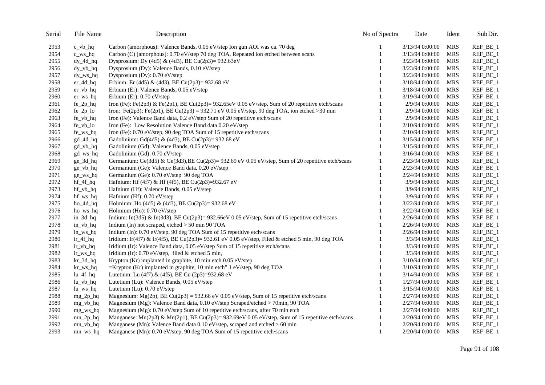| Serial | File Name               | Description                                                                                             | No of Spectra | Date            | Ident      | Sub Dir.     |
|--------|-------------------------|---------------------------------------------------------------------------------------------------------|---------------|-----------------|------------|--------------|
| 2953   | $c_v$ <sub>hq</sub>     | Carbon (amorphous): Valence Bands, 0.05 eV/step Ion gun AOI was ca. 70 deg                              |               | 3/13/94 0:00:00 | MRS        | REF_BE_1     |
| 2954   | $c$ <sub>_</sub> ws_hq  | Carbon (C) [amorphous]: 0.70 eV/step 70 deg TOA, Repeated ion etched between scans                      |               | 3/13/94 0:00:00 | <b>MRS</b> | REF_BE_1     |
| 2955   | $dy_4d_hq$              | Dysprosium: Dy (4d5) & (4d3), BE Cu(2p3)= 932.63eV                                                      | 1             | 3/23/94 0:00:00 | <b>MRS</b> | REF_BE_1     |
| 2956   | $dy_vbb_hq$             | Dysprosium (Dy): Valence Bands, 0.10 eV/step                                                            |               | 3/23/94 0:00:00 | <b>MRS</b> | REF_BE_1     |
| 2957   | $dy_{ws_h}$             | Dysprosium (Dy): 0.70 eV/step                                                                           |               | 3/23/94 0:00:00 | <b>MRS</b> | REF_BE_1     |
| 2958   | $er_4d_hq$              | Erbium: Er (4d5) & (4d3), BE Cu(2p3)= 932.68 eV                                                         | 1             | 3/18/94 0:00:00 | <b>MRS</b> | REF_BE_1     |
| 2959   | $er_vb_hq$              | Erbium (Er): Valence Bands, 0.05 eV/step                                                                | 1             | 3/18/94 0:00:00 | <b>MRS</b> | REF_BE_1     |
| 2960   | $er_{ws_h}$             | Erbium (Er): $0.70$ eV/step                                                                             |               | 3/19/94 0:00:00 | <b>MRS</b> | REF_BE_1     |
| 2961   | $fe_2p_hq$              | Iron (Fe): Fe(2p3) & Fe(2p1), BE Cu(2p3)= 932.65eV 0.05 eV/step, Sum of 20 repetitive etch/scans        | 1             | 2/9/94 0:00:00  | <b>MRS</b> | REF_BE_1     |
| 2962   | $fe_2p_$ lo             | Iron: Fe(2p3); Fe(2p1), BE Cu(2p3) = 932.71 eV 0.05 eV/step, 90 deg TOA, ion etched > 30 min            | $\mathbf{1}$  | 2/9/94 0:00:00  | <b>MRS</b> | REF_BE_1     |
| 2963   | fe_vb_hq                | Iron (Fe): Valence Band data, 0.2 eV/step Sum of 20 repetitive etch/scans                               | 1             | 2/9/94 0:00:00  | <b>MRS</b> | REF_BE_1     |
| 2964   | fe_vb_lo                | Iron (Fe): Low Resolution Valence Band data 0.20 eV/step                                                | $\mathbf{1}$  | 2/10/94 0:00:00 | <b>MRS</b> | REF_BE_1     |
| 2965   | fe_ws_hq                | Iron (Fe): 0.70 eV/step, 90 deg TOA Sum of 15 repetitive etch/scans                                     | 1             | 2/10/94 0:00:00 | <b>MRS</b> | $REF\_BE\_1$ |
| 2966   | gd_4d_hq                | Gadolinium: Gd(4d5) & (4d3), BE Cu(2p3)= 932.68 eV                                                      | $\mathbf{1}$  | 3/15/94 0:00:00 | <b>MRS</b> | REF_BE_1     |
| 2967   | gd_vb_hq                | Gadolinium (Gd): Valence Bands, 0.05 eV/step                                                            | 1             | 3/15/94 0:00:00 | <b>MRS</b> | REF_BE_1     |
| 2968   | gd_ws_hq                | Gadolinium (Gd): 0.70 eV/step                                                                           | $\mathbf{1}$  | 3/16/94 0:00:00 | <b>MRS</b> | REF_BE_1     |
| 2969   | ge_3d_hq                | Germanium: Ge(3d5) & Ge(3d3), BE Cu(2p3)= 932.69 eV 0.05 eV/step, Sum of 20 repetitive etch/scans       | $\mathbf{1}$  | 2/23/94 0:00:00 | <b>MRS</b> | REF_BE_1     |
| 2970   | ge_vb_hq                | Germanium (Ge): Valence Band data, 0.20 eV/step                                                         | $\mathbf{1}$  | 2/23/94 0:00:00 | <b>MRS</b> | REF_BE_1     |
| 2971   | $ge_{ws_h}$ hq          | Germanium (Ge): 0.70 eV/step 90 deg TOA                                                                 | 1             | 2/24/94 0:00:00 | <b>MRS</b> | REF_BE_1     |
| 2972   | $hf_4f_hq$              | Hafnium: Hf (4f7) & Hf (4f5), BE Cu(2p3)=932.67 eV                                                      | 1             | 3/9/94 0:00:00  | <b>MRS</b> | REF_BE_1     |
| 2973   | $hf_vb_hq$              | Hafnium (Hf): Valence Bands, 0.05 eV/step                                                               | 1             | 3/9/94 0:00:00  | <b>MRS</b> | REF_BE_1     |
| 2974   | hf_ws_hq                | Hafnium (Hf): 0.70 eV/step                                                                              | $\mathbf{1}$  | 3/9/94 0:00:00  | <b>MRS</b> | REF_BE_1     |
| 2975   | $ho_4d_hq$              | Holmium: Ho (4d5) & (4d3), BE Cu(2p3)= 932.68 eV                                                        | 1             | 3/22/94 0:00:00 | <b>MRS</b> | REF_BE_1     |
| 2976   | ho_ws_hq                | Holmium (Ho): 0.70 eV/step                                                                              | 1             | 3/22/94 0:00:00 | <b>MRS</b> | REF_BE_1     |
| 2977   | $in_3d_hq$              | Indium: In(3d5) & In(3d3), BE Cu(2p3)= 932.66eV 0.05 eV/step, Sum of 15 repetitive etch/scans           | 1             | 2/26/94 0:00:00 | <b>MRS</b> | REF_BE_1     |
| 2978   | $in_vbb_hq$             | Indium (In) not scraped, etched > 50 min 90 TOA                                                         | 1             | 2/26/94 0:00:00 | <b>MRS</b> | REF_BE_1     |
| 2979   | in_ws_hq                | Indium (In): 0.70 eV/step, 90 deg TOA Sum of 15 repetitive etch/scans                                   | 1             | 2/26/94 0:00:00 | <b>MRS</b> | REF_BE_1     |
| 2980   | $ir_4f_hq$              | Iridium: Ir(4f7) & Ir(4f5), BE Cu(2p3)= 932.61 eV 0.05 eV/step, Filed & etched 5 min, 90 deg TOA        | 1             | 3/3/94 0:00:00  | <b>MRS</b> | REF_BE_1     |
| 2981   | $ir_vbb_hq$             | Iridium (Ir): Valence Band data, 0.05 eV/step Sum of 15 repetitive etch/scans                           |               | 3/3/94 0:00:00  | <b>MRS</b> | REF_BE_1     |
| 2982   | ir_ws_hq                | Iridium (Ir): 0.70 eV/step, filed & etched 5 min,                                                       | 1             | 3/3/94 0:00:00  | <b>MRS</b> | REF_BE_1     |
| 2983   | $kr_3d_hq$              | Krypton (Kr) implanted in graphite, 10 min etch 0.05 eV/step                                            | 1             | 3/10/94 0:00:00 | <b>MRS</b> | REF_BE_1     |
| 2984   | kr_ws_hq                | $=$ Krypton (Kr) implanted in graphite, 10 min etch" 1 eV/step, 90 deg TOA                              |               | 3/10/94 0:00:00 | <b>MRS</b> | REF_BE_1     |
| 2985   | $lu_4f_hq$              | Lutetium: Lu (4f7) & (4f5), BE Cu (2p3)=932.68 eV                                                       | 1             | 3/14/94 0:00:00 | <b>MRS</b> | REF_BE_1     |
| 2986   | $lu_vb_hq$              | Lutetium (Lu): Valence Bands, 0.05 eV/step                                                              |               | 1/27/94 0:00:00 | <b>MRS</b> | REF_BE_1     |
| 2987   | $lu_w_s_hq$             | Lutetium (Lu): 0.70 eV/step                                                                             | 1             | 3/15/94 0:00:00 | <b>MRS</b> | REF_BE_1     |
| 2988   | $mg_2p_hq$              | Magnesium: Mg(2p), BE Cu(2p3) = 932.66 eV 0.05 eV/step, Sum of 15 repetitive etch/scans                 | 1             | 2/27/94 0:00:00 | <b>MRS</b> | REF_BE_1     |
| 2989   | $mg_v$ -vb_hq           | Magnesium (Mg): Valence Band data, 0.10 eV/step Scraped/etched > 70min, 90 TOA                          | 1             | 2/27/94 0:00:00 | <b>MRS</b> | REF_BE_1     |
| 2990   | mg_ws_hq                | Magnesium (Mg): 0.70 eV/step Sum of 10 repetitive etch/scans, after 70 min etch                         | 1             | 2/27/94 0:00:00 | <b>MRS</b> | REF_BE_1     |
| 2991   | $mn_2p_hq$              | Manganese: Mn(2p3) & Mn(2p1), BE Cu(2p3)= 932.69eV 0.05 eV/step, Sum of 15 repetitive etch/scans        | 1             | 2/20/94 0:00:00 | <b>MRS</b> | REF_BE_1     |
| 2992   | $mn_vb_hq$              | Manganese (Mn): Valence Band data $0.10 \text{ eV}/\text{step}$ , scraped and etched $> 60 \text{ min}$ | 1             | 2/20/94 0:00:00 | <b>MRS</b> | REF_BE_1     |
| 2993   | $mn$ <sub>_</sub> ws_hq | Manganese (Mn): 0.70 eV/step, 90 deg TOA Sum of 15 repetitive etch/scans                                | $\mathbf{1}$  | 2/20/94 0:00:00 | MRS        | REF_BE_1     |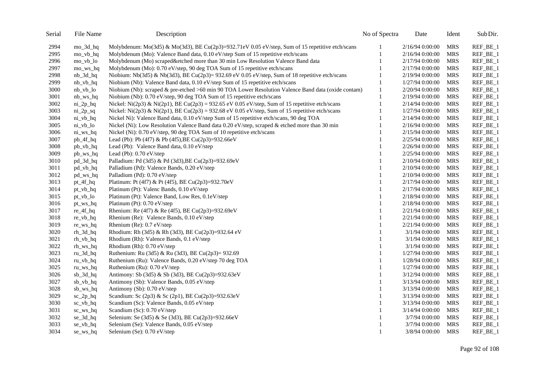| Serial | File Name                  | Description                                                                                         | No of Spectra | Date             | Ident      | Sub Dir.     |
|--------|----------------------------|-----------------------------------------------------------------------------------------------------|---------------|------------------|------------|--------------|
| 2994   | mo_3d_hq                   | Molybdenum: Mo(3d5) & Mo(3d3), BE Cu(2p3)=932.71eV 0.05 eV/step, Sum of 15 repetitive etch/scans    |               | 2/16/94 0:00:00  | <b>MRS</b> | $REF\_BE\_1$ |
| 2995   | mo_vb_hq                   | Molybdenum (Mo): Valence Band data, 0.10 eV/step Sum of 15 repetitive etch/scans                    | 1             | 2/16/94 0:00:00  | <b>MRS</b> | REF_BE_1     |
| 2996   | mo_vb_lo                   | Molybdenum (Mo) scraped&etched more than 30 min Low Resolution Valence Band data                    | $\mathbf{1}$  | 2/17/94 0:00:00  | <b>MRS</b> | REF_BE_1     |
| 2997   | mo_ws_hq                   | Molybdenum (Mo): 0.70 eV/step, 90 deg TOA Sum of 15 repetitive etch/scans                           | 1             | 2/17/94 0:00:00  | <b>MRS</b> | REF_BE_1     |
| 2998   | $nb_3d_hq$                 | Niobium: Nb(3d5) & Nb(3d3), BE Cu(2p3)= $932.69$ eV 0.05 eV/step, Sum of 18 repetitive etch/scans   | 1             | 2/19/94 0:00:00  | <b>MRS</b> | REF_BE_1     |
| 2999   | $nb_vb_hq$                 | Niobium (Nb): Valence Band data, 0.10 eV/step Sum of 15 repetitive etch/scans                       | $\mathbf{1}$  | 1/27/94 0:00:00  | <b>MRS</b> | $REF_BE_1$   |
| 3000   | nb_vb_lo                   | Niobium (Nb): scraped & pre-etched >60 min 90 TOA Lower Resolution Valence Band data (oxide contam) | $\mathbf{1}$  | 2/20/94 0:00:00  | <b>MRS</b> | REF_BE_1     |
| 3001   | $nb_{ws_h}$                | Niobium (Nb): 0.70 eV/step, 90 deg TOA Sum of 15 repetitive etch/scans                              | $\mathbf{1}$  | 2/19/94 0:00:00  | <b>MRS</b> | REF_BE_1     |
| 3002   | $ni_2p_hq$                 | Nickel: Ni(2p3) & Ni(2p1), BE Cu(2p3) = 932.65 eV 0.05 eV/step, Sum of 15 repetitive etch/scans     | 1             | 2/14/94 0:00:00  | <b>MRS</b> | REF_BE_1     |
| 3003   | $ni_2p_sq$                 | Nickel: Ni(2p3) & Ni(2p1), BE Cu(2p3) = 932.68 eV 0.05 eV/step, Sum of 15 repetitive etch/scans     | $\mathbf{1}$  | 1/27/94 0:00:00  | <b>MRS</b> | REF_BE_1     |
| 3004   | ni_vb_hq                   | Nickel Ni): Valence Band data, 0.10 eV/step Sum of 15 repetitive etch/scans, 90 deg TOA             | 1             | 2/14/94 0:00:00  | <b>MRS</b> | REF_BE_1     |
| 3005   | $ni_vbb\_lo$               | Nickel (Ni): Low Resolution Valence Band data 0.20 eV/step, scraped & etched more than 30 min       | 1             | 2/16/94 0:00:00  | <b>MRS</b> | REF_BE_1     |
| 3006   | $ni_ws_hq$                 | Nickel (Ni): 0.70 eV/step, 90 deg TOA Sum of 10 repetitive etch/scans                               |               | 2/15/94 0:00:00  | <b>MRS</b> | REF_BE_1     |
| 3007   | pb_4f_hq                   | Lead (Pb): Pb (4f7) & Pb (4f5), BE Cu(2p3)=932.66eV                                                 |               | 2/25/94 0:00:00  | <b>MRS</b> | REF_BE_1     |
| 3008   | pb_vb_hq                   | Lead (Pb): Valence Band data, 0.10 eV/step                                                          |               | 2/26/94 0:00:00  | MRS        | $REF_BE_1$   |
| 3009   | pb_ws_hq                   | Lead (Pb): 0.70 eV/step                                                                             |               | 2/25/94 0:00:00  | <b>MRS</b> | REF_BE_1     |
| 3010   | pd_3d_hq                   | Palladium: Pd (3d5) & Pd (3d3), BE Cu(2p3)=932.69eV                                                 |               | 2/10/94 0:00:00  | <b>MRS</b> | REF_BE_1     |
| 3011   | pd_vb_hq                   | Palladium (Pd): Valence Bands, 0.20 eV/step                                                         | 1             | 2/10/94 0:00:00  | <b>MRS</b> | REF_BE_1     |
| 3012   | pd_ws_hq                   | Palladium (Pd): 0.70 eV/step                                                                        |               | 2/10/94 0:00:00  | <b>MRS</b> | REF_BE_1     |
| 3013   | pt_4f_hq                   | Platinum: Pt (4f7) & Pt (4f5), BE Cu(2p3)=932.70eV                                                  |               | 2/17/94 0:00:00  | <b>MRS</b> | REF_BE_1     |
| 3014   | $pt_vbb_hq$                | Platinum (Pt): Valenc Bands, 0.10 eV/step                                                           |               | 2/17/94 0:00:00  | <b>MRS</b> | REF_BE_1     |
| 3015   | pt_vb_lo                   | Platinum (Pt): Valence Band, Low Res, 0.1eV/step                                                    |               | 2/18/94 0:00:00  | <b>MRS</b> | $REF_BE_1$   |
| 3016   | pt_ws_hq                   | Platinum (Pt): 0.70 eV/step                                                                         |               | 2/18/94 0:00:00  | <b>MRS</b> | REF_BE_1     |
| 3017   | re_4f_hq                   | Rhenium: Re (4f7) & Re (4f5), BE Cu(2p3)=932.69eV                                                   |               | 2/21/94 0:00:00  | <b>MRS</b> | REF_BE_1     |
| 3018   | re_vb_hq                   | Rhenium (Re): Valence Bands, 0.10 eV/step                                                           |               | 2/21/94 0:00:00  | <b>MRS</b> | REF_BE_1     |
| 3019   | re_ws_hq                   | Rhenium (Re): 0.7 eV/step                                                                           | 1             | 2/21/94 0:00:00  | <b>MRS</b> | REF_BE_1     |
| 3020   | rh_3d_hq                   | Rhodium: Rh (3d5) & Rh (3d3), BE Cu(2p3)=932.64 eV                                                  | 1             | 3/1/94 0:00:00   | <b>MRS</b> | REF_BE_1     |
| 3021   | $rh_{\nu}$ <sub>b_hq</sub> | Rhodium (Rh): Valence Bands, 0.1 eV/step                                                            | 1             | $3/1/94$ 0:00:00 | <b>MRS</b> | REF_BE_1     |
| 3022   | rh_ws_hq                   | Rhodium (Rh): 0.70 eV/step                                                                          | 1             | 3/1/94 0:00:00   | <b>MRS</b> | $REF\_BE\_1$ |
| 3023   | ru_3d_hq                   | Ruthenium: Ru (3d5) & Ru (3d3), BE Cu(2p3)= 932.69                                                  | 1             | 1/27/94 0:00:00  | <b>MRS</b> | REF_BE_1     |
| 3024   | $ru_vb_hq$                 | Ruthenium (Ru): Valence Bands, 0.20 eV/step 70 deg TOA                                              | 1             | 1/28/94 0:00:00  | <b>MRS</b> | REF_BE_1     |
| 3025   | ru_ws_hq                   | Ruthenium (Ru): 0.70 eV/step                                                                        | 1             | 1/27/94 0:00:00  | <b>MRS</b> | REF_BE_1     |
| 3026   | $sb_3d_hq$                 | Antimony: Sb (3d5) & Sb (3d3), BE Cu(2p3)=932.63eV                                                  | 1             | 3/12/94 0:00:00  | <b>MRS</b> | REF_BE_1     |
| 3027   | $sb_vb_hq$                 | Antimony (Sb): Valence Bands, 0.05 eV/step                                                          | 1             | 3/13/94 0:00:00  | <b>MRS</b> | REF_BE_1     |
| 3028   | $sb$ <sub>_</sub> ws_hq    | Antimony (Sb): 0.70 eV/step                                                                         | 1             | 3/13/94 0:00:00  | <b>MRS</b> | REF_BE_1     |
| 3029   | $sc_2p_hq$                 | Scandium: Sc (2p3) & Sc (2p1), BE Cu(2p3)=932.63eV                                                  | 1             | 3/13/94 0:00:00  | <b>MRS</b> | REF_BE_1     |
| 3030   | $sc_vb_hq$                 | Scandium (Sc): Valence Bands, 0.05 eV/step                                                          |               | 3/13/94 0:00:00  | <b>MRS</b> | $REF\_BE\_1$ |
| 3031   | sc_ws_hq                   | Scandium (Sc): 0.70 eV/step                                                                         |               | 3/14/94 0:00:00  | <b>MRS</b> | REF_BE_1     |
| 3032   | se_3d_hq                   | Selenium: Se (3d5) & Se (3d3), BE Cu(2p3)=932.66eV                                                  |               | 3/7/94 0:00:00   | <b>MRS</b> | REF_BE_1     |
| 3033   | $se_vb_hq$                 | Selenium (Se): Valence Bands, 0.05 eV/step                                                          |               | 3/7/94 0:00:00   | <b>MRS</b> | REF_BE_1     |
| 3034   | se_ws_hq                   | Selenium (Se): 0.70 eV/step                                                                         | 1             | 3/8/94 0:00:00   | <b>MRS</b> | REF_BE_1     |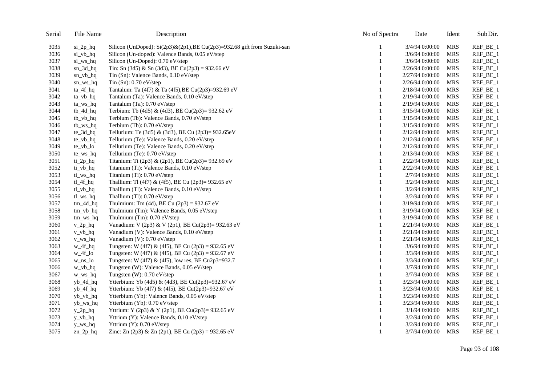| Serial | File Name               | Description                                                              | No of Spectra | Date            | Ident      | Sub Dir. |
|--------|-------------------------|--------------------------------------------------------------------------|---------------|-----------------|------------|----------|
| 3035   | $si_2p_hq$              | Silicon (UnDoped): Si(2p3)&(2p1), BE Cu(2p3)=932.68 gift from Suzuki-san | 1             | 3/4/94 0:00:00  | <b>MRS</b> | REF_BE_1 |
| 3036   | si_vb_hq                | Silicon (Un-doped): Valence Bands, 0.05 eV/step                          | 1             | 3/6/94 0:00:00  | <b>MRS</b> | REF_BE_1 |
| 3037   | si_ws_hq                | Silicon (Un-Doped): 0.70 eV/step                                         | 1             | 3/6/94 0:00:00  | <b>MRS</b> | REF_BE_1 |
| 3038   | $sn_3d_hq$              | Tin: Sn (3d5) & Sn (3d3), BE Cu(2p3) = 932.66 eV                         | 1             | 2/26/94 0:00:00 | <b>MRS</b> | REF_BE_1 |
| 3039   | $sn_v$ b_hq             | Tin (Sn): Valence Bands, 0.10 eV/step                                    |               | 2/27/94 0:00:00 | <b>MRS</b> | REF_BE_1 |
| 3040   | $sn_w$ sn_ws_hq         | Tin $(Sn)$ : 0.70 eV/step                                                | 1             | 2/26/94 0:00:00 | <b>MRS</b> | REF_BE_1 |
| 3041   | ta_4f_hq                | Tantalum: Ta (4f7) & Ta (4f5), BE Cu(2p3)=932.69 eV                      | 1             | 2/18/94 0:00:00 | <b>MRS</b> | REF_BE_1 |
| 3042   | $ta_vb_hq$              | Tantalum (Ta): Valence Bands, 0.10 eV/step                               | 1             | 2/19/94 0:00:00 | <b>MRS</b> | REF_BE_1 |
| 3043   | ta_ws_hq                | Tantalum (Ta): 0.70 eV/step                                              | 1             | 2/19/94 0:00:00 | <b>MRS</b> | REF_BE_1 |
| 3044   | $tb_4d_hq$              | Terbium: Tb (4d5) & (4d3), BE Cu(2p3)= 932.62 eV                         | 1             | 3/15/94 0:00:00 | <b>MRS</b> | REF_BE_1 |
| 3045   | $tb_v$ <sub>hq</sub>    | Terbium (Tb): Valence Bands, 0.70 eV/step                                |               | 3/15/94 0:00:00 | <b>MRS</b> | REF_BE_1 |
| 3046   | tb_ws_hq                | Terbium (Tb): 0.70 eV/step                                               | 1             | 3/15/94 0:00:00 | <b>MRS</b> | REF_BE_1 |
| 3047   | te_3d_hq                | Tellurium: Te (3d5) & (3d3), BE Cu (2p3)= 932.65eV                       |               | 2/12/94 0:00:00 | <b>MRS</b> | REF_BE_1 |
| 3048   | te_vb_hq                | Tellurium (Te): Valence Bands, 0.20 eV/step                              |               | 2/12/94 0:00:00 | <b>MRS</b> | REF_BE_1 |
| 3049   | $te_vbb\_lo$            | Tellurium (Te): Valence Bands, 0.20 eV/step                              |               | 2/12/94 0:00:00 | <b>MRS</b> | REF_BE_1 |
| 3050   | te_ws_hq                | Tellurium (Te): 0.70 eV/step                                             |               | 2/13/94 0:00:00 | <b>MRS</b> | REF_BE_1 |
| 3051   | $ti_2p_hq$              | Titanium: Ti (2p3) & (2p1), BE Cu(2p3)= 932.69 eV                        |               | 2/22/94 0:00:00 | <b>MRS</b> | REF_BE_1 |
| 3052   | $ti_vbb_hq$             | Titanium (Ti): Valence Bands, 0.10 eV/step                               | 1             | 2/22/94 0:00:00 | <b>MRS</b> | REF_BE_1 |
| 3053   | ti_ws_hq                | Titanium (Ti): 0.70 eV/step                                              | 1             | 2/7/94 0:00:00  | <b>MRS</b> | REF_BE_1 |
| 3054   | $tl_4f_hq$              | Thallium: Tl (4f7) & (4f5), BE Cu (2p3)= 932.65 eV                       | 1             | 3/2/94 0:00:00  | <b>MRS</b> | REF_BE_1 |
| 3055   | tl_vb_hq                | Thallium (Tl): Valence Bands, 0.10 eV/step                               | 1             | 3/2/94 0:00:00  | <b>MRS</b> | REF_BE_1 |
| 3056   | $t$ l_ws_hq             | Thallium (Tl): 0.70 eV/step                                              | 1             | 3/2/94 0:00:00  | <b>MRS</b> | REF_BE_1 |
| 3057   | $tm_4d_hq$              | Thulmium: Tm (4d), BE Cu $(2p3) = 932.67$ eV                             | 1             | 3/19/94 0:00:00 | <b>MRS</b> | REF_BE_1 |
| 3058   | $tm_vb_hq$              | Thulmium (Tm): Valence Bands, 0.05 eV/step                               | 1             | 3/19/94 0:00:00 | <b>MRS</b> | REF_BE_1 |
| 3059   | $tm_{ws_{hq}}$          | Thulmium (Tm): 0.70 eV/step                                              | 1             | 3/19/94 0:00:00 | <b>MRS</b> | REF_BE_1 |
| 3060   | $v_2p_hq$               | Vanadium: V (2p3) & V (2p1), BE Cu(2p3)= 932.63 eV                       | 1             | 2/21/94 0:00:00 | <b>MRS</b> | REF_BE_1 |
| 3061   | $v_v$ <sub>hq</sub>     | Vanadium (V): Valence Bands, 0.10 eV/step                                | 1             | 2/21/94 0:00:00 | <b>MRS</b> | REF_BE_1 |
| 3062   | $v_{ws_h}$              | Vanadium (V): 0.70 eV/step                                               |               | 2/21/94 0:00:00 | <b>MRS</b> | REF_BE_1 |
| 3063   | w_4f_hq                 | Tungsten: W (4f7) & (4f5), BE Cu (2p3) = 932.65 eV                       | 1             | 3/6/94 0:00:00  | <b>MRS</b> | REF_BE_1 |
| 3064   | $w_4f_0$                | Tungsten: W (4f7) & (4f5), BE Cu (2p3) = 932.67 eV                       | 1             | 3/3/94 0:00:00  | <b>MRS</b> | REF_BE_1 |
| 3065   | w_ns_lo                 | Tungsten: W (4f7) & (4f5), low res, BE Cu2p3=932.7                       | 1             | 3/3/94 0:00:00  | <b>MRS</b> | REF_BE_1 |
| 3066   | $w_v$ <sub>b_hq</sub>   | Tungsten (W): Valence Bands, 0.05 eV/step                                | $\mathbf{1}$  | 3/7/94 0:00:00  | <b>MRS</b> | REF_BE_1 |
| 3067   | w_ws_hq                 | Tungsten (W): $0.70$ eV/step                                             | 1             | 3/7/94 0:00:00  | <b>MRS</b> | REF_BE_1 |
| 3068   | yb_4d_hq                | Ytterbium: Yb (4d5) & (4d3), BE Cu(2p3)=932.67 eV                        |               | 3/23/94 0:00:00 | <b>MRS</b> | REF_BE_1 |
| 3069   | yb_4f_hq                | Ytterbium: Yb (4f7) & (4f5), BE Cu(2p3)=932.67 eV                        |               | 3/23/94 0:00:00 | <b>MRS</b> | REF_BE_1 |
| 3070   | yb_vb_hq                | Ytterbium (Yb): Valence Bands, 0.05 eV/step                              |               | 3/23/94 0:00:00 | <b>MRS</b> | REF_BE_1 |
| 3071   | yb_ws_hq                | Ytterbium (Yb): 0.70 eV/step                                             |               | 3/23/94 0:00:00 | <b>MRS</b> | REF_BE_1 |
| 3072   | $y_2$ <sub>p</sub> $hq$ | Yttrium: Y (2p3) & Y (2p1), BE Cu(2p3)= 932.65 eV                        |               | 3/1/94 0:00:00  | <b>MRS</b> | REF_BE_1 |
| 3073   | $y_v$ <sub>b_hq</sub>   | Yttrium (Y): Valence Bands, 0.10 eV/step                                 |               | 3/2/94 0:00:00  | <b>MRS</b> | REF_BE_1 |
| 3074   | $y_{ws_h}$              | Yttrium (Y): 0.70 eV/step                                                |               | 3/2/94 0:00:00  | <b>MRS</b> | REF_BE_1 |
| 3075   | $zn_2p_hq$              | Zinc: Zn (2p3) & Zn (2p1), BE Cu (2p3) = 932.65 eV                       | 1             | 3/7/94 0:00:00  | MRS        | REF_BE_1 |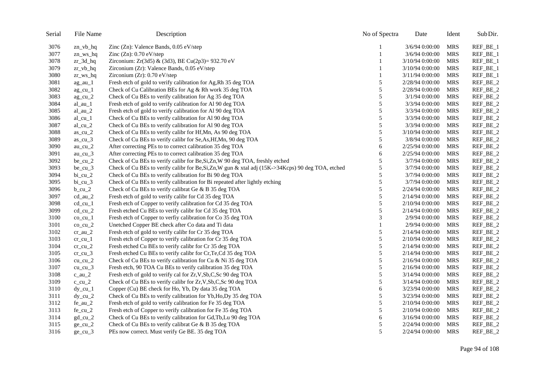| Serial | File Name                             | Description                                                                                        | No of Spectra | Date             | Ident      | Sub Dir. |
|--------|---------------------------------------|----------------------------------------------------------------------------------------------------|---------------|------------------|------------|----------|
| 3076   | $zn_vb_hq$                            | Zinc (Zn): Valence Bands, 0.05 eV/step                                                             |               | $3/6/94$ 0:00:00 | MRS        | REF_BE_1 |
| 3077   | $zn_{ws_{n}}$                         | Zinc $(Zn)$ : 0.70 eV/step                                                                         |               | 3/6/94 0:00:00   | <b>MRS</b> | REF_BE_1 |
| 3078   | $zr_3d_hq$                            | Zirconium: Zr(3d5) & (3d3), BE Cu(2p3)= 932.70 eV                                                  |               | 3/10/94 0:00:00  | <b>MRS</b> | REF_BE_1 |
| 3079   | $zr_v$ <sub>b_hq</sub>                | Zirconium (Zr): Valence Bands, $0.05$ eV/step                                                      |               | 3/10/94 0:00:00  | <b>MRS</b> | REF_BE_1 |
| 3080   | $z$ r_ws_hq                           | Zirconium (Zr): 0.70 eV/step                                                                       |               | 3/11/94 0:00:00  | <b>MRS</b> | REF_BE_1 |
| 3081   | $ag_au_1$                             | Fresh etch of gold to verify calibration for Ag, Rh 35 deg TOA                                     | 5             | 2/28/94 0:00:00  | <b>MRS</b> | REF_BE_2 |
| 3082   | $ag\_cu_1$                            | Check of Cu Calibration BEs for Ag & Rh work 35 deg TOA                                            | 5             | 2/28/94 0:00:00  | <b>MRS</b> | REF_BE_2 |
| 3083   | $ag_cu_2$                             | Check of Cu BEs to verify calibration for Ag 35 deg TOA                                            | 5             | $3/1/94$ 0:00:00 | <b>MRS</b> | REF_BE_2 |
| 3084   | $al_au_1$                             | Fresh etch of gold to verify calibration for Al 90 deg TOA                                         | 5             | 3/3/94 0:00:00   | <b>MRS</b> | REF_BE_2 |
| 3085   | $al_au_2$                             | Fresh etch of gold to verify calibration for Al 90 deg TOA                                         | $\sqrt{5}$    | 3/3/94 0:00:00   | <b>MRS</b> | REF_BE_2 |
| 3086   | $al$ <sub>_cu</sub> _1                | Check of Cu BEs to verify calibration for Al 90 deg TOA                                            | 5             | 3/3/94 0:00:00   | <b>MRS</b> | REF_BE_2 |
| 3087   | $al\_cu_2$                            | Check of Cu BEs to verify calibration for Al 90 deg TOA                                            | $\sqrt{5}$    | 3/3/94 0:00:00   | <b>MRS</b> | REF_BE_2 |
| 3088   | $as\_cu_2$                            | Check of Cu BEs to verify calibr for Hf, Mn, As 90 deg TOA                                         | $\sqrt{5}$    | 3/10/94 0:00:00  | <b>MRS</b> | REF_BE_2 |
| 3089   | $as_cu_3$                             | Check of Cu BEs to verify calibr for Se, As, Hf, Mn, 90 deg TOA                                    | 5             | 3/8/94 0:00:00   | <b>MRS</b> | REF_BE_2 |
| 3090   | $au$ <sub>cu</sub> $2$                | After correcting PEs to to correct calibration 35 deg TOA                                          | 6             | 2/25/94 0:00:00  | <b>MRS</b> | REF_BE_2 |
| 3091   | $au$ <sub>cu</sub> $3$                | After correcting PEs to to correct calibration 35 deg TOA                                          | 6             | 2/25/94 0:00:00  | <b>MRS</b> | REF_BE_2 |
| 3092   | $be\_cu_2$                            | Check of Cu BEs to verify calibr for Be, Si, Zn, W 90 deg TOA, freshly etched                      | $\sqrt{5}$    | 3/7/94 0:00:00   | <b>MRS</b> | REF_BE_2 |
| 3093   | $be\_cu_3$                            | Check of Cu BEs to verify calibr for Be, Si, Zn, W gun & xtal adj (15K->34Kcps) 90 deg TOA, etched | 5             | 3/7/94 0:00:00   | <b>MRS</b> | REF_BE_2 |
| 3094   | $bi$ _cu_2                            | Check of Cu BEs to verify calibration for Bi 90 deg TOA                                            | 5             | 3/7/94 0:00:00   | MRS        | REF_BE_2 |
| 3095   | $bi$ <sub>_cu</sub> _3                | Check of Cu BEs to verify calibration for Bi repeated after lightly etching                        | 5             | 3/7/94 0:00:00   | <b>MRS</b> | REF_BE_2 |
| 3096   | $b$ _cu_2                             | Check of Cu BEs to verify calibrat Ge & B 35 deg TOA                                               | 5             | 2/24/94 0:00:00  | <b>MRS</b> | REF_BE_2 |
| 3097   | $cd_au_2$                             | Fresh etch of gold to verify calibr for Cd 35 deg TOA                                              | 5             | 2/14/94 0:00:00  | <b>MRS</b> | REF_BE_2 |
| 3098   | $cd$ <sub>_cu</sub> _1                | Fresh etch of Copper to verify calibration for Cd 35 deg TOA                                       | 5             | 2/10/94 0:00:00  | MRS        | REF_BE_2 |
| 3099   | $cd$ <sub>_cu</sub> $_2$              | Fresh etched Cu BEs to verify calibr for Cd 35 deg TOA                                             | 5             | 2/14/94 0:00:00  | <b>MRS</b> | REF_BE_2 |
| 3100   | $co$ <sub><math>cu_1</math></sub>     | Fresh etch of Copper to verfiy calibration for Co 35 deg TOA                                       | 3             | 2/9/94 0:00:00   | <b>MRS</b> | REF_BE_2 |
| 3101   | $co_{cu_2}$                           | Unetched Copper BE check after Co data and Ti data                                                 |               | 2/9/94 0:00:00   | <b>MRS</b> | REF_BE_2 |
| 3102   | $cr_au_2$                             | Fresh etch of gold to verify calibr for Cr 35 deg TOA                                              | 5             | 2/14/94 0:00:00  | <b>MRS</b> | REF_BE_2 |
| 3103   | $cr\_cu_1$                            | Fresh etch of Copper to verify calibration for Cr 35 deg TOA                                       | 5             | 2/10/94 0:00:00  | <b>MRS</b> | REF_BE_2 |
| 3104   | $cr\_cu_2$                            | Fresh etched Cu BEs to verify calibr for Cr 35 deg TOA                                             | 5             | 2/14/94 0:00:00  | <b>MRS</b> | REF_BE_2 |
| 3105   | $cr\_cu_3$                            | Fresh etched Cu BEs to verify calibr for Cr, Te, Cd 35 deg TOA                                     | 5             | 2/14/94 0:00:00  | <b>MRS</b> | REF_BE_2 |
| 3106   | $cu$ <sub>_<math>cu</math></sub> $_2$ | Check of Cu BEs to verify calibration for Cu & Ni 35 deg TOA                                       | 5             | 2/16/94 0:00:00  | <b>MRS</b> | REF_BE_2 |
| 3107   | cu cu $3$                             | Fresh etch, 90 TOA Cu BEs to verify calibration 35 deg TOA                                         | 5             | 2/16/94 0:00:00  | <b>MRS</b> | REF_BE_2 |
| 3108   | $c_au_2$                              | Fresh etch of gold to verify cal for Zr, V, Sb, C, Sc 90 deg TOA                                   | 5             | 3/14/94 0:00:00  | <b>MRS</b> | REF_BE_2 |
| 3109   | c cu $2$                              | Check of Cu BEs to verify calibr for Zr, V, Sb, C, Sc 90 deg TOA                                   | 5             | 3/14/94 0:00:00  | <b>MRS</b> | REF_BE_2 |
| 3110   | $dy$ _cu_1                            | Copper (Cu) BE check for Ho, Yb, Dy data 35 deg TOA                                                | 6             | 3/23/94 0:00:00  | <b>MRS</b> | REF_BE_2 |
| 3111   | $dy$ _cu_2                            | Check of Cu BEs to verify calibration for Yb, Ho, Dy 35 deg TOA                                    | 5             | 3/23/94 0:00:00  | <b>MRS</b> | REF_BE_2 |
| 3112   | $fe_au_2$                             | Fresh etch of gold to verify calibration for Fe 35 deg TOA                                         | 5             | 2/10/94 0:00:00  | <b>MRS</b> | REF_BE_2 |
| 3113   | fe cu $2$                             | Fresh etch of Copper to verify calibration for Fe 35 deg TOA                                       | 5             | 2/10/94 0:00:00  | <b>MRS</b> | REF_BE_2 |
| 3114   | $gd_cu_2$                             | Check of Cu BEs to verify calibration for Gd, Tb, Lu 90 deg TOA                                    | 6             | 3/16/94 0:00:00  | <b>MRS</b> | REF_BE_2 |
| 3115   | $ge\_cu_2$                            | Check of Cu BEs to verify calibrat Ge & B 35 deg TOA                                               | 5             | 2/24/94 0:00:00  | <b>MRS</b> | REF_BE_2 |
| 3116   | $ge\_cu_3$                            | PEs now correct. Must verify Ge BE. 35 deg TOA                                                     | 5             | 2/24/94 0:00:00  | <b>MRS</b> | REF_BE_2 |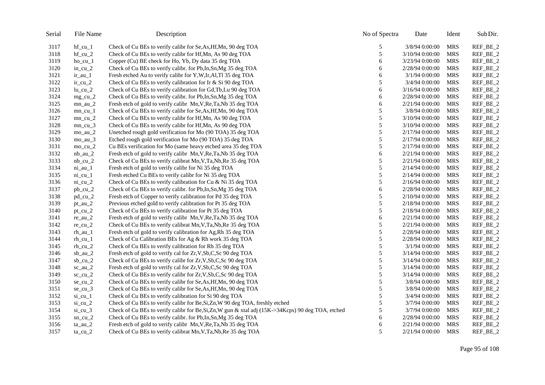| Serial | File Name                | Description                                                                                        | No of Spectra | Date            | Ident      | Sub Dir. |
|--------|--------------------------|----------------------------------------------------------------------------------------------------|---------------|-----------------|------------|----------|
| 3117   | $hf$ _cu_1               | Check of Cu BEs to verify calibr for Se, As, Hf, Mn, 90 deg TOA                                    | 5             | 3/8/94 0:00:00  | <b>MRS</b> | REF_BE_2 |
| 3118   | $hf$ _cu_2               | Check of Cu BEs to verify calibr for Hf, Mn, As 90 deg TOA                                         | $\sqrt{5}$    | 3/10/94 0:00:00 | <b>MRS</b> | REF_BE_2 |
| 3119   | $ho_c$ $u_l$             | Copper (Cu) BE check for Ho, Yb, Dy data 35 deg TOA                                                | 6             | 3/23/94 0:00:00 | <b>MRS</b> | REF_BE_2 |
| 3120   | $in\_cu_2$               | Check of Cu BEs to verify calibr. for Pb, In, Sn, Mg 35 deg TOA                                    | 6             | 2/28/94 0:00:00 | <b>MRS</b> | REF_BE_2 |
| 3121   | $ir_au_1$                | Fresh etched Au to verify calibr for Y,W,Ir,Al,Tl 35 deg TOA                                       | 6             | 3/1/94 0:00:00  | <b>MRS</b> | REF_BE_2 |
| 3122   | $ir\_cu_2$               | Check of Cu BEs to verify calibration for Ir & Si 90 deg TOA                                       | 5             | 3/4/94 0:00:00  | <b>MRS</b> | REF_BE_2 |
| 3123   | $lu$ _ $cu$ _ $2$        | Check of Cu BEs to verify calibration for Gd, Tb, Lu 90 deg TOA                                    | 6             | 3/16/94 0:00:00 | <b>MRS</b> | REF_BE_2 |
| 3124   | $mg$ _cu_2               | Check of Cu BEs to verify calibr. for Pb, In, Sn, Mg 35 deg TOA                                    | 6             | 2/28/94 0:00:00 | <b>MRS</b> | REF_BE_2 |
| 3125   | $mn_au_2$                | Fresh etch of gold to verify calibr Mn, V, Re, Ta, Nb 35 deg TOA                                   | 6             | 2/21/94 0:00:00 | <b>MRS</b> | REF_BE_2 |
| 3126   | $mn$ _cu_1               | Check of Cu BEs to verify calibr for Se, As, Hf, Mn, 90 deg TOA                                    | 5             | 3/8/94 0:00:00  | <b>MRS</b> | REF_BE_2 |
| 3127   | $mn$ _cu_2               | Check of Cu BEs to verify calibr for Hf, Mn, As 90 deg TOA                                         | 5             | 3/10/94 0:00:00 | <b>MRS</b> | REF_BE_2 |
| 3128   | $mn$ _cu_3               | Check of Cu BEs to verify calibr for Hf, Mn, As 90 deg TOA                                         | 5             | 3/10/94 0:00:00 | <b>MRS</b> | REF_BE_2 |
| 3129   | $mo_au_2$                | Unetched rough gold verification for Mo (90 TOA) 35 deg TOA                                        | 5             | 2/17/94 0:00:00 | <b>MRS</b> | REF_BE_2 |
| 3130   | $mo_au_3$                | Etched rough gold verification for Mo (90 TOA) 35 deg TOA                                          | 5             | 2/17/94 0:00:00 | <b>MRS</b> | REF_BE_2 |
| 3131   | $mo_{cu}$ 2              | Cu BEs verification for Mo (same heavy etched area 35 deg TOA                                      | 5             | 2/17/94 0:00:00 | <b>MRS</b> | REF_BE_2 |
| 3132   | $nb_au_2$                | Fresh etch of gold to verify calibr Mn, V, Re, Ta, Nb 35 deg TOA                                   | 6             | 2/21/94 0:00:00 | <b>MRS</b> | REF_BE_2 |
| 3133   | $nb$ _cu_2               | Check of Cu BEs to verify calibrat Mn, V, Ta, Nb, Re 35 deg TOA                                    | 5             | 2/21/94 0:00:00 | <b>MRS</b> | REF_BE_2 |
| 3134   | $ni\_au_1$               | Fresh etch of gold to verify calibr for Ni 35 deg TOA                                              | 5             | 2/14/94 0:00:00 | <b>MRS</b> | REF_BE_2 |
| 3135   | $ni$ <sub>_cu</sub> $_1$ | Fresh etched Cu BEs to verify calibr for Ni 35 deg TOA                                             | 5             | 2/14/94 0:00:00 | <b>MRS</b> | REF_BE_2 |
| 3136   | $ni\_cu_2$               | Check of Cu BEs to verify calibration for Cu & Ni 35 deg TOA                                       | 5             | 2/16/94 0:00:00 | <b>MRS</b> | REF_BE_2 |
| 3137   | $pb$ _cu_2               | Check of Cu BEs to verify calibr. for Pb, In, Sn, Mg 35 deg TOA                                    | 6             | 2/28/94 0:00:00 | <b>MRS</b> | REF_BE_2 |
| 3138   | $pd$ <sub>_cu</sub> $_2$ | Fresh etch of Copper to verify calibration for Pd 35 deg TOA                                       | 5             | 2/10/94 0:00:00 | <b>MRS</b> | REF_BE_2 |
| 3139   | $pt\_au_2$               | Previous etched gold to verify calibration for Pt 35 deg TOA                                       | 5             | 2/18/94 0:00:00 | <b>MRS</b> | REF_BE_2 |
| 3140   | $pt\_cu_2$               | Check of Cu BEs to verify calibration for Pt 35 deg TOA                                            | 5             | 2/18/94 0:00:00 | <b>MRS</b> | REF_BE_2 |
| 3141   | $re_au_2$                | Fresh etch of gold to verify calibr Mn, V, Re, Ta, Nb 35 deg TOA                                   | 6             | 2/21/94 0:00:00 | <b>MRS</b> | REF_BE_2 |
| 3142   | $re\_cu_2$               | Check of Cu BEs to verify calibrat Mn, V, Ta, Nb, Re 35 deg TOA                                    | 5             | 2/21/94 0:00:00 | <b>MRS</b> | REF_BE_2 |
| 3143   | $rh_au_1$                | Fresh etch of gold to verify calibration for Ag, Rh 35 deg TOA                                     | 5             | 2/28/94 0:00:00 | <b>MRS</b> | REF_BE_2 |
| 3144   | $rh$ _cu_1               | Check of Cu Calibration BEs for Ag & Rh work 35 deg TOA                                            | 5             | 2/28/94 0:00:00 | <b>MRS</b> | REF_BE_2 |
| 3145   | $rh$ _cu_2               | Check of Cu BEs to verify calibration for Rh 35 deg TOA                                            | $\sqrt{5}$    | 3/1/94 0:00:00  | <b>MRS</b> | REF_BE_2 |
| 3146   | sb_au_ $2$               | Fresh etch of gold to verify cal for Zr, V, Sb, C, Sc 90 deg TOA                                   | 5             | 3/14/94 0:00:00 | <b>MRS</b> | REF_BE_2 |
| 3147   | $sb$ <sub>_cu</sub> $_2$ | Check of Cu BEs to verify calibr for Zr, V, Sb, C, Sc 90 deg TOA                                   | 5             | 3/14/94 0:00:00 | <b>MRS</b> | REF_BE_2 |
| 3148   | $sc_au_2$                | Fresh etch of gold to verify cal for Zr, V, Sb, C, Sc 90 deg TOA                                   | $\sqrt{5}$    | 3/14/94 0:00:00 | <b>MRS</b> | REF_BE_2 |
| 3149   | $sc$ _ $cu$ _ $2$        | Check of Cu BEs to verify calibr for Zr, V, Sb, C, Sc 90 deg TOA                                   | $\sqrt{5}$    | 3/14/94 0:00:00 | <b>MRS</b> | REF_BE_2 |
| 3150   | $se_{cu_2}$              | Check of Cu BEs to verify calibr for Se, As, Hf, Mn, 90 deg TOA                                    | $\sqrt{5}$    | 3/8/94 0:00:00  | <b>MRS</b> | REF_BE_2 |
| 3151   | $se\_cu_3$               | Check of Cu BEs to verify calibr for Se, As, Hf, Mn, 90 deg TOA                                    | $\sqrt{5}$    | 3/8/94 0:00:00  | <b>MRS</b> | REF_BE_2 |
| 3152   | $si$ <sub>_cu</sub> $1$  | Check of Cu BEs to verify calibration for Si 90 deg TOA                                            | $\sqrt{5}$    | 3/4/94 0:00:00  | <b>MRS</b> | REF_BE_2 |
| 3153   | $si$ <sub>_cu</sub> $2$  | Check of Cu BEs to verify calibr for Be, Si, Zn, W 90 deg TOA, freshly etched                      | 5             | 3/7/94 0:00:00  | <b>MRS</b> | REF_BE_2 |
| 3154   | $si$ <sub>_cu</sub> $_3$ | Check of Cu BEs to verify calibr for Be, Si, Zn, W gun & xtal adj (15K->34Kcps) 90 deg TOA, etched | 5             | 3/7/94 0:00:00  | <b>MRS</b> | REF_BE_2 |
| 3155   | $sn$ _cu_2               | Check of Cu BEs to verify calibr. for Pb, In, Sn, Mg 35 deg TOA                                    | 6             | 2/28/94 0:00:00 | <b>MRS</b> | REF_BE_2 |
| 3156   | $ta_au_2$                | Fresh etch of gold to verify calibr Mn, V, Re, Ta, Nb 35 deg TOA                                   | 6             | 2/21/94 0:00:00 | <b>MRS</b> | REF_BE_2 |
| 3157   | $ta$ _cu_2               | Check of Cu BEs to verify calibrat Mn, V, Ta, Nb, Re 35 deg TOA                                    | 5             | 2/21/94 0:00:00 | <b>MRS</b> | REF_BE_2 |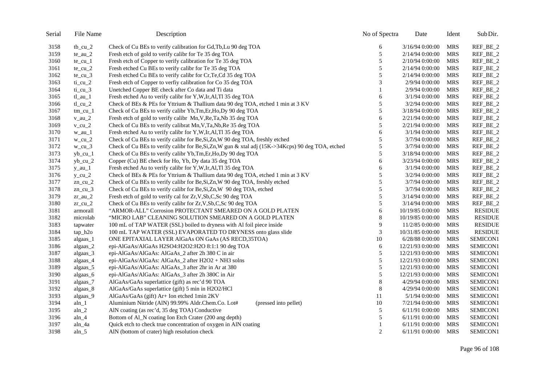| Serial | File Name              | Description                                                                                        | No of Spectra | Date             | Ident      | Sub Dir.       |
|--------|------------------------|----------------------------------------------------------------------------------------------------|---------------|------------------|------------|----------------|
| 3158   | $tb$ _cu_2             | Check of Cu BEs to verify calibration for Gd, Tb, Lu 90 deg TOA                                    | 6             | 3/16/94 0:00:00  | MRS        | REF_BE_2       |
| 3159   | $te_au_2$              | Fresh etch of gold to verify calibr for Te 35 deg TOA                                              | 5             | 2/14/94 0:00:00  | <b>MRS</b> | REF_BE_2       |
| 3160   | te $cu_1$              | Fresh etch of Copper to verify calibration for Te 35 deg TOA                                       | $\sqrt{5}$    | 2/10/94 0:00:00  | <b>MRS</b> | REF_BE_2       |
| 3161   | $te\_cu_2$             | Fresh etched Cu BEs to verify calibr for Te 35 deg TOA                                             | 5             | 2/14/94 0:00:00  | <b>MRS</b> | REF_BE_2       |
| 3162   | $te\_cu_3$             | Fresh etched Cu BEs to verify calibr for Cr, Te, Cd 35 deg TOA                                     | 5             | 2/14/94 0:00:00  | <b>MRS</b> | REF_BE_2       |
| 3163   | $ti$ _cu_2             | Fresh etch of Copper to verfiy calibration for Co 35 deg TOA                                       | 3             | 2/9/94 0:00:00   | <b>MRS</b> | REF_BE_2       |
| 3164   | $ti$ _cu_3             | Unetched Copper BE check after Co data and Ti data                                                 | 1             | 2/9/94 0:00:00   | <b>MRS</b> | REF_BE_2       |
| 3165   | $tl_au_1$              | Fresh etched Au to verify calibr for Y,W,Ir,Al,Tl 35 deg TOA                                       | 6             | 3/1/94 0:00:00   | <b>MRS</b> | REF_BE_2       |
| 3166   | $tl$ _cu_2             | Check of BEs & PEs for Yttrium & Thallium data 90 deg TOA, etched 1 min at 3 KV                    | 5             | 3/2/94 0:00:00   | <b>MRS</b> | REF_BE_2       |
| 3167   | $tm_{1}cu_{1}$         | Check of Cu BEs to verify calibr Yb, Tm, Er, Ho, Dy 90 deg TOA                                     | 5             | 3/18/94 0:00:00  | <b>MRS</b> | REF_BE_2       |
| 3168   | $v_au_2$               | Fresh etch of gold to verify calibr Mn, V, Re, Ta, Nb 35 deg TOA                                   | 6             | 2/21/94 0:00:00  | <b>MRS</b> | REF_BE_2       |
| 3169   | $v$ _cu_2              | Check of Cu BEs to verify calibrat Mn, V, Ta, Nb, Re 35 deg TOA                                    | 5             | 2/21/94 0:00:00  | <b>MRS</b> | REF_BE_2       |
| 3170   | w_au_1                 | Fresh etched Au to verify calibr for Y,W,Ir,Al,Tl 35 deg TOA                                       | 6             | 3/1/94 0:00:00   | <b>MRS</b> | REF_BE_2       |
| 3171   | $w_ccu_2$              | Check of Cu BEs to verify calibr for Be, Si, Zn, W 90 deg TOA, freshly etched                      | 5             | 3/7/94 0:00:00   | <b>MRS</b> | REF_BE_2       |
| 3172   | $w_{cu}$ 3             | Check of Cu BEs to verify calibr for Be, Si, Zn, W gun & xtal adj (15K->34Kcps) 90 deg TOA, etched | 5             | 3/7/94 0:00:00   | <b>MRS</b> | REF_BE_2       |
| 3173   | $yb$ <sub>_cu</sub> _1 | Check of Cu BEs to verify calibr Yb, Tm, Er, Ho, Dy 90 deg TOA                                     | 5             | 3/18/94 0:00:00  | <b>MRS</b> | REF_BE_2       |
| 3174   | $yb$ _ $cu$ _ $2$      | Copper (Cu) BE check for Ho, Yb, Dy data 35 deg TOA                                                | 6             | 3/23/94 0:00:00  | <b>MRS</b> | REF_BE_2       |
| 3175   | $y_au_1$               | Fresh etched Au to verify calibr for Y,W,Ir,Al,Tl 35 deg TOA                                       | 6             | 3/1/94 0:00:00   | <b>MRS</b> | REF_BE_2       |
| 3176   | $y_ccu_2$              | Check of BEs & PEs for Yttrium & Thallium data 90 deg TOA, etched 1 min at 3 KV                    | 5             | 3/2/94 0:00:00   | <b>MRS</b> | REF_BE_2       |
| 3177   | $zn$ _cu_2             | Check of Cu BEs to verify calibr for Be, Si, Zn, W 90 deg TOA, freshly etched                      | 5             | 3/7/94 0:00:00   | <b>MRS</b> | REF_BE_2       |
| 3178   | $zn$ _cu_3             | Check of Cu BEs to verify calibr for Be, Si, Zn, W 90 deg TOA, etched                              | $\sqrt{5}$    | 3/7/94 0:00:00   | <b>MRS</b> | REF_BE_2       |
| 3179   | $z_{r_au_2}$           | Fresh etch of gold to verify cal for Zr, V, Sb, C, Sc 90 deg TOA                                   | 5             | 3/14/94 0:00:00  | <b>MRS</b> | REF_BE_2       |
| 3180   | $z$ r_cu_2             | Check of Cu BEs to verify calibr for Zr, V, Sb, C, Sc 90 deg TOA                                   | 5             | 3/14/94 0:00:00  | <b>MRS</b> | REF_BE_2       |
| 3181   | armorall               | "ARMOR-ALL" Corrosion PROTECTANT SMEARED ON A GOLD PLATEN                                          | 6             | 10/19/85 0:00:00 | <b>MRS</b> | <b>RESIDUE</b> |
| 3182   | microlab               | "MICRO LAB" CLEANING SOLUTION SMEARED ON A GOLD PLATEN                                             | $\,8\,$       | 10/19/85 0:00:00 | <b>MRS</b> | <b>RESIDUE</b> |
| 3183   | tapwater               | 100 mL of TAP WATER (SSL) boiled to dryness with Al foil piece inside                              | 9             | 11/2/85 0:00:00  | <b>MRS</b> | <b>RESIDUE</b> |
| 3184   | tap_h2o                | 100 mL TAP WATER (SSL) EVAPORATED TO DRYNESS onto glass slide                                      | 3             | 10/31/85 0:00:00 | <b>MRS</b> | <b>RESIDUE</b> |
| 3185   | algaas_1               | ONE EPITAXIAL LAYER AlGaAs ON GaAs (AS RECD, 35TOA)                                                | $10\,$        | 6/28/88 0:00:00  | <b>MRS</b> | SEMICON1       |
| 3186   | algaas_2               | epi-AlGaAs/AlGaAs H2SO4:H2O2:H2O 8:1:1 90 deg TOA                                                  | 6             | 12/21/93 0:00:00 | <b>MRS</b> | SEMICON1       |
| 3187   | algaas_3               | epi-AlGaAs/AlGaAs: AlGaAs_2 after 2h 380 C in air                                                  | 5             | 12/21/93 0:00:00 | <b>MRS</b> | SEMICON1       |
| 3188   | algaas_4               | epi-AlGaAs/AlGaAs: AlGaAs_2 after H2O2 + NH3 solns                                                 | 5             | 12/21/93 0:00:00 | <b>MRS</b> | SEMICON1       |
| 3189   | algaas_5               | epi-AlGaAs/AlGaAs: AlGaAs_3 after 2hr in Ar at 380                                                 | $\sqrt{5}$    | 12/21/93 0:00:00 | <b>MRS</b> | SEMICON1       |
| 3190   | algaas_6               | epi-AlGaAs/AlGaAs: AlGaAs_3 after 2h 380C in Air                                                   | 5             | 12/21/93 0:00:00 | <b>MRS</b> | SEMICON1       |
| 3191   | algaas_7               | AlGaAs/GaAs superlattice (gift) as rec'd 90 TOA                                                    | 8             | 4/29/94 0:00:00  | <b>MRS</b> | SEMICON1       |
| 3192   | algaas_8               | AlGaAs/GaAs superlattice (gift) 5 min in H2O2/HCl                                                  | $\,8\,$       | 4/29/94 0:00:00  | <b>MRS</b> | SEMICON1       |
| 3193   | algaas_9               | AlGaAs/GaAs (gift) Ar+ Ion etched 1min 2KV                                                         | 11            | 5/1/94 0:00:00   | <b>MRS</b> | SEMICON1       |
| 3194   | $aln_1$                | Aluminium Nitride (AlN) 99.99% Aldr.Chem.Co. Lot#<br>(pressed into pellet)                         | $10\,$        | 7/21/94 0:00:00  | <b>MRS</b> | SEMICON1       |
| 3195   | $aln_2$                | AlN coating (as rec'd, 35 deg TOA) Conductive                                                      | 5             | 6/11/91 0:00:00  | <b>MRS</b> | SEMICON1       |
| 3196   | $aln_4$                | Bottom of Al_N coating Ion Etch Crater (200 ang depth)                                             | 5             | 6/11/91 0:00:00  | <b>MRS</b> | SEMICON1       |
| 3197   | aln_4a                 | Quick etch to check true concentration of oxygen in AlN coating                                    |               | 6/11/91 0:00:00  | <b>MRS</b> | SEMICON1       |
| 3198   | aln $\overline{5}$     | AlN (bottom of crater) high resolution check                                                       | 2             | 6/11/91 0:00:00  | <b>MRS</b> | SEMICON1       |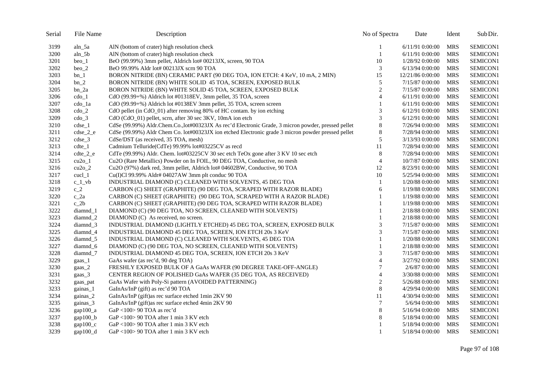| Serial | File Name                | Description                                                                                        | No of Spectra    | Date              | Ident      | Sub Dir. |
|--------|--------------------------|----------------------------------------------------------------------------------------------------|------------------|-------------------|------------|----------|
| 3199   | aln_5a                   | AlN (bottom of crater) high resolution check                                                       |                  | $6/11/91$ 0:00:00 | <b>MRS</b> | SEMICON1 |
| 3200   | $aln_5b$                 | AlN (bottom of crater) high resolution check                                                       | $\mathbf{1}$     | 6/11/91 0:00:00   | <b>MRS</b> | SEMICON1 |
| 3201   | $beo_1$                  | BeO (99.99%) 3mm pellet, Aldrich lot# 00213JX, screen, 90 TOA                                      | 10               | 1/28/92 0:00:00   | <b>MRS</b> | SEMICON1 |
| 3202   | $beo_2$                  | BeO 99.99% Aldr lot# 00213JX scrn 90 TOA                                                           | 3                | 6/13/94 0:00:00   | <b>MRS</b> | SEMICON1 |
| 3203   | $bn_1$                   | BORON NITRIDE (BN) CERAMIC PART (90 DEG TOA, ION ETCH: 4 KeV, 10 mA, 2 MIN)                        | 15               | 12/21/86 0:00:00  | <b>MRS</b> | SEMICON1 |
| 3204   | $bn_2$                   | BORON NITRIDE (BN) WHITE SOLID 45 TOA, SCREEN, EXPOSED BULK                                        | 5                | 7/15/87 0:00:00   | <b>MRS</b> | SEMICON1 |
| 3205   | bn_2a                    | BORON NITRIDE (BN) WHITE SOLID 45 TOA, SCREEN, EXPOSED BULK                                        | $\boldsymbol{2}$ | 7/15/87 0:00:00   | <b>MRS</b> | SEMICON1 |
| 3206   | $\text{cdo}\_1$          | CdO (99.99+%) Aldrich lot #01318EV, 3mm pellet, 35 TOA, screen                                     | $\overline{4}$   | 6/11/91 0:00:00   | <b>MRS</b> | SEMICON1 |
| 3207   | cdo_1a                   | CdO (99.99+%) Aldrich lot #0138EV 3mm pellet, 35 TOA, screen screen                                |                  | 6/11/91 0:00:00   | <b>MRS</b> | SEMICON1 |
| 3208   | $\text{cdo}_2$           | CdO pellet (in CdO_01) after removing 80% of HC contam. by ion etching                             | 3                | 6/12/91 0:00:00   | <b>MRS</b> | SEMICON1 |
| 3209   | $\text{cdo}3$            | CdO (CdO_01) pellet, scrn, after 30 sec 3KV, 10mA ion etch                                         | 3                | 6/12/91 0:00:00   | <b>MRS</b> | SEMICON1 |
| 3210   | $cdse_1$                 | CdSe (99.99%) Aldr.Chem.Co.,lot#00323JX As rec'd Electronic Grade, 3 micron powder, pressed pellet | $\,8\,$          | 7/26/94 0:00:00   | <b>MRS</b> | SEMICON1 |
| 3211   | $c$ dse $2$ e            | CdSe (99.99%) Aldr Chem Co. lot#00323JX ion etched Electronic grade 3 micron powder pressed pellet | $8\,$            | 7/28/94 0:00:00   | <b>MRS</b> | SEMICON1 |
| 3212   | $cdse_3$                 | CdSe/DST (as received, 35 TOA, mesh)                                                               | 5                | 3/13/93 0:00:00   | <b>MRS</b> | SEMICON1 |
| 3213   | $cdte_1$                 | Cadmium Telluride(CdTe) 99.99% lot#03225CV as recd                                                 | 11               | 7/28/94 0:00:00   | <b>MRS</b> | SEMICON1 |
| 3214   | $cdt e_2_e$              | CdTe (99.99%) Aldr. Chem. lot#03225CV 30 sec etch TeOx gone after 3 KV 10 sec etch                 | 8                | 7/28/94 0:00:00   | <b>MRS</b> | SEMICON1 |
| 3215   | $cu2o_1$                 | Cu2O (Rare Metallics) Powder on In FOIL, 90 DEG TOA, Conductive, no mesh                           | $\overline{4}$   | 10/7/87 0:00:00   | <b>MRS</b> | SEMICON1 |
| 3216   | $cu2o_2$                 | Cu2O (97%) dark red, 3mm pellet, Aldrich lot# 04602BW, Conductive, 90 TOA                          | 12               | 8/23/91 0:00:00   | <b>MRS</b> | SEMICON1 |
| 3217   | $\text{c}$ ucl $\perp$ 1 | Cu(I)Cl 99.99% Aldr# 04027AW 3mm plt conduc 90 TOA                                                 | 10               | 5/25/94 0:00:00   | <b>MRS</b> | SEMICON1 |
| 3218   | $c_1$ vb                 | INDUSTRIAL DIAMOND (C) CLEANED WITH SOLVENTS, 45 DEG TOA                                           | 1                | 1/20/88 0:00:00   | <b>MRS</b> | SEMICON1 |
| 3219   | $c_2$                    | CARBON (C) SHEET (GRAPHITE) (90 DEG TOA, SCRAPED WITH RAZOR BLADE)                                 | 6                | 1/19/88 0:00:00   | <b>MRS</b> | SEMICON1 |
| 3220   | $c_2a$                   | CARBON (C) SHEET (GRAPHITE) (90 DEG TOA, SCRAPED WITH A RAZOR BLADE)                               | 1                | 1/19/88 0:00:00   | <b>MRS</b> | SEMICON1 |
| 3221   | $c_2$                    | CARBON (C) SHEET (GRAPHITE) (90 DEG TOA, SCRAPED WITH RAZOR BLADE)                                 |                  | 1/19/88 0:00:00   | <b>MRS</b> | SEMICON1 |
| 3222   | diamnd 1                 | DIAMOND (C) (90 DEG TOA, NO SCREEN, CLEANED WITH SOLVENTS)                                         | 1                | 2/18/88 0:00:00   | <b>MRS</b> | SEMICON1 |
| 3223   | diamnd_2                 | DIAMOND (C) As received, no screen.                                                                |                  | 2/18/88 0:00:00   | <b>MRS</b> | SEMICON1 |
| 3224   | diamnd_3                 | INDUSTRIAL DIAMOND (LIGHTLY ETCHED) 45 DEG TOA, SCREEN, EXPOSED BULK                               | 3                | 7/15/87 0:00:00   | <b>MRS</b> | SEMICON1 |
| 3225   | diamnd_4                 | INDUSTRIAL DIAMOND 45 DEG TOA, SCREEN, ION ETCH 20s 3 KeV                                          | 3                | 7/15/87 0:00:00   | <b>MRS</b> | SEMICON1 |
| 3226   | $diamond_5$              | INDUSTRIAL DIAMOND (C) CLEANED WITH SOLVENTS, 45 DEG TOA                                           | 1                | 1/20/88 0:00:00   | <b>MRS</b> | SEMICON1 |
| 3227   | diamnd_6                 | DIAMOND (C) (90 DEG TOA, NO SCREEN, CLEANED WITH SOLVENTS)                                         |                  | 2/18/88 0:00:00   | <b>MRS</b> | SEMICON1 |
| 3228   | diamnd <sub>7</sub>      | INDUSTRIAL DIAMOND 45 DEG TOA, SCREEN, ION ETCH 20s 3 KeV                                          | 3                | 7/15/87 0:00:00   | <b>MRS</b> | SEMICON1 |
| 3229   | gaas_1                   | GaAs wafer (as rec'd, 90 deg TOA)                                                                  | $\overline{4}$   | 3/27/92 0:00:00   | <b>MRS</b> | SEMICON1 |
| 3230   | gaas_2                   | FRESHLY EXPOSED BULK OF A GaAs WAFER (90 DEGREE TAKE-OFF-ANGLE)                                    | $\overline{7}$   | 2/6/870:00:00     | <b>MRS</b> | SEMICON1 |
| 3231   | gaas_3                   | CENTER REGION OF POLISHED GaAs WAFER (35 DEG TOA, AS RECEIVED)                                     | $\overline{4}$   | 3/30/88 0:00:00   | <b>MRS</b> | SEMICON1 |
| 3232   | gaas_pat                 | GaAs Wafer with Poly-Si pattern (AVOIDED PATTERNING)                                               | $\overline{c}$   | 5/26/88 0:00:00   | <b>MRS</b> | SEMICON1 |
| 3233   | gainas_1                 | GaInAs/InP (gift) as rec'd 90 TOA                                                                  | $\,8\,$          | 4/29/94 0:00:00   | <b>MRS</b> | SEMICON1 |
| 3234   | gainas_2                 | GaInAs/InP (gift)as rec surface etched 1min 2KV 90                                                 | 11               | 4/30/94 0:00:00   | <b>MRS</b> | SEMICON1 |
| 3235   | gainas_3                 | GaInAs/InP (gift)as rec surface etched 4min 2KV 90                                                 | $\overline{7}$   | 5/6/94 0:00:00    | <b>MRS</b> | SEMICON1 |
| 3236   | gap100 <sub>a</sub>      | GaP <100> 90 TOA as rec'd                                                                          | 8                | 5/16/94 0:00:00   | <b>MRS</b> | SEMICON1 |
| 3237   | $gap100_b$               | GaP <100> 90 TOA after 1 min 3 KV etch                                                             | 8                | 5/18/94 0:00:00   | <b>MRS</b> | SEMICON1 |
| 3238   | $gap100_c$               | GaP $\langle 100 \rangle$ 90 TOA after 1 min 3 KV etch                                             |                  | 5/18/94 0:00:00   | <b>MRS</b> | SEMICON1 |
| 3239   | gap100_d                 | GaP <100> 90 TOA after 1 min 3 KV etch                                                             | $\mathbf{1}$     | 5/18/94 0:00:00   | MRS        | SEMICON1 |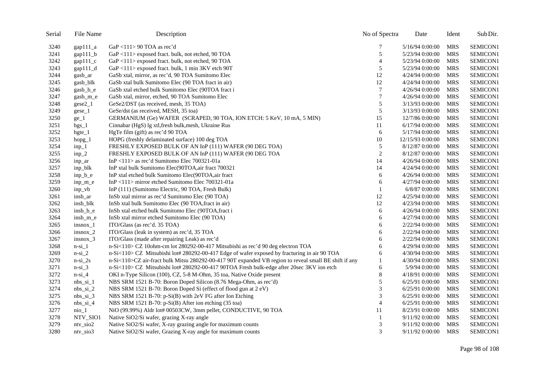| Serial | File Name                | Description                                                                                           | No of Spectra  | Date             | Ident      | Sub Dir.        |
|--------|--------------------------|-------------------------------------------------------------------------------------------------------|----------------|------------------|------------|-----------------|
| 3240   | $gap111_a$               | GaP <111> 90 TOA as rec'd                                                                             | 7              | 5/16/94 0:00:00  | <b>MRS</b> | SEMICON1        |
| 3241   | $gap111_b$               | GaP <111> exposed fract. bulk, not etched, 90 TOA                                                     | 5              | 5/23/94 0:00:00  | <b>MRS</b> | SEMICON1        |
| 3242   | $gap111_c$               | GaP <111> exposed fract. bulk, not etched, 90 TOA                                                     | $\overline{4}$ | 5/23/94 0:00:00  | <b>MRS</b> | SEMICON1        |
| 3243   | $\text{gap}111_d$        | GaP <111> exposed fract. bulk, 1 min 3KV etch 90T                                                     | 5              | 5/23/94 0:00:00  | <b>MRS</b> | SEMICON1        |
| 3244   | gasb ar                  | GaSb xtal, mirror, as rec'd, 90 TOA Sumitomo Elec                                                     | 12             | 4/24/94 0:00:00  | <b>MRS</b> | SEMICON1        |
| 3245   | gasb_blk                 | GaSb xtal bulk Sumitomo Elec (90 TOA fract in air)                                                    | 12             | 4/24/94 0:00:00  | <b>MRS</b> | SEMICON1        |
| 3246   | gasb_b_e                 | GaSb xtal etched bulk Sumitomo Elec (90TOA fract i                                                    | 7              | 4/26/94 0:00:00  | <b>MRS</b> | SEMICON1        |
| 3247   | gasb_m_e                 | GaSb xtal, mirror, etched, 90 TOA Sumitomo Elec                                                       | 7              | 4/26/94 0:00:00  | <b>MRS</b> | SEMICON1        |
| 3248   | $gese2_1$                | GeSe2/DST (as received, mesh, 35 TOA)                                                                 | 5              | 3/13/93 0:00:00  | <b>MRS</b> | SEMICON1        |
| 3249   | $gese_1$                 | GeSe/dst (as received, MESH, 35 toa)                                                                  | 5              | 3/13/93 0:00:00  | <b>MRS</b> | SEMICON1        |
| 3250   | $ge_1$                   | GERMANIUM (Ge) WAFER (SCRAPED, 90 TOA, ION ETCH: 5 KeV, 10 mA, 5 MIN)                                 | 15             | 12/7/86 0:00:00  | <b>MRS</b> | SEMICON1        |
| 3251   | $hgs_1$                  | Cinnabar (HgS) lg xtl, fresh bulk, mesh, Ukraine Rus                                                  | 11             | 6/17/94 0:00:00  | <b>MRS</b> | SEMICON1        |
| 3252   | $h$ gte $_1$             | HgTe film (gift) as rec'd 90 TOA                                                                      | 6              | 5/17/94 0:00:00  | <b>MRS</b> | SEMICON1        |
| 3253   | $h$ opg_ $1$             | HOPG (freshly delaminated surface) 100 deg TOA                                                        | 10             | 12/15/93 0:00:00 | <b>MRS</b> | SEMICON1        |
| 3254   | $inp_1$                  | FRESHLY EXPOSED BULK OF AN InP (111) WAFER (90 DEG TOA)                                               | 5              | 8/12/87 0:00:00  | <b>MRS</b> | SEMICON1        |
| 3255   | $inp_2$                  | FRESHLY EXPOSED BULK OF AN InP (111) WAFER (90 DEG TOA                                                | $\overline{c}$ | 8/12/87 0:00:00  | <b>MRS</b> | SEMICON1        |
| 3256   | inp_ar                   | In $P$ <111> as rec'd Sumitomo Elec 700321-01a                                                        | 14             | 4/26/94 0:00:00  | <b>MRS</b> | SEMICON1        |
| 3257   | inp_blk                  | InP xtal bulk Sumitomo Elec(90TOA,air fract 700321                                                    | 14             | 4/24/94 0:00:00  | <b>MRS</b> | SEMICON1        |
| 3258   | $inp_b_e$                | InP xtal etched bulk Sumitomo Elec(90TOA, air fract                                                   | 6              | 4/26/94 0:00:00  | <b>MRS</b> | SEMICON1        |
| 3259   | $inp_m_e$                | InP<111> mirror etched Sumitomo Elec 700321-01a                                                       | 6              | 4/27/94 0:00:00  | <b>MRS</b> | SEMICON1        |
| 3260   | $inp_vb$                 | InP (111) (Sumitomo Electric, 90 TOA, Fresh Bulk)                                                     | 1              | $6/8/87$ 0:00:00 | <b>MRS</b> | SEMICON1        |
| 3261   | insb_ar                  | InSb xtal mirror as rec'd Sumitomo Elec (90 TOA)                                                      | 12             | 4/25/94 0:00:00  | <b>MRS</b> | SEMICON1        |
| 3262   | insb_blk                 | InSb xtal bulk Sumitomo Elec (90 TOA, fract in air)                                                   | 12             | 4/23/94 0:00:00  | <b>MRS</b> | SEMICON1        |
| 3263   | insb_b_e                 | InSb xtal etched bulk Sumitomo Elec (90TOA, fract i                                                   | 6              | 4/26/94 0:00:00  | <b>MRS</b> | <b>SEMICON1</b> |
| 3264   | insb_m_e                 | InSb xtal mirror etched Sumitomo Elec (90 TOA)                                                        | 6              | 4/27/94 0:00:00  | <b>MRS</b> | SEMICON1        |
| 3265   | $insnox_1$               | ITO/Glass (as rec'd. 35 TOA)                                                                          | 6              | 2/22/94 0:00:00  | <b>MRS</b> | SEMICON1        |
| 3266   | $insnox_2$               | ITO/Glass (leak in system) as rec'd, 35 TOA                                                           | 6              | 2/22/94 0:00:00  | <b>MRS</b> | SEMICON1        |
| 3267   | $insnox_3$               | ITO/Glass (made after repairing Leak) as rec'd                                                        | 6              | 2/22/94 0:00:00  | <b>MRS</b> | SEMICON1        |
| 3268   | $n-si_1$                 | n-Si<110> CZ 10ohm-cm lot 280292-00-417 Mitsubishi as rec'd 90 deg electron TOA                       | 6              | 4/29/94 0:00:00  | <b>MRS</b> | SEMICON1        |
| 3269   | $n-si_2$                 | n-Si<110> CZ Mitsubishi lot# 280292-00-417 Edge of wafer exposed by fracturing in air 90 TOA          | 6              | 4/30/94 0:00:00  | <b>MRS</b> | SEMICON1        |
| 3270   | $n-si_2s$                | n-Si<110>CZ air-fract bulk Mitsu 280292-00-417 90T expanded VB region to reveal small BE shift if any |                | 4/30/94 0:00:00  | <b>MRS</b> | SEMICON1        |
| 3271   | $n-si_3$                 | n-Si<110> CZ Mitsubishi lot# 280292-00-417 90TOA Fresh bulk-edge after 20sec 3KV ion etch             | 6              | 5/9/94 0:00:00   | <b>MRS</b> | SEMICON1        |
| 3272   | $n-si_4$                 | OKI n-Type Silicon (100), CZ, 5-8 M-Ohm, 35 toa, Native Oxide present                                 | 8              | 4/18/91 0:00:00  | <b>MRS</b> | SEMICON1        |
| 3273   | $nbs$ $si$ 1             | NBS SRM 1521 B-70: Boron Doped Silicon (8.76 Mega-Ohm, as rec'd)                                      | 5              | 6/25/91 0:00:00  | <b>MRS</b> | SEMICON1        |
| 3274   | $nbs_isi_2$              | NBS SRM 1521 B-70: Boron Doped Si (effect of flood gun at 2 eV)                                       | 3              | 6/25/91 0:00:00  | MRS        | SEMICON1        |
| 3275   | $nbs_isi_3$              | NBS SRM 1521 B-70: p-Si(B) with 2eV FG after Ion Etching                                              | 3              | 6/25/91 0:00:00  | <b>MRS</b> | SEMICON1        |
| 3276   | $nbs$ _si_4              | NBS SRM 1521 B-70: p-Si(B) After ion etching (35 toa)                                                 | $\overline{4}$ | 6/25/91 0:00:00  | <b>MRS</b> | SEMICON1        |
| 3277   | $ni$ <sub>0</sub> $1$    | NiO (99.99%) Aldr lot# 00503CW, 3mm pellet, CONDUCTIVE, 90 TOA                                        | 11             | 8/23/91 0:00:00  | <b>MRS</b> | SEMICON1        |
| 3278   | NTV_SIO1                 | Native SiO2/Si wafer, grazing X-ray angle                                                             |                | 9/11/92 0:00:00  | <b>MRS</b> | SEMICON1        |
| 3279   | $ntv$ <sub>sio</sub> $2$ | Native SiO2/Si wafer, X-ray grazing angle for maximum counts                                          | 3              | 9/11/92 0:00:00  | <b>MRS</b> | SEMICON1        |
| 3280   | $ntv$ _sio $3$           | Native SiO2/Si wafer, Grazing X-ray angle for maximum counts                                          | 3              | 9/11/92 0:00:00  | <b>MRS</b> | SEMICON1        |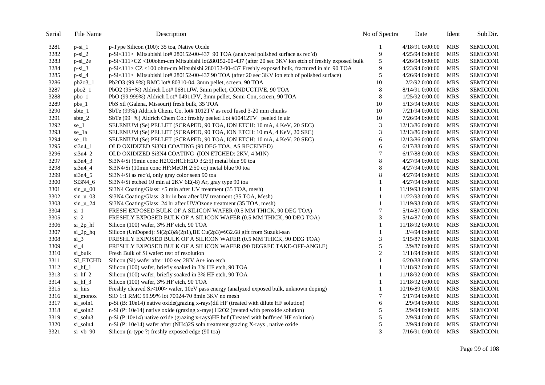| Serial | File Name      | Description                                                                                           | No of Spectra  | Date             | Ident      | Sub Dir.        |
|--------|----------------|-------------------------------------------------------------------------------------------------------|----------------|------------------|------------|-----------------|
| 3281   | $p-si_1$       | p-Type Silicon (100): 35 toa, Native Oxide                                                            | 1              | 4/18/91 0:00:00  | <b>MRS</b> | <b>SEMICON1</b> |
| 3282   | $p-si_2$       | p-Si<111> Mitsubishi lot# 280152-00-437 90 TOA (analyzed polished surface as rec'd)                   | 9              | 4/25/94 0:00:00  | <b>MRS</b> | SEMICON1        |
| 3283   | $p-si_2e$      | p-Si<111>CZ <100ohm-cm Mitsubishi lot280152-00-437 (after 20 sec 3KV ion etch of freshly exposed bulk | 5              | 4/26/94 0:00:00  | <b>MRS</b> | SEMICON1        |
| 3284   | $p-si_3$       | p-Si<111> CZ <100 ohm-cm Mitsubishi 280152-00-437 Freshly exposed bulk, fractured in air 90 TOA       | 9              | 4/23/94 0:00:00  | <b>MRS</b> | <b>SEMICON1</b> |
| 3285   | $p-si_4$       | p-Si<111> Mitsubishi lot# 280152-00-437 90 TOA (after 20 sec 3KV ion etch of polished surface)        | 5              | 4/26/94 0:00:00  | <b>MRS</b> | SEMICON1        |
| 3286   | $pb2o3_1$      | Pb2O3 (99.9%) RMC lot# 80310-04, 3mm pellet, screen, 90 TOA                                           | 10             | 2/2/92 0:00:00   | <b>MRS</b> | SEMICON1        |
| 3287   | $pbo2_1$       | PbO2 (95+%) Aldrich Lot# 06811JW, 3mm pellet, CONDUCTIVE, 90 TOA                                      | $\,8\,$        | 8/14/91 0:00:00  | <b>MRS</b> | SEMICON1        |
| 3288   | $pbo_1$        | PbO (99.999%) Aldrich Lot# 04911PV, 3mm pellet, Semi-Con, screen, 90 TOA                              | $\,8\,$        | 1/25/92 0:00:00  | <b>MRS</b> | SEMICON1        |
| 3289   | $pbs_1$        | PbS xtl (Galena, Missouri) fresh bulk, 35 TOA                                                         | 10             | 5/13/94 0:00:00  | <b>MRS</b> | SEMICON1        |
| 3290   | sbte_1         | SbTe (99%) Aldrich Chem. Co. lot# 1012TV as recd fused 3-20 mm chunks                                 | 10             | 7/21/94 0:00:00  | <b>MRS</b> | SEMICON1        |
| 3291   | sbte_2         | SbTe (99+%) Aldrich Chem Co.: freshly peeled Lot #10412TV peeled in air                               | 10             | 7/26/94 0:00:00  | <b>MRS</b> | SEMICON1        |
| 3292   | $se_1$         | SELENIUM (Se) PELLET (SCRAPED, 90 TOA, ION ETCH: 10 mA, 4 KeV, 20 SEC)                                | 3              | 12/13/86 0:00:00 | <b>MRS</b> | SEMICON1        |
| 3293   | se_1a          | SELENIUM (Se) PELLET (SCRAPED, 90 TOA, iON ETCH: 10 mA, 4 KeV, 20 SEC)                                | 3              | 12/13/86 0:00:00 | <b>MRS</b> | SEMICON1        |
| 3294   | $se_1b$        | SELENIUM (Se) PELLET (SCRAPED, 90 TOA, ION ETCH: 10 mA, 4 KeV, 20 SEC)                                | 6              | 12/13/86 0:00:00 | <b>MRS</b> | SEMICON1        |
| 3295   | $si3n4_1$      | OLD OXIDIZED SI3N4 COATING (90 DEG TOA, AS RECEIVED)                                                  | 6              | 6/17/88 0:00:00  | <b>MRS</b> | SEMICON1        |
| 3296   | $si3n4_2$      | OLD OXIDIZED Si3N4 COATING (ION ETCHED: 2KV, 4 MIN)                                                   | 7              | 6/17/88 0:00:00  | <b>MRS</b> | SEMICON1        |
| 3297   | $si3n4_3$      | Si3N4/Si (5min conc H2O2:HCl:H2O 3:2:5) metal blue 90 toa                                             | 8              | 4/27/94 0:00:00  | <b>MRS</b> | SEMICON1        |
| 3298   | $si3n4_4$      | Si3N4/Si (10min conc HF:MeOH 2:50 cc) metal blue 90 toa                                               | $\,$ 8 $\,$    | 4/27/94 0:00:00  | <b>MRS</b> | SEMICON1        |
| 3299   | $si3n4_5$      | Si3N4/Si as rec'd, only gray color seen 90 toa                                                        | $\,$ 8 $\,$    | 4/27/94 0:00:00  | <b>MRS</b> | SEMICON1        |
| 3300   | SI3N4_6        | Si3N4/Si etched 10 min at 2KV 6E(-8) Ar, gray type 90 toa                                             | 1              | 4/27/94 0:00:00  | <b>MRS</b> | SEMICON1        |
| 3301   | $sin_u$ 00     | Si3N4 Coating/Glass: <5 min after UV treatment (35 TOA, mesh)                                         | 1              | 11/19/93 0:00:00 | <b>MRS</b> | SEMICON1        |
| 3302   | $sin_u$ 03     | Si3N4 Coating/Glass: 3 hr in box after UV treatment (35 TOA, Mesh)                                    | 1              | 11/22/93 0:00:00 | <b>MRS</b> | SEMICON1        |
| 3303   | $sin_u_2$      | Si3N4 Coating/Glass: 24 hr after UV/Ozone treatment (35 TOA, mesh)                                    | 1              | 11/19/93 0:00:00 | <b>MRS</b> | SEMICON1        |
| 3304   | $\sin 1$       | FRESH EXPOSED BULK OF A SILICON WAFER (0.5 MM THICK, 90 DEG TOA)                                      | $\tau$         | 5/14/87 0:00:00  | <b>MRS</b> | SEMICON1        |
| 3305   | $si_2$         | FRESHLY EXPOSED BULK OF A SILICON WAFER (0.5 MM THICK, 90 DEG TOA)                                    | 3              | 5/14/87 0:00:00  | <b>MRS</b> | SEMICON1        |
| 3306   | $si_2p_hf$     | Silicon (100) wafer, 3% HF etch, 90 TOA                                                               | 1              | 11/18/92 0:00:00 | <b>MRS</b> | SEMICON1        |
| 3307   | $si_2p_hq$     | Silicon (UnDoped): Si(2p3)&(2p1), BE Cu(2p3)=932.68 gift from Suzuki-san                              | $\mathbf{1}$   | 3/4/94 0:00:00   | <b>MRS</b> | SEMICON1        |
| 3308   | $si_3$         | FRESHLY EXPOSED BULK OF A SILICON WAFER (0.5 MM THICK, 90 DEG TOA)                                    | 3              | 5/15/87 0:00:00  | <b>MRS</b> | SEMICON1        |
| 3309   | $si_4$         | FRESHLY EXPOSED BULK OF A SILICON WAFER (90 DEGREE TAKE-OFF-ANGLE)                                    | 5              | 2/9/87 0:00:00   | <b>MRS</b> | SEMICON1        |
| 3310   | si_bulk        | Fresh Bulk of Si wafer: test of resolution                                                            | $\overline{c}$ | 1/11/94 0:00:00  | <b>MRS</b> | SEMICON1        |
| 3311   | SI ETCHD       | Silicon (Si) wafer after 100 sec 2KV Ar+ ion etch                                                     | $\mathbf{1}$   | 6/20/88 0:00:00  | <b>MRS</b> | SEMICON1        |
| 3312   | $si_hf_1$      | Silicon (100) wafer, briefly soaked in 3% HF etch, 90 TOA                                             | 1              | 11/18/92 0:00:00 | <b>MRS</b> | SEMICON1        |
| 3313   | $si_hf_2$      | Silicon (100) wafer, briefly soaked in 3% HF etch, 90 TOA                                             | 1              | 11/18/92 0:00:00 | <b>MRS</b> | SEMICON1        |
| 3314   | si_hf_3        | Silicon (100) wafer, 3% HF etch, 90 TOA                                                               | 1              | 11/18/92 0:00:00 | <b>MRS</b> | SEMICON1        |
| 3315   | si_hirs        | Freshly cleaved Si<100> wafer, 10eV pass energy (analyzed exposed bulk, unknown doping)               | $\mathbf{1}$   | 10/16/89 0:00:00 | <b>MRS</b> | SEMICON1        |
| 3316   | si_monox       | SiO 1:1 RMC 99.99% lot 70924-70 8min 3KV no mesh                                                      | 7              | 5/17/94 0:00:00  | <b>MRS</b> | SEMICON1        |
| 3317   | si_soln1       | p-Si (B: 10e14) native oxide(grazing x-rays)dil HF (treated with dilute HF solution)                  | 6              | 2/9/94 0:00:00   | <b>MRS</b> | SEMICON1        |
| 3318   | si_soln2       | n-Si (P: 10e14) native oxide (grazing x-rays) H2O2 (treated with peroxide solution)                   | 5              | 2/9/94 0:00:00   | <b>MRS</b> | SEMICON1        |
| 3319   | si_soln3       | p-Si (P:10e14) native oxide (grazing x-rays)HF buf (Treated with buffered HF solution)                | 5              | 2/9/94 0:00:00   | <b>MRS</b> | SEMICON1        |
| 3320   | si_soln4       | n-Si (P: 10e14) wafer after (NH4)2S soln treatment grazing X-rays, native oxide                       | 5              | 2/9/94 0:00:00   | <b>MRS</b> | SEMICON1        |
| 3321   | $si_v$ vb $90$ | Silicon (n-type ?) freshly exposed edge (90 toa)                                                      | 3              | 7/16/91 0:00:00  | <b>MRS</b> | SEMICON1        |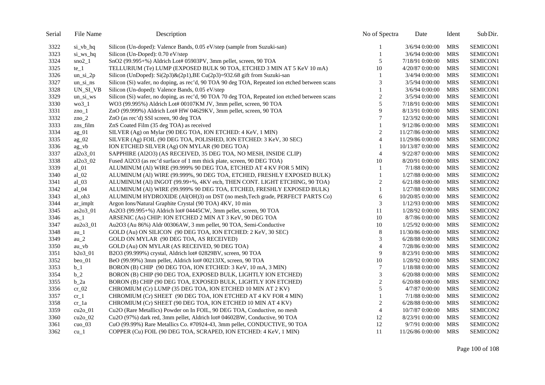| Serial | File Name      | Description                                                                                   | No of Spectra    | Date             | Ident      | Sub Dir. |
|--------|----------------|-----------------------------------------------------------------------------------------------|------------------|------------------|------------|----------|
| 3322   | si vb hq       | Silicon (Un-doped): Valence Bands, 0.05 eV/step (sample from Suzuki-san)                      |                  | 3/6/94 0:00:00   | <b>MRS</b> | SEMICON1 |
| 3323   | si_ws_hq       | Silicon (Un-Doped): 0.70 eV/step                                                              | $\mathbf{1}$     | 3/6/94 0:00:00   | <b>MRS</b> | SEMICON1 |
| 3324   | $sno2_1$       | SnO2 (99.995+%) Aldrich Lot# 05903PV, 3mm pellet, screen, 90 TOA                              | 5                | 7/18/91 0:00:00  | <b>MRS</b> | SEMICON1 |
| 3325   | $te_1$         | TELLURIUM (Te) LUMP (EXPOSED BULK 90 TOA, ETCHED 3 MIN AT 5 KeV 10 mA)                        | 10               | 4/20/87 0:00:00  | <b>MRS</b> | SEMICON1 |
| 3326   | $un$ _si_2 $p$ | Silicon (UnDoped): $Si(2p3)$ & $(2p1)$ , BE Cu $(2p3)$ =932.68 gift from Suzuki-san           |                  | 3/4/94 0:00:00   | <b>MRS</b> | SEMICON1 |
| 3327   | $un$ si ns     | Silicon (Si) wafer, no doping, as rec'd, 90 TOA 90 deg TOA, Repeated ion etched between scans | 3                | 3/5/94 0:00:00   | <b>MRS</b> | SEMICON1 |
| 3328   | UN_SI_VB       | Silicon (Un-doped): Valence Bands, 0.05 eV/step                                               | $\mathbf{1}$     | 3/6/94 0:00:00   | <b>MRS</b> | SEMICON1 |
| 3329   | un si ws       | Silicon (Si) wafer, no doping, as rec'd, 90 TOA 70 deg TOA, Repeated ion etched between scans | $\sqrt{2}$       | 3/5/94 0:00:00   | <b>MRS</b> | SEMICON1 |
| 3330   | wo31           | WO3 (99.995%) Aldrich Lot# 00107KM JV, 3mm pellet, screen, 90 TOA                             | 5                | 7/18/91 0:00:00  | <b>MRS</b> | SEMICON1 |
| 3331   | $zno_1$        | ZnO (99.999%) Aldrich Lot# HW 04629KV, 3mm pellet, screen, 90 TOA                             | 9                | 8/13/91 0:00:00  | <b>MRS</b> | SEMICON1 |
| 3332   | zno $2$        | ZnO (as rec'd) SSI screen, 90 deg TOA                                                         | 7                | 12/3/92 0:00:00  | <b>MRS</b> | SEMICON1 |
| 3333   | zns_film       | ZnS Coated Film (35 deg TOA) as received                                                      | 1                | 9/12/86 0:00:00  | <b>MRS</b> | SEMICON1 |
| 3334   | $ag_01$        | SILVER (Ag) on Mylar (90 DEG TOA, ION ETCHED: 4 KeV, 1 MIN)                                   | $\boldsymbol{2}$ | 11/27/86 0:00:00 | <b>MRS</b> | SEMICON2 |
| 3335   | $ag_02$        | SILVER (Ag) FOIL (90 DEG TOA, POLISHED, ION ETCHED: 3 KeV, 30 SEC)                            | $\overline{4}$   | 11/29/86 0:00:00 | <b>MRS</b> | SEMICON2 |
| 3336   | $ag_v$         | ION ETCHED SILVER (Ag) ON MYLAR (90 DEG TOA)                                                  | 1                | 10/13/87 0:00:00 | <b>MRS</b> | SEMICON2 |
| 3337   | al2o3_01       | SAPPHIRE (Al2O3) (AS RECEIVED, 35 DEG TOA, NO MESH, INSIDE CLIP)                              | $\overline{4}$   | 9/22/87 0:00:00  | <b>MRS</b> | SEMICON2 |
| 3338   | al $2o3$ 02    | Fused Al2O3 (as rec'd surface of 1 mm thick plate, screen, 90 DEG TOA)                        | 10               | 8/20/91 0:00:00  | <b>MRS</b> | SEMICON2 |
| 3339   | $al_01$        | ALUMINUM (Al) WIRE (99.999% 90 DEG TOA, ETCHED AT 4 KV FOR 5 MIN)                             | 1                | 7/1/88 0:00:00   | <b>MRS</b> | SEMICON2 |
| 3340   | $al_02$        | ALUMINUM (Al) WIRE (99.999%, 90 DEG TOA, ETCHED, FRESHLY EXPOSED BULK)                        | 1                | 1/27/88 0:00:00  | <b>MRS</b> | SEMICON2 |
| 3341   | $al_03$        | ALUMINUM (Al) INGOT (99.99+%, 4KV etch, THEN CONT. LIGHT ETCHING, 90 TOA)                     | $\overline{c}$   | 6/21/88 0:00:00  | <b>MRS</b> | SEMICON2 |
| 3342   | $al_04$        | ALUMINUM (Al) WIRE (99.999% 90 DEG TOA, ETCHED, FRESHLY EXPOSED BULK)                         | $\mathbf{1}$     | 1/27/88 0:00:00  | <b>MRS</b> | SEMICON2 |
| 3343   | al_oh3         | ALUMINUM HYDROXIDE (Al(OH)3) on DST (no mesh, Tech grade, PERFECT PARTS Co)                   | 6                | 10/20/85 0:00:00 | <b>MRS</b> | SEMICON2 |
| 3344   | ar_implt       | Argon Ions/Natural Graphite Crystal (90 TOA) 4KV, 10 min                                      | 3                | 1/12/93 0:00:00  | <b>MRS</b> | SEMICON2 |
| 3345   | as2o3_01       | As2O3 (99.995+%) Aldrich lot# 04445CW, 3mm pellet, screen, 90 TOA                             | 11               | 1/28/92 0:00:00  | <b>MRS</b> | SEMICON2 |
| 3346   | $as_1$         | ARSENIC (As) CHIP: ION ETCHED 2 MIN AT 3 KeV, 90 DEG TOA                                      | 10               | 8/7/86 0:00:00   | <b>MRS</b> | SEMICON2 |
| 3347   | au2o3_01       | Au2O3 (Au 86%) Aldr 00306AW, 3 mm pellet, 90 TOA, Semi-Conductive                             | 10               | 1/25/92 0:00:00  | <b>MRS</b> | SEMICON2 |
| 3348   | $au_1$         | GOLD (Au) ON SILICON (90 DEG TOA, ION ETCHED: 2 KeV, 30 SEC)                                  | $\,8\,$          | 11/30/86 0:00:00 | MRS        | SEMICON2 |
| 3349   | $au_2$         | GOLD ON MYLAR (90 DEG TOA, AS RECEIVED)                                                       | 3                | 6/28/88 0:00:00  | <b>MRS</b> | SEMICON2 |
| 3350   | au vb          | GOLD (Au) ON MYLAR (AS RECEIVED, 90 DEG TOA)                                                  | $\overline{4}$   | 7/28/86 0:00:00  | <b>MRS</b> | SEMICON2 |
| 3351   | $b2o3_01$      | B2O3 (99.999%) crystal, Aldrich lot# 02829BV, screen, 90 TOA                                  | 9                | 8/23/91 0:00:00  | <b>MRS</b> | SEMICON2 |
| 3352   | $beo_01$       | BeO (99.99%) 3mm pellet, Aldrich lot# 00213JX, screen, 90 TOA                                 | 10               | 1/28/92 0:00:00  | <b>MRS</b> | SEMICON2 |
| 3353   | $b_1$          | BORON (B) CHIP (90 DEG TOA, ION ETCHED: 3 KeV, 10 mA, 3 MIN)                                  | 7                | 1/18/88 0:00:00  | <b>MRS</b> | SEMICON2 |
| 3354   | $b_2$          | BORON (B) CHIP (90 DEG TOA, EXPOSED BULK, LIGHTLY ION ETCHED)                                 | 3                | 6/20/88 0:00:00  | <b>MRS</b> | SEMICON2 |
| 3355   | $b_2a$         | BORON (B) CHIP (90 DEG TOA, EXPOSED BULK, LIGHTLY ION ETCHED)                                 | $\mathbf{2}$     | 6/20/88 0:00:00  | <b>MRS</b> | SEMICON2 |
| 3356   | $cr_02$        | CHROMIUM (Cr) LUMP (35 DEG TOA, ION ETCHED 10 MIN AT 2 KV)                                    | 5                | 4/7/87 0:00:00   | <b>MRS</b> | SEMICON2 |
| 3357   | $cr_1$         | CHROMIUM (Cr) SHEET (90 DEG TOA, ION ETCHED AT 4 KV FOR 4 MIN)                                | $\mathbf{1}$     | 7/1/88 0:00:00   | <b>MRS</b> | SEMICON2 |
| 3358   | $cr_1a$        | CHROMIUM (Cr) SHEET (90 DEG TOA, ION ETCHED 10 MIN AT 4 KV)                                   | $\sqrt{2}$       | 6/28/88 0:00:00  | <b>MRS</b> | SEMICON2 |
| 3359   | $cu2o_01$      | Cu2O (Rare Metallics) Powder on In FOIL, 90 DEG TOA, Conductive, no mesh                      | $\overline{4}$   | 10/7/87 0:00:00  | <b>MRS</b> | SEMICON2 |
| 3360   | $cu2o_02$      | Cu2O (97%) dark red, 3mm pellet, Aldrich lot# 04602BW, Conductive, 90 TOA                     | 12               | 8/23/91 0:00:00  | <b>MRS</b> | SEMICON2 |
| 3361   | cuo $03$       | CuO (99.99%) Rare Metallics Co. #70924-43, 3mm pellet, CONDUCTIVE, 90 TOA                     | 12               | 9/7/91 0:00:00   | <b>MRS</b> | SEMICON2 |
| 3362   | $cu_1$         | COPPER (Cu) FOIL (90 DEG TOA, SCRAPED, ION ETCHED: 4 KeV, 1 MIN)                              | 11               | 11/26/86 0:00:00 | MRS        | SEMICON2 |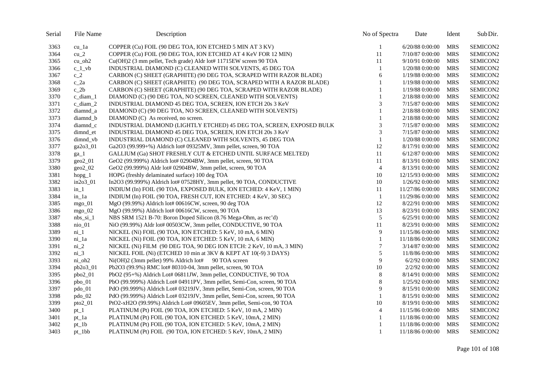| Serial | File Name        | Description                                                              | No of Spectra  | Date             | Ident      | Sub Dir.        |
|--------|------------------|--------------------------------------------------------------------------|----------------|------------------|------------|-----------------|
| 3363   | cu_la            | COPPER (Cu) FOIL (90 DEG TOA, ION ETCHED 5 MIN AT 3 KV)                  | 1              | 6/20/88 0:00:00  | <b>MRS</b> | SEMICON2        |
| 3364   | $cu_2$           | COPPER (Cu) FOIL (90 DEG TOA, ION ETCHED AT 4 KeV FOR 12 MIN)            | 11             | 7/10/87 0:00:00  | <b>MRS</b> | SEMICON2        |
| 3365   | $cu_oh2$         | Cu(OH)2 (3 mm pellet, Tech grade) Aldr lot# 11715EW screen 90 TOA        | 11             | 9/10/91 0:00:00  | <b>MRS</b> | SEMICON2        |
| 3366   | $c_1$ vb         | INDUSTRIAL DIAMOND (C) CLEANED WITH SOLVENTS, 45 DEG TOA                 | 1              | 1/20/88 0:00:00  | <b>MRS</b> | SEMICON2        |
| 3367   | $c_2$            | CARBON (C) SHEET (GRAPHITE) (90 DEG TOA, SCRAPED WITH RAZOR BLADE)       | 6              | 1/19/88 0:00:00  | <b>MRS</b> | SEMICON2        |
| 3368   | $c_2a$           | CARBON (C) SHEET (GRAPHITE) (90 DEG TOA, SCRAPED WITH A RAZOR BLADE)     | $\mathbf{1}$   | 1/19/88 0:00:00  | <b>MRS</b> | SEMICON2        |
| 3369   | $c_2b$           | CARBON (C) SHEET (GRAPHITE) (90 DEG TOA, SCRAPED WITH RAZOR BLADE)       | $\mathbf{1}$   | 1/19/88 0:00:00  | <b>MRS</b> | SEMICON2        |
| 3370   | c_diam_1         | DIAMOND (C) (90 DEG TOA, NO SCREEN, CLEANED WITH SOLVENTS)               | $\mathbf{1}$   | 2/18/88 0:00:00  | <b>MRS</b> | SEMICON2        |
| 3371   | $c_diam_2$       | INDUSTRIAL DIAMOND 45 DEG TOA, SCREEN, ION ETCH 20s 3 KeV                | 3              | 7/15/87 0:00:00  | <b>MRS</b> | SEMICON2        |
| 3372   | diamnd_a         | DIAMOND (C) (90 DEG TOA, NO SCREEN, CLEANED WITH SOLVENTS)               | $\mathbf{1}$   | 2/18/88 0:00:00  | <b>MRS</b> | <b>SEMICON2</b> |
| 3373   | diamnd_b         | DIAMOND (C) As received, no screen.                                      | 1              | 2/18/88 0:00:00  | <b>MRS</b> | SEMICON2        |
| 3374   | diamnd c         | INDUSTRIAL DIAMOND (LIGHTLY ETCHED) 45 DEG TOA, SCREEN, EXPOSED BULK     | 3              | 7/15/87 0:00:00  | <b>MRS</b> | SEMICON2        |
| 3375   | dimnd_et         | INDUSTRIAL DIAMOND 45 DEG TOA, SCREEN, ION ETCH 20s 3 KeV                | 3              | 7/15/87 0:00:00  | <b>MRS</b> | SEMICON2        |
| 3376   | dimnd_vb         | INDUSTRIAL DIAMOND (C) CLEANED WITH SOLVENTS, 45 DEG TOA                 | $\mathbf{1}$   | 1/20/88 0:00:00  | <b>MRS</b> | SEMICON2        |
| 3377   | ga2o3_01         | Ga2O3 (99.999+%) Aldrich lot# 09325MV, 3mm pellet, screen, 90 TOA        | 12             | 8/17/91 0:00:00  | <b>MRS</b> | SEMICON2        |
| 3378   | $ga_1$           | GALLIUM (Ga) SHOT FRESHLY CUT & ETCHED UNTIL SURFACE MELTED)             | 11             | 6/12/87 0:00:00  | <b>MRS</b> | SEMICON2        |
| 3379   | $geo2_01$        | GeO2 (99.999%) Aldrich lot# 02904BW, 3mm pellet, screen, 90 TOA          | 11             | 8/13/91 0:00:00  | <b>MRS</b> | SEMICON2        |
| 3380   | $geo2_02$        | GeO2 (99.999%) Aldr lot# 02904BW, 3mm pellet, screen, 90 TOA             | $\overline{4}$ | 8/13/91 0:00:00  | <b>MRS</b> | SEMICON2        |
| 3381   | $h$ opg $\lceil$ | HOPG (freshly delaminated surface) 100 deg TOA                           | 10             | 12/15/93 0:00:00 | <b>MRS</b> | SEMICON2        |
| 3382   | in2o3_01         | In2O3 (99.999%) Aldrich lot# 07528HY, 3mm pellet, 90 TOA, CONDUCTIVE     | 10             | 1/26/92 0:00:00  | <b>MRS</b> | SEMICON2        |
| 3383   | $in_1$           | INDIUM (In) FOIL (90 TOA, EXPOSED BULK, ION ETCHED: 4 KeV, 1 MIN)        | 11             | 11/27/86 0:00:00 | <b>MRS</b> | SEMICON2        |
| 3384   | $in_1$           | INDIUM (In) FOIL (90 TOA, FRESH CUT, ION ETCHED: 4 KeV, 30 SEC)          | 1              | 11/29/86 0:00:00 | <b>MRS</b> | SEMICON2        |
| 3385   | mgo $01$         | MgO (99.99%) Aldrich lot# 00616CW, screen, 90 deg TOA                    | 12             | 8/22/91 0:00:00  | <b>MRS</b> | SEMICON2        |
| 3386   | $mgo_02$         | MgO (99.99%) Aldrich lot# 00616CW, screen, 90 TOA                        | 13             | 8/23/91 0:00:00  | <b>MRS</b> | SEMICON2        |
| 3387   | $nbs$ _si_1      | NBS SRM 1521 B-70: Boron Doped Silicon (8.76 Mega-Ohm, as rec'd)         | $\sqrt{5}$     | 6/25/91 0:00:00  | <b>MRS</b> | SEMICON2        |
| 3388   | $nio_0$          | NiO (99.99%) Aldr lot# 00503CW, 3mm pellet, CONDUCTIVE, 90 TOA           | 11             | 8/23/91 0:00:00  | <b>MRS</b> | SEMICON2        |
| 3389   | $ni_1$           | NICKEL (Ni) FOIL (90 TOA, ION ETCHED: 5 KeV, 10 mA, 6 MIN)               | 9              | 11/15/86 0:00:00 | <b>MRS</b> | SEMICON2        |
| 3390   | ni_1a            | NICKEL (Ni) FOIL (90 TOA, ION ETCHED: 5 KeV, 10 mA, 6 MIN)               | 1              | 11/18/86 0:00:00 | <b>MRS</b> | SEMICON2        |
| 3391   | $ni_2$           | NICKEL (Ni) FILM (90 DEG TOA, 90 DEG ION ETCH: 2 KeV, 10 mA, 3 MIN)      | 7              | 3/14/87 0:00:00  | <b>MRS</b> | SEMICON2        |
| 3392   | $ni_3$           | NICKEL FOIL (Ni) (ETCHED 10 min at 3KV & KEPT AT 10(-9) 3 DAYS)          | 5              | 11/8/86 0:00:00  | <b>MRS</b> | SEMICON2        |
| 3393   | $ni_oh2$         | Ni(OH)2 (3mm pellet) 99% Aldrich lot# 90 TOA screen                      | 9              | $6/2/92$ 0:00:00 | <b>MRS</b> | SEMICON2        |
| 3394   | pb2o3_01         | Pb2O3 (99.9%) RMC lot# 80310-04, 3mm pellet, screen, 90 TOA              | $10\,$         | 2/2/92 0:00:00   | <b>MRS</b> | SEMICON2        |
| 3395   | $pbo2_01$        | PbO2 (95+%) Aldrich Lot# 06811JW, 3mm pellet, CONDUCTIVE, 90 TOA         | $8\phantom{1}$ | 8/14/91 0:00:00  | <b>MRS</b> | SEMICON2        |
| 3396   | $pbo_01$         | PbO (99.999%) Aldrich Lot# 04911PV, 3mm pellet, Semi-Con, screen, 90 TOA | $\,8\,$        | 1/25/92 0:00:00  | <b>MRS</b> | SEMICON2        |
| 3397   | $pdo_01$         | PdO (99.999%) Aldrich Lot# 03219JV, 3mm pellet, Semi-Con, screen, 90 TOA | 9              | 8/15/91 0:00:00  | <b>MRS</b> | SEMICON2        |
| 3398   | pdo_02           | PdO (99.999%) Aldrich Lot# 03219JV, 3mm pellet, Semi-Con, screen, 90 TOA | 1              | 8/15/91 0:00:00  | <b>MRS</b> | SEMICON2        |
| 3399   | $pto2_01$        | PtO2-xH2O (99.99%) Aldrich Lot# 09605EV, 3mm pellet, Semi-con, 90 TOA    | 10             | 8/19/91 0:00:00  | <b>MRS</b> | SEMICON2        |
| 3400   | $pt_1$           | PLATINUM (Pt) FOIL (90 TOA, ION ETCHED: 5 KeV, 10 mA, 2 MIN)             | $\overline{4}$ | 11/15/86 0:00:00 | <b>MRS</b> | SEMICON2        |
| 3401   | $pt_1a$          | PLATINUM (Pt) FOIL (90 TOA, ION ETCHED: 5 KeV, 10mA, 2 MIN)              | 1              | 11/18/86 0:00:00 | <b>MRS</b> | SEMICON2        |
| 3402   | $pt_1b$          | PLATINUM (Pt) FOIL (90 TOA, ION ETCHED: 5 KeV, 10mA, 2 MIN)              | 1              | 11/18/86 0:00:00 | <b>MRS</b> | SEMICON2        |
| 3403   | $pt_1bb$         | PLATINUM (Pt) FOIL (90 TOA, ION ETCHED: 5 KeV, 10mA, 2 MIN)              | 1              | 11/18/86 0:00:00 | <b>MRS</b> | SEMICON2        |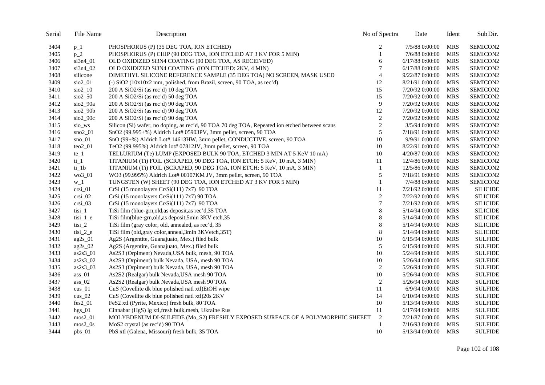| Serial | File Name                     | Description                                                                                   | No of Spectra    | Date              | Ident      | Sub Dir.        |
|--------|-------------------------------|-----------------------------------------------------------------------------------------------|------------------|-------------------|------------|-----------------|
| 3404   | $p_1$                         | PHOSPHORUS (P) (35 DEG TOA, ION ETCHED)                                                       | 2                | 7/5/88 0:00:00    | <b>MRS</b> | SEMICON2        |
| 3405   | $p_2$                         | PHOSPHORUS (P) CHIP (90 DEG TOA, ION ETCHED AT 3 KV FOR 5 MIN)                                | $\mathbf{1}$     | 7/6/88 0:00:00    | <b>MRS</b> | SEMICON2        |
| 3406   | si3n4_01                      | OLD OXIDIZED SI3N4 COATING (90 DEG TOA, AS RECEIVED)                                          | 6                | 6/17/88 0:00:00   | <b>MRS</b> | SEMICON2        |
| 3407   | $si3n4_02$                    | OLD OXIDIZED SI3N4 COATING (ION ETCHED: 2KV, 4 MIN)                                           | 7                | 6/17/88 0:00:00   | <b>MRS</b> | SEMICON2        |
| 3408   | silicone                      | DIMETHYL SILICONE REFERENCE SAMPLE (35 DEG TOA) NO SCREEN, MASK USED                          | $\overline{4}$   | 9/22/87 0:00:00   | <b>MRS</b> | SEMICON2        |
| 3409   | $sio2_01$                     | $\left(-\right)$ SiO2 (10x10x2 mm, polished, from Brazil, screen, 90 TOA, as rec'd)           | 12               | 8/21/91 0:00:00   | <b>MRS</b> | SEMICON2        |
| 3410   | $sio2_10$                     | 200 A SiO2/Si (as rec'd) 10 deg TOA                                                           | 15               | 7/20/92 0:00:00   | <b>MRS</b> | SEMICON2        |
| 3411   | $\frac{\text{SiO2}}{2}$ 50    | 200 A SiO2/Si (as rec'd) 50 deg TOA                                                           | 15               | 7/20/92 0:00:00   | <b>MRS</b> | SEMICON2        |
| 3412   | sio2_90a                      | 200 A SiO2/Si (as rec'd) 90 deg TOA                                                           | 9                | 7/20/92 0:00:00   | <b>MRS</b> | SEMICON2        |
| 3413   | $sio2_90b$                    | 200 A SiO2/Si (as rec'd) 90 deg TOA                                                           | 12               | 7/20/92 0:00:00   | <b>MRS</b> | SEMICON2        |
| 3414   | $sio2$ 90 $c$                 | 200 A SiO2/Si (as rec'd) 90 deg TOA                                                           | $\boldsymbol{2}$ | 7/20/92 0:00:00   | <b>MRS</b> | SEMICON2        |
| 3415   | sio_ws                        | Silicon (Si) wafer, no doping, as rec'd, 90 TOA 70 deg TOA, Repeated ion etched between scans | $\boldsymbol{2}$ | 3/5/94 0:00:00    | <b>MRS</b> | SEMICON2        |
| 3416   | $sno2_01$                     | SnO2 (99.995+%) Aldrich Lot# 05903PV, 3mm pellet, screen, 90 TOA                              | 5                | 7/18/91 0:00:00   | <b>MRS</b> | SEMICON2        |
| 3417   | $sno_01$                      | SnO (99+%) Aldrich Lot# 14613HW, 3mm pellet, CONDUCTIVE, screen, 90 TOA                       | 10               | 9/9/91 0:00:00    | <b>MRS</b> | SEMICON2        |
| 3418   | $teo2_01$                     | TeO2 (99.995%) Aldrich lot# 07812JV, 3mm pellet, screen, 90 TOA                               | 10               | 8/22/91 0:00:00   | <b>MRS</b> | SEMICON2        |
| 3419   | $te_1$                        | TELLURIUM (Te) LUMP (EXPOSED BULK 90 TOA, ETCHED 3 MIN AT 5 KeV 10 mA)                        | 10               | 4/20/87 0:00:00   | <b>MRS</b> | SEMICON2        |
| 3420   | $ti_1$                        | TITANIUM (Ti) FOIL (SCRAPED, 90 DEG TOA, ION ETCH: 5 KeV, 10 mA, 3 MIN)                       | 11               | 12/4/86 0:00:00   | <b>MRS</b> | SEMICON2        |
| 3421   | ti 1b                         | TITANIUM (Ti) FOIL (SCRAPED, 90 DEG TOA, ION ETCH: 5 KeV, 10 mA, 3 MIN)                       | -1               | 12/5/86 0:00:00   | <b>MRS</b> | SEMICON2        |
| 3422   | wo3_01                        | WO3 (99.995%) Aldrich Lot# 00107KM JV, 3mm pellet, screen, 90 TOA                             | 5                | 7/18/91 0:00:00   | <b>MRS</b> | SEMICON2        |
| 3423   | $W_{-}1$                      | TUNGSTEN (W) SHEET (90 DEG TOA, ION ETCHED AT 3 KV FOR 5 MIN)                                 | $\mathbf{1}$     | 7/4/88 0:00:00    | <b>MRS</b> | SEMICON2        |
| 3424   | $crsi_01$                     | CrSi (15 monolayers Cr/Si(111) 7x7) 90 TOA                                                    | 11               | 7/21/92 0:00:00   | <b>MRS</b> | <b>SILICIDE</b> |
| 3425   | $crsi$ 02                     | CrSi (15 monolayers Cr/Si(111) 7x7) 90 TOA                                                    | $\overline{c}$   | 7/22/92 0:00:00   | <b>MRS</b> | <b>SILICIDE</b> |
| 3426   | $crsi_03$                     | CrSi (15 monolayers Cr/Si(111) 7x7) 90 TOA                                                    | 7                | 7/21/92 0:00:00   | <b>MRS</b> | <b>SILICIDE</b> |
| 3427   | tisi_1                        | TiSi film (blue-grn, old, as deposit, as rec'd, 35 TOA                                        | $\,8\,$          | 5/14/94 0:00:00   | <b>MRS</b> | <b>SILICIDE</b> |
| 3428   | $\text{tisi}\_1$ <sup>e</sup> | TiSi film(blue-grn, old, as deposit, 5min 3KV etch, 35                                        | $\,$ 8 $\,$      | 5/14/94 0:00:00   | <b>MRS</b> | <b>SILICIDE</b> |
| 3429   | $\text{tisi}_2$               | TiSi film (gray color, old, annealed, as rec'd, 35                                            | $\,$ 8 $\,$      | 5/14/94 0:00:00   | <b>MRS</b> | <b>SILICIDE</b> |
| 3430   | $\text{tisi}_2$ e             | TiSi film (old, gray color, anneal, 3min 3KVetch, 35T)                                        | $\,$ 8 $\,$      | 5/14/94 0:00:00   | <b>MRS</b> | <b>SILICIDE</b> |
| 3431   | $ag2s_01$                     | Ag2S (Argentite, Guanajuato, Mex.) filed bulk                                                 | $10\,$           | $6/15/94$ 0:00:00 | <b>MRS</b> | <b>SULFIDE</b>  |
| 3432   | $ag2s_02$                     | Ag2S (Argentite, Guanajuato, Mex.) filed bulk                                                 | 5                | 6/15/94 0:00:00   | <b>MRS</b> | <b>SULFIDE</b>  |
| 3433   | $as2s3$ 01                    | As2S3 (Orpiment) Nevada, USA bulk, mesh, 90 TOA                                               | 10               | 5/24/94 0:00:00   | <b>MRS</b> | <b>SULFIDE</b>  |
| 3434   | $as2s3_02$                    | As2S3 (Orpiment) bulk Nevada, USA, mesh 90 TOA                                                | 10               | 5/26/94 0:00:00   | <b>MRS</b> | <b>SULFIDE</b>  |
| 3435   | $as2s3_03$                    | As2S3 (Orpiment) bulk Nevada, USA, mesh 90 TOA                                                | $\overline{c}$   | 5/26/94 0:00:00   | <b>MRS</b> | <b>SULFIDE</b>  |
| 3436   | $ass_01$                      | As2S2 (Realgar) bulk Nevada, USA mesh 90 TOA                                                  | 10               | 5/26/94 0:00:00   | <b>MRS</b> | <b>SULFIDE</b>  |
| 3437   | ass $02$                      | As2S2 (Realgar) bulk Nevada, USA mesh 90 TOA                                                  | $\overline{c}$   | 5/26/94 0:00:00   | <b>MRS</b> | <b>SULFIDE</b>  |
| 3438   | $\text{cus}\_01$              | CuS (Covellite dk blue polished natl xtl)EtOH wipe                                            | 11               | 6/9/94 0:00:00    | <b>MRS</b> | <b>SULFIDE</b>  |
| 3439   | $\text{cus}\_02$              | CuS (Covellite dk blue polished natl xtl)20s 2KV                                              | 14               | $6/10/94$ 0:00:00 | <b>MRS</b> | <b>SULFIDE</b>  |
| 3440   | $fes2_01$                     | FeS2 xtl (Pyrite, Mexico) fresh bulk, 80 TOA                                                  | 10               | 5/13/94 0:00:00   | <b>MRS</b> | <b>SULFIDE</b>  |
| 3441   | $hgs_01$                      | Cinnabar (HgS) lg xtl, fresh bulk, mesh, Ukraine Rus                                          | 11               | $6/17/94$ 0:00:00 | <b>MRS</b> | <b>SULFIDE</b>  |
| 3442   | $~\text{mos}2~01$             | MOLYBDENUM DI-SULFIDE (Mo_S2) FRESHLY EXPOSED SURFACE OF A POLYMORPHIC SHEEET                 | $\overline{2}$   | 7/21/87 0:00:00   | <b>MRS</b> | <b>SULFIDE</b>  |
| 3443   | $mos2_0s$                     | MoS2 crystal (as rec'd) 90 TOA                                                                | 1                | 7/16/93 0:00:00   | <b>MRS</b> | <b>SULFIDE</b>  |
| 3444   | pbs_01                        | PbS xtl (Galena, Missouri) fresh bulk, 35 TOA                                                 | 10               | 5/13/94 0:00:00   | <b>MRS</b> | <b>SULFIDE</b>  |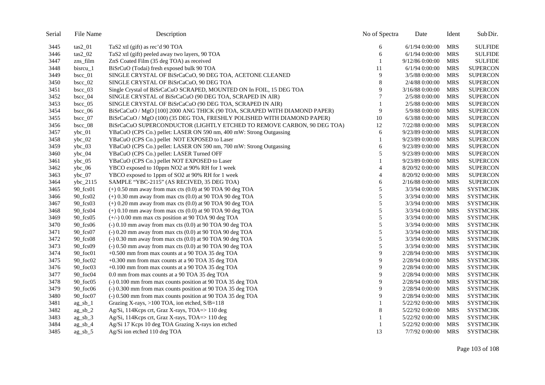| Serial | File Name                | Description                                                               | No of Spectra | Date             | Ident      | Sub Dir.        |
|--------|--------------------------|---------------------------------------------------------------------------|---------------|------------------|------------|-----------------|
| 3445   | $\text{tas2\_01}$        | TaS2 xtl (gift) as rec'd 90 TOA                                           | 6             | $6/1/94$ 0:00:00 | <b>MRS</b> | <b>SULFIDE</b>  |
| 3446   | $\text{tas2 } 02$        | TaS2 xtl (gift) peeled away two layers, 90 TOA                            | 6             | $6/1/94$ 0:00:00 | <b>MRS</b> | <b>SULFIDE</b>  |
| 3447   | zns_film                 | ZnS Coated Film (35 deg TOA) as received                                  |               | 9/12/86 0:00:00  | <b>MRS</b> | <b>SULFIDE</b>  |
| 3448   | bisrcu_1                 | BiSrCuO (Todai) fresh exposed bulk 90 TOA                                 | 11            | 6/1/94 0:00:00   | MRS        | <b>SUPERCON</b> |
| 3449   | $bsc_01$                 | SINGLE CRYSTAL OF BiSrCaCuO, 90 DEG TOA, ACETONE CLEANED                  | 9             | 3/5/88 0:00:00   | MRS        | <b>SUPERCON</b> |
| 3450   | $bsc_02$                 | SINGLE CRYSTAL OF BiSrCaCuO, 90 DEG TOA                                   | 8             | 2/4/88 0:00:00   | <b>MRS</b> | <b>SUPERCON</b> |
| 3451   | $bscc_03$                | Single Crystal of BiSrCaCuO SCRAPED, MOUNTED ON In FOIL, 15 DEG TOA       | 9             | 3/16/88 0:00:00  | <b>MRS</b> | <b>SUPERCON</b> |
| 3452   | $bsc_04$                 | SINGLE CRYSTAL of BiSrCaCuO (90 DEG TOA, SCRAPED IN AIR)                  | 7             | 2/5/88 0:00:00   | <b>MRS</b> | <b>SUPERCON</b> |
| 3453   | bsc 05                   | SINGLE CRYSTAL OF BiSrCaCuO (90 DEG TOA, SCRAPED IN AIR)                  |               | 2/5/88 0:00:00   | <b>MRS</b> | <b>SUPERCON</b> |
| 3454   | $bsc_0$ 06               | BiSrCaCuO / MgO [100] 2000 ANG THICK (90 TOA, SCRAPED WITH DIAMOND PAPER) | 9             | 5/9/88 0:00:00   | <b>MRS</b> | <b>SUPERCON</b> |
| 3455   | $bsc_0$ 07               | BiSrCaCuO / MgO (100) (35 DEG TOA, FRESHLY POLISHED WITH DIAMOND PAPER)   | 10            | $6/3/88$ 0:00:00 | MRS        | <b>SUPERCON</b> |
| 3456   | $bsc_0$ 08               | BiSrCaCuO SUPERCONDUCTOR (LIGHTLY ETCHED TO REMOVE CARBON, 90 DEG TOA)    | 12            | 7/22/88 0:00:00  | <b>MRS</b> | <b>SUPERCON</b> |
| 3457   | $ybc_01$                 | YBaCuO (CPS Co.) pellet: LASER ON 590 nm, 400 mW: Strong Outgassing       | 6             | 9/23/89 0:00:00  | <b>MRS</b> | <b>SUPERCON</b> |
| 3458   | $ybc_02$                 | YBaCuO (CPS Co.) pellet NOT EXPOSED to Laser                              |               | 9/23/89 0:00:00  | MRS        | <b>SUPERCON</b> |
| 3459   | $ybc_03$                 | YBaCuO (CPS Co.) pellet: LASER ON 590 nm, 700 mW: Strong Outgassing       | 6             | 9/23/89 0:00:00  | <b>MRS</b> | <b>SUPERCON</b> |
| 3460   | $ybc_04$                 | YBaCuO (CPS Co.) pellet: LASER Turned OFF                                 | 5             | 9/23/89 0:00:00  | <b>MRS</b> | <b>SUPERCON</b> |
| 3461   | $ybc_05$                 | YBaCuO (CPS Co.) pellet NOT EXPOSED to Laser                              |               | 9/23/89 0:00:00  | <b>MRS</b> | <b>SUPERCON</b> |
| 3462   | $vbc\_06$                | YBCO exposed to 10ppm NO2 at 90% RH for 1 week                            | 4             | 8/20/92 0:00:00  | <b>MRS</b> | <b>SUPERCON</b> |
| 3463   | $ybc_07$                 | YBCO exposed to 1ppm of SO2 at 90% RH for 1 week                          | 4             | 8/20/92 0:00:00  | <b>MRS</b> | <b>SUPERCON</b> |
| 3464   | ybc_2115                 | SAMPLE "YBC-2115" (AS RECIVED, 35 DEG TOA)                                | 6             | 2/16/88 0:00:00  | <b>MRS</b> | <b>SUPERCON</b> |
| 3465   | 90_fcs01                 | $(+)$ 0.50 mm away from max cts $(0.0)$ at 90 TOA 90 deg TOA              | 5             | 3/3/94 0:00:00   | <b>MRS</b> | <b>SYSTMCHK</b> |
| 3466   | 90_fcs02                 | $(+)$ 0.30 mm away from max cts $(0.0)$ at 90 TOA 90 deg TOA              | 5             | 3/3/94 0:00:00   | MRS        | <b>SYSTMCHK</b> |
| 3467   | 90_fcs03                 | $(+)$ 0.20 mm away from max cts $(0.0)$ at 90 TOA 90 deg TOA              | 5             | 3/3/94 0:00:00   | <b>MRS</b> | <b>SYSTMCHK</b> |
| 3468   | 90_fcs04                 | $(+)$ 0.10 mm away from max cts $(0.0)$ at 90 TOA 90 deg TOA              | 5             | 3/3/94 0:00:00   | <b>MRS</b> | <b>SYSTMCHK</b> |
| 3469   | $90$ fcs $05$            | $(+/-)$ 0.00 mm max cts position at 90 TOA 90 deg TOA                     | 5             | 3/3/94 0:00:00   | <b>MRS</b> | <b>SYSTMCHK</b> |
| 3470   | 90_fcs06                 | $(-)$ 0.10 mm away from max cts $(0.0)$ at 90 TOA 90 deg TOA              | 5             | 3/3/94 0:00:00   | <b>MRS</b> | <b>SYSTMCHK</b> |
| 3471   | 90_fcs07                 | $(-) 0.20$ mm away from max cts $(0.0)$ at 90 TOA 90 deg TOA              | 5             | 3/3/94 0:00:00   | MRS        | <b>SYSTMCHK</b> |
| 3472   | 90_fcs08                 | $(-) 0.30$ mm away from max cts $(0.0)$ at 90 TOA 90 deg TOA              | 5             | 3/3/94 0:00:00   | MRS        | <b>SYSTMCHK</b> |
| 3473   | 90_fcs09                 | $(-) 0.50$ mm away from max cts $(0.0)$ at 90 TOA 90 deg TOA              | 5             | 3/3/94 0:00:00   | <b>MRS</b> | <b>SYSTMCHK</b> |
| 3474   | 90_foc01                 | +0.500 mm from max counts at a 90 TOA 35 deg TOA                          | 9             | 2/28/94 0:00:00  | <b>MRS</b> | <b>SYSTMCHK</b> |
| 3475   | 90_foc02                 | +0.300 mm from max counts at a 90 TOA 35 deg TOA                          | 9             | 2/28/94 0:00:00  | MRS        | <b>SYSTMCHK</b> |
| 3476   | 90_foc03                 | +0.100 mm from max counts at a 90 TOA 35 deg TOA                          | 9             | 2/28/94 0:00:00  | <b>MRS</b> | <b>SYSTMCHK</b> |
| 3477   | 90_foc04                 | 0.0 mm from max counts at a 90 TOA 35 deg TOA                             | 9             | 2/28/94 0:00:00  | <b>MRS</b> | <b>SYSTMCHK</b> |
| 3478   | $90 \text{ foc}05$       | (-) 0.100 mm from max counts position at 90 TOA 35 deg TOA                | 9             | 2/28/94 0:00:00  | <b>MRS</b> | <b>SYSTMCHK</b> |
| 3479   | $90 \text{ foot}$        | (-) 0.300 mm from max counts position at 90 TOA 35 deg TOA                | 9             | 2/28/94 0:00:00  | MRS        | <b>SYSTMCHK</b> |
| 3480   | 90_foc07                 | (-) 0.500 mm from max counts position at 90 TOA 35 deg TOA                | 9             | 2/28/94 0:00:00  | <b>MRS</b> | <b>SYSTMCHK</b> |
| 3481   | $ag$ <sub>_sb_1</sub>    | Grazing X-rays, >100 TOA, ion etched, S/B=118                             |               | 5/22/92 0:00:00  | <b>MRS</b> | <b>SYSTMCHK</b> |
| 3482   | $ag$ <sub>-sb</sub> $_2$ | Ag/Si, 114Kcps crt, Graz X-rays, TOA=>110 deg                             | 8             | 5/22/92 0:00:00  | <b>MRS</b> | <b>SYSTMCHK</b> |
| 3483   | $ag_s b_3$               | Ag/Si, 114Kcps crt, Graz X-rays, TOA=> 110 deg                            |               | 5/22/92 0:00:00  | MRS        | <b>SYSTMCHK</b> |
| 3484   | $ag_s b_4$               | Ag/Si 17 Kcps 10 deg TOA Grazing X-rays ion etched                        |               | 5/22/92 0:00:00  | <b>MRS</b> | <b>SYSTMCHK</b> |
| 3485   | $ag$ sb $5$              | Ag/Si ion etched 110 deg TOA                                              | 13            | 7/7/92 0:00:00   | MRS        | <b>SYSTMCHK</b> |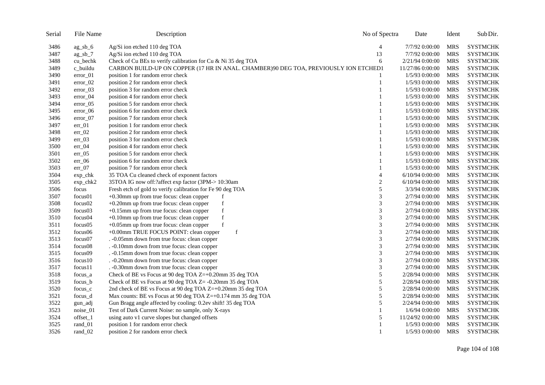| Serial | File Name            | Description                                                                          | No of Spectra  | Date              | Ident      | Sub Dir.        |
|--------|----------------------|--------------------------------------------------------------------------------------|----------------|-------------------|------------|-----------------|
| 3486   | $ag_s b_6$           | Ag/Si ion etched 110 deg TOA                                                         | 4              | 7/7/92 0:00:00    | <b>MRS</b> | <b>SYSTMCHK</b> |
| 3487   | $ag_s b_7$           | Ag/Si ion etched 110 deg TOA                                                         | 13             | 7/7/92 0:00:00    | <b>MRS</b> | <b>SYSTMCHK</b> |
| 3488   | cu bechk             | Check of Cu BEs to verify calibration for Cu & Ni 35 deg TOA                         | 6              | 2/21/94 0:00:00   | <b>MRS</b> | <b>SYSTMCHK</b> |
| 3489   | c_buildu             | CARBON BUILD-UP ON COPPER (17 HR IN ANAL. CHAMBER)90 DEG TOA, PREVIOUSLY ION ETCHED1 |                | 11/27/86 0:00:00  | <b>MRS</b> | <b>SYSTMCHK</b> |
| 3490   | error_01             | position 1 for random error check                                                    |                | 1/5/93 0:00:00    | <b>MRS</b> | <b>SYSTMCHK</b> |
| 3491   | $error_02$           | position 2 for random error check                                                    | 1              | 1/5/93 0:00:00    | <b>MRS</b> | <b>SYSTMCHK</b> |
| 3492   | error_03             | position 3 for random error check                                                    | $\mathbf{1}$   | 1/5/93 0:00:00    | <b>MRS</b> | <b>SYSTMCHK</b> |
| 3493   | $error_04$           | position 4 for random error check                                                    | 1              | 1/5/93 0:00:00    | <b>MRS</b> | <b>SYSTMCHK</b> |
| 3494   | error_05             | position 5 for random error check                                                    | 1              | 1/5/93 0:00:00    | <b>MRS</b> | <b>SYSTMCHK</b> |
| 3495   | $error_06$           | position 6 for random error check                                                    | 1              | 1/5/93 0:00:00    | <b>MRS</b> | <b>SYSTMCHK</b> |
| 3496   | error_07             | position 7 for random error check                                                    | 1              | 1/5/93 0:00:00    | <b>MRS</b> | <b>SYSTMCHK</b> |
| 3497   | $err_01$             | position 1 for random error check                                                    | 1              | 1/5/93 0:00:00    | <b>MRS</b> | <b>SYSTMCHK</b> |
| 3498   | $err_02$             | position 2 for random error check                                                    | 1              | 1/5/93 0:00:00    | <b>MRS</b> | <b>SYSTMCHK</b> |
| 3499   | $err_03$             | position 3 for random error check                                                    | 1              | 1/5/93 0:00:00    | <b>MRS</b> | <b>SYSTMCHK</b> |
| 3500   | $err_04$             | position 4 for random error check                                                    | 1              | 1/5/93 0:00:00    | <b>MRS</b> | <b>SYSTMCHK</b> |
| 3501   | $err_05$             | position 5 for random error check                                                    | 1              | 1/5/93 0:00:00    | <b>MRS</b> | <b>SYSTMCHK</b> |
| 3502   | $err_06$             | position 6 for random error check                                                    | 1              | 1/5/93 0:00:00    | <b>MRS</b> | <b>SYSTMCHK</b> |
| 3503   | $err_07$             | position 7 for random error check                                                    | 1              | 1/5/93 0:00:00    | MRS        | <b>SYSTMCHK</b> |
| 3504   | $exp_{\text{c}}$ chk | 35 TOA Cu cleaned check of exponent factors                                          | $\overline{4}$ | $6/10/94$ 0:00:00 | <b>MRS</b> | <b>SYSTMCHK</b> |
| 3505   | exp_chk2             | 35TOA IG now off:?affect exp factor (3PM-> 10:30am                                   | $\overline{c}$ | $6/10/94$ 0:00:00 | <b>MRS</b> | <b>SYSTMCHK</b> |
| 3506   | focus                | Fresh etch of gold to verify calibration for Fe 90 deg TOA                           | 5              | 3/3/94 0:00:00    | <b>MRS</b> | <b>SYSTMCHK</b> |
| 3507   | focus01              | +0.30mm up from true focus: clean copper<br>f                                        | 3              | 2/7/94 0:00:00    | <b>MRS</b> | <b>SYSTMCHK</b> |
| 3508   | focus02              | +0.20mm up from true focus: clean copper                                             | 3              | 2/7/94 0:00:00    | <b>MRS</b> | <b>SYSTMCHK</b> |
| 3509   | focus03              | $\mathbf f$<br>+0.15mm up from true focus: clean copper                              | 3              | 2/7/94 0:00:00    | <b>MRS</b> | <b>SYSTMCHK</b> |
| 3510   | focus04              | $\mathbf f$<br>+0.10mm up from true focus: clean copper                              | 3              | 2/7/94 0:00:00    | <b>MRS</b> | <b>SYSTMCHK</b> |
| 3511   | focus05              | $\mathbf{f}$<br>+0.05mm up from true focus: clean copper                             | 3              | 2/7/94 0:00:00    | <b>MRS</b> | <b>SYSTMCHK</b> |
| 3512   | focus06              | +0.00mm TRUE FOCUS POINT: clean copper<br>$\mathbf f$                                | 3              | 2/7/94 0:00:00    | <b>MRS</b> | <b>SYSTMCHK</b> |
| 3513   | focus07              | . -0.05mm down from true focus: clean copper                                         | 3              | 2/7/94 0:00:00    | <b>MRS</b> | <b>SYSTMCHK</b> |
| 3514   | focus08              | . -0.10mm down from true focus: clean copper                                         | 3              | 2/7/94 0:00:00    | <b>MRS</b> | <b>SYSTMCHK</b> |
| 3515   | focus09              | . - 0.15mm down from true focus: clean copper                                        | 3              | 2/7/94 0:00:00    | <b>MRS</b> | <b>SYSTMCHK</b> |
| 3516   | focus10              | . -0.20mm down from true focus: clean copper                                         | 3              | 2/7/94 0:00:00    | <b>MRS</b> | <b>SYSTMCHK</b> |
| 3517   | focus11              | . -0.30mm down from true focus: clean copper                                         | 3              | 2/7/94 0:00:00    | <b>MRS</b> | <b>SYSTMCHK</b> |
| 3518   | focus_a              | Check of BE vs Focus at 90 deg TOA Z=+0.20mm 35 deg TOA                              | 5              | 2/28/94 0:00:00   | <b>MRS</b> | <b>SYSTMCHK</b> |
| 3519   | focus_b              | Check of BE vs Focus at 90 deg TOA Z= -0.20mm 35 deg TOA                             | 5              | 2/28/94 0:00:00   | <b>MRS</b> | <b>SYSTMCHK</b> |
| 3520   | focus_c              | 2nd check of BE vs Focus at 90 deg TOA Z=+0.20mm 35 deg TOA                          | 5              | 2/28/94 0:00:00   | <b>MRS</b> | <b>SYSTMCHK</b> |
| 3521   | focus_d              | Max counts: BE vs Focus at 90 deg TOA Z=+0.174 mm 35 deg TOA                         | 5              | 2/28/94 0:00:00   | <b>MRS</b> | <b>SYSTMCHK</b> |
| 3522   | gun_adj              | Gun Bragg angle affected by cooling: 0.2ev shift! 35 deg TOA                         | 5              | 2/24/94 0:00:00   | <b>MRS</b> | <b>SYSTMCHK</b> |
| 3523   | noise_01             | Test of Dark Current Noise: no sample, only X-rays                                   | 1              | 1/6/94 0:00:00    | <b>MRS</b> | <b>SYSTMCHK</b> |
| 3524   | offset_1             | using auto v1 curve slopes but changed offsets                                       | 5              | 11/24/92 0:00:00  | <b>MRS</b> | <b>SYSTMCHK</b> |
| 3525   | rand_01              | position 1 for random error check                                                    | 1              | 1/5/93 0:00:00    | <b>MRS</b> | <b>SYSTMCHK</b> |
| 3526   | rand_02              | position 2 for random error check                                                    | 1              | 1/5/93 0:00:00    | <b>MRS</b> | <b>SYSTMCHK</b> |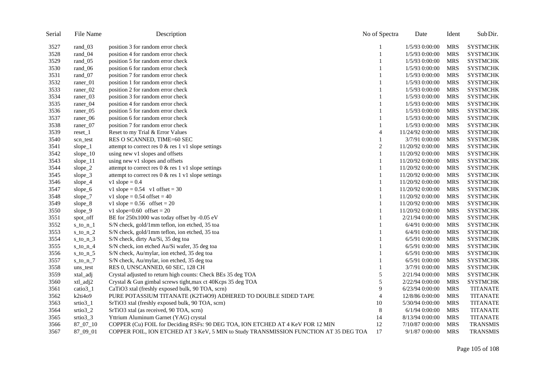| Serial | File Name            | Description                                                                          | No of Spectra  | Date             | Ident      | Sub Dir.        |
|--------|----------------------|--------------------------------------------------------------------------------------|----------------|------------------|------------|-----------------|
| 3527   | rand_03              | position 3 for random error check                                                    |                | 1/5/93 0:00:00   | <b>MRS</b> | <b>SYSTMCHK</b> |
| 3528   | rand_04              | position 4 for random error check                                                    | 1              | 1/5/93 0:00:00   | <b>MRS</b> | <b>SYSTMCHK</b> |
| 3529   | rand_05              | position 5 for random error check                                                    |                | 1/5/93 0:00:00   | <b>MRS</b> | <b>SYSTMCHK</b> |
| 3530   | rand_06              | position 6 for random error check                                                    | 1              | 1/5/93 0:00:00   | <b>MRS</b> | <b>SYSTMCHK</b> |
| 3531   | rand_07              | position 7 for random error check                                                    | 1              | 1/5/93 0:00:00   | <b>MRS</b> | <b>SYSTMCHK</b> |
| 3532   | raner_01             | position 1 for random error check                                                    | 1              | 1/5/93 0:00:00   | <b>MRS</b> | <b>SYSTMCHK</b> |
| 3533   | raner_02             | position 2 for random error check                                                    | 1              | 1/5/93 0:00:00   | <b>MRS</b> | <b>SYSTMCHK</b> |
| 3534   | raner_03             | position 3 for random error check                                                    | 1              | 1/5/93 0:00:00   | <b>MRS</b> | <b>SYSTMCHK</b> |
| 3535   | raner_04             | position 4 for random error check                                                    | 1              | $1/5/93$ 0:00:00 | <b>MRS</b> | <b>SYSTMCHK</b> |
| 3536   | raner_05             | position 5 for random error check                                                    | 1              | 1/5/93 0:00:00   | <b>MRS</b> | <b>SYSTMCHK</b> |
| 3537   | raner 06             | position 6 for random error check                                                    |                | 1/5/93 0:00:00   | <b>MRS</b> | <b>SYSTMCHK</b> |
| 3538   | raner <sub>07</sub>  | position 7 for random error check                                                    | 1              | 1/5/93 0:00:00   | <b>MRS</b> | <b>SYSTMCHK</b> |
| 3539   | $reset_1$            | Reset to my Trial & Error Values                                                     | 4              | 11/24/92 0:00:00 | <b>MRS</b> | <b>SYSTMCHK</b> |
| 3540   | scn_test             | RES O SCANNED, TIME=60 SEC                                                           | 1              | 3/7/91 0:00:00   | <b>MRS</b> | <b>SYSTMCHK</b> |
| 3541   | slope $\_1$          | attempt to correct res $0 <$ res $1 \text{ v1 slope}$ settings                       | $\overline{c}$ | 11/20/92 0:00:00 | <b>MRS</b> | <b>SYSTMCHK</b> |
| 3542   | slope_10             | using new v1 slopes and offsets                                                      | 1              | 11/20/92 0:00:00 | <b>MRS</b> | <b>SYSTMCHK</b> |
| 3543   | slope $\_11$         | using new v1 slopes and offsets                                                      | 1              | 11/20/92 0:00:00 | <b>MRS</b> | <b>SYSTMCHK</b> |
| 3544   | slope $2$            | attempt to correct res $0 <$ res $1 \text{ v1 slope}$ settings                       | 1              | 11/20/92 0:00:00 | <b>MRS</b> | <b>SYSTMCHK</b> |
| 3545   | slope $_3$           | attempt to correct res $0 <$ res $1 \text{ v1 slope}$ settings                       | 1              | 11/20/92 0:00:00 | <b>MRS</b> | <b>SYSTMCHK</b> |
| 3546   | slope_4              | $v1$ slope = 0.4                                                                     | 1              | 11/20/92 0:00:00 | <b>MRS</b> | <b>SYSTMCHK</b> |
| 3547   | slope_6              | v1 slope = $0.54$ v1 offset = 30                                                     | 1              | 11/20/92 0:00:00 | <b>MRS</b> | <b>SYSTMCHK</b> |
| 3548   | slope_7              | v1 slope = $0.54$ offset = $40$                                                      | 1              | 11/20/92 0:00:00 | <b>MRS</b> | <b>SYSTMCHK</b> |
| 3549   | slope_8              | v1 slope = $0.56$ offset = $20$                                                      | 1              | 11/20/92 0:00:00 | <b>MRS</b> | <b>SYSTMCHK</b> |
| 3550   | slope_9              | v1 slope= $0.60$ offset = $20$                                                       |                | 11/20/92 0:00:00 | <b>MRS</b> | <b>SYSTMCHK</b> |
| 3551   | spot_off             | BE for 250x1000 was today offset by -0.05 eV                                         |                | 2/21/94 0:00:00  | <b>MRS</b> | <b>SYSTMCHK</b> |
| 3552   | $s_to_n_1$           | S/N check, gold/1mm teflon, ion etched, 35 toa                                       |                | 6/4/91 0:00:00   | <b>MRS</b> | <b>SYSTMCHK</b> |
| 3553   | $s_to_n_2$           | S/N check, gold/1mm teflon, ion etched, 35 toa                                       | 1              | 6/4/91 0:00:00   | <b>MRS</b> | <b>SYSTMCHK</b> |
| 3554   | $s_to_n_3$           | S/N check, dirty Au/Si, 35 deg toa                                                   | 1              | 6/5/91 0:00:00   | <b>MRS</b> | <b>SYSTMCHK</b> |
| 3555   | s_to_n_4             | S/N check, ion etched Au/Si wafer, 35 deg toa                                        |                | $6/5/91$ 0:00:00 | <b>MRS</b> | <b>SYSTMCHK</b> |
| 3556   | $s_to_n_5$           | S/N check, Au/mylar, ion etched, 35 deg toa                                          |                | 6/5/91 0:00:00   | <b>MRS</b> | <b>SYSTMCHK</b> |
| 3557   | $s_to_n_7$           | S/N check, Au/mylar, ion etched, 35 deg toa                                          | 1              | 6/5/91 0:00:00   | <b>MRS</b> | <b>SYSTMCHK</b> |
| 3558   | uns_test             | RES 0, UNSCANNED, 60 SEC, 128 CH                                                     |                | 3/7/91 0:00:00   | <b>MRS</b> | <b>SYSTMCHK</b> |
| 3559   | xtal_adj             | Crystal adjusted to return high counts: Check BEs 35 deg TOA                         | 5              | 2/21/94 0:00:00  | <b>MRS</b> | <b>SYSTMCHK</b> |
| 3560   | xtl_adj2             | Crystal & Gun gimbal screws tight, max ct 40Kcps 35 deg TOA                          | 5              | 2/22/94 0:00:00  | <b>MRS</b> | <b>SYSTMCHK</b> |
| 3561   | catio3_1             | CaTiO3 xtal (freshly exposed bulk, 90 TOA, scrn)                                     | 9              | 6/23/94 0:00:00  | <b>MRS</b> | <b>TITANATE</b> |
| 3562   | k2ti4o9              | PURE POTASSIUM TITANATE (K2Ti4O9) ADHERED TO DOUBLE SIDED TAPE                       | 4              | 12/8/86 0:00:00  | <b>MRS</b> | <b>TITANATE</b> |
| 3563   | strio <sub>3</sub> 1 | SrTiO3 xtal (freshly exposed bulk, 90 TOA, scrn)                                     | 10             | 5/30/94 0:00:00  | <b>MRS</b> | <b>TITANATE</b> |
| 3564   | srtio3_2             | SrTiO3 xtal (as received, 90 TOA, scrn)                                              | 8              | 6/1/94 0:00:00   | <b>MRS</b> | <b>TITANATE</b> |
| 3565   | $strio3_3$           | Yttrium Aluminum Garnet (YAG) crystal                                                | 14             | 8/13/94 0:00:00  | <b>MRS</b> | <b>TITANATE</b> |
| 3566   | 87_07_10             | COPPER (Cu) FOIL for Deciding RSFs: 90 DEG TOA, ION ETCHED AT 4 KeV FOR 12 MIN       | 12             | 7/10/87 0:00:00  | <b>MRS</b> | <b>TRANSMIS</b> |
| 3567   | 87_09_01             | COPPER FOIL, ION ETCHED AT 3 KeV, 5 MIN to Study TRANSMISSION FUNCTION AT 35 DEG TOA | 17             | 9/1/87 0:00:00   | <b>MRS</b> | <b>TRANSMIS</b> |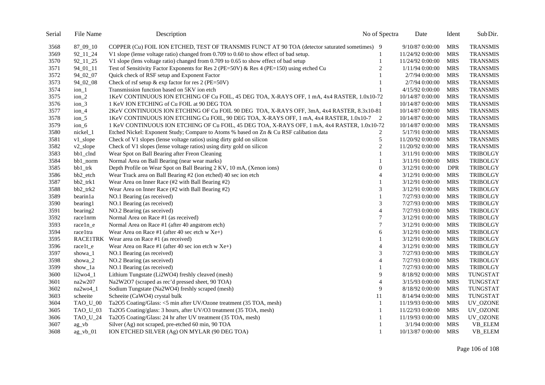| 3568 | 87_09_10    | COPPER (Cu) FOIL ION ETCHED, TEST OF TRANSMIS FUNCT AT 90 TOA (detector saturated sometimes) 9 |                  | 9/10/87 0:00:00  | <b>MRS</b> | <b>TRANSMIS</b> |
|------|-------------|------------------------------------------------------------------------------------------------|------------------|------------------|------------|-----------------|
| 3569 | 92_11_24    | V1 slope (lense voltage ratio) changed from 0.709 to 0.60 to show effect of bad setup.         | $\mathbf{1}$     | 11/24/92 0:00:00 | <b>MRS</b> | <b>TRANSMIS</b> |
| 3570 | 92_11_25    | V1 slope (lens voltage ratio) changed from 0.709 to 0.65 to show effect of bad setup           | $\mathbf{1}$     | 11/24/92 0:00:00 | <b>MRS</b> | <b>TRANSMIS</b> |
| 3571 | $94_01_11$  | Test of Sensitivity Factor Exponents for Res 2 (PE=50V) & Res 4 (PE=150) using etched Cu       | 2                | 1/11/94 0:00:00  | <b>MRS</b> | <b>TRANSMIS</b> |
| 3572 | 94_02_07    | Quick check of RSF setup and Exponent Factor                                                   |                  | 2/7/94 0:00:00   | <b>MRS</b> | <b>TRANSMIS</b> |
| 3573 | 94_02_08    | Check of rsf setup & exp factor for res 2 (PE=50V)                                             | 1                | 2/7/94 0:00:00   | <b>MRS</b> | <b>TRANSMIS</b> |
| 3574 | $ion_1$     | Transmission function based on 5KV ion etch                                                    |                  | 4/15/92 0:00:00  | <b>MRS</b> | <b>TRANSMIS</b> |
| 3575 | $ion_2$     | 1KeV CONTINUOUS ION ETCHING OF Cu FOIL, 45 DEG TOA, X-RAYS OFF, 1 mA, 4x4 RASTER, 1.0x10-72    |                  | 10/14/87 0:00:00 | <b>MRS</b> | <b>TRANSMIS</b> |
| 3576 | $ion_3$     | 1 KeV ION ETCHING of Cu FOIL at 90 DEG TOA                                                     | 1                | 10/14/87 0:00:00 | <b>MRS</b> | <b>TRANSMIS</b> |
| 3577 | $ion_4$     | 2KeV CONTINUOUS ION ETCHING OF Cu FOIL 90 DEG TOA, X-RAYS OFF, 3mA, 4x4 RASTER, 8.3x10-81      |                  | 10/14/87 0:00:00 | <b>MRS</b> | <b>TRANSMIS</b> |
| 3578 | $ion_5$     | 1KeV CONTINUOUS ION ETCHING Cu FOIL, 90 DEG TOA, X-RAYS OFF, 1 mA, 4x4 RASTER, 1.0x10-7 2      |                  | 10/14/87 0:00:00 | <b>MRS</b> | <b>TRANSMIS</b> |
| 3579 | $ion_6$     | 1 KeV CONTINUOUS ION ETCHING OF Cu FOIL, 45 DEG TOA, X-RAYS OFF, 1 mA, 4x4 RASTER, 1.0x10-72   |                  | 10/14/87 0:00:00 | <b>MRS</b> | <b>TRANSMIS</b> |
| 3580 | nickel_1    | Etched Nickel: Exponent Study; Compare to Atoms % based on Zn & Cu RSF calibation data         | 2                | 5/17/91 0:00:00  | <b>MRS</b> | <b>TRANSMIS</b> |
| 3581 | v1_slope    | Check of V1 slopes (lense voltage ratios) using dirty gold on silicon                          | 5                | 11/20/92 0:00:00 | <b>MRS</b> | <b>TRANSMIS</b> |
| 3582 | $v2$ _slope | Check of V1 slopes (lense voltage ratios) using dirty gold on silicon                          | $\overline{c}$   | 11/20/92 0:00:00 | <b>MRS</b> | <b>TRANSMIS</b> |
| 3583 | bb1_clnd    | Wear Spot on Ball Bearing after Freon Cleaning                                                 | $\mathbf{1}$     | 3/11/91 0:00:00  | <b>MRS</b> | <b>TRIBOLGY</b> |
| 3584 | bb1_norm    | Normal Area on Ball Bearing (near wear marks)                                                  |                  | 3/11/91 0:00:00  | <b>MRS</b> | <b>TRIBOLGY</b> |
| 3585 | bb1_trk     | Depth Profile on Wear Spot on Ball Bearing 2 KV, 10 mA, (Xenon ions)                           | $\overline{0}$   | 3/12/91 0:00:00  | <b>DPR</b> | <b>TRIBOLGY</b> |
| 3586 | bb2_etch    | Wear Track area on Ball Bearing #2 (ion etched) 40 sec ion etch                                | 4                | 3/12/91 0:00:00  | <b>MRS</b> | <b>TRIBOLGY</b> |
| 3587 | $bb2$ _trk1 | Wear Area on Inner Race (#2 with Ball Bearing #2)                                              | 1                | 3/12/91 0:00:00  | <b>MRS</b> | <b>TRIBOLGY</b> |
| 3588 | bb2_trk2    | Wear Area on Inner Race (#2 with Ball Bearing #2)                                              | 3                | 3/12/91 0:00:00  | <b>MRS</b> | <b>TRIBOLGY</b> |
| 3589 | bearin1a    | NO.1 Bearing (as received)                                                                     | 1                | 7/27/93 0:00:00  | <b>MRS</b> | <b>TRIBOLGY</b> |
| 3590 | bearing1    | NO.1 Bearing (as received)                                                                     | 3                | 7/27/93 0:00:00  | <b>MRS</b> | <b>TRIBOLGY</b> |
| 3591 | bearing2    | NO.2 Bearing (as seceived)                                                                     | $\overline{4}$   | 7/27/93 0:00:00  | <b>MRS</b> | <b>TRIBOLGY</b> |
| 3592 | race1nrm    | Normal Area on Race #1 (as received)                                                           | $\boldsymbol{7}$ | 3/12/91 0:00:00  | <b>MRS</b> | <b>TRIBOLGY</b> |
| 3593 | race1n_e    | Normal Area on Race #1 (after 40 angstrom etch)                                                | 7                | 3/12/91 0:00:00  | <b>MRS</b> | <b>TRIBOLGY</b> |
| 3594 | raceltra    | Wear Area on Race #1 (after 40 sec etch w Xe+)                                                 | 6                | 3/12/91 0:00:00  | <b>MRS</b> | <b>TRIBOLGY</b> |
| 3595 |             | RACE1TRK Wear area on Race #1 (as received)                                                    |                  | 3/12/91 0:00:00  | <b>MRS</b> | <b>TRIBOLGY</b> |
| 3596 | race1t_e    | Wear Area on Race #1 (after 40 sec ion etch $w Xe+$ )                                          | 4                | 3/12/91 0:00:00  | <b>MRS</b> | <b>TRIBOLGY</b> |
| 3597 | showa_1     | NO.1 Bearing (as received)                                                                     | 3                | 7/27/93 0:00:00  | <b>MRS</b> | <b>TRIBOLGY</b> |
| 3598 | showa_2     | NO.2 Bearing (as seceived)                                                                     | $\overline{4}$   | 7/27/93 0:00:00  | <b>MRS</b> | <b>TRIBOLGY</b> |
| 3599 | show_1a     | NO.1 Bearing (as received)                                                                     | 1                | 7/27/93 0:00:00  | <b>MRS</b> | <b>TRIBOLGY</b> |
| 3600 | $li2wo4_1$  | Lithium Tungstate (Li2WO4) freshly cleaved (mesh)                                              | 9                | 8/18/92 0:00:00  | <b>MRS</b> | TUNGSTAT        |
| 3601 | na2w207     | Na2W2O7 (scraped as rec'd pressed sheet, 90 TOA)                                               | $\overline{4}$   | 3/15/93 0:00:00  | <b>MRS</b> | TUNGSTAT        |
| 3602 | $na2wo4_1$  | Sodium Tungstate (Na2WO4) freshly scraped (mesh)                                               | 9                | 8/18/92 0:00:00  | <b>MRS</b> | TUNGSTAT        |
| 3603 | scheeite    | Scheeite (CaWO4) crystal bulk                                                                  | 11               | 8/14/94 0:00:00  | <b>MRS</b> | <b>TUNGSTAT</b> |
| 3604 | TAO_U_00    | Ta2O5 Coating/Glass: <5 min after UV/Ozone treatment (35 TOA, mesh)                            | $\mathbf{1}$     | 11/19/93 0:00:00 | <b>MRS</b> | UV_OZONE        |
| 3605 | TAO_U_03    | Ta2O5 Coating/glass: 3 hours, after UV/O3 treatment (35 TOA, mesh)                             | 1                | 11/22/93 0:00:00 | <b>MRS</b> | UV_OZONE        |
| 3606 | TAO_U_24    | Ta2O5 Coating/Glass: 24 hr after UV treatment (35 TOA, mesh)                                   | 1                | 11/19/93 0:00:00 | <b>MRS</b> | UV_OZONE        |
| 3607 | $ag_vb$     | Silver (Ag) not scraped, pre-etched 60 min, 90 TOA                                             | 1                | 3/1/94 0:00:00   | <b>MRS</b> | VB_ELEM         |
| 3608 | $ag_vb_01$  | ION ETCHED SILVER (Ag) ON MYLAR (90 DEG TOA)                                                   | $\mathbf{1}$     | 10/13/87 0:00:00 | <b>MRS</b> | VB_ELEM         |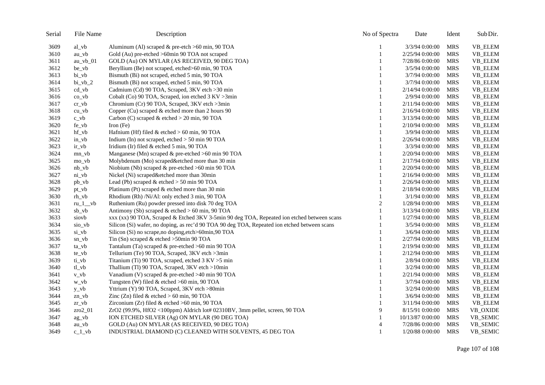| Serial | File Name  | Description                                                                                  | No of Spectra | Date             | Ident      | Sub Dir. |
|--------|------------|----------------------------------------------------------------------------------------------|---------------|------------------|------------|----------|
| 3609   | $al_vb$    | Aluminum (Al) scraped & pre-etch >60 min, 90 TOA                                             |               | 3/3/94 0:00:00   | <b>MRS</b> | VB_ELEM  |
| 3610   | $au_v$     | Gold (Au) pre-etched >60min 90 TOA not scraped                                               | 1             | 2/25/94 0:00:00  | <b>MRS</b> | VB_ELEM  |
| 3611   | $au_vb_01$ | GOLD (Au) ON MYLAR (AS RECEIVED, 90 DEG TOA)                                                 |               | 7/28/86 0:00:00  | <b>MRS</b> | VB_ELEM  |
| 3612   | be_vb      | Beryllium (Be) not scraped, etched>60 min, 90 TOA                                            |               | 3/5/94 0:00:00   | <b>MRS</b> | VB_ELEM  |
| 3613   | bi_vb      | Bismuth (Bi) not scraped, etched 5 min, 90 TOA                                               | 1             | 3/7/94 0:00:00   | <b>MRS</b> | VB_ELEM  |
| 3614   | $bi_vb_2$  | Bismuth (Bi) not scraped, etched 5 min, 90 TOA                                               | 1             | 3/7/94 0:00:00   | <b>MRS</b> | VB_ELEM  |
| 3615   | $cd_v$     | Cadmium (Cd) 90 TOA, Scraped, 3KV etch >30 min                                               | 1             | 2/14/94 0:00:00  | <b>MRS</b> | VB_ELEM  |
| 3616   | $co_v$     | Cobalt (Co) 90 TOA, Scraped, ion etched 3 KV > 3min                                          | 1             | 2/9/94 0:00:00   | <b>MRS</b> | VB_ELEM  |
| 3617   | $cr_v$ vb  | Chromium (Cr) 90 TOA, Scraped, 3KV etch >3min                                                |               | 2/11/94 0:00:00  | <b>MRS</b> | VB_ELEM  |
| 3618   | $cu_v$     | Copper (Cu) scraped & etched more than 2 hours 90                                            | 1             | 2/16/94 0:00:00  | <b>MRS</b> | VB_ELEM  |
| 3619   | $c_v$      | Carbon (C) scraped & etched $> 20$ min, 90 TOA                                               |               | 3/13/94 0:00:00  | <b>MRS</b> | VB_ELEM  |
| 3620   | fe_vb      | Iron $(Fe)$                                                                                  |               | 2/10/94 0:00:00  | <b>MRS</b> | VB_ELEM  |
| 3621   | hf vb      | Hafnium (Hf) filed $&$ etched $> 60$ min, 90 TOA                                             | 1             | 3/9/94 0:00:00   | <b>MRS</b> | VB_ELEM  |
| 3622   | $in_v$     | Indium (In) not scraped, etched > 50 min 90 TOA                                              | 1             | 2/26/94 0:00:00  | <b>MRS</b> | VB_ELEM  |
| 3623   | $ir_v$     | Iridium (Ir) filed & etched 5 min, 90 TOA                                                    |               | 3/3/94 0:00:00   | <b>MRS</b> | VB_ELEM  |
| 3624   | $mn_v$     | Manganese (Mn) scraped $\&$ pre-etched >60 min 90 TOA                                        | 1             | 2/20/94 0:00:00  | <b>MRS</b> | VB_ELEM  |
| 3625   | mo_vb      | Molybdenum (Mo) scraped&etched more than 30 min                                              | 1             | 2/17/94 0:00:00  | <b>MRS</b> | VB_ELEM  |
| 3626   | $nb_v$     | Niobium (Nb) scraped & pre-etched >60 min 90 TOA                                             |               | 2/20/94 0:00:00  | <b>MRS</b> | VB_ELEM  |
| 3627   | $ni_v$     | Nickel (Ni) scraped&etched more than 30min                                                   |               | 2/16/94 0:00:00  | <b>MRS</b> | VB_ELEM  |
| 3628   | $pb_v$     | Lead (Pb) scraped $&$ etched $>$ 50 min 90 TOA                                               |               | 2/26/94 0:00:00  | <b>MRS</b> | VB_ELEM  |
| 3629   | $pt_v$     | Platinum (Pt) scraped & etched more than 30 min                                              |               | 2/18/94 0:00:00  | <b>MRS</b> | VB_ELEM  |
| 3630   | $rh_v$     | Rhodium (Rh) /Ni/Al: only etched 3 min, 90 TOA                                               |               | 3/1/94 0:00:00   | <b>MRS</b> | VB_ELEM  |
| 3631   | $ru_1$ vb  | Ruthenium (Ru) powder pressed into disk 70 deg TOA                                           | 2             | 1/28/94 0:00:00  | <b>MRS</b> | VB_ELEM  |
| 3632   | $sb_v$     | Antimony (Sb) scraped & etched $> 60$ min, 90 TOA                                            | 1             | 3/13/94 0:00:00  | <b>MRS</b> | VB_ELEM  |
| 3633   | siovb      | xxx (xx) 90 TOA, Scraped & Etched 3KV 3-5min 90 deg TOA, Repeated ion etched between scans   |               | 1/27/94 0:00:00  | <b>MRS</b> | VB_ELEM  |
| 3634   | sio_vb     | Silicon (Si) wafer, no doping, as rec'd 90 TOA 90 deg TOA, Repeated ion etched between scans |               | 3/5/94 0:00:00   | <b>MRS</b> | VB_ELEM  |
| 3635   | si_vb      | Silicon (Si) no scrape, no doping, etch>60min, 90 TOA                                        |               | 3/6/94 0:00:00   | <b>MRS</b> | VB_ELEM  |
| 3636   | sn_vb      | Tin (Sn) scraped $&$ etched >50min 90 TOA                                                    |               | 2/27/94 0:00:00  | <b>MRS</b> | VB_ELEM  |
| 3637   | ta_vb      | Tantalum (Ta) scraped & pre-etched >60 min 90 TOA                                            |               | 2/19/94 0:00:00  | <b>MRS</b> | VB_ELEM  |
| 3638   | te_vb      | Tellurium (Te) 90 TOA, Scraped, 3KV etch >3min                                               |               | 2/12/94 0:00:00  | <b>MRS</b> | VB_ELEM  |
| 3639   | ti_vb      | Titanium (Ti) 90 TOA, scraped, etched 3 KV > 5 min                                           | 1             | 2/8/94 0:00:00   | <b>MRS</b> | VB_ELEM  |
| 3640   | $tl_v$     | Thallium (Tl) 90 TOA, Scraped, 3KV etch >10min                                               |               | 3/2/94 0:00:00   | <b>MRS</b> | VB_ELEM  |
| 3641   | $v_v$      | Vanadium (V) scraped & pre-etched >40 min 90 TOA                                             | 1             | 2/21/94 0:00:00  | <b>MRS</b> | VB_ELEM  |
| 3642   | w_vb       | Tungsten (W) filed & etched >60 min, 90 TOA                                                  |               | 3/7/94 0:00:00   | <b>MRS</b> | VB_ELEM  |
| 3643   | $y_v$      | Yttrium (Y) 90 TOA, Scraped, 3KV etch >80min                                                 | 1             | 3/2/94 0:00:00   | <b>MRS</b> | VB_ELEM  |
| 3644   | zn_vb      | Zinc (Zn) filed $&$ etched $> 60$ min, 90 TOA                                                | 1             | 3/6/94 0:00:00   | <b>MRS</b> | VB_ELEM  |
| 3645   | $zr_v$     | Zirconium (Zr) filed & etched $>60$ min, 90 TOA                                              | 1             | 3/11/94 0:00:00  | <b>MRS</b> | VB_ELEM  |
| 3646   | $zro2_01$  | ZrO2 (99.9%, HfO2 <100ppm) Aldrich lot# 02310BV, 3mm pellet, screen, 90 TOA                  | 9             | 8/15/91 0:00:00  | <b>MRS</b> | VB_OXIDE |
| 3647   | ag_vb      | ION ETCHED SILVER (Ag) ON MYLAR (90 DEG TOA)                                                 | 1             | 10/13/87 0:00:00 | <b>MRS</b> | VB_SEMIC |
| 3648   | au_vb      | GOLD (Au) ON MYLAR (AS RECEIVED, 90 DEG TOA)                                                 | 4             | 7/28/86 0:00:00  | <b>MRS</b> | VB_SEMIC |
| 3649   | $c_1$ vb   | INDUSTRIAL DIAMOND (C) CLEANED WITH SOLVENTS, 45 DEG TOA                                     | 1             | 1/20/88 0:00:00  | <b>MRS</b> | VB_SEMIC |